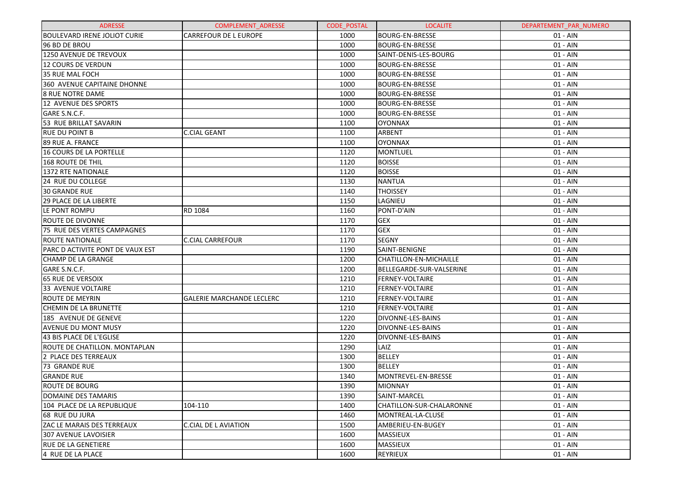| <b>ADRESSE</b>                    | <b>COMPLEMENT ADRESSE</b>        | <b>CODE POSTAL</b> | <b>LOCALITE</b>          | DEPARTEMENT PAR NUMERO |
|-----------------------------------|----------------------------------|--------------------|--------------------------|------------------------|
| IBOULEVARD IRENE JOLIOT CURIE     | <b>CARREFOUR DE L EUROPE</b>     | 1000               | <b>BOURG-EN-BRESSE</b>   | $01 - AIN$             |
| 196 BD DE BROU                    |                                  | 1000               | <b>BOURG-EN-BRESSE</b>   | $01 - AIN$             |
| 1250 AVENUE DE TREVOUX            |                                  | 1000               | SAINT-DENIS-LES-BOURG    | $01 - AIN$             |
| 12 COURS DE VERDUN                |                                  | 1000               | <b>BOURG-EN-BRESSE</b>   | $01 - AIN$             |
| 35 RUE MAL FOCH                   |                                  | 1000               | <b>BOURG-EN-BRESSE</b>   | $01 - AIN$             |
| 360 AVENUE CAPITAINE DHONNE       |                                  | 1000               | <b>BOURG-EN-BRESSE</b>   | $01 - AIN$             |
| <b>8 RUE NOTRE DAME</b>           |                                  | 1000               | <b>BOURG-EN-BRESSE</b>   | $01 - AIN$             |
| 12 AVENUE DES SPORTS              |                                  | 1000               | <b>BOURG-EN-BRESSE</b>   | $01 - AIN$             |
| GARE S.N.C.F.                     |                                  | 1000               | <b>BOURG-EN-BRESSE</b>   | $01 - AIN$             |
| 53 RUE BRILLAT SAVARIN            |                                  | 1100               | <b>OYONNAX</b>           | $01 - AIN$             |
| <b>RUE DU POINT B</b>             | <b>C.CIAL GEANT</b>              | 1100               | ARBENT                   | $01 - AIN$             |
| 89 RUE A. FRANCE                  |                                  | 1100               | <b>OYONNAX</b>           | $01 - AIN$             |
| 16 COURS DE LA PORTELLE           |                                  | 1120               | <b>MONTLUEL</b>          | $01 - AIN$             |
| 168 ROUTE DE THIL                 |                                  | 1120               | <b>BOISSE</b>            | $01 - AIN$             |
| 1372 RTE NATIONALE                |                                  | 1120               | <b>BOISSE</b>            | $01 - AIN$             |
| <b>24 RUE DU COLLEGE</b>          |                                  | 1130               | <b>NANTUA</b>            | $01 - AIN$             |
| <b>30 GRANDE RUE</b>              |                                  | 1140               | <b>THOISSEY</b>          | $01 - AIN$             |
| <b>29 PLACE DE LA LIBERTE</b>     |                                  | 1150               | LAGNIEU                  | $01 - AIN$             |
| LE PONT ROMPU                     | RD 1084                          | 1160               | PONT-D'AIN               | $01 - AIN$             |
| <b>IROUTE DE DIVONNE</b>          |                                  | 1170               | <b>GEX</b>               | $01 - AIN$             |
| 75 RUE DES VERTES CAMPAGNES       |                                  | 1170               | <b>GEX</b>               | $01 - AIN$             |
| <b>ROUTE NATIONALE</b>            | <b>C.CIAL CARREFOUR</b>          | 1170               | <b>SEGNY</b>             | $01 - AIN$             |
| IPARC D ACTIVITE PONT DE VAUX EST |                                  | 1190               | SAINT-BENIGNE            | $01 - AIN$             |
| <b>CHAMP DE LA GRANGE</b>         |                                  | 1200               | CHATILLON-EN-MICHAILLE   | $01 - AIN$             |
| GARE S.N.C.F.                     |                                  | 1200               | BELLEGARDE-SUR-VALSERINE | $01 - AIN$             |
| <b>65 RUE DE VERSOIX</b>          |                                  | 1210               | <b>FERNEY-VOLTAIRE</b>   | $01 - AIN$             |
| 33 AVENUE VOLTAIRE                |                                  | 1210               | <b>FERNEY-VOLTAIRE</b>   | $01 - AIN$             |
| <b>ROUTE DE MEYRIN</b>            | <b>GALERIE MARCHANDE LECLERC</b> | 1210               | <b>FERNEY-VOLTAIRE</b>   | $01 - AIN$             |
| <b>CHEMIN DE LA BRUNETTE</b>      |                                  | 1210               | <b>FERNEY-VOLTAIRE</b>   | $01 - AIN$             |
| 185 AVENUE DE GENEVE              |                                  | 1220               | <b>DIVONNE-LES-BAINS</b> | $01 - AIN$             |
| <b>AVENUE DU MONT MUSY</b>        |                                  | 1220               | <b>DIVONNE-LES-BAINS</b> | $01 - AIN$             |
| 43 BIS PLACE DE L'EGLISE          |                                  | 1220               | <b>DIVONNE-LES-BAINS</b> | $01 - AIN$             |
| ROUTE DE CHATILLON. MONTAPLAN     |                                  | 1290               | LAIZ                     | $01 - AIN$             |
| 2 PLACE DES TERREAUX              |                                  | 1300               | <b>BELLEY</b>            | $01 - AIN$             |
| 73 GRANDE RUE                     |                                  | 1300               | <b>BELLEY</b>            | $01 - AIN$             |
| <b>GRANDE RUE</b>                 |                                  | 1340               | MONTREVEL-EN-BRESSE      | $01 - AIN$             |
| ROUTE DE BOURG                    |                                  | 1390               | MIONNAY                  | 01 - AIN               |
| DOMAINE DES TAMARIS               |                                  | 1390               | SAINT-MARCEL             | 01 - AIN               |
| 104 PLACE DE LA REPUBLIQUE        | 104-110                          | 1400               | CHATILLON-SUR-CHALARONNE | 01 - AIN               |
| 168 RUE DU JURA                   |                                  | 1460               | MONTREAL-LA-CLUSE        | 01 - AIN               |
| <b>ZAC LE MARAIS DES TERREAUX</b> | C.CIAL DE L AVIATION             | 1500               | AMBERIEU-EN-BUGEY        | 01 - AIN               |
| 307 AVENUE LAVOISIER              |                                  | 1600               | <b>MASSIEUX</b>          | 01 - AIN               |
| <b>RUE DE LA GENETIERE</b>        |                                  | 1600               | <b>MASSIEUX</b>          | $01 - AIN$             |
| 4 RUE DE LA PLACE                 |                                  | 1600               | <b>REYRIEUX</b>          | 01 - AIN               |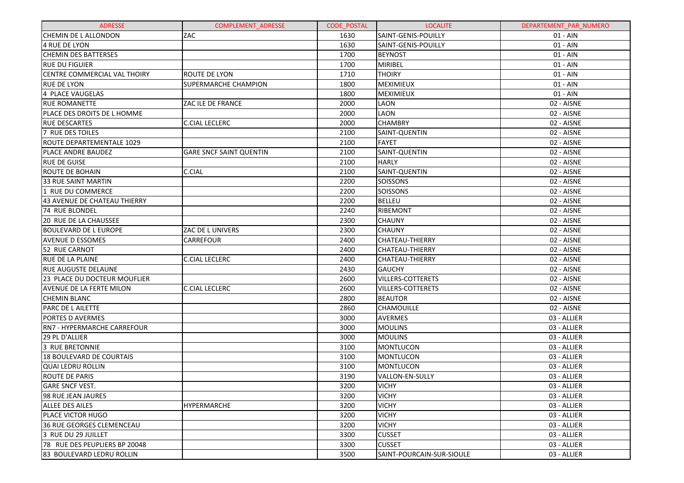| <b>ADRESSE</b>                      | <b>COMPLEMENT ADRESSE</b>      | <b>CODE POSTAL</b> | <b>LOCALITE</b>           | DEPARTEMENT PAR NUMERO |
|-------------------------------------|--------------------------------|--------------------|---------------------------|------------------------|
| <b>CHEMIN DE L ALLONDON</b>         | ZAC                            | 1630               | SAINT-GENIS-POUILLY       | 01 - AIN               |
| 4 RUE DE LYON                       |                                | 1630               | SAINT-GENIS-POUILLY       | $01 - AIN$             |
| <b>CHEMIN DES BATTERSES</b>         |                                | 1700               | <b>BEYNOST</b>            | $01 - AIN$             |
| <b>RUE DU FIGUIER</b>               |                                | 1700               | MIRIBEL                   | $01 - AIN$             |
| <b>CENTRE COMMERCIAL VAL THOIRY</b> | <b>ROUTE DE LYON</b>           | 1710               | <b>THOIRY</b>             | $01 - AIN$             |
| <b>RUE DE LYON</b>                  | <b>SUPERMARCHE CHAMPION</b>    | 1800               | <b>MEXIMIEUX</b>          | $01 - AIN$             |
| 4 PLACE VAUGELAS                    |                                | 1800               | <b>MEXIMIEUX</b>          | 01 - AIN               |
| <b>RUE ROMANETTE</b>                | ZAC ILE DE FRANCE              | 2000               | LAON                      | 02 - AISNE             |
| <b>PLACE DES DROITS DE L HOMME</b>  |                                | 2000               | LAON                      | 02 - AISNE             |
| <b>RUE DESCARTES</b>                | <b>C.CIAL LECLERC</b>          | 2000               | <b>CHAMBRY</b>            | 02 - AISNE             |
| 7 RUE DES TOILES                    |                                | 2100               | SAINT-QUENTIN             | 02 - AISNE             |
| ROUTE DEPARTEMENTALE 1029           |                                | 2100               | <b>FAYET</b>              | 02 - AISNE             |
| PLACE ANDRE BAUDEZ                  | <b>GARE SNCF SAINT QUENTIN</b> | 2100               | SAINT-QUENTIN             | 02 - AISNE             |
| <b>RUE DE GUISE</b>                 |                                | 2100               | <b>HARLY</b>              | 02 - AISNE             |
| <b>ROUTE DE BOHAIN</b>              | C.CIAL                         | 2100               | SAINT-QUENTIN             | 02 - AISNE             |
| 33 RUE SAINT MARTIN                 |                                | 2200               | <b>SOISSONS</b>           | 02 - AISNE             |
| 1 RUE DU COMMERCE                   |                                | 2200               | SOISSONS                  | 02 - AISNE             |
| 43 AVENUE DE CHATEAU THIERRY        |                                | 2200               | <b>BELLEU</b>             | 02 - AISNE             |
| <b>74 RUE BLONDEL</b>               |                                | 2240               | <b>RIBEMONT</b>           | 02 - AISNE             |
| 20 RUE DE LA CHAUSSEE               |                                | 2300               | <b>CHAUNY</b>             | 02 - AISNE             |
| <b>BOULEVARD DE L EUROPE</b>        | ZAC DE L UNIVERS               | 2300               | <b>CHAUNY</b>             | 02 - AISNE             |
| <b>AVENUE D ESSOMES</b>             | <b>CARREFOUR</b>               | 2400               | <b>CHATEAU-THIERRY</b>    | 02 - AISNE             |
| 52 RUE CARNOT                       |                                | 2400               | CHATEAU-THIERRY           | 02 - AISNE             |
| <b>RUE DE LA PLAINE</b>             | C.CIAL LECLERC                 | 2400               | CHATEAU-THIERRY           | 02 - AISNE             |
| <b>RUE AUGUSTE DELAUNE</b>          |                                | 2430               | <b>GAUCHY</b>             | 02 - AISNE             |
| 23 PLACE DU DOCTEUR MOUFLIER        |                                | 2600               | <b>VILLERS-COTTERETS</b>  | 02 - AISNE             |
| <b>AVENUE DE LA FERTE MILON</b>     | <b>C.CIAL LECLERC</b>          | 2600               | <b>VILLERS-COTTERETS</b>  | 02 - AISNE             |
| CHEMIN BLANC                        |                                | 2800               | <b>BEAUTOR</b>            | 02 - AISNE             |
| PARC DE L AILETTE                   |                                | 2860               | CHAMOUILLE                | 02 - AISNE             |
| <b>PORTES D AVERMES</b>             |                                | 3000               | <b>AVERMES</b>            | 03 - ALLIER            |
| RN7 - HYPERMARCHE CARREFOUR         |                                | 3000               | <b>MOULINS</b>            | 03 - ALLIER            |
| 29 PL D'ALLIER                      |                                | 3000               | <b>MOULINS</b>            | 03 - ALLIER            |
| 3 RUE BRETONNIE                     |                                | 3100               | <b>MONTLUCON</b>          | 03 - ALLIER            |
| 18 BOULEVARD DE COURTAIS            |                                | 3100               | <b>MONTLUCON</b>          | 03 - ALLIER            |
| <b>QUAI LEDRU ROLLIN</b>            |                                | 3100               | <b>MONTLUCON</b>          | 03 - ALLIER            |
| <b>ROUTE DE PARIS</b>               |                                | 3190               | VALLON-EN-SULLY           | 03 - ALLIER            |
| <b>GARE SNCF VEST.</b>              |                                | 3200               | <b>VICHY</b>              | 03 - ALLIER            |
| 198 RUE JEAN JAURES                 |                                | 3200               | <b>VICHY</b>              | 03 - ALLIER            |
| <b>ALLEE DES AILES</b>              | <b>HYPERMARCHE</b>             | 3200               | <b>VICHY</b>              | 03 - ALLIER            |
| <b>PLACE VICTOR HUGO</b>            |                                | 3200               | <b>VICHY</b>              | 03 - ALLIER            |
| l36 RUE GEORGES CLEMENCEAU          |                                | 3200               | <b>VICHY</b>              | 03 - ALLIER            |
| 3 RUE DU 29 JUILLET                 |                                | 3300               | <b>CUSSET</b>             | 03 - ALLIER            |
| 78 RUE DES PEUPLIERS BP 20048       |                                | 3300               | <b>CUSSET</b>             | 03 - ALLIER            |
| 83 BOULEVARD LEDRU ROLLIN           |                                | 3500               | SAINT-POURCAIN-SUR-SIOULE | 03 - ALLIER            |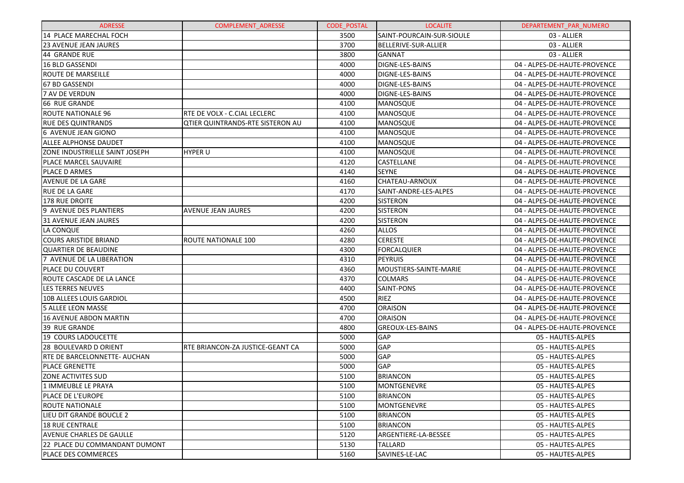| <b>ADRESSE</b>                        | <b>COMPLEMENT ADRESSE</b>               | <b>CODE POSTAL</b> | <b>LOCALITE</b>             | DEPARTEMENT PAR NUMERO       |
|---------------------------------------|-----------------------------------------|--------------------|-----------------------------|------------------------------|
| 14 PLACE MARECHAL FOCH                |                                         | 3500               | SAINT-POURCAIN-SUR-SIOULE   | 03 - ALLIER                  |
| <b>23 AVENUE JEAN JAURES</b>          |                                         | 3700               | <b>BELLERIVE-SUR-ALLIER</b> | 03 - ALLIER                  |
| 44 GRANDE RUE                         |                                         | 3800               | <b>GANNAT</b>               | 03 - ALLIER                  |
| 16 BLD GASSENDI                       |                                         | 4000               | <b>DIGNE-LES-BAINS</b>      | 04 - ALPES-DE-HAUTE-PROVENCE |
| ROUTE DE MARSEILLE                    |                                         | 4000               | <b>DIGNE-LES-BAINS</b>      | 04 - ALPES-DE-HAUTE-PROVENCE |
| 67 BD GASSENDI                        |                                         | 4000               | <b>DIGNE-LES-BAINS</b>      | 04 - ALPES-DE-HAUTE-PROVENCE |
| <b>7 AV DE VERDUN</b>                 |                                         | 4000               | <b>DIGNE-LES-BAINS</b>      | 04 - ALPES-DE-HAUTE-PROVENCE |
| 66 RUE GRANDE                         |                                         | 4100               | MANOSQUE                    | 04 - ALPES-DE-HAUTE-PROVENCE |
| ROUTE NATIONALE 96                    | RTE DE VOLX - C.CIAL LECLERC            | 4100               | MANOSQUE                    | 04 - ALPES-DE-HAUTE-PROVENCE |
| <b>RUE DES QUINTRANDS</b>             | <b>QTIER QUINTRANDS-RTE SISTERON AU</b> | 4100               | MANOSQUE                    | 04 - ALPES-DE-HAUTE-PROVENCE |
| 6 AVENUE JEAN GIONO                   |                                         | 4100               | MANOSQUE                    | 04 - ALPES-DE-HAUTE-PROVENCE |
| <b>ALLEE ALPHONSE DAUDET</b>          |                                         | 4100               | MANOSQUE                    | 04 - ALPES-DE-HAUTE-PROVENCE |
| <b>ZONE INDUSTRIELLE SAINT JOSEPH</b> | <b>HYPER U</b>                          | 4100               | MANOSQUE                    | 04 - ALPES-DE-HAUTE-PROVENCE |
| PLACE MARCEL SAUVAIRE                 |                                         | 4120               | <b>CASTELLANE</b>           | 04 - ALPES-DE-HAUTE-PROVENCE |
| PLACE D ARMES                         |                                         | 4140               | <b>SEYNE</b>                | 04 - ALPES-DE-HAUTE-PROVENCE |
| <b>AVENUE DE LA GARE</b>              |                                         | 4160               | <b>CHATEAU-ARNOUX</b>       | 04 - ALPES-DE-HAUTE-PROVENCE |
| <b>RUE DE LA GARE</b>                 |                                         | 4170               | SAINT-ANDRE-LES-ALPES       | 04 - ALPES-DE-HAUTE-PROVENCE |
| 178 RUE DROITE                        |                                         | 4200               | <b>SISTERON</b>             | 04 - ALPES-DE-HAUTE-PROVENCE |
| 9 AVENUE DES PLANTIERS                | <b>AVENUE JEAN JAURES</b>               | 4200               | <b>SISTERON</b>             | 04 - ALPES-DE-HAUTE-PROVENCE |
| 31 AVENUE JEAN JAURES                 |                                         | 4200               | <b>SISTERON</b>             | 04 - ALPES-DE-HAUTE-PROVENCE |
| LA CONQUE                             |                                         | 4260               | <b>ALLOS</b>                | 04 - ALPES-DE-HAUTE-PROVENCE |
| <b>COURS ARISTIDE BRIAND</b>          | <b>ROUTE NATIONALE 100</b>              | 4280               | <b>CERESTE</b>              | 04 - ALPES-DE-HAUTE-PROVENCE |
| <b>OUARTIER DE BEAUDINE</b>           |                                         | 4300               | FORCALQUIER                 | 04 - ALPES-DE-HAUTE-PROVENCE |
| 7 AVENUE DE LA LIBERATION             |                                         | 4310               | <b>PEYRUIS</b>              | 04 - ALPES-DE-HAUTE-PROVENCE |
| <b>PLACE DU COUVERT</b>               |                                         | 4360               | MOUSTIERS-SAINTE-MARIE      | 04 - ALPES-DE-HAUTE-PROVENCE |
| <b>ROUTE CASCADE DE LA LANCE</b>      |                                         | 4370               | <b>COLMARS</b>              | 04 - ALPES-DE-HAUTE-PROVENCE |
| <b>LES TERRES NEUVES</b>              |                                         | 4400               | <b>SAINT-PONS</b>           | 04 - ALPES-DE-HAUTE-PROVENCE |
| 10B ALLEES LOUIS GARDIOL              |                                         | 4500               | <b>RIEZ</b>                 | 04 - ALPES-DE-HAUTE-PROVENCE |
| <b>5 ALLEE LEON MASSE</b>             |                                         | 4700               | <b>ORAISON</b>              | 04 - ALPES-DE-HAUTE-PROVENCE |
| 16 AVENUE ABDON MARTIN                |                                         | 4700               | <b>ORAISON</b>              | 04 - ALPES-DE-HAUTE-PROVENCE |
| 39 RUE GRANDE                         |                                         | 4800               | <b>GREOUX-LES-BAINS</b>     | 04 - ALPES-DE-HAUTE-PROVENCE |
| 19 COURS LADOUCETTE                   |                                         | 5000               | GAP                         | 05 - HAUTES-ALPES            |
| 28 BOULEVARD D ORIENT                 | RTE BRIANCON-ZA JUSTICE-GEANT CA        | 5000               | GAP                         | 05 - HAUTES-ALPES            |
| <b>RTE DE BARCELONNETTE- AUCHAN</b>   |                                         | 5000               | GAP                         | 05 - HAUTES-ALPES            |
| <b>PLACE GRENETTE</b>                 |                                         | 5000               | GAP                         | 05 - HAUTES-ALPES            |
| <b>ZONE ACTIVITES SUD</b>             |                                         | 5100               | <b>BRIANCON</b>             | 05 - HAUTES-ALPES            |
| 1 IMMEUBLE LE PRAYA                   |                                         | 5100               | MONTGENEVRE                 | 05 - HAUTES-ALPES            |
| PLACE DE L'EUROPE                     |                                         | 5100               | <b>BRIANCON</b>             | 05 - HAUTES-ALPES            |
| <b>ROUTE NATIONALE</b>                |                                         | 5100               | MONTGENEVRE                 | 05 - HAUTES-ALPES            |
| LIEU DIT GRANDE BOUCLE 2              |                                         | 5100               | <b>BRIANCON</b>             | 05 - HAUTES-ALPES            |
| <b>18 RUE CENTRALE</b>                |                                         | 5100               | <b>BRIANCON</b>             | 05 - HAUTES-ALPES            |
| <b>AVENUE CHARLES DE GAULLE</b>       |                                         | 5120               | ARGENTIERE-LA-BESSEE        | 05 - HAUTES-ALPES            |
| 22 PLACE DU COMMANDANT DUMONT         |                                         | 5130               | <b>TALLARD</b>              | 05 - HAUTES-ALPES            |
| PLACE DES COMMERCES                   |                                         | 5160               | SAVINES-LE-LAC              | 05 - HAUTES-ALPES            |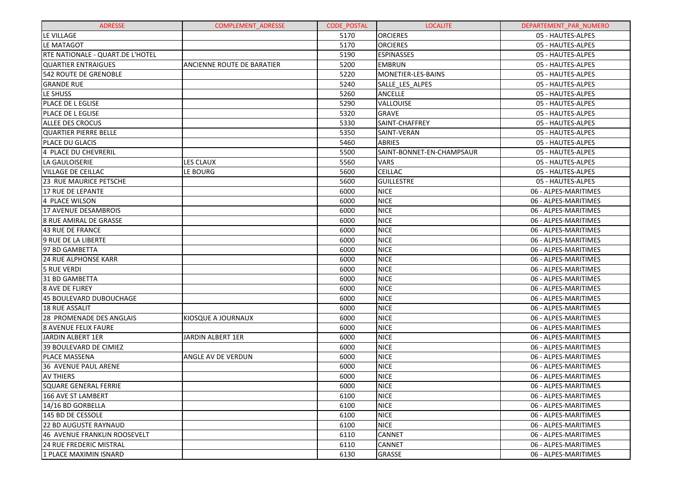| <b>ADRESSE</b>                          | <b>COMPLEMENT ADRESSE</b>         | <b>CODE POSTAL</b> | <b>LOCALITE</b>           | DEPARTEMENT PAR NUMERO |
|-----------------------------------------|-----------------------------------|--------------------|---------------------------|------------------------|
| LE VILLAGE                              |                                   | 5170               | <b>ORCIERES</b>           | 05 - HAUTES-ALPES      |
| LE MATAGOT                              |                                   | 5170               | <b>ORCIERES</b>           | 05 - HAUTES-ALPES      |
| <b>RTE NATIONALE - QUART.DE L'HOTEL</b> |                                   | 5190               | <b>ESPINASSES</b>         | 05 - HAUTES-ALPES      |
| <b>QUARTIER ENTRAIGUES</b>              | <b>ANCIENNE ROUTE DE BARATIER</b> | 5200               | <b>EMBRUN</b>             | 05 - HAUTES-ALPES      |
| <b>542 ROUTE DE GRENOBLE</b>            |                                   | 5220               | MONETIER-LES-BAINS        | 05 - HAUTES-ALPES      |
| <b>GRANDE RUE</b>                       |                                   | 5240               | SALLE LES ALPES           | 05 - HAUTES-ALPES      |
| LE SHUSS                                |                                   | 5260               | <b>ANCELLE</b>            | 05 - HAUTES-ALPES      |
| <b>PLACE DE L EGLISE</b>                |                                   | 5290               | VALLOUISE                 | 05 - HAUTES-ALPES      |
| <b>PLACE DE L EGLISE</b>                |                                   | 5320               | <b>GRAVE</b>              | 05 - HAUTES-ALPES      |
| <b>ALLEE DES CROCUS</b>                 |                                   | 5330               | SAINT-CHAFFREY            | 05 - HAUTES-ALPES      |
| QUARTIER PIERRE BELLE                   |                                   | 5350               | SAINT-VERAN               | 05 - HAUTES-ALPES      |
| <b>PLACE DU GLACIS</b>                  |                                   | 5460               | <b>ABRIES</b>             | 05 - HAUTES-ALPES      |
| 4 PLACE DU CHEVRERIL                    |                                   | 5500               | SAINT-BONNET-EN-CHAMPSAUR | 05 - HAUTES-ALPES      |
| LA GAULOISERIE                          | <b>LES CLAUX</b>                  | 5560               | <b>VARS</b>               | 05 - HAUTES-ALPES      |
| <b>VILLAGE DE CEILLAC</b>               | LE BOURG                          | 5600               | <b>CEILLAC</b>            | 05 - HAUTES-ALPES      |
| <b>23 RUE MAURICE PETSCHE</b>           |                                   | 5600               | <b>GUILLESTRE</b>         | 05 - HAUTES-ALPES      |
| <b>17 RUE DE LEPANTE</b>                |                                   | 6000               | <b>NICE</b>               | 06 - ALPES-MARITIMES   |
| 4 PLACE WILSON                          |                                   | 6000               | <b>NICE</b>               | 06 - ALPES-MARITIMES   |
| 17 AVENUE DESAMBROIS                    |                                   | 6000               | <b>NICE</b>               | 06 - ALPES-MARITIMES   |
| l8 RUE AMIRAL DE GRASSE                 |                                   | 6000               | <b>NICE</b>               | 06 - ALPES-MARITIMES   |
| 43 RUE DE FRANCE                        |                                   | 6000               | <b>NICE</b>               | 06 - ALPES-MARITIMES   |
| 9 RUE DE LA LIBERTE                     |                                   | 6000               | <b>NICE</b>               | 06 - ALPES-MARITIMES   |
| 97 BD GAMBETTA                          |                                   | 6000               | <b>NICE</b>               | 06 - ALPES-MARITIMES   |
| <b>24 RUE ALPHONSE KARR</b>             |                                   | 6000               | <b>NICE</b>               | 06 - ALPES-MARITIMES   |
| <b>5 RUE VERDI</b>                      |                                   | 6000               | <b>NICE</b>               | 06 - ALPES-MARITIMES   |
| 31 BD GAMBETTA                          |                                   | 6000               | <b>NICE</b>               | 06 - ALPES-MARITIMES   |
| <b>8 AVE DE FLIREY</b>                  |                                   | 6000               | <b>NICE</b>               | 06 - ALPES-MARITIMES   |
| 45 BOULEVARD DUBOUCHAGE                 |                                   | 6000               | <b>NICE</b>               | 06 - ALPES-MARITIMES   |
| <b>18 RUE ASSALIT</b>                   |                                   | 6000               | <b>NICE</b>               | 06 - ALPES-MARITIMES   |
| 28 PROMENADE DES ANGLAIS                | KIOSQUE A JOURNAUX                | 6000               | <b>NICE</b>               | 06 - ALPES-MARITIMES   |
| l8 AVENUE FELIX FAURE                   |                                   | 6000               | <b>NICE</b>               | 06 - ALPES-MARITIMES   |
| JARDIN ALBERT 1ER                       | <b>JARDIN ALBERT 1ER</b>          | 6000               | <b>NICE</b>               | 06 - ALPES-MARITIMES   |
| 39 BOULEVARD DE CIMIEZ                  |                                   | 6000               | <b>NICE</b>               | 06 - ALPES-MARITIMES   |
| <b>PLACE MASSENA</b>                    | ANGLE AV DE VERDUN                | 6000               | <b>NICE</b>               | 06 - ALPES-MARITIMES   |
| 36 AVENUE PAUL ARENE                    |                                   | 6000               | <b>NICE</b>               | 06 - ALPES-MARITIMES   |
| <b>AV THIERS</b>                        |                                   | 6000               | <b>NICE</b>               | 06 - ALPES-MARITIMES   |
| SQUARE GENERAL FERRIE                   |                                   | 6000               | <b>NICE</b>               | 06 - ALPES-MARITIMES   |
| 166 AVE ST LAMBERT                      |                                   | 6100               | <b>NICE</b>               | 06 - ALPES-MARITIMES   |
| 14/16 BD GORBELLA                       |                                   | 6100               | <b>NICE</b>               | 06 - ALPES-MARITIMES   |
| 145 BD DE CESSOLE                       |                                   | 6100               | <b>NICE</b>               | 06 - ALPES-MARITIMES   |
| l22 BD AUGUSTE RAYNAUD                  |                                   | 6100               | <b>NICE</b>               | 06 - ALPES-MARITIMES   |
| 146 AVENUE FRANKLIN ROOSEVELT           |                                   | 6110               | <b>CANNET</b>             | 06 - ALPES-MARITIMES   |
| <b>24 RUE FREDERIC MISTRAL</b>          |                                   | 6110               | <b>CANNET</b>             | 06 - ALPES-MARITIMES   |
| 1 PLACE MAXIMIN ISNARD                  |                                   | 6130               | <b>GRASSE</b>             | 06 - ALPES-MARITIMES   |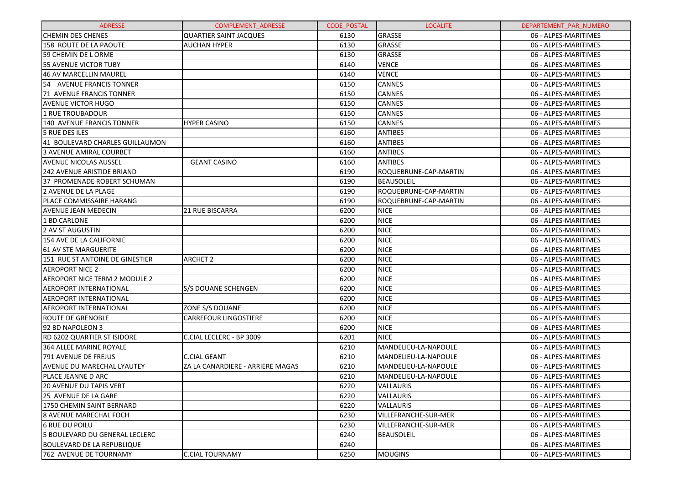| <b>ADRESSE</b>                       | <b>COMPLEMENT ADRESSE</b>        | <b>CODE POSTAL</b> | <b>LOCALITE</b>             | DEPARTEMENT PAR NUMERO |
|--------------------------------------|----------------------------------|--------------------|-----------------------------|------------------------|
| <b>CHEMIN DES CHENES</b>             | <b>QUARTIER SAINT JACQUES</b>    | 6130               | GRASSE                      | 06 - ALPES-MARITIMES   |
| 158 ROUTE DE LA PAOUTE               | <b>AUCHAN HYPER</b>              | 6130               | GRASSE                      | 06 - ALPES-MARITIMES   |
| 59 CHEMIN DE LORME                   |                                  | 6130               | <b>GRASSE</b>               | 06 - ALPES-MARITIMES   |
| 55 AVENUE VICTOR TUBY                |                                  | 6140               | <b>VENCE</b>                | 06 - ALPES-MARITIMES   |
| 46 AV MARCELLIN MAUREL               |                                  | 6140               | <b>VENCE</b>                | 06 - ALPES-MARITIMES   |
| 54 AVENUE FRANCIS TONNER             |                                  | 6150               | <b>CANNES</b>               | 06 - ALPES-MARITIMES   |
| 71 AVENUE FRANCIS TONNER             |                                  | 6150               | <b>CANNES</b>               | 06 - ALPES-MARITIMES   |
| <b>AVENUE VICTOR HUGO</b>            |                                  | 6150               | <b>CANNES</b>               | 06 - ALPES-MARITIMES   |
| 1 RUE TROUBADOUR                     |                                  | 6150               | <b>CANNES</b>               | 06 - ALPES-MARITIMES   |
| 140 AVENUE FRANCIS TONNER            | <b>HYPER CASINO</b>              | 6150               | <b>CANNES</b>               | 06 - ALPES-MARITIMES   |
| 5 RUE DES ILES                       |                                  | 6160               | <b>ANTIBES</b>              | 06 - ALPES-MARITIMES   |
| 41 BOULEVARD CHARLES GUILLAUMON      |                                  | 6160               | <b>ANTIBES</b>              | 06 - ALPES-MARITIMES   |
| 3 AVENUE AMIRAL COURBET              |                                  | 6160               | <b>ANTIBES</b>              | 06 - ALPES-MARITIMES   |
| <b>AVENUE NICOLAS AUSSEL</b>         | <b>GEANT CASINO</b>              | 6160               | <b>ANTIBES</b>              | 06 - ALPES-MARITIMES   |
| <b>242 AVENUE ARISTIDE BRIAND</b>    |                                  | 6190               | ROQUEBRUNE-CAP-MARTIN       | 06 - ALPES-MARITIMES   |
| 37 PROMENADE ROBERT SCHUMAN          |                                  | 6190               | <b>BEAUSOLEIL</b>           | 06 - ALPES-MARITIMES   |
| 2 AVENUE DE LA PLAGE                 |                                  | 6190               | ROQUEBRUNE-CAP-MARTIN       | 06 - ALPES-MARITIMES   |
| PLACE COMMISSAIRE HARANG             |                                  | 6190               | ROQUEBRUNE-CAP-MARTIN       | 06 - ALPES-MARITIMES   |
| <b>AVENUE JEAN MEDECIN</b>           | 21 RUE BISCARRA                  | 6200               | <b>NICE</b>                 | 06 - ALPES-MARITIMES   |
| 1 BD CARLONE                         |                                  | 6200               | <b>NICE</b>                 | 06 - ALPES-MARITIMES   |
| 2 AV ST AUGUSTIN                     |                                  | 6200               | <b>NICE</b>                 | 06 - ALPES-MARITIMES   |
| 154 AVE DE LA CALIFORNIE             |                                  | 6200               | <b>NICE</b>                 | 06 - ALPES-MARITIMES   |
| 61 AV STE MARGUERITE                 |                                  | 6200               | <b>NICE</b>                 | 06 - ALPES-MARITIMES   |
| 151 RUE ST ANTOINE DE GINESTIER      | <b>ARCHET 2</b>                  | 6200               | <b>NICE</b>                 | 06 - ALPES-MARITIMES   |
| <b>AEROPORT NICE 2</b>               |                                  | 6200               | <b>NICE</b>                 | 06 - ALPES-MARITIMES   |
| <b>AEROPORT NICE TERM 2 MODULE 2</b> |                                  | 6200               | <b>NICE</b>                 | 06 - ALPES-MARITIMES   |
| <b>AEROPORT INTERNATIONAL</b>        | <b>S/S DOUANE SCHENGEN</b>       | 6200               | <b>NICE</b>                 | 06 - ALPES-MARITIMES   |
| <b>AEROPORT INTERNATIONAL</b>        |                                  | 6200               | <b>NICE</b>                 | 06 - ALPES-MARITIMES   |
| <b>AEROPORT INTERNATIONAL</b>        | ZONE S/S DOUANE                  | 6200               | <b>NICE</b>                 | 06 - ALPES-MARITIMES   |
| <b>ROUTE DE GRENOBLE</b>             | <b>CARREFOUR LINGOSTIERE</b>     | 6200               | <b>NICE</b>                 | 06 - ALPES-MARITIMES   |
| 92 BD NAPOLEON 3                     |                                  | 6200               | <b>NICE</b>                 | 06 - ALPES-MARITIMES   |
| <b>RD 6202 QUARTIER ST ISIDORE</b>   | C.CIAL LECLERC - BP 3009         | 6201               | <b>NICE</b>                 | 06 - ALPES-MARITIMES   |
| 364 ALLEE MARINE ROYALE              |                                  | 6210               | MANDELIEU-LA-NAPOULE        | 06 - ALPES-MARITIMES   |
| 791 AVENUE DE FREJUS                 | <b>C.CIAL GEANT</b>              | 6210               | MANDELIEU-LA-NAPOULE        | 06 - ALPES-MARITIMES   |
| AVENUE DU MARECHAL LYAUTEY           | ZA LA CANARDIERE - ARRIERE MAGAS | 6210               | MANDELIEU-LA-NAPOULE        | 06 - ALPES-MARITIMES   |
| PLACE JEANNE D ARC                   |                                  | 6210               | MANDELIEU-LA-NAPOULE        | 06 - ALPES-MARITIMES   |
| <b>20 AVENUE DU TAPIS VERT</b>       |                                  | 6220               | VALLAURIS                   | 06 - ALPES-MARITIMES   |
| 25 AVENUE DE LA GARE                 |                                  | 6220               | <b>VALLAURIS</b>            | 06 - ALPES-MARITIMES   |
| 1750 CHEMIN SAINT BERNARD            |                                  | 6220               | <b>VALLAURIS</b>            | 06 - ALPES-MARITIMES   |
| <b>8 AVENUE MARECHAL FOCH</b>        |                                  | 6230               | <b>VILLEFRANCHE-SUR-MER</b> | 06 - ALPES-MARITIMES   |
| <b>6 RUE DU POILU</b>                |                                  | 6230               | VILLEFRANCHE-SUR-MER        | 06 - ALPES-MARITIMES   |
| 5 BOULEVARD DU GENERAL LECLERC       |                                  | 6240               | <b>BEAUSOLEIL</b>           | 06 - ALPES-MARITIMES   |
| <b>BOULEVARD DE LA REPUBLIQUE</b>    |                                  | 6240               |                             | 06 - ALPES-MARITIMES   |
| 762 AVENUE DE TOURNAMY               | <b>C.CIAL TOURNAMY</b>           | 6250               | <b>MOUGINS</b>              | 06 - ALPES-MARITIMES   |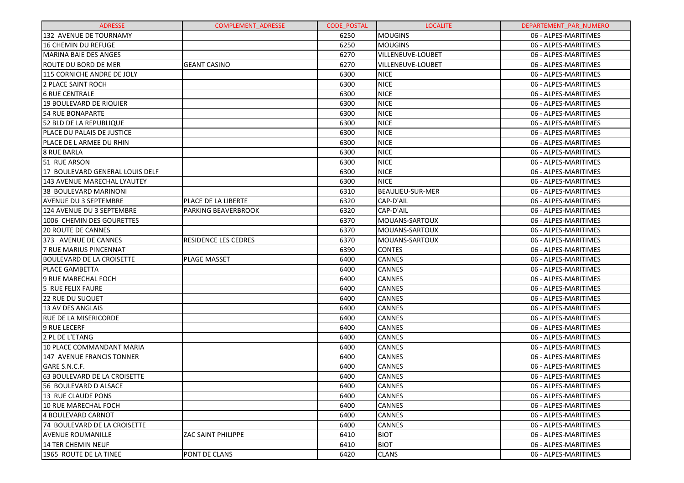| <b>ADRESSE</b>                   | <b>COMPLEMENT ADRESSE</b>   | <b>CODE POSTAL</b> | <b>LOCALITE</b>         | DEPARTEMENT PAR NUMERO |
|----------------------------------|-----------------------------|--------------------|-------------------------|------------------------|
| 132 AVENUE DE TOURNAMY           |                             | 6250               | <b>MOUGINS</b>          | 06 - ALPES-MARITIMES   |
| 16 CHEMIN DU REFUGE              |                             | 6250               | <b>MOUGINS</b>          | 06 - ALPES-MARITIMES   |
| <b>MARINA BAIE DES ANGES</b>     |                             | 6270               | VILLENEUVE-LOUBET       | 06 - ALPES-MARITIMES   |
| ROUTE DU BORD DE MER             | <b>GEANT CASINO</b>         | 6270               | VILLENEUVE-LOUBET       | 06 - ALPES-MARITIMES   |
| 115 CORNICHE ANDRE DE JOLY       |                             | 6300               | <b>NICE</b>             | 06 - ALPES-MARITIMES   |
| 2 PLACE SAINT ROCH               |                             | 6300               | <b>NICE</b>             | 06 - ALPES-MARITIMES   |
| <b>6 RUE CENTRALE</b>            |                             | 6300               | <b>NICE</b>             | 06 - ALPES-MARITIMES   |
| 19 BOULEVARD DE RIQUIER          |                             | 6300               | <b>NICE</b>             | 06 - ALPES-MARITIMES   |
| <b>54 RUE BONAPARTE</b>          |                             | 6300               | <b>NICE</b>             | 06 - ALPES-MARITIMES   |
| 52 BLD DE LA REPUBLIQUE          |                             | 6300               | <b>NICE</b>             | 06 - ALPES-MARITIMES   |
| PLACE DU PALAIS DE JUSTICE       |                             | 6300               | <b>NICE</b>             | 06 - ALPES-MARITIMES   |
| PLACE DE L ARMEE DU RHIN         |                             | 6300               | <b>NICE</b>             | 06 - ALPES-MARITIMES   |
| <b>8 RUE BARLA</b>               |                             | 6300               | <b>NICE</b>             | 06 - ALPES-MARITIMES   |
| 51 RUE ARSON                     |                             | 6300               | <b>NICE</b>             | 06 - ALPES-MARITIMES   |
| 17 BOULEVARD GENERAL LOUIS DELF  |                             | 6300               | <b>NICE</b>             | 06 - ALPES-MARITIMES   |
| 143 AVENUE MARECHAL LYAUTEY      |                             | 6300               | <b>NICE</b>             | 06 - ALPES-MARITIMES   |
| 38 BOULEVARD MARINONI            |                             | 6310               | <b>BEAULIEU-SUR-MER</b> | 06 - ALPES-MARITIMES   |
| <b>AVENUE DU 3 SEPTEMBRE</b>     | PLACE DE LA LIBERTE         | 6320               | CAP-D'AIL               | 06 - ALPES-MARITIMES   |
| 124 AVENUE DU 3 SEPTEMBRE        | PARKING BEAVERBROOK         | 6320               | CAP-D'AIL               | 06 - ALPES-MARITIMES   |
| 1006 CHEMIN DES GOURETTES        |                             | 6370               | MOUANS-SARTOUX          | 06 - ALPES-MARITIMES   |
| <b>20 ROUTE DE CANNES</b>        |                             | 6370               | MOUANS-SARTOUX          | 06 - ALPES-MARITIMES   |
| 373 AVENUE DE CANNES             | <b>RESIDENCE LES CEDRES</b> | 6370               | MOUANS-SARTOUX          | 06 - ALPES-MARITIMES   |
| 7 RUE MARIUS PINCENNAT           |                             | 6390               | <b>CONTES</b>           | 06 - ALPES-MARITIMES   |
| <b>BOULEVARD DE LA CROISETTE</b> | <b>PLAGE MASSET</b>         | 6400               | CANNES                  | 06 - ALPES-MARITIMES   |
| <b>PLACE GAMBETTA</b>            |                             | 6400               | <b>CANNES</b>           | 06 - ALPES-MARITIMES   |
| 9 RUE MARECHAL FOCH              |                             | 6400               | <b>CANNES</b>           | 06 - ALPES-MARITIMES   |
| 5 RUE FELIX FAURE                |                             | 6400               | CANNES                  | 06 - ALPES-MARITIMES   |
| <b>22 RUE DU SUQUET</b>          |                             | 6400               | CANNES                  | 06 - ALPES-MARITIMES   |
| 13 AV DES ANGLAIS                |                             | 6400               | <b>CANNES</b>           | 06 - ALPES-MARITIMES   |
| <b>RUE DE LA MISERICORDE</b>     |                             | 6400               | CANNES                  | 06 - ALPES-MARITIMES   |
| 9 RUE LECERF                     |                             | 6400               | CANNES                  | 06 - ALPES-MARITIMES   |
| 2 PL DE L'ETANG                  |                             | 6400               | <b>CANNES</b>           | 06 - ALPES-MARITIMES   |
| 10 PLACE COMMANDANT MARIA        |                             | 6400               | <b>CANNES</b>           | 06 - ALPES-MARITIMES   |
| 147 AVENUE FRANCIS TONNER        |                             | 6400               | <b>CANNES</b>           | 06 - ALPES-MARITIMES   |
| GARE S.N.C.F.                    |                             | 6400               | <b>CANNES</b>           | 06 - ALPES-MARITIMES   |
| 63 BOULEVARD DE LA CROISETTE     |                             | 6400               | <b>CANNES</b>           | 06 - ALPES-MARITIMES   |
| 56 BOULEVARD D ALSACE            |                             | 6400               | <b>CANNES</b>           | 06 - ALPES-MARITIMES   |
| 13 RUE CLAUDE PONS               |                             | 6400               | <b>CANNES</b>           | 06 - ALPES-MARITIMES   |
| 10 RUE MARECHAL FOCH             |                             | 6400               | <b>CANNES</b>           | 06 - ALPES-MARITIMES   |
| 4 BOULEVARD CARNOT               |                             | 6400               | <b>CANNES</b>           | 06 - ALPES-MARITIMES   |
| 74 BOULEVARD DE LA CROISETTE     |                             | 6400               | <b>CANNES</b>           | 06 - ALPES-MARITIMES   |
| AVENUE ROUMANILLE                | <b>ZAC SAINT PHILIPPE</b>   | 6410               | <b>BIOT</b>             | 06 - ALPES-MARITIMES   |
| 14 TER CHEMIN NEUF               |                             | 6410               | <b>BIOT</b>             | 06 - ALPES-MARITIMES   |
| 1965 ROUTE DE LA TINEE           | <b>PONT DE CLANS</b>        | 6420               | <b>CLANS</b>            | 06 - ALPES-MARITIMES   |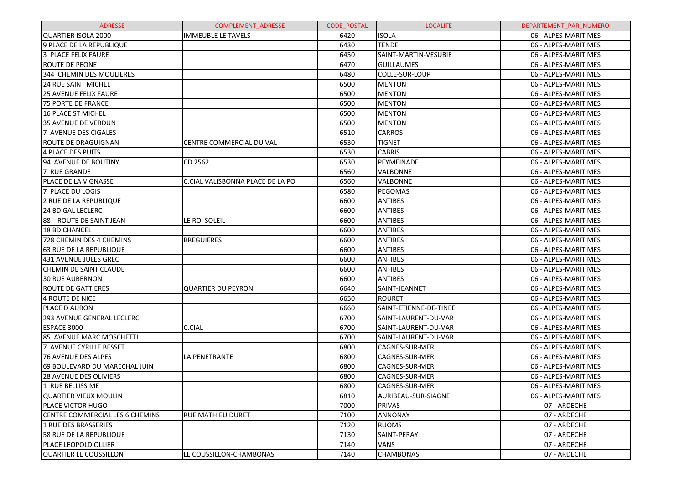| <b>ADRESSE</b>                    | <b>COMPLEMENT ADRESSE</b>        | <b>CODE POSTAL</b> | <b>LOCALITE</b>        | DEPARTEMENT PAR NUMERO |
|-----------------------------------|----------------------------------|--------------------|------------------------|------------------------|
| <b>QUARTIER ISOLA 2000</b>        | <b>IMMEUBLE LE TAVELS</b>        | 6420               | <b>ISOLA</b>           | 06 - ALPES-MARITIMES   |
| 9 PLACE DE LA REPUBLIQUE          |                                  | 6430               | <b>TENDE</b>           | 06 - ALPES-MARITIMES   |
| 3 PLACE FELIX FAURE               |                                  | 6450               | SAINT-MARTIN-VESUBIE   | 06 - ALPES-MARITIMES   |
| <b>ROUTE DE PEONE</b>             |                                  | 6470               | <b>GUILLAUMES</b>      | 06 - ALPES-MARITIMES   |
| 344 CHEMIN DES MOULIERES          |                                  | 6480               | COLLE-SUR-LOUP         | 06 - ALPES-MARITIMES   |
| <b>24 RUE SAINT MICHEL</b>        |                                  | 6500               | <b>MENTON</b>          | 06 - ALPES-MARITIMES   |
| <b>25 AVENUE FELIX FAURE</b>      |                                  | 6500               | <b>MENTON</b>          | 06 - ALPES-MARITIMES   |
| <b>75 PORTE DE FRANCE</b>         |                                  | 6500               | <b>MENTON</b>          | 06 - ALPES-MARITIMES   |
| 16 PLACE ST MICHEL                |                                  | 6500               | <b>MENTON</b>          | 06 - ALPES-MARITIMES   |
| 35 AVENUE DE VERDUN               |                                  | 6500               | <b>MENTON</b>          | 06 - ALPES-MARITIMES   |
| 7 AVENUE DES CIGALES              |                                  | 6510               | <b>CARROS</b>          | 06 - ALPES-MARITIMES   |
| ROUTE DE DRAGUIGNAN               | CENTRE COMMERCIAL DU VAL         | 6530               | <b>TIGNET</b>          | 06 - ALPES-MARITIMES   |
| 4 PLACE DES PUITS                 |                                  | 6530               | <b>CABRIS</b>          | 06 - ALPES-MARITIMES   |
| 94 AVENUE DE BOUTINY              | CD 2562                          | 6530               | PEYMEINADE             | 06 - ALPES-MARITIMES   |
| 7 RUE GRANDE                      |                                  | 6560               | <b>VALBONNE</b>        | 06 - ALPES-MARITIMES   |
| <b>PLACE DE LA VIGNASSE</b>       | C.CIAL VALISBONNA PLACE DE LA PO | 6560               | <b>VALBONNE</b>        | 06 - ALPES-MARITIMES   |
| 7 PLACE DU LOGIS                  |                                  | 6580               | PEGOMAS                | 06 - ALPES-MARITIMES   |
| 2 RUE DE LA REPUBLIQUE            |                                  | 6600               | <b>ANTIBES</b>         | 06 - ALPES-MARITIMES   |
| <b>24 BD GAL LECLERC</b>          |                                  | 6600               | <b>ANTIBES</b>         | 06 - ALPES-MARITIMES   |
| 88 ROUTE DE SAINT JEAN            | LE ROI SOLEIL                    | 6600               | <b>ANTIBES</b>         | 06 - ALPES-MARITIMES   |
| 18 BD CHANCEL                     |                                  | 6600               | <b>ANTIBES</b>         | 06 - ALPES-MARITIMES   |
| 728 CHEMIN DES 4 CHEMINS          | <b>BREGUIERES</b>                | 6600               | <b>ANTIBES</b>         | 06 - ALPES-MARITIMES   |
| 63 RUE DE LA REPUBLIQUE           |                                  | 6600               | <b>ANTIBES</b>         | 06 - ALPES-MARITIMES   |
| 431 AVENUE JULES GREC             |                                  | 6600               | <b>ANTIBES</b>         | 06 - ALPES-MARITIMES   |
| <b>CHEMIN DE SAINT CLAUDE</b>     |                                  | 6600               | <b>ANTIBES</b>         | 06 - ALPES-MARITIMES   |
| <b>30 RUE AUBERNON</b>            |                                  | 6600               | <b>ANTIBES</b>         | 06 - ALPES-MARITIMES   |
| <b>ROUTE DE GATTIERES</b>         | <b>QUARTIER DU PEYRON</b>        | 6640               | SAINT-JEANNET          | 06 - ALPES-MARITIMES   |
| 4 ROUTE DE NICE                   |                                  | 6650               | <b>ROURET</b>          | 06 - ALPES-MARITIMES   |
| PLACE D AURON                     |                                  | 6660               | SAINT-ETIENNE-DE-TINEE | 06 - ALPES-MARITIMES   |
| <b>293 AVENUE GENERAL LECLERC</b> |                                  | 6700               | SAINT-LAURENT-DU-VAR   | 06 - ALPES-MARITIMES   |
| ESPACE 3000                       | C.CIAL                           | 6700               | SAINT-LAURENT-DU-VAR   | 06 - ALPES-MARITIMES   |
| 85 AVENUE MARC MOSCHETTI          |                                  | 6700               | SAINT-LAURENT-DU-VAR   | 06 - ALPES-MARITIMES   |
| 7 AVENUE CYRILLE BESSET           |                                  | 6800               | <b>CAGNES-SUR-MER</b>  | 06 - ALPES-MARITIMES   |
| <b>76 AVENUE DES ALPES</b>        | LA PENETRANTE                    | 6800               | <b>CAGNES-SUR-MER</b>  | 06 - ALPES-MARITIMES   |
| 69 BOULEVARD DU MARECHAL JUIN     |                                  | 6800               | <b>CAGNES-SUR-MER</b>  | 06 - ALPES-MARITIMES   |
| <b>28 AVENUE DES OLIVIERS</b>     |                                  | 6800               | CAGNES-SUR-MER         | 06 - ALPES-MARITIMES   |
| 1 RUE BELLISSIME                  |                                  | 6800               | CAGNES-SUR-MER         | 06 - ALPES-MARITIMES   |
| <b>QUARTIER VIEUX MOULIN</b>      |                                  | 6810               | AURIBEAU-SUR-SIAGNE    | 06 - ALPES-MARITIMES   |
| PLACE VICTOR HUGO                 |                                  | 7000               | <b>PRIVAS</b>          | 07 - ARDECHE           |
| CENTRE COMMERCIAL LES 6 CHEMINS   | <b>RUE MATHIEU DURET</b>         | 7100               | <b>ANNONAY</b>         | 07 - ARDECHE           |
| 1 RUE DES BRASSERIES              |                                  | 7120               | <b>RUOMS</b>           | 07 - ARDECHE           |
| 58 RUE DE LA REPUBLIQUE           |                                  | 7130               | SAINT-PERAY            | 07 - ARDECHE           |
| PLACE LEOPOLD OLLIER              |                                  | 7140               | VANS                   | 07 - ARDECHE           |
| QUARTIER LE COUSSILLON            | LE COUSSILLON-CHAMBONAS          | 7140               | <b>CHAMBONAS</b>       | 07 - ARDECHE           |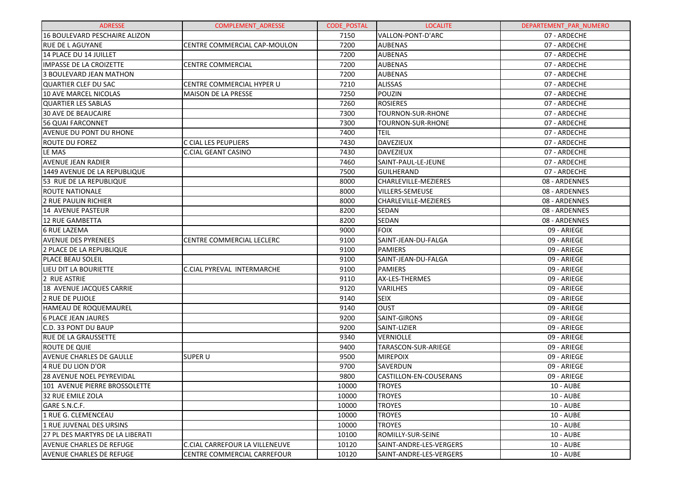| <b>ADRESSE</b>                   | <b>COMPLEMENT ADRESSE</b>      | <b>CODE POSTAL</b> | <b>LOCALITE</b>         | DEPARTEMENT_PAR_NUMERO |
|----------------------------------|--------------------------------|--------------------|-------------------------|------------------------|
| 16 BOULEVARD PESCHAIRE ALIZON    |                                | 7150               | VALLON-PONT-D'ARC       | 07 - ARDECHE           |
| <b>RUE DE LAGUYANE</b>           | CENTRE COMMERCIAL CAP-MOULON   | 7200               | <b>AUBENAS</b>          | 07 - ARDECHE           |
| 14 PLACE DU 14 JUILLET           |                                | 7200               | <b>AUBENAS</b>          | 07 - ARDECHE           |
| IMPASSE DE LA CROIZETTE          | <b>CENTRE COMMERCIAL</b>       | 7200               | <b>AUBENAS</b>          | 07 - ARDECHE           |
| 3 BOULEVARD JEAN MATHON          |                                | 7200               | <b>AUBENAS</b>          | 07 - ARDECHE           |
| QUARTIER CLEF DU SAC             | CENTRE COMMERCIAL HYPER U      | 7210               | <b>ALISSAS</b>          | 07 - ARDECHE           |
| 10 AVE MARCEL NICOLAS            | <b>MAISON DE LA PRESSE</b>     | 7250               | POUZIN                  | 07 - ARDECHE           |
| <b>QUARTIER LES SABLAS</b>       |                                | 7260               | <b>ROSIERES</b>         | 07 - ARDECHE           |
| <b>30 AVE DE BEAUCAIRE</b>       |                                | 7300               | TOURNON-SUR-RHONE       | 07 - ARDECHE           |
| 56 QUAI FARCONNET                |                                | 7300               | TOURNON-SUR-RHONE       | 07 - ARDECHE           |
| <b>AVENUE DU PONT DU RHONE</b>   |                                | 7400               | TEIL                    | 07 - ARDECHE           |
| <b>ROUTE DU FOREZ</b>            | C CIAL LES PEUPLIERS           | 7430               | <b>DAVEZIEUX</b>        | 07 - ARDECHE           |
| LE MAS                           | C.CIAL GEANT CASINO            | 7430               | <b>DAVEZIEUX</b>        | 07 - ARDECHE           |
| <b>AVENUE JEAN RADIER</b>        |                                | 7460               | SAINT-PAUL-LE-JEUNE     | 07 - ARDECHE           |
| 1449 AVENUE DE LA REPUBLIQUE     |                                | 7500               | <b>GUILHERAND</b>       | 07 - ARDECHE           |
| 53 RUE DE LA REPUBLIQUE          |                                | 8000               | CHARLEVILLE-MEZIERES    | 08 - ARDENNES          |
| ROUTE NATIONALE                  |                                | 8000               | VILLERS-SEMEUSE         | 08 - ARDENNES          |
| <b>2 RUE PAULIN RICHIER</b>      |                                | 8000               | CHARLEVILLE-MEZIERES    | 08 - ARDENNES          |
| 14 AVENUE PASTEUR                |                                | 8200               | SEDAN                   | 08 - ARDENNES          |
| 12 RUE GAMBETTA                  |                                | 8200               | SEDAN                   | 08 - ARDENNES          |
| <b>6 RUE LAZEMA</b>              |                                | 9000               | <b>FOIX</b>             | 09 - ARIEGE            |
| <b>AVENUE DES PYRENEES</b>       | CENTRE COMMERCIAL LECLERC      | 9100               | SAINT-JEAN-DU-FALGA     | 09 - ARIEGE            |
| 2 PLACE DE LA REPUBLIQUE         |                                | 9100               | <b>PAMIERS</b>          | 09 - ARIEGE            |
| <b>PLACE BEAU SOLEIL</b>         |                                | 9100               | SAINT-JEAN-DU-FALGA     | 09 - ARIEGE            |
| LIEU DIT LA BOURIETTE            | C.CIAL PYREVAL INTERMARCHE     | 9100               | <b>PAMIERS</b>          | 09 - ARIEGE            |
| 2 RUE ASTRIE                     |                                | 9110               | AX-LES-THERMES          | 09 - ARIEGE            |
| 18 AVENUE JACQUES CARRIE         |                                | 9120               | VARILHES                | 09 - ARIEGE            |
| <b>2 RUE DE PUJOLE</b>           |                                | 9140               | <b>SEIX</b>             | 09 - ARIEGE            |
| HAMEAU DE ROQUEMAUREL            |                                | 9140               | <b>OUST</b>             | 09 - ARIEGE            |
| <b>6 PLACE JEAN JAURES</b>       |                                | 9200               | <b>SAINT-GIRONS</b>     | 09 - ARIEGE            |
| C.D. 33 PONT DU BAUP             |                                | 9200               | SAINT-LIZIER            | 09 - ARIEGE            |
| <b>RUE DE LA GRAUSSETTE</b>      |                                | 9340               | VERNIOLLE               | 09 - ARIEGE            |
| <b>ROUTE DE QUIE</b>             |                                | 9400               | TARASCON-SUR-ARIEGE     | 09 - ARIEGE            |
| <b>AVENUE CHARLES DE GAULLE</b>  | <b>SUPER U</b>                 | 9500               | <b>MIREPOIX</b>         | 09 - ARIEGE            |
| 4 RUE DU LION D'OR               |                                | 9700               | SAVERDUN                | 09 - ARIEGE            |
| <b>28 AVENUE NOEL PEYREVIDAL</b> |                                | 9800               | CASTILLON-EN-COUSERANS  | 09 - ARIEGE            |
| 101 AVENUE PIERRE BROSSOLETTE    |                                | 10000              | <b>TROYES</b>           | <b>10 - AUBE</b>       |
| 32 RUE EMILE ZOLA                |                                | 10000              | <b>TROYES</b>           | <b>10 - AUBE</b>       |
| GARE S.N.C.F.                    |                                | 10000              | <b>TROYES</b>           | <b>10 - AUBE</b>       |
| 1 RUE G. CLEMENCEAU              |                                | 10000              | <b>TROYES</b>           | <b>10 - AUBE</b>       |
| l1 RUE JUVENAL DES URSINS        |                                | 10000              | <b>TROYES</b>           | <b>10 - AUBE</b>       |
| 27 PL DES MARTYRS DE LA LIBERATI |                                | 10100              | ROMILLY-SUR-SEINE       | <b>10 - AUBE</b>       |
| lAVENUE CHARLES DE REFUGE        | C.CIAL CARREFOUR LA VILLENEUVE | 10120              | SAINT-ANDRE-LES-VERGERS | <b>10 - AUBE</b>       |
| <b>AVENUE CHARLES DE REFUGE</b>  | CENTRE COMMERCIAL CARREFOUR    | 10120              | SAINT-ANDRE-LES-VERGERS | <b>10 - AUBE</b>       |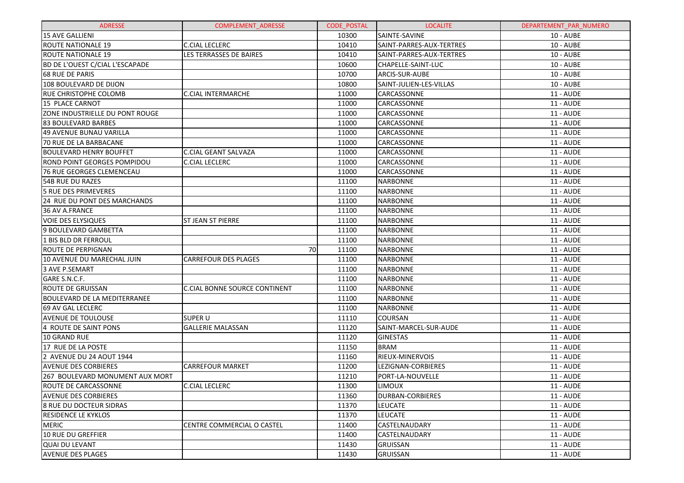| <b>ADRESSE</b>                         | <b>COMPLEMENT ADRESSE</b>     | <b>CODE POSTAL</b> | <b>LOCALITE</b>          | DEPARTEMENT PAR NUMERO |
|----------------------------------------|-------------------------------|--------------------|--------------------------|------------------------|
| 15 AVE GALLIENI                        |                               | 10300              | SAINTE-SAVINE            | <b>10 - AUBE</b>       |
| <b>ROUTE NATIONALE 19</b>              | <b>C.CIAL LECLERC</b>         | 10410              | SAINT-PARRES-AUX-TERTRES | 10 - AUBE              |
| <b>ROUTE NATIONALE 19</b>              | LES TERRASSES DE BAIRES       | 10410              | SAINT-PARRES-AUX-TERTRES | 10 - AUBE              |
| <b>BD DE L'OUEST C/CIAL L'ESCAPADE</b> |                               | 10600              | CHAPELLE-SAINT-LUC       | <b>10 - AUBE</b>       |
| <b>68 RUE DE PARIS</b>                 |                               | 10700              | ARCIS-SUR-AUBE           | 10 - AUBE              |
| 108 BOULEVARD DE DIJON                 |                               | 10800              | SAINT-JULIEN-LES-VILLAS  | 10 - AUBE              |
| <b>RUE CHRISTOPHE COLOMB</b>           | <b>C.CIAL INTERMARCHE</b>     | 11000              | CARCASSONNE              | <b>11 - AUDE</b>       |
| 15 PLACE CARNOT                        |                               | 11000              | CARCASSONNE              | <b>11 - AUDE</b>       |
| ZONE INDUSTRIELLE DU PONT ROUGE        |                               | 11000              | CARCASSONNE              | <b>11 - AUDE</b>       |
| 83 BOULEVARD BARBES                    |                               | 11000              | CARCASSONNE              | <b>11 - AUDE</b>       |
| 49 AVENUE BUNAU VARILLA                |                               | 11000              | CARCASSONNE              | <b>11 - AUDE</b>       |
| 70 RUE DE LA BARBACANE                 |                               | 11000              | CARCASSONNE              | <b>11 - AUDE</b>       |
| <b>BOULEVARD HENRY BOUFFET</b>         | <b>C.CIAL GEANT SALVAZA</b>   | 11000              | CARCASSONNE              | <b>11 - AUDE</b>       |
| ROND POINT GEORGES POMPIDOU            | <b>C.CIAL LECLERC</b>         | 11000              | CARCASSONNE              | <b>11 - AUDE</b>       |
| 76 RUE GEORGES CLEMENCEAU              |                               | 11000              | CARCASSONNE              | <b>11 - AUDE</b>       |
| 54B RUE DU RAZES                       |                               | 11100              | <b>NARBONNE</b>          | <b>11 - AUDE</b>       |
| <b>5 RUE DES PRIMEVERES</b>            |                               | 11100              | <b>NARBONNE</b>          | <b>11 - AUDE</b>       |
| 24 RUE DU PONT DES MARCHANDS           |                               | 11100              | <b>NARBONNE</b>          | <b>11 - AUDE</b>       |
| 36 AV A.FRANCE                         |                               | 11100              | <b>NARBONNE</b>          | 11 - AUDE              |
| <b>VOIE DES ELYSIQUES</b>              | <b>ST JEAN ST PIERRE</b>      | 11100              | <b>NARBONNE</b>          | <b>11 - AUDE</b>       |
| 9 BOULEVARD GAMBETTA                   |                               | 11100              | <b>NARBONNE</b>          | <b>11 - AUDE</b>       |
| 1 BIS BLD DR FERROUL                   |                               | 11100              | <b>NARBONNE</b>          | <b>11 - AUDE</b>       |
| <b>ROUTE DE PERPIGNAN</b>              | 70                            | 11100              | <b>NARBONNE</b>          | <b>11 - AUDE</b>       |
| 10 AVENUE DU MARECHAL JUIN             | <b>CARREFOUR DES PLAGES</b>   | 11100              | <b>NARBONNE</b>          | <b>11 - AUDE</b>       |
| 3 AVE P.SEMART                         |                               | 11100              | <b>NARBONNE</b>          | <b>11 - AUDE</b>       |
| GARE S.N.C.F.                          |                               | 11100              | <b>NARBONNE</b>          | <b>11 - AUDE</b>       |
| <b>ROUTE DE GRUISSAN</b>               | C.CIAL BONNE SOURCE CONTINENT | 11100              | <b>NARBONNE</b>          | <b>11 - AUDE</b>       |
| <b>BOULEVARD DE LA MEDITERRANEE</b>    |                               | 11100              | <b>NARBONNE</b>          | <b>11 - AUDE</b>       |
| 69 AV GAL LECLERC                      |                               | 11100              | <b>NARBONNE</b>          | <b>11 - AUDE</b>       |
| <b>AVENUE DE TOULOUSE</b>              | <b>SUPER U</b>                | 11110              | <b>COURSAN</b>           | <b>11 - AUDE</b>       |
| 4 ROUTE DE SAINT PONS                  | <b>GALLERIE MALASSAN</b>      | 11120              | SAINT-MARCEL-SUR-AUDE    | <b>11 - AUDE</b>       |
| 10 GRAND RUE                           |                               | 11120              | <b>GINESTAS</b>          | <b>11 - AUDE</b>       |
| 17 RUE DE LA POSTE                     |                               | 11150              | <b>BRAM</b>              | 11 - AUDE              |
| 2 AVENUE DU 24 AOUT 1944               |                               | 11160              | RIEUX-MINERVOIS          | 11 - AUDE              |
| <b>AVENUE DES CORBIERES</b>            | <b>CARREFOUR MARKET</b>       | 11200              | LEZIGNAN-CORBIERES       | <b>11 - AUDE</b>       |
| 267 BOULEVARD MONUMENT AUX MORT        |                               | 11210              | PORT-LA-NOUVELLE         | <b>11 - AUDE</b>       |
| ROUTE DE CARCASSONNE                   | <b>C.CIAL LECLERC</b>         | 11300              | LIMOUX                   | <b>11 - AUDE</b>       |
| <b>AVENUE DES CORBIERES</b>            |                               | 11360              | DURBAN-CORBIERES         | <b>11 - AUDE</b>       |
| <b>8 RUE DU DOCTEUR SIDRAS</b>         |                               | 11370              | LEUCATE                  | <b>11 - AUDE</b>       |
| <b>RESIDENCE LE KYKLOS</b>             |                               | 11370              | LEUCATE                  | 11 - AUDE              |
| <b>MERIC</b>                           | CENTRE COMMERCIAL O CASTEL    | 11400              | CASTELNAUDARY            | 11 - AUDE              |
| 10 RUE DU GREFFIER                     |                               | 11400              | CASTELNAUDARY            | <b>11 - AUDE</b>       |
| <b>QUAI DU LEVANT</b>                  |                               | 11430              | <b>GRUISSAN</b>          | 11 - AUDE              |
| <b>AVENUE DES PLAGES</b>               |                               | 11430              | <b>GRUISSAN</b>          | 11 - AUDE              |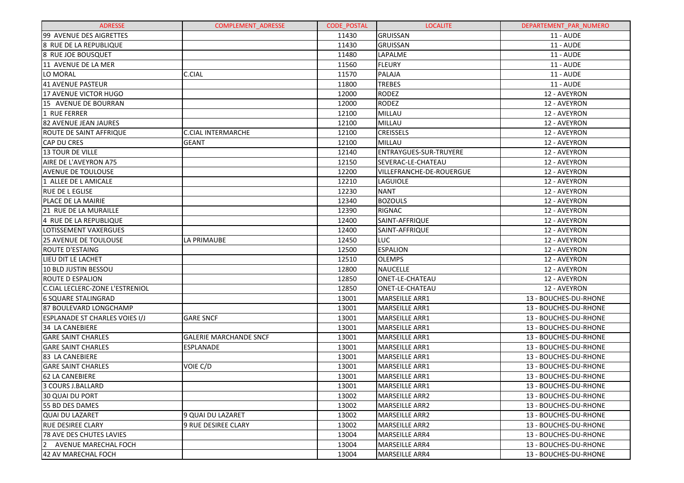| <b>ADRESSE</b>                        | <b>COMPLEMENT ADRESSE</b>     | <b>CODE POSTAL</b> | <b>LOCALITE</b>          | DEPARTEMENT PAR NUMERO |
|---------------------------------------|-------------------------------|--------------------|--------------------------|------------------------|
| 99 AVENUE DES AIGRETTES               |                               | 11430              | GRUISSAN                 | <b>11 - AUDE</b>       |
| 8 RUE DE LA REPUBLIQUE                |                               | 11430              | <b>GRUISSAN</b>          | 11 - AUDE              |
| 8 RUE JOE BOUSQUET                    |                               | 11480              | LAPALME                  | 11 - AUDE              |
| 11 AVENUE DE LA MER                   |                               | 11560              | FLEURY                   | <b>11 - AUDE</b>       |
| LO MORAL                              | C.CIAL                        | 11570              | PALAJA                   | 11 - AUDE              |
| 41 AVENUE PASTEUR                     |                               | 11800              | <b>TREBES</b>            | 11 - AUDE              |
| 17 AVENUE VICTOR HUGO                 |                               | 12000              | <b>RODEZ</b>             | 12 - AVEYRON           |
| 15 AVENUE DE BOURRAN                  |                               | 12000              | <b>RODEZ</b>             | 12 - AVEYRON           |
| 1 RUE FERRER                          |                               | 12100              | MILLAU                   | 12 - AVEYRON           |
| 82 AVENUE JEAN JAURES                 |                               | 12100              | MILLAU                   | 12 - AVEYRON           |
| <b>ROUTE DE SAINT AFFRIQUE</b>        | <b>C.CIAL INTERMARCHE</b>     | 12100              | <b>CREISSELS</b>         | 12 - AVEYRON           |
| <b>CAP DU CRES</b>                    | <b>GEANT</b>                  | 12100              | MILLAU                   | 12 - AVEYRON           |
| <b>13 TOUR DE VILLE</b>               |                               | 12140              | ENTRAYGUES-SUR-TRUYERE   | 12 - AVEYRON           |
| AIRE DE L'AVEYRON A75                 |                               | 12150              | SEVERAC-LE-CHATEAU       | 12 - AVEYRON           |
| <b>AVENUE DE TOULOUSE</b>             |                               | 12200              | VILLEFRANCHE-DE-ROUERGUE | 12 - AVEYRON           |
| 1 ALLEE DE L AMICALE                  |                               | 12210              | <b>LAGUIOLE</b>          | 12 - AVEYRON           |
| <b>RUE DE LEGLISE</b>                 |                               | 12230              | <b>NANT</b>              | 12 - AVEYRON           |
| PLACE DE LA MAIRIE                    |                               | 12340              | <b>BOZOULS</b>           | 12 - AVEYRON           |
| 21 RUE DE LA MURAILLE                 |                               | 12390              | <b>RIGNAC</b>            | 12 - AVEYRON           |
| 4 RUE DE LA REPUBLIQUE                |                               | 12400              | SAINT-AFFRIQUE           | 12 - AVEYRON           |
| LOTISSEMENT VAXERGUES                 |                               | 12400              | SAINT-AFFRIQUE           | 12 - AVEYRON           |
| <b>25 AVENUE DE TOULOUSE</b>          | LA PRIMAUBE                   | 12450              | LUC.                     | 12 - AVEYRON           |
| <b>ROUTE D'ESTAING</b>                |                               | 12500              | <b>ESPALION</b>          | 12 - AVEYRON           |
| LIEU DIT LE LACHET                    |                               | 12510              | <b>OLEMPS</b>            | 12 - AVEYRON           |
| 10 BLD JUSTIN BESSOU                  |                               | 12800              | <b>NAUCELLE</b>          | 12 - AVEYRON           |
| <b>ROUTE D ESPALION</b>               |                               | 12850              | ONET-LE-CHATEAU          | 12 - AVEYRON           |
| C.CIAL LECLERC-ZONE L'ESTRENIOL       |                               | 12850              | <b>ONET-LE-CHATEAU</b>   | 12 - AVEYRON           |
| 6 SQUARE STALINGRAD                   |                               | 13001              | MARSEILLE ARR1           | 13 - BOUCHES-DU-RHONE  |
| 87 BOULEVARD LONGCHAMP                |                               | 13001              | MARSEILLE ARR1           | 13 - BOUCHES-DU-RHONE  |
| <b>ESPLANADE ST CHARLES VOIES I/J</b> | <b>GARE SNCF</b>              | 13001              | MARSEILLE ARR1           | 13 - BOUCHES-DU-RHONE  |
| 34 LA CANEBIERE                       |                               | 13001              | MARSEILLE ARR1           | 13 - BOUCHES-DU-RHONE  |
| <b>GARE SAINT CHARLES</b>             | <b>GALERIE MARCHANDE SNCF</b> | 13001              | MARSEILLE ARR1           | 13 - BOUCHES-DU-RHONE  |
| <b>GARE SAINT CHARLES</b>             | <b>ESPLANADE</b>              | 13001              | MARSEILLE ARR1           | 13 - BOUCHES-DU-RHONE  |
| 83 LA CANEBIERE                       |                               | 13001              | <b>MARSEILLE ARR1</b>    | 13 - BOUCHES-DU-RHONE  |
| <b>GARE SAINT CHARLES</b>             | VOIE C/D                      | 13001              | MARSEILLE ARR1           | 13 - BOUCHES-DU-RHONE  |
| <b>62 LA CANEBIERE</b>                |                               | 13001              | MARSEILLE ARR1           | 13 - BOUCHES-DU-RHONE  |
| 3 COURS J.BALLARD                     |                               | 13001              | MARSEILLE ARR1           | 13 - BOUCHES-DU-RHONE  |
| 30 QUAI DU PORT                       |                               | 13002              | <b>MARSEILLE ARR2</b>    | 13 - BOUCHES-DU-RHONE  |
| 55 BD DES DAMES                       |                               | 13002              | <b>MARSEILLE ARR2</b>    | 13 - BOUCHES-DU-RHONE  |
| <b>QUAI DU LAZARET</b>                | 9 QUAI DU LAZARET             | 13002              | <b>MARSEILLE ARR2</b>    | 13 - BOUCHES-DU-RHONE  |
| <b>RUE DESIREE CLARY</b>              | <b>9 RUE DESIREE CLARY</b>    | 13002              | <b>MARSEILLE ARR2</b>    | 13 - BOUCHES-DU-RHONE  |
| 78 AVE DES CHUTES LAVIES              |                               | 13004              | <b>MARSEILLE ARR4</b>    | 13 - BOUCHES-DU-RHONE  |
| AVENUE MARECHAL FOCH<br>2             |                               | 13004              | <b>MARSEILLE ARR4</b>    | 13 - BOUCHES-DU-RHONE  |
| 42 AV MARECHAL FOCH                   |                               | 13004              | <b>MARSEILLE ARR4</b>    | 13 - BOUCHES-DU-RHONE  |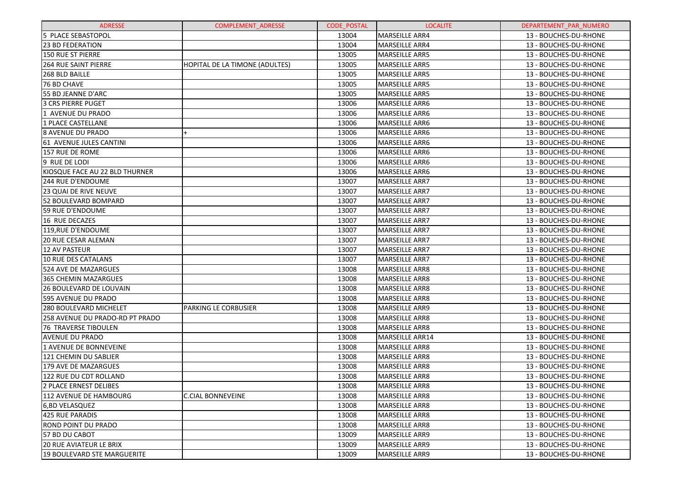| <b>ADRESSE</b>                  | <b>COMPLEMENT ADRESSE</b>      | CODE_POSTAL | <b>LOCALITE</b>        | DEPARTEMENT PAR NUMERO |
|---------------------------------|--------------------------------|-------------|------------------------|------------------------|
| 5 PLACE SEBASTOPOL              |                                | 13004       | MARSEILLE ARR4         | 13 - BOUCHES-DU-RHONE  |
| <b>23 BD FEDERATION</b>         |                                | 13004       | MARSEILLE ARR4         | 13 - BOUCHES-DU-RHONE  |
| <b>150 RUE ST PIERRE</b>        |                                | 13005       | MARSEILLE ARR5         | 13 - BOUCHES-DU-RHONE  |
| <b>264 RUE SAINT PIERRE</b>     | HOPITAL DE LA TIMONE (ADULTES) | 13005       | MARSEILLE ARR5         | 13 - BOUCHES-DU-RHONE  |
| 268 BLD BAILLE                  |                                | 13005       | MARSEILLE ARR5         | 13 - BOUCHES-DU-RHONE  |
| 76 BD CHAVE                     |                                | 13005       | MARSEILLE ARR5         | 13 - BOUCHES-DU-RHONE  |
| 55 BD JEANNE D'ARC              |                                | 13005       | MARSEILLE ARR5         | 13 - BOUCHES-DU-RHONE  |
| <b>3 CRS PIERRE PUGET</b>       |                                | 13006       | MARSEILLE ARR6         | 13 - BOUCHES-DU-RHONE  |
| 1 AVENUE DU PRADO               |                                | 13006       | MARSEILLE ARR6         | 13 - BOUCHES-DU-RHONE  |
| 1 PLACE CASTELLANE              |                                | 13006       | MARSEILLE ARR6         | 13 - BOUCHES-DU-RHONE  |
| 8 AVENUE DU PRADO               | $\ddot{}$                      | 13006       | MARSEILLE ARR6         | 13 - BOUCHES-DU-RHONE  |
| 61 AVENUE JULES CANTINI         |                                | 13006       | MARSEILLE ARR6         | 13 - BOUCHES-DU-RHONE  |
| 157 RUE DE ROME                 |                                | 13006       | MARSEILLE ARR6         | 13 - BOUCHES-DU-RHONE  |
| 9 RUE DE LODI                   |                                | 13006       | MARSEILLE ARR6         | 13 - BOUCHES-DU-RHONE  |
| KIOSQUE FACE AU 22 BLD THURNER  |                                | 13006       | MARSEILLE ARR6         | 13 - BOUCHES-DU-RHONE  |
| 244 RUE D'ENDOUME               |                                | 13007       | MARSEILLE ARR7         | 13 - BOUCHES-DU-RHONE  |
| <b>23 QUAI DE RIVE NEUVE</b>    |                                | 13007       | <b>MARSEILLE ARR7</b>  | 13 - BOUCHES-DU-RHONE  |
| 52 BOULEVARD BOMPARD            |                                | 13007       | MARSEILLE ARR7         | 13 - BOUCHES-DU-RHONE  |
| 59 RUE D'ENDOUME                |                                | 13007       | MARSEILLE ARR7         | 13 - BOUCHES-DU-RHONE  |
| 16 RUE DECAZES                  |                                | 13007       | <b>MARSEILLE ARR7</b>  | 13 - BOUCHES-DU-RHONE  |
| 119.RUE D'ENDOUME               |                                | 13007       | MARSEILLE ARR7         | 13 - BOUCHES-DU-RHONE  |
| 20 RUE CESAR ALEMAN             |                                | 13007       | MARSEILLE ARR7         | 13 - BOUCHES-DU-RHONE  |
| <b>12 AV PASTEUR</b>            |                                | 13007       | <b>MARSEILLE ARR7</b>  | 13 - BOUCHES-DU-RHONE  |
| <b>10 RUE DES CATALANS</b>      |                                | 13007       | <b>MARSEILLE ARR7</b>  | 13 - BOUCHES-DU-RHONE  |
| 524 AVE DE MAZARGUES            |                                | 13008       | <b>MARSEILLE ARR8</b>  | 13 - BOUCHES-DU-RHONE  |
| 365 CHEMIN MAZARGUES            |                                | 13008       | <b>MARSEILLE ARR8</b>  | 13 - BOUCHES-DU-RHONE  |
| 26 BOULEVARD DE LOUVAIN         |                                | 13008       | <b>MARSEILLE ARR8</b>  | 13 - BOUCHES-DU-RHONE  |
| 595 AVENUE DU PRADO             |                                | 13008       | <b>MARSEILLE ARR8</b>  | 13 - BOUCHES-DU-RHONE  |
| <b>280 BOULEVARD MICHELET</b>   | <b>PARKING LE CORBUSIER</b>    | 13008       | <b>MARSEILLE ARR9</b>  | 13 - BOUCHES-DU-RHONE  |
| 258 AVENUE DU PRADO-RD PT PRADO |                                | 13008       | <b>MARSEILLE ARR8</b>  | 13 - BOUCHES-DU-RHONE  |
| <b>76 TRAVERSE TIBOULEN</b>     |                                | 13008       | MARSEILLE ARR8         | 13 - BOUCHES-DU-RHONE  |
| AVENUE DU PRADO                 |                                | 13008       | MARSEILLE ARR14        | 13 - BOUCHES-DU-RHONE  |
| <b>1 AVENUE DE BONNEVEINE</b>   |                                | 13008       | <b>MARSEILLE ARR8</b>  | 13 - BOUCHES-DU-RHONE  |
| 121 CHEMIN DU SABLIER           |                                | 13008       | MARSEILLE ARR8         | 13 - BOUCHES-DU-RHONE  |
| 179 AVE DE MAZARGUES            |                                | 13008       | MARSEILLE ARR8         | 13 - BOUCHES-DU-RHONE  |
| 122 RUE DU CDT ROLLAND          |                                | 13008       | MARSEILLE ARR8         | 13 - BOUCHES-DU-RHONE  |
| 2 PLACE ERNEST DELIBES          |                                | 13008       | MARSEILLE ARR8         | 13 - BOUCHES-DU-RHONE  |
| 112 AVENUE DE HAMBOURG          | <b>C.CIAL BONNEVEINE</b>       | 13008       | MARSEILLE ARR8         | 13 - BOUCHES-DU-RHONE  |
| 6,BD VELASQUEZ                  |                                | 13008       | MARSEILLE ARR8         | 13 - BOUCHES-DU-RHONE  |
| 425 RUE PARADIS                 |                                | 13008       | <b>MARSEILLE ARR8</b>  | 13 - BOUCHES-DU-RHONE  |
| ROND POINT DU PRADO             |                                | 13008       | <b>IMARSEILLE ARR8</b> | 13 - BOUCHES-DU-RHONE  |
| 57 BD DU CABOT                  |                                | 13009       | <b>IMARSEILLE ARR9</b> | 13 - BOUCHES-DU-RHONE  |
| <b>20 RUE AVIATEUR LE BRIX</b>  |                                | 13009       | <b>MARSEILLE ARR9</b>  | 13 - BOUCHES-DU-RHONE  |
| 19 BOULEVARD STE MARGUERITE     |                                | 13009       | <b>MARSEILLE ARR9</b>  | 13 - BOUCHES-DU-RHONE  |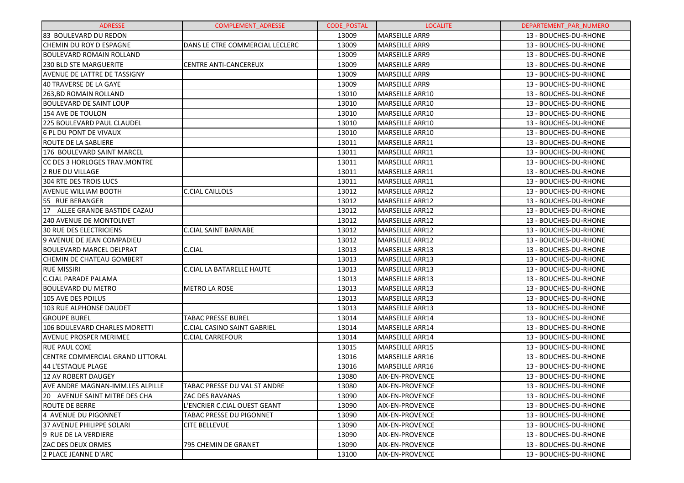| <b>ADRESSE</b>                    | <b>COMPLEMENT ADRESSE</b>          | <b>CODE POSTAL</b> | <b>LOCALITE</b>        | DEPARTEMENT PAR NUMERO |
|-----------------------------------|------------------------------------|--------------------|------------------------|------------------------|
| 83 BOULEVARD DU REDON             |                                    | 13009              | <b>MARSEILLE ARR9</b>  | 13 - BOUCHES-DU-RHONE  |
| CHEMIN DU ROY D ESPAGNE           | DANS LE CTRE COMMERCIAL LECLERC    | 13009              | <b>MARSEILLE ARR9</b>  | 13 - BOUCHES-DU-RHONE  |
| <b>BOULEVARD ROMAIN ROLLAND</b>   |                                    | 13009              | <b>MARSEILLE ARR9</b>  | 13 - BOUCHES-DU-RHONE  |
| <b>230 BLD STE MARGUERITE</b>     | <b>CENTRE ANTI-CANCEREUX</b>       | 13009              | <b>MARSEILLE ARR9</b>  | 13 - BOUCHES-DU-RHONE  |
| AVENUE DE LATTRE DE TASSIGNY      |                                    | 13009              | <b>MARSEILLE ARR9</b>  | 13 - BOUCHES-DU-RHONE  |
| <b>40 TRAVERSE DE LA GAYE</b>     |                                    | 13009              | <b>MARSEILLE ARR9</b>  | 13 - BOUCHES-DU-RHONE  |
| 263, BD ROMAIN ROLLAND            |                                    | 13010              | <b>MARSEILLE ARR10</b> | 13 - BOUCHES-DU-RHONE  |
| <b>BOULEVARD DE SAINT LOUP</b>    |                                    | 13010              | MARSEILLE ARR10        | 13 - BOUCHES-DU-RHONE  |
| <b>154 AVE DE TOULON</b>          |                                    | 13010              | MARSEILLE ARR10        | 13 - BOUCHES-DU-RHONE  |
| <b>225 BOULEVARD PAUL CLAUDEL</b> |                                    | 13010              | <b>MARSEILLE ARR10</b> | 13 - BOUCHES-DU-RHONE  |
| 6 PL DU PONT DE VIVAUX            |                                    | 13010              | MARSEILLE ARR10        | 13 - BOUCHES-DU-RHONE  |
| ROUTE DE LA SABLIERE              |                                    | 13011              | MARSEILLE ARR11        | 13 - BOUCHES-DU-RHONE  |
| 176 BOULEVARD SAINT MARCEL        |                                    | 13011              | MARSEILLE ARR11        | 13 - BOUCHES-DU-RHONE  |
| CC DES 3 HORLOGES TRAV. MONTRE    |                                    | 13011              | MARSEILLE ARR11        | 13 - BOUCHES-DU-RHONE  |
| 2 RUE DU VILLAGE                  |                                    | 13011              | MARSEILLE ARR11        | 13 - BOUCHES-DU-RHONE  |
| <b>304 RTE DES TROIS LUCS</b>     |                                    | 13011              | <b>MARSEILLE ARR11</b> | 13 - BOUCHES-DU-RHONE  |
| <b>AVENUE WILLIAM BOOTH</b>       | C.CIAL CAILLOLS                    | 13012              | <b>MARSEILLE ARR12</b> | 13 - BOUCHES-DU-RHONE  |
| 55 RUE BERANGER                   |                                    | 13012              | <b>MARSEILLE ARR12</b> | 13 - BOUCHES-DU-RHONE  |
| 17 ALLEE GRANDE BASTIDE CAZAU     |                                    | 13012              | <b>MARSEILLE ARR12</b> | 13 - BOUCHES-DU-RHONE  |
| <b>240 AVENUE DE MONTOLIVET</b>   |                                    | 13012              | MARSEILLE ARR12        | 13 - BOUCHES-DU-RHONE  |
| <b>30 RUE DES ELECTRICIENS</b>    | <b>C.CIAL SAINT BARNABE</b>        | 13012              | <b>MARSEILLE ARR12</b> | 13 - BOUCHES-DU-RHONE  |
| 9 AVENUE DE JEAN COMPADIEU        |                                    | 13012              | <b>MARSEILLE ARR12</b> | 13 - BOUCHES-DU-RHONE  |
| <b>BOULEVARD MARCEL DELPRAT</b>   | C.CIAL                             | 13013              | <b>MARSEILLE ARR13</b> | 13 - BOUCHES-DU-RHONE  |
| <b>CHEMIN DE CHATEAU GOMBERT</b>  |                                    | 13013              | <b>MARSEILLE ARR13</b> | 13 - BOUCHES-DU-RHONE  |
| <b>RUE MISSIRI</b>                | <b>C.CIAL LA BATARELLE HAUTE</b>   | 13013              | <b>MARSEILLE ARR13</b> | 13 - BOUCHES-DU-RHONE  |
| <b>C.CIAL PARADE PALAMA</b>       |                                    | 13013              | <b>MARSEILLE ARR13</b> | 13 - BOUCHES-DU-RHONE  |
| <b>BOULEVARD DU METRO</b>         | <b>METRO LA ROSE</b>               | 13013              | <b>MARSEILLE ARR13</b> | 13 - BOUCHES-DU-RHONE  |
| <b>105 AVE DES POILUS</b>         |                                    | 13013              | <b>MARSEILLE ARR13</b> | 13 - BOUCHES-DU-RHONE  |
| 103 RUE ALPHONSE DAUDET           |                                    | 13013              | <b>MARSEILLE ARR13</b> | 13 - BOUCHES-DU-RHONE  |
| <b>GROUPE BUREL</b>               | <b>TABAC PRESSE BUREL</b>          | 13014              | MARSEILLE ARR14        | 13 - BOUCHES-DU-RHONE  |
| 106 BOULEVARD CHARLES MORETTI     | <b>C.CIAL CASINO SAINT GABRIEL</b> | 13014              | <b>MARSEILLE ARR14</b> | 13 - BOUCHES-DU-RHONE  |
| <b>AVENUE PROSPER MERIMEE</b>     | <b>C.CIAL CARREFOUR</b>            | 13014              | <b>MARSEILLE ARR14</b> | 13 - BOUCHES-DU-RHONE  |
| <b>RUE PAUL COXE</b>              |                                    | 13015              | <b>MARSEILLE ARR15</b> | 13 - BOUCHES-DU-RHONE  |
| CENTRE COMMERCIAL GRAND LITTORAL  |                                    | 13016              | <b>MARSEILLE ARR16</b> | 13 - BOUCHES-DU-RHONE  |
| 44 L'ESTAQUE PLAGE                |                                    | 13016              | MARSEILLE ARR16        | 13 - BOUCHES-DU-RHONE  |
| 12 AV ROBERT DAUGEY               |                                    | 13080              | <b>AIX-EN-PROVENCE</b> | 13 - BOUCHES-DU-RHONE  |
| AVE ANDRE MAGNAN-IMM.LES ALPILLE  | TABAC PRESSE DU VAL ST ANDRE       | 13080              | AIX-EN-PROVENCE        | 13 - BOUCHES-DU-RHONE  |
| 20 AVENUE SAINT MITRE DES CHA     | ZAC DES RAVANAS                    | 13090              | <b>AIX-EN-PROVENCE</b> | 13 - BOUCHES-DU-RHONE  |
| <b>ROUTE DE BERRE</b>             | L'ENCRIER C.CIAL OUEST GEANT       | 13090              | AIX-EN-PROVENCE        | 13 - BOUCHES-DU-RHONE  |
| 4 AVENUE DU PIGONNET              | TABAC PRESSE DU PIGONNET           | 13090              | AIX-EN-PROVENCE        | 13 - BOUCHES-DU-RHONE  |
| 37 AVENUE PHILIPPE SOLARI         | <b>CITE BELLEVUE</b>               | 13090              | AIX-EN-PROVENCE        | 13 - BOUCHES-DU-RHONE  |
| 9 RUE DE LA VERDIERE              |                                    | 13090              | <b>AIX-EN-PROVENCE</b> | 13 - BOUCHES-DU-RHONE  |
| ZAC DES DEUX ORMES                | 795 CHEMIN DE GRANET               | 13090              | AIX-EN-PROVENCE        | 13 - BOUCHES-DU-RHONE  |
| 2 PLACE JEANNE D'ARC              |                                    | 13100              | AIX-EN-PROVENCE        | 13 - BOUCHES-DU-RHONE  |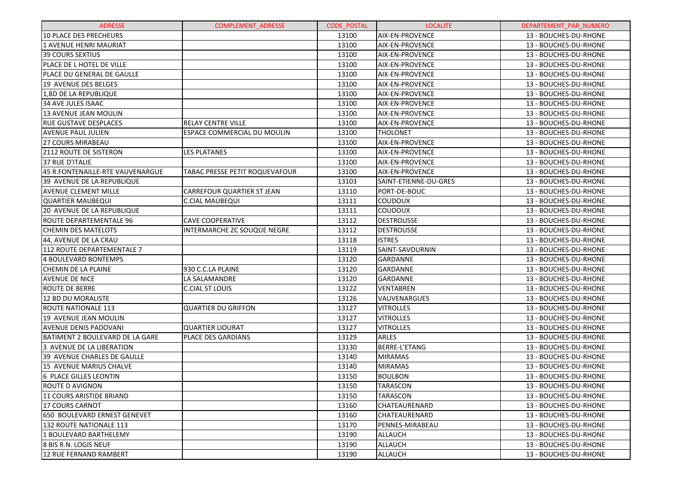| <b>ADRESSE</b>                    | <b>COMPLEMENT ADRESSE</b>      | <b>CODE POSTAL</b> | <b>LOCALITE</b>        | DEPARTEMENT PAR NUMERO |
|-----------------------------------|--------------------------------|--------------------|------------------------|------------------------|
| <b>10 PLACE DES PRECHEURS</b>     |                                | 13100              | <b>AIX-EN-PROVENCE</b> | 13 - BOUCHES-DU-RHONE  |
| 1 AVENUE HENRI MAURIAT            |                                | 13100              | <b>AIX-EN-PROVENCE</b> | 13 - BOUCHES-DU-RHONE  |
| <b>39 COURS SEXTIUS</b>           |                                | 13100              | <b>AIX-EN-PROVENCE</b> | 13 - BOUCHES-DU-RHONE  |
| PLACE DE L HOTEL DE VILLE         |                                | 13100              | <b>AIX-EN-PROVENCE</b> | 13 - BOUCHES-DU-RHONE  |
| PLACE DU GENERAL DE GAULLE        |                                | 13100              | <b>AIX-EN-PROVENCE</b> | 13 - BOUCHES-DU-RHONE  |
| 19 AVENUE DES BELGES              |                                | 13100              | <b>AIX-EN-PROVENCE</b> | 13 - BOUCHES-DU-RHONE  |
| 1, BD DE LA REPUBLIQUE            |                                | 13100              | <b>AIX-EN-PROVENCE</b> | 13 - BOUCHES-DU-RHONE  |
| <b>34 AVE JULES ISAAC</b>         |                                | 13100              | <b>AIX-EN-PROVENCE</b> | 13 - BOUCHES-DU-RHONE  |
| <b>13 AVENUE JEAN MOULIN</b>      |                                | 13100              | <b>AIX-EN-PROVENCE</b> | 13 - BOUCHES-DU-RHONE  |
| <b>RUE GUSTAVE DESPLACES</b>      | <b>RELAY CENTRE VILLE</b>      | 13100              | <b>AIX-EN-PROVENCE</b> | 13 - BOUCHES-DU-RHONE  |
| <b>AVENUE PAUL JULIEN</b>         | ESPACE COMMERCIAL DU MOULIN    | 13100              | <b>THOLONET</b>        | 13 - BOUCHES-DU-RHONE  |
| <b>27 COURS MIRABEAU</b>          |                                | 13100              | <b>AIX-EN-PROVENCE</b> | 13 - BOUCHES-DU-RHONE  |
| <b>2112 ROUTE DE SISTERON</b>     | LES PLATANES                   | 13100              | <b>AIX-EN-PROVENCE</b> | 13 - BOUCHES-DU-RHONE  |
| 37 RUE D'ITALIE                   |                                | 13100              | <b>AIX-EN-PROVENCE</b> | 13 - BOUCHES-DU-RHONE  |
| 45 R.FONTENAILLE-RTE VAUVENARGUE  | TABAC PRESSE PETIT ROQUEVAFOUR | 13100              | <b>AIX-EN-PROVENCE</b> | 13 - BOUCHES-DU-RHONE  |
| 39 AVENUE DE LA REPUBLIQUE        |                                | 13103              | SAINT-ETIENNE-DU-GRES  | 13 - BOUCHES-DU-RHONE  |
| <b>AVENUE CLEMENT MILLE</b>       | CARREFOUR QUARTIER ST JEAN     | 13110              | PORT-DE-BOUC           | 13 - BOUCHES-DU-RHONE  |
| <b>QUARTIER MAUBEQUI</b>          | <b>C.CIAL MAUBEQUI</b>         | 13111              | <b>COUDOUX</b>         | 13 - BOUCHES-DU-RHONE  |
| <b>20 AVENUE DE LA REPUBLIQUE</b> |                                | 13111              | <b>COUDOUX</b>         | 13 - BOUCHES-DU-RHONE  |
| ROUTE DEPARTEMENTALE 96           | <b>CAVE COOPERATIVE</b>        | 13112              | <b>DESTROUSSE</b>      | 13 - BOUCHES-DU-RHONE  |
| <b>CHEMIN DES MATELOTS</b>        | INTERMARCHE ZC SOUQUE NEGRE    | 13112              | <b>DESTROUSSE</b>      | 13 - BOUCHES-DU-RHONE  |
| 44, AVENUE DE LA CRAU             |                                | 13118              | <b>ISTRES</b>          | 13 - BOUCHES-DU-RHONE  |
| 112 ROUTE DEPARTEMENTALE 7        |                                | 13119              | SAINT-SAVOURNIN        | 13 - BOUCHES-DU-RHONE  |
| <b>4 BOULEVARD BONTEMPS</b>       |                                | 13120              | <b>GARDANNE</b>        | 13 - BOUCHES-DU-RHONE  |
| <b>CHEMIN DE LA PLAINE</b>        | 930 C.C.LA PLAINE              | 13120              | <b>GARDANNE</b>        | 13 - BOUCHES-DU-RHONE  |
| AVENUE DE NICE                    | LA SALAMANDRE                  | 13120              | <b>GARDANNE</b>        | 13 - BOUCHES-DU-RHONE  |
| <b>ROUTE DE BERRE</b>             | <b>C.CIAL ST LOUIS</b>         | 13122              | <b>VENTABREN</b>       | 13 - BOUCHES-DU-RHONE  |
| 12 BD DU MORALISTE                |                                | 13126              | VAUVENARGUES           | 13 - BOUCHES-DU-RHONE  |
| <b>ROUTE NATIONALE 113</b>        | QUARTIER DU GRIFFON            | 13127              | <b>VITROLLES</b>       | 13 - BOUCHES-DU-RHONE  |
| 19 AVENUE JEAN MOULIN             |                                | 13127              | <b>VITROLLES</b>       | 13 - BOUCHES-DU-RHONE  |
| <b>AVENUE DENIS PADOVANI</b>      | <b>QUARTIER LIOURAT</b>        | 13127              | <b>VITROLLES</b>       | 13 - BOUCHES-DU-RHONE  |
| BATIMENT 2 BOULEVARD DE LA GARE   | PLACE DES GARDIANS             | 13129              | <b>ARLES</b>           | 13 - BOUCHES-DU-RHONE  |
| 3 AVENUE DE LA LIBERATION         |                                | 13130              | BERRE-L'ETANG          | 13 - BOUCHES-DU-RHONE  |
| 39 AVENUE CHARLES DE GAULLE       |                                | 13140              | <b>MIRAMAS</b>         | 13 - BOUCHES-DU-RHONE  |
| <b>15 AVENUE MARIUS CHALVE</b>    |                                | 13140              | <b>MIRAMAS</b>         | 13 - BOUCHES-DU-RHONE  |
| 6 PLACE GILLES LEONTIN            |                                | 13150              | <b>BOULBON</b>         | 13 - BOUCHES-DU-RHONE  |
| ROUTE D AVIGNON                   |                                | 13150              | <b>TARASCON</b>        | 13 - BOUCHES-DU-RHONE  |
| 11 COURS ARISTIDE BRIAND          |                                | 13150              | TARASCON               | 13 - BOUCHES-DU-RHONE  |
| 17 COURS CARNOT                   |                                | 13160              | <b>CHATEAURENARD</b>   | 13 - BOUCHES-DU-RHONE  |
| 650 BOULEVARD ERNEST GENEVET      |                                | 13160              | CHATEAURENARD          | 13 - BOUCHES-DU-RHONE  |
| 132 ROUTE NATIONALE 113           |                                | 13170              | <b>PENNES-MIRABEAU</b> | 13 - BOUCHES-DU-RHONE  |
| 1 BOULEVARD BARTHELEMY            |                                | 13190              | <b>ALLAUCH</b>         | 13 - BOUCHES-DU-RHONE  |
| 8 BIS R.N. LOGIS NEUF             |                                | 13190              | <b>ALLAUCH</b>         | 13 - BOUCHES-DU-RHONE  |
| 12 RUE FERNAND RAMBERT            |                                | 13190              | <b>ALLAUCH</b>         | 13 - BOUCHES-DU-RHONE  |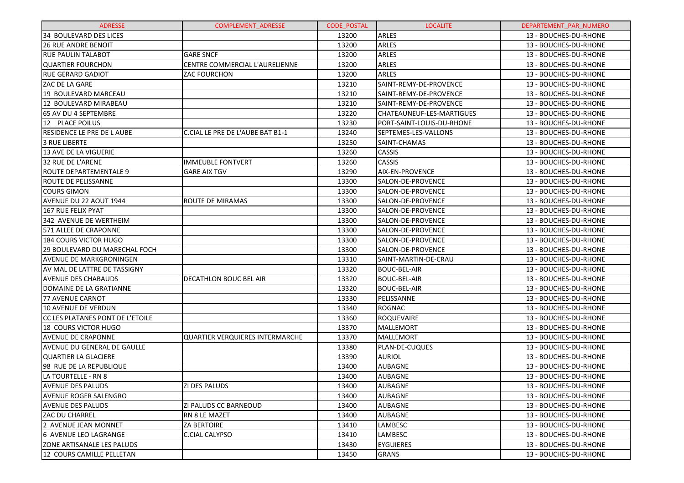| <b>ADRESSE</b>                   | <b>COMPLEMENT ADRESSE</b>              | <b>CODE POSTAL</b> | <b>LOCALITE</b>           | DEPARTEMENT PAR NUMERO |
|----------------------------------|----------------------------------------|--------------------|---------------------------|------------------------|
| 34 BOULEVARD DES LICES           |                                        | 13200              | ARLES                     | 13 - BOUCHES-DU-RHONE  |
| <b>26 RUE ANDRE BENOIT</b>       |                                        | 13200              | ARLES                     | 13 - BOUCHES-DU-RHONE  |
| <b>RUE PAULIN TALABOT</b>        | <b>GARE SNCF</b>                       | 13200              | ARLES                     | 13 - BOUCHES-DU-RHONE  |
| <b>QUARTIER FOURCHON</b>         | CENTRE COMMERCIAL L'AURELIENNE         | 13200              | ARLES                     | 13 - BOUCHES-DU-RHONE  |
| <b>RUE GERARD GADIOT</b>         | <b>ZAC FOURCHON</b>                    | 13200              | ARLES                     | 13 - BOUCHES-DU-RHONE  |
| ZAC DE LA GARE                   |                                        | 13210              | SAINT-REMY-DE-PROVENCE    | 13 - BOUCHES-DU-RHONE  |
| 19 BOULEVARD MARCEAU             |                                        | 13210              | SAINT-REMY-DE-PROVENCE    | 13 - BOUCHES-DU-RHONE  |
| 12 BOULEVARD MIRABEAU            |                                        | 13210              | SAINT-REMY-DE-PROVENCE    | 13 - BOUCHES-DU-RHONE  |
| 65 AV DU 4 SEPTEMBRE             |                                        | 13220              | CHATEAUNEUF-LES-MARTIGUES | 13 - BOUCHES-DU-RHONE  |
| 12 PLACE POILUS                  |                                        | 13230              | PORT-SAINT-LOUIS-DU-RHONE | 13 - BOUCHES-DU-RHONE  |
| RESIDENCE LE PRE DE LAUBE        | C.CIAL LE PRE DE L'AUBE BAT B1-1       | 13240              | SEPTEMES-LES-VALLONS      | 13 - BOUCHES-DU-RHONE  |
| 3 RUE LIBERTE                    |                                        | 13250              | SAINT-CHAMAS              | 13 - BOUCHES-DU-RHONE  |
| <b>13 AVE DE LA VIGUERIE</b>     |                                        | 13260              | CASSIS                    | 13 - BOUCHES-DU-RHONE  |
| 32 RUE DE L'ARENE                | <b>IMMEUBLE FONTVERT</b>               | 13260              | <b>CASSIS</b>             | 13 - BOUCHES-DU-RHONE  |
| ROUTE DEPARTEMENTALE 9           | <b>GARE AIX TGV</b>                    | 13290              | AIX-EN-PROVENCE           | 13 - BOUCHES-DU-RHONE  |
| ROUTE DE PELISSANNE              |                                        | 13300              | SALON-DE-PROVENCE         | 13 - BOUCHES-DU-RHONE  |
| <b>COURS GIMON</b>               |                                        | 13300              | SALON-DE-PROVENCE         | 13 - BOUCHES-DU-RHONE  |
| AVENUE DU 22 AOUT 1944           | ROUTE DE MIRAMAS                       | 13300              | SALON-DE-PROVENCE         | 13 - BOUCHES-DU-RHONE  |
| 167 RUE FELIX PYAT               |                                        | 13300              | SALON-DE-PROVENCE         | 13 - BOUCHES-DU-RHONE  |
| 342 AVENUE DE WERTHEIM           |                                        | 13300              | SALON-DE-PROVENCE         | 13 - BOUCHES-DU-RHONE  |
| 571 ALLEE DE CRAPONNE            |                                        | 13300              | SALON-DE-PROVENCE         | 13 - BOUCHES-DU-RHONE  |
| 184 COURS VICTOR HUGO            |                                        | 13300              | SALON-DE-PROVENCE         | 13 - BOUCHES-DU-RHONE  |
| 29 BOULEVARD DU MARECHAL FOCH    |                                        | 13300              | SALON-DE-PROVENCE         | 13 - BOUCHES-DU-RHONE  |
| <b>AVENUE DE MARKGRONINGEN</b>   |                                        | 13310              | SAINT-MARTIN-DE-CRAU      | 13 - BOUCHES-DU-RHONE  |
| AV MAL DE LATTRE DE TASSIGNY     |                                        | 13320              | BOUC-BEL-AIR              | 13 - BOUCHES-DU-RHONE  |
| <b>AVENUE DES CHABAUDS</b>       | DECATHLON BOUC BEL AIR                 | 13320              | <b>BOUC-BEL-AIR</b>       | 13 - BOUCHES-DU-RHONE  |
| DOMAINE DE LA GRATIANNE          |                                        | 13320              | BOUC-BEL-AIR              | 13 - BOUCHES-DU-RHONE  |
| 77 AVENUE CARNOT                 |                                        | 13330              | PELISSANNE                | 13 - BOUCHES-DU-RHONE  |
| 10 AVENUE DE VERDUN              |                                        | 13340              | <b>ROGNAC</b>             | 13 - BOUCHES-DU-RHONE  |
| CC LES PLATANES PONT DE L'ETOILE |                                        | 13360              | <b>ROQUEVAIRE</b>         | 13 - BOUCHES-DU-RHONE  |
| 18 COURS VICTOR HUGO             |                                        | 13370              | <b>MALLEMORT</b>          | 13 - BOUCHES-DU-RHONE  |
| <b>AVENUE DE CRAPONNE</b>        | <b>QUARTIER VERQUIERES INTERMARCHE</b> | 13370              | MALLEMORT                 | 13 - BOUCHES-DU-RHONE  |
| AVENUE DU GENERAL DE GAULLE      |                                        | 13380              | PLAN-DE-CUQUES            | 13 - BOUCHES-DU-RHONE  |
| QUARTIER LA GLACIERE             |                                        | 13390              | <b>AURIOL</b>             | 13 - BOUCHES-DU-RHONE  |
| 98 RUE DE LA REPUBLIQUE          |                                        | 13400              | AUBAGNE                   | 13 - BOUCHES-DU-RHONE  |
| LA TOURTELLE - RN 8              |                                        | 13400              | <b>AUBAGNE</b>            | 13 - BOUCHES-DU-RHONE  |
| <b>AVENUE DES PALUDS</b>         | <b>ZI DES PALUDS</b>                   | 13400              | <b>AUBAGNE</b>            | 13 - BOUCHES-DU-RHONE  |
| <b>AVENUE ROGER SALENGRO</b>     |                                        | 13400              | <b>AUBAGNE</b>            | 13 - BOUCHES-DU-RHONE  |
| AVENUE DES PALUDS                | <b>ZI PALUDS CC BARNEOUD</b>           | 13400              | <b>AUBAGNE</b>            | 13 - BOUCHES-DU-RHONE  |
| <b>ZAC DU CHARREL</b>            | RN 8 LE MAZET                          | 13400              | <b>AUBAGNE</b>            | 13 - BOUCHES-DU-RHONE  |
| 2 AVENUE JEAN MONNET             | <b>ZA BERTOIRE</b>                     | 13410              | LAMBESC                   | 13 - BOUCHES-DU-RHONE  |
| 6 AVENUE LEO LAGRANGE            | C.CIAL CALYPSO                         | 13410              | LAMBESC                   | 13 - BOUCHES-DU-RHONE  |
| ZONE ARTISANALE LES PALUDS       |                                        | 13430              | <b>EYGUIERES</b>          | 13 - BOUCHES-DU-RHONE  |
| 12 COURS CAMILLE PELLETAN        |                                        | 13450              | <b>GRANS</b>              | 13 - BOUCHES-DU-RHONE  |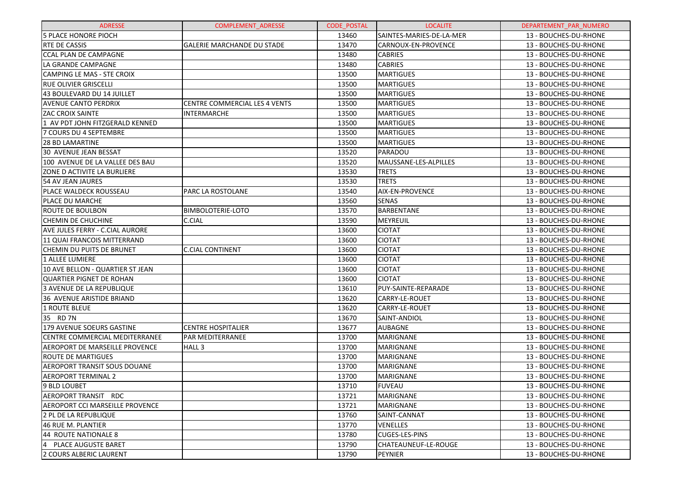| <b>ADRESSE</b>                        | <b>COMPLEMENT ADRESSE</b>            | <b>CODE POSTAL</b> | <b>LOCALITE</b>          | DEPARTEMENT PAR NUMERO |
|---------------------------------------|--------------------------------------|--------------------|--------------------------|------------------------|
| <b>5 PLACE HONORE PIOCH</b>           |                                      | 13460              | SAINTES-MARIES-DE-LA-MER | 13 - BOUCHES-DU-RHONE  |
| <b>RTE DE CASSIS</b>                  | <b>GALERIE MARCHANDE DU STADE</b>    | 13470              | CARNOUX-EN-PROVENCE      | 13 - BOUCHES-DU-RHONE  |
| <b>CCAL PLAN DE CAMPAGNE</b>          |                                      | 13480              | <b>CABRIES</b>           | 13 - BOUCHES-DU-RHONE  |
| LA GRANDE CAMPAGNE                    |                                      | 13480              | <b>CABRIES</b>           | 13 - BOUCHES-DU-RHONE  |
| CAMPING LE MAS - STE CROIX            |                                      | 13500              | <b>MARTIGUES</b>         | 13 - BOUCHES-DU-RHONE  |
| <b>RUE OLIVIER GRISCELLI</b>          |                                      | 13500              | <b>MARTIGUES</b>         | 13 - BOUCHES-DU-RHONE  |
| 43 BOULEVARD DU 14 JUILLET            |                                      | 13500              | <b>MARTIGUES</b>         | 13 - BOUCHES-DU-RHONE  |
| <b>AVENUE CANTO PERDRIX</b>           | <b>CENTRE COMMERCIAL LES 4 VENTS</b> | 13500              | <b>MARTIGUES</b>         | 13 - BOUCHES-DU-RHONE  |
| <b>ZAC CROIX SAINTE</b>               | <b>INTERMARCHE</b>                   | 13500              | <b>MARTIGUES</b>         | 13 - BOUCHES-DU-RHONE  |
| 1 AV PDT JOHN FITZGERALD KENNED       |                                      | 13500              | <b>MARTIGUES</b>         | 13 - BOUCHES-DU-RHONE  |
| 7 COURS DU 4 SEPTEMBRE                |                                      | 13500              | <b>MARTIGUES</b>         | 13 - BOUCHES-DU-RHONE  |
| <b>28 BD LAMARTINE</b>                |                                      | 13500              | <b>MARTIGUES</b>         | 13 - BOUCHES-DU-RHONE  |
| 30 AVENUE JEAN BESSAT                 |                                      | 13520              | PARADOU                  | 13 - BOUCHES-DU-RHONE  |
| 100 AVENUE DE LA VALLEE DES BAU       |                                      | 13520              | MAUSSANE-LES-ALPILLES    | 13 - BOUCHES-DU-RHONE  |
| ZONE D ACTIVITE LA BURLIERE           |                                      | 13530              | <b>TRETS</b>             | 13 - BOUCHES-DU-RHONE  |
| 54 AV JEAN JAURES                     |                                      | 13530              | <b>TRETS</b>             | 13 - BOUCHES-DU-RHONE  |
| PLACE WALDECK ROUSSEAU                | PARC LA ROSTOLANE                    | 13540              | <b>AIX-EN-PROVENCE</b>   | 13 - BOUCHES-DU-RHONE  |
| PLACE DU MARCHE                       |                                      | 13560              | <b>SENAS</b>             | 13 - BOUCHES-DU-RHONE  |
| ROUTE DE BOULBON                      | <b>BIMBOLOTERIE-LOTO</b>             | 13570              | <b>BARBENTANE</b>        | 13 - BOUCHES-DU-RHONE  |
| <b>CHEMIN DE CHUCHINE</b>             | C.CIAL                               | 13590              | MEYREUIL                 | 13 - BOUCHES-DU-RHONE  |
| AVE JULES FERRY - C.CIAL AURORE       |                                      | 13600              | <b>CIOTAT</b>            | 13 - BOUCHES-DU-RHONE  |
| 11 QUAI FRANCOIS MITTERRAND           |                                      | 13600              | <b>CIOTAT</b>            | 13 - BOUCHES-DU-RHONE  |
| CHEMIN DU PUITS DE BRUNET             | <b>C.CIAL CONTINENT</b>              | 13600              | <b>CIOTAT</b>            | 13 - BOUCHES-DU-RHONE  |
| 1 ALLEE LUMIERE                       |                                      | 13600              | <b>CIOTAT</b>            | 13 - BOUCHES-DU-RHONE  |
| 10 AVE BELLON - QUARTIER ST JEAN      |                                      | 13600              | <b>CIOTAT</b>            | 13 - BOUCHES-DU-RHONE  |
| <b>QUARTIER PIGNET DE ROHAN</b>       |                                      | 13600              | <b>CIOTAT</b>            | 13 - BOUCHES-DU-RHONE  |
| <b>3 AVENUE DE LA REPUBLIQUE</b>      |                                      | 13610              | PUY-SAINTE-REPARADE      | 13 - BOUCHES-DU-RHONE  |
| <b>36 AVENUE ARISTIDE BRIAND</b>      |                                      | 13620              | CARRY-LE-ROUET           | 13 - BOUCHES-DU-RHONE  |
| 1 ROUTE BLEUE                         |                                      | 13620              | <b>CARRY-LE-ROUET</b>    | 13 - BOUCHES-DU-RHONE  |
| 35 RD 7N                              |                                      | 13670              | SAINT-ANDIOL             | 13 - BOUCHES-DU-RHONE  |
| 179 AVENUE SOEURS GASTINE             | <b>CENTRE HOSPITALIER</b>            | 13677              | <b>AUBAGNE</b>           | 13 - BOUCHES-DU-RHONE  |
| <b>CENTRE COMMERCIAL MEDITERRANEE</b> | <b>PAR MEDITERRANEE</b>              | 13700              | MARIGNANE                | 13 - BOUCHES-DU-RHONE  |
| AEROPORT DE MARSEILLE PROVENCE        | HALL <sub>3</sub>                    | 13700              | <b>MARIGNANE</b>         | 13 - BOUCHES-DU-RHONE  |
| <b>ROUTE DE MARTIGUES</b>             |                                      | 13700              | <b>MARIGNANE</b>         | 13 - BOUCHES-DU-RHONE  |
| AEROPORT TRANSIT SOUS DOUANE          |                                      | 13700              | MARIGNANE                | 13 - BOUCHES-DU-RHONE  |
| <b>AEROPORT TERMINAL 2</b>            |                                      | 13700              | MARIGNANE                | 13 - BOUCHES-DU-RHONE  |
| 9 BLD LOUBET                          |                                      | 13710              | <b>FUVEAU</b>            | 13 - BOUCHES-DU-RHONE  |
| AEROPORT TRANSIT RDC                  |                                      | 13721              | <b>MARIGNANE</b>         | 13 - BOUCHES-DU-RHONE  |
| AEROPORT CCI MARSEILLE PROVENCE       |                                      | 13721              | <b>MARIGNANE</b>         | 13 - BOUCHES-DU-RHONE  |
| 2 PL DE LA REPUBLIQUE                 |                                      | 13760              | SAINT-CANNAT             | 13 - BOUCHES-DU-RHONE  |
| <b>46 RUE M. PLANTIER</b>             |                                      | 13770              | <b>VENELLES</b>          | 13 - BOUCHES-DU-RHONE  |
| 44 ROUTE NATIONALE 8                  |                                      | 13780              | <b>CUGES-LES-PINS</b>    | 13 - BOUCHES-DU-RHONE  |
| 4<br><b>PLACE AUGUSTE BARET</b>       |                                      | 13790              | CHATEAUNEUF-LE-ROUGE     | 13 - BOUCHES-DU-RHONE  |
| 2 COURS ALBERIC LAURENT               |                                      | 13790              | <b>PEYNIER</b>           | 13 - BOUCHES-DU-RHONE  |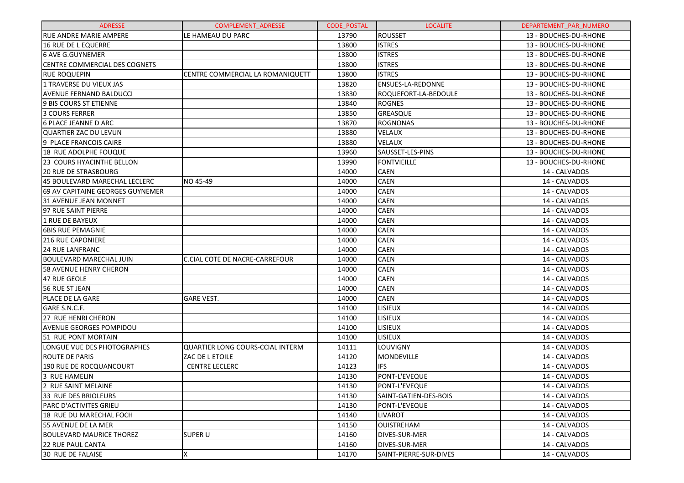| <b>ADRESSE</b>                       | <b>COMPLEMENT ADRESSE</b>        | <b>CODE POSTAL</b> | <b>LOCALITE</b>          | DEPARTEMENT PAR NUMERO |
|--------------------------------------|----------------------------------|--------------------|--------------------------|------------------------|
| <b>RUE ANDRE MARIE AMPERE</b>        | LE HAMEAU DU PARC                | 13790              | <b>ROUSSET</b>           | 13 - BOUCHES-DU-RHONE  |
| 16 RUE DE L EQUERRE                  |                                  | 13800              | <b>ISTRES</b>            | 13 - BOUCHES-DU-RHONE  |
| <b>6 AVE G.GUYNEMER</b>              |                                  | 13800              | <b>ISTRES</b>            | 13 - BOUCHES-DU-RHONE  |
| <b>CENTRE COMMERCIAL DES COGNETS</b> |                                  | 13800              | <b>ISTRES</b>            | 13 - BOUCHES-DU-RHONE  |
| <b>RUE ROQUEPIN</b>                  | CENTRE COMMERCIAL LA ROMANIQUETT | 13800              | <b>ISTRES</b>            | 13 - BOUCHES-DU-RHONE  |
| 1 TRAVERSE DU VIEUX JAS              |                                  | 13820              | <b>ENSUES-LA-REDONNE</b> | 13 - BOUCHES-DU-RHONE  |
| <b>AVENUE FERNAND BALDUCCI</b>       |                                  | 13830              | ROQUEFORT-LA-BEDOULE     | 13 - BOUCHES-DU-RHONE  |
| 9 BIS COURS ST ETIENNE               |                                  | 13840              | <b>ROGNES</b>            | 13 - BOUCHES-DU-RHONE  |
| 3 COURS FERRER                       |                                  | 13850              | <b>GREASQUE</b>          | 13 - BOUCHES-DU-RHONE  |
| <b>6 PLACE JEANNE D ARC</b>          |                                  | 13870              | <b>ROGNONAS</b>          | 13 - BOUCHES-DU-RHONE  |
| QUARTIER ZAC DU LEVUN                |                                  | 13880              | <b>VELAUX</b>            | 13 - BOUCHES-DU-RHONE  |
| 9 PLACE FRANCOIS CAIRE               |                                  | 13880              | <b>VELAUX</b>            | 13 - BOUCHES-DU-RHONE  |
| 18 RUE ADOLPHE FOUQUE                |                                  | 13960              | SAUSSET-LES-PINS         | 13 - BOUCHES-DU-RHONE  |
| 23 COURS HYACINTHE BELLON            |                                  | 13990              | <b>FONTVIEILLE</b>       | 13 - BOUCHES-DU-RHONE  |
| <b>20 RUE DE STRASBOURG</b>          |                                  | 14000              | <b>CAEN</b>              | 14 - CALVADOS          |
| 45 BOULEVARD MARECHAL LECLERC        | NO 45-49                         | 14000              | <b>CAEN</b>              | 14 - CALVADOS          |
| 69 AV CAPITAINE GEORGES GUYNEMER     |                                  | 14000              | <b>CAEN</b>              | 14 - CALVADOS          |
| <b>31 AVENUE JEAN MONNET</b>         |                                  | 14000              | <b>CAEN</b>              | 14 - CALVADOS          |
| 97 RUE SAINT PIERRE                  |                                  | 14000              | <b>CAEN</b>              | 14 - CALVADOS          |
| 1 RUE DE BAYEUX                      |                                  | 14000              | <b>CAEN</b>              | 14 - CALVADOS          |
| <b>6BIS RUE PEMAGNIE</b>             |                                  | 14000              | <b>CAEN</b>              | 14 - CALVADOS          |
| <b>216 RUE CAPONIERE</b>             |                                  | 14000              | <b>CAEN</b>              | 14 - CALVADOS          |
| <b>24 RUE LANFRANC</b>               |                                  | 14000              | <b>CAEN</b>              | 14 - CALVADOS          |
| <b>BOULEVARD MARECHAL JUIN</b>       | C.CIAL COTE DE NACRE-CARREFOUR   | 14000              | <b>CAEN</b>              | 14 - CALVADOS          |
| <b>58 AVENUE HENRY CHERON</b>        |                                  | 14000              | <b>CAEN</b>              | 14 - CALVADOS          |
| 47 RUE GEOLE                         |                                  | 14000              | <b>CAEN</b>              | 14 - CALVADOS          |
| 56 RUE ST JEAN                       |                                  | 14000              | <b>CAEN</b>              | 14 - CALVADOS          |
| PLACE DE LA GARE                     | <b>GARE VEST.</b>                | 14000              | <b>CAEN</b>              | 14 - CALVADOS          |
| GARE S.N.C.F.                        |                                  | 14100              | LISIEUX                  | 14 - CALVADOS          |
| 27 RUE HENRI CHERON                  |                                  | 14100              | LISIEUX                  | 14 - CALVADOS          |
| <b>AVENUE GEORGES POMPIDOU</b>       |                                  | 14100              | LISIEUX                  | 14 - CALVADOS          |
| 51 RUE PONT MORTAIN                  |                                  | 14100              | LISIEUX                  | 14 - CALVADOS          |
| LONGUE VUE DES PHOTOGRAPHES          | QUARTIER LONG COURS-CCIAL INTERM | 14111              | <b>LOUVIGNY</b>          | 14 - CALVADOS          |
| <b>ROUTE DE PARIS</b>                | ZAC DE L ETOILE                  | 14120              | MONDEVILLE               | 14 - CALVADOS          |
| 190 RUE DE ROCQUANCOURT              | <b>CENTRE LECLERC</b>            | 14123              | <b>IFS</b>               | 14 - CALVADOS          |
| 3 RUE HAMELIN                        |                                  | 14130              | PONT-L'EVEQUE            | 14 - CALVADOS          |
| 2 RUE SAINT MELAINE                  |                                  | 14130              | PONT-L'EVEQUE            | 14 - CALVADOS          |
| 33 RUE DES BRIOLEURS                 |                                  | 14130              | SAINT-GATIEN-DES-BOIS    | 14 - CALVADOS          |
| <b>PARC D'ACTIVITES GRIEU</b>        |                                  | 14130              | PONT-L'EVEQUE            | 14 - CALVADOS          |
| 18 RUE DU MARECHAL FOCH              |                                  | 14140              | <b>LIVAROT</b>           | 14 - CALVADOS          |
| 55 AVENUE DE LA MER                  |                                  | 14150              | <b>OUISTREHAM</b>        | 14 - CALVADOS          |
| <b>BOULEVARD MAURICE THOREZ</b>      | <b>SUPER U</b>                   | 14160              | <b>DIVES-SUR-MER</b>     | 14 - CALVADOS          |
| <b>22 RUE PAUL CANTA</b>             |                                  | 14160              | DIVES-SUR-MER            | 14 - CALVADOS          |
| 30 RUE DE FALAISE                    | Χ                                | 14170              | SAINT-PIERRE-SUR-DIVES   | 14 - CALVADOS          |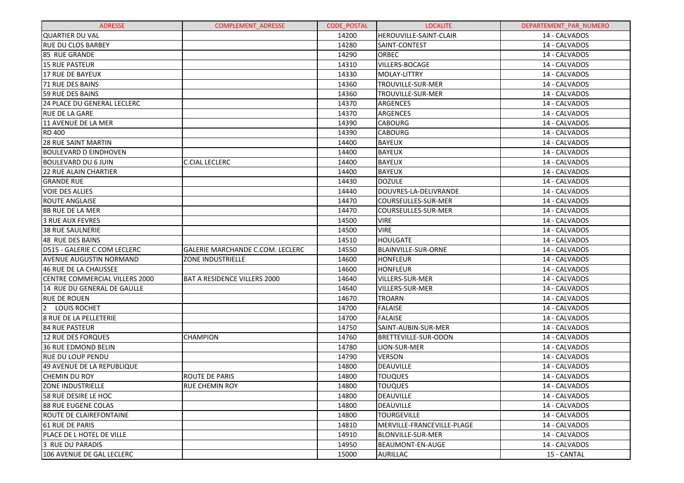| <b>ADRESSE</b>                     | <b>COMPLEMENT ADRESSE</b>           | <b>CODE POSTAL</b> | <b>LOCALITE</b>             | DEPARTEMENT PAR NUMERO |
|------------------------------------|-------------------------------------|--------------------|-----------------------------|------------------------|
| <b>QUARTIER DU VAL</b>             |                                     | 14200              | HEROUVILLE-SAINT-CLAIR      | 14 - CALVADOS          |
| IRUE DU CLOS BARBEY                |                                     | 14280              | SAINT-CONTEST               | 14 - CALVADOS          |
| 85 RUE GRANDE                      |                                     | 14290              | ORBEC                       | 14 - CALVADOS          |
| <b>15 RUE PASTEUR</b>              |                                     | 14310              | VILLERS-BOCAGE              | 14 - CALVADOS          |
| 17 RUE DE BAYEUX                   |                                     | 14330              | MOLAY-LITTRY                | 14 - CALVADOS          |
| 71 RUE DES BAINS                   |                                     | 14360              | TROUVILLE-SUR-MER           | 14 - CALVADOS          |
| <b>59 RUE DES BAINS</b>            |                                     | 14360              | TROUVILLE-SUR-MER           | 14 - CALVADOS          |
| <b>24 PLACE DU GENERAL LECLERC</b> |                                     | 14370              | ARGENCES                    | 14 - CALVADOS          |
| <b>RUE DE LA GARE</b>              |                                     | 14370              | ARGENCES                    | 14 - CALVADOS          |
| 11 AVENUE DE LA MER                |                                     | 14390              | <b>CABOURG</b>              | 14 - CALVADOS          |
| <b>RD 400</b>                      |                                     | 14390              | <b>CABOURG</b>              | 14 - CALVADOS          |
| <b>28 RUE SAINT MARTIN</b>         |                                     | 14400              | <b>BAYEUX</b>               | 14 - CALVADOS          |
| <b>BOULEVARD D EINDHOVEN</b>       |                                     | 14400              | <b>BAYEUX</b>               | 14 - CALVADOS          |
| <b>BOULEVARD DU 6 JUIN</b>         | C.CIAL LECLERC                      | 14400              | <b>BAYEUX</b>               | 14 - CALVADOS          |
| 122 RUE ALAIN CHARTIER             |                                     | 14400              | <b>BAYEUX</b>               | 14 - CALVADOS          |
| <b>GRANDE RUE</b>                  |                                     | 14430              | <b>DOZULE</b>               | 14 - CALVADOS          |
| <b>VOIE DES ALLIES</b>             |                                     | 14440              | DOUVRES-LA-DELIVRANDE       | 14 - CALVADOS          |
| IROUTE ANGLAISE                    |                                     | 14470              | COURSEULLES-SUR-MER         | 14 - CALVADOS          |
| <b>8B RUE DE LA MER</b>            |                                     | 14470              | COURSEULLES-SUR-MER         | 14 - CALVADOS          |
| 3 RUE AUX FEVRES                   |                                     | 14500              | <b>VIRE</b>                 | 14 - CALVADOS          |
| <b>38 RUE SAULNERIE</b>            |                                     | 14500              | <b>VIRE</b>                 | 14 - CALVADOS          |
| 48 RUE DES BAINS                   |                                     | 14510              | <b>HOULGATE</b>             | 14 - CALVADOS          |
| D515 - GALERIE C.COM LECLERC       | GALERIE MARCHANDE C.COM. LECLERC    | 14550              | <b>BLAINVILLE-SUR-ORNE</b>  | 14 - CALVADOS          |
| <b>AVENUE AUGUSTIN NORMAND</b>     | <b>ZONE INDUSTRIELLE</b>            | 14600              | <b>HONFLEUR</b>             | 14 - CALVADOS          |
| 46 RUE DE LA CHAUSSEE              |                                     | 14600              | <b>HONFLEUR</b>             | 14 - CALVADOS          |
| CENTRE COMMERCIAL VILLERS 2000     | <b>BAT A RESIDENCE VILLERS 2000</b> | 14640              | VILLERS-SUR-MER             | 14 - CALVADOS          |
| 14 RUE DU GENERAL DE GAULLE        |                                     | 14640              | VILLERS-SUR-MER             | 14 - CALVADOS          |
| <b>RUE DE ROUEN</b>                |                                     | 14670              | <b>TROARN</b>               | 14 - CALVADOS          |
| 2 LOUIS ROCHET                     |                                     | 14700              | <b>FALAISE</b>              | 14 - CALVADOS          |
| <b>8 RUE DE LA PELLETERIE</b>      |                                     | 14700              | <b>FALAISE</b>              | 14 - CALVADOS          |
| <b>84 RUE PASTEUR</b>              |                                     | 14750              | SAINT-AUBIN-SUR-MER         | 14 - CALVADOS          |
| 12 RUE DES FORQUES                 | <b>CHAMPION</b>                     | 14760              | <b>BRETTEVILLE-SUR-ODON</b> | 14 - CALVADOS          |
| 36 RUE EDMOND BELIN                |                                     | 14780              | LION-SUR-MER                | 14 - CALVADOS          |
| <b>RUE DU LOUP PENDU</b>           |                                     | 14790              | <b>VERSON</b>               | 14 - CALVADOS          |
| 49 AVENUE DE LA REPUBLIQUE         |                                     | 14800              | DEAUVILLE                   | 14 - CALVADOS          |
| <b>CHEMIN DU ROY</b>               | <b>ROUTE DE PARIS</b>               | 14800              | <b>TOUQUES</b>              | 14 - CALVADOS          |
| <b>ZONE INDUSTRIELLE</b>           | <b>RUE CHEMIN ROY</b>               | 14800              | <b>TOUQUES</b>              | 14 - CALVADOS          |
| 58 RUE DESIRE LE HOC               |                                     | 14800              | DEAUVILLE                   | 14 - CALVADOS          |
| 88 RUE EUGENE COLAS                |                                     | 14800              | DEAUVILLE                   | 14 - CALVADOS          |
| ROUTE DE CLAIREFONTAINE            |                                     | 14800              | <b>TOURGEVILLE</b>          | 14 - CALVADOS          |
| 61 RUE DE PARIS                    |                                     | 14810              | MERVILLE-FRANCEVILLE-PLAGE  | 14 - CALVADOS          |
| <b>PLACE DE L HOTEL DE VILLE</b>   |                                     | 14910              | BLONVILLE-SUR-MER           | 14 - CALVADOS          |
| 3 RUE DU PARADIS                   |                                     | 14950              | BEAUMONT-EN-AUGE            | 14 - CALVADOS          |
| 106 AVENUE DE GAL LECLERC          |                                     | 15000              | AURILLAC                    | 15 - CANTAL            |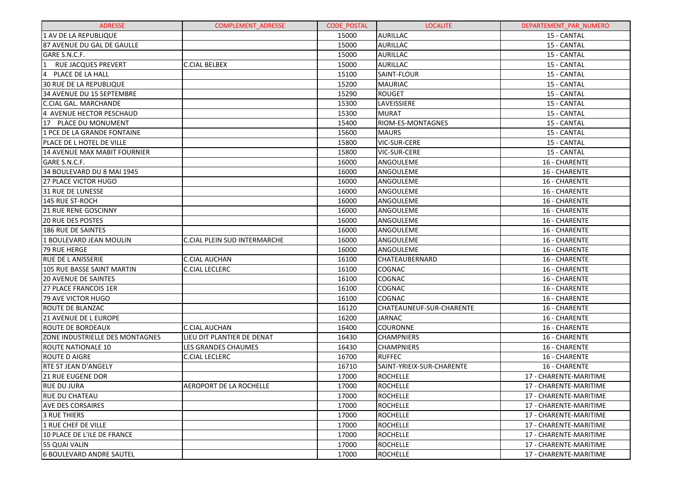| <b>ADRESSE</b>                         | <b>COMPLEMENT ADRESSE</b>    | <b>CODE POSTAL</b> | <b>LOCALITE</b>           | DEPARTEMENT_PAR_NUMERO |
|----------------------------------------|------------------------------|--------------------|---------------------------|------------------------|
| 1 AV DE LA REPUBLIQUE                  |                              | 15000              | <b>AURILLAC</b>           | 15 - CANTAL            |
| l87 AVENUE DU GAL DE GAULLE            |                              | 15000              | <b>AURILLAC</b>           | 15 - CANTAL            |
| GARE S.N.C.F.                          |                              | 15000              | <b>AURILLAC</b>           | 15 - CANTAL            |
| <b>RUE JACQUES PREVERT</b>             | <b>C.CIAL BELBEX</b>         | 15000              | <b>AURILLAC</b>           | 15 - CANTAL            |
| 4<br>PLACE DE LA HALL                  |                              | 15100              | SAINT-FLOUR               | 15 - CANTAL            |
| 30 RUE DE LA REPUBLIQUE                |                              | 15200              | <b>MAURIAC</b>            | 15 - CANTAL            |
| 34 AVENUE DU 15 SEPTEMBRE              |                              | 15290              | ROUGET                    | 15 - CANTAL            |
| <b>C.CIAL GAL. MARCHANDE</b>           |                              | 15300              | LAVEISSIERE               | 15 - CANTAL            |
| 4 AVENUE HECTOR PESCHAUD               |                              | 15300              | <b>MURAT</b>              | 15 - CANTAL            |
| 17 PLACE DU MONUMENT                   |                              | 15400              | RIOM-ES-MONTAGNES         | 15 - CANTAL            |
| 1 PCE DE LA GRANDE FONTAINE            |                              | 15600              | <b>MAURS</b>              | 15 - CANTAL            |
| PLACE DE L HOTEL DE VILLE              |                              | 15800              | <b>VIC-SUR-CERE</b>       | 15 - CANTAL            |
| 14 AVENUE MAX MABIT FOURNIER           |                              | 15800              | <b>VIC-SUR-CERE</b>       | 15 - CANTAL            |
| GARE S.N.C.F.                          |                              | 16000              | ANGOULEME                 | 16 - CHARENTE          |
| 34 BOULEVARD DU 8 MAI 1945             |                              | 16000              | ANGOULEME                 | 16 - CHARENTE          |
| 127 PLACE VICTOR HUGO                  |                              | 16000              | ANGOULEME                 | 16 - CHARENTE          |
| 31 RUE DE LUNESSE                      |                              | 16000              | ANGOULEME                 | 16 - CHARENTE          |
| 145 RUE ST-ROCH                        |                              | 16000              | ANGOULEME                 | 16 - CHARENTE          |
| <b>21 RUE RENE GOSCINNY</b>            |                              | 16000              | ANGOULEME                 | 16 - CHARENTE          |
| <b>20 RUE DES POSTES</b>               |                              | 16000              | ANGOULEME                 | 16 - CHARENTE          |
| 186 RUE DE SAINTES                     |                              | 16000              | ANGOULEME                 | 16 - CHARENTE          |
| 1 BOULEVARD JEAN MOULIN                | C.CIAL PLEIN SUD INTERMARCHE | 16000              | ANGOULEME                 | 16 - CHARENTE          |
| <b>79 RUE HERGE</b>                    |                              | 16000              | ANGOULEME                 | 16 - CHARENTE          |
| IRUE DE L ANISSERIE                    | <b>C.CIAL AUCHAN</b>         | 16100              | <b>CHATEAUBERNARD</b>     | 16 - CHARENTE          |
| 105 RUE BASSE SAINT MARTIN             | <b>C.CIAL LECLERC</b>        | 16100              | COGNAC                    | 16 - CHARENTE          |
| <b>20 AVENUE DE SAINTES</b>            |                              | 16100              | <b>COGNAC</b>             | 16 - CHARENTE          |
| <b>27 PLACE FRANCOIS 1ER</b>           |                              | 16100              | COGNAC                    | 16 - CHARENTE          |
| 79 AVE VICTOR HUGO                     |                              | 16100              | <b>COGNAC</b>             | 16 - CHARENTE          |
| ROUTE DE BLANZAC                       |                              | 16120              | CHATEAUNEUF-SUR-CHARENTE  | 16 - CHARENTE          |
| 21 AVENUE DE L EUROPE                  |                              | 16200              | <b>JARNAC</b>             | 16 - CHARENTE          |
| <b>ROUTE DE BORDEAUX</b>               | C.CIAL AUCHAN                | 16400              | <b>COURONNE</b>           | 16 - CHARENTE          |
| <b>ZONE INDUSTRIELLE DES MONTAGNES</b> | LIEU DIT PLANTIER DE DENAT   | 16430              | <b>CHAMPNIERS</b>         | 16 - CHARENTE          |
| <b>ROUTE NATIONALE 10</b>              | LES GRANDES CHAUMES          | 16430              | <b>CHAMPNIERS</b>         | 16 - CHARENTE          |
| <b>ROUTE D AIGRE</b>                   | <b>C.CIAL LECLERC</b>        | 16700              | <b>RUFFEC</b>             | 16 - CHARENTE          |
| <b>RTE ST JEAN D'ANGELY</b>            |                              | 16710              | SAINT-YRIEIX-SUR-CHARENTE | 16 - CHARENTE          |
| <b>21 RUE EUGENE DOR</b>               |                              | 17000              | ROCHELLE                  | 17 - CHARENTE-MARITIME |
| RUE DU JURA                            | AEROPORT DE LA ROCHELLE      | 17000              | ROCHELLE                  | 17 - CHARENTE-MARITIME |
| RUE DU CHATEAU                         |                              | 17000              | <b>ROCHELLE</b>           | 17 - CHARENTE-MARITIME |
| <b>AVE DES CORSAIRES</b>               |                              | 17000              | <b>ROCHELLE</b>           | 17 - CHARENTE-MARITIME |
| <b>3 RUE THIERS</b>                    |                              | 17000              | <b>ROCHELLE</b>           | 17 - CHARENTE-MARITIME |
| 1 RUE CHEF DE VILLE                    |                              | 17000              | <b>ROCHELLE</b>           | 17 - CHARENTE-MARITIME |
| 10 PLACE DE L'ILE DE FRANCE            |                              | 17000              | <b>ROCHELLE</b>           | 17 - CHARENTE-MARITIME |
| 55 QUAI VALIN                          |                              | 17000              | <b>ROCHELLE</b>           | 17 - CHARENTE-MARITIME |
| l6 BOULEVARD ANDRE SAUTEL              |                              | 17000              | <b>ROCHELLE</b>           | 17 - CHARENTE-MARITIME |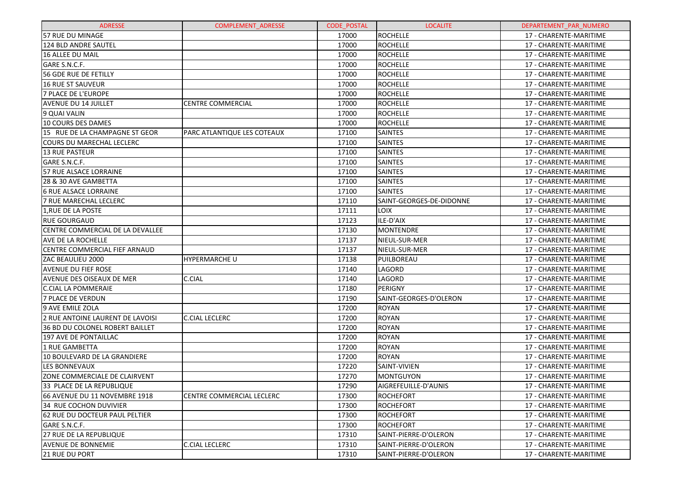| <b>ADRESSE</b>                   | <b>COMPLEMENT ADRESSE</b>   | <b>CODE POSTAL</b> | <b>LOCALITE</b>          | DEPARTEMENT PAR NUMERO |
|----------------------------------|-----------------------------|--------------------|--------------------------|------------------------|
| 57 RUE DU MINAGE                 |                             | 17000              | <b>ROCHELLE</b>          | 17 - CHARENTE-MARITIME |
| 124 BLD ANDRE SAUTEL             |                             | 17000              | <b>ROCHELLE</b>          | 17 - CHARENTE-MARITIME |
| 16 ALLEE DU MAIL                 |                             | 17000              | <b>ROCHELLE</b>          | 17 - CHARENTE-MARITIME |
| GARE S.N.C.F.                    |                             | 17000              | <b>ROCHELLE</b>          | 17 - CHARENTE-MARITIME |
| 56 GDE RUE DE FETILLY            |                             | 17000              | <b>ROCHELLE</b>          | 17 - CHARENTE-MARITIME |
| <b>16 RUE ST SAUVEUR</b>         |                             | 17000              | <b>ROCHELLE</b>          | 17 - CHARENTE-MARITIME |
| <b>7 PLACE DE L'EUROPE</b>       |                             | 17000              | <b>ROCHELLE</b>          | 17 - CHARENTE-MARITIME |
| <b>AVENUE DU 14 JUILLET</b>      | <b>CENTRE COMMERCIAL</b>    | 17000              | <b>ROCHELLE</b>          | 17 - CHARENTE-MARITIME |
| 9 QUAI VALIN                     |                             | 17000              | <b>ROCHELLE</b>          | 17 - CHARENTE-MARITIME |
| <b>10 COURS DES DAMES</b>        |                             | 17000              | <b>ROCHELLE</b>          | 17 - CHARENTE-MARITIME |
| 15 RUE DE LA CHAMPAGNE ST GEOR   | PARC ATLANTIQUE LES COTEAUX | 17100              | <b>SAINTES</b>           | 17 - CHARENTE-MARITIME |
| COURS DU MARECHAL LECLERC        |                             | 17100              | <b>SAINTES</b>           | 17 - CHARENTE-MARITIME |
| 13 RUE PASTEUR                   |                             | 17100              | <b>SAINTES</b>           | 17 - CHARENTE-MARITIME |
| GARE S.N.C.F.                    |                             | 17100              | <b>SAINTES</b>           | 17 - CHARENTE-MARITIME |
| 57 RUE ALSACE LORRAINE           |                             | 17100              | <b>SAINTES</b>           | 17 - CHARENTE-MARITIME |
| 28 & 30 AVE GAMBETTA             |                             | 17100              | <b>SAINTES</b>           | 17 - CHARENTE-MARITIME |
| <b>6 RUE ALSACE LORRAINE</b>     |                             | 17100              | <b>SAINTES</b>           | 17 - CHARENTE-MARITIME |
| 7 RUE MARECHAL LECLERC           |                             | 17110              | SAINT-GEORGES-DE-DIDONNE | 17 - CHARENTE-MARITIME |
| 1, RUE DE LA POSTE               |                             | 17111              | <b>LOIX</b>              | 17 - CHARENTE-MARITIME |
| <b>RUE GOURGAUD</b>              |                             | 17123              | ILE-D'AIX                | 17 - CHARENTE-MARITIME |
| CENTRE COMMERCIAL DE LA DEVALLEE |                             | 17130              | <b>MONTENDRE</b>         | 17 - CHARENTE-MARITIME |
| AVE DE LA ROCHELLE               |                             | 17137              | NIEUL-SUR-MER            | 17 - CHARENTE-MARITIME |
| CENTRE COMMERCIAL FIEF ARNAUD    |                             | 17137              | NIEUL-SUR-MER            | 17 - CHARENTE-MARITIME |
| ZAC BEAULIEU 2000                | <b>HYPERMARCHE U</b>        | 17138              | PUILBOREAU               | 17 - CHARENTE-MARITIME |
| AVENUE DU FIEF ROSE              |                             | 17140              | LAGORD                   | 17 - CHARENTE-MARITIME |
| AVENUE DES OISEAUX DE MER        | C.CIAL                      | 17140              | LAGORD                   | 17 - CHARENTE-MARITIME |
| <b>C.CIAL LA POMMERAIE</b>       |                             | 17180              | PERIGNY                  | 17 - CHARENTE-MARITIME |
| 7 PLACE DE VERDUN                |                             | 17190              | SAINT-GEORGES-D'OLERON   | 17 - CHARENTE-MARITIME |
| 9 AVE EMILE ZOLA                 |                             | 17200              | <b>ROYAN</b>             | 17 - CHARENTE-MARITIME |
| 2 RUE ANTOINE LAURENT DE LAVOISI | C.CIAL LECLERC              | 17200              | <b>ROYAN</b>             | 17 - CHARENTE-MARITIME |
| 36 BD DU COLONEL ROBERT BAILLET  |                             | 17200              | <b>ROYAN</b>             | 17 - CHARENTE-MARITIME |
| <b>197 AVE DE PONTAILLAC</b>     |                             | 17200              | <b>ROYAN</b>             | 17 - CHARENTE-MARITIME |
| 1 RUE GAMBETTA                   |                             | 17200              | <b>ROYAN</b>             | 17 - CHARENTE-MARITIME |
| 10 BOULEVARD DE LA GRANDIERE     |                             | 17200              | <b>ROYAN</b>             | 17 - CHARENTE-MARITIME |
| <b>LES BONNEVAUX</b>             |                             | 17220              | SAINT-VIVIEN             | 17 - CHARENTE-MARITIME |
| ZONE COMMERCIALE DE CLAIRVENT    |                             | 17270              | MONTGUYON                | 17 - CHARENTE-MARITIME |
| 33 PLACE DE LA REPUBLIQUE        |                             | 17290              | AIGREFEUILLE-D'AUNIS     | 17 - CHARENTE-MARITIME |
| 66 AVENUE DU 11 NOVEMBRE 1918    | CENTRE COMMERCIAL LECLERC   | 17300              | <b>ROCHEFORT</b>         | 17 - CHARENTE-MARITIME |
| 34 RUE COCHON DUVIVIER           |                             | 17300              | <b>ROCHEFORT</b>         | 17 - CHARENTE-MARITIME |
| 62 RUE DU DOCTEUR PAUL PELTIER   |                             | 17300              | <b>ROCHEFORT</b>         | 17 - CHARENTE-MARITIME |
| GARE S.N.C.F.                    |                             | 17300              | <b>ROCHEFORT</b>         | 17 - CHARENTE-MARITIME |
| <b>27 RUE DE LA REPUBLIQUE</b>   |                             | 17310              | SAINT-PIERRE-D'OLERON    | 17 - CHARENTE-MARITIME |
| <b>AVENUE DE BONNEMIE</b>        | C.CIAL LECLERC              | 17310              | SAINT-PIERRE-D'OLERON    | 17 - CHARENTE-MARITIME |
| 21 RUE DU PORT                   |                             | 17310              | SAINT-PIERRE-D'OLERON    | 17 - CHARENTE-MARITIME |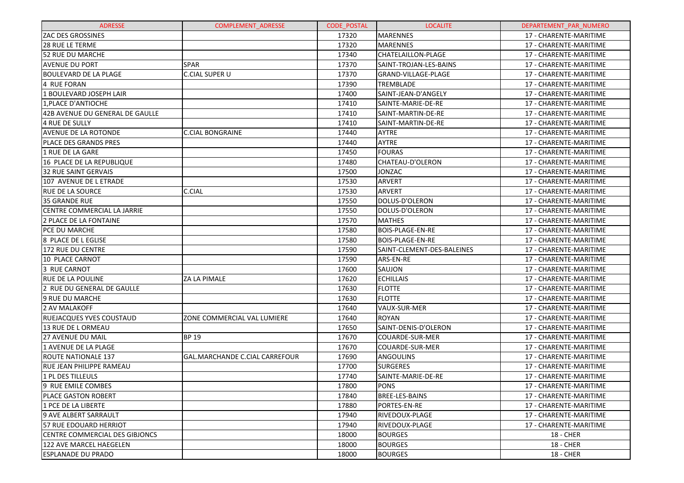| <b>ADRESSE</b>                  | <b>COMPLEMENT ADRESSE</b>          | <b>CODE POSTAL</b> | <b>LOCALITE</b>            | DEPARTEMENT PAR NUMERO |
|---------------------------------|------------------------------------|--------------------|----------------------------|------------------------|
| <b>ZAC DES GROSSINES</b>        |                                    | 17320              | <b>MARENNES</b>            | 17 - CHARENTE-MARITIME |
| <b>28 RUE LE TERME</b>          |                                    | 17320              | <b>MARENNES</b>            | 17 - CHARENTE-MARITIME |
| 52 RUE DU MARCHE                |                                    | 17340              | <b>CHATELAILLON-PLAGE</b>  | 17 - CHARENTE-MARITIME |
| <b>AVENUE DU PORT</b>           | <b>SPAR</b>                        | 17370              | SAINT-TROJAN-LES-BAINS     | 17 - CHARENTE-MARITIME |
| <b>BOULEVARD DE LA PLAGE</b>    | <b>C.CIAL SUPER U</b>              | 17370              | GRAND-VILLAGE-PLAGE        | 17 - CHARENTE-MARITIME |
| 4 RUE FORAN                     |                                    | 17390              | TREMBLADE                  | 17 - CHARENTE-MARITIME |
| 1 BOULEVARD JOSEPH LAIR         |                                    | 17400              | SAINT-JEAN-D'ANGELY        | 17 - CHARENTE-MARITIME |
| 1, PLACE D'ANTIOCHE             |                                    | 17410              | SAINTE-MARIE-DE-RE         | 17 - CHARENTE-MARITIME |
| 42B AVENUE DU GENERAL DE GAULLE |                                    | 17410              | SAINT-MARTIN-DE-RE         | 17 - CHARENTE-MARITIME |
| 4 RUE DE SULLY                  |                                    | 17410              | SAINT-MARTIN-DE-RE         | 17 - CHARENTE-MARITIME |
| <b>AVENUE DE LA ROTONDE</b>     | <b>C.CIAL BONGRAINE</b>            | 17440              | AYTRE                      | 17 - CHARENTE-MARITIME |
| PLACE DES GRANDS PRES           |                                    | 17440              | <b>AYTRE</b>               | 17 - CHARENTE-MARITIME |
| 1 RUE DE LA GARE                |                                    | 17450              | <b>FOURAS</b>              | 17 - CHARENTE-MARITIME |
| 16 PLACE DE LA REPUBLIQUE       |                                    | 17480              | CHATEAU-D'OLERON           | 17 - CHARENTE-MARITIME |
| 32 RUE SAINT GERVAIS            |                                    | 17500              | <b>JONZAC</b>              | 17 - CHARENTE-MARITIME |
| 107 AVENUE DE L ETRADE          |                                    | 17530              | <b>ARVERT</b>              | 17 - CHARENTE-MARITIME |
| <b>RUE DE LA SOURCE</b>         | <b>C.CIAL</b>                      | 17530              | <b>ARVERT</b>              | 17 - CHARENTE-MARITIME |
| 35 GRANDE RUE                   |                                    | 17550              | DOLUS-D'OLERON             | 17 - CHARENTE-MARITIME |
| CENTRE COMMERCIAL LA JARRIE     |                                    | 17550              | DOLUS-D'OLERON             | 17 - CHARENTE-MARITIME |
| 2 PLACE DE LA FONTAINE          |                                    | 17570              | <b>MATHES</b>              | 17 - CHARENTE-MARITIME |
| <b>PCE DU MARCHE</b>            |                                    | 17580              | <b>BOIS-PLAGE-EN-RE</b>    | 17 - CHARENTE-MARITIME |
| 8 PLACE DE L EGLISE             |                                    | 17580              | <b>BOIS-PLAGE-EN-RE</b>    | 17 - CHARENTE-MARITIME |
| 172 RUE DU CENTRE               |                                    | 17590              | SAINT-CLEMENT-DES-BALEINES | 17 - CHARENTE-MARITIME |
| 10 PLACE CARNOT                 |                                    | 17590              | ARS-EN-RE                  | 17 - CHARENTE-MARITIME |
| 3 RUE CARNOT                    |                                    | 17600              | SAUJON                     | 17 - CHARENTE-MARITIME |
| <b>RUE DE LA POULINE</b>        | ZA LA PIMALE                       | 17620              | <b>ECHILLAIS</b>           | 17 - CHARENTE-MARITIME |
| 2 RUE DU GENERAL DE GAULLE      |                                    | 17630              | <b>FLOTTE</b>              | 17 - CHARENTE-MARITIME |
| 9 RUE DU MARCHE                 |                                    | 17630              | <b>FLOTTE</b>              | 17 - CHARENTE-MARITIME |
| 2 AV MALAKOFF                   |                                    | 17640              | VAUX-SUR-MER               | 17 - CHARENTE-MARITIME |
| <b>RUEJACQUES YVES COUSTAUD</b> | <b>ZONE COMMERCIAL VAL LUMIERE</b> | 17640              | <b>ROYAN</b>               | 17 - CHARENTE-MARITIME |
| 13 RUE DE LORMEAU               |                                    | 17650              | SAINT-DENIS-D'OLERON       | 17 - CHARENTE-MARITIME |
| <b>27 AVENUE DU MAIL</b>        | <b>BP 19</b>                       | 17670              | COUARDE-SUR-MER            | 17 - CHARENTE-MARITIME |
| 1 AVENUE DE LA PLAGE            |                                    | 17670              | COUARDE-SUR-MER            | 17 - CHARENTE-MARITIME |
| <b>ROUTE NATIONALE 137</b>      | GAL.MARCHANDE C.CIAL CARREFOUR     | 17690              | <b>ANGOULINS</b>           | 17 - CHARENTE-MARITIME |
| RUE JEAN PHILIPPE RAMEAU        |                                    | 17700              | <b>SURGERES</b>            | 17 - CHARENTE-MARITIME |
| 1 PL DES TILLEULS               |                                    | 17740              | SAINTE-MARIE-DE-RE         | 17 - CHARENTE-MARITIME |
| 9 RUE EMILE COMBES              |                                    | 17800              | PONS                       | 17 - CHARENTE-MARITIME |
| <b>PLACE GASTON ROBERT</b>      |                                    | 17840              | <b>BREE-LES-BAINS</b>      | 17 - CHARENTE-MARITIME |
| l1 PCE DE LA LIBERTE            |                                    | 17880              | PORTES-EN-RE               | 17 - CHARENTE-MARITIME |
| 9 AVE ALBERT SARRAULT           |                                    | 17940              | IRIVEDOUX-PLAGE            | 17 - CHARENTE-MARITIME |
| 57 RUE EDOUARD HERRIOT          |                                    | 17940              | RIVEDOUX-PLAGE             | 17 - CHARENTE-MARITIME |
| CENTRE COMMERCIAL DES GIBJONCS  |                                    | 18000              | <b>BOURGES</b>             | <b>18 - CHER</b>       |
| 122 AVE MARCEL HAEGELEN         |                                    | 18000              | <b>BOURGES</b>             | <b>18 - CHER</b>       |
| ESPLANADE DU PRADO              |                                    | 18000              | <b>BOURGES</b>             | <b>18 - CHER</b>       |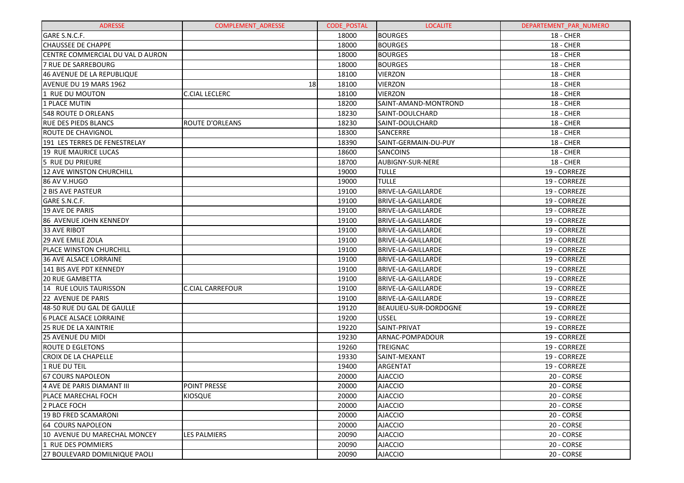| <b>ADRESSE</b>                   | <b>COMPLEMENT ADRESSE</b> | <b>CODE POSTAL</b> | <b>LOCALITE</b>           | DEPARTEMENT PAR NUMERO |
|----------------------------------|---------------------------|--------------------|---------------------------|------------------------|
| GARE S.N.C.F.                    |                           | 18000              | <b>BOURGES</b>            | <b>18 - CHER</b>       |
| <b>CHAUSSEE DE CHAPPE</b>        |                           | 18000              | <b>BOURGES</b>            | <b>18 - CHER</b>       |
| CENTRE COMMERCIAL DU VAL D AURON |                           | 18000              | <b>BOURGES</b>            | <b>18 - CHER</b>       |
| 7 RUE DE SARREBOURG              |                           | 18000              | <b>BOURGES</b>            | <b>18 - CHER</b>       |
| 46 AVENUE DE LA REPUBLIQUE       |                           | 18100              | <b>VIERZON</b>            | <b>18 - CHER</b>       |
| AVENUE DU 19 MARS 1962           | 18                        | 18100              | <b>VIERZON</b>            | <b>18 - CHER</b>       |
| 1 RUE DU MOUTON                  | <b>C.CIAL LECLERC</b>     | 18100              | <b>VIERZON</b>            | <b>18 - CHER</b>       |
| 1 PLACE MUTIN                    |                           | 18200              | SAINT-AMAND-MONTROND      | <b>18 - CHER</b>       |
| 548 ROUTE D ORLEANS              |                           | 18230              | SAINT-DOULCHARD           | <b>18 - CHER</b>       |
| <b>RUE DES PIEDS BLANCS</b>      | <b>ROUTE D'ORLEANS</b>    | 18230              | SAINT-DOULCHARD           | <b>18 - CHER</b>       |
| <b>ROUTE DE CHAVIGNOL</b>        |                           | 18300              | <b>SANCERRE</b>           | <b>18 - CHER</b>       |
| 191 LES TERRES DE FENESTRELAY    |                           | 18390              | SAINT-GERMAIN-DU-PUY      | <b>18 - CHER</b>       |
| 19 RUE MAURICE LUCAS             |                           | 18600              | <b>SANCOINS</b>           | <b>18 - CHER</b>       |
| 5 RUE DU PRIEURE                 |                           | 18700              | AUBIGNY-SUR-NERE          | <b>18 - CHER</b>       |
| 12 AVE WINSTON CHURCHILL         |                           | 19000              | <b>TULLE</b>              | 19 - CORREZE           |
| 86 AV V.HUGO                     |                           | 19000              | <b>TULLE</b>              | 19 - CORREZE           |
| 2 BIS AVE PASTEUR                |                           | 19100              | <b>BRIVE-LA-GAILLARDE</b> | 19 - CORREZE           |
| GARE S.N.C.F.                    |                           | 19100              | BRIVE-LA-GAILLARDE        | 19 - CORREZE           |
| 19 AVE DE PARIS                  |                           | 19100              | <b>BRIVE-LA-GAILLARDE</b> | 19 - CORREZE           |
| 86 AVENUE JOHN KENNEDY           |                           | 19100              | <b>BRIVE-LA-GAILLARDE</b> | 19 - CORREZE           |
| 33 AVE RIBOT                     |                           | 19100              | BRIVE-LA-GAILLARDE        | 19 - CORREZE           |
| <b>29 AVE EMILE ZOLA</b>         |                           | 19100              | BRIVE-LA-GAILLARDE        | 19 - CORREZE           |
| PLACE WINSTON CHURCHILL          |                           | 19100              | <b>BRIVE-LA-GAILLARDE</b> | 19 - CORREZE           |
| <b>36 AVE ALSACE LORRAINE</b>    |                           | 19100              | BRIVE-LA-GAILLARDE        | 19 - CORREZE           |
| 141 BIS AVE PDT KENNEDY          |                           | 19100              | BRIVE-LA-GAILLARDE        | 19 - CORREZE           |
| <b>20 RUE GAMBETTA</b>           |                           | 19100              | BRIVE-LA-GAILLARDE        | 19 - CORREZE           |
| 14 RUE LOUIS TAURISSON           | <b>C.CIAL CARREFOUR</b>   | 19100              | BRIVE-LA-GAILLARDE        | 19 - CORREZE           |
| 22 AVENUE DE PARIS               |                           | 19100              | BRIVE-LA-GAILLARDE        | 19 - CORREZE           |
| 48-50 RUE DU GAL DE GAULLE       |                           | 19120              | BEAULIEU-SUR-DORDOGNE     | 19 - CORREZE           |
| <b>6 PLACE ALSACE LORRAINE</b>   |                           | 19200              | <b>USSEL</b>              | 19 - CORREZE           |
| <b>25 RUE DE LA XAINTRIE</b>     |                           | 19220              | SAINT-PRIVAT              | 19 - CORREZE           |
| <b>25 AVENUE DU MIDI</b>         |                           | 19230              | ARNAC-POMPADOUR           | 19 - CORREZE           |
| ROUTE D EGLETONS                 |                           | 19260              | <b>TREIGNAC</b>           | 19 - CORREZE           |
| <b>CROIX DE LA CHAPELLE</b>      |                           | 19330              | SAINT-MEXANT              | 19 - CORREZE           |
| 1 RUE DU TEIL                    |                           | 19400              | ARGENTAT                  | 19 - CORREZE           |
| <b>67 COURS NAPOLEON</b>         |                           | 20000              | <b>AJACCIO</b>            | 20 - CORSE             |
| 4 AVE DE PARIS DIAMANT III       | <b>POINT PRESSE</b>       | 20000              | <b>AJACCIO</b>            | 20 - CORSE             |
| lPLACE MARECHAL FOCH             | <b>KIOSQUE</b>            | 20000              | <b>AJACCIO</b>            | 20 - CORSE             |
| 2 PLACE FOCH                     |                           | 20000              | <b>AJACCIO</b>            | 20 - CORSE             |
| 19 BD FRED SCAMARONI             |                           | 20000              | <b>AJACCIO</b>            | 20 - CORSE             |
| 64 COURS NAPOLEON                |                           | 20000              | <b>AJACCIO</b>            | 20 - CORSE             |
| 10 AVENUE DU MARECHAL MONCEY     | <b>LES PALMIERS</b>       | 20090              | <b>AJACCIO</b>            | 20 - CORSE             |
| 1 RUE DES POMMIERS               |                           | 20090              | <b>AJACCIO</b>            | 20 - CORSE             |
| 27 BOULEVARD DOMILNIQUE PAOLI    |                           | 20090              | <b>AJACCIO</b>            | 20 - CORSE             |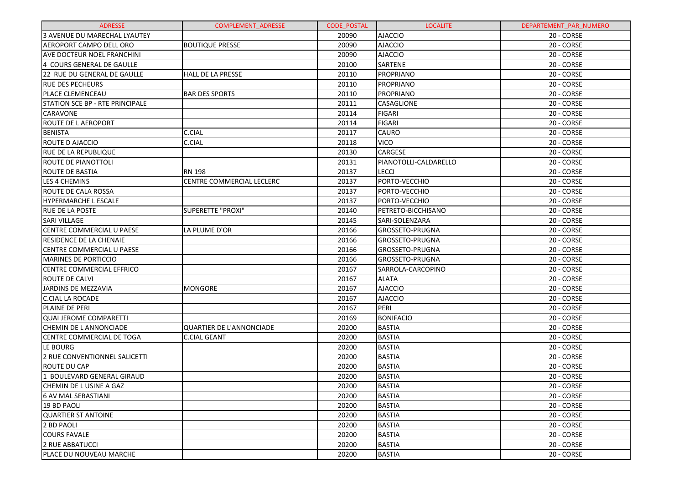| <b>ADRESSE</b>                    | <b>COMPLEMENT ADRESSE</b>       | <b>CODE POSTAL</b> | <b>LOCALITE</b>       | DEPARTEMENT_PAR_NUMERO |
|-----------------------------------|---------------------------------|--------------------|-----------------------|------------------------|
| 3 AVENUE DU MARECHAL LYAUTEY      |                                 | 20090              | <b>AJACCIO</b>        | 20 - CORSE             |
| AEROPORT CAMPO DELL ORO           | <b>BOUTIQUE PRESSE</b>          | 20090              | <b>AJACCIO</b>        | 20 - CORSE             |
| <b>AVE DOCTEUR NOEL FRANCHINI</b> |                                 | 20090              | <b>AJACCIO</b>        | 20 - CORSE             |
| 4 COURS GENERAL DE GAULLE         |                                 | 20100              | SARTENE               | 20 - CORSE             |
| 22 RUE DU GENERAL DE GAULLE       | <b>HALL DE LA PRESSE</b>        | 20110              | PROPRIANO             | 20 - CORSE             |
| <b>RUE DES PECHEURS</b>           |                                 | 20110              | PROPRIANO             | 20 - CORSE             |
| <b>PLACE CLEMENCEAU</b>           | <b>BAR DES SPORTS</b>           | 20110              | PROPRIANO             | 20 - CORSE             |
| STATION SCE BP - RTE PRINCIPALE   |                                 | 20111              | <b>CASAGLIONE</b>     | 20 - CORSE             |
| <b>CARAVONE</b>                   |                                 | 20114              | <b>FIGARI</b>         | 20 - CORSE             |
| ROUTE DE L AEROPORT               |                                 | 20114              | <b>FIGARI</b>         | 20 - CORSE             |
| <b>BENISTA</b>                    | C.CIAL                          | 20117              | <b>CAURO</b>          | 20 - CORSE             |
| <b>ROUTE D AJACCIO</b>            | C.CIAL                          | 20118              | <b>VICO</b>           | 20 - CORSE             |
| <b>RUE DE LA REPUBLIQUE</b>       |                                 | 20130              | <b>CARGESE</b>        | 20 - CORSE             |
| ROUTE DE PIANOTTOLI               |                                 | 20131              | PIANOTOLLI-CALDARELLO | 20 - CORSE             |
| <b>ROUTE DE BASTIA</b>            | <b>RN 198</b>                   | 20137              | <b>LECCI</b>          | 20 - CORSE             |
| LES 4 CHEMINS                     | CENTRE COMMERCIAL LECLERC       | 20137              | PORTO-VECCHIO         | 20 - CORSE             |
| <b>ROUTE DE CALA ROSSA</b>        |                                 | 20137              | PORTO-VECCHIO         | 20 - CORSE             |
| <b>HYPERMARCHE L ESCALE</b>       |                                 | 20137              | PORTO-VECCHIO         | 20 - CORSE             |
| <b>RUE DE LA POSTE</b>            | SUPERETTE "PROXI"               | 20140              | PETRETO-BICCHISANO    | 20 - CORSE             |
| <b>SARI VILLAGE</b>               |                                 | 20145              | SARI-SOLENZARA        | 20 - CORSE             |
| CENTRE COMMERCIAL U PAESE         | LA PLUME D'OR                   | 20166              | GROSSETO-PRUGNA       | 20 - CORSE             |
| <b>RESIDENCE DE LA CHENAIE</b>    |                                 | 20166              | GROSSETO-PRUGNA       | 20 - CORSE             |
| CENTRE COMMERCIAL U PAESE         |                                 | 20166              | GROSSETO-PRUGNA       | 20 - CORSE             |
| <b>MARINES DE PORTICCIO</b>       |                                 | 20166              | GROSSETO-PRUGNA       | 20 - CORSE             |
| <b>CENTRE COMMERCIAL EFFRICO</b>  |                                 | 20167              | SARROLA-CARCOPINO     | 20 - CORSE             |
| <b>ROUTE DE CALVI</b>             |                                 | 20167              | <b>ALATA</b>          | 20 - CORSE             |
| JARDINS DE MEZZAVIA               | <b>MONGORE</b>                  | 20167              | <b>AJACCIO</b>        | 20 - CORSE             |
| <b>C.CIAL LA ROCADE</b>           |                                 | 20167              | <b>AJACCIO</b>        | 20 - CORSE             |
| PLAINE DE PERI                    |                                 | 20167              | PERI                  | 20 - CORSE             |
| QUAI JEROME COMPARETTI            |                                 | 20169              | <b>BONIFACIO</b>      | 20 - CORSE             |
| CHEMIN DE LANNONCIADE             | <b>QUARTIER DE L'ANNONCIADE</b> | 20200              | <b>BASTIA</b>         | 20 - CORSE             |
| CENTRE COMMERCIAL DE TOGA         | <b>C.CIAL GEANT</b>             | 20200              | <b>BASTIA</b>         | 20 - CORSE             |
| LE BOURG                          |                                 | 20200              | <b>BASTIA</b>         | 20 - CORSE             |
| 2 RUE CONVENTIONNEL SALICETTI     |                                 | 20200              | <b>BASTIA</b>         | 20 - CORSE             |
| <b>ROUTE DU CAP</b>               |                                 | 20200              | <b>BASTIA</b>         | 20 - CORSE             |
| 1 BOULEVARD GENERAL GIRAUD        |                                 | 20200              | <b>BASTIA</b>         | 20 - CORSE             |
| CHEMIN DE LUSINE A GAZ            |                                 | 20200              | <b>BASTIA</b>         | 20 - CORSE             |
| 16 AV MAL SEBASTIANI              |                                 | 20200              | <b>BASTIA</b>         | 20 - CORSE             |
| 19 BD PAOLI                       |                                 | 20200              | <b>BASTIA</b>         | 20 - CORSE             |
| <b>QUARTIER ST ANTOINE</b>        |                                 | 20200              | <b>BASTIA</b>         | 20 - CORSE             |
| 2 BD PAOLI                        |                                 | 20200              | <b>BASTIA</b>         | 20 - CORSE             |
| <b>COURS FAVALE</b>               |                                 | 20200              | <b>BASTIA</b>         | 20 - CORSE             |
| 2 RUE ABBATUCCI                   |                                 | 20200              | <b>BASTIA</b>         | 20 - CORSE             |
| PLACE DU NOUVEAU MARCHE           |                                 | 20200              | <b>BASTIA</b>         | 20 - CORSE             |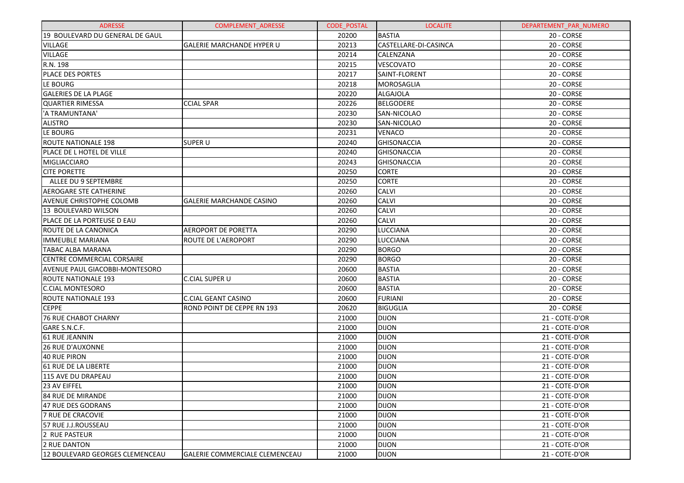| <b>ADRESSE</b>                  | <b>COMPLEMENT ADRESSE</b>        | <b>CODE POSTAL</b> | <b>LOCALITE</b>       | DEPARTEMENT_PAR_NUMERO |
|---------------------------------|----------------------------------|--------------------|-----------------------|------------------------|
| 19 BOULEVARD DU GENERAL DE GAUL |                                  | 20200              | <b>BASTIA</b>         | 20 - CORSE             |
| <b>VILLAGE</b>                  | <b>GALERIE MARCHANDE HYPER U</b> | 20213              | CASTELLARE-DI-CASINCA | 20 - CORSE             |
| <b>VILLAGE</b>                  |                                  | 20214              | CALENZANA             | 20 - CORSE             |
| R.N. 198                        |                                  | 20215              | VESCOVATO             | 20 - CORSE             |
| PLACE DES PORTES                |                                  | 20217              | SAINT-FLORENT         | 20 - CORSE             |
| <b>LE BOURG</b>                 |                                  | 20218              | MOROSAGLIA            | 20 - CORSE             |
| <b>GALERIES DE LA PLAGE</b>     |                                  | 20220              | ALGAJOLA              | 20 - CORSE             |
| <b>QUARTIER RIMESSA</b>         | <b>CCIAL SPAR</b>                | 20226              | <b>BELGODERE</b>      | 20 - CORSE             |
| 'A TRAMUNTANA'                  |                                  | 20230              | SAN-NICOLAO           | 20 - CORSE             |
| <b>ALISTRO</b>                  |                                  | 20230              | SAN-NICOLAO           | 20 - CORSE             |
| LE BOURG                        |                                  | 20231              | <b>VENACO</b>         | 20 - CORSE             |
| <b>ROUTE NATIONALE 198</b>      | <b>SUPER U</b>                   | 20240              | <b>GHISONACCIA</b>    | 20 - CORSE             |
| PLACE DE L HOTEL DE VILLE       |                                  | 20240              | <b>GHISONACCIA</b>    | 20 - CORSE             |
| MIGLIACCIARO                    |                                  | 20243              | <b>GHISONACCIA</b>    | 20 - CORSE             |
| <b>CITE PORETTE</b>             |                                  | 20250              | <b>CORTE</b>          | 20 - CORSE             |
| ALLEE DU 9 SEPTEMBRE            |                                  | 20250              | <b>CORTE</b>          | 20 - CORSE             |
| <b>AEROGARE STE CATHERINE</b>   |                                  | 20260              | <b>CALVI</b>          | 20 - CORSE             |
| AVENUE CHRISTOPHE COLOMB        | <b>GALERIE MARCHANDE CASINO</b>  | 20260              | <b>CALVI</b>          | 20 - CORSE             |
| 13 BOULEVARD WILSON             |                                  | 20260              | <b>CALVI</b>          | 20 - CORSE             |
| PLACE DE LA PORTEUSE D EAU      |                                  | 20260              | CALVI                 | 20 - CORSE             |
| ROUTE DE LA CANONICA            | <b>AEROPORT DE PORETTA</b>       | 20290              | <b>LUCCIANA</b>       | 20 - CORSE             |
| <b>IMMEUBLE MARIANA</b>         | <b>ROUTE DE L'AEROPORT</b>       | 20290              | LUCCIANA              | 20 - CORSE             |
| TABAC ALBA MARANA               |                                  | 20290              | <b>BORGO</b>          | 20 - CORSE             |
| CENTRE COMMERCIAL CORSAIRE      |                                  | 20290              | <b>BORGO</b>          | 20 - CORSE             |
| AVENUE PAUL GIACOBBI-MONTESORO  |                                  | 20600              | <b>BASTIA</b>         | 20 - CORSE             |
| <b>ROUTE NATIONALE 193</b>      | <b>C.CIAL SUPER U</b>            | 20600              | <b>BASTIA</b>         | 20 - CORSE             |
| <b>C.CIAL MONTESORO</b>         |                                  | 20600              | <b>BASTIA</b>         | 20 - CORSE             |
| <b>ROUTE NATIONALE 193</b>      | <b>C.CIAL GEANT CASINO</b>       | 20600              | <b>FURIANI</b>        | 20 - CORSE             |
| <b>CEPPE</b>                    | ROND POINT DE CEPPE RN 193       | 20620              | <b>BIGUGLIA</b>       | 20 - CORSE             |
| <b>76 RUE CHABOT CHARNY</b>     |                                  | 21000              | <b>DIJON</b>          | 21 - COTE-D'OR         |
| GARE S.N.C.F.                   |                                  | 21000              | <b>DIJON</b>          | 21 - COTE-D'OR         |
| 61 RUE JEANNIN                  |                                  | 21000              | <b>DIJON</b>          | 21 - COTE-D'OR         |
| <b>26 RUE D'AUXONNE</b>         |                                  | 21000              | <b>DIJON</b>          | 21 - COTE-D'OR         |
| <b>40 RUE PIRON</b>             |                                  | 21000              | <b>DIJON</b>          | 21 - COTE-D'OR         |
| 61 RUE DE LA LIBERTE            |                                  | 21000              | <b>DIJON</b>          | 21 - COTE-D'OR         |
| 115 AVE DU DRAPEAU              |                                  | 21000              | <b>DIJON</b>          | 21 - COTE-D'OR         |
| 23 AV EIFFEL                    |                                  | 21000              | <b>DIJON</b>          | 21 - COTE-D'OR         |
| 84 RUE DE MIRANDE               |                                  | 21000              | <b>DIJON</b>          | 21 - COTE-D'OR         |
| 47 RUE DES GODRANS              |                                  | 21000              | <b>DIJON</b>          | 21 - COTE-D'OR         |
| 7 RUE DE CRACOVIE               |                                  | 21000              | <b>DIJON</b>          | 21 - COTE-D'OR         |
| 57 RUE J.J.ROUSSEAU             |                                  | 21000              | <b>DIJON</b>          | 21 - COTE-D'OR         |
| 2 RUE PASTEUR                   |                                  | 21000              | <b>DIJON</b>          | 21 - COTE-D'OR         |
| 2 RUE DANTON                    |                                  | 21000              | <b>DIJON</b>          | 21 - COTE-D'OR         |
| 12 BOULEVARD GEORGES CLEMENCEAU | GALERIE COMMERCIALE CLEMENCEAU   | 21000              | <b>DIJON</b>          | 21 - COTE-D'OR         |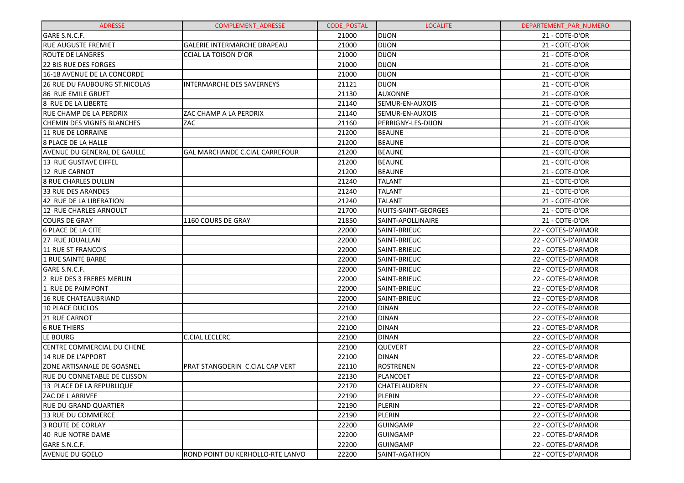| <b>ADRESSE</b>                      | <b>COMPLEMENT ADRESSE</b>             | <b>CODE POSTAL</b> | <b>LOCALITE</b>     | DEPARTEMENT_PAR_NUMERO |
|-------------------------------------|---------------------------------------|--------------------|---------------------|------------------------|
| GARE S.N.C.F.                       |                                       | 21000              | <b>DIJON</b>        | 21 - COTE-D'OR         |
| <b>RUE AUGUSTE FREMIET</b>          | <b>GALERIE INTERMARCHE DRAPEAU</b>    | 21000              | <b>DIJON</b>        | 21 - COTE-D'OR         |
| <b>ROUTE DE LANGRES</b>             | <b>CCIAL LA TOISON D'OR</b>           | 21000              | <b>DIJON</b>        | 21 - COTE-D'OR         |
| 22 BIS RUE DES FORGES               |                                       | 21000              | <b>DIJON</b>        | 21 - COTE-D'OR         |
| 16-18 AVENUE DE LA CONCORDE         |                                       | 21000              | <b>DIJON</b>        | 21 - COTE-D'OR         |
| 26 RUE DU FAUBOURG ST.NICOLAS       | <b>INTERMARCHE DES SAVERNEYS</b>      | 21121              | <b>DIJON</b>        | 21 - COTE-D'OR         |
| 86 RUE EMILE GRUET                  |                                       | 21130              | <b>AUXONNE</b>      | 21 - COTE-D'OR         |
| 8 RUE DE LA LIBERTE                 |                                       | 21140              | SEMUR-EN-AUXOIS     | 21 - COTE-D'OR         |
| RUE CHAMP DE LA PERDRIX             | ZAC CHAMP A LA PERDRIX                | 21140              | SEMUR-EN-AUXOIS     | 21 - COTE-D'OR         |
| <b>CHEMIN DES VIGNES BLANCHES</b>   | ZAC                                   | 21160              | PERRIGNY-LES-DIJON  | 21 - COTE-D'OR         |
| 11 RUE DE LORRAINE                  |                                       | 21200              | <b>BEAUNE</b>       | 21 - COTE-D'OR         |
| <b>8 PLACE DE LA HALLE</b>          |                                       | 21200              | <b>BEAUNE</b>       | 21 - COTE-D'OR         |
| <b>AVENUE DU GENERAL DE GAULLE</b>  | <b>GAL MARCHANDE C.CIAL CARREFOUR</b> | 21200              | <b>BEAUNE</b>       | 21 - COTE-D'OR         |
| 13 RUE GUSTAVE EIFFEL               |                                       | 21200              | <b>BEAUNE</b>       | 21 - COTE-D'OR         |
| 12 RUE CARNOT                       |                                       | 21200              | <b>BEAUNE</b>       | 21 - COTE-D'OR         |
| <b>8 RUE CHARLES DULLIN</b>         |                                       | 21240              | <b>TALANT</b>       | 21 - COTE-D'OR         |
| 33 RUE DES ARANDES                  |                                       | 21240              | <b>TALANT</b>       | 21 - COTE-D'OR         |
| 42 RUE DE LA LIBERATION             |                                       | 21240              | <b>TALANT</b>       | 21 - COTE-D'OR         |
| 12 RUE CHARLES ARNOULT              |                                       | 21700              | NUITS-SAINT-GEORGES | 21 - COTE-D'OR         |
| <b>COURS DE GRAY</b>                | 1160 COURS DE GRAY                    | 21850              | SAINT-APOLLINAIRE   | 21 - COTE-D'OR         |
| 6 PLACE DE LA CITE                  |                                       | 22000              | SAINT-BRIEUC        | 22 - COTES-D'ARMOR     |
| 27 RUE JOUALLAN                     |                                       | 22000              | SAINT-BRIEUC        | 22 - COTES-D'ARMOR     |
| 11 RUE ST FRANCOIS                  |                                       | 22000              | SAINT-BRIEUC        | 22 - COTES-D'ARMOR     |
| 1 RUE SAINTE BARBE                  |                                       | 22000              | SAINT-BRIEUC        | 22 - COTES-D'ARMOR     |
| GARE S.N.C.F.                       |                                       | 22000              | SAINT-BRIEUC        | 22 - COTES-D'ARMOR     |
| 2 RUE DES 3 FRERES MERLIN           |                                       | 22000              | SAINT-BRIEUC        | 22 - COTES-D'ARMOR     |
| 1 RUE DE PAIMPONT                   |                                       | 22000              | SAINT-BRIEUC        | 22 - COTES-D'ARMOR     |
| 16 RUE CHATEAUBRIAND                |                                       | 22000              | SAINT-BRIEUC        | 22 - COTES-D'ARMOR     |
| 10 PLACE DUCLOS                     |                                       | 22100              | <b>DINAN</b>        | 22 - COTES-D'ARMOR     |
| 21 RUE CARNOT                       |                                       | 22100              | <b>DINAN</b>        | 22 - COTES-D'ARMOR     |
| <b>6 RUE THIERS</b>                 |                                       | 22100              | <b>DINAN</b>        | 22 - COTES-D'ARMOR     |
| LE BOURG                            | <b>C.CIAL LECLERC</b>                 | 22100              | <b>DINAN</b>        | 22 - COTES-D'ARMOR     |
| CENTRE COMMERCIAL DU CHENE          |                                       | 22100              | <b>QUEVERT</b>      | 22 - COTES-D'ARMOR     |
| 14 RUE DE L'APPORT                  |                                       | 22100              | <b>DINAN</b>        | 22 - COTES-D'ARMOR     |
| ZONE ARTISANALE DE GOASNEL          | PRAT STANGOERIN C.CIAL CAP VERT       | 22110              | ROSTRENEN           | 22 - COTES-D'ARMOR     |
| <b>RUE DU CONNETABLE DE CLISSON</b> |                                       | 22130              | PLANCOET            | 22 - COTES-D'ARMOR     |
| 13 PLACE DE LA REPUBLIQUE           |                                       | 22170              | <b>CHATELAUDREN</b> | 22 - COTES-D'ARMOR     |
| ZAC DE L ARRIVEE                    |                                       | 22190              | PLERIN              | 22 - COTES-D'ARMOR     |
| <b>RUE DU GRAND QUARTIER</b>        |                                       | 22190              | PLERIN              | 22 - COTES-D'ARMOR     |
| 13 RUE DU COMMERCE                  |                                       | 22190              | PLERIN              | 22 - COTES-D'ARMOR     |
| <b>3 ROUTE DE CORLAY</b>            |                                       | 22200              | <b>GUINGAMP</b>     | 22 - COTES-D'ARMOR     |
| 40 RUE NOTRE DAME                   |                                       | 22200              | GUINGAMP            | 22 - COTES-D'ARMOR     |
| GARE S.N.C.F.                       |                                       | 22200              | GUINGAMP            | 22 - COTES-D'ARMOR     |
| <b>AVENUE DU GOELO</b>              | ROND POINT DU KERHOLLO-RTE LANVO      | 22200              | SAINT-AGATHON       | 22 - COTES-D'ARMOR     |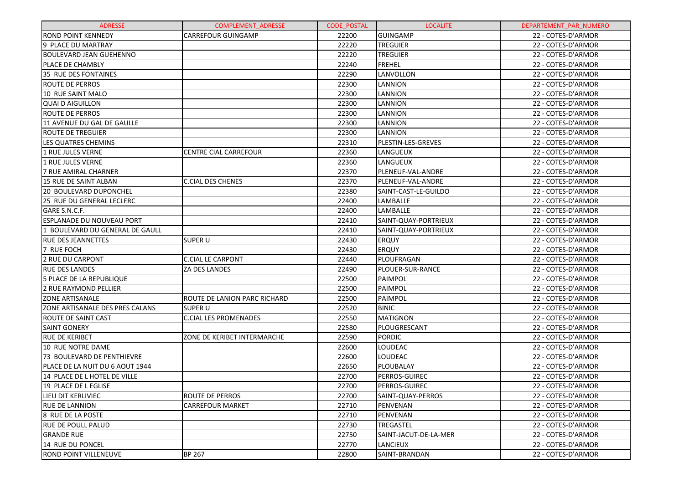| <b>ADRESSE</b>                  | <b>COMPLEMENT ADRESSE</b>    | <b>CODE POSTAL</b> | <b>LOCALITE</b>       | DEPARTEMENT PAR NUMERO |
|---------------------------------|------------------------------|--------------------|-----------------------|------------------------|
| <b>ROND POINT KENNEDY</b>       | <b>CARREFOUR GUINGAMP</b>    | 22200              | <b>GUINGAMP</b>       | 22 - COTES-D'ARMOR     |
| 9 PLACE DU MARTRAY              |                              | 22220              | <b>TREGUIER</b>       | 22 - COTES-D'ARMOR     |
| <b>BOULEVARD JEAN GUEHENNO</b>  |                              | 22220              | <b>TREGUIER</b>       | 22 - COTES-D'ARMOR     |
| PLACE DE CHAMBLY                |                              | 22240              | FREHEL                | 22 - COTES-D'ARMOR     |
| 35 RUE DES FONTAINES            |                              | 22290              | LANVOLLON             | 22 - COTES-D'ARMOR     |
| <b>ROUTE DE PERROS</b>          |                              | 22300              | LANNION               | 22 - COTES-D'ARMOR     |
| 10 RUE SAINT MALO               |                              | 22300              | LANNION               | 22 - COTES-D'ARMOR     |
| <b>QUAI D AIGUILLON</b>         |                              | 22300              | LANNION               | 22 - COTES-D'ARMOR     |
| <b>ROUTE DE PERROS</b>          |                              | 22300              | LANNION               | 22 - COTES-D'ARMOR     |
| 11 AVENUE DU GAL DE GAULLE      |                              | 22300              | LANNION               | 22 - COTES-D'ARMOR     |
| ROUTE DE TREGUIER               |                              | 22300              | <b>LANNION</b>        | 22 - COTES-D'ARMOR     |
| <b>LES QUATRES CHEMINS</b>      |                              | 22310              | PLESTIN-LES-GREVES    | 22 - COTES-D'ARMOR     |
| 1 RUE JULES VERNE               | <b>CENTRE CIAL CARREFOUR</b> | 22360              | LANGUEUX              | 22 - COTES-D'ARMOR     |
| 1 RUE JULES VERNE               |                              | 22360              | LANGUEUX              | 22 - COTES-D'ARMOR     |
| 7 RUE AMIRAL CHARNER            |                              | 22370              | PLENEUF-VAL-ANDRE     | 22 - COTES-D'ARMOR     |
| 15 RUE DE SAINT ALBAN           | <b>C.CIAL DES CHENES</b>     | 22370              | PLENEUF-VAL-ANDRE     | 22 - COTES-D'ARMOR     |
| <b>20 BOULEVARD DUPONCHEL</b>   |                              | 22380              | SAINT-CAST-LE-GUILDO  | 22 - COTES-D'ARMOR     |
| 25 RUE DU GENERAL LECLERC       |                              | 22400              | LAMBALLE              | 22 - COTES-D'ARMOR     |
| GARE S.N.C.F.                   |                              | 22400              | LAMBALLE              | 22 - COTES-D'ARMOR     |
| ESPLANADE DU NOUVEAU PORT       |                              | 22410              | SAINT-QUAY-PORTRIEUX  | 22 - COTES-D'ARMOR     |
| 1 BOULEVARD DU GENERAL DE GAULL |                              | 22410              | SAINT-QUAY-PORTRIEUX  | 22 - COTES-D'ARMOR     |
| <b>RUE DES JEANNETTES</b>       | SUPER U                      | 22430              | <b>ERQUY</b>          | 22 - COTES-D'ARMOR     |
| 7 RUE FOCH                      |                              | 22430              | <b>ERQUY</b>          | 22 - COTES-D'ARMOR     |
| 2 RUE DU CARPONT                | <b>C.CIAL LE CARPONT</b>     | 22440              | PLOUFRAGAN            | 22 - COTES-D'ARMOR     |
| <b>RUE DES LANDES</b>           | <b>ZA DES LANDES</b>         | 22490              | PLOUER-SUR-RANCE      | 22 - COTES-D'ARMOR     |
| 5 PLACE DE LA REPUBLIQUE        |                              | 22500              | PAIMPOL               | 22 - COTES-D'ARMOR     |
| 2 RUE RAYMOND PELLIER           |                              | 22500              | PAIMPOL               | 22 - COTES-D'ARMOR     |
| <b>ZONE ARTISANALE</b>          | ROUTE DE LANION PARC RICHARD | 22500              | PAIMPOL               | 22 - COTES-D'ARMOR     |
| ZONE ARTISANALE DES PRES CALANS | <b>SUPER U</b>               | 22520              | <b>BINIC</b>          | 22 - COTES-D'ARMOR     |
| <b>ROUTE DE SAINT CAST</b>      | <b>C.CIAL LES PROMENADES</b> | 22550              | MATIGNON              | 22 - COTES-D'ARMOR     |
| <b>SAINT GONERY</b>             |                              | 22580              | PLOUGRESCANT          | 22 - COTES-D'ARMOR     |
| <b>RUE DE KERIBET</b>           | ZONE DE KERIBET INTERMARCHE  | 22590              | PORDIC                | 22 - COTES-D'ARMOR     |
| 10 RUE NOTRE DAME               |                              | 22600              | LOUDEAC               | 22 - COTES-D'ARMOR     |
| 73 BOULEVARD DE PENTHIEVRE      |                              | 22600              | <b>LOUDEAC</b>        | 22 - COTES-D'ARMOR     |
| PLACE DE LA NUIT DU 6 AOUT 1944 |                              | 22650              | PLOUBALAY             | 22 - COTES-D'ARMOR     |
| 14 PLACE DE L HOTEL DE VILLE    |                              | 22700              | PERROS-GUIREC         | 22 - COTES-D'ARMOR     |
| 19 PLACE DE L EGLISE            |                              | 22700              | PERROS-GUIREC         | 22 - COTES-D'ARMOR     |
| LIEU DIT KERLIVIEC              | <b>ROUTE DE PERROS</b>       | 22700              | SAINT-QUAY-PERROS     | 22 - COTES-D'ARMOR     |
| <b>RUE DE LANNION</b>           | <b>CARREFOUR MARKET</b>      | 22710              | PENVENAN              | 22 - COTES-D'ARMOR     |
| 8 RUE DE LA POSTE               |                              | 22710              | PENVENAN              | 22 - COTES-D'ARMOR     |
| <b>RUE DE POULL PALUD</b>       |                              | 22730              | <b>TREGASTEL</b>      | 22 - COTES-D'ARMOR     |
| <b>GRANDE RUE</b>               |                              | 22750              | SAINT-JACUT-DE-LA-MER | 22 - COTES-D'ARMOR     |
| 14 RUE DU PONCEL                |                              | 22770              | <b>LANCIEUX</b>       | 22 - COTES-D'ARMOR     |
| <b>ROND POINT VILLENEUVE</b>    | <b>BP 267</b>                | 22800              | SAINT-BRANDAN         | 22 - COTES-D'ARMOR     |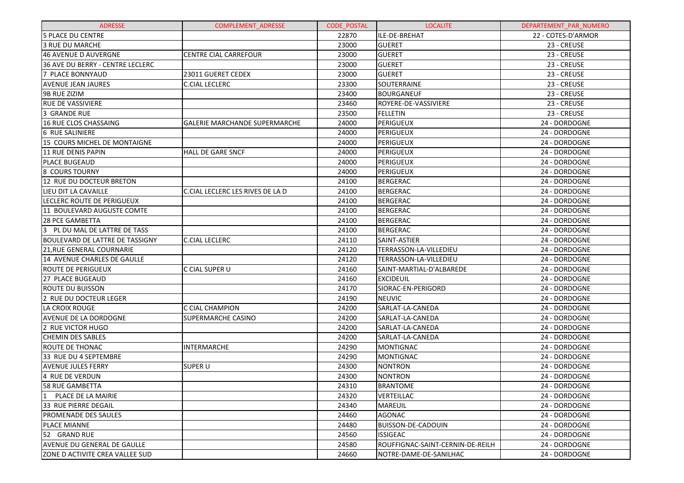| <b>ADRESSE</b>                    | <b>COMPLEMENT ADRESSE</b>            | <b>CODE POSTAL</b> | <b>LOCALITE</b>                  | DEPARTEMENT_PAR_NUMERO |
|-----------------------------------|--------------------------------------|--------------------|----------------------------------|------------------------|
| <b>5 PLACE DU CENTRE</b>          |                                      | 22870              | ILE-DE-BREHAT                    | 22 - COTES-D'ARMOR     |
| 3 RUE DU MARCHE                   |                                      | 23000              | <b>GUERET</b>                    | 23 - CREUSE            |
| 46 AVENUE D AUVERGNE              | <b>CENTRE CIAL CARREFOUR</b>         | 23000              | <b>GUERET</b>                    | 23 - CREUSE            |
| 36 AVE DU BERRY - CENTRE LECLERC  |                                      | 23000              | <b>GUERET</b>                    | 23 - CREUSE            |
| 7 PLACE BONNYAUD                  | 23011 GUERET CEDEX                   | 23000              | <b>GUERET</b>                    | 23 - CREUSE            |
| <b>AVENUE JEAN JAURES</b>         | <b>C.CIAL LECLERC</b>                | 23300              | SOUTERRAINE                      | 23 - CREUSE            |
| 9B RUE ZIZIM                      |                                      | 23400              | <b>BOURGANEUF</b>                | 23 - CREUSE            |
| <b>RUE DE VASSIVIERE</b>          |                                      | 23460              | ROYERE-DE-VASSIVIERE             | 23 - CREUSE            |
| 3 GRANDE RUE                      |                                      | 23500              | <b>FELLETIN</b>                  | 23 - CREUSE            |
| 16 RUE CLOS CHASSAING             | <b>GALERIE MARCHANDE SUPERMARCHE</b> | 24000              | PERIGUEUX                        | 24 - DORDOGNE          |
| 6 RUE SALINIERE                   |                                      | 24000              | PERIGUEUX                        | 24 - DORDOGNE          |
| 15 COURS MICHEL DE MONTAIGNE      |                                      | 24000              | PERIGUEUX                        | 24 - DORDOGNE          |
| 11 RUE DENIS PAPIN                | <b>HALL DE GARE SNCF</b>             | 24000              | PERIGUEUX                        | 24 - DORDOGNE          |
| <b>PLACE BUGEAUD</b>              |                                      | 24000              | PERIGUEUX                        | 24 - DORDOGNE          |
| 8 COURS TOURNY                    |                                      | 24000              | PERIGUEUX                        | 24 - DORDOGNE          |
| 12 RUE DU DOCTEUR BRETON          |                                      | 24100              | <b>BERGERAC</b>                  | 24 - DORDOGNE          |
| LIEU DIT LA CAVAILLE              | C.CIAL LECLERC LES RIVES DE LA D     | 24100              | <b>BERGERAC</b>                  | 24 - DORDOGNE          |
| LECLERC ROUTE DE PERIGUEUX        |                                      | 24100              | <b>BERGERAC</b>                  | 24 - DORDOGNE          |
| 11 BOULEVARD AUGUSTE COMTE        |                                      | 24100              | <b>BERGERAC</b>                  | 24 - DORDOGNE          |
| 28 PCE GAMBETTA                   |                                      | 24100              | <b>BERGERAC</b>                  | 24 - DORDOGNE          |
| PL DU MAL DE LATTRE DE TASS<br>13 |                                      | 24100              | <b>BERGERAC</b>                  | 24 - DORDOGNE          |
| BOULEVARD DE LATTRE DE TASSIGNY   | <b>C.CIAL LECLERC</b>                | 24110              | SAINT-ASTIER                     | 24 - DORDOGNE          |
| 21, RUE GENERAL COURNARIE         |                                      | 24120              | TERRASSON-LA-VILLEDIEU           | 24 - DORDOGNE          |
| 14 AVENUE CHARLES DE GAULLE       |                                      | 24120              | TERRASSON-LA-VILLEDIEU           | 24 - DORDOGNE          |
| ROUTE DE PERIGUEUX                | C CIAL SUPER U                       | 24160              | SAINT-MARTIAL-D'ALBAREDE         | 24 - DORDOGNE          |
| 27 PLACE BUGEAUD                  |                                      | 24160              | <b>EXCIDEUIL</b>                 | 24 - DORDOGNE          |
| ROUTE DU BUISSON                  |                                      | 24170              | SIORAC-EN-PERIGORD               | 24 - DORDOGNE          |
| 2 RUE DU DOCTEUR LEGER            |                                      | 24190              | <b>NEUVIC</b>                    | 24 - DORDOGNE          |
| LA CROIX ROUGE                    | C CIAL CHAMPION                      | 24200              | SARLAT-LA-CANEDA                 | 24 - DORDOGNE          |
| <b>AVENUE DE LA DORDOGNE</b>      | <b>SUPERMARCHE CASINO</b>            | 24200              | SARLAT-LA-CANEDA                 | 24 - DORDOGNE          |
| 2 RUE VICTOR HUGO                 |                                      | 24200              | SARLAT-LA-CANEDA                 | 24 - DORDOGNE          |
| <b>CHEMIN DES SABLES</b>          |                                      | 24200              | SARLAT-LA-CANEDA                 | 24 - DORDOGNE          |
| ROUTE DE THONAC                   | <b>INTERMARCHE</b>                   | 24290              | <b>MONTIGNAC</b>                 | 24 - DORDOGNE          |
| 33 RUE DU 4 SEPTEMBRE             |                                      | 24290              | <b>MONTIGNAC</b>                 | 24 - DORDOGNE          |
| <b>AVENUE JULES FERRY</b>         | <b>SUPER U</b>                       | 24300              | <b>NONTRON</b>                   | 24 - DORDOGNE          |
| 4 RUE DE VERDUN                   |                                      | 24300              | <b>NONTRON</b>                   | 24 - DORDOGNE          |
| 58 RUE GAMBETTA                   |                                      | 24310              | <b>BRANTOME</b>                  | 24 - DORDOGNE          |
| PLACE DE LA MAIRIE                |                                      | 24320              | <b>VERTEILLAC</b>                | 24 - DORDOGNE          |
| 33 RUE PIERRE DEGAIL              |                                      | 24340              | <b>MAREUIL</b>                   | 24 - DORDOGNE          |
| PROMENADE DES SAULES              |                                      | 24460              | AGONAC                           | 24 - DORDOGNE          |
| PLACE MIANNE                      |                                      | 24480              | <b>BUISSON-DE-CADOUIN</b>        | 24 - DORDOGNE          |
| 52 GRAND RUE                      |                                      | 24560              | <b>ISSIGEAC</b>                  | 24 - DORDOGNE          |
| AVENUE DU GENERAL DE GAULLE       |                                      | 24580              | ROUFFIGNAC-SAINT-CERNIN-DE-REILH | 24 - DORDOGNE          |
| IZONE D ACTIVITE CREA VALLEE SUD  |                                      | 24660              | NOTRE-DAME-DE-SANILHAC           | 24 - DORDOGNE          |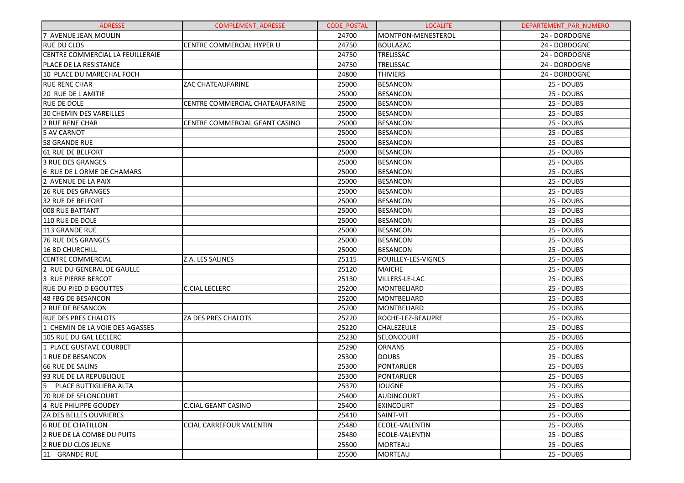| <b>ADRESSE</b>                          | <b>COMPLEMENT ADRESSE</b>       | <b>CODE POSTAL</b> | <b>LOCALITE</b>            | DEPARTEMENT PAR NUMERO |
|-----------------------------------------|---------------------------------|--------------------|----------------------------|------------------------|
| 7 AVENUE JEAN MOULIN                    |                                 | 24700              | MONTPON-MENESTEROL         | 24 - DORDOGNE          |
| RUE DU CLOS                             | CENTRE COMMERCIAL HYPER U       | 24750              | <b>BOULAZAC</b>            | 24 - DORDOGNE          |
| <b>CENTRE COMMERCIAL LA FEUILLERAIE</b> |                                 | 24750              | TRELISSAC                  | 24 - DORDOGNE          |
| IPLACE DE LA RESISTANCE                 |                                 | 24750              | TRELISSAC                  | 24 - DORDOGNE          |
| 10 PLACE DU MARECHAL FOCH               |                                 | 24800              | <b>THIVIERS</b>            | 24 - DORDOGNE          |
| <b>RUE RENE CHAR</b>                    | <b>ZAC CHATEAUFARINE</b>        | 25000              | <b>BESANCON</b>            | 25 - DOUBS             |
| <b>20 RUE DE L AMITIE</b>               |                                 | 25000              | <b>BESANCON</b>            | 25 - DOUBS             |
| IRUE DE DOLE                            | CENTRE COMMERCIAL CHATEAUFARINE | 25000              | <b>BESANCON</b>            | 25 - DOUBS             |
| <b>30 CHEMIN DES VAREILLES</b>          |                                 | 25000              | <b>BESANCON</b>            | 25 - DOUBS             |
| <b>2 RUE RENE CHAR</b>                  | CENTRE COMMERCIAL GEANT CASINO  | 25000              | <b>BESANCON</b>            | 25 - DOUBS             |
| <b>5 AV CARNOT</b>                      |                                 | 25000              | <b>BESANCON</b>            | 25 - DOUBS             |
| 58 GRANDE RUE                           |                                 | 25000              | <b>BESANCON</b>            | 25 - DOUBS             |
| <b>61 RUE DE BELFORT</b>                |                                 | 25000              | <b>BESANCON</b>            | 25 - DOUBS             |
| 3 RUE DES GRANGES                       |                                 | 25000              | <b>BESANCON</b>            | 25 - DOUBS             |
| 6 RUE DE L ORME DE CHAMARS              |                                 | 25000              | <b>BESANCON</b>            | 25 - DOUBS             |
| 2 AVENUE DE LA PAIX                     |                                 | 25000              | <b>BESANCON</b>            | 25 - DOUBS             |
| <b>26 RUE DES GRANGES</b>               |                                 | 25000              | <b>BESANCON</b>            | 25 - DOUBS             |
| 32 RUE DE BELFORT                       |                                 | 25000              | <b>BESANCON</b>            | 25 - DOUBS             |
| <b>008 RUE BATTANT</b>                  |                                 | 25000              | <b>BESANCON</b>            | 25 - DOUBS             |
| 110 RUE DE DOLE                         |                                 | 25000              | <b>BESANCON</b>            | 25 - DOUBS             |
| 113 GRANDE RUE                          |                                 | 25000              | <b>BESANCON</b>            | 25 - DOUBS             |
| 76 RUE DES GRANGES                      |                                 | 25000              | <b>BESANCON</b>            | 25 - DOUBS             |
| 16 BD CHURCHILL                         |                                 | 25000              | <b>BESANCON</b>            | 25 - DOUBS             |
| <b>CENTRE COMMERCIAL</b>                | Z.A. LES SALINES                | 25115              | <b>POUILLEY-LES-VIGNES</b> | 25 - DOUBS             |
| 2 RUE DU GENERAL DE GAULLE              |                                 | 25120              | <b>MAICHE</b>              | 25 - DOUBS             |
| 3 RUE PIERRE BERCOT                     |                                 | 25130              | VILLERS-LE-LAC             | 25 - DOUBS             |
| <b>RUE DU PIED D EGOUTTES</b>           | <b>C.CIAL LECLERC</b>           | 25200              | <b>MONTBELIARD</b>         | 25 - DOUBS             |
| 48 FBG DE BESANCON                      |                                 | 25200              | <b>MONTBELIARD</b>         | 25 - DOUBS             |
| 2 RUE DE BESANCON                       |                                 | 25200              | <b>MONTBELIARD</b>         | 25 - DOUBS             |
| IRUE DES PRES CHALOTS                   | ZA DES PRES CHALOTS             | 25220              | ROCHE-LEZ-BEAUPRE          | 25 - DOUBS             |
| 1 CHEMIN DE LA VOIE DES AGASSES         |                                 | 25220              | <b>CHALEZEULE</b>          | 25 - DOUBS             |
| 105 RUE DU GAL LECLERC                  |                                 | 25230              | <b>SELONCOURT</b>          | 25 - DOUBS             |
| 1 PLACE GUSTAVE COURBET                 |                                 | 25290              | <b>ORNANS</b>              | 25 - DOUBS             |
| 1 RUE DE BESANCON                       |                                 | 25300              | <b>DOUBS</b>               | 25 - DOUBS             |
| 66 RUE DE SALINS                        |                                 | 25300              | PONTARLIER                 | 25 - DOUBS             |
| 93 RUE DE LA REPUBLIQUE                 |                                 | 25300              | PONTARLIER                 | 25 - DOUBS             |
| 5 PLACE BUTTIGLIERA ALTA                |                                 | 25370              | <b>JOUGNE</b>              | 25 - DOUBS             |
| 170 RUE DE SELONCOURT                   |                                 | 25400              | <b>AUDINCOURT</b>          | 25 - DOUBS             |
| 4 RUE PHILIPPE GOUDEY                   | C.CIAL GEANT CASINO             | 25400              | <b>EXINCOURT</b>           | 25 - DOUBS             |
| <b>ZA DES BELLES OUVRIERES</b>          |                                 | 25410              | SAINT-VIT                  | 25 - DOUBS             |
| <b>6 RUE DE CHATILLON</b>               | <b>CCIAL CARREFOUR VALENTIN</b> | 25480              | ECOLE-VALENTIN             | 25 - DOUBS             |
| 2 RUE DE LA COMBE DU PUITS              |                                 | 25480              | ECOLE-VALENTIN             | 25 - DOUBS             |
| 2 RUE DU CLOS JEUNE                     |                                 | 25500              | <b>MORTEAU</b>             | 25 - DOUBS             |
| 11 GRANDE RUE                           |                                 | 25500              | <b>MORTEAU</b>             | 25 - DOUBS             |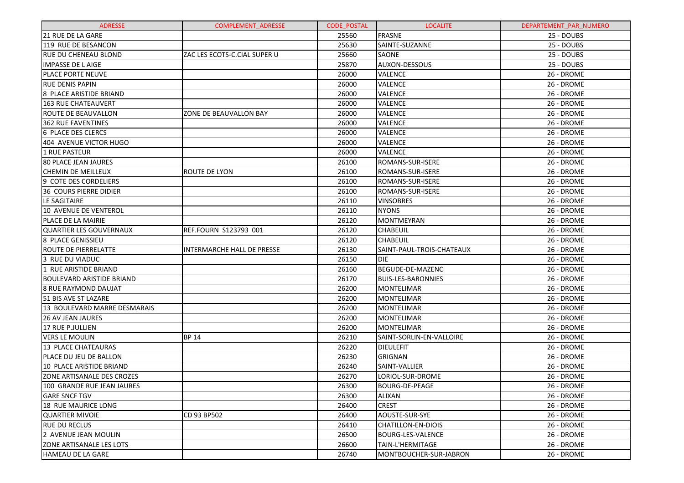| <b>ADRESSE</b>                    | <b>COMPLEMENT ADRESSE</b>    | <b>CODE POSTAL</b> | <b>LOCALITE</b>           | DEPARTEMENT_PAR_NUMERO |
|-----------------------------------|------------------------------|--------------------|---------------------------|------------------------|
| <b>21 RUE DE LA GARE</b>          |                              | 25560              | FRASNE                    | 25 - DOUBS             |
| 119 RUE DE BESANCON               |                              | 25630              | SAINTE-SUZANNE            | 25 - DOUBS             |
| RUE DU CHENEAU BLOND              | ZAC LES ECOTS-C.CIAL SUPER U | 25660              | <b>SAONE</b>              | 25 - DOUBS             |
| <b>IMPASSE DE LAIGE</b>           |                              | 25870              | AUXON-DESSOUS             | 25 - DOUBS             |
| <b>PLACE PORTE NEUVE</b>          |                              | 26000              | <b>VALENCE</b>            | 26 - DROME             |
| <b>RUE DENIS PAPIN</b>            |                              | 26000              | <b>VALENCE</b>            | 26 - DROME             |
| 8 PLACE ARISTIDE BRIAND           |                              | 26000              | <b>VALENCE</b>            | 26 - DROME             |
| <b>163 RUE CHATEAUVERT</b>        |                              | 26000              | <b>VALENCE</b>            | 26 - DROME             |
| <b>ROUTE DE BEAUVALLON</b>        | ZONE DE BEAUVALLON BAY       | 26000              | <b>VALENCE</b>            | 26 - DROME             |
| <b>362 RUE FAVENTINES</b>         |                              | 26000              | <b>VALENCE</b>            | 26 - DROME             |
| 6 PLACE DES CLERCS                |                              | 26000              | <b>VALENCE</b>            | 26 - DROME             |
| 404 AVENUE VICTOR HUGO            |                              | 26000              | <b>VALENCE</b>            | 26 - DROME             |
| 1 RUE PASTEUR                     |                              | 26000              | <b>VALENCE</b>            | 26 - DROME             |
| <b>80 PLACE JEAN JAURES</b>       |                              | 26100              | <b>ROMANS-SUR-ISERE</b>   | 26 - DROME             |
| <b>CHEMIN DE MEILLEUX</b>         | <b>ROUTE DE LYON</b>         | 26100              | <b>ROMANS-SUR-ISERE</b>   | 26 - DROME             |
| 9 COTE DES CORDELIERS             |                              | 26100              | <b>ROMANS-SUR-ISERE</b>   | 26 - DROME             |
| <b>36 COURS PIERRE DIDIER</b>     |                              | 26100              | ROMANS-SUR-ISERE          | 26 - DROME             |
| LE SAGITAIRE                      |                              | 26110              | <b>VINSOBRES</b>          | 26 - DROME             |
| 10 AVENUE DE VENTEROL             |                              | 26110              | <b>NYONS</b>              | 26 - DROME             |
| PLACE DE LA MAIRIE                |                              | 26120              | MONTMEYRAN                | 26 - DROME             |
| QUARTIER LES GOUVERNAUX           | REF.FOURN S123793 001        | 26120              | <b>CHABEUIL</b>           | 26 - DROME             |
| 8 PLACE GENISSIEU                 |                              | 26120              | <b>CHABEUIL</b>           | 26 - DROME             |
| <b>ROUTE DE PIERRELATTE</b>       | INTERMARCHE HALL DE PRESSE   | 26130              | SAINT-PAUL-TROIS-CHATEAUX | 26 - DROME             |
| 3 RUE DU VIADUC                   |                              | 26150              | <b>DIE</b>                | 26 - DROME             |
| 1 RUE ARISTIDE BRIAND             |                              | 26160              | BEGUDE-DE-MAZENC          | 26 - DROME             |
| <b>BOULEVARD ARISTIDE BRIAND</b>  |                              | 26170              | <b>BUIS-LES-BARONNIES</b> | 26 - DROME             |
| 8 RUE RAYMOND DAUJAT              |                              | 26200              | MONTELIMAR                | 26 - DROME             |
| 51 BIS AVE ST LAZARE              |                              | 26200              | MONTELIMAR                | 26 - DROME             |
| 13 BOULEVARD MARRE DESMARAIS      |                              | 26200              | MONTELIMAR                | 26 - DROME             |
| <b>26 AV JEAN JAURES</b>          |                              | 26200              | MONTELIMAR                | 26 - DROME             |
| 17 RUE P.JULLIEN                  |                              | 26200              | <b>MONTELIMAR</b>         | 26 - DROME             |
| VERS LE MOULIN                    | <b>BP 14</b>                 | 26210              | SAINT-SORLIN-EN-VALLOIRE  | 26 - DROME             |
| 13 PLACE CHATEAURAS               |                              | 26220              | <b>DIEULEFIT</b>          | 26 - DROME             |
| PLACE DU JEU DE BALLON            |                              | 26230              | <b>GRIGNAN</b>            | 26 - DROME             |
| 10 PLACE ARISTIDE BRIAND          |                              | 26240              | SAINT-VALLIER             | 26 - DROME             |
| <b>ZONE ARTISANALE DES CROZES</b> |                              | 26270              | LORIOL-SUR-DROME          | 26 - DROME             |
| 100 GRANDE RUE JEAN JAURES        |                              | 26300              | <b>BOURG-DE-PEAGE</b>     | 26 - DROME             |
| <b>GARE SNCF TGV</b>              |                              | 26300              | ALIXAN                    | 26 - DROME             |
| 18 RUE MAURICE LONG               |                              | 26400              | <b>CREST</b>              | 26 - DROME             |
| <b>QUARTIER MIVOIE</b>            | CD 93 BP502                  | 26400              | AOUSTE-SUR-SYE            | 26 - DROME             |
| <b>RUE DU RECLUS</b>              |                              | 26410              | CHATILLON-EN-DIOIS        | 26 - DROME             |
| 2 AVENUE JEAN MOULIN              |                              | 26500              | <b>BOURG-LES-VALENCE</b>  | 26 - DROME             |
| <b>ZONE ARTISANALE LES LOTS</b>   |                              | 26600              | TAIN-L'HERMITAGE          | 26 - DROME             |
| HAMEAU DE LA GARE                 |                              | 26740              | MONTBOUCHER-SUR-JABRON    | 26 - DROME             |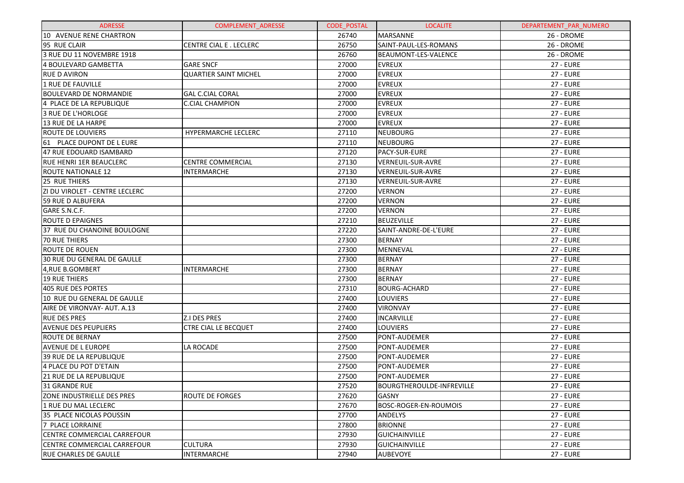| <b>ADRESSE</b>                        | <b>COMPLEMENT ADRESSE</b>    | <b>CODE POSTAL</b> | <b>LOCALITE</b>                  | DEPARTEMENT_PAR_NUMERO |
|---------------------------------------|------------------------------|--------------------|----------------------------------|------------------------|
| 10 AVENUE RENE CHARTRON               |                              | 26740              | <b>MARSANNE</b>                  | 26 - DROME             |
| 95 RUE CLAIR                          | CENTRE CIAL E. LECLERC       | 26750              | SAINT-PAUL-LES-ROMANS            | 26 - DROME             |
| 3 RUE DU 11 NOVEMBRE 1918             |                              | 26760              | BEAUMONT-LES-VALENCE             | 26 - DROME             |
| <b>4 BOULEVARD GAMBETTA</b>           | <b>GARE SNCF</b>             | 27000              | <b>EVREUX</b>                    | <b>27 - EURE</b>       |
| <b>RUE D AVIRON</b>                   | <b>QUARTIER SAINT MICHEL</b> | 27000              | <b>EVREUX</b>                    | <b>27 - EURE</b>       |
| 1 RUE DE FAUVILLE                     |                              | 27000              | <b>EVREUX</b>                    | <b>27 - EURE</b>       |
| <b>BOULEVARD DE NORMANDIE</b>         | <b>GAL C.CIAL CORAL</b>      | 27000              | <b>EVREUX</b>                    | <b>27 - EURE</b>       |
| 4 PLACE DE LA REPUBLIQUE              | C.CIAL CHAMPION              | 27000              | <b>EVREUX</b>                    | <b>27 - EURE</b>       |
| 3 RUE DE L'HORLOGE                    |                              | 27000              | <b>EVREUX</b>                    | <b>27 - EURE</b>       |
| 13 RUE DE LA HARPE                    |                              | 27000              | <b>EVREUX</b>                    | <b>27 - EURE</b>       |
| ROUTE DE LOUVIERS                     | HYPERMARCHE LECLERC          | 27110              | <b>NEUBOURG</b>                  | <b>27 - EURE</b>       |
| 61 PLACE DUPONT DE L EURE             |                              | 27110              | <b>NEUBOURG</b>                  | <b>27 - EURE</b>       |
| 47 RUE EDOUARD ISAMBARD               |                              | 27120              | PACY-SUR-EURE                    | <b>27 - EURE</b>       |
| <b>RUE HENRI 1ER BEAUCLERC</b>        | CENTRE COMMERCIAL            | 27130              | VERNEUIL-SUR-AVRE                | <b>27 - EURE</b>       |
| ROUTE NATIONALE 12                    | <b>INTERMARCHE</b>           | 27130              | VERNEUIL-SUR-AVRE                | <b>27 - EURE</b>       |
| 25 RUE THIERS                         |                              | 27130              | VERNEUIL-SUR-AVRE                | <b>27 - EURE</b>       |
| <b>ZI DU VIROLET - CENTRE LECLERC</b> |                              | 27200              | <b>VERNON</b>                    | <b>27 - EURE</b>       |
| 59 RUE D ALBUFERA                     |                              | 27200              | <b>VERNON</b>                    | <b>27 - EURE</b>       |
| GARE S.N.C.F.                         |                              | 27200              | <b>VERNON</b>                    | <b>27 - EURE</b>       |
| <b>ROUTE D EPAIGNES</b>               |                              | 27210              | <b>BEUZEVILLE</b>                | <b>27 - EURE</b>       |
| 37 RUE DU CHANOINE BOULOGNE           |                              | 27220              | SAINT-ANDRE-DE-L'EURE            | <b>27 - EURE</b>       |
| <b>70 RUE THIERS</b>                  |                              | 27300              | <b>BERNAY</b>                    | <b>27 - EURE</b>       |
| <b>ROUTE DE ROUEN</b>                 |                              | 27300              | MENNEVAL                         | <b>27 - EURE</b>       |
| 30 RUE DU GENERAL DE GAULLE           |                              | 27300              | <b>BERNAY</b>                    | <b>27 - EURE</b>       |
| 4, RUE B.GOMBERT                      | <b>INTERMARCHE</b>           | 27300              | <b>BERNAY</b>                    | <b>27 - EURE</b>       |
| <b>19 RUE THIERS</b>                  |                              | 27300              | <b>BERNAY</b>                    | <b>27 - EURE</b>       |
| 405 RUE DES PORTES                    |                              | 27310              | <b>BOURG-ACHARD</b>              | <b>27 - EURE</b>       |
| 10 RUE DU GENERAL DE GAULLE           |                              | 27400              | LOUVIERS                         | <b>27 - EURE</b>       |
| AIRE DE VIRONVAY- AUT. A.13           |                              | 27400              | <b>VIRONVAY</b>                  | <b>27 - EURE</b>       |
| <b>RUE DES PRES</b>                   | Z.I DES PRES                 | 27400              | <b>INCARVILLE</b>                | <b>27 - EURE</b>       |
| <b>AVENUE DES PEUPLIERS</b>           | <b>CTRE CIAL LE BECQUET</b>  | 27400              | LOUVIERS                         | <b>27 - EURE</b>       |
| ROUTE DE BERNAY                       |                              | 27500              | PONT-AUDEMER                     | <b>27 - EURE</b>       |
| AVENUE DE L EUROPE                    | LA ROCADE                    | 27500              | PONT-AUDEMER                     | <b>27 - EURE</b>       |
| 39 RUE DE LA REPUBLIQUE               |                              | 27500              | PONT-AUDEMER                     | <b>27 - EURE</b>       |
| 4 PLACE DU POT D'ETAIN                |                              | 27500              | PONT-AUDEMER                     | <b>27 - EURE</b>       |
| 21 RUE DE LA REPUBLIQUE               |                              | 27500              | PONT-AUDEMER                     | <b>27 - EURE</b>       |
| 31 GRANDE RUE                         |                              | 27520              | <b>BOURGTHEROULDE-INFREVILLE</b> | <b>27 - EURE</b>       |
| <b>ZONE INDUSTRIELLE DES PRES</b>     | <b>ROUTE DE FORGES</b>       | 27620              | <b>GASNY</b>                     | <b>27 - EURE</b>       |
| 1 RUE DU MAL LECLERC                  |                              | 27670              | BOSC-ROGER-EN-ROUMOIS            | <b>27 - EURE</b>       |
| 35 PLACE NICOLAS POUSSIN              |                              | 27700              | ANDELYS                          | <b>27 - EURE</b>       |
| <b>7 PLACE LORRAINE</b>               |                              | 27800              | <b>BRIONNE</b>                   | <b>27 - EURE</b>       |
| CENTRE COMMERCIAL CARREFOUR           |                              | 27930              | <b>GUICHAINVILLE</b>             | <b>27 - EURE</b>       |
| CENTRE COMMERCIAL CARREFOUR           | CULTURA                      | 27930              | <b>GUICHAINVILLE</b>             | <b>27 - EURE</b>       |
| <b>RUE CHARLES DE GAULLE</b>          | INTERMARCHE                  | 27940              | <b>AUBEVOYE</b>                  | <b>27 - EURE</b>       |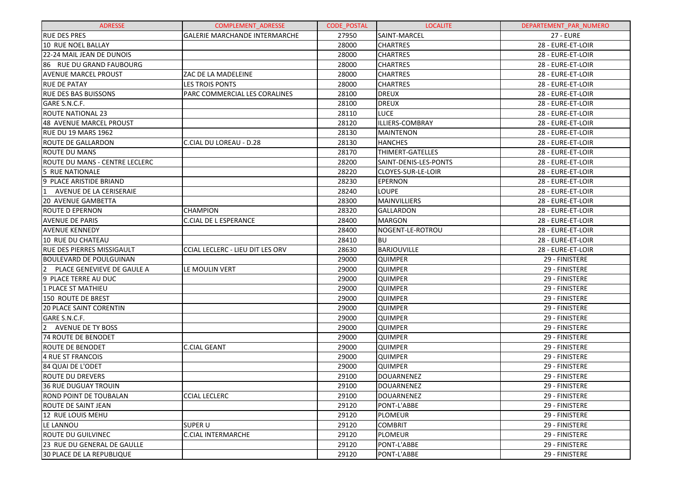| <b>ADRESSE</b>                               | COMPLEMENT_ADRESSE                      | <b>CODE POSTAL</b> | <b>LOCALITE</b>       | DEPARTEMENT_PAR_NUMERO |
|----------------------------------------------|-----------------------------------------|--------------------|-----------------------|------------------------|
| <b>RUE DES PRES</b>                          | <b>GALERIE MARCHANDE INTERMARCHE</b>    | 27950              | <b>SAINT-MARCEL</b>   | <b>27 - EURE</b>       |
| <b>10 RUE NOEL BALLAY</b>                    |                                         | 28000              | <b>CHARTRES</b>       | 28 - EURE-ET-LOIR      |
| 22-24 MAIL JEAN DE DUNOIS                    |                                         | 28000              | <b>CHARTRES</b>       | 28 - EURE-ET-LOIR      |
| 86 RUE DU GRAND FAUBOURG                     |                                         | 28000              | <b>CHARTRES</b>       | 28 - EURE-ET-LOIR      |
| <b>AVENUE MARCEL PROUST</b>                  | ZAC DE LA MADELEINE                     | 28000              | <b>CHARTRES</b>       | 28 - EURE-ET-LOIR      |
| <b>RUE DE PATAY</b>                          | <b>LES TROIS PONTS</b>                  | 28000              | <b>CHARTRES</b>       | 28 - EURE-ET-LOIR      |
| <b>RUE DES BAS BUISSONS</b>                  | PARC COMMERCIAL LES CORALINES           | 28100              | <b>DREUX</b>          | 28 - EURE-ET-LOIR      |
| GARE S.N.C.F.                                |                                         | 28100              | <b>DREUX</b>          | 28 - EURE-ET-LOIR      |
| <b>ROUTE NATIONAL 23</b>                     |                                         | 28110              | <b>LUCE</b>           | 28 - EURE-ET-LOIR      |
| <b>48 AVENUE MARCEL PROUST</b>               |                                         | 28120              | ILLIERS-COMBRAY       | 28 - EURE-ET-LOIR      |
| <b>RUE DU 19 MARS 1962</b>                   |                                         | 28130              | <b>MAINTENON</b>      | 28 - EURE-ET-LOIR      |
| <b>ROUTE DE GALLARDON</b>                    | C.CIAL DU LOREAU - D.28                 | 28130              | <b>HANCHES</b>        | 28 - EURE-ET-LOIR      |
| <b>ROUTE DU MANS</b>                         |                                         | 28170              | THIMERT-GATELLES      | 28 - EURE-ET-LOIR      |
| ROUTE DU MANS - CENTRE LECLERC               |                                         | 28200              | SAINT-DENIS-LES-PONTS | 28 - EURE-ET-LOIR      |
| 5 RUE NATIONALE                              |                                         | 28220              | CLOYES-SUR-LE-LOIR    | 28 - EURE-ET-LOIR      |
| 9 PLACE ARISTIDE BRIAND                      |                                         | 28230              | <b>EPERNON</b>        | 28 - EURE-ET-LOIR      |
| $\mathbf{1}$<br>AVENUE DE LA CERISERAIE      |                                         | 28240              | <b>LOUPE</b>          | 28 - EURE-ET-LOIR      |
| <b>20 AVENUE GAMBETTA</b>                    |                                         | 28300              | <b>MAINVILLIERS</b>   | 28 - EURE-ET-LOIR      |
| <b>ROUTE D EPERNON</b>                       | <b>CHAMPION</b>                         | 28320              | GALLARDON             | 28 - EURE-ET-LOIR      |
| <b>AVENUE DE PARIS</b>                       | <b>C.CIAL DE L ESPERANCE</b>            | 28400              | <b>MARGON</b>         | 28 - EURE-ET-LOIR      |
| <b>AVENUE KENNEDY</b>                        |                                         | 28400              | NOGENT-LE-ROTROU      | 28 - EURE-ET-LOIR      |
| 10 RUE DU CHATEAU                            |                                         | 28410              | <b>BU</b>             | 28 - EURE-ET-LOIR      |
| <b>RUE DES PIERRES MISSIGAULT</b>            | <b>CCIAL LECLERC - LIEU DIT LES ORV</b> | 28630              | <b>BARJOUVILLE</b>    | 28 - EURE-ET-LOIR      |
| <b>BOULEVARD DE POULGUINAN</b>               |                                         | 29000              | <b>QUIMPER</b>        | 29 - FINISTERE         |
| $\overline{2}$<br>PLACE GENEVIEVE DE GAULE A | LE MOULIN VERT                          | 29000              | <b>QUIMPER</b>        | 29 - FINISTERE         |
| 9 PLACE TERRE AU DUC                         |                                         | 29000              | <b>QUIMPER</b>        | 29 - FINISTERE         |
| 1 PLACE ST MATHIEU                           |                                         | 29000              | <b>QUIMPER</b>        | 29 - FINISTERE         |
| <b>150 ROUTE DE BREST</b>                    |                                         | 29000              | <b>QUIMPER</b>        | 29 - FINISTERE         |
| <b>20 PLACE SAINT CORENTIN</b>               |                                         | 29000              | <b>QUIMPER</b>        | 29 - FINISTERE         |
| GARE S.N.C.F.                                |                                         | 29000              | <b>QUIMPER</b>        | 29 - FINISTERE         |
| $\overline{2}$<br><b>AVENUE DE TY BOSS</b>   |                                         | 29000              | <b>QUIMPER</b>        | 29 - FINISTERE         |
| <b>74 ROUTE DE BENODET</b>                   |                                         | 29000              | <b>QUIMPER</b>        | 29 - FINISTERE         |
| <b>ROUTE DE BENODET</b>                      | <b>C.CIAL GEANT</b>                     | 29000              | <b>QUIMPER</b>        | 29 - FINISTERE         |
| 4 RUE ST FRANCOIS                            |                                         | 29000              | <b>QUIMPER</b>        | 29 - FINISTERE         |
| 84 QUAI DE L'ODET                            |                                         | 29000              | <b>QUIMPER</b>        | 29 - FINISTERE         |
| <b>ROUTE DU DREVERS</b>                      |                                         | 29100              | DOUARNENEZ            | 29 - FINISTERE         |
| <b>36 RUE DUGUAY TROUIN</b>                  |                                         | 29100              | DOUARNENEZ            | 29 - FINISTERE         |
| ROND POINT DE TOUBALAN                       | <b>CCIAL LECLERC</b>                    | 29100              | <b>DOUARNENEZ</b>     | 29 - FINISTERE         |
| ROUTE DE SAINT JEAN                          |                                         | 29120              | PONT-L'ABBE           | 29 - FINISTERE         |
| 12 RUE LOUIS MEHU                            |                                         | 29120              | PLOMEUR               | 29 - FINISTERE         |
| LE LANNOU                                    | SUPER U                                 | 29120              | <b>COMBRIT</b>        | 29 - FINISTERE         |
| <b>ROUTE DU GUILVINEC</b>                    | <b>C.CIAL INTERMARCHE</b>               | 29120              | <b>PLOMEUR</b>        | 29 - FINISTERE         |
| 23 RUE DU GENERAL DE GAULLE                  |                                         | 29120              | PONT-L'ABBE           | 29 - FINISTERE         |
| <b>30 PLACE DE LA REPUBLIQUE</b>             |                                         | 29120              | PONT-L'ABBE           | 29 - FINISTERE         |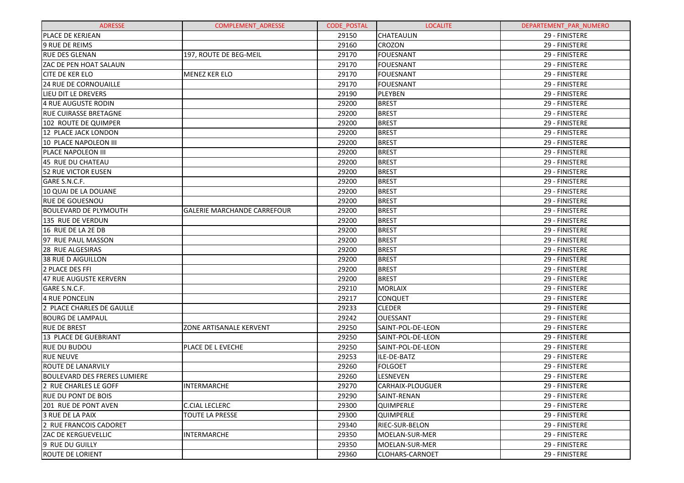| <b>ADRESSE</b>                      | <b>COMPLEMENT ADRESSE</b>          | <b>CODE POSTAL</b> | <b>LOCALITE</b>        | DEPARTEMENT PAR NUMERO |
|-------------------------------------|------------------------------------|--------------------|------------------------|------------------------|
| PLACE DE KERJEAN                    |                                    | 29150              | <b>CHATEAULIN</b>      | 29 - FINISTERE         |
| <b>9 RUE DE REIMS</b>               |                                    | 29160              | <b>CROZON</b>          | 29 - FINISTERE         |
| <b>RUE DES GLENAN</b>               | 197, ROUTE DE BEG-MEIL             | 29170              | FOUESNANT              | 29 - FINISTERE         |
| <b>ZAC DE PEN HOAT SALAUN</b>       |                                    | 29170              | FOUESNANT              | 29 - FINISTERE         |
| <b>CITE DE KER ELO</b>              | <b>MENEZ KER ELO</b>               | 29170              | FOUESNANT              | 29 - FINISTERE         |
| 24 RUE DE CORNOUAILLE               |                                    | 29170              | FOUESNANT              | 29 - FINISTERE         |
| LIEU DIT LE DREVERS                 |                                    | 29190              | PLEYBEN                | 29 - FINISTERE         |
| 4 RUE AUGUSTE RODIN                 |                                    | 29200              | <b>BREST</b>           | 29 - FINISTERE         |
| <b>RUE CUIRASSE BRETAGNE</b>        |                                    | 29200              | <b>BREST</b>           | 29 - FINISTERE         |
| 102 ROUTE DE QUIMPER                |                                    | 29200              | <b>BREST</b>           | 29 - FINISTERE         |
| 12 PLACE JACK LONDON                |                                    | 29200              | <b>BREST</b>           | 29 - FINISTERE         |
| 10 PLACE NAPOLEON III               |                                    | 29200              | <b>BREST</b>           | 29 - FINISTERE         |
| PLACE NAPOLEON III                  |                                    | 29200              | <b>BREST</b>           | 29 - FINISTERE         |
| 45 RUE DU CHATEAU                   |                                    | 29200              | <b>BREST</b>           | 29 - FINISTERE         |
| <b>52 RUE VICTOR EUSEN</b>          |                                    | 29200              | <b>BREST</b>           | 29 - FINISTERE         |
| GARE S.N.C.F.                       |                                    | 29200              | <b>BREST</b>           | 29 - FINISTERE         |
| 10 QUAI DE LA DOUANE                |                                    | 29200              | <b>BREST</b>           | 29 - FINISTERE         |
| <b>RUE DE GOUESNOU</b>              |                                    | 29200              | <b>BREST</b>           | 29 - FINISTERE         |
| BOULEVARD DE PLYMOUTH               | <b>GALERIE MARCHANDE CARREFOUR</b> | 29200              | <b>BREST</b>           | 29 - FINISTERE         |
| 135 RUE DE VERDUN                   |                                    | 29200              | <b>BREST</b>           | 29 - FINISTERE         |
| 16 RUE DE LA 2E DB                  |                                    | 29200              | <b>BREST</b>           | 29 - FINISTERE         |
| 97 RUE PAUL MASSON                  |                                    | 29200              | <b>BREST</b>           | 29 - FINISTERE         |
| 28 RUE ALGESIRAS                    |                                    | 29200              | <b>BREST</b>           | 29 - FINISTERE         |
| 38 RUE D AIGUILLON                  |                                    | 29200              | <b>BREST</b>           | 29 - FINISTERE         |
| 2 PLACE DES FFI                     |                                    | 29200              | <b>BREST</b>           | 29 - FINISTERE         |
| 47 RUE AUGUSTE KERVERN              |                                    | 29200              | <b>BREST</b>           | 29 - FINISTERE         |
| GARE S.N.C.F.                       |                                    | 29210              | <b>MORLAIX</b>         | 29 - FINISTERE         |
| 4 RUE PONCELIN                      |                                    | 29217              | <b>CONQUET</b>         | 29 - FINISTERE         |
| 2 PLACE CHARLES DE GAULLE           |                                    | 29233              | <b>CLEDER</b>          | 29 - FINISTERE         |
| <b>BOURG DE LAMPAUL</b>             |                                    | 29242              | OUESSANT               | 29 - FINISTERE         |
| <b>RUE DE BREST</b>                 | ZONE ARTISANALE KERVENT            | 29250              | SAINT-POL-DE-LEON      | 29 - FINISTERE         |
| 13 PLACE DE GUEBRIANT               |                                    | 29250              | SAINT-POL-DE-LEON      | 29 - FINISTERE         |
| <b>RUE DU BUDOU</b>                 | PLACE DE L EVECHE                  | 29250              | SAINT-POL-DE-LEON      | 29 - FINISTERE         |
| <b>RUE NEUVE</b>                    |                                    | 29253              | ILE-DE-BATZ            | 29 - FINISTERE         |
| <b>ROUTE DE LANARVILY</b>           |                                    | 29260              | <b>FOLGOET</b>         | 29 - FINISTERE         |
| <b>BOULEVARD DES FRERES LUMIERE</b> |                                    | 29260              | <b>LESNEVEN</b>        | 29 - FINISTERE         |
| 2 RUE CHARLES LE GOFF               | <b>INTERMARCHE</b>                 | 29270              | CARHAIX-PLOUGUER       | 29 - FINISTERE         |
| <b>RUE DU PONT DE BOIS</b>          |                                    | 29290              | SAINT-RENAN            | 29 - FINISTERE         |
| 201 RUE DE PONT AVEN                | <b>C.CIAL LECLERC</b>              | 29300              | <b>QUIMPERLE</b>       | 29 - FINISTERE         |
| 3 RUE DE LA PAIX                    | <b>TOUTE LA PRESSE</b>             | 29300              | <b>QUIMPERLE</b>       | 29 - FINISTERE         |
| 2 RUE FRANCOIS CADORET              |                                    | 29340              | RIEC-SUR-BELON         | 29 - FINISTERE         |
| ZAC DE KERGUEVELLIC                 | <b>INTERMARCHE</b>                 | 29350              | MOELAN-SUR-MER         | 29 - FINISTERE         |
| 9 RUE DU GUILLY                     |                                    | 29350              | MOELAN-SUR-MER         | 29 - FINISTERE         |
| <b>ROUTE DE LORIENT</b>             |                                    | 29360              | <b>CLOHARS-CARNOET</b> | 29 - FINISTERE         |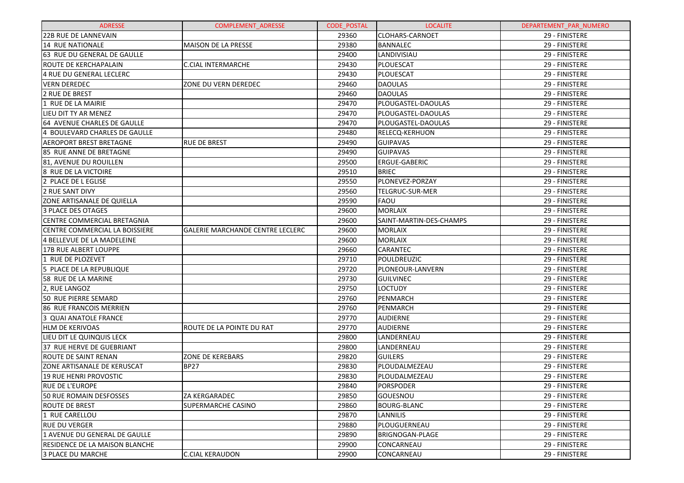| <b>ADRESSE</b>                        | <b>COMPLEMENT ADRESSE</b>               | <b>CODE POSTAL</b> | <b>LOCALITE</b>         | DEPARTEMENT_PAR_NUMERO |
|---------------------------------------|-----------------------------------------|--------------------|-------------------------|------------------------|
| <b>22B RUE DE LANNEVAIN</b>           |                                         | 29360              | <b>CLOHARS-CARNOET</b>  | 29 - FINISTERE         |
| <b>14 RUE NATIONALE</b>               | MAISON DE LA PRESSE                     | 29380              | <b>BANNALEC</b>         | 29 - FINISTERE         |
| 63 RUE DU GENERAL DE GAULLE           |                                         | 29400              | LANDIVISIAU             | 29 - FINISTERE         |
| ROUTE DE KERCHAPALAIN                 | <b>C.CIAL INTERMARCHE</b>               | 29430              | PLOUESCAT               | 29 - FINISTERE         |
| 4 RUE DU GENERAL LECLERC              |                                         | 29430              | PLOUESCAT               | 29 - FINISTERE         |
| <b>VERN DEREDEC</b>                   | ZONE DU VERN DEREDEC                    | 29460              | <b>DAOULAS</b>          | 29 - FINISTERE         |
| 2 RUE DE BREST                        |                                         | 29460              | <b>DAOULAS</b>          | 29 - FINISTERE         |
| 1 RUE DE LA MAIRIE                    |                                         | 29470              | PLOUGASTEL-DAOULAS      | 29 - FINISTERE         |
| LIEU DIT TY AR MENEZ                  |                                         | 29470              | PLOUGASTEL-DAOULAS      | 29 - FINISTERE         |
| 64 AVENUE CHARLES DE GAULLE           |                                         | 29470              | PLOUGASTEL-DAOULAS      | 29 - FINISTERE         |
| 4 BOULEVARD CHARLES DE GAULLE         |                                         | 29480              | <b>RELECQ-KERHUON</b>   | 29 - FINISTERE         |
| <b>AEROPORT BREST BRETAGNE</b>        | <b>RUE DE BREST</b>                     | 29490              | <b>GUIPAVAS</b>         | 29 - FINISTERE         |
| 85 RUE ANNE DE BRETAGNE               |                                         | 29490              | <b>GUIPAVAS</b>         | 29 - FINISTERE         |
| 81, AVENUE DU ROUILLEN                |                                         | 29500              | ERGUE-GABERIC           | 29 - FINISTERE         |
| 8 RUE DE LA VICTOIRE                  |                                         | 29510              | <b>BRIEC</b>            | 29 - FINISTERE         |
| 2 PLACE DE L EGLISE                   |                                         | 29550              | PLONEVEZ-PORZAY         | 29 - FINISTERE         |
| 2 RUE SANT DIVY                       |                                         | 29560              | TELGRUC-SUR-MER         | 29 - FINISTERE         |
| ZONE ARTISANALE DE QUIELLA            |                                         | 29590              | <b>FAOU</b>             | 29 - FINISTERE         |
| 3 PLACE DES OTAGES                    |                                         | 29600              | <b>MORLAIX</b>          | 29 - FINISTERE         |
| CENTRE COMMERCIAL BRETAGNIA           |                                         | 29600              | SAINT-MARTIN-DES-CHAMPS | 29 - FINISTERE         |
| CENTRE COMMERCIAL LA BOISSIERE        | <b>GALERIE MARCHANDE CENTRE LECLERC</b> | 29600              | <b>MORLAIX</b>          | 29 - FINISTERE         |
| 4 BELLEVUE DE LA MADELEINE            |                                         | 29600              | <b>MORLAIX</b>          | 29 - FINISTERE         |
| 17B RUE ALBERT LOUPPE                 |                                         | 29660              | <b>CARANTEC</b>         | 29 - FINISTERE         |
| 1 RUE DE PLOZEVET                     |                                         | 29710              | POULDREUZIC             | 29 - FINISTERE         |
| 5 PLACE DE LA REPUBLIQUE              |                                         | 29720              | PLONEOUR-LANVERN        | 29 - FINISTERE         |
| 58 RUE DE LA MARINE                   |                                         | 29730              | GUILVINEC               | 29 - FINISTERE         |
| 2, RUE LANGOZ                         |                                         | 29750              | <b>LOCTUDY</b>          | 29 - FINISTERE         |
| 50 RUE PIERRE SEMARD                  |                                         | 29760              | PENMARCH                | 29 - FINISTERE         |
| 86 RUE FRANCOIS MERRIEN               |                                         | 29760              | PENMARCH                | 29 - FINISTERE         |
| 3 QUAI ANATOLE FRANCE                 |                                         | 29770              | AUDIERNE                | 29 - FINISTERE         |
| <b>HLM DE KERIVOAS</b>                | ROUTE DE LA POINTE DU RAT               | 29770              | <b>AUDIERNE</b>         | 29 - FINISTERE         |
| LIEU DIT LE QUINQUIS LECK             |                                         | 29800              | LANDERNEAU              | 29 - FINISTERE         |
| 37 RUE HERVE DE GUEBRIANT             |                                         | 29800              | LANDERNEAU              | 29 - FINISTERE         |
| ROUTE DE SAINT RENAN                  | ZONE DE KEREBARS                        | 29820              | <b>GUILERS</b>          | 29 - FINISTERE         |
| ZONE ARTISANALE DE KERUSCAT           | <b>BP27</b>                             | 29830              | PLOUDALMEZEAU           | 29 - FINISTERE         |
| 19 RUE HENRI PROVOSTIC                |                                         | 29830              | PLOUDALMEZEAU           | 29 - FINISTERE         |
| <b>RUE DE L'EUROPE</b>                |                                         | 29840              | <b>PORSPODER</b>        | 29 - FINISTERE         |
| <b>50 RUE ROMAIN DESFOSSES</b>        | <b>ZA KERGARADEC</b>                    | 29850              | <b>GOUESNOU</b>         | 29 - FINISTERE         |
| <b>ROUTE DE BREST</b>                 | <b>SUPERMARCHE CASINO</b>               | 29860              | <b>BOURG-BLANC</b>      | 29 - FINISTERE         |
| 1 RUE CARELLOU                        |                                         | 29870              | <b>LANNILIS</b>         | 29 - FINISTERE         |
| <b>RUE DU VERGER</b>                  |                                         | 29880              | PLOUGUERNEAU            | 29 - FINISTERE         |
| 1 AVENUE DU GENERAL DE GAULLE         |                                         | 29890              | BRIGNOGAN-PLAGE         | 29 - FINISTERE         |
| <b>RESIDENCE DE LA MAISON BLANCHE</b> |                                         | 29900              | CONCARNEAU              | 29 - FINISTERE         |
| 3 PLACE DU MARCHE                     | <b>C.CIAL KERAUDON</b>                  | 29900              | CONCARNEAU              | 29 - FINISTERE         |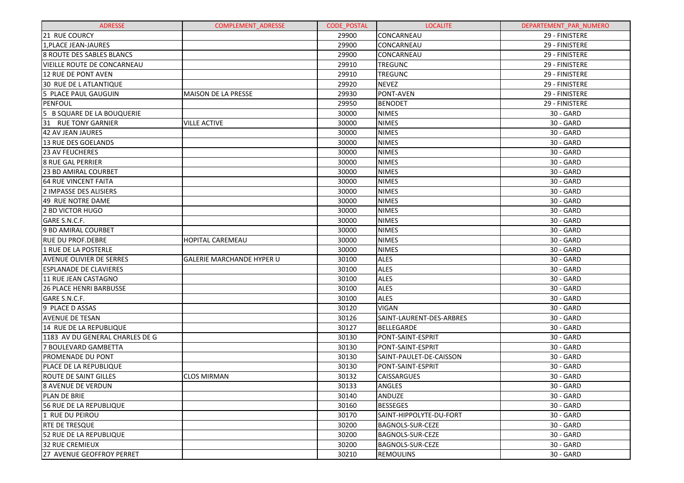| <b>ADRESSE</b>                   | <b>COMPLEMENT ADRESSE</b>        | <b>CODE POSTAL</b> | <b>LOCALITE</b>          | DEPARTEMENT PAR NUMERO |
|----------------------------------|----------------------------------|--------------------|--------------------------|------------------------|
| 21 RUE COURCY                    |                                  | 29900              | CONCARNEAU               | 29 - FINISTERE         |
| 1, PLACE JEAN-JAURES             |                                  | 29900              | CONCARNEAU               | 29 - FINISTERE         |
| <b>8 ROUTE DES SABLES BLANCS</b> |                                  | 29900              | CONCARNEAU               | 29 - FINISTERE         |
| IVIEILLE ROUTE DE CONCARNEAU     |                                  | 29910              | <b>TREGUNC</b>           | 29 - FINISTERE         |
| 12 RUE DE PONT AVEN              |                                  | 29910              | <b>TREGUNC</b>           | 29 - FINISTERE         |
| 30 RUE DE L ATLANTIQUE           |                                  | 29920              | <b>NEVEZ</b>             | 29 - FINISTERE         |
| 5 PLACE PAUL GAUGUIN             | <b>MAISON DE LA PRESSE</b>       | 29930              | PONT-AVEN                | 29 - FINISTERE         |
| PENFOUL                          |                                  | 29950              | <b>BENODET</b>           | 29 - FINISTERE         |
| 5 B SQUARE DE LA BOUQUERIE       |                                  | 30000              | <b>NIMES</b>             | 30 - GARD              |
| 31 RUE TONY GARNIER              | <b>VILLE ACTIVE</b>              | 30000              | <b>NIMES</b>             | 30 - GARD              |
| 42 AV JEAN JAURES                |                                  | 30000              | <b>NIMES</b>             | 30 - GARD              |
| 13 RUE DES GOELANDS              |                                  | 30000              | <b>NIMES</b>             | 30 - GARD              |
| <b>23 AV FEUCHERES</b>           |                                  | 30000              | <b>NIMES</b>             | 30 - GARD              |
| <b>8 RUE GAL PERRIER</b>         |                                  | 30000              | <b>NIMES</b>             | 30 - GARD              |
| <b>23 BD AMIRAL COURBET</b>      |                                  | 30000              | <b>NIMES</b>             | 30 - GARD              |
| <b>64 RUE VINCENT FAITA</b>      |                                  | 30000              | <b>NIMES</b>             | 30 - GARD              |
| 2 IMPASSE DES ALISIERS           |                                  | 30000              | <b>NIMES</b>             | 30 - GARD              |
| 49 RUE NOTRE DAME                |                                  | 30000              | <b>NIMES</b>             | 30 - GARD              |
| 2 BD VICTOR HUGO                 |                                  | 30000              | <b>NIMES</b>             | 30 - GARD              |
| GARE S.N.C.F.                    |                                  | 30000              | <b>NIMES</b>             | 30 - GARD              |
| 9 BD AMIRAL COURBET              |                                  | 30000              | <b>NIMES</b>             | 30 - GARD              |
| <b>RUE DU PROF.DEBRE</b>         | <b>HOPITAL CAREMEAU</b>          | 30000              | <b>NIMES</b>             | 30 - GARD              |
| 1 RUE DE LA POSTERLE             |                                  | 30000              | <b>NIMES</b>             | 30 - GARD              |
| <b>AVENUE OLIVIER DE SERRES</b>  | <b>GALERIE MARCHANDE HYPER U</b> | 30100              | <b>ALES</b>              | 30 - GARD              |
| <b>ESPLANADE DE CLAVIERES</b>    |                                  | 30100              | <b>ALES</b>              | 30 - GARD              |
| 11 RUE JEAN CASTAGNO             |                                  | 30100              | <b>ALES</b>              | 30 - GARD              |
| <b>26 PLACE HENRI BARBUSSE</b>   |                                  | 30100              | <b>ALES</b>              | 30 - GARD              |
| GARE S.N.C.F.                    |                                  | 30100              | <b>ALES</b>              | 30 - GARD              |
| 9 PLACE D ASSAS                  |                                  | 30120              | <b>VIGAN</b>             | 30 - GARD              |
| <b>AVENUE DE TESAN</b>           |                                  | 30126              | SAINT-LAURENT-DES-ARBRES | 30 - GARD              |
| 14 RUE DE LA REPUBLIQUE          |                                  | 30127              | BELLEGARDE               | 30 - GARD              |
| l1183 AV DU GENERAL CHARLES DE G |                                  | 30130              | PONT-SAINT-ESPRIT        | 30 - GARD              |
| 7 BOULEVARD GAMBETTA             |                                  | 30130              | PONT-SAINT-ESPRIT        | 30 - GARD              |
| <b>PROMENADE DU PONT</b>         |                                  | 30130              | SAINT-PAULET-DE-CAISSON  | 30 - GARD              |
| PLACE DE LA REPUBLIQUE           |                                  | 30130              | PONT-SAINT-ESPRIT        | 30 - GARD              |
| <b>ROUTE DE SAINT GILLES</b>     | <b>CLOS MIRMAN</b>               | 30132              | <b>CAISSARGUES</b>       | 30 - GARD              |
| <b>8 AVENUE DE VERDUN</b>        |                                  | 30133              | ANGLES                   | 30 - GARD              |
| PLAN DE BRIE                     |                                  | 30140              | ANDUZE                   | $30 - GARD$            |
| 56 RUE DE LA REPUBLIQUE          |                                  | 30160              | <b>BESSEGES</b>          | 30 - GARD              |
| l1 rue du peirou                 |                                  | 30170              | SAINT-HIPPOLYTE-DU-FORT  | 30 - GARD              |
| IRTE DE TRESQUE                  |                                  | 30200              | <b>BAGNOLS-SUR-CEZE</b>  | 30 - GARD              |
| 52 RUE DE LA REPUBLIQUE          |                                  | 30200              | <b>BAGNOLS-SUR-CEZE</b>  | 30 - GARD              |
| 132 RUE CREMIEUX                 |                                  | 30200              | <b>BAGNOLS-SUR-CEZE</b>  | 30 - GARD              |
| 27 AVENUE GEOFFROY PERRET        |                                  | 30210              | <b>REMOULINS</b>         | 30 - GARD              |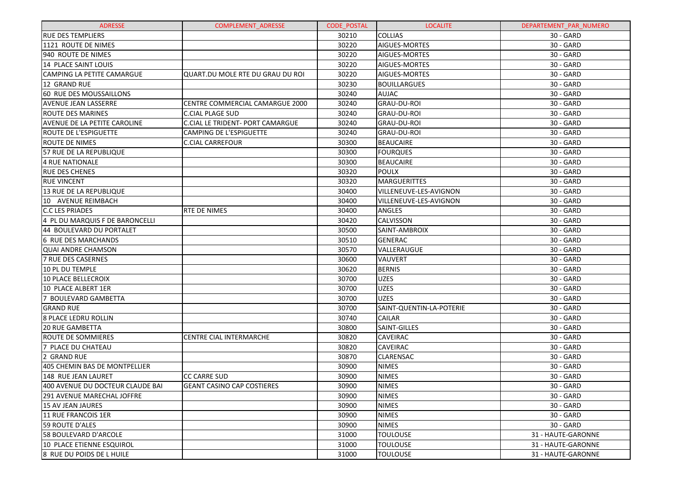| <b>ADRESSE</b>                   | <b>COMPLEMENT ADRESSE</b>         | <b>CODE POSTAL</b> | <b>LOCALITE</b>          | DEPARTEMENT_PAR_NUMERO |
|----------------------------------|-----------------------------------|--------------------|--------------------------|------------------------|
| <b>RUE DES TEMPLIERS</b>         |                                   | 30210              | <b>COLLIAS</b>           | $30 - GARD$            |
| 1121 ROUTE DE NIMES              |                                   | 30220              | AIGUES-MORTES            | 30 - GARD              |
| 940 ROUTE DE NIMES               |                                   | 30220              | AIGUES-MORTES            | 30 - GARD              |
| 14 PLACE SAINT LOUIS             |                                   | 30220              | AIGUES-MORTES            | 30 - GARD              |
| CAMPING LA PETITE CAMARGUE       | QUART.DU MOLE RTE DU GRAU DU ROI  | 30220              | AIGUES-MORTES            | 30 - GARD              |
| 12 GRAND RUE                     |                                   | 30230              | <b>BOUILLARGUES</b>      | 30 - GARD              |
| 60 RUE DES MOUSSAILLONS          |                                   | 30240              | AUJAC                    | 30 - GARD              |
| AVENUE JEAN LASSERRE             | CENTRE COMMERCIAL CAMARGUE 2000   | 30240              | <b>GRAU-DU-ROI</b>       | 30 - GARD              |
| ROUTE DES MARINES                | <b>C.CIAL PLAGE SUD</b>           | 30240              | <b>GRAU-DU-ROI</b>       | 30 - GARD              |
| AVENUE DE LA PETITE CAROLINE     | C.CIAL LE TRIDENT- PORT CAMARGUE  | 30240              | GRAU-DU-ROI              | 30 - GARD              |
| <b>ROUTE DE L'ESPIGUETTE</b>     | CAMPING DE L'ESPIGUETTE           | 30240              | GRAU-DU-ROI              | 30 - GARD              |
| ROUTE DE NIMES                   | C.CIAL CARREFOUR                  | 30300              | <b>BEAUCAIRE</b>         | 30 - GARD              |
| 57 RUE DE LA REPUBLIQUE          |                                   | 30300              | <b>FOURQUES</b>          | 30 - GARD              |
| <b>4 RUE NATIONALE</b>           |                                   | 30300              | <b>BEAUCAIRE</b>         | 30 - GARD              |
| <b>RUE DES CHENES</b>            |                                   | 30320              | <b>POULX</b>             | 30 - GARD              |
| <b>RUE VINCENT</b>               |                                   | 30320              | <b>MARGUERITTES</b>      | 30 - GARD              |
| 13 RUE DE LA REPUBLIQUE          |                                   | 30400              | VILLENEUVE-LES-AVIGNON   | 30 - GARD              |
| 10 AVENUE REIMBACH               |                                   | 30400              | VILLENEUVE-LES-AVIGNON   | 30 - GARD              |
| <b>C.C LES PRIADES</b>           | <b>RTE DE NIMES</b>               | 30400              | ANGLES                   | 30 - GARD              |
| 4 PL DU MARQUIS F DE BARONCELLI  |                                   | 30420              | CALVISSON                | 30 - GARD              |
| 44 BOULEVARD DU PORTALET         |                                   | 30500              | SAINT-AMBROIX            | 30 - GARD              |
| 6 RUE DES MARCHANDS              |                                   | 30510              | <b>GENERAC</b>           | 30 - GARD              |
| <b>QUAI ANDRE CHAMSON</b>        |                                   | 30570              | VALLERAUGUE              | 30 - GARD              |
| 7 RUE DES CASERNES               |                                   | 30600              | VAUVERT                  | 30 - GARD              |
| 10 PL DU TEMPLE                  |                                   | 30620              | <b>BERNIS</b>            | 30 - GARD              |
| <b>10 PLACE BELLECROIX</b>       |                                   | 30700              | <b>UZES</b>              | 30 - GARD              |
| 10 PLACE ALBERT 1ER              |                                   | 30700              | <b>UZES</b>              | 30 - GARD              |
| 7 BOULEVARD GAMBETTA             |                                   | 30700              | <b>UZES</b>              | 30 - GARD              |
| <b>GRAND RUE</b>                 |                                   | 30700              | SAINT-QUENTIN-LA-POTERIE | 30 - GARD              |
| 8 PLACE LEDRU ROLLIN             |                                   | 30740              | CAILAR                   | 30 - GARD              |
| <b>20 RUE GAMBETTA</b>           |                                   | 30800              | SAINT-GILLES             | 30 - GARD              |
| ROUTE DE SOMMIERES               | <b>CENTRE CIAL INTERMARCHE</b>    | 30820              | <b>CAVEIRAC</b>          | 30 - GARD              |
| 7 PLACE DU CHATEAU               |                                   | 30820              | CAVEIRAC                 | 30 - GARD              |
| 2 GRAND RUE                      |                                   | 30870              | CLARENSAC                | 30 - GARD              |
| 405 CHEMIN BAS DE MONTPELLIER    |                                   | 30900              | <b>NIMES</b>             | 30 - GARD              |
| 148 RUE JEAN LAURET              | <b>CC CARRE SUD</b>               | 30900              | <b>NIMES</b>             | 30 - GARD              |
| 400 AVENUE DU DOCTEUR CLAUDE BAI | <b>GEANT CASINO CAP COSTIERES</b> | 30900              | <b>NIMES</b>             | $30 - GARD$            |
| 291 AVENUE MARECHAL JOFFRE       |                                   | 30900              | <b>NIMES</b>             | 30 - GARD              |
| <b>15 AV JEAN JAURES</b>         |                                   | 30900              | <b>NIMES</b>             | 30 - GARD              |
| 11 RUE FRANCOIS 1ER              |                                   | 30900              | <b>NIMES</b>             | 30 - GARD              |
| 59 ROUTE D'ALES                  |                                   | 30900              | <b>NIMES</b>             | 30 - GARD              |
| 58 BOULEVARD D'ARCOLE            |                                   | 31000              | <b>TOULOUSE</b>          | 31 - HAUTE-GARONNE     |
| 10 PLACE ETIENNE ESQUIROL        |                                   | 31000              | <b>TOULOUSE</b>          | 31 - HAUTE-GARONNE     |
| 8 RUE DU POIDS DE L HUILE        |                                   | 31000              | <b>TOULOUSE</b>          | 31 - HAUTE-GARONNE     |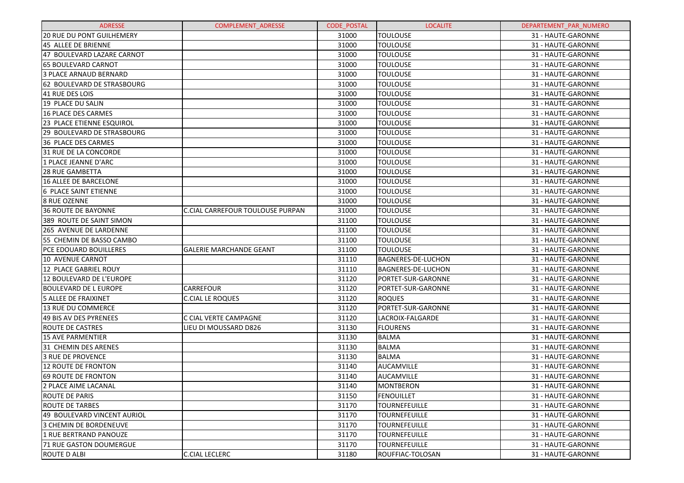| <b>ADRESSE</b>                | <b>COMPLEMENT ADRESSE</b>        | <b>CODE POSTAL</b> | <b>LOCALITE</b>           | DEPARTEMENT PAR NUMERO |
|-------------------------------|----------------------------------|--------------------|---------------------------|------------------------|
| 20 RUE DU PONT GUILHEMERY     |                                  | 31000              | <b>TOULOUSE</b>           | 31 - HAUTE-GARONNE     |
| 45 ALLEE DE BRIENNE           |                                  | 31000              | <b>TOULOUSE</b>           | 31 - HAUTE-GARONNE     |
| 47 BOULEVARD LAZARE CARNOT    |                                  | 31000              | <b>TOULOUSE</b>           | 31 - HAUTE-GARONNE     |
| <b>65 BOULEVARD CARNOT</b>    |                                  | 31000              | <b>TOULOUSE</b>           | 31 - HAUTE-GARONNE     |
| <b>3 PLACE ARNAUD BERNARD</b> |                                  | 31000              | <b>TOULOUSE</b>           | 31 - HAUTE-GARONNE     |
| 62 BOULEVARD DE STRASBOURG    |                                  | 31000              | <b>TOULOUSE</b>           | 31 - HAUTE-GARONNE     |
| 41 RUE DES LOIS               |                                  | 31000              | <b>TOULOUSE</b>           | 31 - HAUTE-GARONNE     |
| 19 PLACE DU SALIN             |                                  | 31000              | <b>TOULOUSE</b>           | 31 - HAUTE-GARONNE     |
| <b>16 PLACE DES CARMES</b>    |                                  | 31000              | <b>TOULOUSE</b>           | 31 - HAUTE-GARONNE     |
| 23 PLACE ETIENNE ESQUIROL     |                                  | 31000              | <b>TOULOUSE</b>           | 31 - HAUTE-GARONNE     |
| 29 BOULEVARD DE STRASBOURG    |                                  | 31000              | <b>TOULOUSE</b>           | 31 - HAUTE-GARONNE     |
| 36 PLACE DES CARMES           |                                  | 31000              | <b>TOULOUSE</b>           | 31 - HAUTE-GARONNE     |
| 31 RUE DE LA CONCORDE         |                                  | 31000              | <b>TOULOUSE</b>           | 31 - HAUTE-GARONNE     |
| 1 PLACE JEANNE D'ARC          |                                  | 31000              | <b>TOULOUSE</b>           | 31 - HAUTE-GARONNE     |
| <b>28 RUE GAMBETTA</b>        |                                  | 31000              | <b>TOULOUSE</b>           | 31 - HAUTE-GARONNE     |
| <b>16 ALLEE DE BARCELONE</b>  |                                  | 31000              | <b>TOULOUSE</b>           | 31 - HAUTE-GARONNE     |
| 6 PLACE SAINT ETIENNE         |                                  | 31000              | <b>TOULOUSE</b>           | 31 - HAUTE-GARONNE     |
| 8 RUE OZENNE                  |                                  | 31000              | <b>TOULOUSE</b>           | 31 - HAUTE-GARONNE     |
| <b>36 ROUTE DE BAYONNE</b>    | C.CIAL CARREFOUR TOULOUSE PURPAN | 31000              | <b>TOULOUSE</b>           | 31 - HAUTE-GARONNE     |
| 389 ROUTE DE SAINT SIMON      |                                  | 31100              | <b>TOULOUSE</b>           | 31 - HAUTE-GARONNE     |
| 265 AVENUE DE LARDENNE        |                                  | 31100              | <b>TOULOUSE</b>           | 31 - HAUTE-GARONNE     |
| 55 CHEMIN DE BASSO CAMBO      |                                  | 31100              | <b>TOULOUSE</b>           | 31 - HAUTE-GARONNE     |
| <b>PCE EDOUARD BOUILLERES</b> | <b>GALERIE MARCHANDE GEANT</b>   | 31100              | <b>TOULOUSE</b>           | 31 - HAUTE-GARONNE     |
| 10 AVENUE CARNOT              |                                  | 31110              | <b>BAGNERES-DE-LUCHON</b> | 31 - HAUTE-GARONNE     |
| 12 PLACE GABRIEL ROUY         |                                  | 31110              | <b>BAGNERES-DE-LUCHON</b> | 31 - HAUTE-GARONNE     |
| 12 BOULEVARD DE L'EUROPE      |                                  | 31120              | PORTET-SUR-GARONNE        | 31 - HAUTE-GARONNE     |
| <b>BOULEVARD DE L EUROPE</b>  | CARREFOUR                        | 31120              | PORTET-SUR-GARONNE        | 31 - HAUTE-GARONNE     |
| <b>5 ALLEE DE FRAIXINET</b>   | <b>C.CIAL LE ROQUES</b>          | 31120              | <b>ROQUES</b>             | 31 - HAUTE-GARONNE     |
| 13 RUE DU COMMERCE            |                                  | 31120              | PORTET-SUR-GARONNE        | 31 - HAUTE-GARONNE     |
| 49 BIS AV DES PYRENEES        | C CIAL VERTE CAMPAGNE            | 31120              | LACROIX-FALGARDE          | 31 - HAUTE-GARONNE     |
| <b>ROUTE DE CASTRES</b>       | LIEU DI MOUSSARD D826            | 31130              | <b>FLOURENS</b>           | 31 - HAUTE-GARONNE     |
| <b>15 AVE PARMENTIER</b>      |                                  | 31130              | <b>BALMA</b>              | 31 - HAUTE-GARONNE     |
| 31 CHEMIN DES ARENES          |                                  | 31130              | <b>BALMA</b>              | 31 - HAUTE-GARONNE     |
| 3 RUE DE PROVENCE             |                                  | 31130              | <b>BALMA</b>              | 31 - HAUTE-GARONNE     |
| 12 ROUTE DE FRONTON           |                                  | 31140              | AUCAMVILLE                | 31 - HAUTE-GARONNE     |
| 69 ROUTE DE FRONTON           |                                  | 31140              | AUCAMVILLE                | 31 - HAUTE-GARONNE     |
| 2 PLACE AIME LACANAL          |                                  | 31140              | MONTBERON                 | 31 - HAUTE-GARONNE     |
| <b>ROUTE DE PARIS</b>         |                                  | 31150              | FENOUILLET                | 31 - HAUTE-GARONNE     |
| <b>ROUTE DE TARBES</b>        |                                  | 31170              | <b>TOURNEFEUILLE</b>      | 31 - HAUTE-GARONNE     |
| 49 BOULEVARD VINCENT AURIOL   |                                  | 31170              | <b>TOURNEFEUILLE</b>      | 31 - HAUTE-GARONNE     |
| 3 CHEMIN DE BORDENEUVE        |                                  | 31170              | <b>TOURNEFEUILLE</b>      | 31 - HAUTE-GARONNE     |
| 1 RUE BERTRAND PANOUZE        |                                  | 31170              | TOURNEFEUILLE             | 31 - HAUTE-GARONNE     |
| 71 RUE GASTON DOUMERGUE       |                                  | 31170              | <b>TOURNEFEUILLE</b>      | 31 - HAUTE-GARONNE     |
| <b>ROUTE D ALBI</b>           | <b>C.CIAL LECLERC</b>            | 31180              | ROUFFIAC-TOLOSAN          | 31 - HAUTE-GARONNE     |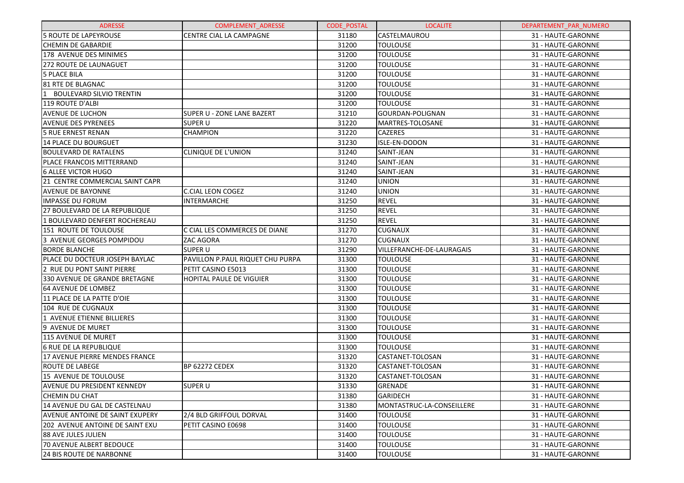| <b>ADRESSE</b>                  | COMPLEMENT_ADRESSE               | <b>CODE POSTAL</b> | <b>LOCALITE</b>           | DEPARTEMENT PAR NUMERO |
|---------------------------------|----------------------------------|--------------------|---------------------------|------------------------|
| 5 ROUTE DE LAPEYROUSE           | <b>CENTRE CIAL LA CAMPAGNE</b>   | 31180              | CASTELMAUROU              | 31 - HAUTE-GARONNE     |
| <b>CHEMIN DE GABARDIE</b>       |                                  | 31200              | <b>TOULOUSE</b>           | 31 - HAUTE-GARONNE     |
| 178 AVENUE DES MINIMES          |                                  | 31200              | <b>TOULOUSE</b>           | 31 - HAUTE-GARONNE     |
| 272 ROUTE DE LAUNAGUET          |                                  | 31200              | <b>TOULOUSE</b>           | 31 - HAUTE-GARONNE     |
| 5 PLACE BILA                    |                                  | 31200              | <b>TOULOUSE</b>           | 31 - HAUTE-GARONNE     |
| <b>81 RTE DE BLAGNAC</b>        |                                  | 31200              | <b>TOULOUSE</b>           | 31 - HAUTE-GARONNE     |
| 1 BOULEVARD SILVIO TRENTIN      |                                  | 31200              | <b>TOULOUSE</b>           | 31 - HAUTE-GARONNE     |
| 119 ROUTE D'ALBI                |                                  | 31200              | <b>TOULOUSE</b>           | 31 - HAUTE-GARONNE     |
| <b>AVENUE DE LUCHON</b>         | SUPER U - ZONE LANE BAZERT       | 31210              | GOURDAN-POLIGNAN          | 31 - HAUTE-GARONNE     |
| <b>AVENUE DES PYRENEES</b>      | <b>SUPER U</b>                   | 31220              | MARTRES-TOLOSANE          | 31 - HAUTE-GARONNE     |
| 5 RUE ERNEST RENAN              | <b>CHAMPION</b>                  | 31220              | <b>CAZERES</b>            | 31 - HAUTE-GARONNE     |
| 14 PLACE DU BOURGUET            |                                  | 31230              | ISLE-EN-DODON             | 31 - HAUTE-GARONNE     |
| <b>BOULEVARD DE RATALENS</b>    | <b>CLINIQUE DE L'UNION</b>       | 31240              | SAINT-JEAN                | 31 - HAUTE-GARONNE     |
| PLACE FRANCOIS MITTERRAND       |                                  | 31240              | SAINT-JEAN                | 31 - HAUTE-GARONNE     |
| <b>6 ALLEE VICTOR HUGO</b>      |                                  | 31240              | SAINT-JEAN                | 31 - HAUTE-GARONNE     |
| 21 CENTRE COMMERCIAL SAINT CAPR |                                  | 31240              | <b>UNION</b>              | 31 - HAUTE-GARONNE     |
| <b>AVENUE DE BAYONNE</b>        | <b>C.CIAL LEON COGEZ</b>         | 31240              | <b>UNION</b>              | 31 - HAUTE-GARONNE     |
| <b>IMPASSE DU FORUM</b>         | <b>INTERMARCHE</b>               | 31250              | <b>REVEL</b>              | 31 - HAUTE-GARONNE     |
| 27 BOULEVARD DE LA REPUBLIQUE   |                                  | 31250              | <b>REVEL</b>              | 31 - HAUTE-GARONNE     |
| 1 BOULEVARD DENFERT ROCHEREAU   |                                  | 31250              | <b>REVEL</b>              | 31 - HAUTE-GARONNE     |
| 151 ROUTE DE TOULOUSE           | C CIAL LES COMMERCES DE DIANE    | 31270              | <b>CUGNAUX</b>            | 31 - HAUTE-GARONNE     |
| 3 AVENUE GEORGES POMPIDOU       | ZAC AGORA                        | 31270              | <b>CUGNAUX</b>            | 31 - HAUTE-GARONNE     |
| <b>BORDE BLANCHE</b>            | <b>SUPER U</b>                   | 31290              | VILLEFRANCHE-DE-LAURAGAIS | 31 - HAUTE-GARONNE     |
| PLACE DU DOCTEUR JOSEPH BAYLAC  | PAVILLON P.PAUL RIQUET CHU PURPA | 31300              | <b>TOULOUSE</b>           | 31 - HAUTE-GARONNE     |
| 2 RUE DU PONT SAINT PIERRE      | PETIT CASINO E5013               | 31300              | <b>TOULOUSE</b>           | 31 - HAUTE-GARONNE     |
| 330 AVENUE DE GRANDE BRETAGNE   | HOPITAL PAULE DE VIGUIER         | 31300              | <b>TOULOUSE</b>           | 31 - HAUTE-GARONNE     |
| 64 AVENUE DE LOMBEZ             |                                  | 31300              | <b>TOULOUSE</b>           | 31 - HAUTE-GARONNE     |
| 11 PLACE DE LA PATTE D'OIE      |                                  | 31300              | <b>TOULOUSE</b>           | 31 - HAUTE-GARONNE     |
| 104 RUE DE CUGNAUX              |                                  | 31300              | <b>TOULOUSE</b>           | 31 - HAUTE-GARONNE     |
| 1 AVENUE ETIENNE BILLIERES      |                                  | 31300              | <b>TOULOUSE</b>           | 31 - HAUTE-GARONNE     |
| 9 AVENUE DE MURET               |                                  | 31300              | <b>TOULOUSE</b>           | 31 - HAUTE-GARONNE     |
| 115 AVENUE DE MURET             |                                  | 31300              | <b>TOULOUSE</b>           | 31 - HAUTE-GARONNE     |
| 6 RUE DE LA REPUBLIQUE          |                                  | 31300              | <b>TOULOUSE</b>           | 31 - HAUTE-GARONNE     |
| 17 AVENUE PIERRE MENDES FRANCE  |                                  | 31320              | CASTANET-TOLOSAN          | 31 - HAUTE-GARONNE     |
| <b>ROUTE DE LABEGE</b>          | BP 62272 CEDEX                   | 31320              | CASTANET-TOLOSAN          | 31 - HAUTE-GARONNE     |
| 15 AVENUE DE TOULOUSE           |                                  | 31320              | CASTANET-TOLOSAN          | 31 - HAUTE-GARONNE     |
| AVENUE DU PRESIDENT KENNEDY     | SUPER U                          | 31330              | GRENADE                   | 31 - HAUTE-GARONNE     |
| CHEMIN DU CHAT                  |                                  | 31380              | <b>GARIDECH</b>           | 31 - HAUTE-GARONNE     |
| 14 AVENUE DU GAL DE CASTELNAU   |                                  | 31380              | MONTASTRUC-LA-CONSEILLERE | 31 - HAUTE-GARONNE     |
| AVENUE ANTOINE DE SAINT EXUPERY | 2/4 BLD GRIFFOUL DORVAL          | 31400              | <b>TOULOUSE</b>           | 31 - HAUTE-GARONNE     |
| 202 AVENUE ANTOINE DE SAINT EXU | PETIT CASINO E0698               | 31400              | <b>TOULOUSE</b>           | 31 - HAUTE-GARONNE     |
| 88 AVE JULES JULIEN             |                                  | 31400              | <b>TOULOUSE</b>           | 31 - HAUTE-GARONNE     |
| 70 AVENUE ALBERT BEDOUCE        |                                  | 31400              | <b>TOULOUSE</b>           | 31 - HAUTE-GARONNE     |
| <b>24 BIS ROUTE DE NARBONNE</b> |                                  | 31400              | <b>TOULOUSE</b>           | 31 - HAUTE-GARONNE     |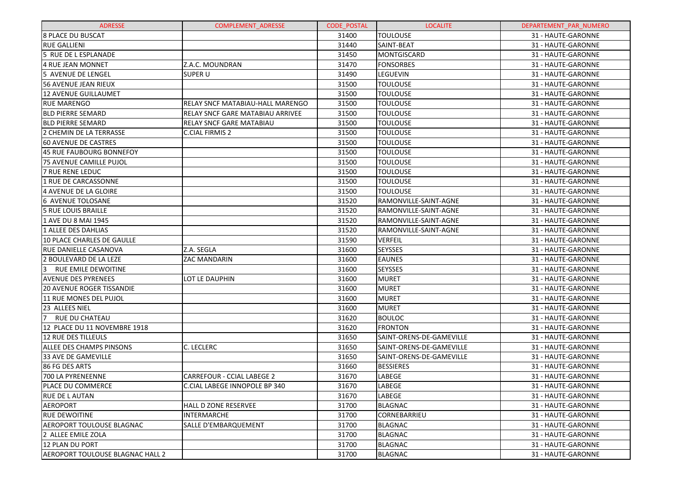| <b>ADRESSE</b>                          | <b>COMPLEMENT ADRESSE</b>               | <b>CODE POSTAL</b> | <b>LOCALITE</b>          | DEPARTEMENT_PAR_NUMERO |
|-----------------------------------------|-----------------------------------------|--------------------|--------------------------|------------------------|
| <b>8 PLACE DU BUSCAT</b>                |                                         | 31400              | <b>TOULOUSE</b>          | 31 - HAUTE-GARONNE     |
| <b>RUE GALLIENI</b>                     |                                         | 31440              | SAINT-BEAT               | 31 - HAUTE-GARONNE     |
| 5 RUE DE L ESPLANADE                    |                                         | 31450              | MONTGISCARD              | 31 - HAUTE-GARONNE     |
| 4 RUE JEAN MONNET                       | Z.A.C. MOUNDRAN                         | 31470              | <b>FONSORBES</b>         | 31 - HAUTE-GARONNE     |
| 5 AVENUE DE LENGEL                      | <b>SUPER U</b>                          | 31490              | LEGUEVIN                 | 31 - HAUTE-GARONNE     |
| 56 AVENUE JEAN RIEUX                    |                                         | 31500              | <b>TOULOUSE</b>          | 31 - HAUTE-GARONNE     |
| 12 AVENUE GUILLAUMET                    |                                         | 31500              | <b>TOULOUSE</b>          | 31 - HAUTE-GARONNE     |
| RUE MARENGO                             | RELAY SNCF MATABIAU-HALL MARENGO        | 31500              | <b>TOULOUSE</b>          | 31 - HAUTE-GARONNE     |
| <b>BLD PIERRE SEMARD</b>                | <b>RELAY SNCF GARE MATABIAU ARRIVEE</b> | 31500              | <b>TOULOUSE</b>          | 31 - HAUTE-GARONNE     |
| <b>BLD PIERRE SEMARD</b>                | <b>RELAY SNCF GARE MATABIAU</b>         | 31500              | <b>TOULOUSE</b>          | 31 - HAUTE-GARONNE     |
| 2 CHEMIN DE LA TERRASSE                 | C.CIAL FIRMIS 2                         | 31500              | <b>TOULOUSE</b>          | 31 - HAUTE-GARONNE     |
| <b>60 AVENUE DE CASTRES</b>             |                                         | 31500              | <b>TOULOUSE</b>          | 31 - HAUTE-GARONNE     |
| 45 RUE FAUBOURG BONNEFOY                |                                         | 31500              | <b>TOULOUSE</b>          | 31 - HAUTE-GARONNE     |
| 75 AVENUE CAMILLE PUJOL                 |                                         | 31500              | <b>TOULOUSE</b>          | 31 - HAUTE-GARONNE     |
| <b>7 RUE RENE LEDUC</b>                 |                                         | 31500              | <b>TOULOUSE</b>          | 31 - HAUTE-GARONNE     |
| 1 RUE DE CARCASSONNE                    |                                         | 31500              | <b>TOULOUSE</b>          | 31 - HAUTE-GARONNE     |
| 4 AVENUE DE LA GLOIRE                   |                                         | 31500              | <b>TOULOUSE</b>          | 31 - HAUTE-GARONNE     |
| 6 AVENUE TOLOSANE                       |                                         | 31520              | RAMONVILLE-SAINT-AGNE    | 31 - HAUTE-GARONNE     |
| 5 RUE LOUIS BRAILLE                     |                                         | 31520              | RAMONVILLE-SAINT-AGNE    | 31 - HAUTE-GARONNE     |
| 1 AVE DU 8 MAI 1945                     |                                         | 31520              | RAMONVILLE-SAINT-AGNE    | 31 - HAUTE-GARONNE     |
| 1 ALLEE DES DAHLIAS                     |                                         | 31520              | RAMONVILLE-SAINT-AGNE    | 31 - HAUTE-GARONNE     |
| 10 PLACE CHARLES DE GAULLE              |                                         | 31590              | <b>VERFEIL</b>           | 31 - HAUTE-GARONNE     |
| <b>RUE DANIELLE CASANOVA</b>            | Z.A. SEGLA                              | 31600              | <b>SEYSSES</b>           | 31 - HAUTE-GARONNE     |
| 2 BOULEVARD DE LA LEZE                  | <b>ZAC MANDARIN</b>                     | 31600              | <b>EAUNES</b>            | 31 - HAUTE-GARONNE     |
| RUE EMILE DEWOITINE<br>13               |                                         | 31600              | <b>SEYSSES</b>           | 31 - HAUTE-GARONNE     |
| AVENUE DES PYRENEES                     | LOT LE DAUPHIN                          | 31600              | <b>MURET</b>             | 31 - HAUTE-GARONNE     |
| <b>20 AVENUE ROGER TISSANDIE</b>        |                                         | 31600              | <b>MURET</b>             | 31 - HAUTE-GARONNE     |
| 11 RUE MONES DEL PUJOL                  |                                         | 31600              | <b>MURET</b>             | 31 - HAUTE-GARONNE     |
| 23 ALLEES NIEL                          |                                         | 31600              | <b>MURET</b>             | 31 - HAUTE-GARONNE     |
| <b>RUE DU CHATEAU</b><br>17             |                                         | 31620              | <b>BOULOC</b>            | 31 - HAUTE-GARONNE     |
| 12 PLACE DU 11 NOVEMBRE 1918            |                                         | 31620              | <b>FRONTON</b>           | 31 - HAUTE-GARONNE     |
| 12 RUE DES TILLEULS                     |                                         | 31650              | SAINT-ORENS-DE-GAMEVILLE | 31 - HAUTE-GARONNE     |
| <b>ALLEE DES CHAMPS PINSONS</b>         | C. LECLERC                              | 31650              | SAINT-ORENS-DE-GAMEVILLE | 31 - HAUTE-GARONNE     |
| 33 AVE DE GAMEVILLE                     |                                         | 31650              | SAINT-ORENS-DE-GAMEVILLE | 31 - HAUTE-GARONNE     |
| 86 FG DES ARTS                          |                                         | 31660              | <b>BESSIERES</b>         | 31 - HAUTE-GARONNE     |
| 700 LA PYRENEENNE                       | <b>CARREFOUR - CCIAL LABEGE 2</b>       | 31670              | LABEGE                   | 31 - HAUTE-GARONNE     |
| PLACE DU COMMERCE                       | C.CIAL LABEGE INNOPOLE BP 340           | 31670              | LABEGE                   | 31 - HAUTE-GARONNE     |
| <b>RUE DE L AUTAN</b>                   |                                         | 31670              | LABEGE                   | 31 - HAUTE-GARONNE     |
| <b>AEROPORT</b>                         | <b>HALL D ZONE RESERVEE</b>             | 31700              | <b>BLAGNAC</b>           | 31 - HAUTE-GARONNE     |
| IRUE DEWOITINE                          | INTERMARCHE                             | 31700              | CORNEBARRIEU             | 31 - HAUTE-GARONNE     |
| <b>AEROPORT TOULOUSE BLAGNAC</b>        | SALLE D'EMBARQUEMENT                    | 31700              | <b>BLAGNAC</b>           | 31 - HAUTE-GARONNE     |
| 2 ALLEE EMILE ZOLA                      |                                         | 31700              | <b>BLAGNAC</b>           | 31 - HAUTE-GARONNE     |
| 12 PLAN DU PORT                         |                                         | 31700              | <b>BLAGNAC</b>           | 31 - HAUTE-GARONNE     |
| <b>AEROPORT TOULOUSE BLAGNAC HALL 2</b> |                                         | 31700              | <b>BLAGNAC</b>           | 31 - HAUTE-GARONNE     |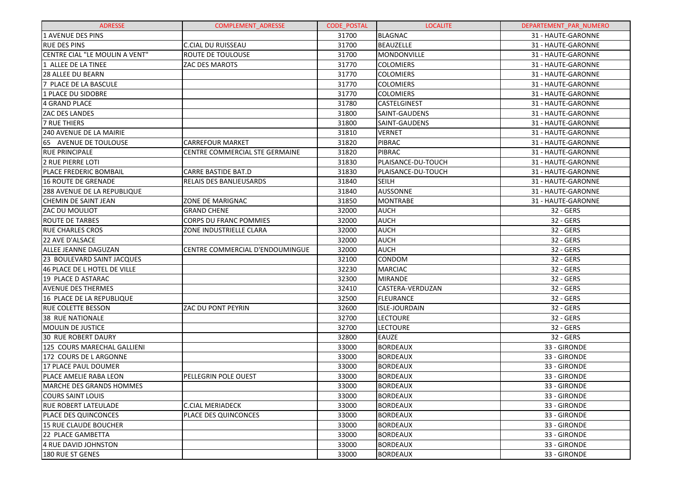| <b>ADRESSE</b>                    | <b>COMPLEMENT ADRESSE</b>       | <b>CODE POSTAL</b> | <b>LOCALITE</b>      | DEPARTEMENT_PAR_NUMERO |
|-----------------------------------|---------------------------------|--------------------|----------------------|------------------------|
| 1 AVENUE DES PINS                 |                                 | 31700              | <b>BLAGNAC</b>       | 31 - HAUTE-GARONNE     |
| <b>RUE DES PINS</b>               | <b>C.CIAL DU RUISSEAU</b>       | 31700              | <b>BEAUZELLE</b>     | 31 - HAUTE-GARONNE     |
| CENTRE CIAL "LE MOULIN A VENT"    | ROUTE DE TOULOUSE               | 31700              | MONDONVILLE          | 31 - HAUTE-GARONNE     |
| 1 ALLEE DE LA TINEE               | <b>ZAC DES MAROTS</b>           | 31770              | <b>COLOMIERS</b>     | 31 - HAUTE-GARONNE     |
| <b>28 ALLEE DU BEARN</b>          |                                 | 31770              | <b>COLOMIERS</b>     | 31 - HAUTE-GARONNE     |
| 7 PLACE DE LA BASCULE             |                                 | 31770              | <b>COLOMIERS</b>     | 31 - HAUTE-GARONNE     |
| 1 PLACE DU SIDOBRE                |                                 | 31770              | <b>COLOMIERS</b>     | 31 - HAUTE-GARONNE     |
| 4 GRAND PLACE                     |                                 | 31780              | <b>CASTELGINEST</b>  | 31 - HAUTE-GARONNE     |
| <b>ZAC DES LANDES</b>             |                                 | 31800              | SAINT-GAUDENS        | 31 - HAUTE-GARONNE     |
| 7 RUE THIERS                      |                                 | 31800              | SAINT-GAUDENS        | 31 - HAUTE-GARONNE     |
| 240 AVENUE DE LA MAIRIE           |                                 | 31810              | <b>VERNET</b>        | 31 - HAUTE-GARONNE     |
| 165 AVENUE DE TOULOUSE            | <b>CARREFOUR MARKET</b>         | 31820              | PIBRAC               | 31 - HAUTE-GARONNE     |
| <b>RUE PRINCIPALE</b>             | CENTRE COMMERCIAL STE GERMAINE  | 31820              | PIBRAC               | 31 - HAUTE-GARONNE     |
| <b>2 RUE PIERRE LOTI</b>          |                                 | 31830              | PLAISANCE-DU-TOUCH   | 31 - HAUTE-GARONNE     |
| <b>PLACE FREDERIC BOMBAIL</b>     | <b>CARRE BASTIDE BAT.D</b>      | 31830              | PLAISANCE-DU-TOUCH   | 31 - HAUTE-GARONNE     |
| 16 ROUTE DE GRENADE               | <b>IRELAIS DES BANLIEUSARDS</b> | 31840              | <b>SEILH</b>         | 31 - HAUTE-GARONNE     |
| 288 AVENUE DE LA REPUBLIQUE       |                                 | 31840              | AUSSONNE             | 31 - HAUTE-GARONNE     |
| CHEMIN DE SAINT JEAN              | ZONE DE MARIGNAC                | 31850              | <b>MONTRABE</b>      | 31 - HAUTE-GARONNE     |
| <b>ZAC DU MOULIOT</b>             | <b>GRAND CHENE</b>              | 32000              | <b>AUCH</b>          | 32 - GERS              |
| <b>ROUTE DE TARBES</b>            | CORPS DU FRANC POMMIES          | 32000              | <b>AUCH</b>          | 32 - GERS              |
| <b>RUE CHARLES CROS</b>           | <b>ZONE INDUSTRIELLE CLARA</b>  | 32000              | <b>AUCH</b>          | 32 - GERS              |
| 22 AVE D'ALSACE                   |                                 | 32000              | <b>AUCH</b>          | 32 - GERS              |
| ALLEE JEANNE DAGUZAN              | CENTRE COMMERCIAL D'ENDOUMINGUE | 32000              | <b>AUCH</b>          | 32 - GERS              |
| <b>23 BOULEVARD SAINT JACQUES</b> |                                 | 32100              | <b>CONDOM</b>        | 32 - GERS              |
| 46 PLACE DE L HOTEL DE VILLE      |                                 | 32230              | <b>MARCIAC</b>       | 32 - GERS              |
| 19 PLACE D ASTARAC                |                                 | 32300              | <b>MIRANDE</b>       | 32 - GERS              |
| <b>AVENUE DES THERMES</b>         |                                 | 32410              | CASTERA-VERDUZAN     | 32 - GERS              |
| 16 PLACE DE LA REPUBLIQUE         |                                 | 32500              | <b>FLEURANCE</b>     | 32 - GERS              |
| IRUE COLETTE BESSON               | ZAC DU PONT PEYRIN              | 32600              | <b>ISLE-JOURDAIN</b> | 32 - GERS              |
| <b>38 RUE NATIONALE</b>           |                                 | 32700              | <b>LECTOURE</b>      | 32 - GERS              |
| MOULIN DE JUSTICE                 |                                 | 32700              | <b>LECTOURE</b>      | 32 - GERS              |
| <b>30 RUE ROBERT DAURY</b>        |                                 | 32800              | <b>EAUZE</b>         | 32 - GERS              |
| 125 COURS MARECHAL GALLIENI       |                                 | 33000              | <b>BORDEAUX</b>      | 33 - GIRONDE           |
| 172 COURS DE L ARGONNE            |                                 | 33000              | <b>BORDEAUX</b>      | 33 - GIRONDE           |
| 17 PLACE PAUL DOUMER              |                                 | 33000              | <b>BORDEAUX</b>      | 33 - GIRONDE           |
| PLACE AMELIE RABA LEON            | <b>PELLEGRIN POLE OUEST</b>     | 33000              | <b>BORDEAUX</b>      | 33 - GIRONDE           |
| <b>MARCHE DES GRANDS HOMMES</b>   |                                 | 33000              | <b>BORDEAUX</b>      | 33 - GIRONDE           |
| COURS SAINT LOUIS                 |                                 | 33000              | <b>BORDEAUX</b>      | 33 - GIRONDE           |
| <b>RUE ROBERT LATEULADE</b>       | <b>C.CIAL MERIADECK</b>         | 33000              | <b>BORDEAUX</b>      | 33 - GIRONDE           |
| <b>PLACE DES QUINCONCES</b>       | <b>PLACE DES QUINCONCES</b>     | 33000              | <b>BORDEAUX</b>      | 33 - GIRONDE           |
| 15 RUE CLAUDE BOUCHER             |                                 | 33000              | <b>BORDEAUX</b>      | 33 - GIRONDE           |
| 22 PLACE GAMBETTA                 |                                 | 33000              | <b>BORDEAUX</b>      | 33 - GIRONDE           |
| 4 RUE DAVID JOHNSTON              |                                 | 33000              | <b>BORDEAUX</b>      | 33 - GIRONDE           |
| 180 RUE ST GENES                  |                                 | 33000              | <b>BORDEAUX</b>      | 33 - GIRONDE           |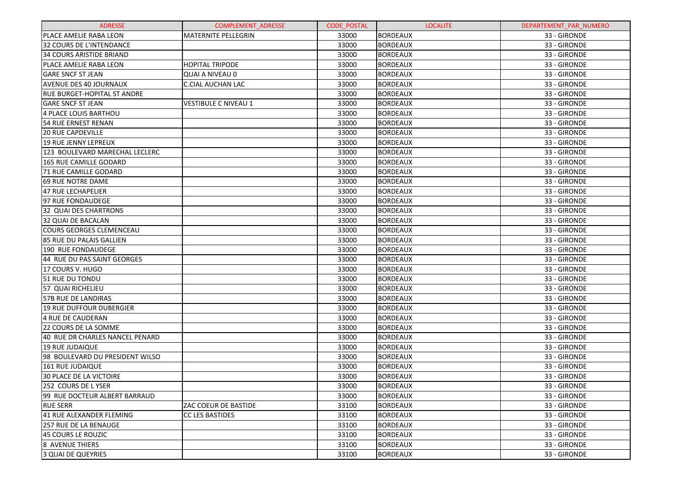| <b>ADRESSE</b>                     | <b>COMPLEMENT ADRESSE</b>   | <b>CODE POSTAL</b> | <b>LOCALITE</b> | DEPARTEMENT PAR NUMERO |
|------------------------------------|-----------------------------|--------------------|-----------------|------------------------|
| PLACE AMELIE RABA LEON             | <b>MATERNITE PELLEGRIN</b>  | 33000              | <b>BORDEAUX</b> | 33 - GIRONDE           |
| 32 COURS DE L'INTENDANCE           |                             | 33000              | <b>BORDEAUX</b> | 33 - GIRONDE           |
| <b>34 COURS ARISTIDE BRIAND</b>    |                             | 33000              | <b>BORDEAUX</b> | 33 - GIRONDE           |
| PLACE AMELIE RABA LEON             | <b>HOPITAL TRIPODE</b>      | 33000              | <b>BORDEAUX</b> | 33 - GIRONDE           |
| <b>GARE SNCF ST JEAN</b>           | <b>QUAI A NIVEAU 0</b>      | 33000              | <b>BORDEAUX</b> | 33 - GIRONDE           |
| <b>AVENUE DES 40 JOURNAUX</b>      | <b>C.CIAL AUCHAN LAC</b>    | 33000              | <b>BORDEAUX</b> | 33 - GIRONDE           |
| <b>RUE BURGET-HOPITAL ST ANDRE</b> |                             | 33000              | <b>BORDEAUX</b> | 33 - GIRONDE           |
| <b>GARE SNCF ST JEAN</b>           | <b>VESTIBULE C NIVEAU 1</b> | 33000              | <b>BORDEAUX</b> | 33 - GIRONDE           |
| 4 PLACE LOUIS BARTHOU              |                             | 33000              | <b>BORDEAUX</b> | 33 - GIRONDE           |
| 54 RUE ERNEST RENAN                |                             | 33000              | <b>BORDEAUX</b> | 33 - GIRONDE           |
| <b>20 RUE CAPDEVILLE</b>           |                             | 33000              | <b>BORDEAUX</b> | 33 - GIRONDE           |
| <b>19 RUE JENNY LEPREUX</b>        |                             | 33000              | <b>BORDEAUX</b> | 33 - GIRONDE           |
| 123 BOULEVARD MARECHAL LECLERC     |                             | 33000              | <b>BORDEAUX</b> | 33 - GIRONDE           |
| 165 RUE CAMILLE GODARD             |                             | 33000              | <b>BORDEAUX</b> | 33 - GIRONDE           |
| 71 RUE CAMILLE GODARD              |                             | 33000              | <b>BORDEAUX</b> | 33 - GIRONDE           |
| <b>69 RUE NOTRE DAME</b>           |                             | 33000              | <b>BORDEAUX</b> | 33 - GIRONDE           |
| 47 RUE LECHAPELIER                 |                             | 33000              | <b>BORDEAUX</b> | 33 - GIRONDE           |
| 97 RUE FONDAUDEGE                  |                             | 33000              | <b>BORDEAUX</b> | 33 - GIRONDE           |
| 32 QUAI DES CHARTRONS              |                             | 33000              | <b>BORDEAUX</b> | 33 - GIRONDE           |
| 32 QUAI DE BACALAN                 |                             | 33000              | <b>BORDEAUX</b> | 33 - GIRONDE           |
| <b>COURS GEORGES CLEMENCEAU</b>    |                             | 33000              | <b>BORDEAUX</b> | 33 - GIRONDE           |
| 85 RUE DU PALAIS GALLIEN           |                             | 33000              | <b>BORDEAUX</b> | 33 - GIRONDE           |
| 190 RUE FONDAUDEGE                 |                             | 33000              | <b>BORDEAUX</b> | 33 - GIRONDE           |
| 44 RUE DU PAS SAINT GEORGES        |                             | 33000              | <b>BORDEAUX</b> | 33 - GIRONDE           |
| 17 COURS V. HUGO                   |                             | 33000              | <b>BORDEAUX</b> | 33 - GIRONDE           |
| 51 RUE DU TONDU                    |                             | 33000              | <b>BORDEAUX</b> | 33 - GIRONDE           |
| 57 QUAI RICHELIEU                  |                             | 33000              | <b>BORDEAUX</b> | 33 - GIRONDE           |
| <b>57B RUE DE LANDIRAS</b>         |                             | 33000              | <b>BORDEAUX</b> | 33 - GIRONDE           |
| 19 RUE DUFFOUR DUBERGIER           |                             | 33000              | <b>BORDEAUX</b> | 33 - GIRONDE           |
| 4 RUE DE CAUDERAN                  |                             | 33000              | <b>BORDEAUX</b> | 33 - GIRONDE           |
| 22 COURS DE LA SOMME               |                             | 33000              | <b>BORDEAUX</b> | 33 - GIRONDE           |
| 40 RUE DR CHARLES NANCEL PENARD    |                             | 33000              | <b>BORDEAUX</b> | 33 - GIRONDE           |
| 19 RUE JUDAIQUE                    |                             | 33000              | <b>BORDEAUX</b> | 33 - GIRONDE           |
| 98 BOULEVARD DU PRESIDENT WILSO    |                             | 33000              | <b>BORDEAUX</b> | 33 - GIRONDE           |
| 161 RUE JUDAIQUE                   |                             | 33000              | <b>BORDEAUX</b> | 33 - GIRONDE           |
| 30 PLACE DE LA VICTOIRE            |                             | 33000              | <b>BORDEAUX</b> | 33 - GIRONDE           |
| 252 COURS DE LYSER                 |                             | 33000              | <b>BORDEAUX</b> | 33 - GIRONDE           |
| 199 RUE DOCTEUR ALBERT BARRAUD     |                             | 33000              | <b>BORDEAUX</b> | 33 - GIRONDE           |
| <b>RUE SERR</b>                    | ZAC COEUR DE BASTIDE        | 33100              | <b>BORDEAUX</b> | 33 - GIRONDE           |
| 41 RUE ALEXANDER FLEMING           | <b>CC LES BASTIDES</b>      | 33100              | <b>BORDEAUX</b> | 33 - GIRONDE           |
| 257 RUE DE LA BENAUGE              |                             | 33100              | <b>BORDEAUX</b> | 33 - GIRONDE           |
| 45 COURS LE ROUZIC                 |                             | 33100              | <b>BORDEAUX</b> | 33 - GIRONDE           |
| <b>8 AVENUE THIERS</b>             |                             | 33100              | <b>BORDEAUX</b> | 33 - GIRONDE           |
| 3 QUAI DE QUEYRIES                 |                             | 33100              | <b>BORDEAUX</b> | 33 - GIRONDE           |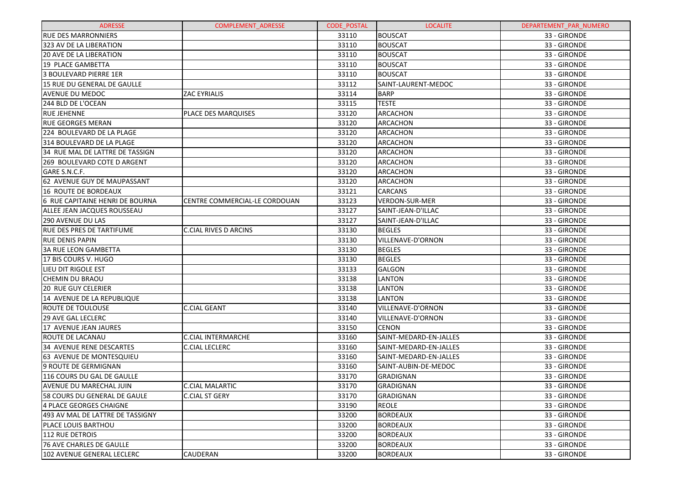| <b>ADRESSE</b>                         | <b>COMPLEMENT ADRESSE</b>     | <b>CODE POSTAL</b> | <b>LOCALITE</b>        | DEPARTEMENT PAR NUMERO |
|----------------------------------------|-------------------------------|--------------------|------------------------|------------------------|
| <b>RUE DES MARRONNIERS</b>             |                               | 33110              | <b>BOUSCAT</b>         | 33 - GIRONDE           |
| 323 AV DE LA LIBERATION                |                               | 33110              | <b>BOUSCAT</b>         | 33 - GIRONDE           |
| <b>20 AVE DE LA LIBERATION</b>         |                               | 33110              | <b>BOUSCAT</b>         | 33 - GIRONDE           |
| 19 PLACE GAMBETTA                      |                               | 33110              | <b>BOUSCAT</b>         | 33 - GIRONDE           |
| <b>3 BOULEVARD PIERRE 1ER</b>          |                               | 33110              | <b>BOUSCAT</b>         | 33 - GIRONDE           |
| 15 RUE DU GENERAL DE GAULLE            |                               | 33112              | SAINT-LAURENT-MEDOC    | 33 - GIRONDE           |
| <b>AVENUE DU MEDOC</b>                 | <b>ZAC EYRIALIS</b>           | 33114              | <b>BARP</b>            | 33 - GIRONDE           |
| 244 BLD DE L'OCEAN                     |                               | 33115              | <b>TESTE</b>           | 33 - GIRONDE           |
| <b>RUE JEHENNE</b>                     | PLACE DES MARQUISES           | 33120              | <b>ARCACHON</b>        | 33 - GIRONDE           |
| <b>RUE GEORGES MERAN</b>               |                               | 33120              | <b>ARCACHON</b>        | 33 - GIRONDE           |
| 224 BOULEVARD DE LA PLAGE              |                               | 33120              | <b>ARCACHON</b>        | 33 - GIRONDE           |
| 314 BOULEVARD DE LA PLAGE              |                               | 33120              | ARCACHON               | 33 - GIRONDE           |
| 34 RUE MAL DE LATTRE DE TASSIGN        |                               | 33120              | <b>ARCACHON</b>        | 33 - GIRONDE           |
| 269 BOULEVARD COTE D ARGENT            |                               | 33120              | <b>ARCACHON</b>        | 33 - GIRONDE           |
| GARE S.N.C.F.                          |                               | 33120              | ARCACHON               | 33 - GIRONDE           |
| 62 AVENUE GUY DE MAUPASSANT            |                               | 33120              | <b>ARCACHON</b>        | 33 - GIRONDE           |
| 16 ROUTE DE BORDEAUX                   |                               | 33121              | <b>CARCANS</b>         | 33 - GIRONDE           |
| <b>6 RUE CAPITAINE HENRI DE BOURNA</b> | CENTRE COMMERCIAL-LE CORDOUAN | 33123              | <b>VERDON-SUR-MER</b>  | 33 - GIRONDE           |
| ALLEE JEAN JACQUES ROUSSEAU            |                               | 33127              | SAINT-JEAN-D'ILLAC     | 33 - GIRONDE           |
| <b>290 AVENUE DU LAS</b>               |                               | 33127              | SAINT-JEAN-D'ILLAC     | 33 - GIRONDE           |
| <b>RUE DES PRES DE TARTIFUME</b>       | <b>C.CIAL RIVES D ARCINS</b>  | 33130              | <b>BEGLES</b>          | 33 - GIRONDE           |
| <b>RUE DENIS PAPIN</b>                 |                               | 33130              | VILLENAVE-D'ORNON      | 33 - GIRONDE           |
| <b>3A RUE LEON GAMBETTA</b>            |                               | 33130              | <b>BEGLES</b>          | 33 - GIRONDE           |
| 17 BIS COURS V. HUGO                   |                               | 33130              | <b>BEGLES</b>          | 33 - GIRONDE           |
| LIEU DIT RIGOLE EST                    |                               | 33133              | <b>GALGON</b>          | 33 - GIRONDE           |
| <b>CHEMIN DU BRAOU</b>                 |                               | 33138              | <b>LANTON</b>          | 33 - GIRONDE           |
| <b>20 RUE GUY CELERIER</b>             |                               | 33138              | <b>LANTON</b>          | 33 - GIRONDE           |
| 14 AVENUE DE LA REPUBLIQUE             |                               | 33138              | <b>LANTON</b>          | 33 - GIRONDE           |
| <b>ROUTE DE TOULOUSE</b>               | <b>C.CIAL GEANT</b>           | 33140              | VILLENAVE-D'ORNON      | 33 - GIRONDE           |
| <b>29 AVE GAL LECLERC</b>              |                               | 33140              | VILLENAVE-D'ORNON      | 33 - GIRONDE           |
| 17 AVENUE JEAN JAURES                  |                               | 33150              | <b>CENON</b>           | 33 - GIRONDE           |
| ROUTE DE LACANAU                       | <b>C.CIAL INTERMARCHE</b>     | 33160              | SAINT-MEDARD-EN-JALLES | 33 - GIRONDE           |
| <b>34 AVENUE RENE DESCARTES</b>        | <b>C.CIAL LECLERC</b>         | 33160              | SAINT-MEDARD-EN-JALLES | 33 - GIRONDE           |
| 63 AVENUE DE MONTESQUIEU               |                               | 33160              | SAINT-MEDARD-EN-JALLES | 33 - GIRONDE           |
| 9 ROUTE DE GERMIGNAN                   |                               | 33160              | SAINT-AUBIN-DE-MEDOC   | 33 - GIRONDE           |
| 116 COURS DU GAL DE GAULLE             |                               | 33170              | <b>GRADIGNAN</b>       | 33 - GIRONDE           |
| AVENUE DU MARECHAL JUIN                | <b>C.CIAL MALARTIC</b>        | 33170              | <b>GRADIGNAN</b>       | 33 - GIRONDE           |
| 58 COURS DU GENERAL DE GAULE           | <b>C.CIAL ST GERY</b>         | 33170              | GRADIGNAN              | 33 - GIRONDE           |
| 4 PLACE GEORGES CHAIGNE                |                               | 33190              | <b>REOLE</b>           | 33 - GIRONDE           |
| 493 AV MAL DE LATTRE DE TASSIGNY       |                               | 33200              | <b>BORDEAUX</b>        | 33 - GIRONDE           |
| PLACE LOUIS BARTHOU                    |                               | 33200              | <b>BORDEAUX</b>        | 33 - GIRONDE           |
| 112 RUE DETROIS                        |                               | 33200              | <b>BORDEAUX</b>        | 33 - GIRONDE           |
| 76 AVE CHARLES DE GAULLE               |                               | 33200              | <b>BORDEAUX</b>        | 33 - GIRONDE           |
| 102 AVENUE GENERAL LECLERC             | CAUDERAN                      | 33200              | <b>BORDEAUX</b>        | 33 - GIRONDE           |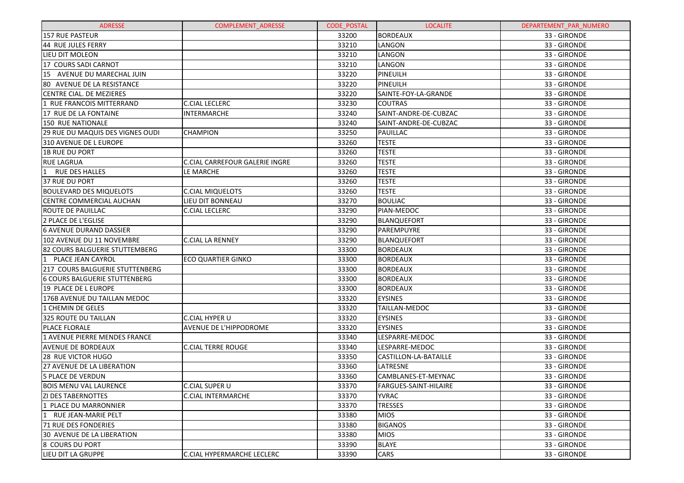| <b>ADRESSE</b>                         | <b>COMPLEMENT ADRESSE</b>      | <b>CODE POSTAL</b> | <b>LOCALITE</b>       | DEPARTEMENT_PAR_NUMERO |
|----------------------------------------|--------------------------------|--------------------|-----------------------|------------------------|
| <b>157 RUE PASTEUR</b>                 |                                | 33200              | <b>BORDEAUX</b>       | 33 - GIRONDE           |
| 44 RUE JULES FERRY                     |                                | 33210              | LANGON                | 33 - GIRONDE           |
| LIEU DIT MOLEON                        |                                | 33210              | LANGON                | 33 - GIRONDE           |
| 17 COURS SADI CARNOT                   |                                | 33210              | LANGON                | 33 - GIRONDE           |
| 15 AVENUE DU MARECHAL JUIN             |                                | 33220              | PINEUILH              | 33 - GIRONDE           |
| 80 AVENUE DE LA RESISTANCE             |                                | 33220              | <b>PINEUILH</b>       | 33 - GIRONDE           |
| CENTRE CIAL. DE MEZIERES               |                                | 33220              | SAINTE-FOY-LA-GRANDE  | 33 - GIRONDE           |
| 1 RUE FRANCOIS MITTERRAND              | <b>C.CIAL LECLERC</b>          | 33230              | <b>COUTRAS</b>        | 33 - GIRONDE           |
| 17 RUE DE LA FONTAINE                  | <b>INTERMARCHE</b>             | 33240              | SAINT-ANDRE-DE-CUBZAC | 33 - GIRONDE           |
| 150 RUE NATIONALE                      |                                | 33240              | SAINT-ANDRE-DE-CUBZAC | 33 - GIRONDE           |
| 29 RUE DU MAQUIS DES VIGNES OUDI       | <b>CHAMPION</b>                | 33250              | PAUILLAC              | 33 - GIRONDE           |
| 310 AVENUE DE L EUROPE                 |                                | 33260              | <b>TESTE</b>          | 33 - GIRONDE           |
| <b>1B RUE DU PORT</b>                  |                                | 33260              | <b>TESTE</b>          | 33 - GIRONDE           |
| <b>RUE LAGRUA</b>                      | C.CIAL CARREFOUR GALERIE INGRE | 33260              | <b>TESTE</b>          | 33 - GIRONDE           |
| RUE DES HALLES                         | LE MARCHE                      | 33260              | <b>TESTE</b>          | 33 - GIRONDE           |
| 37 RUE DU PORT                         |                                | 33260              | <b>TESTE</b>          | 33 - GIRONDE           |
| <b>BOULEVARD DES MIQUELOTS</b>         | <b>C.CIAL MIQUELOTS</b>        | 33260              | <b>TESTE</b>          | 33 - GIRONDE           |
| CENTRE COMMERCIAL AUCHAN               | LIEU DIT BONNEAU               | 33270              | <b>BOULIAC</b>        | 33 - GIRONDE           |
| ROUTE DE PAUILLAC                      | <b>C.CIAL LECLERC</b>          | 33290              | PIAN-MEDOC            | 33 - GIRONDE           |
| 2 PLACE DE L'EGLISE                    |                                | 33290              | BLANQUEFORT           | 33 - GIRONDE           |
| <b>6 AVENUE DURAND DASSIER</b>         |                                | 33290              | PAREMPUYRE            | 33 - GIRONDE           |
| 102 AVENUE DU 11 NOVEMBRE              | <b>C.CIAL LA RENNEY</b>        | 33290              | BLANQUEFORT           | 33 - GIRONDE           |
| 82 COURS BALGUERIE STUTTEMBERG         |                                | 33300              | <b>BORDEAUX</b>       | 33 - GIRONDE           |
| PLACE JEAN CAYROL                      | <b>ECO QUARTIER GINKO</b>      | 33300              | <b>BORDEAUX</b>       | 33 - GIRONDE           |
| <b>217 COURS BALGUERIE STUTTENBERG</b> |                                | 33300              | <b>BORDEAUX</b>       | 33 - GIRONDE           |
| <b>6 COURS BALGUERIE STUTTENBERG</b>   |                                | 33300              | <b>BORDEAUX</b>       | 33 - GIRONDE           |
| 19 PLACE DE L EUROPE                   |                                | 33300              | <b>BORDEAUX</b>       | 33 - GIRONDE           |
| 176B AVENUE DU TAILLAN MEDOC           |                                | 33320              | <b>EYSINES</b>        | 33 - GIRONDE           |
| 1 CHEMIN DE GELES                      |                                | 33320              | TAILLAN-MEDOC         | 33 - GIRONDE           |
| 325 ROUTE DU TAILLAN                   | C.CIAL HYPER U                 | 33320              | <b>EYSINES</b>        | 33 - GIRONDE           |
| PLACE FLORALE                          | AVENUE DE L'HIPPODROME         | 33320              | <b>EYSINES</b>        | 33 - GIRONDE           |
| 1 AVENUE PIERRE MENDES FRANCE          |                                | 33340              | LESPARRE-MEDOC        | 33 - GIRONDE           |
| AVENUE DE BORDEAUX                     | <b>C.CIAL TERRE ROUGE</b>      | 33340              | LESPARRE-MEDOC        | 33 - GIRONDE           |
| 28 RUE VICTOR HUGO                     |                                | 33350              | CASTILLON-LA-BATAILLE | 33 - GIRONDE           |
| 27 AVENUE DE LA LIBERATION             |                                | 33360              | LATRESNE              | 33 - GIRONDE           |
| <b>5 PLACE DE VERDUN</b>               |                                | 33360              | CAMBLANES-ET-MEYNAC   | 33 - GIRONDE           |
| <b>BOIS MENU VAL LAURENCE</b>          | <b>C.CIAL SUPER U</b>          | 33370              | FARGUES-SAINT-HILAIRE | 33 - GIRONDE           |
| <b>ZI DES TABERNOTTES</b>              | <b>C.CIAL INTERMARCHE</b>      | 33370              | <b>YVRAC</b>          | 33 - GIRONDE           |
| 1 PLACE DU MARRONNIER                  |                                | 33370              | <b>TRESSES</b>        | 33 - GIRONDE           |
| 1 RUE JEAN-MARIE PELT                  |                                | 33380              | <b>MIOS</b>           | 33 - GIRONDE           |
| 71 RUE DES FONDERIES                   |                                | 33380              | <b>BIGANOS</b>        | 33 - GIRONDE           |
| 30 AVENUE DE LA LIBERATION             |                                | 33380              | <b>MIOS</b>           | 33 - GIRONDE           |
| 8 COURS DU PORT                        |                                | 33390              | <b>BLAYE</b>          | 33 - GIRONDE           |
| LIEU DIT LA GRUPPE                     | C.CIAL HYPERMARCHE LECLERC     | 33390              | CARS                  | 33 - GIRONDE           |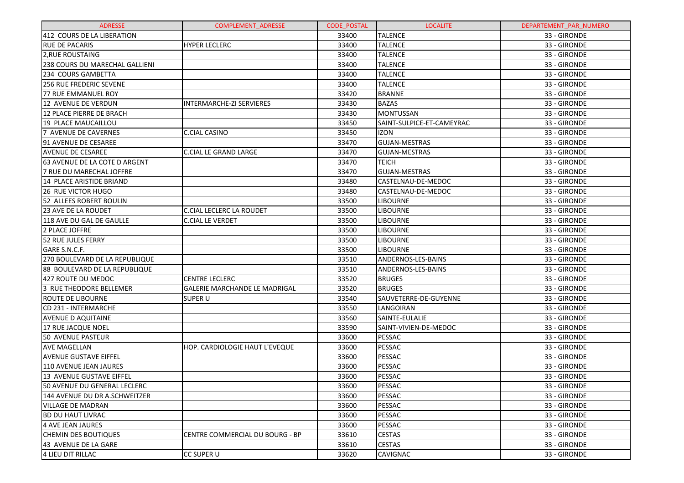| <b>ADRESSE</b>                 | <b>COMPLEMENT ADRESSE</b>       | <b>CODE POSTAL</b> | <b>LOCALITE</b>           | DEPARTEMENT_PAR_NUMERO |
|--------------------------------|---------------------------------|--------------------|---------------------------|------------------------|
| 412 COURS DE LA LIBERATION     |                                 | 33400              | <b>TALENCE</b>            | 33 - GIRONDE           |
| <b>RUE DE PACARIS</b>          | <b>HYPER LECLERC</b>            | 33400              | <b>TALENCE</b>            | 33 - GIRONDE           |
| 2, RUE ROUSTAING               |                                 | 33400              | <b>TALENCE</b>            | 33 - GIRONDE           |
| 238 COURS DU MARECHAL GALLIENI |                                 | 33400              | <b>TALENCE</b>            | 33 - GIRONDE           |
| 234 COURS GAMBETTA             |                                 | 33400              | <b>TALENCE</b>            | 33 - GIRONDE           |
| 256 RUE FREDERIC SEVENE        |                                 | 33400              | <b>TALENCE</b>            | 33 - GIRONDE           |
| 77 RUE EMMANUEL ROY            |                                 | 33420              | <b>BRANNE</b>             | 33 - GIRONDE           |
| 12 AVENUE DE VERDUN            | <b>INTERMARCHE-ZI SERVIERES</b> | 33430              | <b>BAZAS</b>              | 33 - GIRONDE           |
| 12 PLACE PIERRE DE BRACH       |                                 | 33430              | <b>MONTUSSAN</b>          | 33 - GIRONDE           |
| 19 PLACE MAUCAILLOU            |                                 | 33450              | SAINT-SULPICE-ET-CAMEYRAC | 33 - GIRONDE           |
| 7 AVENUE DE CAVERNES           | C.CIAL CASINO                   | 33450              | izon                      | 33 - GIRONDE           |
| 91 AVENUE DE CESAREE           |                                 | 33470              | <b>GUJAN-MESTRAS</b>      | 33 - GIRONDE           |
| <b>AVENUE DE CESAREE</b>       | <b>C.CIAL LE GRAND LARGE</b>    | 33470              | <b>GUJAN-MESTRAS</b>      | 33 - GIRONDE           |
| 63 AVENUE DE LA COTE D ARGENT  |                                 | 33470              | TEICH                     | 33 - GIRONDE           |
| 7 RUE DU MARECHAL JOFFRE       |                                 | 33470              | <b>GUJAN-MESTRAS</b>      | 33 - GIRONDE           |
| 14 PLACE ARISTIDE BRIAND       |                                 | 33480              | CASTELNAU-DE-MEDOC        | 33 - GIRONDE           |
| <b>26 RUE VICTOR HUGO</b>      |                                 | 33480              | CASTELNAU-DE-MEDOC        | 33 - GIRONDE           |
| 52 ALLEES ROBERT BOULIN        |                                 | 33500              | <b>LIBOURNE</b>           | 33 - GIRONDE           |
| 23 AVE DE LA ROUDET            | <b>C.CIAL LECLERC LA ROUDET</b> | 33500              | <b>LIBOURNE</b>           | 33 - GIRONDE           |
| 118 AVE DU GAL DE GAULLE       | <b>C.CIAL LE VERDET</b>         | 33500              | <b>LIBOURNE</b>           | 33 - GIRONDE           |
| 2 PLACE JOFFRE                 |                                 | 33500              | <b>LIBOURNE</b>           | 33 - GIRONDE           |
| <b>52 RUE JULES FERRY</b>      |                                 | 33500              | <b>LIBOURNE</b>           | 33 - GIRONDE           |
| GARE S.N.C.F.                  |                                 | 33500              | <b>LIBOURNE</b>           | 33 - GIRONDE           |
| 270 BOULEVARD DE LA REPUBLIQUE |                                 | 33510              | ANDERNOS-LES-BAINS        | 33 - GIRONDE           |
| 88 BOULEVARD DE LA REPUBLIQUE  |                                 | 33510              | ANDERNOS-LES-BAINS        | 33 - GIRONDE           |
| 427 ROUTE DU MEDOC             | <b>CENTRE LECLERC</b>           | 33520              | <b>BRUGES</b>             | 33 - GIRONDE           |
| 3 RUE THEODORE BELLEMER        | GALERIE MARCHANDE LE MADRIGAL   | 33520              | <b>BRUGES</b>             | 33 - GIRONDE           |
| ROUTE DE LIBOURNE              | <b>SUPER U</b>                  | 33540              | SAUVETERRE-DE-GUYENNE     | 33 - GIRONDE           |
| CD 231 - INTERMARCHE           |                                 | 33550              | LANGOIRAN                 | 33 - GIRONDE           |
| <b>AVENUE D AQUITAINE</b>      |                                 | 33560              | SAINTE-EULALIE            | 33 - GIRONDE           |
| 17 RUE JACQUE NOEL             |                                 | 33590              | SAINT-VIVIEN-DE-MEDOC     | 33 - GIRONDE           |
| 50 AVENUE PASTEUR              |                                 | 33600              | PESSAC                    | 33 - GIRONDE           |
| AVE MAGELLAN                   | HOP. CARDIOLOGIE HAUT L'EVEQUE  | 33600              | PESSAC                    | 33 - GIRONDE           |
| AVENUE GUSTAVE EIFFEL          |                                 | 33600              | PESSAC                    | 33 - GIRONDE           |
| 110 AVENUE JEAN JAURES         |                                 | 33600              | PESSAC                    | 33 - GIRONDE           |
| 13 AVENUE GUSTAVE EIFFEL       |                                 | 33600              | PESSAC                    | 33 - GIRONDE           |
| 50 AVENUE DU GENERAL LECLERC   |                                 | 33600              | PESSAC                    | 33 - GIRONDE           |
| 144 AVENUE DU DR A.SCHWEITZER  |                                 | 33600              | PESSAC                    | 33 - GIRONDE           |
| VILLAGE DE MADRAN              |                                 | 33600              | PESSAC                    | 33 - GIRONDE           |
| <b>BD DU HAUT LIVRAC</b>       |                                 | 33600              | PESSAC                    | 33 - GIRONDE           |
| 4 AVE JEAN JAURES              |                                 | 33600              | PESSAC                    | 33 - GIRONDE           |
| <b>CHEMIN DES BOUTIQUES</b>    | CENTRE COMMERCIAL DU BOURG - BP | 33610              | <b>CESTAS</b>             | 33 - GIRONDE           |
| 43 AVENUE DE LA GARE           |                                 | 33610              | <b>CESTAS</b>             | 33 - GIRONDE           |
| 4 LIEU DIT RILLAC              | CC SUPER U                      | 33620              | <b>CAVIGNAC</b>           | 33 - GIRONDE           |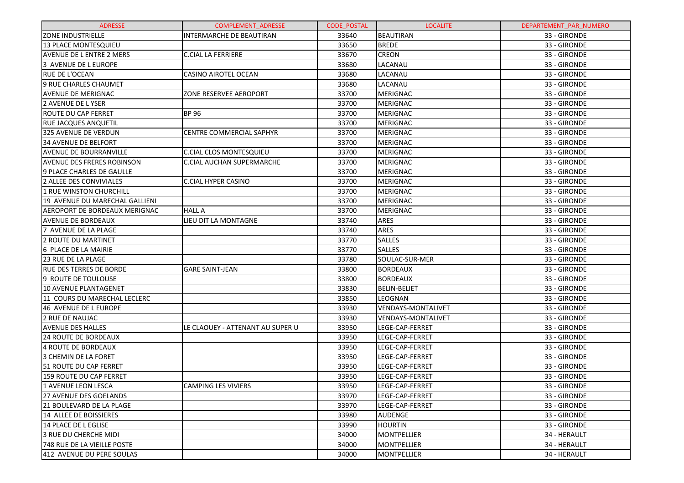| <b>ADRESSE</b>                       | <b>COMPLEMENT ADRESSE</b>        | <b>CODE POSTAL</b> | <b>LOCALITE</b>           | DEPARTEMENT PAR NUMERO |
|--------------------------------------|----------------------------------|--------------------|---------------------------|------------------------|
| <b>ZONE INDUSTRIELLE</b>             | <b>INTERMARCHE DE BEAUTIRAN</b>  | 33640              | <b>BEAUTIRAN</b>          | 33 - GIRONDE           |
| 13 PLACE MONTESQUIEU                 |                                  | 33650              | <b>BREDE</b>              | 33 - GIRONDE           |
| <b>AVENUE DE L ENTRE 2 MERS</b>      | <b>C.CIAL LA FERRIERE</b>        | 33670              | <b>CREON</b>              | 33 - GIRONDE           |
| 3 AVENUE DE L EUROPE                 |                                  | 33680              | LACANAU                   | 33 - GIRONDE           |
| <b>RUE DE L'OCEAN</b>                | <b>CASINO AIROTEL OCEAN</b>      | 33680              | LACANAU                   | 33 - GIRONDE           |
| 9 RUE CHARLES CHAUMET                |                                  | 33680              | LACANAU                   | 33 - GIRONDE           |
| <b>AVENUE DE MERIGNAC</b>            | ZONE RESERVEE AEROPORT           | 33700              | <b>MERIGNAC</b>           | 33 - GIRONDE           |
| 2 AVENUE DE LYSER                    |                                  | 33700              | <b>MERIGNAC</b>           | 33 - GIRONDE           |
| <b>ROUTE DU CAP FERRET</b>           | <b>BP 96</b>                     | 33700              | <b>MERIGNAC</b>           | 33 - GIRONDE           |
| RUE JACQUES ANQUETIL                 |                                  | 33700              | <b>MERIGNAC</b>           | 33 - GIRONDE           |
| 325 AVENUE DE VERDUN                 | CENTRE COMMERCIAL SAPHYR         | 33700              | <b>MERIGNAC</b>           | 33 - GIRONDE           |
| 34 AVENUE DE BELFORT                 |                                  | 33700              | <b>MERIGNAC</b>           | 33 - GIRONDE           |
| <b>AVENUE DE BOURRANVILLE</b>        | <b>C.CIAL CLOS MONTESQUIEU</b>   | 33700              | <b>MERIGNAC</b>           | 33 - GIRONDE           |
| <b>AVENUE DES FRERES ROBINSON</b>    | C.CIAL AUCHAN SUPERMARCHE        | 33700              | <b>MERIGNAC</b>           | 33 - GIRONDE           |
| 9 PLACE CHARLES DE GAULLE            |                                  | 33700              | <b>MERIGNAC</b>           | 33 - GIRONDE           |
| 2 ALLEE DES CONVIVIALES              | <b>C.CIAL HYPER CASINO</b>       | 33700              | <b>MERIGNAC</b>           | 33 - GIRONDE           |
| 1 RUE WINSTON CHURCHILL              |                                  | 33700              | <b>MERIGNAC</b>           | 33 - GIRONDE           |
| 19 AVENUE DU MARECHAL GALLIENI       |                                  | 33700              | <b>MERIGNAC</b>           | 33 - GIRONDE           |
| <b>AEROPORT DE BORDEAUX MERIGNAC</b> | <b>HALL A</b>                    | 33700              | <b>MERIGNAC</b>           | 33 - GIRONDE           |
| <b>AVENUE DE BORDEAUX</b>            | LIEU DIT LA MONTAGNE             | 33740              | ARES                      | 33 - GIRONDE           |
| 7 AVENUE DE LA PLAGE                 |                                  | 33740              | ARES                      | 33 - GIRONDE           |
| 2 ROUTE DU MARTINET                  |                                  | 33770              | <b>SALLES</b>             | 33 - GIRONDE           |
| 6 PLACE DE LA MAIRIE                 |                                  | 33770              | <b>SALLES</b>             | 33 - GIRONDE           |
| 23 RUE DE LA PLAGE                   |                                  | 33780              | SOULAC-SUR-MER            | 33 - GIRONDE           |
| <b>RUE DES TERRES DE BORDE</b>       | <b>GARE SAINT-JEAN</b>           | 33800              | <b>BORDEAUX</b>           | 33 - GIRONDE           |
| 9 ROUTE DE TOULOUSE                  |                                  | 33800              | <b>BORDEAUX</b>           | 33 - GIRONDE           |
| 10 AVENUE PLANTAGENET                |                                  | 33830              | <b>BELIN-BELIET</b>       | 33 - GIRONDE           |
| 11 COURS DU MARECHAL LECLERC         |                                  | 33850              | LEOGNAN                   | 33 - GIRONDE           |
| 46 AVENUE DE L EUROPE                |                                  | 33930              | <b>VENDAYS-MONTALIVET</b> | 33 - GIRONDE           |
| 2 RUE DE NAUJAC                      |                                  | 33930              | <b>VENDAYS-MONTALIVET</b> | 33 - GIRONDE           |
| <b>AVENUE DES HALLES</b>             | LE CLAOUEY - ATTENANT AU SUPER U | 33950              | LEGE-CAP-FERRET           | 33 - GIRONDE           |
| <b>24 ROUTE DE BORDEAUX</b>          |                                  | 33950              | LEGE-CAP-FERRET           | 33 - GIRONDE           |
| 4 ROUTE DE BORDEAUX                  |                                  | 33950              | LEGE-CAP-FERRET           | 33 - GIRONDE           |
| 3 CHEMIN DE LA FORET                 |                                  | 33950              | LEGE-CAP-FERRET           | 33 - GIRONDE           |
| 51 ROUTE DU CAP FERRET               |                                  | 33950              | LEGE-CAP-FERRET           | 33 - GIRONDE           |
| 159 ROUTE DU CAP FERRET              |                                  | 33950              | LEGE-CAP-FERRET           | 33 - GIRONDE           |
| 1 AVENUE LEON LESCA                  | <b>CAMPING LES VIVIERS</b>       | 33950              | LEGE-CAP-FERRET           | 33 - GIRONDE           |
| 27 AVENUE DES GOELANDS               |                                  | 33970              | LEGE-CAP-FERRET           | 33 - GIRONDE           |
| 21 BOULEVARD DE LA PLAGE             |                                  | 33970              | LEGE-CAP-FERRET           | 33 - GIRONDE           |
| 14 ALLEE DE BOISSIERES               |                                  | 33980              | AUDENGE                   | 33 - GIRONDE           |
| 14 PLACE DE L EGLISE                 |                                  | 33990              | <b>HOURTIN</b>            | 33 - GIRONDE           |
| 3 RUE DU CHERCHE MIDI                |                                  | 34000              | MONTPELLIER               | 34 - HERAULT           |
| 748 RUE DE LA VIEILLE POSTE          |                                  | 34000              | MONTPELLIER               | 34 - HERAULT           |
| 412 AVENUE DU PERE SOULAS            |                                  | 34000              | MONTPELLIER               | 34 - HERAULT           |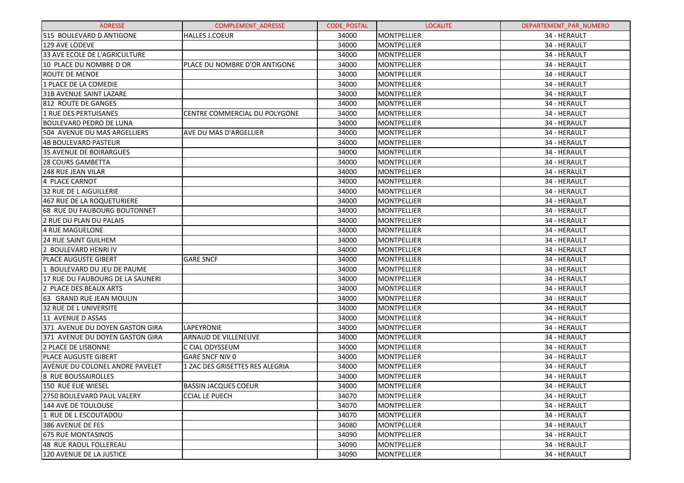| <b>ADRESSE</b>                   | <b>COMPLEMENT ADRESSE</b>       | <b>CODE POSTAL</b> | <b>LOCALITE</b>    | DEPARTEMENT PAR NUMERO |
|----------------------------------|---------------------------------|--------------------|--------------------|------------------------|
| 515 BOULEVARD D ANTIGONE         | <b>HALLES J.COEUR</b>           | 34000              | MONTPELLIER        | 34 - HERAULT           |
| 129 AVE LODEVE                   |                                 | 34000              | <b>MONTPELLIER</b> | 34 - HERAULT           |
| 33 AVE ECOLE DE L'AGRICULTURE    |                                 | 34000              | <b>MONTPELLIER</b> | 34 - HERAULT           |
| 10 PLACE DU NOMBRE D OR          | PLACE DU NOMBRE D'OR ANTIGONE   | 34000              | MONTPELLIER        | 34 - HERAULT           |
| <b>ROUTE DE MENDE</b>            |                                 | 34000              | MONTPELLIER        | 34 - HERAULT           |
| 1 PLACE DE LA COMEDIE            |                                 | 34000              | MONTPELLIER        | 34 - HERAULT           |
| 31B AVENUE SAINT LAZARE          |                                 | 34000              | MONTPELLIER        | 34 - HERAULT           |
| 812 ROUTE DE GANGES              |                                 | 34000              | MONTPELLIER        | 34 - HERAULT           |
| 1 RUE DES PERTUISANES            | CENTRE COMMERCIAL DU POLYGONE   | 34000              | MONTPELLIER        | 34 - HERAULT           |
| BOULEVARD PEDRO DE LUNA          |                                 | 34000              | MONTPELLIER        | 34 - HERAULT           |
| 504 AVENUE DU MAS ARGELLIERS     | <b>AVE DU MAS D'ARGELLIER</b>   | 34000              | MONTPELLIER        | 34 - HERAULT           |
| 4B BOULEVARD PASTEUR             |                                 | 34000              | MONTPELLIER        | 34 - HERAULT           |
| 35 AVENUE DE BOIRARGUES          |                                 | 34000              | MONTPELLIER        | 34 - HERAULT           |
| <b>28 COURS GAMBETTA</b>         |                                 | 34000              | MONTPELLIER        | 34 - HERAULT           |
| 248 RUE JEAN VILAR               |                                 | 34000              | MONTPELLIER        | 34 - HERAULT           |
| 4 PLACE CARNOT                   |                                 | 34000              | MONTPELLIER        | 34 - HERAULT           |
| 32 RUE DE L AIGUILLERIE          |                                 | 34000              | MONTPELLIER        | 34 - HERAULT           |
| 467 RUE DE LA ROQUETURIERE       |                                 | 34000              | MONTPELLIER        | 34 - HERAULT           |
| 68 RUE DU FAUBOURG BOUTONNET     |                                 | 34000              | MONTPELLIER        | 34 - HERAULT           |
| 2 RUE DU PLAN DU PALAIS          |                                 | 34000              | MONTPELLIER        | 34 - HERAULT           |
| 4 RUE MAGUELONE                  |                                 | 34000              | MONTPELLIER        | 34 - HERAULT           |
| <b>24 RUE SAINT GUILHEM</b>      |                                 | 34000              | MONTPELLIER        | 34 - HERAULT           |
| 2 BOULEVARD HENRI IV             |                                 | 34000              | MONTPELLIER        | 34 - HERAULT           |
| <b>PLACE AUGUSTE GIBERT</b>      | <b>GARE SNCF</b>                | 34000              | MONTPELLIER        | 34 - HERAULT           |
| 1 BOULEVARD DU JEU DE PAUME      |                                 | 34000              | MONTPELLIER        | 34 - HERAULT           |
| 17 RUE DU FAUBOURG DE LA SAUNERI |                                 | 34000              | MONTPELLIER        | 34 - HERAULT           |
| 2 PLACE DES BEAUX ARTS           |                                 | 34000              | MONTPELLIER        | 34 - HERAULT           |
| 63 GRAND RUE JEAN MOULIN         |                                 | 34000              | MONTPELLIER        | 34 - HERAULT           |
| <b>32 RUE DE L UNIVERSITE</b>    |                                 | 34000              | MONTPELLIER        | 34 - HERAULT           |
| 11 AVENUE D ASSAS                |                                 | 34000              | MONTPELLIER        | 34 - HERAULT           |
| 371 AVENUE DU DOYEN GASTON GIRA  | LAPEYRONIE                      | 34000              | MONTPELLIER        | 34 - HERAULT           |
| 371 AVENUE DU DOYEN GASTON GIRA  | ARNAUD DE VILLENEUVE            | 34000              | MONTPELLIER        | 34 - HERAULT           |
| 2 PLACE DE LISBONNE              | C CIAL ODYSSEUM                 | 34000              | MONTPELLIER        | 34 - HERAULT           |
| <b>PLACE AUGUSTE GIBERT</b>      | <b>GARE SNCF NIV 0</b>          | 34000              | <b>MONTPELLIER</b> | 34 - HERAULT           |
| AVENUE DU COLONEL ANDRE PAVELET  | 1 ZAC DES GRISETTES RES ALEGRIA | 34000              | MONTPELLIER        | 34 - HERAULT           |
| 8 RUE BOUSSAIROLLES              |                                 | 34000              | MONTPELLIER        | 34 - HERAULT           |
| 150 RUE ELIE WIESEL              | <b>BASSIN JACQUES COEUR</b>     | 34000              | MONTPELLIER        | 34 - HERAULT           |
| 2750 BOULEVARD PAUL VALERY       | <b>CCIAL LE PUECH</b>           | 34070              | <b>MONTPELLIER</b> | 34 - HERAULT           |
| 144 AVE DE TOULOUSE              |                                 | 34070              | <b>MONTPELLIER</b> | 34 - HERAULT           |
| l1 RUE DE L ESCOUTADOU           |                                 | 34070              | <b>MONTPELLIER</b> | 34 - HERAULT           |
| 386 AVENUE DE FES                |                                 | 34080              | <b>MONTPELLIER</b> | 34 - HERAULT           |
| <b>675 RUE MONTASINOS</b>        |                                 | 34090              | <b>MONTPELLIER</b> | 34 - HERAULT           |
| 48 RUE RAOUL FOLLEREAU           |                                 | 34090              | <b>MONTPELLIER</b> | 34 - HERAULT           |
| 120 AVENUE DE LA JUSTICE         |                                 | 34090              | <b>MONTPELLIER</b> | 34 - HERAULT           |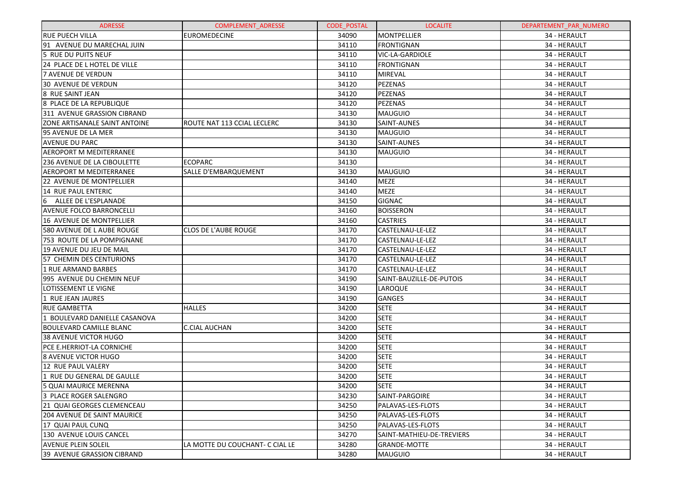| <b>ADRESSE</b>                     | <b>COMPLEMENT ADRESSE</b>       | <b>CODE POSTAL</b> | <b>LOCALITE</b>           | DEPARTEMENT PAR NUMERO |
|------------------------------------|---------------------------------|--------------------|---------------------------|------------------------|
| <b>RUE PUECH VILLA</b>             | <b>EUROMEDECINE</b>             | 34090              | <b>MONTPELLIER</b>        | 34 - HERAULT           |
| 91 AVENUE DU MARECHAL JUIN         |                                 | 34110              | <b>FRONTIGNAN</b>         | 34 - HERAULT           |
| 5 RUE DU PUITS NEUF                |                                 | 34110              | <b>VIC-LA-GARDIOLE</b>    | 34 - HERAULT           |
| 24 PLACE DE L HOTEL DE VILLE       |                                 | 34110              | <b>FRONTIGNAN</b>         | 34 - HERAULT           |
| <b>7 AVENUE DE VERDUN</b>          |                                 | 34110              | MIREVAL                   | 34 - HERAULT           |
| <b>30 AVENUE DE VERDUN</b>         |                                 | 34120              | PEZENAS                   | 34 - HERAULT           |
| 8 RUE SAINT JEAN                   |                                 | 34120              | PEZENAS                   | 34 - HERAULT           |
| 8 PLACE DE LA REPUBLIQUE           |                                 | 34120              | PEZENAS                   | 34 - HERAULT           |
| 311 AVENUE GRASSION CIBRAND        |                                 | 34130              | <b>MAUGUIO</b>            | 34 - HERAULT           |
| ZONE ARTISANALE SAINT ANTOINE      | ROUTE NAT 113 CCIAL LECLERC     | 34130              | <b>SAINT-AUNES</b>        | 34 - HERAULT           |
| 95 AVENUE DE LA MER                |                                 | 34130              | <b>MAUGUIO</b>            | 34 - HERAULT           |
| <b>AVENUE DU PARC</b>              |                                 | 34130              | <b>SAINT-AUNES</b>        | 34 - HERAULT           |
| <b>AEROPORT M MEDITERRANEE</b>     |                                 | 34130              | <b>MAUGUIO</b>            | 34 - HERAULT           |
| 236 AVENUE DE LA CIBOULETTE        | <b>ECOPARC</b>                  | 34130              |                           | 34 - HERAULT           |
| <b>AEROPORT M MEDITERRANEE</b>     | SALLE D'EMBARQUEMENT            | 34130              | <b>MAUGUIO</b>            | 34 - HERAULT           |
| <b>22 AVENUE DE MONTPELLIER</b>    |                                 | 34140              | <b>MEZE</b>               | 34 - HERAULT           |
| 14 RUE PAUL ENTERIC                |                                 | 34140              | <b>MEZE</b>               | 34 - HERAULT           |
| 6<br>ALLEE DE L'ESPLANADE          |                                 | 34150              | <b>GIGNAC</b>             | 34 - HERAULT           |
| <b>AVENUE FOLCO BARRONCELLI</b>    |                                 | 34160              | <b>BOISSERON</b>          | 34 - HERAULT           |
| 16 AVENUE DE MONTPELLIER           |                                 | 34160              | <b>CASTRIES</b>           | 34 - HERAULT           |
| 580 AVENUE DE L AUBE ROUGE         | <b>CLOS DE L'AUBE ROUGE</b>     | 34170              | CASTELNAU-LE-LEZ          | 34 - HERAULT           |
| 753 ROUTE DE LA POMPIGNANE         |                                 | 34170              | CASTELNAU-LE-LEZ          | 34 - HERAULT           |
| 19 AVENUE DU JEU DE MAIL           |                                 | 34170              | CASTELNAU-LE-LEZ          | 34 - HERAULT           |
| 57 CHEMIN DES CENTURIONS           |                                 | 34170              | CASTELNAU-LE-LEZ          | 34 - HERAULT           |
| <b>1 RUE ARMAND BARBES</b>         |                                 | 34170              | CASTELNAU-LE-LEZ          | 34 - HERAULT           |
| 995 AVENUE DU CHEMIN NEUF          |                                 | 34190              | SAINT-BAUZILLE-DE-PUTOIS  | 34 - HERAULT           |
| LOTISSEMENT LE VIGNE               |                                 | 34190              | LAROQUE                   | 34 - HERAULT           |
| 1 RUE JEAN JAURES                  |                                 | 34190              | <b>GANGES</b>             | 34 - HERAULT           |
| <b>RUE GAMBETTA</b>                | <b>HALLES</b>                   | 34200              | <b>SETE</b>               | 34 - HERAULT           |
| 1 BOULEVARD DANIELLE CASANOVA      |                                 | 34200              | <b>SETE</b>               | 34 - HERAULT           |
| <b>BOULEVARD CAMILLE BLANC</b>     | <b>C.CIAL AUCHAN</b>            | 34200              | <b>SETE</b>               | 34 - HERAULT           |
| <b>38 AVENUE VICTOR HUGO</b>       |                                 | 34200              | <b>SETE</b>               | 34 - HERAULT           |
| PCE E.HERRIOT-LA CORNICHE          |                                 | 34200              | <b>SETE</b>               | 34 - HERAULT           |
| <b>8 AVENUE VICTOR HUGO</b>        |                                 | 34200              | <b>SETE</b>               | 34 - HERAULT           |
| 12 RUE PAUL VALERY                 |                                 | 34200              | <b>SETE</b>               | 34 - HERAULT           |
| 1 RUE DU GENERAL DE GAULLE         |                                 | 34200              | <b>SETE</b>               | 34 - HERAULT           |
| <b>5 QUAI MAURICE MERENNA</b>      |                                 | 34200              | <b>SETE</b>               | 34 - HERAULT           |
| 3 PLACE ROGER SALENGRO             |                                 | 34230              | SAINT-PARGOIRE            | 34 - HERAULT           |
| 21 QUAI GEORGES CLEMENCEAU         |                                 | 34250              | PALAVAS-LES-FLOTS         | 34 - HERAULT           |
| <b>204 AVENUE DE SAINT MAURICE</b> |                                 | 34250              | PALAVAS-LES-FLOTS         | 34 - HERAULT           |
| 17 QUAI PAUL CUNQ                  |                                 | 34250              | PALAVAS-LES-FLOTS         | 34 - HERAULT           |
| 130 AVENUE LOUIS CANCEL            |                                 | 34270              | SAINT-MATHIEU-DE-TREVIERS | 34 - HERAULT           |
| <b>AVENUE PLEIN SOLEIL</b>         | LA MOTTE DU COUCHANT- C CIAL LE | 34280              | <b>GRANDE-MOTTE</b>       | 34 - HERAULT           |
| 39 AVENUE GRASSION CIBRAND         |                                 | 34280              | MAUGUIO                   | 34 - HERAULT           |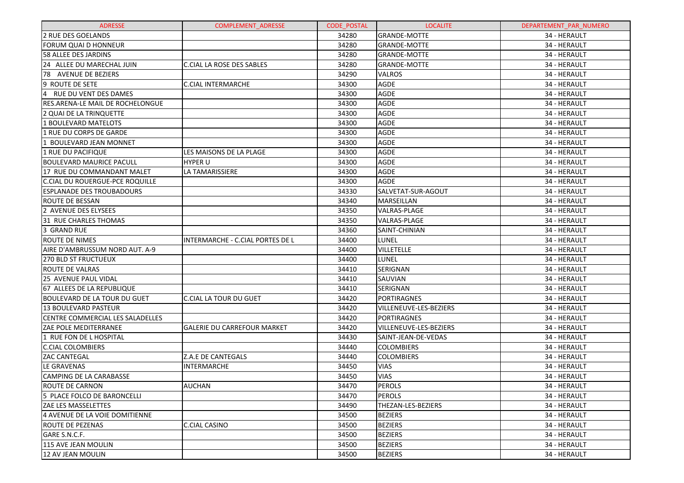| <b>ADRESSE</b>                          | <b>COMPLEMENT ADRESSE</b>          | <b>CODE POSTAL</b> | <b>LOCALITE</b>           | DEPARTEMENT_PAR_NUMERO |
|-----------------------------------------|------------------------------------|--------------------|---------------------------|------------------------|
| 2 RUE DES GOELANDS                      |                                    | 34280              | <b>GRANDE-MOTTE</b>       | 34 - HERAULT           |
| <b>FORUM QUAI D HONNEUR</b>             |                                    | 34280              | <b>GRANDE-MOTTE</b>       | 34 - HERAULT           |
| 58 ALLEE DES JARDINS                    |                                    | 34280              | <b>GRANDE-MOTTE</b>       | 34 - HERAULT           |
| 24 ALLEE DU MARECHAL JUIN               | <b>C.CIAL LA ROSE DES SABLES</b>   | 34280              | <b>GRANDE-MOTTE</b>       | 34 - HERAULT           |
| 78 AVENUE DE BEZIERS                    |                                    | 34290              | <b>VALROS</b>             | 34 - HERAULT           |
| 9 ROUTE DE SETE                         | <b>C.CIAL INTERMARCHE</b>          | 34300              | <b>AGDE</b>               | 34 - HERAULT           |
| $\overline{4}$<br>RUE DU VENT DES DAMES |                                    | 34300              | <b>AGDE</b>               | 34 - HERAULT           |
| RES.ARENA-LE MAIL DE ROCHELONGUE        |                                    | 34300              | <b>AGDE</b>               | 34 - HERAULT           |
| 2 QUAI DE LA TRINQUETTE                 |                                    | 34300              | <b>AGDE</b>               | 34 - HERAULT           |
| 1 BOULEVARD MATELOTS                    |                                    | 34300              | <b>AGDE</b>               | 34 - HERAULT           |
| 1 RUE DU CORPS DE GARDE                 |                                    | 34300              | <b>AGDE</b>               | 34 - HERAULT           |
| 1 BOULEVARD JEAN MONNET                 |                                    | 34300              | <b>AGDE</b>               | 34 - HERAULT           |
| 1 RUE DU PACIFIQUE                      | LES MAISONS DE LA PLAGE            | 34300              | <b>AGDE</b>               | 34 - HERAULT           |
| <b>BOULEVARD MAURICE PACULL</b>         | <b>HYPER U</b>                     | 34300              | <b>AGDE</b>               | 34 - HERAULT           |
| 17 RUE DU COMMANDANT MALET              | LA TAMARISSIERE                    | 34300              | <b>AGDE</b>               | 34 - HERAULT           |
| C.CIAL DU ROUERGUE-PCE ROQUILLE         |                                    | 34300              | <b>AGDE</b>               | 34 - HERAULT           |
| <b>ESPLANADE DES TROUBADOURS</b>        |                                    | 34330              | SALVETAT-SUR-AGOUT        | 34 - HERAULT           |
| ROUTE DE BESSAN                         |                                    | 34340              | MARSEILLAN                | 34 - HERAULT           |
| 2 AVENUE DES ELYSEES                    |                                    | 34350              | VALRAS-PLAGE              | 34 - HERAULT           |
| 31 RUE CHARLES THOMAS                   |                                    | 34350              | VALRAS-PLAGE              | 34 - HERAULT           |
| 3 GRAND RUE                             |                                    | 34360              | SAINT-CHINIAN             | 34 - HERAULT           |
| <b>ROUTE DE NIMES</b>                   | INTERMARCHE - C.CIAL PORTES DE L   | 34400              | LUNEL                     | 34 - HERAULT           |
| AIRE D'AMBRUSSUM NORD AUT. A-9          |                                    | 34400              | <b>VILLETELLE</b>         | 34 - HERAULT           |
| 270 BLD ST FRUCTUEUX                    |                                    | 34400              | LUNEL                     | 34 - HERAULT           |
| <b>ROUTE DE VALRAS</b>                  |                                    | 34410              | SERIGNAN                  | 34 - HERAULT           |
| 25 AVENUE PAUL VIDAL                    |                                    | 34410              | SAUVIAN                   | 34 - HERAULT           |
| 67 ALLEES DE LA REPUBLIQUE              |                                    | 34410              | SERIGNAN                  | 34 - HERAULT           |
| <b>BOULEVARD DE LA TOUR DU GUET</b>     | <b>C.CIAL LA TOUR DU GUET</b>      | 34420              | PORTIRAGNES               | 34 - HERAULT           |
| 13 BOULEVARD PASTEUR                    |                                    | 34420              | VILLENEUVE-LES-BEZIERS    | 34 - HERAULT           |
| CENTRE COMMERCIAL LES SALADELLES        |                                    | 34420              | PORTIRAGNES               | 34 - HERAULT           |
| <b>ZAE POLE MEDITERRANEE</b>            | <b>GALERIE DU CARREFOUR MARKET</b> | 34420              | VILLENEUVE-LES-BEZIERS    | 34 - HERAULT           |
| 1 RUE FON DE L HOSPITAL                 |                                    | 34430              | SAINT-JEAN-DE-VEDAS       | 34 - HERAULT           |
| <b>C.CIAL COLOMBIERS</b>                |                                    | 34440              | <b>COLOMBIERS</b>         | 34 - HERAULT           |
| <b>ZAC CANTEGAL</b>                     | Z.A.E DE CANTEGALS                 | 34440              | <b>COLOMBIERS</b>         | 34 - HERAULT           |
| LE GRAVENAS                             | <b>INTERMARCHE</b>                 | 34450              | <b>VIAS</b>               | 34 - HERAULT           |
| <b>CAMPING DE LA CARABASSE</b>          |                                    | 34450              | <b>VIAS</b>               | 34 - HERAULT           |
| ROUTE DE CARNON                         | <b>AUCHAN</b>                      | 34470              | PEROLS                    | 34 - HERAULT           |
| 5 PLACE FOLCO DE BARONCELLI             |                                    | 34470              | <b>PEROLS</b>             | 34 - HERAULT           |
| <b>ZAE LES MASSELETTES</b>              |                                    | 34490              | <b>THEZAN-LES-BEZIERS</b> | 34 - HERAULT           |
| 4 AVENUE DE LA VOIE DOMITIENNE          |                                    | 34500              | <b>BEZIERS</b>            | 34 - HERAULT           |
| ROUTE DE PEZENAS                        | <b>C.CIAL CASINO</b>               | 34500              | <b>BEZIERS</b>            | 34 - HERAULT           |
| GARE S.N.C.F.                           |                                    | 34500              | <b>BEZIERS</b>            | 34 - HERAULT           |
| 115 AVE JEAN MOULIN                     |                                    | 34500              | <b>BEZIERS</b>            | 34 - HERAULT           |
| 12 AV JEAN MOULIN                       |                                    | 34500              | <b>BEZIERS</b>            | 34 - HERAULT           |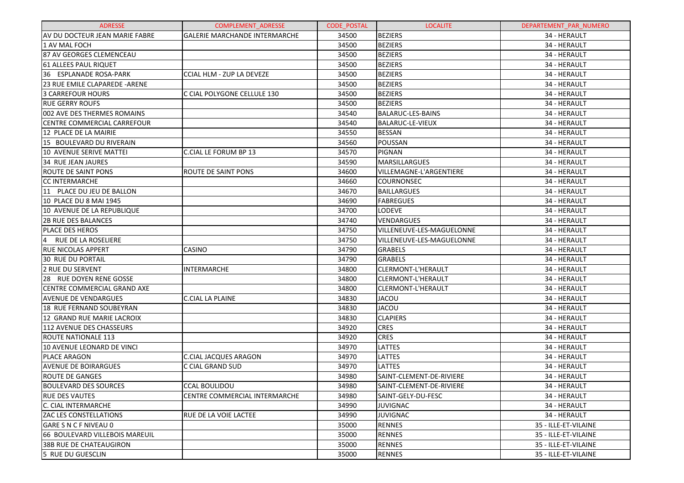| <b>ADRESSE</b>                        | COMPLEMENT_ADRESSE                   | <b>CODE POSTAL</b> | <b>LOCALITE</b>           | DEPARTEMENT_PAR_NUMERO |
|---------------------------------------|--------------------------------------|--------------------|---------------------------|------------------------|
| AV DU DOCTEUR JEAN MARIE FABRE        | <b>GALERIE MARCHANDE INTERMARCHE</b> | 34500              | <b>BEZIERS</b>            | 34 - HERAULT           |
| 1 AV MAL FOCH                         |                                      | 34500              | <b>BEZIERS</b>            | 34 - HERAULT           |
| 87 AV GEORGES CLEMENCEAU              |                                      | 34500              | <b>BEZIERS</b>            | 34 - HERAULT           |
| 61 ALLEES PAUL RIQUET                 |                                      | 34500              | <b>BEZIERS</b>            | 34 - HERAULT           |
| 36 ESPLANADE ROSA-PARK                | <b>CCIAL HLM - ZUP LA DEVEZE</b>     | 34500              | <b>BEZIERS</b>            | 34 - HERAULT           |
| 23 RUE EMILE CLAPAREDE - ARENE        |                                      | 34500              | <b>BEZIERS</b>            | 34 - HERAULT           |
| <b>3 CARREFOUR HOURS</b>              | C CIAL POLYGONE CELLULE 130          | 34500              | <b>BEZIERS</b>            | 34 - HERAULT           |
| <b>RUE GERRY ROUFS</b>                |                                      | 34500              | <b>BEZIERS</b>            | 34 - HERAULT           |
| 002 AVE DES THERMES ROMAINS           |                                      | 34540              | BALARUC-LES-BAINS         | 34 - HERAULT           |
| CENTRE COMMERCIAL CARREFOUR           |                                      | 34540              | <b>BALARUC-LE-VIEUX</b>   | 34 - HERAULT           |
| 12 PLACE DE LA MAIRIE                 |                                      | 34550              | <b>BESSAN</b>             | 34 - HERAULT           |
| 15 BOULEVARD DU RIVERAIN              |                                      | 34560              | POUSSAN                   | 34 - HERAULT           |
| 10 AVENUE SERIVE MATTEI               | C.CIAL LE FORUM BP 13                | 34570              | <b>PIGNAN</b>             | 34 - HERAULT           |
| <b>34 RUE JEAN JAURES</b>             |                                      | 34590              | MARSILLARGUES             | 34 - HERAULT           |
| <b>ROUTE DE SAINT PONS</b>            | <b>ROUTE DE SAINT PONS</b>           | 34600              | VILLEMAGNE-L'ARGENTIERE   | 34 - HERAULT           |
| <b>CC INTERMARCHE</b>                 |                                      | 34660              | <b>COURNONSEC</b>         | 34 - HERAULT           |
| 11 PLACE DU JEU DE BALLON             |                                      | 34670              | BAILLARGUES               | 34 - HERAULT           |
| 10 PLACE DU 8 MAI 1945                |                                      | 34690              | <b>FABREGUES</b>          | 34 - HERAULT           |
| 10 AVENUE DE LA REPUBLIQUE            |                                      | 34700              | LODEVE                    | 34 - HERAULT           |
| <b>2B RUE DES BALANCES</b>            |                                      | 34740              | VENDARGUES                | 34 - HERAULT           |
| <b>PLACE DES HEROS</b>                |                                      | 34750              | VILLENEUVE-LES-MAGUELONNE | 34 - HERAULT           |
| $\overline{4}$<br>RUE DE LA ROSELIERE |                                      | 34750              | VILLENEUVE-LES-MAGUELONNE | 34 - HERAULT           |
| <b>RUE NICOLAS APPERT</b>             | CASINO                               | 34790              | <b>GRABELS</b>            | 34 - HERAULT           |
| <b>30 RUE DU PORTAIL</b>              |                                      | 34790              | <b>GRABELS</b>            | 34 - HERAULT           |
| 2 RUE DU SERVENT                      | <b>INTERMARCHE</b>                   | 34800              | CLERMONT-L'HERAULT        | 34 - HERAULT           |
| 28 RUE DOYEN RENE GOSSE               |                                      | 34800              | CLERMONT-L'HERAULT        | 34 - HERAULT           |
| CENTRE COMMERCIAL GRAND AXE           |                                      | 34800              | CLERMONT-L'HERAULT        | 34 - HERAULT           |
| <b>AVENUE DE VENDARGUES</b>           | C.CIAL LA PLAINE                     | 34830              | <b>JACOU</b>              | 34 - HERAULT           |
| <b>18 RUE FERNAND SOUBEYRAN</b>       |                                      | 34830              | <b>JACOU</b>              | 34 - HERAULT           |
| 12 GRAND RUE MARIE LACROIX            |                                      | 34830              | <b>CLAPIERS</b>           | 34 - HERAULT           |
| <b>112 AVENUE DES CHASSEURS</b>       |                                      | 34920              | <b>CRES</b>               | 34 - HERAULT           |
| <b>ROUTE NATIONALE 113</b>            |                                      | 34920              | <b>CRES</b>               | 34 - HERAULT           |
| 10 AVENUE LEONARD DE VINCI            |                                      | 34970              | LATTES                    | 34 - HERAULT           |
| <b>PLACE ARAGON</b>                   | C.CIAL JACQUES ARAGON                | 34970              | LATTES                    | 34 - HERAULT           |
| <b>AVENUE DE BOIRARGUES</b>           | C CIAL GRAND SUD                     | 34970              | <b>LATTES</b>             | 34 - HERAULT           |
| <b>ROUTE DE GANGES</b>                |                                      | 34980              | SAINT-CLEMENT-DE-RIVIERE  | 34 - HERAULT           |
| <b>BOULEVARD DES SOURCES</b>          | <b>CCAL BOULIDOU</b>                 | 34980              | SAINT-CLEMENT-DE-RIVIERE  | 34 - HERAULT           |
| <b>RUE DES VAUTES</b>                 | CENTRE COMMERCIAL INTERMARCHE        | 34980              | SAINT-GELY-DU-FESC        | 34 - HERAULT           |
| C. CIAL INTERMARCHE                   |                                      | 34990              | <b>JUVIGNAC</b>           | 34 - HERAULT           |
| <b>ZAC LES CONSTELLATIONS</b>         | <b>RUE DE LA VOIE LACTEE</b>         | 34990              | <b>JUVIGNAC</b>           | 34 - HERAULT           |
| GARE S N C F NIVEAU 0                 |                                      | 35000              | <b>RENNES</b>             | 35 - ILLE-ET-VILAINE   |
| 66 BOULEVARD VILLEBOIS MAREUIL        |                                      | 35000              | <b>RENNES</b>             | 35 - ILLE-ET-VILAINE   |
| <b>38B RUE DE CHATEAUGIRON</b>        |                                      | 35000              | <b>RENNES</b>             | 35 - ILLE-ET-VILAINE   |
| 5 RUE DU GUESCLIN                     |                                      | 35000              | <b>RENNES</b>             | 35 - ILLE-ET-VILAINE   |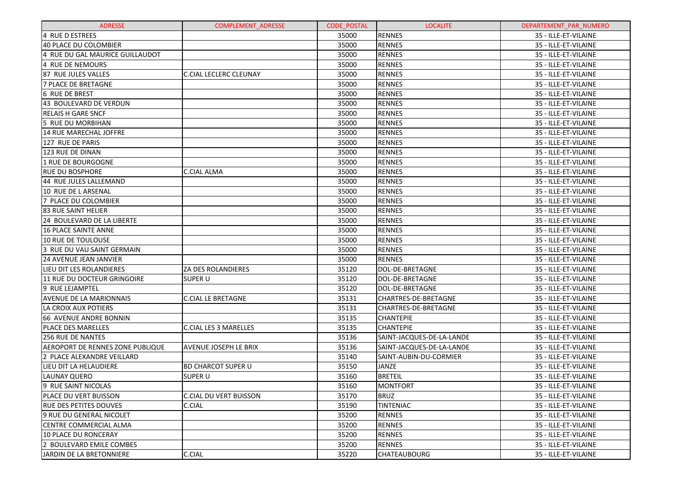| <b>ADRESSE</b>                          | <b>COMPLEMENT ADRESSE</b>     | <b>CODE POSTAL</b> | <b>LOCALITE</b>           | DEPARTEMENT PAR NUMERO |
|-----------------------------------------|-------------------------------|--------------------|---------------------------|------------------------|
| 4 RUE D ESTREES                         |                               | 35000              | <b>RENNES</b>             | 35 - ILLE-ET-VILAINE   |
| 40 PLACE DU COLOMBIER                   |                               | 35000              | <b>RENNES</b>             | 35 - ILLE-ET-VILAINE   |
| 4 RUE DU GAL MAURICE GUILLAUDOT         |                               | 35000              | <b>RENNES</b>             | 35 - ILLE-ET-VILAINE   |
| 4 RUE DE NEMOURS                        |                               | 35000              | <b>RENNES</b>             | 35 - ILLE-ET-VILAINE   |
| 87 RUE JULES VALLES                     | <b>C.CIAL LECLERC CLEUNAY</b> | 35000              | <b>RENNES</b>             | 35 - ILLE-ET-VILAINE   |
| <b>7 PLACE DE BRETAGNE</b>              |                               | 35000              | <b>RENNES</b>             | 35 - ILLE-ET-VILAINE   |
| 6 RUE DE BREST                          |                               | 35000              | <b>RENNES</b>             | 35 - ILLE-ET-VILAINE   |
| 43 BOULEVARD DE VERDUN                  |                               | 35000              | <b>RENNES</b>             | 35 - ILLE-ET-VILAINE   |
| <b>RELAIS H GARE SNCF</b>               |                               | 35000              | <b>RENNES</b>             | 35 - ILLE-ET-VILAINE   |
| 5 RUE DU MORBIHAN                       |                               | 35000              | <b>RENNES</b>             | 35 - ILLE-ET-VILAINE   |
| 14 RUE MARECHAL JOFFRE                  |                               | 35000              | <b>RENNES</b>             | 35 - ILLE-ET-VILAINE   |
| 127 RUE DE PARIS                        |                               | 35000              | <b>RENNES</b>             | 35 - ILLE-ET-VILAINE   |
| 123 RUE DE DINAN                        |                               | 35000              | <b>RENNES</b>             | 35 - ILLE-ET-VILAINE   |
| 1 RUE DE BOURGOGNE                      |                               | 35000              | <b>RENNES</b>             | 35 - ILLE-ET-VILAINE   |
| IRUE DU BOSPHORE                        | <b>C.CIAL ALMA</b>            | 35000              | <b>RENNES</b>             | 35 - ILLE-ET-VILAINE   |
| 44 RUE JULES LALLEMAND                  |                               | 35000              | <b>RENNES</b>             | 35 - ILLE-ET-VILAINE   |
| 10 RUE DE L ARSENAL                     |                               | 35000              | <b>RENNES</b>             | 35 - ILLE-ET-VILAINE   |
| 7 PLACE DU COLOMBIER                    |                               | 35000              | <b>RENNES</b>             | 35 - ILLE-ET-VILAINE   |
| <b>83 RUE SAINT HELIER</b>              |                               | 35000              | <b>RENNES</b>             | 35 - ILLE-ET-VILAINE   |
| 124 BOULEVARD DE LA LIBERTE             |                               | 35000              | <b>RENNES</b>             | 35 - ILLE-ET-VILAINE   |
| 16 PLACE SAINTE ANNE                    |                               | 35000              | <b>RENNES</b>             | 35 - ILLE-ET-VILAINE   |
| 10 RUE DE TOULOUSE                      |                               | 35000              | <b>RENNES</b>             | 35 - ILLE-ET-VILAINE   |
| l3 RUE DU VAU SAINT GERMAIN             |                               | 35000              | <b>RENNES</b>             | 35 - ILLE-ET-VILAINE   |
| <b>24 AVENUE JEAN JANVIER</b>           |                               | 35000              | <b>RENNES</b>             | 35 - ILLE-ET-VILAINE   |
| LIEU DIT LES ROLANDIERES                | <b>ZA DES ROLANDIERES</b>     | 35120              | DOL-DE-BRETAGNE           | 35 - ILLE-ET-VILAINE   |
| 11 RUE DU DOCTEUR GRINGOIRE             | <b>SUPER U</b>                | 35120              | DOL-DE-BRETAGNE           | 35 - ILLE-ET-VILAINE   |
| l9 RUE LEJAMPTEL                        |                               | 35120              | DOL-DE-BRETAGNE           | 35 - ILLE-ET-VILAINE   |
| <b>AVENUE DE LA MARIONNAIS</b>          | <b>C.CIAL LE BRETAGNE</b>     | 35131              | CHARTRES-DE-BRETAGNE      | 35 - ILLE-ET-VILAINE   |
| LA CROIX AUX POTIERS                    |                               | 35131              | CHARTRES-DE-BRETAGNE      | 35 - ILLE-ET-VILAINE   |
| 66 AVENUE ANDRE BONNIN                  |                               | 35135              | <b>CHANTEPIE</b>          | 35 - ILLE-ET-VILAINE   |
| <b>PLACE DES MARELLES</b>               | <b>C.CIAL LES 3 MARELLES</b>  | 35135              | <b>CHANTEPIE</b>          | 35 - ILLE-ET-VILAINE   |
| <b>256 RUE DE NANTES</b>                |                               | 35136              | SAINT-JACQUES-DE-LA-LANDE | 35 - ILLE-ET-VILAINE   |
| <b>AEROPORT DE RENNES ZONE PUBLIQUE</b> | <b>AVENUE JOSEPH LE BRIX</b>  | 35136              | SAINT-JACQUES-DE-LA-LANDE | 35 - ILLE-ET-VILAINE   |
| 2 PLACE ALEXANDRE VEILLARD              |                               | 35140              | SAINT-AUBIN-DU-CORMIER    | 35 - ILLE-ET-VILAINE   |
| LIEU DIT LA HELAUDIERE                  | <b>BD CHARCOT SUPER U</b>     | 35150              | <b>JANZE</b>              | 35 - ILLE-ET-VILAINE   |
| LAUNAY QUERO                            | <b>SUPER U</b>                | 35160              | <b>BRETEIL</b>            | 35 - ILLE-ET-VILAINE   |
| 9 RUE SAINT NICOLAS                     |                               | 35160              | <b>MONTFORT</b>           | 35 - ILLE-ET-VILAINE   |
| PLACE DU VERT BUISSON                   | <b>C.CIAL DU VERT BUISSON</b> | 35170              | <b>BRUZ</b>               | 35 - ILLE-ET-VILAINE   |
| <b>RUE DES PETITES DOUVES</b>           | C.CIAL                        | 35190              | <b>TINTENIAC</b>          | 35 - ILLE-ET-VILAINE   |
| 9 RUE DU GENERAL NICOLET                |                               | 35200              | <b>RENNES</b>             | 35 - ILLE-ET-VILAINE   |
| CENTRE COMMERCIAL ALMA                  |                               | 35200              | <b>RENNES</b>             | 35 - ILLE-ET-VILAINE   |
| 10 PLACE DU RONCERAY                    |                               | 35200              | <b>RENNES</b>             | 35 - ILLE-ET-VILAINE   |
| 2 BOULEVARD EMILE COMBES                |                               | 35200              | <b>RENNES</b>             | 35 - ILLE-ET-VILAINE   |
| JARDIN DE LA BRETONNIERE                | C.CIAL                        | 35220              | <b>CHATEAUBOURG</b>       | 35 - ILLE-ET-VILAINE   |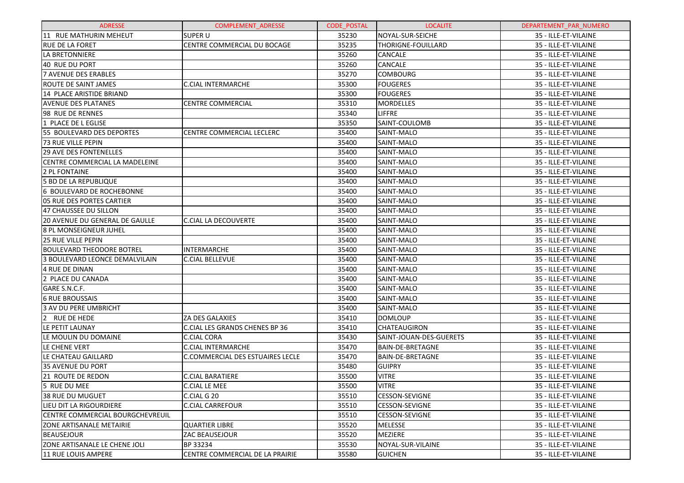| <b>ADRESSE</b>                       | <b>COMPLEMENT ADRESSE</b>             | <b>CODE POSTAL</b> | <b>LOCALITE</b>         | DEPARTEMENT PAR NUMERO |
|--------------------------------------|---------------------------------------|--------------------|-------------------------|------------------------|
| 11 RUE MATHURIN MEHEUT               | <b>SUPER U</b>                        | 35230              | NOYAL-SUR-SEICHE        | 35 - ILLE-ET-VILAINE   |
| <b>RUE DE LA FORET</b>               | CENTRE COMMERCIAL DU BOCAGE           | 35235              | THORIGNE-FOUILLARD      | 35 - ILLE-ET-VILAINE   |
| LA BRETONNIERE                       |                                       | 35260              | CANCALE                 | 35 - ILLE-ET-VILAINE   |
| 40 RUE DU PORT                       |                                       | 35260              | CANCALE                 | 35 - ILLE-ET-VILAINE   |
| 7 AVENUE DES ERABLES                 |                                       | 35270              | <b>COMBOURG</b>         | 35 - ILLE-ET-VILAINE   |
| IROUTE DE SAINT JAMES                | <b>C.CIAL INTERMARCHE</b>             | 35300              | <b>FOUGERES</b>         | 35 - ILLE-ET-VILAINE   |
| 14 PLACE ARISTIDE BRIAND             |                                       | 35300              | <b>FOUGERES</b>         | 35 - ILLE-ET-VILAINE   |
| <b>AVENUE DES PLATANES</b>           | <b>CENTRE COMMERCIAL</b>              | 35310              | <b>MORDELLES</b>        | 35 - ILLE-ET-VILAINE   |
| 98 RUE DE RENNES                     |                                       | 35340              | <b>LIFFRE</b>           | 35 - ILLE-ET-VILAINE   |
| 1 PLACE DE L EGLISE                  |                                       | 35350              | SAINT-COULOMB           | 35 - ILLE-ET-VILAINE   |
| 55 BOULEVARD DES DEPORTES            | CENTRE COMMERCIAL LECLERC             | 35400              | SAINT-MALO              | 35 - ILLE-ET-VILAINE   |
| 73 RUE VILLE PEPIN                   |                                       | 35400              | SAINT-MALO              | 35 - ILLE-ET-VILAINE   |
| <b>29 AVE DES FONTENELLES</b>        |                                       | 35400              | SAINT-MALO              | 35 - ILLE-ET-VILAINE   |
| CENTRE COMMERCIAL LA MADELEINE       |                                       | 35400              | SAINT-MALO              | 35 - ILLE-ET-VILAINE   |
| 2 PL FONTAINE                        |                                       | 35400              | SAINT-MALO              | 35 - ILLE-ET-VILAINE   |
| 5 BD DE LA REPUBLIQUE                |                                       | 35400              | SAINT-MALO              | 35 - ILLE-ET-VILAINE   |
| 6 BOULEVARD DE ROCHEBONNE            |                                       | 35400              | SAINT-MALO              | 35 - ILLE-ET-VILAINE   |
| l05 RUE DES PORTES CARTIER           |                                       | 35400              | SAINT-MALO              | 35 - ILLE-ET-VILAINE   |
| 47 CHAUSSEE DU SILLON                |                                       | 35400              | SAINT-MALO              | 35 - ILLE-ET-VILAINE   |
| l20 AVENUE DU GENERAL DE GAULLE      | <b>C.CIAL LA DECOUVERTE</b>           | 35400              | SAINT-MALO              | 35 - ILLE-ET-VILAINE   |
| <b>8 PL MONSEIGNEUR JUHEL</b>        |                                       | 35400              | SAINT-MALO              | 35 - ILLE-ET-VILAINE   |
| <b>25 RUE VILLE PEPIN</b>            |                                       | 35400              | SAINT-MALO              | 35 - ILLE-ET-VILAINE   |
| <b>BOULEVARD THEODORE BOTREL</b>     | <b>INTERMARCHE</b>                    | 35400              | SAINT-MALO              | 35 - ILLE-ET-VILAINE   |
| 3 BOULEVARD LEONCE DEMALVILAIN       | <b>C.CIAL BELLEVUE</b>                | 35400              | SAINT-MALO              | 35 - ILLE-ET-VILAINE   |
| 4 RUE DE DINAN                       |                                       | 35400              | SAINT-MALO              | 35 - ILLE-ET-VILAINE   |
| 2 PLACE DU CANADA                    |                                       | 35400              | SAINT-MALO              | 35 - ILLE-ET-VILAINE   |
| GARE S.N.C.F.                        |                                       | 35400              | SAINT-MALO              | 35 - ILLE-ET-VILAINE   |
| <b>6 RUE BROUSSAIS</b>               |                                       | 35400              | SAINT-MALO              | 35 - ILLE-ET-VILAINE   |
| 3 AV DU PERE UMBRICHT                |                                       | 35400              | SAINT-MALO              | 35 - ILLE-ET-VILAINE   |
| 2 RUE DE HEDE                        | <b>ZA DES GALAXIES</b>                | 35410              | <b>DOMLOUP</b>          | 35 - ILLE-ET-VILAINE   |
| lle petit launay                     | <b>C.CIAL LES GRANDS CHENES BP 36</b> | 35410              | <b>CHATEAUGIRON</b>     | 35 - ILLE-ET-VILAINE   |
| LE MOULIN DU DOMAINE                 | C.CIAL CORA                           | 35430              | SAINT-JOUAN-DES-GUERETS | 35 - ILLE-ET-VILAINE   |
| LE CHENE VERT                        | <b>C.CIAL INTERMARCHE</b>             | 35470              | BAIN-DE-BRETAGNE        | 35 - ILLE-ET-VILAINE   |
| LE CHATEAU GAILLARD                  | C.COMMERCIAL DES ESTUAIRES LECLE      | 35470              | <b>BAIN-DE-BRETAGNE</b> | 35 - ILLE-ET-VILAINE   |
| 35 AVENUE DU PORT                    |                                       | 35480              | <b>GUIPRY</b>           | 35 - ILLE-ET-VILAINE   |
| 21 ROUTE DE REDON                    | <b>C.CIAL BARATIERE</b>               | 35500              | <b>VITRE</b>            | 35 - ILLE-ET-VILAINE   |
| 5 RUE DU MEE                         | C.CIAL LE MEE                         | 35500              | <b>VITRE</b>            | 35 - ILLE-ET-VILAINE   |
| <b>38 RUE DU MUGUET</b>              | C.CIAL G 20                           | 35510              | <b>CESSON-SEVIGNE</b>   | 35 - ILLE-ET-VILAINE   |
| LIEU DIT LA RIGOURDIERE              | <b>C.CIAL CARREFOUR</b>               | 35510              | <b>CESSON-SEVIGNE</b>   | 35 - ILLE-ET-VILAINE   |
| CENTRE COMMERCIAL BOURGCHEVREUIL     |                                       | 35510              | <b>CESSON-SEVIGNE</b>   | 35 - ILLE-ET-VILAINE   |
| <b>ZONE ARTISANALE METAIRIE</b>      | <b>QUARTIER LIBRE</b>                 | 35520              | <b>MELESSE</b>          | 35 - ILLE-ET-VILAINE   |
| BEAUSEJOUR                           | <b>ZAC BEAUSEJOUR</b>                 | 35520              | <b>MEZIERE</b>          | 35 - ILLE-ET-VILAINE   |
| <b>ZONE ARTISANALE LE CHENE JOLI</b> | BP 33234                              | 35530              | NOYAL-SUR-VILAINE       | 35 - ILLE-ET-VILAINE   |
| 11 RUE LOUIS AMPERE                  | CENTRE COMMERCIAL DE LA PRAIRIE       | 35580              | <b>GUICHEN</b>          | 35 - ILLE-ET-VILAINE   |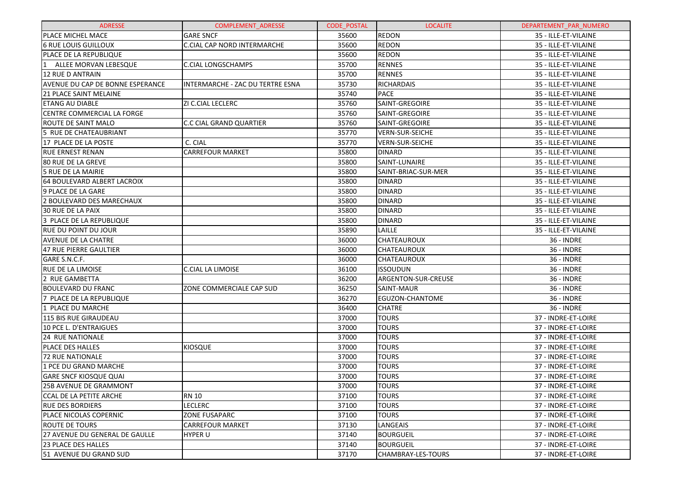| <b>ADRESSE</b>                        | <b>COMPLEMENT ADRESSE</b>        | <b>CODE POSTAL</b> | <b>LOCALITE</b>        | DEPARTEMENT PAR NUMERO |
|---------------------------------------|----------------------------------|--------------------|------------------------|------------------------|
| PLACE MICHEL MACE                     | <b>GARE SNCF</b>                 | 35600              | <b>REDON</b>           | 35 - ILLE-ET-VILAINE   |
| <b>6 RUE LOUIS GUILLOUX</b>           | C.CIAL CAP NORD INTERMARCHE      | 35600              | <b>REDON</b>           | 35 - ILLE-ET-VILAINE   |
| PLACE DE LA REPUBLIQUE                |                                  | 35600              | <b>REDON</b>           | 35 - ILLE-ET-VILAINE   |
| ALLEE MORVAN LEBESQUE                 | C.CIAL LONGSCHAMPS               | 35700              | <b>RENNES</b>          | 35 - ILLE-ET-VILAINE   |
| 12 RUE D ANTRAIN                      |                                  | 35700              | <b>RENNES</b>          | 35 - ILLE-ET-VILAINE   |
| AVENUE DU CAP DE BONNE ESPERANCE      | INTERMARCHE - ZAC DU TERTRE ESNA | 35730              | <b>RICHARDAIS</b>      | 35 - ILLE-ET-VILAINE   |
| <b>21 PLACE SAINT MELAINE</b>         |                                  | 35740              | <b>PACE</b>            | 35 - ILLE-ET-VILAINE   |
| <b>ETANG AU DIABLE</b>                | ZI C.CIAL LECLERC                | 35760              | SAINT-GREGOIRE         | 35 - ILLE-ET-VILAINE   |
| CENTRE COMMERCIAL LA FORGE            |                                  | 35760              | SAINT-GREGOIRE         | 35 - ILLE-ET-VILAINE   |
| ROUTE DE SAINT MALO                   | <b>C.C CIAL GRAND QUARTIER</b>   | 35760              | SAINT-GREGOIRE         | 35 - ILLE-ET-VILAINE   |
| 5 RUE DE CHATEAUBRIANT                |                                  | 35770              | <b>VERN-SUR-SEICHE</b> | 35 - ILLE-ET-VILAINE   |
| 17 PLACE DE LA POSTE                  | C. CIAL                          | 35770              | <b>VERN-SUR-SEICHE</b> | 35 - ILLE-ET-VILAINE   |
| <b>RUE ERNEST RENAN</b>               | <b>CARREFOUR MARKET</b>          | 35800              | <b>DINARD</b>          | 35 - ILLE-ET-VILAINE   |
| 80 RUE DE LA GREVE                    |                                  | 35800              | SAINT-LUNAIRE          | 35 - ILLE-ET-VILAINE   |
| 5 RUE DE LA MAIRIE                    |                                  | 35800              | SAINT-BRIAC-SUR-MER    | 35 - ILLE-ET-VILAINE   |
| 64 BOULEVARD ALBERT LACROIX           |                                  | 35800              | <b>DINARD</b>          | 35 - ILLE-ET-VILAINE   |
| 9 PLACE DE LA GARE                    |                                  | 35800              | <b>DINARD</b>          | 35 - ILLE-ET-VILAINE   |
| 2 BOULEVARD DES MARECHAUX             |                                  | 35800              | <b>DINARD</b>          | 35 - ILLE-ET-VILAINE   |
| 30 RUE DE LA PAIX                     |                                  | 35800              | <b>DINARD</b>          | 35 - ILLE-ET-VILAINE   |
| 3 PLACE DE LA REPUBLIQUE              |                                  | 35800              | <b>DINARD</b>          | 35 - ILLE-ET-VILAINE   |
| <b>RUE DU POINT DU JOUR</b>           |                                  | 35890              | LAILLE                 | 35 - ILLE-ET-VILAINE   |
| AVENUE DE LA CHATRE                   |                                  | 36000              | <b>CHATEAUROUX</b>     | 36 - INDRE             |
| <b>47 RUE PIERRE GAULTIER</b>         |                                  | 36000              | <b>CHATEAUROUX</b>     | 36 - INDRE             |
| GARE S.N.C.F.                         |                                  | 36000              | <b>CHATEAUROUX</b>     | <b>36 - INDRE</b>      |
| <b>RUE DE LA LIMOISE</b>              | C.CIAL LA LIMOISE                | 36100              | ISSOUDUN               | 36 - INDRE             |
| 2 RUE GAMBETTA                        |                                  | 36200              | ARGENTON-SUR-CREUSE    | <b>36 - INDRE</b>      |
| <b>BOULEVARD DU FRANC</b>             | ZONE COMMERCIALE CAP SUD         | 36250              | SAINT-MAUR             | <b>36 - INDRE</b>      |
| 7 PLACE DE LA REPUBLIQUE              |                                  | 36270              | EGUZON-CHANTOME        | 36 - INDRE             |
| 1 PLACE DU MARCHE                     |                                  | 36400              | <b>CHATRE</b>          | <b>36 - INDRE</b>      |
| 115 BIS RUE GIRAUDEAU                 |                                  | 37000              | <b>TOURS</b>           | 37 - INDRE-ET-LOIRE    |
| 10 PCE L. D'ENTRAIGUES                |                                  | 37000              | <b>TOURS</b>           | 37 - INDRE-ET-LOIRE    |
| 24 RUE NATIONALE                      |                                  | 37000              | <b>TOURS</b>           | 37 - INDRE-ET-LOIRE    |
| PLACE DES HALLES                      | <b>KIOSQUE</b>                   | 37000              | <b>TOURS</b>           | 37 - INDRE-ET-LOIRE    |
| <b>72 RUE NATIONALE</b>               |                                  | 37000              | <b>TOURS</b>           | 37 - INDRE-ET-LOIRE    |
| 1 PCE DU GRAND MARCHE                 |                                  | 37000              | <b>TOURS</b>           | 37 - INDRE-ET-LOIRE    |
| <b>GARE SNCF KIOSQUE QUAI</b>         |                                  | 37000              | <b>TOURS</b>           | 37 - INDRE-ET-LOIRE    |
| 25B AVENUE DE GRAMMONT                |                                  | 37000              | <b>TOURS</b>           | 37 - INDRE-ET-LOIRE    |
| CCAL DE LA PETITE ARCHE               | <b>RN 10</b>                     | 37100              | <b>TOURS</b>           | 37 - INDRE-ET-LOIRE    |
| <b>RUE DES BORDIERS</b>               | LECLERC                          | 37100              | <b>TOURS</b>           | 37 - INDRE-ET-LOIRE    |
| PLACE NICOLAS COPERNIC                | <b>ZONE FUSAPARC</b>             | 37100              | <b>TOURS</b>           | 37 - INDRE-ET-LOIRE    |
| ROUTE DE TOURS                        | <b>CARREFOUR MARKET</b>          | 37130              | LANGEAIS               | 37 - INDRE-ET-LOIRE    |
| <b>27 AVENUE DU GENERAL DE GAULLE</b> | <b>HYPER U</b>                   | 37140              | <b>BOURGUEIL</b>       | 37 - INDRE-ET-LOIRE    |
| 23 PLACE DES HALLES                   |                                  | 37140              | <b>BOURGUEIL</b>       | 37 - INDRE-ET-LOIRE    |
| 51 AVENUE DU GRAND SUD                |                                  | 37170              | CHAMBRAY-LES-TOURS     | 37 - INDRE-ET-LOIRE    |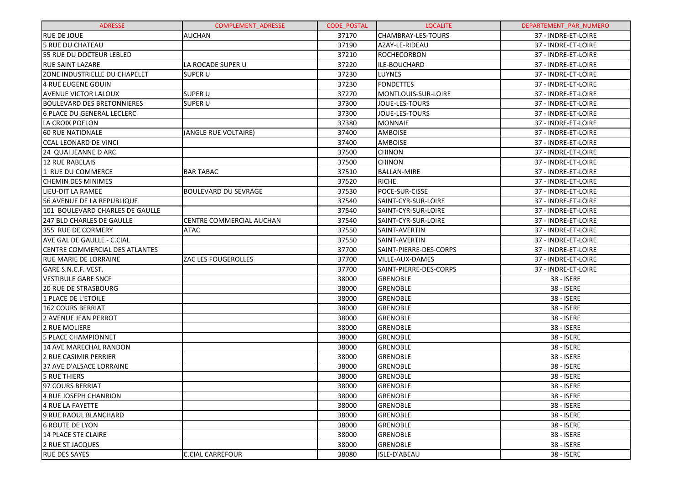| <b>ADRESSE</b>                        | <b>COMPLEMENT ADRESSE</b>   | <b>CODE POSTAL</b> | <b>LOCALITE</b>        | DEPARTEMENT PAR NUMERO |
|---------------------------------------|-----------------------------|--------------------|------------------------|------------------------|
| <b>RUE DE JOUE</b>                    | <b>AUCHAN</b>               | 37170              | CHAMBRAY-LES-TOURS     | 37 - INDRE-ET-LOIRE    |
| <b>5 RUE DU CHATEAU</b>               |                             | 37190              | AZAY-LE-RIDEAU         | 37 - INDRE-ET-LOIRE    |
| 55 RUE DU DOCTEUR LEBLED              |                             | 37210              | <b>ROCHECORBON</b>     | 37 - INDRE-ET-LOIRE    |
| <b>RUE SAINT LAZARE</b>               | LA ROCADE SUPER U           | 37220              | ILE-BOUCHARD           | 37 - INDRE-ET-LOIRE    |
| ZONE INDUSTRIELLE DU CHAPELET         | SUPER U                     | 37230              | LUYNES                 | 37 - INDRE-ET-LOIRE    |
| 4 RUE EUGENE GOUIN                    |                             | 37230              | <b>FONDETTES</b>       | 37 - INDRE-ET-LOIRE    |
| AVENUE VICTOR LALOUX                  | <b>SUPER U</b>              | 37270              | MONTLOUIS-SUR-LOIRE    | 37 - INDRE-ET-LOIRE    |
| <b>BOULEVARD DES BRETONNIERES</b>     | SUPER U                     | 37300              | JOUE-LES-TOURS         | 37 - INDRE-ET-LOIRE    |
| 6 PLACE DU GENERAL LECLERC            |                             | 37300              | JOUE-LES-TOURS         | 37 - INDRE-ET-LOIRE    |
| LA CROIX POELON                       |                             | 37380              | <b>MONNAIE</b>         | 37 - INDRE-ET-LOIRE    |
| <b>60 RUE NATIONALE</b>               | (ANGLE RUE VOLTAIRE)        | 37400              | <b>AMBOISE</b>         | 37 - INDRE-ET-LOIRE    |
| <b>CCAL LEONARD DE VINCI</b>          |                             | 37400              | <b>AMBOISE</b>         | 37 - INDRE-ET-LOIRE    |
| 24 QUAI JEANNE D ARC                  |                             | 37500              | <b>CHINON</b>          | 37 - INDRE-ET-LOIRE    |
| 12 RUE RABELAIS                       |                             | 37500              | <b>CHINON</b>          | 37 - INDRE-ET-LOIRE    |
| 1 RUE DU COMMERCE                     | <b>BAR TABAC</b>            | 37510              | <b>BALLAN-MIRE</b>     | 37 - INDRE-ET-LOIRE    |
| <b>CHEMIN DES MINIMES</b>             |                             | 37520              | <b>RICHE</b>           | 37 - INDRE-ET-LOIRE    |
| LIEU-DIT LA RAMEE                     | <b>BOULEVARD DU SEVRAGE</b> | 37530              | POCE-SUR-CISSE         | 37 - INDRE-ET-LOIRE    |
| 56 AVENUE DE LA REPUBLIQUE            |                             | 37540              | SAINT-CYR-SUR-LOIRE    | 37 - INDRE-ET-LOIRE    |
| 101 BOULEVARD CHARLES DE GAULLE       |                             | 37540              | SAINT-CYR-SUR-LOIRE    | 37 - INDRE-ET-LOIRE    |
| 247 BLD CHARLES DE GAULLE             | CENTRE COMMERCIAL AUCHAN    | 37540              | SAINT-CYR-SUR-LOIRE    | 37 - INDRE-ET-LOIRE    |
| 355 RUE DE CORMERY                    | <b>ATAC</b>                 | 37550              | SAINT-AVERTIN          | 37 - INDRE-ET-LOIRE    |
| AVE GAL DE GAULLE - C.CIAL            |                             | 37550              | SAINT-AVERTIN          | 37 - INDRE-ET-LOIRE    |
| <b>CENTRE COMMERCIAL DES ATLANTES</b> |                             | 37700              | SAINT-PIERRE-DES-CORPS | 37 - INDRE-ET-LOIRE    |
| <b>RUE MARIE DE LORRAINE</b>          | <b>ZAC LES FOUGEROLLES</b>  | 37700              | VILLE-AUX-DAMES        | 37 - INDRE-ET-LOIRE    |
| GARE S.N.C.F. VEST.                   |                             | 37700              | SAINT-PIERRE-DES-CORPS | 37 - INDRE-ET-LOIRE    |
| <b>VESTIBULE GARE SNCF</b>            |                             | 38000              | <b>GRENOBLE</b>        | 38 - ISERE             |
| <b>20 RUE DE STRASBOURG</b>           |                             | 38000              | <b>GRENOBLE</b>        | 38 - ISERE             |
| 1 PLACE DE L'ETOILE                   |                             | 38000              | <b>GRENOBLE</b>        | 38 - ISERE             |
| 162 COURS BERRIAT                     |                             | 38000              | <b>GRENOBLE</b>        | 38 - ISERE             |
| 2 AVENUE JEAN PERROT                  |                             | 38000              | <b>GRENOBLE</b>        | 38 - ISERE             |
| 2 RUE MOLIERE                         |                             | 38000              | <b>GRENOBLE</b>        | 38 - ISERE             |
| <b>5 PLACE CHAMPIONNET</b>            |                             | 38000              | <b>GRENOBLE</b>        | 38 - ISERE             |
| 14 AVE MARECHAL RANDON                |                             | 38000              | <b>GRENOBLE</b>        | 38 - ISERE             |
| 2 RUE CASIMIR PERRIER                 |                             | 38000              | <b>GRENOBLE</b>        | 38 - ISERE             |
| 37 AVE D'ALSACE LORRAINE              |                             | 38000              | <b>GRENOBLE</b>        | 38 - ISERE             |
| <b>5 RUE THIERS</b>                   |                             | 38000              | <b>GRENOBLE</b>        | 38 - ISERE             |
| 97 COURS BERRIAT                      |                             | 38000              | <b>GRENOBLE</b>        | 38 - ISERE             |
| 4 RUE JOSEPH CHANRION                 |                             | 38000              | <b>GRENOBLE</b>        | 38 - ISERE             |
| 4 RUE LA FAYETTE                      |                             | 38000              | <b>GRENOBLE</b>        | 38 - ISERE             |
| 9 RUE RAOUL BLANCHARD                 |                             | 38000              | <b>GRENOBLE</b>        | 38 - ISERE             |
| <b>6 ROUTE DE LYON</b>                |                             | 38000              | <b>GRENOBLE</b>        | 38 - ISERE             |
| <b>14 PLACE STE CLAIRE</b>            |                             | 38000              | <b>GRENOBLE</b>        | 38 - ISERE             |
| 2 RUE ST JACQUES                      |                             | 38000              | <b>GRENOBLE</b>        | 38 - ISERE             |
| <b>RUE DES SAYES</b>                  | <b>C.CIAL CARREFOUR</b>     | 38080              | ISLE-D'ABEAU           | 38 - ISERE             |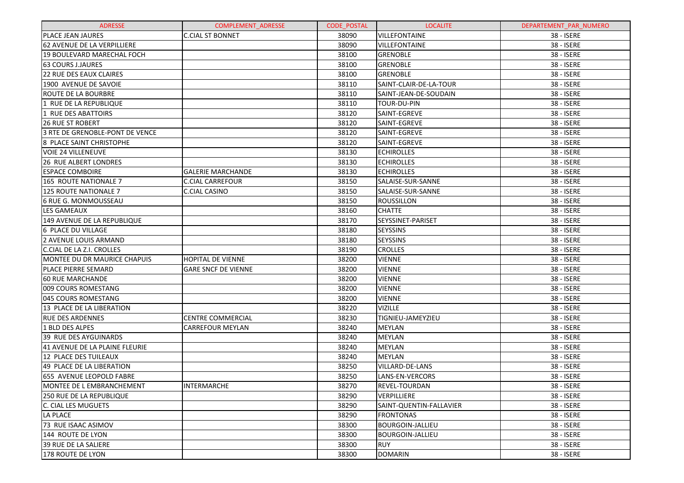| <b>ADRESSE</b>                  | <b>COMPLEMENT ADRESSE</b>  | <b>CODE POSTAL</b> | <b>LOCALITE</b>          | DEPARTEMENT_PAR_NUMERO |
|---------------------------------|----------------------------|--------------------|--------------------------|------------------------|
| <b>PLACE JEAN JAURES</b>        | <b>C.CIAL ST BONNET</b>    | 38090              | <b>VILLEFONTAINE</b>     | 38 - ISERE             |
| 62 AVENUE DE LA VERPILLIERE     |                            | 38090              | <b>VILLEFONTAINE</b>     | 38 - ISERE             |
| 19 BOULEVARD MARECHAL FOCH      |                            | 38100              | <b>GRENOBLE</b>          | 38 - ISERE             |
| <b>63 COURS J.JAURES</b>        |                            | 38100              | <b>GRENOBLE</b>          | 38 - ISERE             |
| <b>22 RUE DES EAUX CLAIRES</b>  |                            | 38100              | <b>GRENOBLE</b>          | 38 - ISERE             |
| 1900 AVENUE DE SAVOIE           |                            | 38110              | SAINT-CLAIR-DE-LA-TOUR   | 38 - ISERE             |
| <b>ROUTE DE LA BOURBRE</b>      |                            | 38110              | SAINT-JEAN-DE-SOUDAIN    | 38 - ISERE             |
| 1 RUE DE LA REPUBLIQUE          |                            | 38110              | TOUR-DU-PIN              | 38 - ISERE             |
| 1 RUE DES ABATTOIRS             |                            | 38120              | SAINT-EGREVE             | 38 - ISERE             |
| <b>26 RUE ST ROBERT</b>         |                            | 38120              | SAINT-EGREVE             | 38 - ISERE             |
| 3 RTE DE GRENOBLE-PONT DE VENCE |                            | 38120              | SAINT-EGREVE             | 38 - ISERE             |
| 8 PLACE SAINT CHRISTOPHE        |                            | 38120              | SAINT-EGREVE             | 38 - ISERE             |
| VOIE 24 VILLENEUVE              |                            | 38130              | <b>ECHIROLLES</b>        | 38 - ISERE             |
| <b>26 RUE ALBERT LONDRES</b>    |                            | 38130              | <b>ECHIROLLES</b>        | 38 - ISERE             |
| <b>ESPACE COMBOIRE</b>          | <b>GALERIE MARCHANDE</b>   | 38130              | <b>ECHIROLLES</b>        | 38 - ISERE             |
| 165 ROUTE NATIONALE 7           | <b>C.CIAL CARREFOUR</b>    | 38150              | SALAISE-SUR-SANNE        | 38 - ISERE             |
| <b>125 ROUTE NATIONALE 7</b>    | C.CIAL CASINO              | 38150              | SALAISE-SUR-SANNE        | 38 - ISERE             |
| 6 RUE G. MONMOUSSEAU            |                            | 38150              | ROUSSILLON               | 38 - ISERE             |
| <b>LES GAMEAUX</b>              |                            | 38160              | <b>CHATTE</b>            | 38 - ISERE             |
| 149 AVENUE DE LA REPUBLIQUE     |                            | 38170              | SEYSSINET-PARISET        | 38 - ISERE             |
| 6 PLACE DU VILLAGE              |                            | 38180              | <b>SEYSSINS</b>          | 38 - ISERE             |
| 2 AVENUE LOUIS ARMAND           |                            | 38180              | <b>SEYSSINS</b>          | 38 - ISERE             |
| C.CIAL DE LA Z.I. CROLLES       |                            | 38190              | <b>CROLLES</b>           | 38 - ISERE             |
| MONTEE DU DR MAURICE CHAPUIS    | <b>HOPITAL DE VIENNE</b>   | 38200              | <b>VIENNE</b>            | 38 - ISERE             |
| <b>PLACE PIERRE SEMARD</b>      | <b>GARE SNCF DE VIENNE</b> | 38200              | <b>VIENNE</b>            | 38 - ISERE             |
| <b>60 RUE MARCHANDE</b>         |                            | 38200              | <b>VIENNE</b>            | 38 - ISERE             |
| 009 COURS ROMESTANG             |                            | 38200              | <b>VIENNE</b>            | 38 - ISERE             |
| 045 COURS ROMESTANG             |                            | 38200              | <b>VIENNE</b>            | 38 - ISERE             |
| 13 PLACE DE LA LIBERATION       |                            | 38220              | <b>VIZILLE</b>           | 38 - ISERE             |
| <b>RUE DES ARDENNES</b>         | <b>CENTRE COMMERCIAL</b>   | 38230              | <b>TIGNIEU-JAMEYZIEU</b> | 38 - ISERE             |
| 1 BLD DES ALPES                 | <b>CARREFOUR MEYLAN</b>    | 38240              | <b>MEYLAN</b>            | 38 - ISERE             |
| 39 RUE DES AYGUINARDS           |                            | 38240              | <b>MEYLAN</b>            | 38 - ISERE             |
| 41 AVENUE DE LA PLAINE FLEURIE  |                            | 38240              | <b>MEYLAN</b>            | 38 - ISERE             |
| 12 PLACE DES TUILEAUX           |                            | 38240              | <b>MEYLAN</b>            | 38 - ISERE             |
| 49 PLACE DE LA LIBERATION       |                            | 38250              | VILLARD-DE-LANS          | 38 - ISERE             |
| 655 AVENUE LEOPOLD FABRE        |                            | 38250              | LANS-EN-VERCORS          | 38 - ISERE             |
| MONTEE DE L EMBRANCHEMENT       | INTERMARCHE                | 38270              | REVEL-TOURDAN            | 38 - ISERE             |
| 250 RUE DE LA REPUBLIQUE        |                            | 38290              | <b>VERPILLIERE</b>       | 38 - ISERE             |
| lc. CIAL LES MUGUETS            |                            | 38290              | SAINT-QUENTIN-FALLAVIER  | 38 - ISERE             |
| LA PLACE                        |                            | 38290              | <b>FRONTONAS</b>         | 38 - ISERE             |
| 73 RUE ISAAC ASIMOV             |                            | 38300              | <b>BOURGOIN-JALLIEU</b>  | 38 - ISERE             |
| 144 ROUTE DE LYON               |                            | 38300              | <b>BOURGOIN-JALLIEU</b>  | 38 - ISERE             |
| 39 RUE DE LA SALIERE            |                            | 38300              | <b>RUY</b>               | 38 - ISERE             |
| 178 ROUTE DE LYON               |                            | 38300              | <b>DOMARIN</b>           | 38 - ISERE             |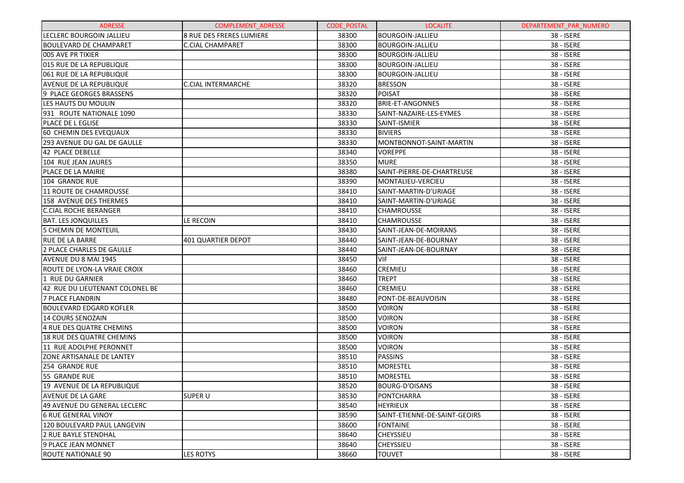| <b>ADRESSE</b>                  | <b>COMPLEMENT ADRESSE</b> | <b>CODE POSTAL</b> | <b>LOCALITE</b>               | DEPARTEMENT PAR NUMERO |
|---------------------------------|---------------------------|--------------------|-------------------------------|------------------------|
| LECLERC BOURGOIN JALLIEU        | 8 RUE DES FRERES LUMIERE  | 38300              | <b>BOURGOIN-JALLIEU</b>       | 38 - ISERE             |
| <b>BOULEVARD DE CHAMPARET</b>   | <b>C.CIAL CHAMPARET</b>   | 38300              | <b>BOURGOIN-JALLIEU</b>       | 38 - ISERE             |
| 005 AVE PR TIXIER               |                           | 38300              | <b>BOURGOIN-JALLIEU</b>       | 38 - ISERE             |
| 015 RUE DE LA REPUBLIQUE        |                           | 38300              | <b>BOURGOIN-JALLIEU</b>       | 38 - ISERE             |
| 061 RUE DE LA REPUBLIQUE        |                           | 38300              | <b>BOURGOIN-JALLIEU</b>       | 38 - ISERE             |
| <b>AVENUE DE LA REPUBLIQUE</b>  | <b>C.CIAL INTERMARCHE</b> | 38320              | <b>BRESSON</b>                | 38 - ISERE             |
| 9 PLACE GEORGES BRASSENS        |                           | 38320              | <b>POISAT</b>                 | 38 - ISERE             |
| LES HAUTS DU MOULIN             |                           | 38320              | <b>BRIE-ET-ANGONNES</b>       | 38 - ISERE             |
| 931 ROUTE NATIONALE 1090        |                           | 38330              | SAINT-NAZAIRE-LES-EYMES       | 38 - ISERE             |
| <b>PLACE DE L EGLISE</b>        |                           | 38330              | SAINT-ISMIER                  | 38 - ISERE             |
| 60 CHEMIN DES EVEQUAUX          |                           | 38330              | <b>BIVIERS</b>                | 38 - ISERE             |
| 293 AVENUE DU GAL DE GAULLE     |                           | 38330              | MONTBONNOT-SAINT-MARTIN       | 38 - ISERE             |
| 42 PLACE DEBELLE                |                           | 38340              | <b>VOREPPE</b>                | 38 - ISERE             |
| 104 RUE JEAN JAURES             |                           | 38350              | <b>MURE</b>                   | 38 - ISERE             |
| PLACE DE LA MAIRIE              |                           | 38380              | SAINT-PIERRE-DE-CHARTREUSE    | 38 - ISERE             |
| 104 GRANDE RUE                  |                           | 38390              | MONTALIEU-VERCIEU             | 38 - ISERE             |
| 11 ROUTE DE CHAMROUSSE          |                           | 38410              | SAINT-MARTIN-D'URIAGE         | 38 - ISERE             |
| 158 AVENUE DES THERMES          |                           | 38410              | SAINT-MARTIN-D'URIAGE         | 38 - ISERE             |
| <b>C.CIAL ROCHE BERANGER</b>    |                           | 38410              | <b>CHAMROUSSE</b>             | 38 - ISERE             |
| <b>BAT. LES JONQUILLES</b>      | LE RECOIN                 | 38410              | <b>CHAMROUSSE</b>             | 38 - ISERE             |
| 5 CHEMIN DE MONTEUIL            |                           | 38430              | SAINT-JEAN-DE-MOIRANS         | 38 - ISERE             |
| <b>RUE DE LA BARRE</b>          | 401 QUARTIER DEPOT        | 38440              | SAINT-JEAN-DE-BOURNAY         | 38 - ISERE             |
| 2 PLACE CHARLES DE GAULLE       |                           | 38440              | SAINT-JEAN-DE-BOURNAY         | 38 - ISERE             |
| AVENUE DU 8 MAI 1945            |                           | 38450              | VIF                           | 38 - ISERE             |
| ROUTE DE LYON-LA VRAIE CROIX    |                           | 38460              | <b>CREMIEU</b>                | 38 - ISERE             |
| 1 RUE DU GARNIER                |                           | 38460              | <b>TREPT</b>                  | 38 - ISERE             |
| 42 RUE DU LIEUTENANT COLONEL BE |                           | 38460              | <b>CREMIEU</b>                | 38 - ISERE             |
| 7 PLACE FLANDRIN                |                           | 38480              | PONT-DE-BEAUVOISIN            | 38 - ISERE             |
| <b>BOULEVARD EDGARD KOFLER</b>  |                           | 38500              | <b>VOIRON</b>                 | 38 - ISERE             |
| 14 COURS SENOZAIN               |                           | 38500              | <b>VOIRON</b>                 | 38 - ISERE             |
| 4 RUE DES QUATRE CHEMINS        |                           | 38500              | <b>VOIRON</b>                 | 38 - ISERE             |
| 18 RUE DES QUATRE CHEMINS       |                           | 38500              | <b>VOIRON</b>                 | 38 - ISERE             |
| 11 RUE ADOLPHE PERONNET         |                           | 38500              | <b>VOIRON</b>                 | 38 - ISERE             |
| ZONE ARTISANALE DE LANTEY       |                           | 38510              | <b>PASSINS</b>                | 38 - ISERE             |
| 254 GRANDE RUE                  |                           | 38510              | <b>MORESTEL</b>               | 38 - ISERE             |
| 55 GRANDE RUE                   |                           | 38510              | <b>MORESTEL</b>               | 38 - ISERE             |
| 19 AVENUE DE LA REPUBLIQUE      |                           | 38520              | <b>BOURG-D'OISANS</b>         | 38 - ISERE             |
| AVENUE DE LA GARE               | <b>SUPER U</b>            | 38530              | PONTCHARRA                    | 38 - ISERE             |
| 49 AVENUE DU GENERAL LECLERC    |                           | 38540              | <b>HEYRIEUX</b>               | 38 - ISERE             |
| <b>6 RUE GENERAL VINOY</b>      |                           | 38590              | SAINT-ETIENNE-DE-SAINT-GEOIRS | 38 - ISERE             |
| 120 BOULEVARD PAUL LANGEVIN     |                           | 38600              | <b>FONTAINE</b>               | 38 - ISERE             |
| 2 RUE BAYLE STENDHAL            |                           | 38640              | <b>CHEYSSIEU</b>              | 38 - ISERE             |
| 9 PLACE JEAN MONNET             |                           | 38640              | <b>CHEYSSIEU</b>              | 38 - ISERE             |
| ROUTE NATIONALE 90              | <b>LES ROTYS</b>          | 38660              | <b>TOUVET</b>                 | 38 - ISERE             |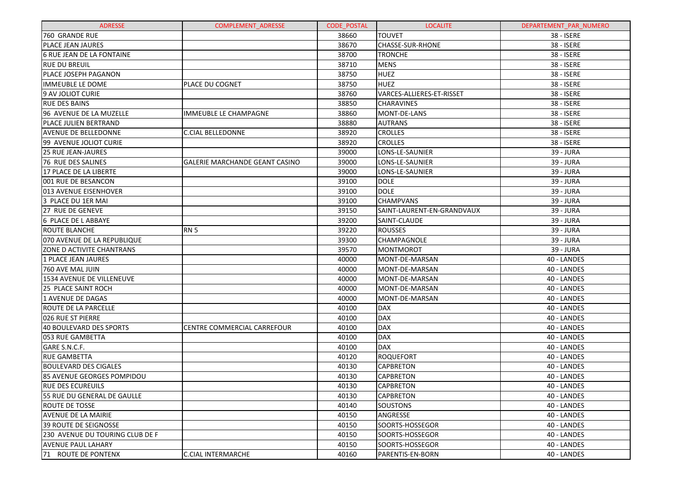| <b>ADRESSE</b>                   | <b>COMPLEMENT ADRESSE</b>             | <b>CODE POSTAL</b> | <b>LOCALITE</b>            | DEPARTEMENT_PAR_NUMERO |
|----------------------------------|---------------------------------------|--------------------|----------------------------|------------------------|
| 760 GRANDE RUE                   |                                       | 38660              | <b>TOUVET</b>              | 38 - ISERE             |
| <b>PLACE JEAN JAURES</b>         |                                       | 38670              | CHASSE-SUR-RHONE           | 38 - ISERE             |
| <b>6 RUE JEAN DE LA FONTAINE</b> |                                       | 38700              | <b>TRONCHE</b>             | 38 - ISERE             |
| <b>RUE DU BREUIL</b>             |                                       | 38710              | <b>MENS</b>                | 38 - ISERE             |
| PLACE JOSEPH PAGANON             |                                       | 38750              | <b>HUEZ</b>                | 38 - ISERE             |
| IMMEUBLE LE DOME                 | PLACE DU COGNET                       | 38750              | <b>HUEZ</b>                | 38 - ISERE             |
| 9 AV JOLIOT CURIE                |                                       | 38760              | VARCES-ALLIERES-ET-RISSET  | 38 - ISERE             |
| <b>RUE DES BAINS</b>             |                                       | 38850              | <b>CHARAVINES</b>          | 38 - ISERE             |
| 96 AVENUE DE LA MUZELLE          | IMMEUBLE LE CHAMPAGNE                 | 38860              | MONT-DE-LANS               | 38 - ISERE             |
| <b>PLACE JULIEN BERTRAND</b>     |                                       | 38880              | <b>AUTRANS</b>             | 38 - ISERE             |
| <b>AVENUE DE BELLEDONNE</b>      | <b>C.CIAL BELLEDONNE</b>              | 38920              | <b>CROLLES</b>             | 38 - ISERE             |
| 99 AVENUE JOLIOT CURIE           |                                       | 38920              | <b>CROLLES</b>             | 38 - ISERE             |
| <b>25 RUE JEAN-JAURES</b>        |                                       | 39000              | LONS-LE-SAUNIER            | 39 - JURA              |
| 76 RUE DES SALINES               | <b>GALERIE MARCHANDE GEANT CASINO</b> | 39000              | LONS-LE-SAUNIER            | 39 - JURA              |
| 17 PLACE DE LA LIBERTE           |                                       | 39000              | LONS-LE-SAUNIER            | 39 - JURA              |
| 001 RUE DE BESANCON              |                                       | 39100              | DOLE                       | 39 - JURA              |
| 013 AVENUE EISENHOVER            |                                       | 39100              | <b>DOLE</b>                | 39 - JURA              |
| 3 PLACE DU 1ER MAI               |                                       | 39100              | <b>CHAMPVANS</b>           | 39 - JURA              |
| 27 RUE DE GENEVE                 |                                       | 39150              | SAINT-LAURENT-EN-GRANDVAUX | 39 - JURA              |
| 6 PLACE DE L ABBAYE              |                                       | 39200              | SAINT-CLAUDE               | 39 - JURA              |
| ROUTE BLANCHE                    | <b>RN 5</b>                           | 39220              | <b>ROUSSES</b>             | 39 - JURA              |
| 070 AVENUE DE LA REPUBLIQUE      |                                       | 39300              | CHAMPAGNOLE                | 39 - JURA              |
| ZONE D ACTIVITE CHANTRANS        |                                       | 39570              | MONTMOROT                  | 39 - JURA              |
| 1 PLACE JEAN JAURES              |                                       | 40000              | MONT-DE-MARSAN             | 40 - LANDES            |
| 760 AVE MAL JUIN                 |                                       | 40000              | MONT-DE-MARSAN             | 40 - LANDES            |
| 1534 AVENUE DE VILLENEUVE        |                                       | 40000              | MONT-DE-MARSAN             | 40 - LANDES            |
| 25 PLACE SAINT ROCH              |                                       | 40000              | MONT-DE-MARSAN             | 40 - LANDES            |
| 1 AVENUE DE DAGAS                |                                       | 40000              | MONT-DE-MARSAN             | 40 - LANDES            |
| ROUTE DE LA PARCELLE             |                                       | 40100              | <b>DAX</b>                 | 40 - LANDES            |
| 026 RUE ST PIERRE                |                                       | 40100              | <b>DAX</b>                 | 40 - LANDES            |
| <b>40 BOULEVARD DES SPORTS</b>   | CENTRE COMMERCIAL CARREFOUR           | 40100              | <b>DAX</b>                 | 40 - LANDES            |
| 053 RUE GAMBETTA                 |                                       | 40100              | <b>DAX</b>                 | 40 - LANDES            |
| GARE S.N.C.F.                    |                                       | 40100              | <b>DAX</b>                 | 40 - LANDES            |
| <b>RUE GAMBETTA</b>              |                                       | 40120              | <b>ROQUEFORT</b>           | 40 - LANDES            |
| <b>BOULEVARD DES CIGALES</b>     |                                       | 40130              | <b>CAPBRETON</b>           | 40 - LANDES            |
| 85 AVENUE GEORGES POMPIDOU       |                                       | 40130              | <b>CAPBRETON</b>           | 40 - LANDES            |
| <b>RUE DES ECUREUILS</b>         |                                       | 40130              | <b>CAPBRETON</b>           | 40 - LANDES            |
| 55 RUE DU GENERAL DE GAULLE      |                                       | 40130              | <b>CAPBRETON</b>           | 40 - LANDES            |
| ROUTE DE TOSSE                   |                                       | 40140              | <b>SOUSTONS</b>            | 40 - LANDES            |
| <b>AVENUE DE LA MAIRIE</b>       |                                       | 40150              | ANGRESSE                   | 40 - LANDES            |
| <b>39 ROUTE DE SEIGNOSSE</b>     |                                       | 40150              | SOORTS-HOSSEGOR            | 40 - LANDES            |
| 230 AVENUE DU TOURING CLUB DE F  |                                       | 40150              | SOORTS-HOSSEGOR            | 40 - LANDES            |
| <b>AVENUE PAUL LAHARY</b>        |                                       | 40150              | SOORTS-HOSSEGOR            | 40 - LANDES            |
| 71 ROUTE DE PONTENX              | <b>C.CIAL INTERMARCHE</b>             | 40160              | PARENTIS-EN-BORN           | 40 - LANDES            |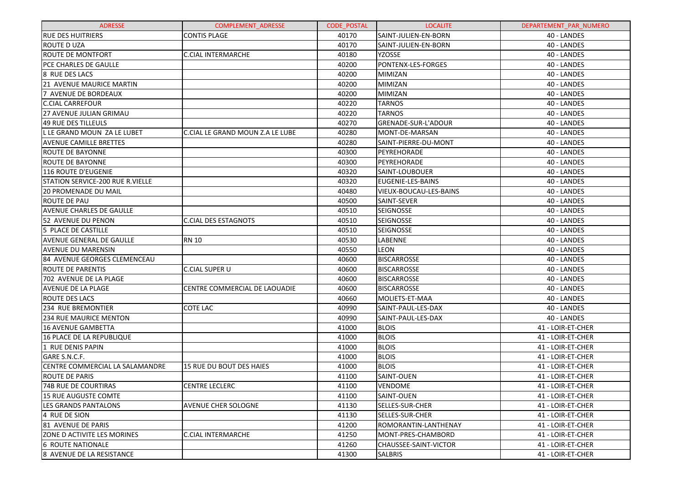| <b>ADRESSE</b>                     | <b>COMPLEMENT ADRESSE</b>        | <b>CODE POSTAL</b> | <b>LOCALITE</b>        | DEPARTEMENT PAR NUMERO |
|------------------------------------|----------------------------------|--------------------|------------------------|------------------------|
| <b>RUE DES HUITRIERS</b>           | <b>CONTIS PLAGE</b>              | 40170              | SAINT-JULIEN-EN-BORN   | 40 - LANDES            |
| IROUTE D UZA                       |                                  | 40170              | SAINT-JULIEN-EN-BORN   | 40 - LANDES            |
| <b>ROUTE DE MONTFORT</b>           | <b>C.CIAL INTERMARCHE</b>        | 40180              | <b>YZOSSE</b>          | 40 - LANDES            |
| <b>PCE CHARLES DE GAULLE</b>       |                                  | 40200              | PONTENX-LES-FORGES     | 40 - LANDES            |
| <b>8 RUE DES LACS</b>              |                                  | 40200              | <b>MIMIZAN</b>         | 40 - LANDES            |
| 21 AVENUE MAURICE MARTIN           |                                  | 40200              | MIMIZAN                | 40 - LANDES            |
| 7 AVENUE DE BORDEAUX               |                                  | 40200              | <b>MIMIZAN</b>         | 40 - LANDES            |
| <b>C.CIAL CARREFOUR</b>            |                                  | 40220              | <b>TARNOS</b>          | 40 - LANDES            |
| 27 AVENUE JULIAN GRIMAU            |                                  | 40220              | <b>TARNOS</b>          | 40 - LANDES            |
| <b>49 RUE DES TILLEULS</b>         |                                  | 40270              | GRENADE-SUR-L'ADOUR    | 40 - LANDES            |
| L LE GRAND MOUN ZA LE LUBET        | C.CIAL LE GRAND MOUN Z.A LE LUBE | 40280              | MONT-DE-MARSAN         | 40 - LANDES            |
| <b>AVENUE CAMILLE BRETTES</b>      |                                  | 40280              | SAINT-PIERRE-DU-MONT   | 40 - LANDES            |
| <b>ROUTE DE BAYONNE</b>            |                                  | 40300              | PEYREHORADE            | 40 - LANDES            |
| <b>ROUTE DE BAYONNE</b>            |                                  | 40300              | PEYREHORADE            | 40 - LANDES            |
| <b>116 ROUTE D'EUGENIE</b>         |                                  | 40320              | SAINT-LOUBOUER         | 40 - LANDES            |
| STATION SERVICE-200 RUE R. VIELLE  |                                  | 40320              | EUGENIE-LES-BAINS      | 40 - LANDES            |
| <b>20 PROMENADE DU MAIL</b>        |                                  | 40480              | VIEUX-BOUCAU-LES-BAINS | 40 - LANDES            |
| ROUTE DE PAU                       |                                  | 40500              | SAINT-SEVER            | 40 - LANDES            |
| <b>AVENUE CHARLES DE GAULLE</b>    |                                  | 40510              | <b>SEIGNOSSE</b>       | 40 - LANDES            |
| 52 AVENUE DU PENON                 | <b>C.CIAL DES ESTAGNOTS</b>      | 40510              | <b>SEIGNOSSE</b>       | 40 - LANDES            |
| 5 PLACE DE CASTILLE                |                                  | 40510              | <b>SEIGNOSSE</b>       | 40 - LANDES            |
| AVENUE GENERAL DE GAULLE           | <b>RN 10</b>                     | 40530              | LABENNE                | 40 - LANDES            |
| <b>AVENUE DU MARENSIN</b>          |                                  | 40550              | <b>LEON</b>            | 40 - LANDES            |
| 84 AVENUE GEORGES CLEMENCEAU       |                                  | 40600              | <b>BISCARROSSE</b>     | 40 - LANDES            |
| IROUTE DE PARENTIS                 | C.CIAL SUPER U                   | 40600              | <b>BISCARROSSE</b>     | 40 - LANDES            |
| 702 AVENUE DE LA PLAGE             |                                  | 40600              | <b>BISCARROSSE</b>     | 40 - LANDES            |
| <b>AVENUE DE LA PLAGE</b>          | CENTRE COMMERCIAL DE LAOUADIE    | 40600              | <b>BISCARROSSE</b>     | 40 - LANDES            |
| <b>ROUTE DES LACS</b>              |                                  | 40660              | MOLIETS-ET-MAA         | 40 - LANDES            |
| <b>234 RUE BREMONTIER</b>          | COTE LAC                         | 40990              | SAINT-PAUL-LES-DAX     | 40 - LANDES            |
| <b>234 RUE MAURICE MENTON</b>      |                                  | 40990              | SAINT-PAUL-LES-DAX     | 40 - LANDES            |
| 16 AVENUE GAMBETTA                 |                                  | 41000              | <b>BLOIS</b>           | 41 - LOIR-ET-CHER      |
| 16 PLACE DE LA REPUBLIQUE          |                                  | 41000              | <b>BLOIS</b>           | 41 - LOIR-ET-CHER      |
| 1 RUE DENIS PAPIN                  |                                  | 41000              | <b>BLOIS</b>           | 41 - LOIR-ET-CHER      |
| GARE S.N.C.F.                      |                                  | 41000              | <b>BLOIS</b>           | 41 - LOIR-ET-CHER      |
| CENTRE COMMERCIAL LA SALAMANDRE    | <b>15 RUE DU BOUT DES HAIES</b>  | 41000              | <b>BLOIS</b>           | 41 - LOIR-ET-CHER      |
| <b>ROUTE DE PARIS</b>              |                                  | 41100              | SAINT-OUEN             | 41 - LOIR-ET-CHER      |
| <b>74B RUE DE COURTIRAS</b>        | CENTRE LECLERC                   | 41100              | VENDOME                | 41 - LOIR-ET-CHER      |
| l15 RUE AUGUSTE COMTE              |                                  | 41100              | SAINT-OUEN             | 41 - LOIR-ET-CHER      |
| LES GRANDS PANTALONS               | AVENUE CHER SOLOGNE              | 41130              | SELLES-SUR-CHER        | 41 - LOIR-ET-CHER      |
| 4 Rue de Sion                      |                                  | 41130              | SELLES-SUR-CHER        | 41 - LOIR-ET-CHER      |
| 81 AVENUE DE PARIS                 |                                  | 41200              | ROMORANTIN-LANTHENAY   | 41 - LOIR-ET-CHER      |
| <b>ZONE D ACTIVITE LES MORINES</b> | C.CIAL INTERMARCHE               | 41250              | MONT-PRES-CHAMBORD     | 41 - LOIR-ET-CHER      |
| 16 ROUTE NATIONALE                 |                                  | 41260              | CHAUSSEE-SAINT-VICTOR  | 41 - LOIR-ET-CHER      |
| 8 AVENUE DE LA RESISTANCE          |                                  | 41300              | <b>SALBRIS</b>         | 41 - LOIR-ET-CHER      |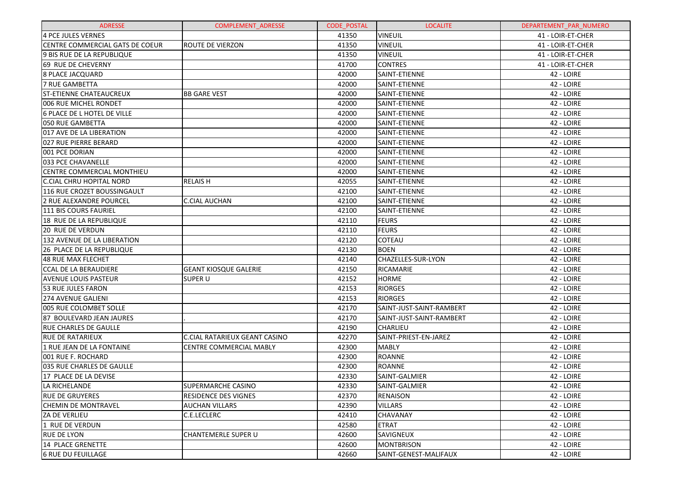| <b>ADRESSE</b>                  | <b>COMPLEMENT ADRESSE</b>            | <b>CODE POSTAL</b> | <b>LOCALITE</b>          | DEPARTEMENT_PAR_NUMERO |
|---------------------------------|--------------------------------------|--------------------|--------------------------|------------------------|
| 4 PCE JULES VERNES              |                                      | 41350              | <b>VINEUIL</b>           | 41 - LOIR-ET-CHER      |
| CENTRE COMMERCIAL GATS DE COEUR | <b>ROUTE DE VIERZON</b>              | 41350              | <b>VINEUIL</b>           | 41 - LOIR-ET-CHER      |
| 9 BIS RUE DE LA REPUBLIQUE      |                                      | 41350              | <b>VINEUIL</b>           | 41 - LOIR-ET-CHER      |
| 69 RUE DE CHEVERNY              |                                      | 41700              | <b>CONTRES</b>           | 41 - LOIR-ET-CHER      |
| <b>8 PLACE JACQUARD</b>         |                                      | 42000              | SAINT-ETIENNE            | 42 - LOIRE             |
| <b>7 RUE GAMBETTA</b>           |                                      | 42000              | SAINT-ETIENNE            | 42 - LOIRE             |
| <b>ST-ETIENNE CHATEAUCREUX</b>  | <b>BB GARE VEST</b>                  | 42000              | SAINT-ETIENNE            | 42 - LOIRE             |
| 006 RUE MICHEL RONDET           |                                      | 42000              | SAINT-ETIENNE            | 42 - LOIRE             |
| 6 PLACE DE L HOTEL DE VILLE     |                                      | 42000              | SAINT-ETIENNE            | 42 - LOIRE             |
| 050 RUE GAMBETTA                |                                      | 42000              | SAINT-ETIENNE            | 42 - LOIRE             |
| 017 AVE DE LA LIBERATION        |                                      | 42000              | SAINT-ETIENNE            | 42 - LOIRE             |
| 027 RUE PIERRE BERARD           |                                      | 42000              | SAINT-ETIENNE            | 42 - LOIRE             |
| 001 PCE DORIAN                  |                                      | 42000              | SAINT-ETIENNE            | 42 - LOIRE             |
| 033 PCE CHAVANELLE              |                                      | 42000              | SAINT-ETIENNE            | 42 - LOIRE             |
| CENTRE COMMERCIAL MONTHIEU      |                                      | 42000              | SAINT-ETIENNE            | 42 - LOIRE             |
| C.CIAL CHRU HOPITAL NORD        | <b>RELAISH</b>                       | 42055              | SAINT-ETIENNE            | 42 - LOIRE             |
| 116 RUE CROZET BOUSSINGAULT     |                                      | 42100              | SAINT-ETIENNE            | 42 - LOIRE             |
| 2 RUE ALEXANDRE POURCEL         | <b>C.CIAL AUCHAN</b>                 | 42100              | SAINT-ETIENNE            | 42 - LOIRE             |
| 111 BIS COURS FAURIEL           |                                      | 42100              | SAINT-ETIENNE            | 42 - LOIRE             |
| 18 RUE DE LA REPUBLIQUE         |                                      | 42110              | <b>FEURS</b>             | 42 - LOIRE             |
| <b>20 RUE DE VERDUN</b>         |                                      | 42110              | <b>FEURS</b>             | 42 - LOIRE             |
| 132 AVENUE DE LA LIBERATION     |                                      | 42120              | <b>COTEAU</b>            | 42 - LOIRE             |
| 26 PLACE DE LA REPUBLIQUE       |                                      | 42130              | <b>BOEN</b>              | 42 - LOIRE             |
| <b>48 RUE MAX FLECHET</b>       |                                      | 42140              | CHAZELLES-SUR-LYON       | 42 - LOIRE             |
| <b>CCAL DE LA BERAUDIERE</b>    | <b>GEANT KIOSQUE GALERIE</b>         | 42150              | RICAMARIE                | 42 - LOIRE             |
| <b>AVENUE LOUIS PASTEUR</b>     | <b>SUPER U</b>                       | 42152              | <b>HORME</b>             | 42 - LOIRE             |
| 53 RUE JULES FARON              |                                      | 42153              | <b>RIORGES</b>           | 42 - LOIRE             |
| 274 AVENUE GALIENI              |                                      | 42153              | <b>RIORGES</b>           | 42 - LOIRE             |
| 005 RUE COLOMBET SOLLE          |                                      | 42170              | SAINT-JUST-SAINT-RAMBERT | 42 - LOIRE             |
| 87 BOULEVARD JEAN JAURES        |                                      | 42170              | SAINT-JUST-SAINT-RAMBERT | 42 - LOIRE             |
| <b>RUE CHARLES DE GAULLE</b>    |                                      | 42190              | <b>CHARLIEU</b>          | 42 - LOIRE             |
| <b>RUE DE RATARIEUX</b>         | <b>C.CIAL RATARIEUX GEANT CASINO</b> | 42270              | SAINT-PRIEST-EN-JAREZ    | 42 - LOIRE             |
| 1 RUE JEAN DE LA FONTAINE       | CENTRE COMMERCIAL MABLY              | 42300              | <b>MABLY</b>             | 42 - LOIRE             |
| 001 RUE F. ROCHARD              |                                      | 42300              | <b>ROANNE</b>            | 42 - LOIRE             |
| 035 RUE CHARLES DE GAULLE       |                                      | 42300              | <b>ROANNE</b>            | 42 - LOIRE             |
| 17 PLACE DE LA DEVISE           |                                      | 42330              | SAINT-GALMIER            | 42 - LOIRE             |
| LA RICHELANDE                   | SUPERMARCHE CASINO                   | 42330              | SAINT-GALMIER            | 42 - LOIRE             |
| <b>RUE DE GRUYERES</b>          | <b>RESIDENCE DES VIGNES</b>          | 42370              | <b>RENAISON</b>          | 42 - LOIRE             |
| <b>CHEMIN DE MONTRAVEL</b>      | <b>AUCHAN VILLARS</b>                | 42390              | <b>VILLARS</b>           | 42 - LOIRE             |
| <b>ZA DE VERLIEU</b>            | C.E.LECLERC                          | 42410              | <b>CHAVANAY</b>          | 42 - LOIRE             |
| 1 RUE DE VERDUN                 |                                      | 42580              | <b>ETRAT</b>             | 42 - LOIRE             |
| <b>RUE DE LYON</b>              | <b>CHANTEMERLE SUPER U</b>           | 42600              | SAVIGNEUX                | 42 - LOIRE             |
| 14 PLACE GRENETTE               |                                      | 42600              | <b>MONTBRISON</b>        | 42 - LOIRE             |
| <b>6 RUE DU FEUILLAGE</b>       |                                      | 42660              | SAINT-GENEST-MALIFAUX    | 42 - LOIRE             |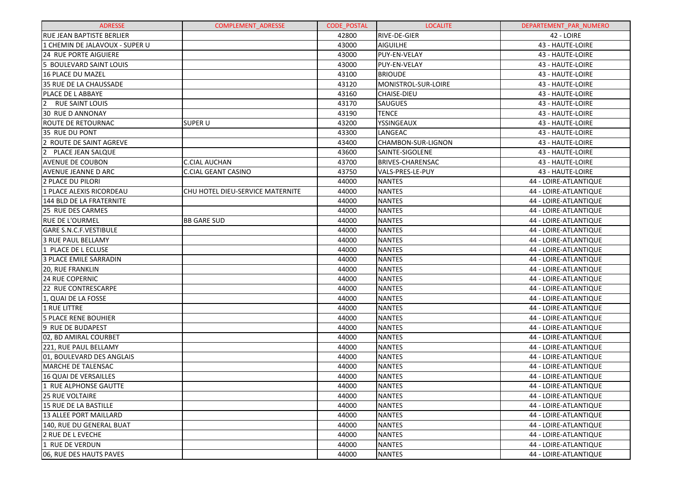| <b>ADRESSE</b>                   | <b>COMPLEMENT ADRESSE</b>        | <b>CODE POSTAL</b> | <b>LOCALITE</b>         | DEPARTEMENT PAR NUMERO |
|----------------------------------|----------------------------------|--------------------|-------------------------|------------------------|
| <b>RUE JEAN BAPTISTE BERLIER</b> |                                  | 42800              | <b>RIVE-DE-GIER</b>     | 42 - LOIRE             |
| 1 CHEMIN DE JALAVOUX - SUPER U   |                                  | 43000              | <b>AIGUILHE</b>         | 43 - HAUTE-LOIRE       |
| <b>24 RUE PORTE AIGUIERE</b>     |                                  | 43000              | PUY-EN-VELAY            | 43 - HAUTE-LOIRE       |
| 5 BOULEVARD SAINT LOUIS          |                                  | 43000              | <b>PUY-EN-VELAY</b>     | 43 - HAUTE-LOIRE       |
| 16 PLACE DU MAZEL                |                                  | 43100              | <b>BRIOUDE</b>          | 43 - HAUTE-LOIRE       |
| 35 RUE DE LA CHAUSSADE           |                                  | 43120              | MONISTROL-SUR-LOIRE     | 43 - HAUTE-LOIRE       |
| PLACE DE L ABBAYE                |                                  | 43160              | <b>CHAISE-DIEU</b>      | 43 - HAUTE-LOIRE       |
| 2 RUE SAINT LOUIS                |                                  | 43170              | <b>SAUGUES</b>          | 43 - HAUTE-LOIRE       |
| 30 RUE D ANNONAY                 |                                  | 43190              | <b>TENCE</b>            | 43 - HAUTE-LOIRE       |
| ROUTE DE RETOURNAC               | <b>SUPER U</b>                   | 43200              | YSSINGEAUX              | 43 - HAUTE-LOIRE       |
| 35 RUE DU PONT                   |                                  | 43300              | LANGEAC                 | 43 - HAUTE-LOIRE       |
| 2 ROUTE DE SAINT AGREVE          |                                  | 43400              | CHAMBON-SUR-LIGNON      | 43 - HAUTE-LOIRE       |
| 2 PLACE JEAN SALQUE              |                                  | 43600              | SAINTE-SIGOLENE         | 43 - HAUTE-LOIRE       |
| <b>AVENUE DE COUBON</b>          | <b>C.CIAL AUCHAN</b>             | 43700              | <b>BRIVES-CHARENSAC</b> | 43 - HAUTE-LOIRE       |
| AVENUE JEANNE D ARC              | <b>C.CIAL GEANT CASINO</b>       | 43750              | VALS-PRES-LE-PUY        | 43 - HAUTE-LOIRE       |
| 2 PLACE DU PILORI                |                                  | 44000              | <b>NANTES</b>           | 44 - LOIRE-ATLANTIQUE  |
| 1 PLACE ALEXIS RICORDEAU         | CHU HOTEL DIEU-SERVICE MATERNITE | 44000              | <b>NANTES</b>           | 44 - LOIRE-ATLANTIQUE  |
| 144 BLD DE LA FRATERNITE         |                                  | 44000              | <b>NANTES</b>           | 44 - LOIRE-ATLANTIQUE  |
| 25 RUE DES CARMES                |                                  | 44000              | <b>NANTES</b>           | 44 - LOIRE-ATLANTIQUE  |
| <b>RUE DE L'OURMEL</b>           | <b>BB GARE SUD</b>               | 44000              | <b>NANTES</b>           | 44 - LOIRE-ATLANTIQUE  |
| GARE S.N.C.F.VESTIBULE           |                                  | 44000              | <b>NANTES</b>           | 44 - LOIRE-ATLANTIQUE  |
| <b>3 RUE PAUL BELLAMY</b>        |                                  | 44000              | <b>NANTES</b>           | 44 - LOIRE-ATLANTIQUE  |
| 1 PLACE DE L ECLUSE              |                                  | 44000              | <b>NANTES</b>           | 44 - LOIRE-ATLANTIQUE  |
| 3 PLACE EMILE SARRADIN           |                                  | 44000              | <b>NANTES</b>           | 44 - LOIRE-ATLANTIQUE  |
| 20, RUE FRANKLIN                 |                                  | 44000              | <b>NANTES</b>           | 44 - LOIRE-ATLANTIQUE  |
| <b>24 RUE COPERNIC</b>           |                                  | 44000              | <b>NANTES</b>           | 44 - LOIRE-ATLANTIQUE  |
| 22 RUE CONTRESCARPE              |                                  | 44000              | <b>NANTES</b>           | 44 - LOIRE-ATLANTIQUE  |
| 1, QUAI DE LA FOSSE              |                                  | 44000              | <b>NANTES</b>           | 44 - LOIRE-ATLANTIQUE  |
| 1 RUE LITTRE                     |                                  | 44000              | <b>NANTES</b>           | 44 - LOIRE-ATLANTIQUE  |
| <b>5 PLACE RENE BOUHIER</b>      |                                  | 44000              | <b>NANTES</b>           | 44 - LOIRE-ATLANTIQUE  |
| 9 RUE DE BUDAPEST                |                                  | 44000              | <b>NANTES</b>           | 44 - LOIRE-ATLANTIQUE  |
| 02, BD AMIRAL COURBET            |                                  | 44000              | <b>NANTES</b>           | 44 - LOIRE-ATLANTIQUE  |
| 221, RUE PAUL BELLAMY            |                                  | 44000              | <b>NANTES</b>           | 44 - LOIRE-ATLANTIQUE  |
| 01, BOULEVARD DES ANGLAIS        |                                  | 44000              | <b>NANTES</b>           | 44 - LOIRE-ATLANTIQUE  |
| MARCHE DE TALENSAC               |                                  | 44000              | <b>NANTES</b>           | 44 - LOIRE-ATLANTIQUE  |
| 16 QUAI DE VERSAILLES            |                                  | 44000              | <b>NANTES</b>           | 44 - LOIRE-ATLANTIQUE  |
| 1 RUE ALPHONSE GAUTTE            |                                  | 44000              | <b>NANTES</b>           | 44 - LOIRE-ATLANTIQUE  |
| 125 RUE VOLTAIRE                 |                                  | 44000              | <b>NANTES</b>           | 44 - LOIRE-ATLANTIQUE  |
| 15 RUE DE LA BASTILLE            |                                  | 44000              | <b>NANTES</b>           | 44 - LOIRE-ATLANTIQUE  |
| 13 ALLEE PORT MAILLARD           |                                  | 44000              | <b>NANTES</b>           | 44 - LOIRE-ATLANTIQUE  |
| 140, RUE DU GENERAL BUAT         |                                  | 44000              | <b>NANTES</b>           | 44 - LOIRE-ATLANTIQUE  |
| 2 RUE DE L EVECHE                |                                  | 44000              | <b>NANTES</b>           | 44 - LOIRE-ATLANTIQUE  |
| 1 RUE DE VERDUN                  |                                  | 44000              | <b>NANTES</b>           | 44 - LOIRE-ATLANTIQUE  |
| 06, RUE DES HAUTS PAVES          |                                  | 44000              | <b>NANTES</b>           | 44 - LOIRE-ATLANTIQUE  |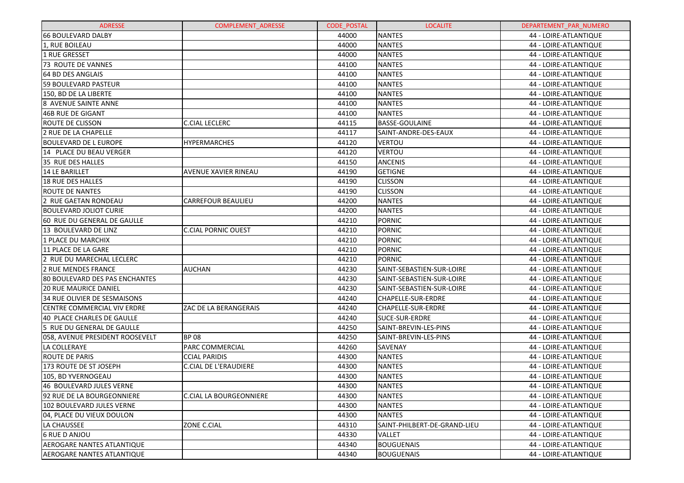| <b>ADRESSE</b>                        | <b>COMPLEMENT ADRESSE</b>      | <b>CODE POSTAL</b> | <b>LOCALITE</b>              | DEPARTEMENT PAR NUMERO |
|---------------------------------------|--------------------------------|--------------------|------------------------------|------------------------|
| <b>66 BOULEVARD DALBY</b>             |                                | 44000              | <b>NANTES</b>                | 44 - LOIRE-ATLANTIQUE  |
| 1, RUE BOILEAU                        |                                | 44000              | <b>NANTES</b>                | 44 - LOIRE-ATLANTIQUE  |
| 1 RUE GRESSET                         |                                | 44000              | <b>NANTES</b>                | 44 - LOIRE-ATLANTIQUE  |
| <b>73 ROUTE DE VANNES</b>             |                                | 44100              | <b>NANTES</b>                | 44 - LOIRE-ATLANTIQUE  |
| 64 BD DES ANGLAIS                     |                                | 44100              | <b>NANTES</b>                | 44 - LOIRE-ATLANTIQUE  |
| <b>59 BOULEVARD PASTEUR</b>           |                                | 44100              | <b>NANTES</b>                | 44 - LOIRE-ATLANTIQUE  |
| 150, BD DE LA LIBERTE                 |                                | 44100              | <b>NANTES</b>                | 44 - LOIRE-ATLANTIQUE  |
| 8 AVENUE SAINTE ANNE                  |                                | 44100              | <b>NANTES</b>                | 44 - LOIRE-ATLANTIQUE  |
| <b>46B RUE DE GIGANT</b>              |                                | 44100              | <b>NANTES</b>                | 44 - LOIRE-ATLANTIQUE  |
| <b>ROUTE DE CLISSON</b>               | C.CIAL LECLERC                 | 44115              | <b>BASSE-GOULAINE</b>        | 44 - LOIRE-ATLANTIQUE  |
| 2 RUE DE LA CHAPELLE                  |                                | 44117              | SAINT-ANDRE-DES-EAUX         | 44 - LOIRE-ATLANTIQUE  |
| <b>BOULEVARD DE L EUROPE</b>          | <b>HYPERMARCHES</b>            | 44120              | <b>VERTOU</b>                | 44 - LOIRE-ATLANTIQUE  |
| 14 PLACE DU BEAU VERGER               |                                | 44120              | <b>VERTOU</b>                | 44 - LOIRE-ATLANTIQUE  |
| 35 RUE DES HALLES                     |                                | 44150              | <b>ANCENIS</b>               | 44 - LOIRE-ATLANTIQUE  |
| 14 LE BARILLET                        | AVENUE XAVIER RINEAU           | 44190              | <b>GETIGNE</b>               | 44 - LOIRE-ATLANTIQUE  |
| <b>18 RUE DES HALLES</b>              |                                | 44190              | <b>CLISSON</b>               | 44 - LOIRE-ATLANTIQUE  |
| <b>ROUTE DE NANTES</b>                |                                | 44190              | <b>CLISSON</b>               | 44 - LOIRE-ATLANTIQUE  |
| 2 RUE GAETAN RONDEAU                  | <b>CARREFOUR BEAULIEU</b>      | 44200              | <b>NANTES</b>                | 44 - LOIRE-ATLANTIQUE  |
| <b>BOULEVARD JOLIOT CURIE</b>         |                                | 44200              | <b>NANTES</b>                | 44 - LOIRE-ATLANTIQUE  |
| 60 RUE DU GENERAL DE GAULLE           |                                | 44210              | <b>PORNIC</b>                | 44 - LOIRE-ATLANTIQUE  |
| 13 BOULEVARD DE LINZ                  | <b>C.CIAL PORNIC OUEST</b>     | 44210              | <b>PORNIC</b>                | 44 - LOIRE-ATLANTIQUE  |
| 1 PLACE DU MARCHIX                    |                                | 44210              | <b>PORNIC</b>                | 44 - LOIRE-ATLANTIQUE  |
| 11 PLACE DE LA GARE                   |                                | 44210              | <b>PORNIC</b>                | 44 - LOIRE-ATLANTIQUE  |
| 2 RUE DU MARECHAL LECLERC             |                                | 44210              | <b>PORNIC</b>                | 44 - LOIRE-ATLANTIQUE  |
| <b>2 RUE MENDES FRANCE</b>            | AUCHAN                         | 44230              | SAINT-SEBASTIEN-SUR-LOIRE    | 44 - LOIRE-ATLANTIQUE  |
| <b>80 BOULEVARD DES PAS ENCHANTES</b> |                                | 44230              | SAINT-SEBASTIEN-SUR-LOIRE    | 44 - LOIRE-ATLANTIQUE  |
| <b>20 RUE MAURICE DANIEL</b>          |                                | 44230              | SAINT-SEBASTIEN-SUR-LOIRE    | 44 - LOIRE-ATLANTIQUE  |
| 34 RUE OLIVIER DE SESMAISONS          |                                | 44240              | CHAPELLE-SUR-ERDRE           | 44 - LOIRE-ATLANTIQUE  |
| CENTRE COMMERCIAL VIV ERDRE           | ZAC DE LA BERANGERAIS          | 44240              | CHAPELLE-SUR-ERDRE           | 44 - LOIRE-ATLANTIQUE  |
| 40 PLACE CHARLES DE GAULLE            |                                | 44240              | <b>SUCE-SUR-ERDRE</b>        | 44 - LOIRE-ATLANTIQUE  |
| 5 RUE DU GENERAL DE GAULLE            |                                | 44250              | SAINT-BREVIN-LES-PINS        | 44 - LOIRE-ATLANTIQUE  |
| 058, AVENUE PRESIDENT ROOSEVELT       | <b>BP08</b>                    | 44250              | SAINT-BREVIN-LES-PINS        | 44 - LOIRE-ATLANTIQUE  |
| LA COLLERAYE                          | <b>PARC COMMERCIAL</b>         | 44260              | SAVENAY                      | 44 - LOIRE-ATLANTIQUE  |
| <b>ROUTE DE PARIS</b>                 | <b>CCIAL PARIDIS</b>           | 44300              | <b>NANTES</b>                | 44 - LOIRE-ATLANTIQUE  |
| 173 ROUTE DE ST JOSEPH                | <b>C.CIAL DE L'ERAUDIERE</b>   | 44300              | <b>NANTES</b>                | 44 - LOIRE-ATLANTIQUE  |
| 105, BD YVERNOGEAU                    |                                | 44300              | <b>NANTES</b>                | 44 - LOIRE-ATLANTIQUE  |
| 46 BOULEVARD JULES VERNE              |                                | 44300              | <b>NANTES</b>                | 44 - LOIRE-ATLANTIQUE  |
| 92 RUE DE LA BOURGEONNIERE            | <b>C.CIAL LA BOURGEONNIERE</b> | 44300              | <b>NANTES</b>                | 44 - LOIRE-ATLANTIQUE  |
| 102 BOULEVARD JULES VERNE             |                                | 44300              | <b>NANTES</b>                | 44 - LOIRE-ATLANTIQUE  |
| 04, PLACE DU VIEUX DOULON             |                                | 44300              | <b>NANTES</b>                | 44 - LOIRE-ATLANTIQUE  |
| LA CHAUSSEE                           | ZONE C.CIAL                    | 44310              | SAINT-PHILBERT-DE-GRAND-LIEU | 44 - LOIRE-ATLANTIQUE  |
| 6 RUE D ANJOU                         |                                | 44330              | <b>VALLET</b>                | 44 - LOIRE-ATLANTIQUE  |
| AEROGARE NANTES ATLANTIQUE            |                                | 44340              | <b>BOUGUENAIS</b>            | 44 - LOIRE-ATLANTIQUE  |
| <b>AEROGARE NANTES ATLANTIQUE</b>     |                                | 44340              | <b>BOUGUENAIS</b>            | 44 - LOIRE-ATLANTIQUE  |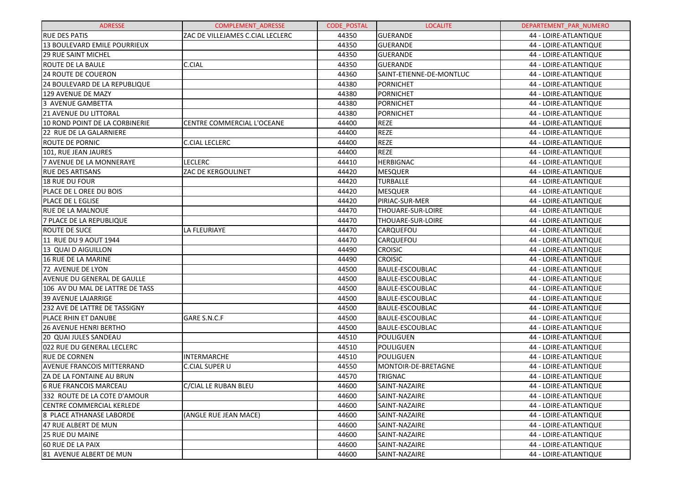| <b>ADRESSE</b>                      | COMPLEMENT_ADRESSE               | <b>CODE POSTAL</b> | <b>LOCALITE</b>          | DEPARTEMENT PAR NUMERO |
|-------------------------------------|----------------------------------|--------------------|--------------------------|------------------------|
| <b>RUE DES PATIS</b>                | ZAC DE VILLEJAMES C.CIAL LECLERC | 44350              | <b>GUERANDE</b>          | 44 - LOIRE-ATLANTIQUE  |
| <b>13 BOULEVARD EMILE POURRIEUX</b> |                                  | 44350              | <b>GUERANDE</b>          | 44 - LOIRE-ATLANTIQUE  |
| <b>29 RUE SAINT MICHEL</b>          |                                  | 44350              | <b>GUERANDE</b>          | 44 - LOIRE-ATLANTIQUE  |
| <b>ROUTE DE LA BAULE</b>            | C.CIAL                           | 44350              | <b>GUERANDE</b>          | 44 - LOIRE-ATLANTIQUE  |
| <b>24 ROUTE DE COUERON</b>          |                                  | 44360              | SAINT-ETIENNE-DE-MONTLUC | 44 - LOIRE-ATLANTIQUE  |
| 24 BOULEVARD DE LA REPUBLIQUE       |                                  | 44380              | <b>PORNICHET</b>         | 44 - LOIRE-ATLANTIQUE  |
| 129 AVENUE DE MAZY                  |                                  | 44380              | <b>PORNICHET</b>         | 44 - LOIRE-ATLANTIQUE  |
| 3 AVENUE GAMBETTA                   |                                  | 44380              | <b>PORNICHET</b>         | 44 - LOIRE-ATLANTIQUE  |
| 21 AVENUE DU LITTORAL               |                                  | 44380              | <b>PORNICHET</b>         | 44 - LOIRE-ATLANTIQUE  |
| 10 ROND POINT DE LA CORBINERIE      | CENTRE COMMERCIAL L'OCEANE       | 44400              | <b>REZE</b>              | 44 - LOIRE-ATLANTIQUE  |
| 22 RUE DE LA GALARNIERE             |                                  | 44400              | <b>REZE</b>              | 44 - LOIRE-ATLANTIQUE  |
| <b>ROUTE DE PORNIC</b>              | <b>C.CIAL LECLERC</b>            | 44400              | <b>REZE</b>              | 44 - LOIRE-ATLANTIQUE  |
| 101, RUE JEAN JAURES                |                                  | 44400              | <b>REZE</b>              | 44 - LOIRE-ATLANTIQUE  |
| 7 AVENUE DE LA MONNERAYE            | <b>LECLERC</b>                   | 44410              | <b>HERBIGNAC</b>         | 44 - LOIRE-ATLANTIQUE  |
| <b>RUE DES ARTISANS</b>             | ZAC DE KERGOULINET               | 44420              | <b>MESQUER</b>           | 44 - LOIRE-ATLANTIQUE  |
| <b>18 RUE DU FOUR</b>               |                                  | 44420              | <b>TURBALLE</b>          | 44 - LOIRE-ATLANTIQUE  |
| PLACE DE L OREE DU BOIS             |                                  | 44420              | <b>MESQUER</b>           | 44 - LOIRE-ATLANTIQUE  |
| <b>PLACE DE L EGLISE</b>            |                                  | 44420              | PIRIAC-SUR-MER           | 44 - LOIRE-ATLANTIQUE  |
| <b>RUE DE LA MALNOUE</b>            |                                  | 44470              | THOUARE-SUR-LOIRE        | 44 - LOIRE-ATLANTIQUE  |
| 7 PLACE DE LA REPUBLIQUE            |                                  | 44470              | THOUARE-SUR-LOIRE        | 44 - LOIRE-ATLANTIQUE  |
| <b>ROUTE DE SUCE</b>                | LA FLEURIAYE                     | 44470              | CARQUEFOU                | 44 - LOIRE-ATLANTIQUE  |
| 11 RUE DU 9 AOUT 1944               |                                  | 44470              | CARQUEFOU                | 44 - LOIRE-ATLANTIQUE  |
| 13 QUAI D AIGUILLON                 |                                  | 44490              | <b>CROISIC</b>           | 44 - LOIRE-ATLANTIQUE  |
| 16 RUE DE LA MARINE                 |                                  | 44490              | <b>CROISIC</b>           | 44 - LOIRE-ATLANTIQUE  |
| 72 AVENUE DE LYON                   |                                  | 44500              | <b>BAULE-ESCOUBLAC</b>   | 44 - LOIRE-ATLANTIQUE  |
| <b>AVENUE DU GENERAL DE GAULLE</b>  |                                  | 44500              | <b>BAULE-ESCOUBLAC</b>   | 44 - LOIRE-ATLANTIQUE  |
| 106 AV DU MAL DE LATTRE DE TASS     |                                  | 44500              | <b>BAULE-ESCOUBLAC</b>   | 44 - LOIRE-ATLANTIQUE  |
| <b>39 AVENUE LAJARRIGE</b>          |                                  | 44500              | <b>BAULE-ESCOUBLAC</b>   | 44 - LOIRE-ATLANTIQUE  |
| 232 AVE DE LATTRE DE TASSIGNY       |                                  | 44500              | <b>BAULE-ESCOUBLAC</b>   | 44 - LOIRE-ATLANTIQUE  |
| PLACE RHIN ET DANUBE                | GARE S.N.C.F                     | 44500              | <b>BAULE-ESCOUBLAC</b>   | 44 - LOIRE-ATLANTIQUE  |
| <b>26 AVENUE HENRI BERTHO</b>       |                                  | 44500              | <b>BAULE-ESCOUBLAC</b>   | 44 - LOIRE-ATLANTIQUE  |
| 20 QUAI JULES SANDEAU               |                                  | 44510              | POULIGUEN                | 44 - LOIRE-ATLANTIQUE  |
| 022 RUE DU GENERAL LECLERC          |                                  | 44510              | POULIGUEN                | 44 - LOIRE-ATLANTIQUE  |
| <b>RUE DE CORNEN</b>                | <b>INTERMARCHE</b>               | 44510              | <b>POULIGUEN</b>         | 44 - LOIRE-ATLANTIQUE  |
| <b>AVENUE FRANCOIS MITTERRAND</b>   | <b>C.CIAL SUPER U</b>            | 44550              | MONTOIR-DE-BRETAGNE      | 44 - LOIRE-ATLANTIQUE  |
| ZA DE LA FONTAINE AU BRUN           |                                  | 44570              | TRIGNAC                  | 44 - LOIRE-ATLANTIQUE  |
| <b>6 RUE FRANCOIS MARCEAU</b>       | C/CIAL LE RUBAN BLEU             | 44600              | SAINT-NAZAIRE            | 44 - LOIRE-ATLANTIQUE  |
| 332 ROUTE DE LA COTE D'AMOUR        |                                  | 44600              | SAINT-NAZAIRE            | 44 - LOIRE-ATLANTIQUE  |
| CENTRE COMMERCIAL KERLEDE           |                                  | 44600              | SAINT-NAZAIRE            | 44 - LOIRE-ATLANTIQUE  |
| 8 PLACE ATHANASE LABORDE            | (ANGLE RUE JEAN MACE)            | 44600              | SAINT-NAZAIRE            | 44 - LOIRE-ATLANTIQUE  |
| 47 RUE ALBERT DE MUN                |                                  | 44600              | SAINT-NAZAIRE            | 44 - LOIRE-ATLANTIQUE  |
| <b>25 RUE DU MAINE</b>              |                                  | 44600              | SAINT-NAZAIRE            | 44 - LOIRE-ATLANTIQUE  |
| 60 RUE DE LA PAIX                   |                                  | 44600              | SAINT-NAZAIRE            | 44 - LOIRE-ATLANTIQUE  |
| 81 AVENUE ALBERT DE MUN             |                                  | 44600              | SAINT-NAZAIRE            | 44 - LOIRE-ATLANTIQUE  |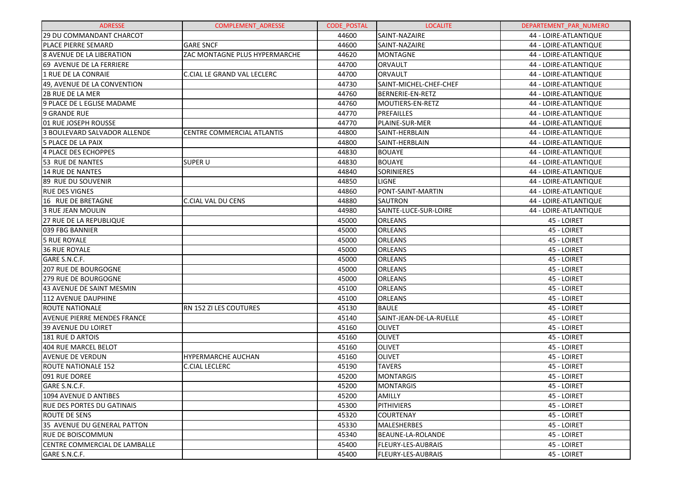| <b>ADRESSE</b>                     | <b>COMPLEMENT ADRESSE</b>     | <b>CODE POSTAL</b> | <b>LOCALITE</b>         | DEPARTEMENT_PAR_NUMERO |
|------------------------------------|-------------------------------|--------------------|-------------------------|------------------------|
| 29 DU COMMANDANT CHARCOT           |                               | 44600              | SAINT-NAZAIRE           | 44 - LOIRE-ATLANTIQUE  |
| <b>PLACE PIERRE SEMARD</b>         | <b>GARE SNCF</b>              | 44600              | SAINT-NAZAIRE           | 44 - LOIRE-ATLANTIQUE  |
| <b>8 AVENUE DE LA LIBERATION</b>   | ZAC MONTAGNE PLUS HYPERMARCHE | 44620              | <b>MONTAGNE</b>         | 44 - LOIRE-ATLANTIQUE  |
| 69 AVENUE DE LA FERRIERE           |                               | 44700              | ORVAULT                 | 44 - LOIRE-ATLANTIQUE  |
| 1 RUE DE LA CONRAIE                | C.CIAL LE GRAND VAL LECLERC   | 44700              | <b>ORVAULT</b>          | 44 - LOIRE-ATLANTIQUE  |
| 49, AVENUE DE LA CONVENTION        |                               | 44730              | SAINT-MICHEL-CHEF-CHEF  | 44 - LOIRE-ATLANTIQUE  |
| <b>2B RUE DE LA MER</b>            |                               | 44760              | BERNERIE-EN-RETZ        | 44 - LOIRE-ATLANTIQUE  |
| 9 PLACE DE L EGLISE MADAME         |                               | 44760              | MOUTIERS-EN-RETZ        | 44 - LOIRE-ATLANTIQUE  |
| 9 GRANDE RUE                       |                               | 44770              | PREFAILLES              | 44 - LOIRE-ATLANTIQUE  |
| 01 RUE JOSEPH ROUSSE               |                               | 44770              | PLAINE-SUR-MER          | 44 - LOIRE-ATLANTIQUE  |
| 3 BOULEVARD SALVADOR ALLENDE       | CENTRE COMMERCIAL ATLANTIS    | 44800              | SAINT-HERBLAIN          | 44 - LOIRE-ATLANTIQUE  |
| 5 PLACE DE LA PAIX                 |                               | 44800              | SAINT-HERBLAIN          | 44 - LOIRE-ATLANTIQUE  |
| 4 PLACE DES ECHOPPES               |                               | 44830              | <b>BOUAYE</b>           | 44 - LOIRE-ATLANTIQUE  |
| 53 RUE DE NANTES                   | <b>SUPER U</b>                | 44830              | <b>BOUAYE</b>           | 44 - LOIRE-ATLANTIQUE  |
| 14 RUE DE NANTES                   |                               | 44840              | <b>SORINIERES</b>       | 44 - LOIRE-ATLANTIQUE  |
| 89 RUE DU SOUVENIR                 |                               | 44850              | <b>LIGNE</b>            | 44 - LOIRE-ATLANTIQUE  |
| <b>RUE DES VIGNES</b>              |                               | 44860              | PONT-SAINT-MARTIN       | 44 - LOIRE-ATLANTIQUE  |
| 16 RUE DE BRETAGNE                 | <b>C.CIAL VAL DU CENS</b>     | 44880              | SAUTRON                 | 44 - LOIRE-ATLANTIQUE  |
| 3 RUE JEAN MOULIN                  |                               | 44980              | SAINTE-LUCE-SUR-LOIRE   | 44 - LOIRE-ATLANTIQUE  |
| 27 RUE DE LA REPUBLIQUE            |                               | 45000              | ORLEANS                 | 45 - LOIRET            |
| 039 FBG BANNIER                    |                               | 45000              | ORLEANS                 | 45 - LOIRET            |
| 5 RUE ROYALE                       |                               | 45000              | ORLEANS                 | 45 - LOIRET            |
| 36 RUE ROYALE                      |                               | 45000              | ORLEANS                 | 45 - LOIRET            |
| GARE S.N.C.F.                      |                               | 45000              | ORLEANS                 | 45 - LOIRET            |
| 207 RUE DE BOURGOGNE               |                               | 45000              | ORLEANS                 | 45 - LOIRET            |
| <b>279 RUE DE BOURGOGNE</b>        |                               | 45000              | ORLEANS                 | 45 - LOIRET            |
| 43 AVENUE DE SAINT MESMIN          |                               | 45100              | ORLEANS                 | 45 - LOIRET            |
| 112 AVENUE DAUPHINE                |                               | 45100              | ORLEANS                 | 45 - LOIRET            |
| <b>ROUTE NATIONALE</b>             | RN 152 ZI LES COUTURES        | 45130              | <b>BAULE</b>            | 45 - LOIRET            |
| <b>AVENUE PIERRE MENDES FRANCE</b> |                               | 45140              | SAINT-JEAN-DE-LA-RUELLE | 45 - LOIRET            |
| 39 AVENUE DU LOIRET                |                               | 45160              | <b>OLIVET</b>           | 45 - LOIRET            |
| 181 RUE D ARTOIS                   |                               | 45160              | <b>OLIVET</b>           | 45 - LOIRET            |
| 404 RUE MARCEL BELOT               |                               | 45160              | <b>OLIVET</b>           | 45 - LOIRET            |
| <b>AVENUE DE VERDUN</b>            | HYPERMARCHE AUCHAN            | 45160              | <b>OLIVET</b>           | 45 - LOIRET            |
| <b>ROUTE NATIONALE 152</b>         | <b>C.CIAL LECLERC</b>         | 45190              | <b>TAVERS</b>           | 45 - LOIRET            |
| 091 RUE DOREE                      |                               | 45200              | <b>MONTARGIS</b>        | 45 - LOIRET            |
| GARE S.N.C.F.                      |                               | 45200              | <b>MONTARGIS</b>        | 45 - LOIRET            |
| 1094 AVENUE D ANTIBES              |                               | 45200              | <b>AMILLY</b>           | 45 - LOIRET            |
| IRUE DES PORTES DU GATINAIS        |                               | 45300              | <b>PITHIVIERS</b>       | 45 - LOIRET            |
| <b>ROUTE DE SENS</b>               |                               | 45320              | <b>COURTENAY</b>        | 45 - LOIRET            |
| 35 AVENUE DU GENERAL PATTON        |                               | 45330              | <b>MALESHERBES</b>      | 45 - LOIRET            |
| RUE DE BOISCOMMUN                  |                               | 45340              | BEAUNE-LA-ROLANDE       | 45 - LOIRET            |
| CENTRE COMMERCIAL DE LAMBALLE      |                               | 45400              | FLEURY-LES-AUBRAIS      | 45 - LOIRET            |
| GARE S.N.C.F.                      |                               | 45400              | FLEURY-LES-AUBRAIS      | 45 - LOIRET            |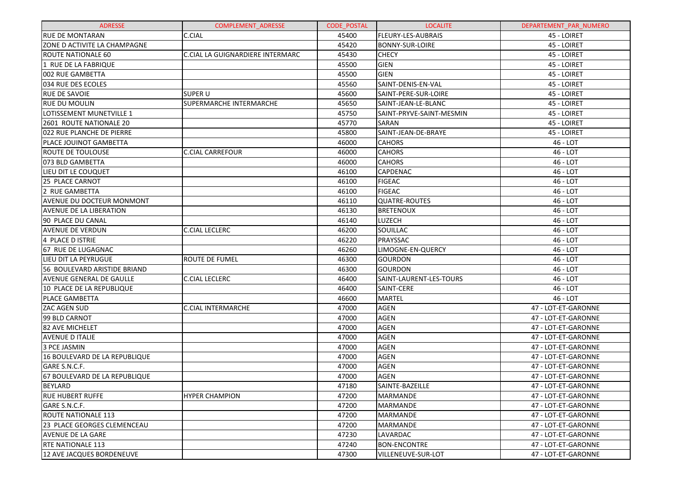| <b>ADRESSE</b>                   | <b>COMPLEMENT ADRESSE</b>        | <b>CODE POSTAL</b> | <b>LOCALITE</b>           | DEPARTEMENT_PAR_NUMERO |
|----------------------------------|----------------------------------|--------------------|---------------------------|------------------------|
| <b>RUE DE MONTARAN</b>           | C.CIAL                           | 45400              | <b>FLEURY-LES-AUBRAIS</b> | 45 - LOIRET            |
| ZONE D ACTIVITE LA CHAMPAGNE     |                                  | 45420              | <b>BONNY-SUR-LOIRE</b>    | 45 - LOIRET            |
| ROUTE NATIONALE 60               | C.CIAL LA GUIGNARDIERE INTERMARC | 45430              | <b>CHECY</b>              | 45 - LOIRET            |
| 1 RUE DE LA FABRIQUE             |                                  | 45500              | <b>GIEN</b>               | 45 - LOIRET            |
| 002 RUE GAMBETTA                 |                                  | 45500              | <b>GIEN</b>               | 45 - LOIRET            |
| 034 RUE DES ECOLES               |                                  | 45560              | SAINT-DENIS-EN-VAL        | 45 - LOIRET            |
| <b>RUE DE SAVOIE</b>             | <b>SUPER U</b>                   | 45600              | SAINT-PERE-SUR-LOIRE      | 45 - LOIRET            |
| <b>RUE DU MOULIN</b>             | SUPERMARCHE INTERMARCHE          | 45650              | SAINT-JEAN-LE-BLANC       | 45 - LOIRET            |
| LOTISSEMENT MUNETVILLE 1         |                                  | 45750              | SAINT-PRYVE-SAINT-MESMIN  | 45 - LOIRET            |
| 2601 ROUTE NATIONALE 20          |                                  | 45770              | SARAN                     | 45 - LOIRET            |
| 022 RUE PLANCHE DE PIERRE        |                                  | 45800              | SAINT-JEAN-DE-BRAYE       | 45 - LOIRET            |
| PLACE JOUINOT GAMBETTA           |                                  | 46000              | <b>CAHORS</b>             | 46 - LOT               |
| <b>ROUTE DE TOULOUSE</b>         | <b>C.CIAL CARREFOUR</b>          | 46000              | <b>CAHORS</b>             | 46 - LOT               |
| 073 BLD GAMBETTA                 |                                  | 46000              | <b>CAHORS</b>             | 46 - LOT               |
| LIEU DIT LE COUQUET              |                                  | 46100              | <b>CAPDENAC</b>           | 46 - LOT               |
| <b>25 PLACE CARNOT</b>           |                                  | 46100              | <b>FIGEAC</b>             | 46 - LOT               |
| 2 RUE GAMBETTA                   |                                  | 46100              | <b>FIGEAC</b>             | 46 - LOT               |
| <b>AVENUE DU DOCTEUR MONMONT</b> |                                  | 46110              | <b>QUATRE-ROUTES</b>      | 46 - LOT               |
| <b>AVENUE DE LA LIBERATION</b>   |                                  | 46130              | <b>BRETENOUX</b>          | 46 - LOT               |
| 90 PLACE DU CANAL                |                                  | 46140              | LUZECH                    | 46 - LOT               |
| <b>AVENUE DE VERDUN</b>          | <b>C.CIAL LECLERC</b>            | 46200              | SOUILLAC                  | 46 - LOT               |
| 4 PLACE D ISTRIE                 |                                  | 46220              | PRAYSSAC                  | 46 - LOT               |
| 67 RUE DE LUGAGNAC               |                                  | 46260              | LIMOGNE-EN-QUERCY         | 46 - LOT               |
| LIEU DIT LA PEYRUGUE             | <b>ROUTE DE FUMEL</b>            | 46300              | <b>GOURDON</b>            | 46 - LOT               |
| 56 BOULEVARD ARISTIDE BRIAND     |                                  | 46300              | <b>GOURDON</b>            | 46 - LOT               |
| <b>AVENUE GENERAL DE GAULLE</b>  | <b>C.CIAL LECLERC</b>            | 46400              | SAINT-LAURENT-LES-TOURS   | 46 - LOT               |
| 10 PLACE DE LA REPUBLIQUE        |                                  | 46400              | SAINT-CERE                | 46 - LOT               |
| <b>PLACE GAMBETTA</b>            |                                  | 46600              | <b>MARTEL</b>             | 46 - LOT               |
| <b>ZAC AGEN SUD</b>              | <b>C.CIAL INTERMARCHE</b>        | 47000              | AGEN                      | 47 - LOT-ET-GARONNE    |
| 99 BLD CARNOT                    |                                  | 47000              | <b>AGEN</b>               | 47 - LOT-ET-GARONNE    |
| 82 AVE MICHELET                  |                                  | 47000              | <b>AGEN</b>               | 47 - LOT-ET-GARONNE    |
| AVENUE D ITALIE                  |                                  | 47000              | <b>AGEN</b>               | 47 - LOT-ET-GARONNE    |
| 3 PCE JASMIN                     |                                  | 47000              | <b>AGEN</b>               | 47 - LOT-ET-GARONNE    |
| 16 BOULEVARD DE LA REPUBLIQUE    |                                  | 47000              | <b>AGEN</b>               | 47 - LOT-ET-GARONNE    |
| GARE S.N.C.F.                    |                                  | 47000              | <b>AGEN</b>               | 47 - LOT-ET-GARONNE    |
| 67 BOULEVARD DE LA REPUBLIQUE    |                                  | 47000              | <b>AGEN</b>               | 47 - LOT-ET-GARONNE    |
| <b>BEYLARD</b>                   |                                  | 47180              | SAINTE-BAZEILLE           | 47 - LOT-ET-GARONNE    |
| <b>RUE HUBERT RUFFE</b>          | <b>HYPER CHAMPION</b>            | 47200              | MARMANDE                  | 47 - LOT-ET-GARONNE    |
| GARE S.N.C.F.                    |                                  | 47200              | MARMANDE                  | 47 - LOT-ET-GARONNE    |
| ROUTE NATIONALE 113              |                                  | 47200              | MARMANDE                  | 47 - LOT-ET-GARONNE    |
| 23 PLACE GEORGES CLEMENCEAU      |                                  | 47200              | MARMANDE                  | 47 - LOT-ET-GARONNE    |
| <b>AVENUE DE LA GARE</b>         |                                  | 47230              | LAVARDAC                  | 47 - LOT-ET-GARONNE    |
| <b>RTE NATIONALE 113</b>         |                                  | 47240              | <b>BON-ENCONTRE</b>       | 47 - LOT-ET-GARONNE    |
| 12 AVE JACQUES BORDENEUVE        |                                  | 47300              | VILLENEUVE-SUR-LOT        | 47 - LOT-ET-GARONNE    |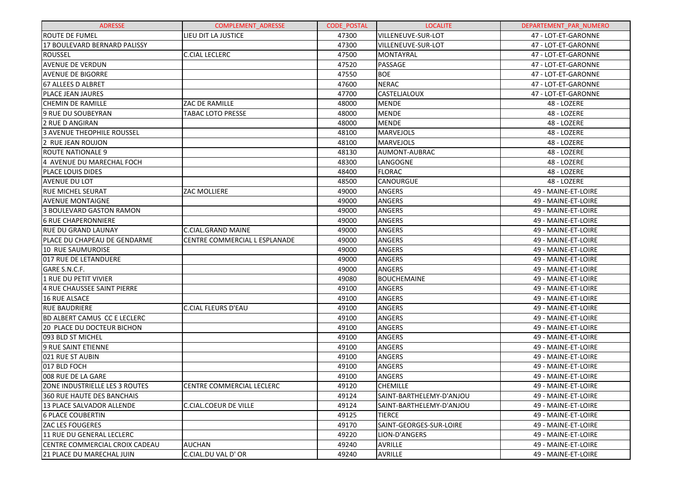| <b>ADRESSE</b>                      | <b>COMPLEMENT ADRESSE</b>        | <b>CODE POSTAL</b> | <b>LOCALITE</b>          | DEPARTEMENT PAR NUMERO |
|-------------------------------------|----------------------------------|--------------------|--------------------------|------------------------|
| <b>ROUTE DE FUMEL</b>               | LIEU DIT LA JUSTICE              | 47300              | VILLENEUVE-SUR-LOT       | 47 - LOT-ET-GARONNE    |
| <b>17 BOULEVARD BERNARD PALISSY</b> |                                  | 47300              | VILLENEUVE-SUR-LOT       | 47 - LOT-ET-GARONNE    |
| <b>ROUSSEL</b>                      | <b>C.CIAL LECLERC</b>            | 47500              | <b>MONTAYRAL</b>         | 47 - LOT-ET-GARONNE    |
| <b>AVENUE DE VERDUN</b>             |                                  | 47520              | PASSAGE                  | 47 - LOT-ET-GARONNE    |
| <b>AVENUE DE BIGORRE</b>            |                                  | 47550              | <b>BOE</b>               | 47 - LOT-ET-GARONNE    |
| 67 ALLEES D ALBRET                  |                                  | 47600              | <b>NERAC</b>             | 47 - LOT-ET-GARONNE    |
| <b>PLACE JEAN JAURES</b>            |                                  | 47700              | CASTELJALOUX             | 47 - LOT-ET-GARONNE    |
| <b>CHEMIN DE RAMILLE</b>            | ZAC DE RAMILLE                   | 48000              | <b>MENDE</b>             | 48 - LOZERE            |
| 9 RUE DU SOUBEYRAN                  | <b>TABAC LOTO PRESSE</b>         | 48000              | <b>MENDE</b>             | 48 - LOZERE            |
| 2 RUE D ANGIRAN                     |                                  | 48000              | <b>MENDE</b>             | 48 - LOZERE            |
| <b>3 AVENUE THEOPHILE ROUSSEL</b>   |                                  | 48100              | <b>MARVEJOLS</b>         | 48 - LOZERE            |
| 2 RUE JEAN ROUJON                   |                                  | 48100              | <b>MARVEJOLS</b>         | 48 - LOZERE            |
| <b>ROUTE NATIONALE 9</b>            |                                  | 48130              | AUMONT-AUBRAC            | 48 - LOZERE            |
| 4 AVENUE DU MARECHAL FOCH           |                                  | 48300              | LANGOGNE                 | 48 - LOZERE            |
| <b>PLACE LOUIS DIDES</b>            |                                  | 48400              | <b>FLORAC</b>            | 48 - LOZERE            |
| <b>AVENUE DU LOT</b>                |                                  | 48500              | CANOURGUE                | 48 - LOZERE            |
| <b>RUE MICHEL SEURAT</b>            | <b>ZAC MOLLIERE</b>              | 49000              | ANGERS                   | 49 - MAINE-ET-LOIRE    |
| <b>AVENUE MONTAIGNE</b>             |                                  | 49000              | ANGERS                   | 49 - MAINE-ET-LOIRE    |
| 3 BOULEVARD GASTON RAMON            |                                  | 49000              | ANGERS                   | 49 - MAINE-ET-LOIRE    |
| <b>6 RUE CHAPERONNIERE</b>          |                                  | 49000              | ANGERS                   | 49 - MAINE-ET-LOIRE    |
| <b>RUE DU GRAND LAUNAY</b>          | <b>C.CIAL.GRAND MAINE</b>        | 49000              | ANGERS                   | 49 - MAINE-ET-LOIRE    |
| PLACE DU CHAPEAU DE GENDARME        | CENTRE COMMERCIAL L ESPLANADE    | 49000              | ANGERS                   | 49 - MAINE-ET-LOIRE    |
| <b>10 RUE SAUMUROISE</b>            |                                  | 49000              | ANGERS                   | 49 - MAINE-ET-LOIRE    |
| 017 RUE DE LETANDUERE               |                                  | 49000              | ANGERS                   | 49 - MAINE-ET-LOIRE    |
| GARE S.N.C.F.                       |                                  | 49000              | <b>ANGERS</b>            | 49 - MAINE-ET-LOIRE    |
| 1 RUE DU PETIT VIVIER               |                                  | 49080              | <b>BOUCHEMAINE</b>       | 49 - MAINE-ET-LOIRE    |
| 4 RUE CHAUSSEE SAINT PIERRE         |                                  | 49100              | <b>ANGERS</b>            | 49 - MAINE-ET-LOIRE    |
| <b>16 RUE ALSACE</b>                |                                  | 49100              | ANGERS                   | 49 - MAINE-ET-LOIRE    |
| IRUE BAUDRIERE                      | <b>C.CIAL FLEURS D'EAU</b>       | 49100              | ANGERS                   | 49 - MAINE-ET-LOIRE    |
| <b>BD ALBERT CAMUS CC E LECLERC</b> |                                  | 49100              | ANGERS                   | 49 - MAINE-ET-LOIRE    |
| l20 PLACE DU DOCTEUR BICHON         |                                  | 49100              | ANGERS                   | 49 - MAINE-ET-LOIRE    |
| 093 BLD ST MICHEL                   |                                  | 49100              | ANGERS                   | 49 - MAINE-ET-LOIRE    |
| 9 RUE SAINT ETIENNE                 |                                  | 49100              | <b>ANGERS</b>            | 49 - MAINE-ET-LOIRE    |
| 021 RUE ST AUBIN                    |                                  | 49100              | ANGERS                   | 49 - MAINE-ET-LOIRE    |
| 017 BLD FOCH                        |                                  | 49100              | ANGERS                   | 49 - MAINE-ET-LOIRE    |
| 008 RUE DE LA GARE                  |                                  | 49100              | <b>ANGERS</b>            | 49 - MAINE-ET-LOIRE    |
| ZONE INDUSTRIELLE LES 3 ROUTES      | <b>CENTRE COMMERCIAL LECLERC</b> | 49120              | <b>CHEMILLE</b>          | 49 - MAINE-ET-LOIRE    |
| 360 RUE HAUTE DES BANCHAIS          |                                  | 49124              | SAINT-BARTHELEMY-D'ANJOU | 49 - MAINE-ET-LOIRE    |
| 13 PLACE SALVADOR ALLENDE           | <b>C.CIAL.COEUR DE VILLE</b>     | 49124              | SAINT-BARTHELEMY-D'ANJOU | 49 - MAINE-ET-LOIRE    |
| 16 PLACE COUBERTIN                  |                                  | 49125              | <b>TIERCE</b>            | 49 - MAINE-ET-LOIRE    |
| <b>ZAC LES FOUGERES</b>             |                                  | 49170              | SAINT-GEORGES-SUR-LOIRE  | 49 - MAINE-ET-LOIRE    |
| 11 RUE DU GENERAL LECLERC           |                                  | 49220              | LION-D'ANGERS            | 49 - MAINE-ET-LOIRE    |
| CENTRE COMMERCIAL CROIX CADEAU      | <b>AUCHAN</b>                    | 49240              | <b>AVRILLE</b>           | 49 - MAINE-ET-LOIRE    |
| 21 PLACE DU MARECHAL JUIN           | C.CIAL.DU VAL D' OR              | 49240              | <b>AVRILLE</b>           | 49 - MAINE-ET-LOIRE    |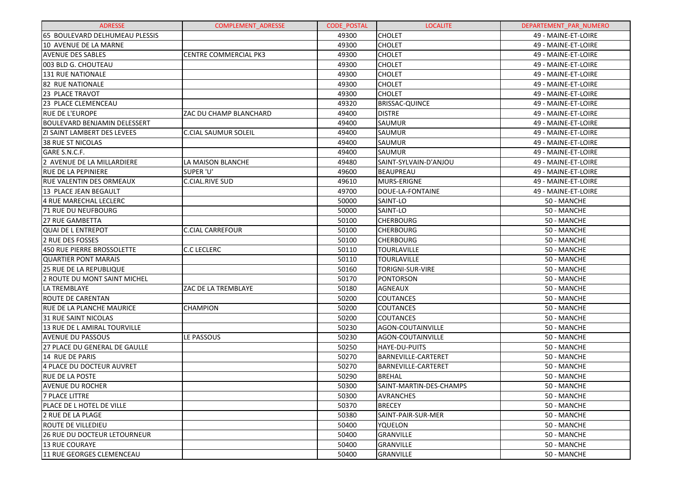| <b>ADRESSE</b>                      | <b>COMPLEMENT ADRESSE</b>    | <b>CODE POSTAL</b> | <b>LOCALITE</b>            | DEPARTEMENT_PAR_NUMERO |
|-------------------------------------|------------------------------|--------------------|----------------------------|------------------------|
| 65 BOULEVARD DELHUMEAU PLESSIS      |                              | 49300              | <b>CHOLET</b>              | 49 - MAINE-ET-LOIRE    |
| 10 AVENUE DE LA MARNE               |                              | 49300              | <b>CHOLET</b>              | 49 - MAINE-ET-LOIRE    |
| <b>AVENUE DES SABLES</b>            | <b>CENTRE COMMERCIAL PK3</b> | 49300              | <b>CHOLET</b>              | 49 - MAINE-ET-LOIRE    |
| 003 BLD G. CHOUTEAU                 |                              | 49300              | <b>CHOLET</b>              | 49 - MAINE-ET-LOIRE    |
| <b>131 RUE NATIONALE</b>            |                              | 49300              | <b>CHOLET</b>              | 49 - MAINE-ET-LOIRE    |
| 82 RUE NATIONALE                    |                              | 49300              | <b>CHOLET</b>              | 49 - MAINE-ET-LOIRE    |
| 23 PLACE TRAVOT                     |                              | 49300              | <b>CHOLET</b>              | 49 - MAINE-ET-LOIRE    |
| 23 PLACE CLEMENCEAU                 |                              | 49320              | <b>BRISSAC-QUINCE</b>      | 49 - MAINE-ET-LOIRE    |
| <b>RUE DE L'EUROPE</b>              | ZAC DU CHAMP BLANCHARD       | 49400              | <b>DISTRE</b>              | 49 - MAINE-ET-LOIRE    |
| <b>BOULEVARD BENJAMIN DELESSERT</b> |                              | 49400              | SAUMUR                     | 49 - MAINE-ET-LOIRE    |
| <b>ZI SAINT LAMBERT DES LEVEES</b>  | <b>C.CIAL SAUMUR SOLEIL</b>  | 49400              | SAUMUR                     | 49 - MAINE-ET-LOIRE    |
| 38 RUE ST NICOLAS                   |                              | 49400              | SAUMUR                     | 49 - MAINE-ET-LOIRE    |
| GARE S.N.C.F.                       |                              | 49400              | <b>SAUMUR</b>              | 49 - MAINE-ET-LOIRE    |
| 2 AVENUE DE LA MILLARDIERE          | LA MAISON BLANCHE            | 49480              | SAINT-SYLVAIN-D'ANJOU      | 49 - MAINE-ET-LOIRE    |
| RUE DE LA PEPINIERE                 | SUPER 'U'                    | 49600              | BEAUPREAU                  | 49 - MAINE-ET-LOIRE    |
| <b>RUE VALENTIN DES ORMEAUX</b>     | C.CIAL.RIVE SUD              | 49610              | MURS-ERIGNE                | 49 - MAINE-ET-LOIRE    |
| 13 PLACE JEAN BEGAULT               |                              | 49700              | DOUE-LA-FONTAINE           | 49 - MAINE-ET-LOIRE    |
| 4 RUE MARECHAL LECLERC              |                              | 50000              | SAINT-LO                   | 50 - MANCHE            |
| 71 RUE DU NEUFBOURG                 |                              | 50000              | SAINT-LO                   | 50 - MANCHE            |
| <b>27 RUE GAMBETTA</b>              |                              | 50100              | <b>CHERBOURG</b>           | 50 - MANCHE            |
| <b>QUAI DE L ENTREPOT</b>           | <b>C.CIAL CARREFOUR</b>      | 50100              | <b>CHERBOURG</b>           | 50 - MANCHE            |
| 2 RUE DES FOSSES                    |                              | 50100              | <b>CHERBOURG</b>           | 50 - MANCHE            |
| 450 RUE PIERRE BROSSOLETTE          | <b>C.C LECLERC</b>           | 50110              | <b>TOURLAVILLE</b>         | 50 - MANCHE            |
| <b>QUARTIER PONT MARAIS</b>         |                              | 50110              | <b>TOURLAVILLE</b>         | 50 - MANCHE            |
| 25 RUE DE LA REPUBLIQUE             |                              | 50160              | TORIGNI-SUR-VIRE           | 50 - MANCHE            |
| 2 ROUTE DU MONT SAINT MICHEL        |                              | 50170              | <b>PONTORSON</b>           | 50 - MANCHE            |
| LA TREMBLAYE                        | ZAC DE LA TREMBLAYE          | 50180              | AGNEAUX                    | 50 - MANCHE            |
| <b>ROUTE DE CARENTAN</b>            |                              | 50200              | <b>COUTANCES</b>           | 50 - MANCHE            |
| RUE DE LA PLANCHE MAURICE           | <b>CHAMPION</b>              | 50200              | <b>COUTANCES</b>           | 50 - MANCHE            |
| 31 RUE SAINT NICOLAS                |                              | 50200              | <b>COUTANCES</b>           | 50 - MANCHE            |
| 13 RUE DE L AMIRAL TOURVILLE        |                              | 50230              | AGON-COUTAINVILLE          | 50 - MANCHE            |
| <b>AVENUE DU PASSOUS</b>            | LE PASSOUS                   | 50230              | AGON-COUTAINVILLE          | 50 - MANCHE            |
| 27 PLACE DU GENERAL DE GAULLE       |                              | 50250              | HAYE-DU-PUITS              | 50 - MANCHE            |
| 14 RUE DE PARIS                     |                              | 50270              | <b>BARNEVILLE-CARTERET</b> | 50 - MANCHE            |
| 4 PLACE DU DOCTEUR AUVRET           |                              | 50270              | BARNEVILLE-CARTERET        | 50 - MANCHE            |
| <b>RUE DE LA POSTE</b>              |                              | 50290              | <b>BREHAL</b>              | 50 - MANCHE            |
| AVENUE DU ROCHER                    |                              | 50300              | SAINT-MARTIN-DES-CHAMPS    | 50 - MANCHE            |
| <b>7 PLACE LITTRE</b>               |                              | 50300              | <b>AVRANCHES</b>           | 50 - MANCHE            |
| PLACE DE L HOTEL DE VILLE           |                              | 50370              | <b>BRECEY</b>              | 50 - MANCHE            |
| 2 RUE DE LA PLAGE                   |                              | 50380              | SAINT-PAIR-SUR-MER         | 50 - MANCHE            |
| ROUTE DE VILLEDIEU                  |                              | 50400              | YQUELON                    | 50 - MANCHE            |
| 26 RUE DU DOCTEUR LETOURNEUR        |                              | 50400              | GRANVILLE                  | 50 - MANCHE            |
| <b>13 RUE COURAYE</b>               |                              | 50400              | <b>GRANVILLE</b>           | 50 - MANCHE            |
| 11 RUE GEORGES CLEMENCEAU           |                              | 50400              | <b>GRANVILLE</b>           | 50 - MANCHE            |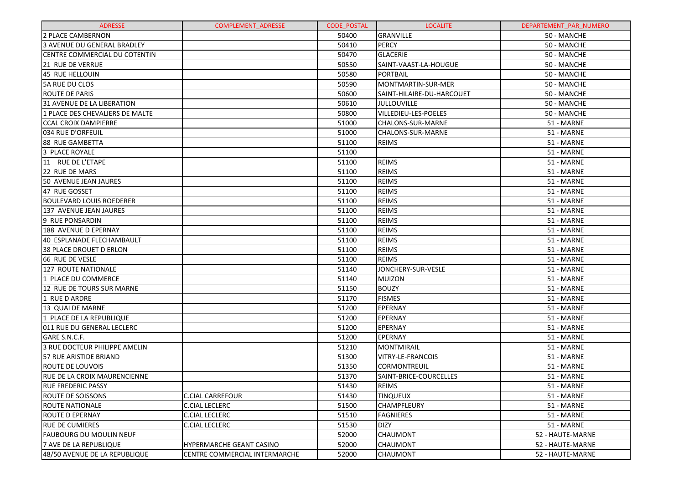| <b>ADRESSE</b>                  | <b>COMPLEMENT ADRESSE</b>     | <b>CODE POSTAL</b> | <b>LOCALITE</b>           | DEPARTEMENT_PAR_NUMERO |
|---------------------------------|-------------------------------|--------------------|---------------------------|------------------------|
| 2 PLACE CAMBERNON               |                               | 50400              | GRANVILLE                 | 50 - MANCHE            |
| 3 AVENUE DU GENERAL BRADLEY     |                               | 50410              | <b>PERCY</b>              | 50 - MANCHE            |
| CENTRE COMMERCIAL DU COTENTIN   |                               | 50470              | <b>GLACERIE</b>           | 50 - MANCHE            |
| 21 RUE DE VERRUE                |                               | 50550              | SAINT-VAAST-LA-HOUGUE     | 50 - MANCHE            |
| 45 RUE HELLOUIN                 |                               | 50580              | PORTBAIL                  | 50 - MANCHE            |
| 5A RUE DU CLOS                  |                               | 50590              | MONTMARTIN-SUR-MER        | 50 - MANCHE            |
| <b>ROUTE DE PARIS</b>           |                               | 50600              | SAINT-HILAIRE-DU-HARCOUET | 50 - MANCHE            |
| 31 AVENUE DE LA LIBERATION      |                               | 50610              | <b>JULLOUVILLE</b>        | 50 - MANCHE            |
| 1 PLACE DES CHEVALIERS DE MALTE |                               | 50800              | VILLEDIEU-LES-POELES      | 50 - MANCHE            |
| <b>CCAL CROIX DAMPIERRE</b>     |                               | 51000              | CHALONS-SUR-MARNE         | 51 - MARNE             |
| 034 RUE D'ORFEUIL               |                               | 51000              | CHALONS-SUR-MARNE         | 51 - MARNE             |
| 88 RUE GAMBETTA                 |                               | 51100              | <b>REIMS</b>              | 51 - MARNE             |
| 3 PLACE ROYALE                  |                               | 51100              |                           | 51 - MARNE             |
| 11 RUE DE L'ETAPE               |                               | 51100              | <b>REIMS</b>              | 51 - MARNE             |
| 22 RUE DE MARS                  |                               | 51100              | <b>REIMS</b>              | 51 - MARNE             |
| 50 AVENUE JEAN JAURES           |                               | 51100              | <b>REIMS</b>              | 51 - MARNE             |
| 47 RUE GOSSET                   |                               | 51100              | <b>REIMS</b>              | 51 - MARNE             |
| <b>BOULEVARD LOUIS ROEDERER</b> |                               | 51100              | <b>REIMS</b>              | 51 - MARNE             |
| 137 AVENUE JEAN JAURES          |                               | 51100              | <b>REIMS</b>              | 51 - MARNE             |
| 9 RUE PONSARDIN                 |                               | 51100              | <b>REIMS</b>              | 51 - MARNE             |
| 188 AVENUE D EPERNAY            |                               | 51100              | <b>REIMS</b>              | 51 - MARNE             |
| 40 ESPLANADE FLECHAMBAULT       |                               | 51100              | <b>REIMS</b>              | 51 - MARNE             |
| 38 PLACE DROUET D ERLON         |                               | 51100              | <b>REIMS</b>              | 51 - MARNE             |
| 66 RUE DE VESLE                 |                               | 51100              | <b>REIMS</b>              | 51 - MARNE             |
| 127 ROUTE NATIONALE             |                               | 51140              | JONCHERY-SUR-VESLE        | 51 - MARNE             |
| 1 PLACE DU COMMERCE             |                               | 51140              | MUIZON                    | 51 - MARNE             |
| 12 RUE DE TOURS SUR MARNE       |                               | 51150              | <b>BOUZY</b>              | 51 - MARNE             |
| 1 RUE D ARDRE                   |                               | 51170              | <b>FISMES</b>             | 51 - MARNE             |
| 13 QUAI DE MARNE                |                               | 51200              | EPERNAY                   | 51 - MARNE             |
| 1 PLACE DE LA REPUBLIQUE        |                               | 51200              | EPERNAY                   | 51 - MARNE             |
| 011 RUE DU GENERAL LECLERC      |                               | 51200              | EPERNAY                   | 51 - MARNE             |
| GARE S.N.C.F.                   |                               | 51200              | EPERNAY                   | 51 - MARNE             |
| 3 RUE DOCTEUR PHILIPPE AMELIN   |                               | 51210              | MONTMIRAIL                | 51 - MARNE             |
| <b>57 RUE ARISTIDE BRIAND</b>   |                               | 51300              | <b>VITRY-LE-FRANCOIS</b>  | 51 - MARNE             |
| ROUTE DE LOUVOIS                |                               | 51350              | <b>CORMONTREUIL</b>       | 51 - MARNE             |
| RUE DE LA CROIX MAURENCIENNE    |                               | 51370              | SAINT-BRICE-COURCELLES    | 51 - MARNE             |
| <b>RUE FREDERIC PASSY</b>       |                               | 51430              | <b>REIMS</b>              | 51 - MARNE             |
| ROUTE DE SOISSONS               | <b>C.CIAL CARREFOUR</b>       | 51430              | <b>TINQUEUX</b>           | 51 - MARNE             |
| <b>ROUTE NATIONALE</b>          | <b>C.CIAL LECLERC</b>         | 51500              | <b>CHAMPFLEURY</b>        | 51 - MARNE             |
| <b>ROUTE D EPERNAY</b>          | <b>C.CIAL LECLERC</b>         | 51510              | <b>FAGNIERES</b>          | 51 - MARNE             |
| <b>RUE DE CUMIERES</b>          | <b>C.CIAL LECLERC</b>         | 51530              | <b>DIZY</b>               | 51 - MARNE             |
| FAUBOURG DU MOULIN NEUF         |                               | 52000              | <b>CHAUMONT</b>           | 52 - HAUTE-MARNE       |
| 7 AVE DE LA REPUBLIQUE          | HYPERMARCHE GEANT CASINO      | 52000              | <b>CHAUMONT</b>           | 52 - HAUTE-MARNE       |
| 48/50 AVENUE DE LA REPUBLIQUE   | CENTRE COMMERCIAL INTERMARCHE | 52000              | <b>CHAUMONT</b>           | 52 - HAUTE-MARNE       |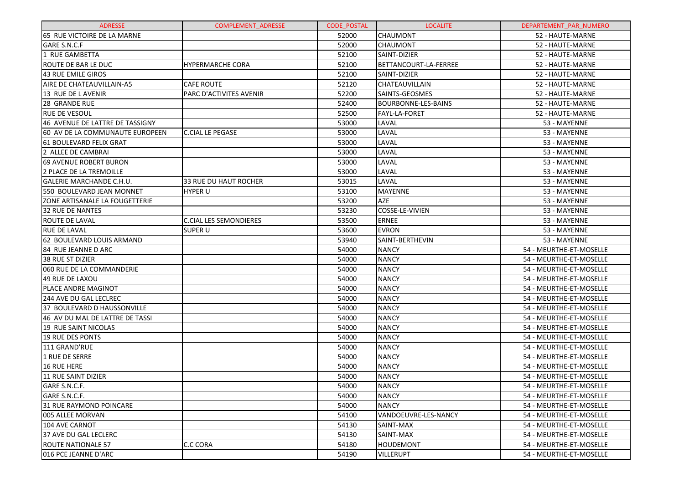| <b>ADRESSE</b>                  | <b>COMPLEMENT ADRESSE</b>     | <b>CODE POSTAL</b> | <b>LOCALITE</b>       | DEPARTEMENT PAR NUMERO  |
|---------------------------------|-------------------------------|--------------------|-----------------------|-------------------------|
| 65 RUE VICTOIRE DE LA MARNE     |                               | 52000              | <b>CHAUMONT</b>       | 52 - HAUTE-MARNE        |
| GARE S.N.C.F                    |                               | 52000              | <b>CHAUMONT</b>       | 52 - HAUTE-MARNE        |
| 1 RUE GAMBETTA                  |                               | 52100              | SAINT-DIZIER          | 52 - HAUTE-MARNE        |
| ROUTE DE BAR LE DUC             | HYPERMARCHE CORA              | 52100              | BETTANCOURT-LA-FERREE | 52 - HAUTE-MARNE        |
| <b>43 RUE EMILE GIROS</b>       |                               | 52100              | SAINT-DIZIER          | 52 - HAUTE-MARNE        |
| AIRE DE CHATEAUVILLAIN-A5       | <b>CAFE ROUTE</b>             | 52120              | CHATEAUVILLAIN        | 52 - HAUTE-MARNE        |
| 13 RUE DE L AVENIR              | PARC D'ACTIVITES AVENIR       | 52200              | SAINTS-GEOSMES        | 52 - HAUTE-MARNE        |
| 28 GRANDE RUE                   |                               | 52400              | BOURBONNE-LES-BAINS   | 52 - HAUTE-MARNE        |
| <b>RUE DE VESOUL</b>            |                               | 52500              | FAYL-LA-FORET         | 52 - HAUTE-MARNE        |
| 46 AVENUE DE LATTRE DE TASSIGNY |                               | 53000              | LAVAL                 | 53 - MAYENNE            |
| 60 AV DE LA COMMUNAUTE EUROPEEN | <b>C.CIAL LE PEGASE</b>       | 53000              | LAVAL                 | 53 - MAYENNE            |
| 61 BOULEVARD FELIX GRAT         |                               | 53000              | LAVAL                 | 53 - MAYENNE            |
| 2 ALLEE DE CAMBRAI              |                               | 53000              | LAVAL                 | 53 - MAYENNE            |
| <b>69 AVENUE ROBERT BURON</b>   |                               | 53000              | LAVAL                 | 53 - MAYENNE            |
| 2 PLACE DE LA TREMOILLE         |                               | 53000              | LAVAL                 | 53 - MAYENNE            |
| <b>GALERIE MARCHANDE C.H.U.</b> | <b>33 RUE DU HAUT ROCHER</b>  | 53015              | LAVAL                 | 53 - MAYENNE            |
| 550 BOULEVARD JEAN MONNET       | <b>HYPER U</b>                | 53100              | <b>MAYENNE</b>        | 53 - MAYENNE            |
| ZONE ARTISANALE LA FOUGETTERIE  |                               | 53200              | AZE                   | 53 - MAYENNE            |
| <b>32 RUE DE NANTES</b>         |                               | 53230              | COSSE-LE-VIVIEN       | 53 - MAYENNE            |
| ROUTE DE LAVAL                  | <b>C.CIAL LES SEMONDIERES</b> | 53500              | <b>ERNEE</b>          | 53 - MAYENNE            |
| <b>RUE DE LAVAL</b>             | <b>SUPER U</b>                | 53600              | <b>EVRON</b>          | 53 - MAYENNE            |
| 62 BOULEVARD LOUIS ARMAND       |                               | 53940              | SAINT-BERTHEVIN       | 53 - MAYENNE            |
| 84 RUE JEANNE D ARC             |                               | 54000              | <b>NANCY</b>          | 54 - MEURTHE-ET-MOSELLE |
| 38 RUE ST DIZIER                |                               | 54000              | <b>NANCY</b>          | 54 - MEURTHE-ET-MOSELLE |
| 060 RUE DE LA COMMANDERIE       |                               | 54000              | <b>NANCY</b>          | 54 - MEURTHE-ET-MOSELLE |
| 49 RUE DE LAXOU                 |                               | 54000              | <b>NANCY</b>          | 54 - MEURTHE-ET-MOSELLE |
| PLACE ANDRE MAGINOT             |                               | 54000              | <b>NANCY</b>          | 54 - MEURTHE-ET-MOSELLE |
| <b>244 AVE DU GAL LECLREC</b>   |                               | 54000              | <b>NANCY</b>          | 54 - MEURTHE-ET-MOSELLE |
| 37 BOULEVARD D HAUSSONVILLE     |                               | 54000              | <b>NANCY</b>          | 54 - MEURTHE-ET-MOSELLE |
| 46 AV DU MAL DE LATTRE DE TASSI |                               | 54000              | <b>NANCY</b>          | 54 - MEURTHE-ET-MOSELLE |
| 19 RUE SAINT NICOLAS            |                               | 54000              | <b>NANCY</b>          | 54 - MEURTHE-ET-MOSELLE |
| <b>19 RUE DES PONTS</b>         |                               | 54000              | <b>NANCY</b>          | 54 - MEURTHE-ET-MOSELLE |
| 111 GRAND'RUE                   |                               | 54000              | <b>NANCY</b>          | 54 - MEURTHE-ET-MOSELLE |
| 1 RUE DE SERRE                  |                               | 54000              | <b>NANCY</b>          | 54 - MEURTHE-ET-MOSELLE |
| 16 RUE HERE                     |                               | 54000              | <b>NANCY</b>          | 54 - MEURTHE-ET-MOSELLE |
| 11 RUE SAINT DIZIER             |                               | 54000              | <b>NANCY</b>          | 54 - MEURTHE-ET-MOSELLE |
| GARE S.N.C.F.                   |                               | 54000              | <b>NANCY</b>          | 54 - MEURTHE-ET-MOSELLE |
| GARE S.N.C.F.                   |                               | 54000              | <b>NANCY</b>          | 54 - MEURTHE-ET-MOSELLE |
| 31 RUE RAYMOND POINCARE         |                               | 54000              | <b>NANCY</b>          | 54 - MEURTHE-ET-MOSELLE |
| 005 ALLEE MORVAN                |                               | 54100              | VANDOEUVRE-LES-NANCY  | 54 - MEURTHE-ET-MOSELLE |
| 104 AVE CARNOT                  |                               | 54130              | SAINT-MAX             | 54 - MEURTHE-ET-MOSELLE |
| 37 AVE DU GAL LECLERC           |                               | 54130              | SAINT-MAX             | 54 - MEURTHE-ET-MOSELLE |
| <b>ROUTE NATIONALE 57</b>       | C.C CORA                      | 54180              | <b>HOUDEMONT</b>      | 54 - MEURTHE-ET-MOSELLE |
| 016 PCE JEANNE D'ARC            |                               | 54190              | <b>VILLERUPT</b>      | 54 - MEURTHE-ET-MOSELLE |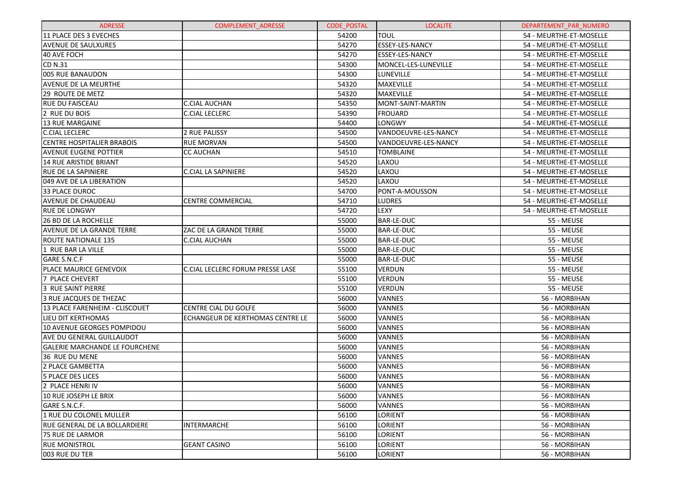| <b>ADRESSE</b>                        | <b>COMPLEMENT ADRESSE</b>               | <b>CODE POSTAL</b> | <b>LOCALITE</b>        | DEPARTEMENT_PAR_NUMERO  |
|---------------------------------------|-----------------------------------------|--------------------|------------------------|-------------------------|
| 11 PLACE DES 3 EVECHES                |                                         | 54200              | <b>TOUL</b>            | 54 - MEURTHE-ET-MOSELLE |
| <b>AVENUE DE SAULXURES</b>            |                                         | 54270              | <b>ESSEY-LES-NANCY</b> | 54 - MEURTHE-ET-MOSELLE |
| 40 AVE FOCH                           |                                         | 54270              | ESSEY-LES-NANCY        | 54 - MEURTHE-ET-MOSELLE |
| <b>CD N.31</b>                        |                                         | 54300              | MONCEL-LES-LUNEVILLE   | 54 - MEURTHE-ET-MOSELLE |
| 005 RUE BANAUDON                      |                                         | 54300              | LUNEVILLE              | 54 - MEURTHE-ET-MOSELLE |
| <b>AVENUE DE LA MEURTHE</b>           |                                         | 54320              | MAXEVILLE              | 54 - MEURTHE-ET-MOSELLE |
| 29 ROUTE DE METZ                      |                                         | 54320              | <b>MAXEVILLE</b>       | 54 - MEURTHE-ET-MOSELLE |
| <b>RUE DU FAISCEAU</b>                | <b>C.CIAL AUCHAN</b>                    | 54350              | MONT-SAINT-MARTIN      | 54 - MEURTHE-ET-MOSELLE |
| 2 RUE DU BOIS                         | <b>C.CIAL LECLERC</b>                   | 54390              | <b>FROUARD</b>         | 54 - MEURTHE-ET-MOSELLE |
| 13 RUE MARGAINE                       |                                         | 54400              | LONGWY                 | 54 - MEURTHE-ET-MOSELLE |
| <b>C.CIAL LECLERC</b>                 | 2 RUE PALISSY                           | 54500              | VANDOEUVRE-LES-NANCY   | 54 - MEURTHE-ET-MOSELLE |
| <b>CENTRE HOSPITALIER BRABOIS</b>     | <b>RUE MORVAN</b>                       | 54500              | VANDOEUVRE-LES-NANCY   | 54 - MEURTHE-ET-MOSELLE |
| <b>AVENUE EUGENE POTTIER</b>          | <b>CC AUCHAN</b>                        | 54510              | <b>TOMBLAINE</b>       | 54 - MEURTHE-ET-MOSELLE |
| 14 RUE ARISTIDE BRIANT                |                                         | 54520              | LAXOU                  | 54 - MEURTHE-ET-MOSELLE |
| <b>RUE DE LA SAPINIERE</b>            | <b>C.CIAL LA SAPINIERE</b>              | 54520              | LAXOU                  | 54 - MEURTHE-ET-MOSELLE |
| 049 AVE DE LA LIBERATION              |                                         | 54520              | LAXOU                  | 54 - MEURTHE-ET-MOSELLE |
| 33 PLACE DUROC                        |                                         | 54700              | PONT-A-MOUSSON         | 54 - MEURTHE-ET-MOSELLE |
| <b>AVENUE DE CHAUDEAU</b>             | <b>CENTRE COMMERCIAL</b>                | 54710              | <b>LUDRES</b>          | 54 - MEURTHE-ET-MOSELLE |
| <b>RUE DE LONGWY</b>                  |                                         | 54720              | LEXY                   | 54 - MEURTHE-ET-MOSELLE |
| <b>26 BD DE LA ROCHELLE</b>           |                                         | 55000              | <b>BAR-LE-DUC</b>      | 55 - MEUSE              |
| <b>AVENUE DE LA GRANDE TERRE</b>      | ZAC DE LA GRANDE TERRE                  | 55000              | <b>BAR-LE-DUC</b>      | 55 - MEUSE              |
| <b>ROUTE NATIONALE 135</b>            | <b>C.CIAL AUCHAN</b>                    | 55000              | <b>BAR-LE-DUC</b>      | 55 - MEUSE              |
| 1 RUE BAR LA VILLE                    |                                         | 55000              | <b>BAR-LE-DUC</b>      | 55 - MEUSE              |
| GARE S.N.C.F                          |                                         | 55000              | <b>BAR-LE-DUC</b>      | 55 - MEUSE              |
| PLACE MAURICE GENEVOIX                | <b>C.CIAL LECLERC FORUM PRESSE LASE</b> | 55100              | <b>VERDUN</b>          | 55 - MEUSE              |
| 7 PLACE CHEVERT                       |                                         | 55100              | <b>VERDUN</b>          | 55 - MEUSE              |
| 3 RUE SAINT PIERRE                    |                                         | 55100              | <b>VERDUN</b>          | 55 - MEUSE              |
| 3 RUE JACQUES DE THEZAC               |                                         | 56000              | VANNES                 | 56 - MORBIHAN           |
| 13 PLACE FARENHEIM - CLISCOUET        | CENTRE CIAL DU GOLFE                    | 56000              | VANNES                 | 56 - MORBIHAN           |
| <b>LIEU DIT KERTHOMAS</b>             | ECHANGEUR DE KERTHOMAS CENTRE LE        | 56000              | VANNES                 | 56 - MORBIHAN           |
| 10 AVENUE GEORGES POMPIDOU            |                                         | 56000              | VANNES                 | 56 - MORBIHAN           |
| AVE DU GENERAL GUILLAUDOT             |                                         | 56000              | VANNES                 | 56 - MORBIHAN           |
| <b>GALERIE MARCHANDE LE FOURCHENE</b> |                                         | 56000              | VANNES                 | 56 - MORBIHAN           |
| 36 RUE DU MENE                        |                                         | 56000              | VANNES                 | 56 - MORBIHAN           |
| 2 PLACE GAMBETTA                      |                                         | 56000              | VANNES                 | 56 - MORBIHAN           |
| 5 PLACE DES LICES                     |                                         | 56000              | <b>VANNES</b>          | 56 - MORBIHAN           |
| 2 PLACE HENRI IV                      |                                         | 56000              | <b>VANNES</b>          | 56 - MORBIHAN           |
| 10 RUE JOSEPH LE BRIX                 |                                         | 56000              | <b>VANNES</b>          | 56 - MORBIHAN           |
| GARE S.N.C.F.                         |                                         | 56000              | <b>VANNES</b>          | 56 - MORBIHAN           |
| 1 RUE DU COLONEL MULLER               |                                         | 56100              | LORIENT                | 56 - MORBIHAN           |
| <b>RUE GENERAL DE LA BOLLARDIERE</b>  | <b>INTERMARCHE</b>                      | 56100              | LORIENT                | 56 - MORBIHAN           |
| 75 RUE DE LARMOR                      |                                         | 56100              | LORIENT                | 56 - MORBIHAN           |
| <b>RUE MONISTROL</b>                  | <b>GEANT CASINO</b>                     | 56100              | LORIENT                | 56 - MORBIHAN           |
| 003 RUE DU TER                        |                                         | 56100              | LORIENT                | 56 - MORBIHAN           |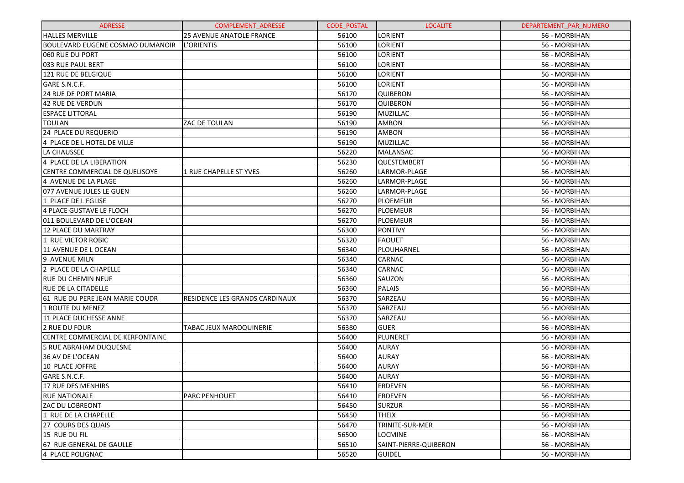| <b>ADRESSE</b>                          | COMPLEMENT_ADRESSE              | <b>CODE POSTAL</b> | <b>LOCALITE</b>       | DEPARTEMENT_PAR_NUMERO |
|-----------------------------------------|---------------------------------|--------------------|-----------------------|------------------------|
| <b>HALLES MERVILLE</b>                  | <b>25 AVENUE ANATOLE FRANCE</b> | 56100              | <b>LORIENT</b>        | 56 - MORBIHAN          |
| <b>BOULEVARD EUGENE COSMAO DUMANOIR</b> | <b>L'ORIENTIS</b>               | 56100              | LORIENT               | 56 - MORBIHAN          |
| 060 RUE DU PORT                         |                                 | 56100              | LORIENT               | 56 - MORBIHAN          |
| 033 RUE PAUL BERT                       |                                 | 56100              | LORIENT               | 56 - MORBIHAN          |
| 121 RUE DE BELGIQUE                     |                                 | 56100              | LORIENT               | 56 - MORBIHAN          |
| GARE S.N.C.F.                           |                                 | 56100              | LORIENT               | 56 - MORBIHAN          |
| 24 RUE DE PORT MARIA                    |                                 | 56170              | QUIBERON              | 56 - MORBIHAN          |
| <b>42 RUE DE VERDUN</b>                 |                                 | 56170              | QUIBERON              | 56 - MORBIHAN          |
| <b>ESPACE LITTORAL</b>                  |                                 | 56190              | <b>MUZILLAC</b>       | 56 - MORBIHAN          |
| <b>TOULAN</b>                           | ZAC DE TOULAN                   | 56190              | AMBON                 | 56 - MORBIHAN          |
| 24 PLACE DU REQUERIO                    |                                 | 56190              | AMBON                 | 56 - MORBIHAN          |
| 4 PLACE DE L HOTEL DE VILLE             |                                 | 56190              | <b>MUZILLAC</b>       | 56 - MORBIHAN          |
| LA CHAUSSEE                             |                                 | 56220              | <b>MALANSAC</b>       | 56 - MORBIHAN          |
| 4 PLACE DE LA LIBERATION                |                                 | 56230              | QUESTEMBERT           | 56 - MORBIHAN          |
| CENTRE COMMERCIAL DE QUELISOYE          | 1 RUE CHAPELLE ST YVES          | 56260              | LARMOR-PLAGE          | 56 - MORBIHAN          |
| 4 AVENUE DE LA PLAGE                    |                                 | 56260              | LARMOR-PLAGE          | 56 - MORBIHAN          |
| 077 AVENUE JULES LE GUEN                |                                 | 56260              | LARMOR-PLAGE          | 56 - MORBIHAN          |
| 1 PLACE DE L EGLISE                     |                                 | 56270              | PLOEMEUR              | 56 - MORBIHAN          |
| 4 PLACE GUSTAVE LE FLOCH                |                                 | 56270              | PLOEMEUR              | 56 - MORBIHAN          |
| 011 BOULEVARD DE L'OCEAN                |                                 | 56270              | PLOEMEUR              | 56 - MORBIHAN          |
| <b>12 PLACE DU MARTRAY</b>              |                                 | 56300              | <b>PONTIVY</b>        | 56 - MORBIHAN          |
| 1 RUE VICTOR ROBIC                      |                                 | 56320              | <b>FAOUET</b>         | 56 - MORBIHAN          |
| 11 AVENUE DE L OCEAN                    |                                 | 56340              | PLOUHARNEL            | 56 - MORBIHAN          |
| 9 AVENUE MILN                           |                                 | 56340              | CARNAC                | 56 - MORBIHAN          |
| 2 PLACE DE LA CHAPELLE                  |                                 | 56340              | CARNAC                | 56 - MORBIHAN          |
| <b>RUE DU CHEMIN NEUF</b>               |                                 | 56360              | SAUZON                | 56 - MORBIHAN          |
| <b>RUE DE LA CITADELLE</b>              |                                 | 56360              | <b>PALAIS</b>         | 56 - MORBIHAN          |
| 61 RUE DU PERE JEAN MARIE COUDR         | RESIDENCE LES GRANDS CARDINAUX  | 56370              | SARZEAU               | 56 - MORBIHAN          |
| <b>1 ROUTE DU MENEZ</b>                 |                                 | 56370              | SARZEAU               | 56 - MORBIHAN          |
| 11 PLACE DUCHESSE ANNE                  |                                 | 56370              | SARZEAU               | 56 - MORBIHAN          |
| 2 RUE DU FOUR                           | TABAC JEUX MAROQUINERIE         | 56380              | <b>GUER</b>           | 56 - MORBIHAN          |
| CENTRE COMMERCIAL DE KERFONTAINE        |                                 | 56400              | PLUNERET              | 56 - MORBIHAN          |
| <b>5 RUE ABRAHAM DUQUESNE</b>           |                                 | 56400              | <b>AURAY</b>          | 56 - MORBIHAN          |
| 36 AV DE L'OCEAN                        |                                 | 56400              | <b>AURAY</b>          | 56 - MORBIHAN          |
| 10 PLACE JOFFRE                         |                                 | 56400              | <b>AURAY</b>          | 56 - MORBIHAN          |
| GARE S.N.C.F.                           |                                 | 56400              | <b>AURAY</b>          | 56 - MORBIHAN          |
| 17 RUE DES MENHIRS                      |                                 | 56410              | <b>ERDEVEN</b>        | 56 - MORBIHAN          |
| <b>RUE NATIONALE</b>                    | <b>PARC PENHOUET</b>            | 56410              | <b>ERDEVEN</b>        | 56 - MORBIHAN          |
| <b>ZAC DU LOBREONT</b>                  |                                 | 56450              | <b>SURZUR</b>         | 56 - MORBIHAN          |
| 1 RUE DE LA CHAPELLE                    |                                 | 56450              | <b>THEIX</b>          | 56 - MORBIHAN          |
| 27 COURS DES QUAIS                      |                                 | 56470              | TRINITE-SUR-MER       | 56 - MORBIHAN          |
| 15 RUE DU FIL                           |                                 | 56500              | <b>LOCMINE</b>        | 56 - MORBIHAN          |
| 67 RUE GENERAL DE GAULLE                |                                 | 56510              | SAINT-PIERRE-QUIBERON | 56 - MORBIHAN          |
| 4 PLACE POLIGNAC                        |                                 | 56520              | <b>GUIDEL</b>         | 56 - MORBIHAN          |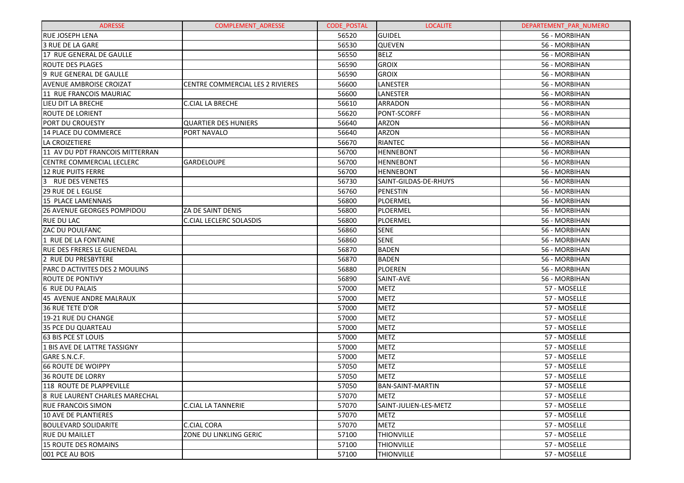| <b>ADRESSE</b>                    | <b>COMPLEMENT ADRESSE</b>        | <b>CODE POSTAL</b> | <b>LOCALITE</b>         | DEPARTEMENT_PAR_NUMERO |
|-----------------------------------|----------------------------------|--------------------|-------------------------|------------------------|
| <b>RUE JOSEPH LENA</b>            |                                  | 56520              | <b>GUIDEL</b>           | 56 - MORBIHAN          |
| 3 RUE DE LA GARE                  |                                  | 56530              | <b>QUEVEN</b>           | 56 - MORBIHAN          |
| 17 RUE GENERAL DE GAULLE          |                                  | 56550              | <b>BELZ</b>             | 56 - MORBIHAN          |
| ROUTE DES PLAGES                  |                                  | 56590              | <b>GROIX</b>            | 56 - MORBIHAN          |
| 9 RUE GENERAL DE GAULLE           |                                  | 56590              | <b>GROIX</b>            | 56 - MORBIHAN          |
| <b>AVENUE AMBROISE CROIZAT</b>    | CENTRE COMMERCIAL LES 2 RIVIERES | 56600              | LANESTER                | 56 - MORBIHAN          |
| 11 RUE FRANCOIS MAURIAC           |                                  | 56600              | LANESTER                | 56 - MORBIHAN          |
| LIEU DIT LA BRECHE                | <b>C.CIAL LA BRECHE</b>          | 56610              | ARRADON                 | 56 - MORBIHAN          |
| <b>ROUTE DE LORIENT</b>           |                                  | 56620              | PONT-SCORFF             | 56 - MORBIHAN          |
| PORT DU CROUESTY                  | <b>QUARTIER DES HUNIERS</b>      | 56640              | ARZON                   | 56 - MORBIHAN          |
| 14 PLACE DU COMMERCE              | PORT NAVALO                      | 56640              | ARZON                   | 56 - MORBIHAN          |
| LA CROIZETIERE                    |                                  | 56670              | <b>RIANTEC</b>          | 56 - MORBIHAN          |
| 11 AV DU PDT FRANCOIS MITTERRAN   |                                  | 56700              | <b>HENNEBONT</b>        | 56 - MORBIHAN          |
| CENTRE COMMERCIAL LECLERC         | <b>GARDELOUPE</b>                | 56700              | <b>HENNEBONT</b>        | 56 - MORBIHAN          |
| <b>12 RUE PUITS FERRE</b>         |                                  | 56700              | <b>HENNEBONT</b>        | 56 - MORBIHAN          |
| <b>RUE DES VENETES</b>            |                                  | 56730              | SAINT-GILDAS-DE-RHUYS   | 56 - MORBIHAN          |
| <b>29 RUE DE L EGLISE</b>         |                                  | 56760              | PENESTIN                | 56 - MORBIHAN          |
| 15 PLACE LAMENNAIS                |                                  | 56800              | PLOERMEL                | 56 - MORBIHAN          |
| 26 AVENUE GEORGES POMPIDOU        | ZA DE SAINT DENIS                | 56800              | PLOERMEL                | 56 - MORBIHAN          |
| <b>RUE DU LAC</b>                 | C.CIAL LECLERC SOLASDIS          | 56800              | PLOERMEL                | 56 - MORBIHAN          |
| <b>ZAC DU POULFANC</b>            |                                  | 56860              | <b>SENE</b>             | 56 - MORBIHAN          |
| 1 RUE DE LA FONTAINE              |                                  | 56860              | <b>SENE</b>             | 56 - MORBIHAN          |
| <b>RUE DES FRERES LE GUENEDAL</b> |                                  | 56870              | <b>BADEN</b>            | 56 - MORBIHAN          |
| 2 RUE DU PRESBYTERE               |                                  | 56870              | <b>BADEN</b>            | 56 - MORBIHAN          |
| PARC D ACTIVITES DES 2 MOULINS    |                                  | 56880              | PLOEREN                 | 56 - MORBIHAN          |
| <b>ROUTE DE PONTIVY</b>           |                                  | 56890              | SAINT-AVE               | 56 - MORBIHAN          |
| 6 RUE DU PALAIS                   |                                  | 57000              | <b>METZ</b>             | 57 - MOSELLE           |
| 45 AVENUE ANDRE MALRAUX           |                                  | 57000              | <b>METZ</b>             | 57 - MOSELLE           |
| 36 RUE TETE D'OR                  |                                  | 57000              | <b>METZ</b>             | 57 - MOSELLE           |
| 19-21 RUE DU CHANGE               |                                  | 57000              | <b>METZ</b>             | 57 - MOSELLE           |
| 35 PCE DU QUARTEAU                |                                  | 57000              | <b>METZ</b>             | 57 - MOSELLE           |
| <b>63 BIS PCE ST LOUIS</b>        |                                  | 57000              | <b>METZ</b>             | 57 - MOSELLE           |
| 1 BIS AVE DE LATTRE TASSIGNY      |                                  | 57000              | <b>METZ</b>             | 57 - MOSELLE           |
| GARE S.N.C.F.                     |                                  | 57000              | <b>METZ</b>             | 57 - MOSELLE           |
| <b>66 ROUTE DE WOIPPY</b>         |                                  | 57050              | <b>METZ</b>             | 57 - MOSELLE           |
| 36 ROUTE DE LORRY                 |                                  | 57050              | <b>METZ</b>             | 57 - MOSELLE           |
| 118 ROUTE DE PLAPPEVILLE          |                                  | 57050              | <b>BAN-SAINT-MARTIN</b> | 57 - MOSELLE           |
| 8 RUE LAURENT CHARLES MARECHAL    |                                  | 57070              | METZ                    | 57 - MOSELLE           |
| RUE FRANCOIS SIMON                | C.CIAL LA TANNERIE               | 57070              | SAINT-JULIEN-LES-METZ   | 57 - MOSELLE           |
| 10 AVE DE PLANTIERES              |                                  | 57070              | METZ                    | 57 - MOSELLE           |
| BOULEVARD SOLIDARITE              | <b>C.CIAL CORA</b>               | 57070              | <b>METZ</b>             | 57 - MOSELLE           |
| <b>RUE DU MAILLET</b>             | ZONE DU LINKLING GERIC           | 57100              | <b>THIONVILLE</b>       | 57 - MOSELLE           |
| 15 ROUTE DES ROMAINS              |                                  | 57100              | THIONVILLE              | 57 - MOSELLE           |
| 001 PCE AU BOIS                   |                                  | 57100              | <b>THIONVILLE</b>       | 57 - MOSELLE           |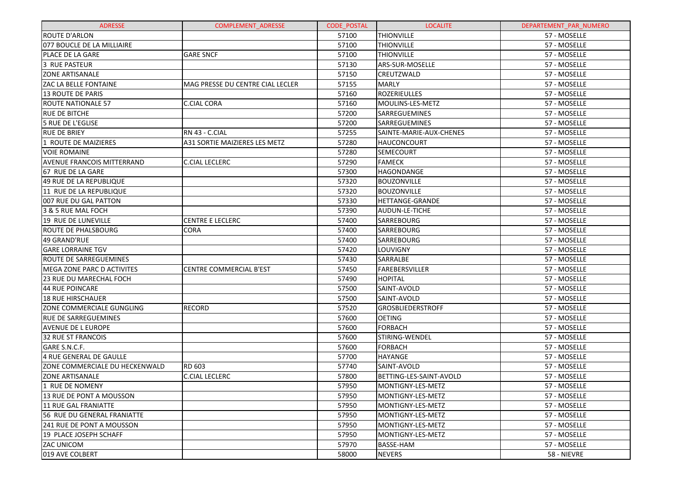| <b>ADRESSE</b>                    | <b>COMPLEMENT ADRESSE</b>        | <b>CODE POSTAL</b> | <b>LOCALITE</b>         | DEPARTEMENT_PAR_NUMERO |
|-----------------------------------|----------------------------------|--------------------|-------------------------|------------------------|
| <b>ROUTE D'ARLON</b>              |                                  | 57100              | <b>THIONVILLE</b>       | 57 - MOSELLE           |
| 077 BOUCLE DE LA MILLIAIRE        |                                  | 57100              | <b>THIONVILLE</b>       | 57 - MOSELLE           |
| PLACE DE LA GARE                  | <b>GARE SNCF</b>                 | 57100              | <b>THIONVILLE</b>       | 57 - MOSELLE           |
| 3 RUE PASTEUR                     |                                  | 57130              | ARS-SUR-MOSELLE         | 57 - MOSELLE           |
| <b>ZONE ARTISANALE</b>            |                                  | 57150              | CREUTZWALD              | 57 - MOSELLE           |
| ZAC LA BELLE FONTAINE             | MAG PRESSE DU CENTRE CIAL LECLER | 57155              | <b>MARLY</b>            | 57 - MOSELLE           |
| <b>13 ROUTE DE PARIS</b>          |                                  | 57160              | ROZERIEULLES            | 57 - MOSELLE           |
| <b>ROUTE NATIONALE 57</b>         | C.CIAL CORA                      | 57160              | MOULINS-LES-METZ        | 57 - MOSELLE           |
| <b>RUE DE BITCHE</b>              |                                  | 57200              | SARREGUEMINES           | 57 - MOSELLE           |
| 5 RUE DE L'EGLISE                 |                                  | 57200              | SARREGUEMINES           | 57 - MOSELLE           |
| <b>RUE DE BRIEY</b>               | RN 43 - C.CIAL                   | 57255              | SAINTE-MARIE-AUX-CHENES | 57 - MOSELLE           |
| 1 ROUTE DE MAIZIERES              | A31 SORTIE MAIZIERES LES METZ    | 57280              | <b>HAUCONCOURT</b>      | 57 - MOSELLE           |
| <b>VOIE ROMAINE</b>               |                                  | 57280              | <b>SEMECOURT</b>        | 57 - MOSELLE           |
| <b>AVENUE FRANCOIS MITTERRAND</b> | <b>C.CIAL LECLERC</b>            | 57290              | <b>FAMECK</b>           | 57 - MOSELLE           |
| 67 RUE DE LA GARE                 |                                  | 57300              | HAGONDANGE              | 57 - MOSELLE           |
| 49 RUE DE LA REPUBLIQUE           |                                  | 57320              | BOUZONVILLE             | 57 - MOSELLE           |
| 11 RUE DE LA REPUBLIQUE           |                                  | 57320              | <b>BOUZONVILLE</b>      | 57 - MOSELLE           |
| 007 RUE DU GAL PATTON             |                                  | 57330              | HETTANGE-GRANDE         | 57 - MOSELLE           |
| 3 & 5 RUE MAL FOCH                |                                  | 57390              | AUDUN-LE-TICHE          | 57 - MOSELLE           |
| 19 RUE DE LUNEVILLE               | <b>CENTRE E LECLERC</b>          | 57400              | <b>SARREBOURG</b>       | 57 - MOSELLE           |
| <b>ROUTE DE PHALSBOURG</b>        | <b>CORA</b>                      | 57400              | <b>SARREBOURG</b>       | 57 - MOSELLE           |
| 49 GRAND'RUE                      |                                  | 57400              | SARREBOURG              | 57 - MOSELLE           |
| <b>GARE LORRAINE TGV</b>          |                                  | 57420              | LOUVIGNY                | 57 - MOSELLE           |
| <b>ROUTE DE SARREGUEMINES</b>     |                                  | 57430              | SARRALBE                | 57 - MOSELLE           |
| MEGA ZONE PARC D ACTIVITES        | <b>CENTRE COMMERCIAL B'EST</b>   | 57450              | FAREBERSVILLER          | 57 - MOSELLE           |
| <b>23 RUE DU MARECHAL FOCH</b>    |                                  | 57490              | <b>HOPITAL</b>          | 57 - MOSELLE           |
| 44 RUE POINCARE                   |                                  | 57500              | SAINT-AVOLD             | 57 - MOSELLE           |
| <b>18 RUE HIRSCHAUER</b>          |                                  | 57500              | SAINT-AVOLD             | 57 - MOSELLE           |
| ZONE COMMERCIALE GUNGLING         | <b>RECORD</b>                    | 57520              | GROSBLIEDERSTROFF       | 57 - MOSELLE           |
| <b>RUE DE SARREGUEMINES</b>       |                                  | 57600              | <b>OETING</b>           | 57 - MOSELLE           |
| <b>AVENUE DE L EUROPE</b>         |                                  | 57600              | FORBACH                 | 57 - MOSELLE           |
| 32 RUE ST FRANCOIS                |                                  | 57600              | STIRING-WENDEL          | 57 - MOSELLE           |
| GARE S.N.C.F.                     |                                  | 57600              | FORBACH                 | 57 - MOSELLE           |
| 4 RUE GENERAL DE GAULLE           |                                  | 57700              | <b>HAYANGE</b>          | 57 - MOSELLE           |
| ZONE COMMERCIALE DU HECKENWALD    | RD 603                           | 57740              | SAINT-AVOLD             | 57 - MOSELLE           |
| <b>ZONE ARTISANALE</b>            | <b>C.CIAL LECLERC</b>            | 57800              | BETTING-LES-SAINT-AVOLD | 57 - MOSELLE           |
| 1 RUE DE NOMENY                   |                                  | 57950              | MONTIGNY-LES-METZ       | 57 - MOSELLE           |
| 13 RUE DE PONT A MOUSSON          |                                  | 57950              | MONTIGNY-LES-METZ       | 57 - MOSELLE           |
| 11 RUE GAL FRANIATTE              |                                  | 57950              | MONTIGNY-LES-METZ       | 57 - MOSELLE           |
| 56 RUE DU GENERAL FRANIATTE       |                                  | 57950              | MONTIGNY-LES-METZ       | 57 - MOSELLE           |
| 241 RUE DE PONT A MOUSSON         |                                  | 57950              | MONTIGNY-LES-METZ       | 57 - MOSELLE           |
| 19 PLACE JOSEPH SCHAFF            |                                  | 57950              | MONTIGNY-LES-METZ       | 57 - MOSELLE           |
| <b>ZAC UNICOM</b>                 |                                  | 57970              | <b>BASSE-HAM</b>        | 57 - MOSELLE           |
| 019 AVE COLBERT                   |                                  | 58000              | <b>NEVERS</b>           | 58 - NIEVRE            |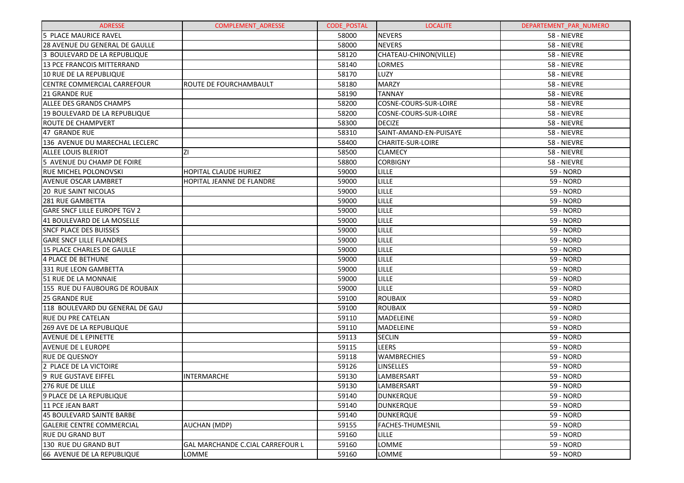| <b>ADRESSE</b>                      | <b>COMPLEMENT ADRESSE</b>               | <b>CODE POSTAL</b> | <b>LOCALITE</b>        | DEPARTEMENT PAR NUMERO |
|-------------------------------------|-----------------------------------------|--------------------|------------------------|------------------------|
| 5 PLACE MAURICE RAVEL               |                                         | 58000              | <b>NEVERS</b>          | 58 - NIEVRE            |
| 28 AVENUE DU GENERAL DE GAULLE      |                                         | 58000              | <b>NEVERS</b>          | 58 - NIEVRE            |
| 3 BOULEVARD DE LA REPUBLIQUE        |                                         | 58120              | CHATEAU-CHINON(VILLE)  | 58 - NIEVRE            |
| 13 PCE FRANCOIS MITTERRAND          |                                         | 58140              | LORMES                 | 58 - NIEVRE            |
| 10 RUE DE LA REPUBLIQUE             |                                         | 58170              | LUZY                   | 58 - NIEVRE            |
| CENTRE COMMERCIAL CARREFOUR         | ROUTE DE FOURCHAMBAULT                  | 58180              | <b>MARZY</b>           | 58 - NIEVRE            |
| 21 GRANDE RUE                       |                                         | 58190              | <b>TANNAY</b>          | 58 - NIEVRE            |
| <b>ALLEE DES GRANDS CHAMPS</b>      |                                         | 58200              | COSNE-COURS-SUR-LOIRE  | 58 - NIEVRE            |
| 19 BOULEVARD DE LA REPUBLIQUE       |                                         | 58200              | COSNE-COURS-SUR-LOIRE  | 58 - NIEVRE            |
| ROUTE DE CHAMPVERT                  |                                         | 58300              | <b>DECIZE</b>          | 58 - NIEVRE            |
| 47 GRANDE RUE                       |                                         | 58310              | SAINT-AMAND-EN-PUISAYE | 58 - NIEVRE            |
| 136 AVENUE DU MARECHAL LECLERC      |                                         | 58400              | CHARITE-SUR-LOIRE      | 58 - NIEVRE            |
| ALLEE LOUIS BLERIOT                 | ΖI                                      | 58500              | <b>CLAMECY</b>         | 58 - NIEVRE            |
| 5 AVENUE DU CHAMP DE FOIRE          |                                         | 58800              | <b>CORBIGNY</b>        | 58 - NIEVRE            |
| RUE MICHEL POLONOVSKI               | HOPITAL CLAUDE HURIEZ                   | 59000              | LILLE                  | 59 - NORD              |
| <b>AVENUE OSCAR LAMBRET</b>         | HOPITAL JEANNE DE FLANDRE               | 59000              | LILLE                  | 59 - NORD              |
| <b>20 RUE SAINT NICOLAS</b>         |                                         | 59000              | <b>LILLE</b>           | 59 - NORD              |
| 281 RUE GAMBETTA                    |                                         | 59000              | LILLE                  | 59 - NORD              |
| <b>GARE SNCF LILLE EUROPE TGV 2</b> |                                         | 59000              | LILLE                  | 59 - NORD              |
| 41 BOULEVARD DE LA MOSELLE          |                                         | 59000              | LILLE                  | 59 - NORD              |
| <b>SNCF PLACE DES BUISSES</b>       |                                         | 59000              | LILLE                  | 59 - NORD              |
| <b>GARE SNCF LILLE FLANDRES</b>     |                                         | 59000              | LILLE                  | 59 - NORD              |
| 15 PLACE CHARLES DE GAULLE          |                                         | 59000              | LILLE                  | 59 - NORD              |
| 4 PLACE DE BETHUNE                  |                                         | 59000              | LILLE                  | 59 - NORD              |
| 331 RUE LEON GAMBETTA               |                                         | 59000              | LILLE                  | 59 - NORD              |
| 51 RUE DE LA MONNAIE                |                                         | 59000              | LILLE                  | 59 - NORD              |
| 155 RUE DU FAUBOURG DE ROUBAIX      |                                         | 59000              | LILLE                  | 59 - NORD              |
| 25 GRANDE RUE                       |                                         | 59100              | <b>ROUBAIX</b>         | 59 - NORD              |
| 118 BOULEVARD DU GENERAL DE GAU     |                                         | 59100              | <b>ROUBAIX</b>         | 59 - NORD              |
| <b>RUE DU PRE CATELAN</b>           |                                         | 59110              | <b>MADELEINE</b>       | 59 - NORD              |
| 269 AVE DE LA REPUBLIQUE            |                                         | 59110              | <b>MADELEINE</b>       | 59 - NORD              |
| <b>AVENUE DE L EPINETTE</b>         |                                         | 59113              | <b>SECLIN</b>          | 59 - NORD              |
| <b>AVENUE DE L EUROPE</b>           |                                         | 59115              | <b>LEERS</b>           | 59 - NORD              |
| <b>RUE DE QUESNOY</b>               |                                         | 59118              | <b>WAMBRECHIES</b>     | 59 - NORD              |
| 2 PLACE DE LA VICTOIRE              |                                         | 59126              | <b>LINSELLES</b>       | 59 - NORD              |
| <b>9 RUE GUSTAVE EIFFEL</b>         | <b>INTERMARCHE</b>                      | 59130              | LAMBERSART             | 59 - NORD              |
| 276 RUE DE LILLE                    |                                         | 59130              | LAMBERSART             | 59 - NORD              |
| 9 PLACE DE LA REPUBLIQUE            |                                         | 59140              | <b>DUNKERQUE</b>       | 59 - NORD              |
| 11 PCE JEAN BART                    |                                         | 59140              | <b>DUNKERQUE</b>       | 59 - NORD              |
| 45 BOULEVARD SAINTE BARBE           |                                         | 59140              | <b>DUNKERQUE</b>       | 59 - NORD              |
| <b>GALERIE CENTRE COMMERCIAL</b>    | AUCHAN (MDP)                            | 59155              | FACHES-THUMESNIL       | 59 - NORD              |
| <b>RUE DU GRAND BUT</b>             |                                         | 59160              | LILLE                  | 59 - NORD              |
| 130 RUE DU GRAND BUT                | <b>GAL MARCHANDE C.CIAL CARREFOUR L</b> | 59160              | LOMME                  | 59 - NORD              |
| 66 AVENUE DE LA REPUBLIQUE          | LOMME                                   | 59160              | LOMME                  | 59 - NORD              |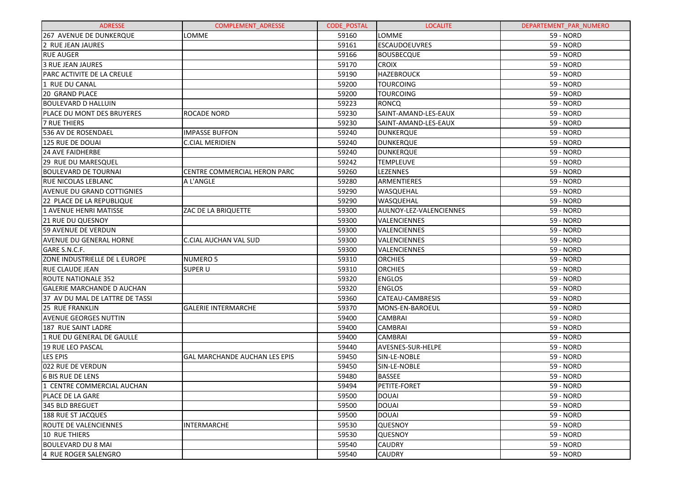| <b>ADRESSE</b>                    | <b>COMPLEMENT ADRESSE</b>            | <b>CODE POSTAL</b> | <b>LOCALITE</b>         | DEPARTEMENT_PAR_NUMERO |
|-----------------------------------|--------------------------------------|--------------------|-------------------------|------------------------|
| 267 AVENUE DE DUNKERQUE           | LOMME                                | 59160              | LOMME                   | 59 - NORD              |
| 2 RUE JEAN JAURES                 |                                      | 59161              | <b>ESCAUDOEUVRES</b>    | 59 - NORD              |
| <b>RUE AUGER</b>                  |                                      | 59166              | <b>BOUSBECQUE</b>       | 59 - NORD              |
| <b>3 RUE JEAN JAURES</b>          |                                      | 59170              | <b>CROIX</b>            | 59 - NORD              |
| PARC ACTIVITE DE LA CREULE        |                                      | 59190              | <b>HAZEBROUCK</b>       | 59 - NORD              |
| 1 RUE DU CANAL                    |                                      | 59200              | <b>TOURCOING</b>        | 59 - NORD              |
| <b>20 GRAND PLACE</b>             |                                      | 59200              | <b>TOURCOING</b>        | 59 - NORD              |
| <b>BOULEVARD D HALLUIN</b>        |                                      | 59223              | <b>RONCQ</b>            | 59 - NORD              |
| PLACE DU MONT DES BRUYERES        | <b>ROCADE NORD</b>                   | 59230              | SAINT-AMAND-LES-EAUX    | 59 - NORD              |
| <b>7 RUE THIERS</b>               |                                      | 59230              | SAINT-AMAND-LES-EAUX    | 59 - NORD              |
| 536 AV DE ROSENDAEL               | <b>IMPASSE BUFFON</b>                | 59240              | DUNKERQUE               | 59 - NORD              |
| 125 RUE DE DOUAI                  | <b>C.CIAL MERIDIEN</b>               | 59240              | DUNKERQUE               | 59 - NORD              |
| <b>24 AVE FAIDHERBE</b>           |                                      | 59240              | <b>DUNKERQUE</b>        | 59 - NORD              |
| 29 RUE DU MARESQUEL               |                                      | 59242              | <b>TEMPLEUVE</b>        | 59 - NORD              |
| <b>BOULEVARD DE TOURNAI</b>       | CENTRE COMMERCIAL HERON PARC         | 59260              | LEZENNES                | 59 - NORD              |
| <b>RUE NICOLAS LEBLANC</b>        | A L'ANGLE                            | 59280              | ARMENTIERES             | 59 - NORD              |
| AVENUE DU GRAND COTTIGNIES        |                                      | 59290              | WASQUEHAL               | 59 - NORD              |
| 22 PLACE DE LA REPUBLIQUE         |                                      | 59290              | WASQUEHAL               | 59 - NORD              |
| <b>1 AVENUE HENRI MATISSE</b>     | ZAC DE LA BRIQUETTE                  | 59300              | AULNOY-LEZ-VALENCIENNES | 59 - NORD              |
| 21 RUE DU QUESNOY                 |                                      | 59300              | VALENCIENNES            | 59 - NORD              |
| 59 AVENUE DE VERDUN               |                                      | 59300              | VALENCIENNES            | 59 - NORD              |
| AVENUE DU GENERAL HORNE           | C.CIAL AUCHAN VAL SUD                | 59300              | VALENCIENNES            | 59 - NORD              |
| GARE S.N.C.F.                     |                                      | 59300              | VALENCIENNES            | 59 - NORD              |
| ZONE INDUSTRIELLE DE L EUROPE     | <b>NUMERO 5</b>                      | 59310              | <b>ORCHIES</b>          | 59 - NORD              |
| RUE CLAUDE JEAN                   | <b>SUPER U</b>                       | 59310              | <b>ORCHIES</b>          | 59 - NORD              |
| <b>ROUTE NATIONALE 352</b>        |                                      | 59320              | <b>ENGLOS</b>           | 59 - NORD              |
| <b>GALERIE MARCHANDE D AUCHAN</b> |                                      | 59320              | <b>ENGLOS</b>           | 59 - NORD              |
| 37 AV DU MAL DE LATTRE DE TASSI   |                                      | 59360              | CATEAU-CAMBRESIS        | 59 - NORD              |
| 25 RUE FRANKLIN                   | <b>GALERIE INTERMARCHE</b>           | 59370              | MONS-EN-BAROEUL         | 59 - NORD              |
| AVENUE GEORGES NUTTIN             |                                      | 59400              | <b>CAMBRAI</b>          | 59 - NORD              |
| 187 RUE SAINT LADRE               |                                      | 59400              | <b>CAMBRAI</b>          | 59 - NORD              |
| 1 RUE DU GENERAL DE GAULLE        |                                      | 59400              | <b>CAMBRAI</b>          | 59 - NORD              |
| 19 RUE LEO PASCAL                 |                                      | 59440              | AVESNES-SUR-HELPE       | 59 - NORD              |
| <b>LES EPIS</b>                   | <b>GAL MARCHANDE AUCHAN LES EPIS</b> | 59450              | SIN-LE-NOBLE            | 59 - NORD              |
| 022 RUE DE VERDUN                 |                                      | 59450              | SIN-LE-NOBLE            | 59 - NORD              |
| <b>6 BIS RUE DE LENS</b>          |                                      | 59480              | <b>BASSEE</b>           | 59 - NORD              |
| 1 CENTRE COMMERCIAL AUCHAN        |                                      | 59494              | PETITE-FORET            | 59 - NORD              |
| PLACE DE LA GARE                  |                                      | 59500              | <b>DOUAI</b>            | 59 - NORD              |
| 345 BLD BREGUET                   |                                      | 59500              | <b>DOUAI</b>            | 59 - NORD              |
| <b>188 RUE ST JACQUES</b>         |                                      | 59500              | <b>DOUAI</b>            | 59 - NORD              |
| ROUTE DE VALENCIENNES             | <b>INTERMARCHE</b>                   | 59530              | <b>QUESNOY</b>          | 59 - NORD              |
| <b>10 RUE THIERS</b>              |                                      | 59530              | <b>QUESNOY</b>          | <b>59 - NORD</b>       |
| <b>BOULEVARD DU 8 MAI</b>         |                                      | 59540              | <b>CAUDRY</b>           | 59 - NORD              |
| 4 RUE ROGER SALENGRO              |                                      | 59540              | <b>CAUDRY</b>           | 59 - NORD              |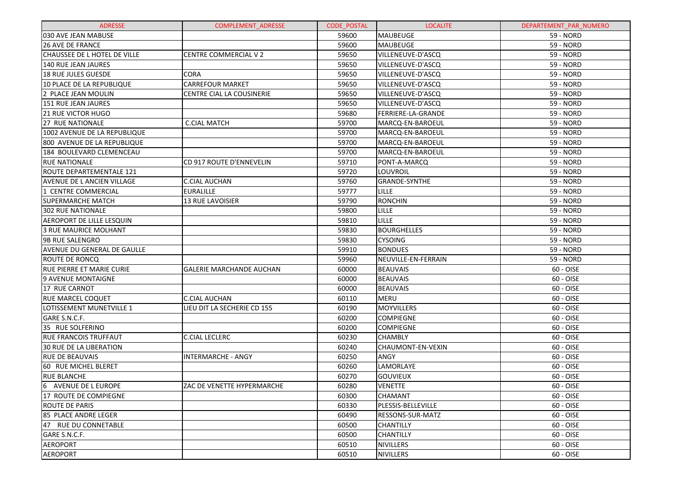| <b>ADRESSE</b>                   | <b>COMPLEMENT ADRESSE</b>       | <b>CODE POSTAL</b> | <b>LOCALITE</b>     | DEPARTEMENT_PAR_NUMERO |
|----------------------------------|---------------------------------|--------------------|---------------------|------------------------|
| 030 AVE JEAN MABUSE              |                                 | 59600              | <b>MAUBEUGE</b>     | 59 - NORD              |
| <b>26 AVE DE FRANCE</b>          |                                 | 59600              | <b>MAUBEUGE</b>     | 59 - NORD              |
| CHAUSSEE DE L HOTEL DE VILLE     | CENTRE COMMERCIAL V 2           | 59650              | VILLENEUVE-D'ASCQ   | 59 - NORD              |
| 140 RUE JEAN JAURES              |                                 | 59650              | VILLENEUVE-D'ASCQ   | 59 - NORD              |
| 18 RUE JULES GUESDE              | <b>CORA</b>                     | 59650              | VILLENEUVE-D'ASCQ   | 59 - NORD              |
| 10 PLACE DE LA REPUBLIQUE        | <b>CARREFOUR MARKET</b>         | 59650              | VILLENEUVE-D'ASCQ   | 59 - NORD              |
| 2 PLACE JEAN MOULIN              | CENTRE CIAL LA COUSINERIE       | 59650              | VILLENEUVE-D'ASCQ   | 59 - NORD              |
| 151 RUE JEAN JAURES              |                                 | 59650              | VILLENEUVE-D'ASCQ   | <b>59 - NORD</b>       |
| <b>21 RUE VICTOR HUGO</b>        |                                 | 59680              | FERRIERE-LA-GRANDE  | 59 - NORD              |
| 27 RUE NATIONALE                 | <b>C.CIAL MATCH</b>             | 59700              | MARCQ-EN-BAROEUL    | 59 - NORD              |
| 1002 AVENUE DE LA REPUBLIQUE     |                                 | 59700              | MARCQ-EN-BAROEUL    | <b>59 - NORD</b>       |
| 800 AVENUE DE LA REPUBLIQUE      |                                 | 59700              | MARCQ-EN-BAROEUL    | 59 - NORD              |
| 184 BOULEVARD CLEMENCEAU         |                                 | 59700              | MARCQ-EN-BAROEUL    | 59 - NORD              |
| <b>RUE NATIONALE</b>             | CD 917 ROUTE D'ENNEVELIN        | 59710              | PONT-A-MARCQ        | <b>59 - NORD</b>       |
| ROUTE DEPARTEMENTALE 121         |                                 | 59720              | LOUVROIL            | 59 - NORD              |
| AVENUE DE L ANCIEN VILLAGE       | <b>C.CIAL AUCHAN</b>            | 59760              | GRANDE-SYNTHE       | 59 - NORD              |
| 1 CENTRE COMMERCIAL              | <b>EURALILLE</b>                | 59777              | LILLE               | 59 - NORD              |
| SUPERMARCHE MATCH                | 13 RUE LAVOISIER                | 59790              | <b>RONCHIN</b>      | 59 - NORD              |
| <b>302 RUE NATIONALE</b>         |                                 | 59800              | LILLE               | 59 - NORD              |
| AEROPORT DE LILLE LESQUIN        |                                 | 59810              | <b>LILLE</b>        | 59 - NORD              |
| 3 RUE MAURICE MOLHANT            |                                 | 59830              | <b>BOURGHELLES</b>  | 59 - NORD              |
| <b>9B RUE SALENGRO</b>           |                                 | 59830              | <b>CYSOING</b>      | 59 - NORD              |
| AVENUE DU GENERAL DE GAULLE      |                                 | 59910              | <b>BONDUES</b>      | 59 - NORD              |
| ROUTE DE RONCQ                   |                                 | 59960              | NEUVILLE-EN-FERRAIN | 59 - NORD              |
| <b>RUE PIERRE ET MARIE CURIE</b> | <b>GALERIE MARCHANDE AUCHAN</b> | 60000              | <b>BEAUVAIS</b>     | 60 - OISE              |
| 9 AVENUE MONTAIGNE               |                                 | 60000              | <b>BEAUVAIS</b>     | 60 - OISE              |
| 17 RUE CARNOT                    |                                 | 60000              | <b>BEAUVAIS</b>     | 60 - OISE              |
| <b>RUE MARCEL COQUET</b>         | <b>C.CIAL AUCHAN</b>            | 60110              | <b>MERU</b>         | 60 - OISE              |
| LOTISSEMENT MUNETVILLE 1         | LIEU DIT LA SECHERIE CD 155     | 60190              | MOYVILLERS          | 60 - OISE              |
| GARE S.N.C.F.                    |                                 | 60200              | <b>COMPIEGNE</b>    | 60 - OISE              |
| 35 RUE SOLFERINO                 |                                 | 60200              | <b>COMPIEGNE</b>    | 60 - OISE              |
| <b>RUE FRANCOIS TRUFFAUT</b>     | C.CIAL LECLERC                  | 60230              | <b>CHAMBLY</b>      | 60 - OISE              |
| 30 RUE DE LA LIBERATION          |                                 | 60240              | CHAUMONT-EN-VEXIN   | 60 - OISE              |
| <b>RUE DE BEAUVAIS</b>           | <b>INTERMARCHE - ANGY</b>       | 60250              | ANGY                | 60 - OISE              |
| 60 RUE MICHEL BLERET             |                                 | 60260              | LAMORLAYE           | 60 - OISE              |
| <b>RUE BLANCHE</b>               |                                 | 60270              | <b>GOUVIEUX</b>     | 60 - OISE              |
| 6 AVENUE DE L EUROPE             | ZAC DE VENETTE HYPERMARCHE      | 60280              | <b>VENETTE</b>      | 60 - OISE              |
| 17 ROUTE DE COMPIEGNE            |                                 | 60300              | <b>CHAMANT</b>      | 60 - OISE              |
| ROUTE DE PARIS                   |                                 | 60330              | PLESSIS-BELLEVILLE  | 60 - OISE              |
| 185 PLACE ANDRE LEGER            |                                 | 60490              | RESSONS-SUR-MATZ    | 60 - OISE              |
| 47 RUE DU CONNETABLE             |                                 | 60500              | <b>CHANTILLY</b>    | 60 - OISE              |
| GARE S.N.C.F.                    |                                 | 60500              | <b>CHANTILLY</b>    | 60 - OISE              |
| <b>AEROPORT</b>                  |                                 | 60510              | NIVILLERS           | 60 - OISE              |
| <b>AEROPORT</b>                  |                                 | 60510              | NIVILLERS           | 60 - OISE              |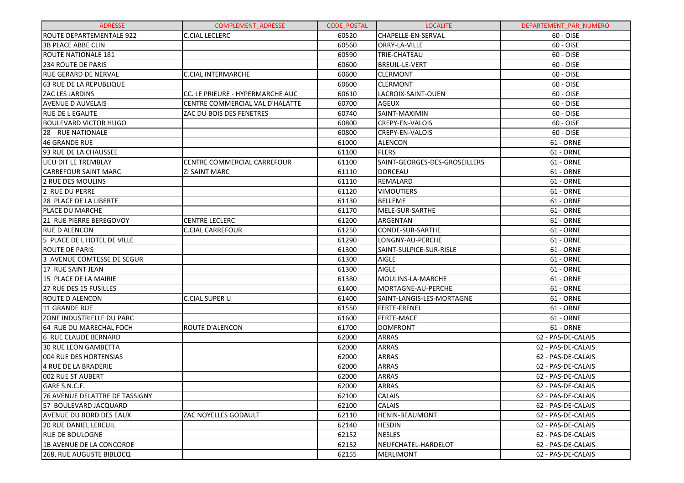| <b>ADRESSE</b>                        | <b>COMPLEMENT ADRESSE</b>        | <b>CODE POSTAL</b> | <b>LOCALITE</b>               | DEPARTEMENT PAR NUMERO |
|---------------------------------------|----------------------------------|--------------------|-------------------------------|------------------------|
| <b>ROUTE DEPARTEMENTALE 922</b>       | <b>C.CIAL LECLERC</b>            | 60520              | CHAPELLE-EN-SERVAL            | 60 - OISE              |
| <b>3B PLACE ABBE CLIN</b>             |                                  | 60560              | ORRY-LA-VILLE                 | 60 - OISE              |
| <b>ROUTE NATIONALE 181</b>            |                                  | 60590              | <b>TRIE-CHATEAU</b>           | 60 - OISE              |
| <b>234 ROUTE DE PARIS</b>             |                                  | 60600              | <b>BREUIL-LE-VERT</b>         | 60 - OISE              |
| <b>RUE GERARD DE NERVAL</b>           | <b>C.CIAL INTERMARCHE</b>        | 60600              | <b>CLERMONT</b>               | 60 - OISE              |
| 63 RUE DE LA REPUBLIQUE               |                                  | 60600              | <b>CLERMONT</b>               | 60 - OISE              |
| <b>ZAC LES JARDINS</b>                | CC. LE PRIEURE - HYPERMARCHE AUC | 60610              | LACROIX-SAINT-OUEN            | 60 - OISE              |
| <b>AVENUE D AUVELAIS</b>              | CENTRE COMMERCIAL VAL D'HALATTE  | 60700              | <b>AGEUX</b>                  | 60 - OISE              |
| <b>RUE DE L EGALITE</b>               | ZAC DU BOIS DES FENETRES         | 60740              | SAINT-MAXIMIN                 | 60 - OISE              |
| BOULEVARD VICTOR HUGO                 |                                  | 60800              | <b>CREPY-EN-VALOIS</b>        | 60 - OISE              |
| 28 RUE NATIONALE                      |                                  | 60800              | CREPY-EN-VALOIS               | 60 - OISE              |
| 46 GRANDE RUE                         |                                  | 61000              | ALENCON                       | 61 - ORNE              |
| 93 RUE DE LA CHAUSSEE                 |                                  | 61100              | <b>FLERS</b>                  | 61 - ORNE              |
| LIEU DIT LE TREMBLAY                  | CENTRE COMMERCIAL CARREFOUR      | 61100              | SAINT-GEORGES-DES-GROSEILLERS | 61 - ORNE              |
| <b>CARREFOUR SAINT MARC</b>           | <b>ZI SAINT MARC</b>             | 61110              | DORCEAU                       | 61 - ORNE              |
| 2 RUE DES MOULINS                     |                                  | 61110              | REMALARD                      | 61 - ORNE              |
| 2 RUE DU PERRE                        |                                  | 61120              | <b>VIMOUTIERS</b>             | 61 - ORNE              |
| <b>28 PLACE DE LA LIBERTE</b>         |                                  | 61130              | <b>BELLEME</b>                | 61 - ORNE              |
| PLACE DU MARCHE                       |                                  | 61170              | MELE-SUR-SARTHE               | 61 - ORNE              |
| 21 RUE PIERRE BEREGOVOY               | <b>CENTRE LECLERC</b>            | 61200              | ARGENTAN                      | 61 - ORNE              |
| <b>RUE D ALENCON</b>                  | <b>C.CIAL CARREFOUR</b>          | 61250              | CONDE-SUR-SARTHE              | 61 - ORNE              |
| 5 PLACE DE L HOTEL DE VILLE           |                                  | 61290              | LONGNY-AU-PERCHE              | 61 - ORNE              |
| <b>ROUTE DE PARIS</b>                 |                                  | 61300              | SAINT-SULPICE-SUR-RISLE       | 61 - ORNE              |
| 3 AVENUE COMTESSE DE SEGUR            |                                  | 61300              | <b>AIGLE</b>                  | 61 - ORNE              |
| 17 RUE SAINT JEAN                     |                                  | 61300              | <b>AIGLE</b>                  | 61 - ORNE              |
| 15 PLACE DE LA MAIRIE                 |                                  | 61380              | MOULINS-LA-MARCHE             | 61 - ORNE              |
| 27 RUE DES 15 FUSILLES                |                                  | 61400              | MORTAGNE-AU-PERCHE            | 61 - ORNE              |
| <b>ROUTE D ALENCON</b>                | C.CIAL SUPER U                   | 61400              | SAINT-LANGIS-LES-MORTAGNE     | 61 - ORNE              |
| 11 GRANDE RUE                         |                                  | 61550              | <b>FERTE-FRENEL</b>           | 61 - ORNE              |
| <b>ZONE INDUSTRIELLE DU PARC</b>      |                                  | 61600              | <b>FERTE-MACE</b>             | 61 - ORNE              |
| 64 RUE DU MARECHAL FOCH               | <b>ROUTE D'ALENCON</b>           | 61700              | DOMFRONT                      | 61 - ORNE              |
| 6 RUE CLAUDE BERNARD                  |                                  | 62000              | <b>ARRAS</b>                  | 62 - PAS-DE-CALAIS     |
| 30 RUE LEON GAMBETTA                  |                                  | 62000              | <b>ARRAS</b>                  | 62 - PAS-DE-CALAIS     |
| 004 RUE DES HORTENSIAS                |                                  | 62000              | <b>ARRAS</b>                  | 62 - PAS-DE-CALAIS     |
| 4 RUE DE LA BRADERIE                  |                                  | 62000              | <b>ARRAS</b>                  | 62 - PAS-DE-CALAIS     |
| 002 RUE ST AUBERT                     |                                  | 62000              | <b>ARRAS</b>                  | 62 - PAS-DE-CALAIS     |
| GARE S.N.C.F.                         |                                  | 62000              | <b>ARRAS</b>                  | 62 - PAS-DE-CALAIS     |
| <b>76 AVENUE DELATTRE DE TASSIGNY</b> |                                  | 62100              | <b>CALAIS</b>                 | 62 - PAS-DE-CALAIS     |
| 57 BOULEVARD JACQUARD                 |                                  | 62100              | <b>CALAIS</b>                 | 62 - PAS-DE-CALAIS     |
| <b>AVENUE DU BORD DES EAUX</b>        | <b>ZAC NOYELLES GODAULT</b>      | 62110              | <b>HENIN-BEAUMONT</b>         | 62 - PAS-DE-CALAIS     |
| <b>20 RUE DANIEL LEREUIL</b>          |                                  | 62140              | <b>HESDIN</b>                 | 62 - PAS-DE-CALAIS     |
| RUE DE BOULOGNE                       |                                  | 62152              | <b>NESLES</b>                 | 62 - PAS-DE-CALAIS     |
| 1B AVENUE DE LA CONCORDE              |                                  | 62152              | NEUFCHATEL-HARDELOT           | 62 - PAS-DE-CALAIS     |
| 268, RUE AUGUSTE BIBLOCQ              |                                  | 62155              | <b>MERLIMONT</b>              | 62 - PAS-DE-CALAIS     |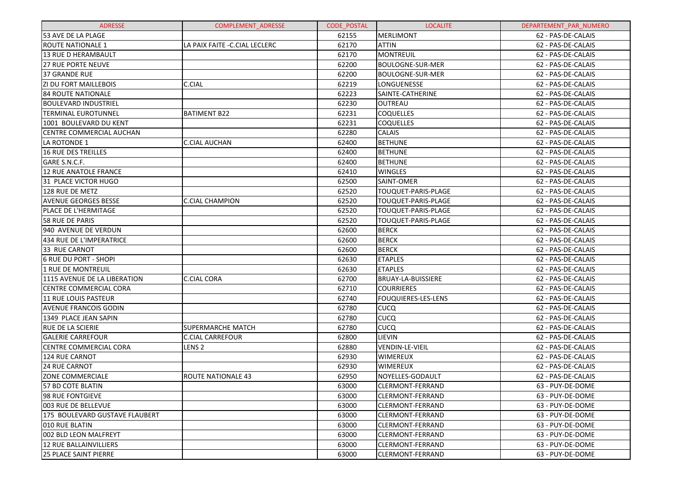| <b>ADRESSE</b>                  | <b>COMPLEMENT ADRESSE</b>      | <b>CODE POSTAL</b> | <b>LOCALITE</b>            | DEPARTEMENT PAR NUMERO |
|---------------------------------|--------------------------------|--------------------|----------------------------|------------------------|
| 53 AVE DE LA PLAGE              |                                | 62155              | <b>MERLIMONT</b>           | 62 - PAS-DE-CALAIS     |
| <b>ROUTE NATIONALE 1</b>        | LA PAIX FAITE - C.CIAL LECLERC | 62170              | <b>ATTIN</b>               | 62 - PAS-DE-CALAIS     |
| <b>13 RUE D HERAMBAULT</b>      |                                | 62170              | MONTREUIL                  | 62 - PAS-DE-CALAIS     |
| <b>27 RUE PORTE NEUVE</b>       |                                | 62200              | <b>BOULOGNE-SUR-MER</b>    | 62 - PAS-DE-CALAIS     |
| <b>37 GRANDE RUE</b>            |                                | 62200              | <b>BOULOGNE-SUR-MER</b>    | 62 - PAS-DE-CALAIS     |
| <b>ZI DU FORT MAILLEBOIS</b>    | C.CIAL                         | 62219              | LONGUENESSE                | 62 - PAS-DE-CALAIS     |
| <b>84 ROUTE NATIONALE</b>       |                                | 62223              | SAINTE-CATHERINE           | 62 - PAS-DE-CALAIS     |
| <b>BOULEVARD INDUSTRIEL</b>     |                                | 62230              | OUTREAU                    | 62 - PAS-DE-CALAIS     |
| TERMINAL EUROTUNNEL             | <b>BATIMENT B22</b>            | 62231              | <b>COQUELLES</b>           | 62 - PAS-DE-CALAIS     |
| 1001 BOULEVARD DU KENT          |                                | 62231              | <b>COQUELLES</b>           | 62 - PAS-DE-CALAIS     |
| CENTRE COMMERCIAL AUCHAN        |                                | 62280              | CALAIS                     | 62 - PAS-DE-CALAIS     |
| LA ROTONDE 1                    | <b>C.CIAL AUCHAN</b>           | 62400              | <b>BETHUNE</b>             | 62 - PAS-DE-CALAIS     |
| <b>16 RUE DES TREILLES</b>      |                                | 62400              | <b>BETHUNE</b>             | 62 - PAS-DE-CALAIS     |
| GARE S.N.C.F.                   |                                | 62400              | <b>BETHUNE</b>             | 62 - PAS-DE-CALAIS     |
| <b>12 RUE ANATOLE FRANCE</b>    |                                | 62410              | <b>WINGLES</b>             | 62 - PAS-DE-CALAIS     |
| 31 PLACE VICTOR HUGO            |                                | 62500              | SAINT-OMER                 | 62 - PAS-DE-CALAIS     |
| 128 RUE DE METZ                 |                                | 62520              | TOUQUET-PARIS-PLAGE        | 62 - PAS-DE-CALAIS     |
| <b>AVENUE GEORGES BESSE</b>     | <b>C.CIAL CHAMPION</b>         | 62520              | TOUQUET-PARIS-PLAGE        | 62 - PAS-DE-CALAIS     |
| PLACE DE L'HERMITAGE            |                                | 62520              | TOUQUET-PARIS-PLAGE        | 62 - PAS-DE-CALAIS     |
| 58 RUE DE PARIS                 |                                | 62520              | TOUQUET-PARIS-PLAGE        | 62 - PAS-DE-CALAIS     |
| 940 AVENUE DE VERDUN            |                                | 62600              | <b>BERCK</b>               | 62 - PAS-DE-CALAIS     |
| <b>434 RUE DE L'IMPERATRICE</b> |                                | 62600              | <b>BERCK</b>               | 62 - PAS-DE-CALAIS     |
| 33 RUE CARNOT                   |                                | 62600              | <b>BERCK</b>               | 62 - PAS-DE-CALAIS     |
| <b>6 RUE DU PORT - SHOPI</b>    |                                | 62630              | <b>ETAPLES</b>             | 62 - PAS-DE-CALAIS     |
| <b>1 RUE DE MONTREUIL</b>       |                                | 62630              | <b>ETAPLES</b>             | 62 - PAS-DE-CALAIS     |
| 1115 AVENUE DE LA LIBERATION    | C.CIAL CORA                    | 62700              | <b>BRUAY-LA-BUISSIERE</b>  | 62 - PAS-DE-CALAIS     |
| <b>CENTRE COMMERCIAL CORA</b>   |                                | 62710              | <b>COURRIERES</b>          | 62 - PAS-DE-CALAIS     |
| <b>11 RUE LOUIS PASTEUR</b>     |                                | 62740              | <b>FOUQUIERES-LES-LENS</b> | 62 - PAS-DE-CALAIS     |
| <b>AVENUE FRANCOIS GODIN</b>    |                                | 62780              | <b>CUCQ</b>                | 62 - PAS-DE-CALAIS     |
| 1349 PLACE JEAN SAPIN           |                                | 62780              | <b>CUCQ</b>                | 62 - PAS-DE-CALAIS     |
| <b>RUE DE LA SCIERIE</b>        | <b>SUPERMARCHE MATCH</b>       | 62780              | <b>CUCQ</b>                | 62 - PAS-DE-CALAIS     |
| <b>GALERIE CARREFOUR</b>        | <b>C.CIAL CARREFOUR</b>        | 62800              | LIEVIN                     | 62 - PAS-DE-CALAIS     |
| <b>CENTRE COMMERCIAL CORA</b>   | LENS <sub>2</sub>              | 62880              | VENDIN-LE-VIEIL            | 62 - PAS-DE-CALAIS     |
| 124 RUE CARNOT                  |                                | 62930              | <b>WIMEREUX</b>            | 62 - PAS-DE-CALAIS     |
| 24 RUE CARNOT                   |                                | 62930              | <b>WIMEREUX</b>            | 62 - PAS-DE-CALAIS     |
| <b>ZONE COMMERCIALE</b>         | <b>ROUTE NATIONALE 43</b>      | 62950              | NOYELLES-GODAULT           | 62 - PAS-DE-CALAIS     |
| 57 BD COTE BLATIN               |                                | 63000              | <b>CLERMONT-FERRAND</b>    | 63 - PUY-DE-DOME       |
| <b>98 RUE FONTGIEVE</b>         |                                | 63000              | <b>CLERMONT-FERRAND</b>    | 63 - PUY-DE-DOME       |
| 003 RUE DE BELLEVUE             |                                | 63000              | <b>CLERMONT-FERRAND</b>    | 63 - PUY-DE-DOME       |
| 175 BOULEVARD GUSTAVE FLAUBERT  |                                | 63000              | <b>CLERMONT-FERRAND</b>    | 63 - PUY-DE-DOME       |
| 010 RUE BLATIN                  |                                | 63000              | <b>CLERMONT-FERRAND</b>    | 63 - PUY-DE-DOME       |
| 002 BLD LEON MALFREYT           |                                | 63000              | <b>CLERMONT-FERRAND</b>    | 63 - PUY-DE-DOME       |
| <b>12 RUE BALLAINVILLIERS</b>   |                                | 63000              | <b>CLERMONT-FERRAND</b>    | 63 - PUY-DE-DOME       |
| <b>25 PLACE SAINT PIERRE</b>    |                                | 63000              | <b>CLERMONT-FERRAND</b>    | 63 - PUY-DE-DOME       |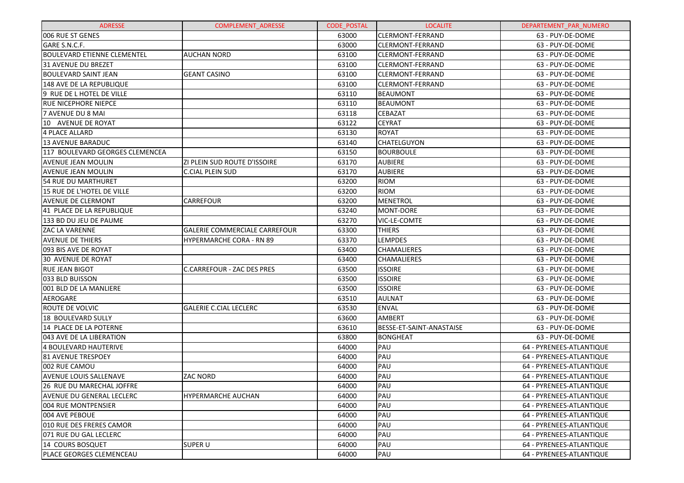| <b>ADRESSE</b>                     | <b>COMPLEMENT ADRESSE</b>            | <b>CODE POSTAL</b> | <b>LOCALITE</b>          | DEPARTEMENT PAR NUMERO   |
|------------------------------------|--------------------------------------|--------------------|--------------------------|--------------------------|
| 1006 RUE ST GENES                  |                                      | 63000              | <b>CLERMONT-FERRAND</b>  | 63 - PUY-DE-DOME         |
| GARE S.N.C.F.                      |                                      | 63000              | <b>CLERMONT-FERRAND</b>  | 63 - PUY-DE-DOME         |
| <b>BOULEVARD ETIENNE CLEMENTEL</b> | <b>AUCHAN NORD</b>                   | 63100              | <b>CLERMONT-FERRAND</b>  | 63 - PUY-DE-DOME         |
| 31 AVENUE DU BREZET                |                                      | 63100              | <b>CLERMONT-FERRAND</b>  | 63 - PUY-DE-DOME         |
| <b>BOULEVARD SAINT JEAN</b>        | <b>GEANT CASINO</b>                  | 63100              | <b>CLERMONT-FERRAND</b>  | 63 - PUY-DE-DOME         |
| 148 AVE DE LA REPUBLIQUE           |                                      | 63100              | ICLERMONT-FERRAND        | 63 - PUY-DE-DOME         |
| 9 RUE DE L HOTEL DE VILLE          |                                      | 63110              | <b>BEAUMONT</b>          | 63 - PUY-DE-DOME         |
| IRUE NICEPHORE NIEPCE              |                                      | 63110              | <b>BEAUMONT</b>          | 63 - PUY-DE-DOME         |
| 7 AVENUE DU 8 MAI                  |                                      | 63118              | <b>CEBAZAT</b>           | 63 - PUY-DE-DOME         |
| 10 AVENUE DE ROYAT                 |                                      | 63122              | <b>CEYRAT</b>            | 63 - PUY-DE-DOME         |
| 4 PLACE ALLARD                     |                                      | 63130              | <b>ROYAT</b>             | 63 - PUY-DE-DOME         |
| <b>13 AVENUE BARADUC</b>           |                                      | 63140              | <b>CHATELGUYON</b>       | 63 - PUY-DE-DOME         |
| 117 BOULEVARD GEORGES CLEMENCEA    |                                      | 63150              | <b>BOURBOULE</b>         | 63 - PUY-DE-DOME         |
| <b>AVENUE JEAN MOULIN</b>          | <b>ZI PLEIN SUD ROUTE D'ISSOIRE</b>  | 63170              | <b>AUBIERE</b>           | 63 - PUY-DE-DOME         |
| <b>AVENUE JEAN MOULIN</b>          | <b>C.CIAL PLEIN SUD</b>              | 63170              | <b>AUBIERE</b>           | 63 - PUY-DE-DOME         |
| 54 RUE DU MARTHURET                |                                      | 63200              | <b>RIOM</b>              | 63 - PUY-DE-DOME         |
| 15 RUE DE L'HOTEL DE VILLE         |                                      | 63200              | <b>RIOM</b>              | 63 - PUY-DE-DOME         |
| <b>AVENUE DE CLERMONT</b>          | <b>CARREFOUR</b>                     | 63200              | <b>MENETROL</b>          | 63 - PUY-DE-DOME         |
| 41 PLACE DE LA REPUBLIQUE          |                                      | 63240              | MONT-DORE                | 63 - PUY-DE-DOME         |
| 133 BD DU JEU DE PAUME             |                                      | 63270              | <b>VIC-LE-COMTE</b>      | 63 - PUY-DE-DOME         |
| <b>ZAC LA VARENNE</b>              | <b>GALERIE COMMERCIALE CARREFOUR</b> | 63300              | <b>THIERS</b>            | 63 - PUY-DE-DOME         |
| <b>AVENUE DE THIERS</b>            | HYPERMARCHE CORA - RN 89             | 63370              | <b>LEMPDES</b>           | 63 - PUY-DE-DOME         |
| 093 BIS AVE DE ROYAT               |                                      | 63400              | <b>CHAMALIERES</b>       | 63 - PUY-DE-DOME         |
| 30 AVENUE DE ROYAT                 |                                      | 63400              | <b>CHAMALIERES</b>       | 63 - PUY-DE-DOME         |
| <b>RUE JEAN BIGOT</b>              | <b>C.CARREFOUR - ZAC DES PRES</b>    | 63500              | <b>ISSOIRE</b>           | 63 - PUY-DE-DOME         |
| 1033 BLD BUISSON                   |                                      | 63500              | <b>ISSOIRE</b>           | 63 - PUY-DE-DOME         |
| 001 BLD DE LA MANLIERE             |                                      | 63500              | <b>ISSOIRE</b>           | 63 - PUY-DE-DOME         |
| AEROGARE                           |                                      | 63510              | AULNAT                   | 63 - PUY-DE-DOME         |
| <b>ROUTE DE VOLVIC</b>             | <b>GALERIE C.CIAL LECLERC</b>        | 63530              | <b>ENVAL</b>             | 63 - PUY-DE-DOME         |
| 18 BOULEVARD SULLY                 |                                      | 63600              | <b>AMBERT</b>            | 63 - PUY-DE-DOME         |
| 14 PLACE DE LA POTERNE             |                                      | 63610              | BESSE-ET-SAINT-ANASTAISE | 63 - PUY-DE-DOME         |
| 043 AVE DE LA LIBERATION           |                                      | 63800              | <b>BONGHEAT</b>          | 63 - PUY-DE-DOME         |
| <b>4 BOULEVARD HAUTERIVE</b>       |                                      | 64000              | PAU                      | 64 - PYRENEES-ATLANTIQUE |
| <b>81 AVENUE TRESPOEY</b>          |                                      | 64000              | PAU                      | 64 - PYRENEES-ATLANTIQUE |
| 002 RUE CAMOU                      |                                      | 64000              | PAU                      | 64 - PYRENEES-ATLANTIQUE |
| <b>AVENUE LOUIS SALLENAVE</b>      | <b>ZAC NORD</b>                      | 64000              | PAU                      | 64 - PYRENEES-ATLANTIQUE |
| 26 RUE DU MARECHAL JOFFRE          |                                      | 64000              | PAU                      | 64 - PYRENEES-ATLANTIQUE |
| lAVENUE DU GENERAL LECLERC         | HYPERMARCHE AUCHAN                   | 64000              | PAU                      | 64 - PYRENEES-ATLANTIQUE |
| 1004 RUE MONTPENSIER               |                                      | 64000              | PAU                      | 64 - PYRENEES-ATLANTIQUE |
| 1004 AVE PEBOUE                    |                                      | 64000              | PAU                      | 64 - PYRENEES-ATLANTIQUE |
| 1010 RUE DES FRERES CAMOR          |                                      | 64000              | PAU                      | 64 - PYRENEES-ATLANTIQUE |
| 071 RUE DU GAL LECLERC             |                                      | 64000              | PAU                      | 64 - PYRENEES-ATLANTIQUE |
| 14 COURS BOSQUET                   | <b>SUPER U</b>                       | 64000              | PAU                      | 64 - PYRENEES-ATLANTIQUE |
| <b>PLACE GEORGES CLEMENCEAU</b>    |                                      | 64000              | PAU                      | 64 - PYRENEES-ATLANTIQUE |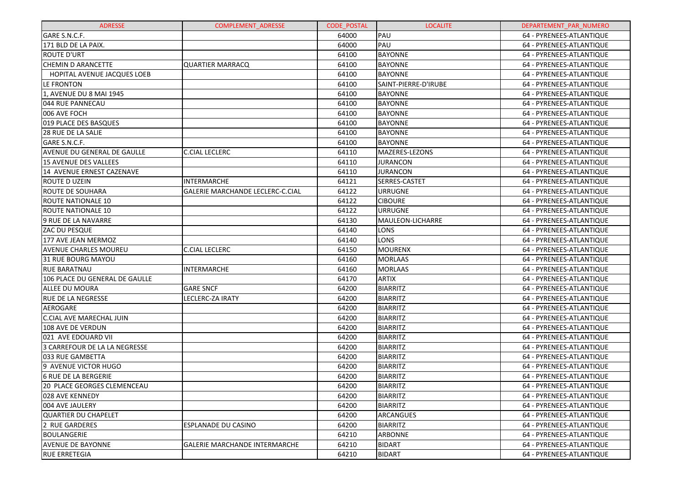| <b>ADRESSE</b>                     | <b>COMPLEMENT ADRESSE</b>            | <b>CODE POSTAL</b> | <b>LOCALITE</b>      | DEPARTEMENT PAR NUMERO   |
|------------------------------------|--------------------------------------|--------------------|----------------------|--------------------------|
| GARE S.N.C.F.                      |                                      | 64000              | PAU                  | 64 - PYRENEES-ATLANTIQUE |
| 171 BLD DE LA PAIX.                |                                      | 64000              | PAU                  | 64 - PYRENEES-ATLANTIQUE |
| <b>ROUTE D'URT</b>                 |                                      | 64100              | <b>BAYONNE</b>       | 64 - PYRENEES-ATLANTIQUE |
| <b>CHEMIN D ARANCETTE</b>          | <b>QUARTIER MARRACQ</b>              | 64100              | <b>BAYONNE</b>       | 64 - PYRENEES-ATLANTIQUE |
| <b>HOPITAL AVENUE JACQUES LOEB</b> |                                      | 64100              | <b>BAYONNE</b>       | 64 - PYRENEES-ATLANTIQUE |
| LE FRONTON                         |                                      | 64100              | SAINT-PIERRE-D'IRUBE | 64 - PYRENEES-ATLANTIQUE |
| 1, AVENUE DU 8 MAI 1945            |                                      | 64100              | <b>BAYONNE</b>       | 64 - PYRENEES-ATLANTIQUE |
| 044 RUE PANNECAU                   |                                      | 64100              | <b>BAYONNE</b>       | 64 - PYRENEES-ATLANTIQUE |
| 006 AVE FOCH                       |                                      | 64100              | <b>BAYONNE</b>       | 64 - PYRENEES-ATLANTIQUE |
| 019 PLACE DES BASQUES              |                                      | 64100              | <b>BAYONNE</b>       | 64 - PYRENEES-ATLANTIQUE |
| 28 RUE DE LA SALIE                 |                                      | 64100              | <b>BAYONNE</b>       | 64 - PYRENEES-ATLANTIQUE |
| GARE S.N.C.F.                      |                                      | 64100              | <b>BAYONNE</b>       | 64 - PYRENEES-ATLANTIQUE |
| AVENUE DU GENERAL DE GAULLE        | <b>C.CIAL LECLERC</b>                | 64110              | MAZERES-LEZONS       | 64 - PYRENEES-ATLANTIQUE |
| <b>15 AVENUE DES VALLEES</b>       |                                      | 64110              | <b>JURANCON</b>      | 64 - PYRENEES-ATLANTIQUE |
| 14 AVENUE ERNEST CAZENAVE          |                                      | 64110              | <b>JURANCON</b>      | 64 - PYRENEES-ATLANTIQUE |
| ROUTE D UZEIN                      | <b>INTERMARCHE</b>                   | 64121              | SERRES-CASTET        | 64 - PYRENEES-ATLANTIQUE |
| ROUTE DE SOUHARA                   | GALERIE MARCHANDE LECLERC-C.CIAL     | 64122              | <b>URRUGNE</b>       | 64 - PYRENEES-ATLANTIQUE |
| <b>ROUTE NATIONALE 10</b>          |                                      | 64122              | <b>CIBOURE</b>       | 64 - PYRENEES-ATLANTIQUE |
| <b>ROUTE NATIONALE 10</b>          |                                      | 64122              | <b>URRUGNE</b>       | 64 - PYRENEES-ATLANTIQUE |
| 9 RUE DE LA NAVARRE                |                                      | 64130              | MAULEON-LICHARRE     | 64 - PYRENEES-ATLANTIQUE |
| ZAC DU PESQUE                      |                                      | 64140              | LONS                 | 64 - PYRENEES-ATLANTIQUE |
| 177 AVE JEAN MERMOZ                |                                      | 64140              | <b>LONS</b>          | 64 - PYRENEES-ATLANTIQUE |
| <b>AVENUE CHARLES MOUREU</b>       | <b>C.CIAL LECLERC</b>                | 64150              | <b>MOURENX</b>       | 64 - PYRENEES-ATLANTIQUE |
| <b>31 RUE BOURG MAYOU</b>          |                                      | 64160              | <b>MORLAAS</b>       | 64 - PYRENEES-ATLANTIQUE |
| <b>RUE BARATNAU</b>                | <b>INTERMARCHE</b>                   | 64160              | <b>MORLAAS</b>       | 64 - PYRENEES-ATLANTIQUE |
| 106 PLACE DU GENERAL DE GAULLE     |                                      | 64170              | <b>ARTIX</b>         | 64 - PYRENEES-ATLANTIQUE |
| <b>ALLEE DU MOURA</b>              | <b>GARE SNCF</b>                     | 64200              | <b>BIARRITZ</b>      | 64 - PYRENEES-ATLANTIQUE |
| <b>RUE DE LA NEGRESSE</b>          | LECLERC-ZA IRATY                     | 64200              | <b>BIARRITZ</b>      | 64 - PYRENEES-ATLANTIQUE |
| AEROGARE                           |                                      | 64200              | <b>BIARRITZ</b>      | 64 - PYRENEES-ATLANTIQUE |
| <b>C.CIAL AVE MARECHAL JUIN</b>    |                                      | 64200              | <b>BIARRITZ</b>      | 64 - PYRENEES-ATLANTIQUE |
| 108 AVE DE VERDUN                  |                                      | 64200              | <b>BIARRITZ</b>      | 64 - PYRENEES-ATLANTIQUE |
| 021 AVE EDOUARD VII                |                                      | 64200              | <b>BIARRITZ</b>      | 64 - PYRENEES-ATLANTIQUE |
| 3 CARREFOUR DE LA LA NEGRESSE      |                                      | 64200              | <b>BIARRITZ</b>      | 64 - PYRENEES-ATLANTIQUE |
| 033 RUE GAMBETTA                   |                                      | 64200              | <b>BIARRITZ</b>      | 64 - PYRENEES-ATLANTIQUE |
| 9 AVENUE VICTOR HUGO               |                                      | 64200              | <b>BIARRITZ</b>      | 64 - PYRENEES-ATLANTIQUE |
| <b>6 RUE DE LA BERGERIE</b>        |                                      | 64200              | <b>BIARRITZ</b>      | 64 - PYRENEES-ATLANTIQUE |
| 20 PLACE GEORGES CLEMENCEAU        |                                      | 64200              | <b>BIARRITZ</b>      | 64 - PYRENEES-ATLANTIQUE |
| 028 AVE KENNEDY                    |                                      | 64200              | <b>BIARRITZ</b>      | 64 - PYRENEES-ATLANTIQUE |
| 004 AVE JAULERY                    |                                      | 64200              | <b>BIARRITZ</b>      | 64 - PYRENEES-ATLANTIQUE |
| <b>QUARTIER DU CHAPELET</b>        |                                      | 64200              | ARCANGUES            | 64 - PYRENEES-ATLANTIQUE |
| 2 RUE GARDERES                     | ESPLANADE DU CASINO                  | 64200              | <b>BIARRITZ</b>      | 64 - PYRENEES-ATLANTIQUE |
| <b>BOULANGERIE</b>                 |                                      | 64210              | <b>ARBONNE</b>       | 64 - PYRENEES-ATLANTIQUE |
| <b>AVENUE DE BAYONNE</b>           | <b>GALERIE MARCHANDE INTERMARCHE</b> | 64210              | <b>BIDART</b>        | 64 - PYRENEES-ATLANTIQUE |
| <b>RUE ERRETEGIA</b>               |                                      | 64210              | <b>BIDART</b>        | 64 - PYRENEES-ATLANTIQUE |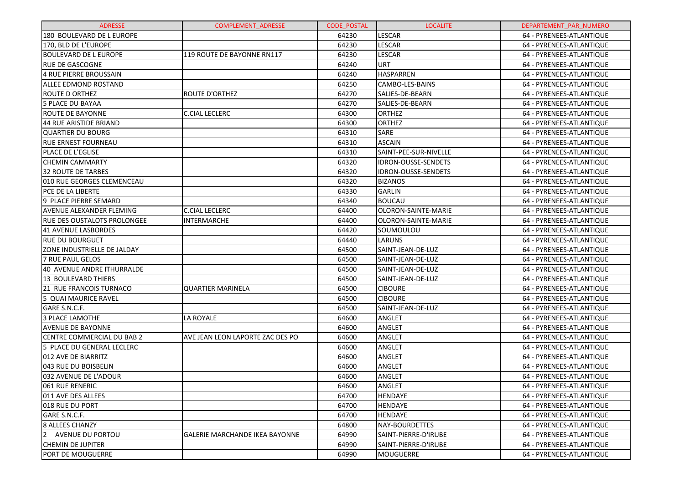| <b>ADRESSE</b>                     | <b>COMPLEMENT ADRESSE</b>             | <b>CODE POSTAL</b> | <b>LOCALITE</b>            | DEPARTEMENT PAR NUMERO   |
|------------------------------------|---------------------------------------|--------------------|----------------------------|--------------------------|
| 180 BOULEVARD DE L EUROPE          |                                       | 64230              | LESCAR                     | 64 - PYRENEES-ATLANTIQUE |
| 170. BLD DE L'EUROPE               |                                       | 64230              | LESCAR                     | 64 - PYRENEES-ATLANTIQUE |
| <b>BOULEVARD DE L EUROPE</b>       | 119 ROUTE DE BAYONNE RN117            | 64230              | LESCAR                     | 64 - PYRENEES-ATLANTIQUE |
| <b>RUE DE GASCOGNE</b>             |                                       | 64240              | <b>URT</b>                 | 64 - PYRENEES-ATLANTIQUE |
| 4 RUE PIERRE BROUSSAIN             |                                       | 64240              | HASPARREN                  | 64 - PYRENEES-ATLANTIQUE |
| <b>ALLEE EDMOND ROSTAND</b>        |                                       | 64250              | CAMBO-LES-BAINS            | 64 - PYRENEES-ATLANTIQUE |
| <b>ROUTE D ORTHEZ</b>              | <b>ROUTE D'ORTHEZ</b>                 | 64270              | SALIES-DE-BEARN            | 64 - PYRENEES-ATLANTIQUE |
| 5 PLACE DU BAYAA                   |                                       | 64270              | SALIES-DE-BEARN            | 64 - PYRENEES-ATLANTIQUE |
| <b>ROUTE DE BAYONNE</b>            | <b>C.CIAL LECLERC</b>                 | 64300              | ORTHEZ                     | 64 - PYRENEES-ATLANTIQUE |
| 44 RUE ARISTIDE BRIAND             |                                       | 64300              | ORTHEZ                     | 64 - PYRENEES-ATLANTIQUE |
| <b>QUARTIER DU BOURG</b>           |                                       | 64310              | SARE                       | 64 - PYRENEES-ATLANTIQUE |
| <b>RUE ERNEST FOURNEAU</b>         |                                       | 64310              | <b>ASCAIN</b>              | 64 - PYRENEES-ATLANTIQUE |
| PLACE DE L'EGLISE                  |                                       | 64310              | SAINT-PEE-SUR-NIVELLE      | 64 - PYRENEES-ATLANTIQUE |
| <b>CHEMIN CAMMARTY</b>             |                                       | 64320              | <b>IDRON-OUSSE-SENDETS</b> | 64 - PYRENEES-ATLANTIQUE |
| <b>32 ROUTE DE TARBES</b>          |                                       | 64320              | <b>IDRON-OUSSE-SENDETS</b> | 64 - PYRENEES-ATLANTIQUE |
| 010 RUE GEORGES CLEMENCEAU         |                                       | 64320              | <b>BIZANOS</b>             | 64 - PYRENEES-ATLANTIQUE |
| <b>PCE DE LA LIBERTE</b>           |                                       | 64330              | <b>GARLIN</b>              | 64 - PYRENEES-ATLANTIQUE |
| 9 PLACE PIERRE SEMARD              |                                       | 64340              | <b>BOUCAU</b>              | 64 - PYRENEES-ATLANTIQUE |
| <b>AVENUE ALEXANDER FLEMING</b>    | <b>C.CIAL LECLERC</b>                 | 64400              | OLORON-SAINTE-MARIE        | 64 - PYRENEES-ATLANTIQUE |
| <b>RUE DES OUSTALOTS PROLONGEE</b> | <b>INTERMARCHE</b>                    | 64400              | OLORON-SAINTE-MARIE        | 64 - PYRENEES-ATLANTIQUE |
| 41 AVENUE LASBORDES                |                                       | 64420              | SOUMOULOU                  | 64 - PYRENEES-ATLANTIQUE |
| <b>RUE DU BOURGUET</b>             |                                       | 64440              | <b>LARUNS</b>              | 64 - PYRENEES-ATLANTIQUE |
| <b>ZONE INDUSTRIELLE DE JALDAY</b> |                                       | 64500              | SAINT-JEAN-DE-LUZ          | 64 - PYRENEES-ATLANTIQUE |
| 7 RUE PAUL GELOS                   |                                       | 64500              | SAINT-JEAN-DE-LUZ          | 64 - PYRENEES-ATLANTIQUE |
| 40 AVENUE ANDRE ITHURRALDE         |                                       | 64500              | SAINT-JEAN-DE-LUZ          | 64 - PYRENEES-ATLANTIQUE |
| 13 BOULEVARD THIERS                |                                       | 64500              | SAINT-JEAN-DE-LUZ          | 64 - PYRENEES-ATLANTIQUE |
| 21 RUE FRANCOIS TURNACO            | <b>QUARTIER MARINELA</b>              | 64500              | <b>CIBOURE</b>             | 64 - PYRENEES-ATLANTIQUE |
| 5 QUAI MAURICE RAVEL               |                                       | 64500              | <b>CIBOURE</b>             | 64 - PYRENEES-ATLANTIQUE |
| GARE S.N.C.F.                      |                                       | 64500              | SAINT-JEAN-DE-LUZ          | 64 - PYRENEES-ATLANTIQUE |
| 3 PLACE LAMOTHE                    | LA ROYALE                             | 64600              | ANGLET                     | 64 - PYRENEES-ATLANTIQUE |
| <b>AVENUE DE BAYONNE</b>           |                                       | 64600              | ANGLET                     | 64 - PYRENEES-ATLANTIQUE |
| CENTRE COMMERCIAL DU BAB 2         | AVE JEAN LEON LAPORTE ZAC DES PO      | 64600              | ANGLET                     | 64 - PYRENEES-ATLANTIQUE |
| 5 PLACE DU GENERAL LECLERC         |                                       | 64600              | ANGLET                     | 64 - PYRENEES-ATLANTIQUE |
| 012 AVE DE BIARRITZ                |                                       | 64600              | ANGLET                     | 64 - PYRENEES-ATLANTIQUE |
| 043 RUE DU BOISBELIN               |                                       | 64600              | ANGLET                     | 64 - PYRENEES-ATLANTIQUE |
| 032 AVENUE DE L'ADOUR              |                                       | 64600              | ANGLET                     | 64 - PYRENEES-ATLANTIQUE |
| 061 RUE RENERIC                    |                                       | 64600              | ANGLET                     | 64 - PYRENEES-ATLANTIQUE |
| 011 AVE DES ALLEES                 |                                       | 64700              | HENDAYE                    | 64 - PYRENEES-ATLANTIQUE |
| 018 RUE DU PORT                    |                                       | 64700              | <b>HENDAYE</b>             | 64 - PYRENEES-ATLANTIQUE |
| GARE S.N.C.F.                      |                                       | 64700              | <b>HENDAYE</b>             | 64 - PYRENEES-ATLANTIQUE |
| <b>8 ALLEES CHANZY</b>             |                                       | 64800              | NAY-BOURDETTES             | 64 - PYRENEES-ATLANTIQUE |
| $\overline{2}$<br>AVENUE DU PORTOU | <b>GALERIE MARCHANDE IKEA BAYONNE</b> | 64990              | SAINT-PIERRE-D'IRUBE       | 64 - PYRENEES-ATLANTIQUE |
| <b>CHEMIN DE JUPITER</b>           |                                       | 64990              | SAINT-PIERRE-D'IRUBE       | 64 - PYRENEES-ATLANTIQUE |
| <b>PORT DE MOUGUERRE</b>           |                                       | 64990              | <b>MOUGUERRE</b>           | 64 - PYRENEES-ATLANTIQUE |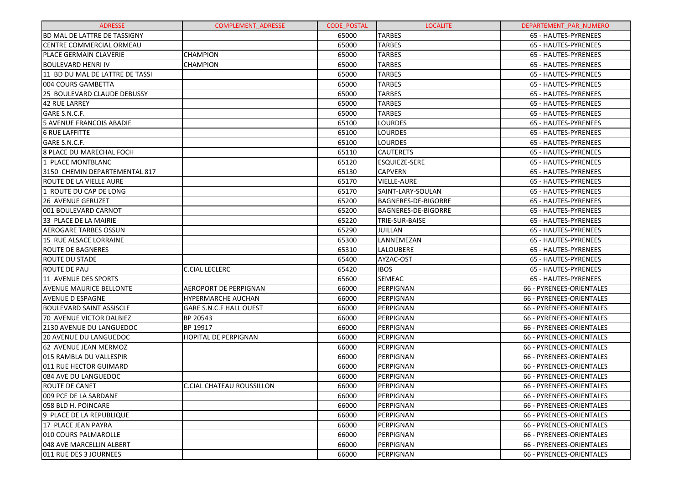| <b>ADRESSE</b>                      | <b>COMPLEMENT ADRESSE</b>        | <b>CODE POSTAL</b> | <b>LOCALITE</b>            | DEPARTEMENT PAR NUMERO   |
|-------------------------------------|----------------------------------|--------------------|----------------------------|--------------------------|
| <b>BD MAL DE LATTRE DE TASSIGNY</b> |                                  | 65000              | <b>TARBES</b>              | 65 - HAUTES-PYRENEES     |
| <b>CENTRE COMMERCIAL ORMEAU</b>     |                                  | 65000              | <b>TARBES</b>              | 65 - HAUTES-PYRENEES     |
| PLACE GERMAIN CLAVERIE              | <b>CHAMPION</b>                  | 65000              | <b>TARBES</b>              | 65 - HAUTES-PYRENEES     |
| <b>BOULEVARD HENRI IV</b>           | <b>CHAMPION</b>                  | 65000              | <b>TARBES</b>              | 65 - HAUTES-PYRENEES     |
| 11 BD DU MAL DE LATTRE DE TASSI     |                                  | 65000              | <b>TARBES</b>              | 65 - HAUTES-PYRENEES     |
| 004 COURS GAMBETTA                  |                                  | 65000              | <b>TARBES</b>              | 65 - HAUTES-PYRENEES     |
| 25 BOULEVARD CLAUDE DEBUSSY         |                                  | 65000              | <b>TARBES</b>              | 65 - HAUTES-PYRENEES     |
| 42 RUE LARREY                       |                                  | 65000              | <b>TARBES</b>              | 65 - HAUTES-PYRENEES     |
| GARE S.N.C.F.                       |                                  | 65000              | <b>TARBES</b>              | 65 - HAUTES-PYRENEES     |
| 5 AVENUE FRANCOIS ABADIE            |                                  | 65100              | <b>LOURDES</b>             | 65 - HAUTES-PYRENEES     |
| <b>6 RUE LAFFITTE</b>               |                                  | 65100              | <b>LOURDES</b>             | 65 - HAUTES-PYRENEES     |
| GARE S.N.C.F.                       |                                  | 65100              | <b>LOURDES</b>             | 65 - HAUTES-PYRENEES     |
| 8 PLACE DU MARECHAL FOCH            |                                  | 65110              | <b>CAUTERETS</b>           | 65 - HAUTES-PYRENEES     |
| 1 PLACE MONTBLANC                   |                                  | 65120              | <b>ESQUIEZE-SERE</b>       | 65 - HAUTES-PYRENEES     |
| 3150 CHEMIN DEPARTEMENTAL 817       |                                  | 65130              | <b>CAPVERN</b>             | 65 - HAUTES-PYRENEES     |
| ROUTE DE LA VIELLE AURE             |                                  | 65170              | <b>VIELLE-AURE</b>         | 65 - HAUTES-PYRENEES     |
| 1 ROUTE DU CAP DE LONG              |                                  | 65170              | SAINT-LARY-SOULAN          | 65 - HAUTES-PYRENEES     |
| 26 AVENUE GERUZET                   |                                  | 65200              | <b>BAGNERES-DE-BIGORRE</b> | 65 - HAUTES-PYRENEES     |
| 001 BOULEVARD CARNOT                |                                  | 65200              | <b>BAGNERES-DE-BIGORRE</b> | 65 - HAUTES-PYRENEES     |
| 33 PLACE DE LA MAIRIE               |                                  | 65220              | TRIE-SUR-BAISE             | 65 - HAUTES-PYRENEES     |
| <b>AEROGARE TARBES OSSUN</b>        |                                  | 65290              | <b>JUILLAN</b>             | 65 - HAUTES-PYRENEES     |
| 15 RUE ALSACE LORRAINE              |                                  | 65300              | LANNEMEZAN                 | 65 - HAUTES-PYRENEES     |
| <b>ROUTE DE BAGNERES</b>            |                                  | 65310              | <b>LALOUBERE</b>           | 65 - HAUTES-PYRENEES     |
| <b>ROUTE DU STADE</b>               |                                  | 65400              | AYZAC-OST                  | 65 - HAUTES-PYRENEES     |
| ROUTE DE PAU                        | <b>C.CIAL LECLERC</b>            | 65420              | <b>IBOS</b>                | 65 - HAUTES-PYRENEES     |
| 11 AVENUE DES SPORTS                |                                  | 65600              | <b>SEMEAC</b>              | 65 - HAUTES-PYRENEES     |
| <b>AVENUE MAURICE BELLONTE</b>      | <b>AEROPORT DE PERPIGNAN</b>     | 66000              | PERPIGNAN                  | 66 - PYRENEES-ORIENTALES |
| <b>AVENUE D ESPAGNE</b>             | <b>HYPERMARCHE AUCHAN</b>        | 66000              | PERPIGNAN                  | 66 - PYRENEES-ORIENTALES |
| <b>BOULEVARD SAINT ASSISCLE</b>     | <b>GARE S.N.C.F HALL OUEST</b>   | 66000              | PERPIGNAN                  | 66 - PYRENEES-ORIENTALES |
| 70 AVENUE VICTOR DALBIEZ            | BP 20543                         | 66000              | PERPIGNAN                  | 66 - PYRENEES-ORIENTALES |
| 2130 AVENUE DU LANGUEDOC            | BP 19917                         | 66000              | PERPIGNAN                  | 66 - PYRENEES-ORIENTALES |
| <b>20 AVENUE DU LANGUEDOC</b>       | <b>HOPITAL DE PERPIGNAN</b>      | 66000              | PERPIGNAN                  | 66 - PYRENEES-ORIENTALES |
| 62 AVENUE JEAN MERMOZ               |                                  | 66000              | PERPIGNAN                  | 66 - PYRENEES-ORIENTALES |
| 015 RAMBLA DU VALLESPIR             |                                  | 66000              | PERPIGNAN                  | 66 - PYRENEES-ORIENTALES |
| 011 RUE HECTOR GUIMARD              |                                  | 66000              | PERPIGNAN                  | 66 - PYRENEES-ORIENTALES |
| 084 AVE DU LANGUEDOC                |                                  | 66000              | PERPIGNAN                  | 66 - PYRENEES-ORIENTALES |
| ROUTE DE CANET                      | <b>C.CIAL CHATEAU ROUSSILLON</b> | 66000              | PERPIGNAN                  | 66 - PYRENEES-ORIENTALES |
| 009 PCE DE LA SARDANE               |                                  | 66000              | PERPIGNAN                  | 66 - PYRENEES-ORIENTALES |
| 1058 BLD H. POINCARE                |                                  | 66000              | PERPIGNAN                  | 66 - PYRENEES-ORIENTALES |
| l9 PLACE DE LA REPUBLIQUE           |                                  | 66000              | PERPIGNAN                  | 66 - PYRENEES-ORIENTALES |
| 17 PLACE JEAN PAYRA                 |                                  | 66000              | PERPIGNAN                  | 66 - PYRENEES-ORIENTALES |
| 010 COURS PALMAROLLE                |                                  | 66000              | PERPIGNAN                  | 66 - PYRENEES-ORIENTALES |
| 048 AVE MARCELLIN ALBERT            |                                  | 66000              | PERPIGNAN                  | 66 - PYRENEES-ORIENTALES |
| 011 RUE DES 3 JOURNEES              |                                  | 66000              | PERPIGNAN                  | 66 - PYRENEES-ORIENTALES |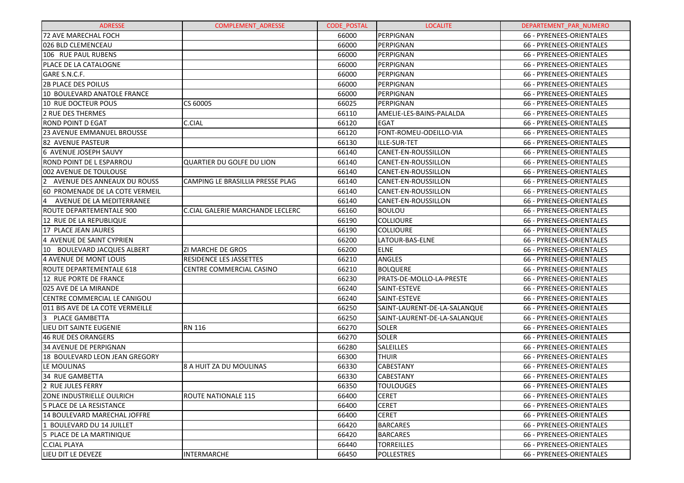| <b>ADRESSE</b>                                | <b>COMPLEMENT ADRESSE</b>        | <b>CODE POSTAL</b> | <b>LOCALITE</b>              | DEPARTEMENT PAR NUMERO   |
|-----------------------------------------------|----------------------------------|--------------------|------------------------------|--------------------------|
| 72 AVE MARECHAL FOCH                          |                                  | 66000              | PERPIGNAN                    | 66 - PYRENEES-ORIENTALES |
| 026 BLD CLEMENCEAU                            |                                  | 66000              | PERPIGNAN                    | 66 - PYRENEES-ORIENTALES |
| 106 RUE PAUL RUBENS                           |                                  | 66000              | PERPIGNAN                    | 66 - PYRENEES-ORIENTALES |
| PLACE DE LA CATALOGNE                         |                                  | 66000              | PERPIGNAN                    | 66 - PYRENEES-ORIENTALES |
| GARE S.N.C.F.                                 |                                  | 66000              | PERPIGNAN                    | 66 - PYRENEES-ORIENTALES |
| <b>2B PLACE DES POILUS</b>                    |                                  | 66000              | PERPIGNAN                    | 66 - PYRENEES-ORIENTALES |
| 10 BOULEVARD ANATOLE FRANCE                   |                                  | 66000              | PERPIGNAN                    | 66 - PYRENEES-ORIENTALES |
| 10 RUE DOCTEUR POUS                           | CS 60005                         | 66025              | PERPIGNAN                    | 66 - PYRENEES-ORIENTALES |
| <b>2 RUE DES THERMES</b>                      |                                  | 66110              | AMELIE-LES-BAINS-PALALDA     | 66 - PYRENEES-ORIENTALES |
| <b>ROND POINT D EGAT</b>                      | C.CIAL                           | 66120              | <b>EGAT</b>                  | 66 - PYRENEES-ORIENTALES |
| 23 AVENUE EMMANUEL BROUSSE                    |                                  | 66120              | FONT-ROMEU-ODEILLO-VIA       | 66 - PYRENEES-ORIENTALES |
| <b>82 AVENUE PASTEUR</b>                      |                                  | 66130              | ILLE-SUR-TET                 | 66 - PYRENEES-ORIENTALES |
| 6 AVENUE JOSEPH SAUVY                         |                                  | 66140              | CANET-EN-ROUSSILLON          | 66 - PYRENEES-ORIENTALES |
| ROND POINT DE L ESPARROU                      | QUARTIER DU GOLFE DU LION        | 66140              | CANET-EN-ROUSSILLON          | 66 - PYRENEES-ORIENTALES |
| 002 AVENUE DE TOULOUSE                        |                                  | 66140              | CANET-EN-ROUSSILLON          | 66 - PYRENEES-ORIENTALES |
| $\overline{2}$<br>AVENUE DES ANNEAUX DU ROUSS | CAMPING LE BRASILLIA PRESSE PLAG | 66140              | CANET-EN-ROUSSILLON          | 66 - PYRENEES-ORIENTALES |
| 60 PROMENADE DE LA COTE VERMEIL               |                                  | 66140              | CANET-EN-ROUSSILLON          | 66 - PYRENEES-ORIENTALES |
| $\overline{4}$<br>AVENUE DE LA MEDITERRANEE   |                                  | 66140              | CANET-EN-ROUSSILLON          | 66 - PYRENEES-ORIENTALES |
| ROUTE DEPARTEMENTALE 900                      | C.CIAL GALERIE MARCHANDE LECLERC | 66160              | <b>BOULOU</b>                | 66 - PYRENEES-ORIENTALES |
| 12 RUE DE LA REPUBLIQUE                       |                                  | 66190              | <b>COLLIOURE</b>             | 66 - PYRENEES-ORIENTALES |
| 17 PLACE JEAN JAURES                          |                                  | 66190              | <b>COLLIOURE</b>             | 66 - PYRENEES-ORIENTALES |
| 4 AVENUE DE SAINT CYPRIEN                     |                                  | 66200              | LATOUR-BAS-ELNE              | 66 - PYRENEES-ORIENTALES |
| 10 BOULEVARD JACQUES ALBERT                   | <b>ZI MARCHE DE GROS</b>         | 66200              | <b>ELNE</b>                  | 66 - PYRENEES-ORIENTALES |
| 4 AVENUE DE MONT LOUIS                        | <b>RESIDENCE LES JASSETTES</b>   | 66210              | <b>ANGLES</b>                | 66 - PYRENEES-ORIENTALES |
| ROUTE DEPARTEMENTALE 618                      | <b>CENTRE COMMERCIAL CASINO</b>  | 66210              | <b>BOLQUERE</b>              | 66 - PYRENEES-ORIENTALES |
| 12 RUE PORTE DE FRANCE                        |                                  | 66230              | PRATS-DE-MOLLO-LA-PRESTE     | 66 - PYRENEES-ORIENTALES |
| 025 AVE DE LA MIRANDE                         |                                  | 66240              | SAINT-ESTEVE                 | 66 - PYRENEES-ORIENTALES |
| CENTRE COMMERCIAL LE CANIGOU                  |                                  | 66240              | SAINT-ESTEVE                 | 66 - PYRENEES-ORIENTALES |
| 011 BIS AVE DE LA COTE VERMEILLE              |                                  | 66250              | SAINT-LAURENT-DE-LA-SALANQUE | 66 - PYRENEES-ORIENTALES |
| 3<br>PLACE GAMBETTA                           |                                  | 66250              | SAINT-LAURENT-DE-LA-SALANQUE | 66 - PYRENEES-ORIENTALES |
| LIEU DIT SAINTE EUGENIE                       | <b>RN 116</b>                    | 66270              | <b>SOLER</b>                 | 66 - PYRENEES-ORIENTALES |
| <b>46 RUE DES ORANGERS</b>                    |                                  | 66270              | <b>SOLER</b>                 | 66 - PYRENEES-ORIENTALES |
| <b>34 AVENUE DE PERPIGNAN</b>                 |                                  | 66280              | <b>SALEILLES</b>             | 66 - PYRENEES-ORIENTALES |
| 18 BOULEVARD LEON JEAN GREGORY                |                                  | 66300              | <b>THUIR</b>                 | 66 - PYRENEES-ORIENTALES |
| LE MOULINAS                                   | 8 A HUIT ZA DU MOULINAS          | 66330              | CABESTANY                    | 66 - PYRENEES-ORIENTALES |
| <b>34 RUE GAMBETTA</b>                        |                                  | 66330              | CABESTANY                    | 66 - PYRENEES-ORIENTALES |
| 2 RUE JULES FERRY                             |                                  | 66350              | <b>TOULOUGES</b>             | 66 - PYRENEES-ORIENTALES |
| ZONE INDUSTRIELLE OULRICH                     | <b>ROUTE NATIONALE 115</b>       | 66400              | <b>CERET</b>                 | 66 - PYRENEES-ORIENTALES |
| 5 PLACE DE LA RESISTANCE                      |                                  | 66400              | <b>CERET</b>                 | 66 - PYRENEES-ORIENTALES |
| 14 BOULEVARD MARECHAL JOFFRE                  |                                  | 66400              | <b>CERET</b>                 | 66 - PYRENEES-ORIENTALES |
| 1 BOULEVARD DU 14 JUILLET                     |                                  | 66420              | <b>BARCARES</b>              | 66 - PYRENEES-ORIENTALES |
| 5 PLACE DE LA MARTINIQUE                      |                                  | 66420              | <b>BARCARES</b>              | 66 - PYRENEES-ORIENTALES |
| <b>C.CIAL PLAYA</b>                           |                                  | 66440              | <b>TORREILLES</b>            | 66 - PYRENEES-ORIENTALES |
| LIEU DIT LE DEVEZE                            | <b>INTERMARCHE</b>               | 66450              | POLLESTRES                   | 66 - PYRENEES-ORIENTALES |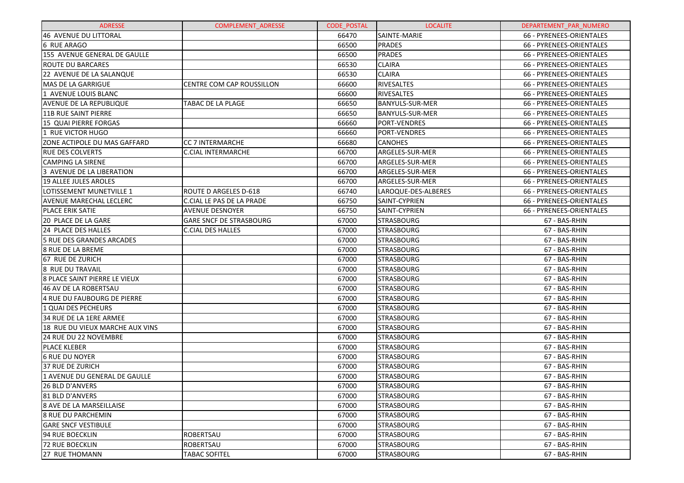| <b>ADRESSE</b>                      | <b>COMPLEMENT ADRESSE</b>        | <b>CODE POSTAL</b> | <b>LOCALITE</b>        | DEPARTEMENT PAR NUMERO   |
|-------------------------------------|----------------------------------|--------------------|------------------------|--------------------------|
| 46 AVENUE DU LITTORAL               |                                  | 66470              | SAINTE-MARIE           | 66 - PYRENEES-ORIENTALES |
| <b>6 RUE ARAGO</b>                  |                                  | 66500              | <b>PRADES</b>          | 66 - PYRENEES-ORIENTALES |
| 155 AVENUE GENERAL DE GAULLE        |                                  | 66500              | <b>PRADES</b>          | 66 - PYRENEES-ORIENTALES |
| <b>ROUTE DU BARCARES</b>            |                                  | 66530              | <b>CLAIRA</b>          | 66 - PYRENEES-ORIENTALES |
| 22 AVENUE DE LA SALANQUE            |                                  | 66530              | <b>CLAIRA</b>          | 66 - PYRENEES-ORIENTALES |
| MAS DE LA GARRIGUE                  | <b>CENTRE COM CAP ROUSSILLON</b> | 66600              | <b>RIVESALTES</b>      | 66 - PYRENEES-ORIENTALES |
| 1 AVENUE LOUIS BLANC                |                                  | 66600              | <b>RIVESALTES</b>      | 66 - PYRENEES-ORIENTALES |
| AVENUE DE LA REPUBLIQUE             | TABAC DE LA PLAGE                | 66650              | <b>BANYULS-SUR-MER</b> | 66 - PYRENEES-ORIENTALES |
| 11B RUE SAINT PIERRE                |                                  | 66650              | <b>BANYULS-SUR-MER</b> | 66 - PYRENEES-ORIENTALES |
| 15 QUAI PIERRE FORGAS               |                                  | 66660              | <b>PORT-VENDRES</b>    | 66 - PYRENEES-ORIENTALES |
| 1 RUE VICTOR HUGO                   |                                  | 66660              | <b>PORT-VENDRES</b>    | 66 - PYRENEES-ORIENTALES |
| <b>ZONE ACTIPOLE DU MAS GAFFARD</b> | CC 7 INTERMARCHE                 | 66680              | <b>CANOHES</b>         | 66 - PYRENEES-ORIENTALES |
| <b>RUE DES COLVERTS</b>             | <b>C.CIAL INTERMARCHE</b>        | 66700              | ARGELES-SUR-MER        | 66 - PYRENEES-ORIENTALES |
| <b>CAMPING LA SIRENE</b>            |                                  | 66700              | ARGELES-SUR-MER        | 66 - PYRENEES-ORIENTALES |
| 3 AVENUE DE LA LIBERATION           |                                  | 66700              | ARGELES-SUR-MER        | 66 - PYRENEES-ORIENTALES |
| <b>19 ALLEE JULES AROLES</b>        |                                  | 66700              | ARGELES-SUR-MER        | 66 - PYRENEES-ORIENTALES |
| LOTISSEMENT MUNETVILLE 1            | ROUTE D ARGELES D-618            | 66740              | LAROQUE-DES-ALBERES    | 66 - PYRENEES-ORIENTALES |
| <b>AVENUE MARECHAL LECLERC</b>      | C.CIAL LE PAS DE LA PRADE        | 66750              | SAINT-CYPRIEN          | 66 - PYRENEES-ORIENTALES |
| <b>PLACE ERIK SATIE</b>             | <b>AVENUE DESNOYER</b>           | 66750              | SAINT-CYPRIEN          | 66 - PYRENEES-ORIENTALES |
| 20 PLACE DE LA GARE                 | <b>GARE SNCF DE STRASBOURG</b>   | 67000              | <b>STRASBOURG</b>      | 67 - BAS-RHIN            |
| 24 PLACE DES HALLES                 | <b>C.CIAL DES HALLES</b>         | 67000              | <b>STRASBOURG</b>      | 67 - BAS-RHIN            |
| 5 RUE DES GRANDES ARCADES           |                                  | 67000              | <b>STRASBOURG</b>      | 67 - BAS-RHIN            |
| <b>8 RUE DE LA BREME</b>            |                                  | 67000              | <b>STRASBOURG</b>      | 67 - BAS-RHIN            |
| 67 RUE DE ZURICH                    |                                  | 67000              | <b>STRASBOURG</b>      | 67 - BAS-RHIN            |
| 8 RUE DU TRAVAIL                    |                                  | 67000              | <b>STRASBOURG</b>      | 67 - BAS-RHIN            |
| 8 PLACE SAINT PIERRE LE VIEUX       |                                  | 67000              | <b>STRASBOURG</b>      | 67 - BAS-RHIN            |
| 46 AV DE LA ROBERTSAU               |                                  | 67000              | <b>STRASBOURG</b>      | 67 - BAS-RHIN            |
| 4 RUE DU FAUBOURG DE PIERRE         |                                  | 67000              | <b>STRASBOURG</b>      | 67 - BAS-RHIN            |
| 1 QUAI DES PECHEURS                 |                                  | 67000              | <b>STRASBOURG</b>      | 67 - BAS-RHIN            |
| 34 RUE DE LA 1ERE ARMEE             |                                  | 67000              | <b>STRASBOURG</b>      | 67 - BAS-RHIN            |
| 18 RUE DU VIEUX MARCHE AUX VINS     |                                  | 67000              | <b>STRASBOURG</b>      | 67 - BAS-RHIN            |
| 24 RUE DU 22 NOVEMBRE               |                                  | 67000              | <b>STRASBOURG</b>      | 67 - BAS-RHIN            |
| <b>PLACE KLEBER</b>                 |                                  | 67000              | <b>STRASBOURG</b>      | 67 - BAS-RHIN            |
| <b>6 RUE DU NOYER</b>               |                                  | 67000              | <b>STRASBOURG</b>      | 67 - BAS-RHIN            |
| 37 RUE DE ZURICH                    |                                  | 67000              | <b>STRASBOURG</b>      | 67 - BAS-RHIN            |
| 1 AVENUE DU GENERAL DE GAULLE       |                                  | 67000              | <b>STRASBOURG</b>      | 67 - BAS-RHIN            |
| 26 BLD D'ANVERS                     |                                  | 67000              | <b>STRASBOURG</b>      | 67 - BAS-RHIN            |
| 81 BLD D'ANVERS                     |                                  | 67000              | <b>STRASBOURG</b>      | 67 - BAS-RHIN            |
| 8 AVE DE LA MARSEILLAISE            |                                  | 67000              | <b>STRASBOURG</b>      | 67 - BAS-RHIN            |
| l8 RUE DU PARCHEMIN                 |                                  | 67000              | <b>STRASBOURG</b>      | 67 - BAS-RHIN            |
| <b>GARE SNCF VESTIBULE</b>          |                                  | 67000              | <b>STRASBOURG</b>      | 67 - BAS-RHIN            |
| 94 RUE BOECKLIN                     | ROBERTSAU                        | 67000              | <b>STRASBOURG</b>      | 67 - BAS-RHIN            |
| 72 RUE BOECKLIN                     | ROBERTSAU                        | 67000              | <b>STRASBOURG</b>      | 67 - BAS-RHIN            |
| 27 RUE THOMANN                      | <b>TABAC SOFITEL</b>             | 67000              | <b>STRASBOURG</b>      | 67 - BAS-RHIN            |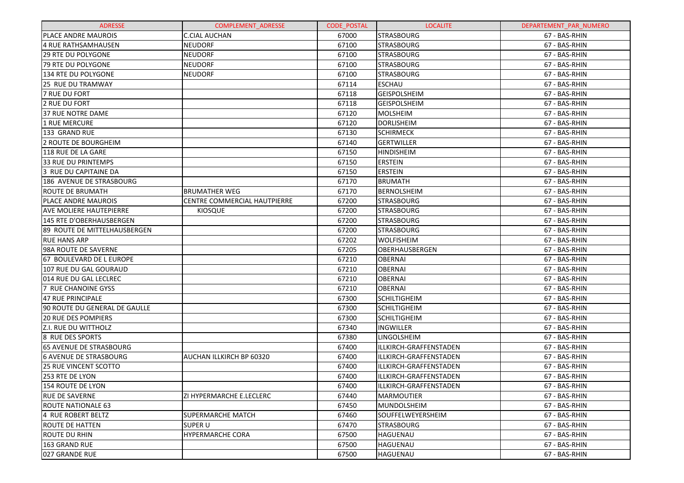| <b>ADRESSE</b>                 | <b>COMPLEMENT ADRESSE</b>    | <b>CODE POSTAL</b> | <b>LOCALITE</b>          | DEPARTEMENT_PAR_NUMERO |
|--------------------------------|------------------------------|--------------------|--------------------------|------------------------|
| <b>PLACE ANDRE MAUROIS</b>     | <b>C.CIAL AUCHAN</b>         | 67000              | <b>STRASBOURG</b>        | 67 - BAS-RHIN          |
| 4 RUE RATHSAMHAUSEN            | <b>NEUDORF</b>               | 67100              | <b>STRASBOURG</b>        | 67 - BAS-RHIN          |
| <b>29 RTE DU POLYGONE</b>      | <b>NEUDORF</b>               | 67100              | <b>STRASBOURG</b>        | 67 - BAS-RHIN          |
| 79 RTE DU POLYGONE             | <b>NEUDORF</b>               | 67100              | <b>STRASBOURG</b>        | 67 - BAS-RHIN          |
| 134 RTE DU POLYGONE            | <b>NEUDORF</b>               | 67100              | <b>STRASBOURG</b>        | 67 - BAS-RHIN          |
| 25 RUE DU TRAMWAY              |                              | 67114              | <b>ESCHAU</b>            | 67 - BAS-RHIN          |
| <b>7 RUE DU FORT</b>           |                              | 67118              | <b>GEISPOLSHEIM</b>      | 67 - BAS-RHIN          |
| 2 RUE DU FORT                  |                              | 67118              | <b>GEISPOLSHEIM</b>      | 67 - BAS-RHIN          |
| 37 RUE NOTRE DAME              |                              | 67120              | <b>MOLSHEIM</b>          | 67 - BAS-RHIN          |
| 1 RUE MERCURE                  |                              | 67120              | <b>DORLISHEIM</b>        | 67 - BAS-RHIN          |
| 133 GRAND RUE                  |                              | 67130              | <b>SCHIRMECK</b>         | 67 - BAS-RHIN          |
| 2 ROUTE DE BOURGHEIM           |                              | 67140              | <b>GERTWILLER</b>        | 67 - BAS-RHIN          |
| 118 RUE DE LA GARE             |                              | 67150              | <b>HINDISHEIM</b>        | 67 - BAS-RHIN          |
| 33 RUE DU PRINTEMPS            |                              | 67150              | <b>ERSTEIN</b>           | 67 - BAS-RHIN          |
| 3 RUE DU CAPITAINE DA          |                              | 67150              | <b>ERSTEIN</b>           | 67 - BAS-RHIN          |
| 186 AVENUE DE STRASBOURG       |                              | 67170              | <b>BRUMATH</b>           | 67 - BAS-RHIN          |
| <b>ROUTE DE BRUMATH</b>        | <b>BRUMATHER WEG</b>         | 67170              | BERNOLSHEIM              | 67 - BAS-RHIN          |
| PLACE ANDRE MAUROIS            | CENTRE COMMERCIAL HAUTPIERRE | 67200              | <b>STRASBOURG</b>        | 67 - BAS-RHIN          |
| <b>AVE MOLIERE HAUTEPIERRE</b> | <b>KIOSQUE</b>               | 67200              | <b>STRASBOURG</b>        | 67 - BAS-RHIN          |
| 145 RTE D'OBERHAUSBERGEN       |                              | 67200              | <b>STRASBOURG</b>        | 67 - BAS-RHIN          |
| 89 ROUTE DE MITTELHAUSBERGEN   |                              | 67200              | <b>STRASBOURG</b>        | 67 - BAS-RHIN          |
| <b>RUE HANS ARP</b>            |                              | 67202              | <b>WOLFISHEIM</b>        | 67 - BAS-RHIN          |
| 98A ROUTE DE SAVERNE           |                              | 67205              | OBERHAUSBERGEN           | 67 - BAS-RHIN          |
| 67 BOULEVARD DE L EUROPE       |                              | 67210              | <b>OBERNAI</b>           | 67 - BAS-RHIN          |
| 107 RUE DU GAL GOURAUD         |                              | 67210              | <b>OBERNAI</b>           | 67 - BAS-RHIN          |
| 014 RUE DU GAL LECLREC         |                              | 67210              | <b>OBERNAI</b>           | 67 - BAS-RHIN          |
| 7 RUE CHANOINE GYSS            |                              | 67210              | <b>OBERNAI</b>           | 67 - BAS-RHIN          |
| 47 RUE PRINCIPALE              |                              | 67300              | <b>SCHILTIGHEIM</b>      | 67 - BAS-RHIN          |
| 90 ROUTE DU GENERAL DE GAULLE  |                              | 67300              | <b>SCHILTIGHEIM</b>      | 67 - BAS-RHIN          |
| <b>20 RUE DES POMPIERS</b>     |                              | 67300              | <b>SCHILTIGHEIM</b>      | 67 - BAS-RHIN          |
| Z.I. RUE DU WITTHOLZ           |                              | 67340              | <b>INGWILLER</b>         | 67 - BAS-RHIN          |
| 8 RUE DES SPORTS               |                              | 67380              | LINGOLSHEIM              | 67 - BAS-RHIN          |
| <b>65 AVENUE DE STRASBOURG</b> |                              | 67400              | ILLKIRCH-GRAFFENSTADEN   | 67 - BAS-RHIN          |
| <b>6 AVENUE DE STRASBOURG</b>  | AUCHAN ILLKIRCH BP 60320     | 67400              | ILLKIRCH-GRAFFENSTADEN   | 67 - BAS-RHIN          |
| 25 RUE VINCENT SCOTTO          |                              | 67400              | ILLKIRCH-GRAFFENSTADEN   | 67 - BAS-RHIN          |
| 253 RTE DE LYON                |                              | 67400              | ILLKIRCH-GRAFFENSTADEN   | 67 - BAS-RHIN          |
| 154 ROUTE DE LYON              |                              | 67400              | ILLKIRCH-GRAFFENSTADEN   | 67 - BAS-RHIN          |
| <b>RUE DE SAVERNE</b>          | ZI HYPERMARCHE E.LECLERC     | 67440              | MARMOUTIER               | 67 - BAS-RHIN          |
| ROUTE NATIONALE 63             |                              | 67450              | <b>MUNDOLSHEIM</b>       | 67 - BAS-RHIN          |
| 4 RUE ROBERT BELTZ             | <b>SUPERMARCHE MATCH</b>     | 67460              | <b>SOUFFELWEYERSHEIM</b> | 67 - BAS-RHIN          |
| ROUTE DE HATTEN                | <b>SUPER U</b>               | 67470              | <b>STRASBOURG</b>        | 67 - BAS-RHIN          |
| ROUTE DU RHIN                  | <b>HYPERMARCHE CORA</b>      | 67500              | HAGUENAU                 | 67 - BAS-RHIN          |
| 163 GRAND RUE                  |                              | 67500              | HAGUENAU                 | 67 - BAS-RHIN          |
| 027 GRANDE RUE                 |                              | 67500              | HAGUENAU                 | 67 - BAS-RHIN          |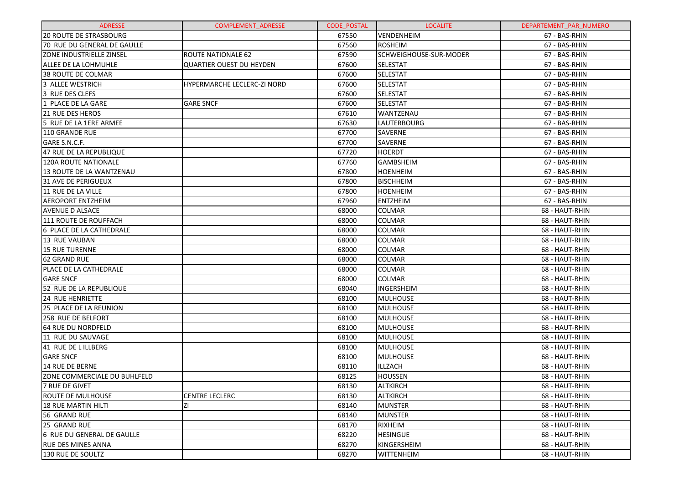| <b>ADRESSE</b>                  | <b>COMPLEMENT ADRESSE</b>       | <b>CODE POSTAL</b> | <b>LOCALITE</b>        | DEPARTEMENT PAR NUMERO |
|---------------------------------|---------------------------------|--------------------|------------------------|------------------------|
| <b>20 ROUTE DE STRASBOURG</b>   |                                 | 67550              | <b>VENDENHEIM</b>      | 67 - BAS-RHIN          |
| 70 RUE DU GENERAL DE GAULLE     |                                 | 67560              | <b>ROSHEIM</b>         | 67 - BAS-RHIN          |
| <b>ZONE INDUSTRIELLE ZINSEL</b> | <b>ROUTE NATIONALE 62</b>       | 67590              | SCHWEIGHOUSE-SUR-MODER | 67 - BAS-RHIN          |
| ALLEE DE LA LOHMUHLE            | <b>QUARTIER OUEST DU HEYDEN</b> | 67600              | <b>SELESTAT</b>        | 67 - BAS-RHIN          |
| <b>38 ROUTE DE COLMAR</b>       |                                 | 67600              | SELESTAT               | 67 - BAS-RHIN          |
| 3 ALLEE WESTRICH                | HYPERMARCHE LECLERC-ZI NORD     | 67600              | <b>SELESTAT</b>        | 67 - BAS-RHIN          |
| 3 RUE DES CLEFS                 |                                 | 67600              | <b>SELESTAT</b>        | 67 - BAS-RHIN          |
| 1 PLACE DE LA GARE              | <b>GARE SNCF</b>                | 67600              | <b>SELESTAT</b>        | 67 - BAS-RHIN          |
| 21 RUE DES HEROS                |                                 | 67610              | WANTZENAU              | 67 - BAS-RHIN          |
| 5 RUE DE LA 1ERE ARMEE          |                                 | 67630              | LAUTERBOURG            | 67 - BAS-RHIN          |
| 110 GRANDE RUE                  |                                 | 67700              | SAVERNE                | 67 - BAS-RHIN          |
| GARE S.N.C.F.                   |                                 | 67700              | SAVERNE                | 67 - BAS-RHIN          |
| 47 RUE DE LA REPUBLIQUE         |                                 | 67720              | <b>HOERDT</b>          | 67 - BAS-RHIN          |
| 120A ROUTE NATIONALE            |                                 | 67760              | <b>GAMBSHEIM</b>       | 67 - BAS-RHIN          |
| 13 ROUTE DE LA WANTZENAU        |                                 | 67800              | <b>HOENHEIM</b>        | 67 - BAS-RHIN          |
| 31 AVE DE PERIGUEUX             |                                 | 67800              | <b>BISCHHEIM</b>       | 67 - BAS-RHIN          |
| 11 RUE DE LA VILLE              |                                 | 67800              | <b>HOENHEIM</b>        | 67 - BAS-RHIN          |
| <b>AEROPORT ENTZHEIM</b>        |                                 | 67960              | <b>ENTZHEIM</b>        | 67 - BAS-RHIN          |
| <b>AVENUE D ALSACE</b>          |                                 | 68000              | <b>COLMAR</b>          | 68 - HAUT-RHIN         |
| 111 ROUTE DE ROUFFACH           |                                 | 68000              | COLMAR                 | 68 - HAUT-RHIN         |
| 6 PLACE DE LA CATHEDRALE        |                                 | 68000              | COLMAR                 | 68 - HAUT-RHIN         |
| 13 RUE VAUBAN                   |                                 | 68000              | COLMAR                 | 68 - HAUT-RHIN         |
| <b>15 RUE TURENNE</b>           |                                 | 68000              | COLMAR                 | 68 - HAUT-RHIN         |
| 62 GRAND RUE                    |                                 | 68000              | COLMAR                 | 68 - HAUT-RHIN         |
| PLACE DE LA CATHEDRALE          |                                 | 68000              | COLMAR                 | 68 - HAUT-RHIN         |
| <b>GARE SNCF</b>                |                                 | 68000              | COLMAR                 | 68 - HAUT-RHIN         |
| 52 RUE DE LA REPUBLIQUE         |                                 | 68040              | INGERSHEIM             | 68 - HAUT-RHIN         |
| <b>24 RUE HENRIETTE</b>         |                                 | 68100              | <b>MULHOUSE</b>        | 68 - HAUT-RHIN         |
| 25 PLACE DE LA REUNION          |                                 | 68100              | <b>MULHOUSE</b>        | 68 - HAUT-RHIN         |
| <b>258 RUE DE BELFORT</b>       |                                 | 68100              | <b>MULHOUSE</b>        | 68 - HAUT-RHIN         |
| 64 RUE DU NORDFELD              |                                 | 68100              | <b>MULHOUSE</b>        | 68 - HAUT-RHIN         |
| 11 RUE DU SAUVAGE               |                                 | 68100              | <b>MULHOUSE</b>        | 68 - HAUT-RHIN         |
| 41 RUE DE L ILLBERG             |                                 | 68100              | <b>MULHOUSE</b>        | 68 - HAUT-RHIN         |
| <b>GARE SNCF</b>                |                                 | 68100              | <b>MULHOUSE</b>        | 68 - HAUT-RHIN         |
| 14 RUE DE BERNE                 |                                 | 68110              | ILLZACH                | 68 - HAUT-RHIN         |
| ZONE COMMERCIALE DU BUHLFELD    |                                 | 68125              | <b>HOUSSEN</b>         | 68 - HAUT-RHIN         |
| <b>7 RUE DE GIVET</b>           |                                 | 68130              | ALTKIRCH               | 68 - HAUT-RHIN         |
| ROUTE DE MULHOUSE               | <b>CENTRE LECLERC</b>           | 68130              | ALTKIRCH               | 68 - HAUT-RHIN         |
| <b>18 RUE MARTIN HILTI</b>      | ΖI                              | 68140              | <b>MUNSTER</b>         | 68 - HAUT-RHIN         |
| 56 GRAND RUE                    |                                 | 68140              | <b>MUNSTER</b>         | 68 - HAUT-RHIN         |
| 25 GRAND RUE                    |                                 | 68170              | RIXHEIM                | 68 - HAUT-RHIN         |
| 6 RUE DU GENERAL DE GAULLE      |                                 | 68220              | <b>HESINGUE</b>        | 68 - HAUT-RHIN         |
| <b>RUE DES MINES ANNA</b>       |                                 | 68270              | KINGERSHEIM            | 68 - HAUT-RHIN         |
| 130 RUE DE SOULTZ               |                                 | 68270              | <b>WITTENHEIM</b>      | 68 - HAUT-RHIN         |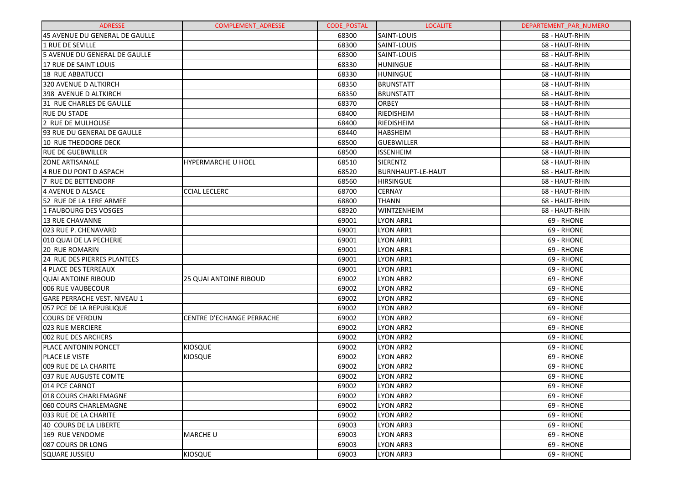| <b>ADRESSE</b>                      | <b>COMPLEMENT ADRESSE</b>        | <b>CODE POSTAL</b> | <b>LOCALITE</b>   | DEPARTEMENT PAR NUMERO |
|-------------------------------------|----------------------------------|--------------------|-------------------|------------------------|
| 45 AVENUE DU GENERAL DE GAULLE      |                                  | 68300              | SAINT-LOUIS       | 68 - HAUT-RHIN         |
| 1 RUE DE SEVILLE                    |                                  | 68300              | SAINT-LOUIS       | 68 - HAUT-RHIN         |
| 5 AVENUE DU GENERAL DE GAULLE       |                                  | 68300              | SAINT-LOUIS       | 68 - HAUT-RHIN         |
| 17 RUE DE SAINT LOUIS               |                                  | 68330              | <b>HUNINGUE</b>   | 68 - HAUT-RHIN         |
| 18 RUE ABBATUCCI                    |                                  | 68330              | <b>HUNINGUE</b>   | 68 - HAUT-RHIN         |
| 320 AVENUE D ALTKIRCH               |                                  | 68350              | <b>BRUNSTATT</b>  | 68 - HAUT-RHIN         |
| 398 AVENUE D ALTKIRCH               |                                  | 68350              | <b>BRUNSTATT</b>  | 68 - HAUT-RHIN         |
| 31 RUE CHARLES DE GAULLE            |                                  | 68370              | ORBEY             | 68 - HAUT-RHIN         |
| <b>RUE DU STADE</b>                 |                                  | 68400              | RIEDISHEIM        | 68 - HAUT-RHIN         |
| 2 RUE DE MULHOUSE                   |                                  | 68400              | RIEDISHEIM        | 68 - HAUT-RHIN         |
| 93 RUE DU GENERAL DE GAULLE         |                                  | 68440              | <b>HABSHEIM</b>   | 68 - HAUT-RHIN         |
| 10 RUE THEODORE DECK                |                                  | 68500              | <b>GUEBWILLER</b> | 68 - HAUT-RHIN         |
| <b>RUE DE GUEBWILLER</b>            |                                  | 68500              | <b>ISSENHEIM</b>  | 68 - HAUT-RHIN         |
| <b>ZONE ARTISANALE</b>              | <b>HYPERMARCHE U HOEL</b>        | 68510              | <b>SIERENTZ</b>   | 68 - HAUT-RHIN         |
| 4 RUE DU PONT D ASPACH              |                                  | 68520              | BURNHAUPT-LE-HAUT | 68 - HAUT-RHIN         |
| 7 RUE DE BETTENDORF                 |                                  | 68560              | <b>HIRSINGUE</b>  | 68 - HAUT-RHIN         |
| 4 AVENUE D ALSACE                   | <b>CCIAL LECLERC</b>             | 68700              | <b>CERNAY</b>     | 68 - HAUT-RHIN         |
| 52 RUE DE LA 1ERE ARMEE             |                                  | 68800              | <b>THANN</b>      | 68 - HAUT-RHIN         |
| 1 FAUBOURG DES VOSGES               |                                  | 68920              | WINTZENHEIM       | 68 - HAUT-RHIN         |
| <b>13 RUE CHAVANNE</b>              |                                  | 69001              | LYON ARR1         | 69 - RHONE             |
| 023 RUE P. CHENAVARD                |                                  | 69001              | LYON ARR1         | 69 - RHONE             |
| 010 QUAI DE LA PECHERIE             |                                  | 69001              | LYON ARR1         | 69 - RHONE             |
| <b>20 RUE ROMARIN</b>               |                                  | 69001              | LYON ARR1         | 69 - RHONE             |
| 24 RUE DES PIERRES PLANTEES         |                                  | 69001              | LYON ARR1         | 69 - RHONE             |
| 4 PLACE DES TERREAUX                |                                  | 69001              | LYON ARR1         | 69 - RHONE             |
| <b>QUAI ANTOINE RIBOUD</b>          | <b>25 QUAI ANTOINE RIBOUD</b>    | 69002              | <b>LYON ARR2</b>  | 69 - RHONE             |
| 006 RUE VAUBECOUR                   |                                  | 69002              | <b>LYON ARR2</b>  | 69 - RHONE             |
| <b>GARE PERRACHE VEST. NIVEAU 1</b> |                                  | 69002              | <b>LYON ARR2</b>  | 69 - RHONE             |
| 057 PCE DE LA REPUBLIQUE            |                                  | 69002              | <b>LYON ARR2</b>  | 69 - RHONE             |
| <b>COURS DE VERDUN</b>              | <b>CENTRE D'ECHANGE PERRACHE</b> | 69002              | <b>LYON ARR2</b>  | 69 - RHONE             |
| 023 RUE MERCIERE                    |                                  | 69002              | <b>LYON ARR2</b>  | 69 - RHONE             |
| 002 RUE DES ARCHERS                 |                                  | 69002              | <b>LYON ARR2</b>  | 69 - RHONE             |
| <b>PLACE ANTONIN PONCET</b>         | <b>KIOSQUE</b>                   | 69002              | <b>LYON ARR2</b>  | 69 - RHONE             |
| PLACE LE VISTE                      | <b>KIOSQUE</b>                   | 69002              | <b>LYON ARR2</b>  | 69 - RHONE             |
| 009 RUE DE LA CHARITE               |                                  | 69002              | <b>LYON ARR2</b>  | 69 - RHONE             |
| 037 RUE AUGUSTE COMTE               |                                  | 69002              | <b>LYON ARR2</b>  | 69 - RHONE             |
| 014 PCE CARNOT                      |                                  | 69002              | <b>LYON ARR2</b>  | 69 - RHONE             |
| 1018 COURS CHARLEMAGNE              |                                  | 69002              | <b>LYON ARR2</b>  | 69 - RHONE             |
| 060 COURS CHARLEMAGNE               |                                  | 69002              | <b>LYON ARR2</b>  | 69 - RHONE             |
| 033 RUE DE LA CHARITE               |                                  | 69002              | <b>LYON ARR2</b>  | 69 - RHONE             |
| 40 COURS DE LA LIBERTE              |                                  | 69003              | LYON ARR3         | 69 - RHONE             |
| 169 RUE VENDOME                     | <b>MARCHE U</b>                  | 69003              | LYON ARR3         | 69 - RHONE             |
| 087 COURS DR LONG                   |                                  | 69003              | LYON ARR3         | 69 - RHONE             |
| <b>SQUARE JUSSIEU</b>               | <b>KIOSQUE</b>                   | 69003              | LYON ARR3         | 69 - RHONE             |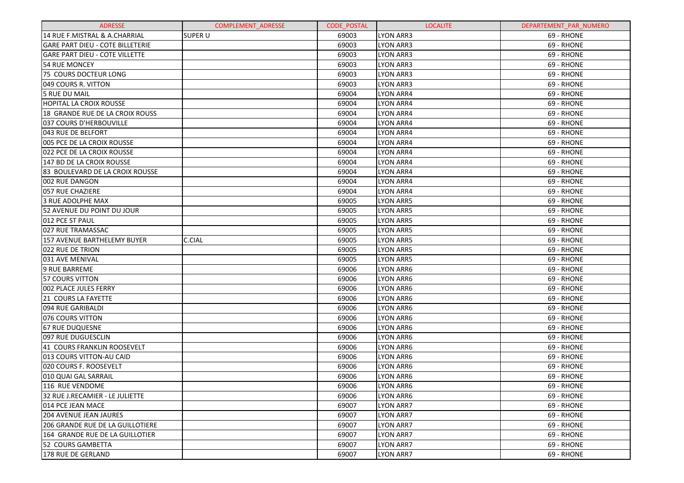| <b>ADRESSE</b>                          | <b>COMPLEMENT ADRESSE</b> | <b>CODE POSTAL</b> | <b>LOCALITE</b>  | DEPARTEMENT PAR NUMERO |
|-----------------------------------------|---------------------------|--------------------|------------------|------------------------|
| 14 RUE F.MISTRAL & A.CHARRIAL           | <b>SUPER U</b>            | 69003              | LYON ARR3        | 69 - RHONE             |
| <b>GARE PART DIEU - COTE BILLETERIE</b> |                           | 69003              | <b>LYON ARR3</b> | 69 - RHONE             |
| <b>GARE PART DIEU - COTE VILLETTE</b>   |                           | 69003              | <b>LYON ARR3</b> | 69 - RHONE             |
| 54 RUE MONCEY                           |                           | 69003              | <b>LYON ARR3</b> | 69 - RHONE             |
| 75 COURS DOCTEUR LONG                   |                           | 69003              | <b>LYON ARR3</b> | 69 - RHONE             |
| 049 COURS R. VITTON                     |                           | 69003              | <b>LYON ARR3</b> | 69 - RHONE             |
| 5 RUE DU MAIL                           |                           | 69004              | <b>LYON ARR4</b> | 69 - RHONE             |
| HOPITAL LA CROIX ROUSSE                 |                           | 69004              | <b>LYON ARR4</b> | 69 - RHONE             |
| 18 GRANDE RUE DE LA CROIX ROUSS         |                           | 69004              | <b>LYON ARR4</b> | 69 - RHONE             |
| 037 COURS D'HERBOUVILLE                 |                           | 69004              | <b>LYON ARR4</b> | 69 - RHONE             |
| 043 RUE DE BELFORT                      |                           | 69004              | <b>LYON ARR4</b> | 69 - RHONE             |
| 005 PCE DE LA CROIX ROUSSE              |                           | 69004              | <b>LYON ARR4</b> | 69 - RHONE             |
| 022 PCE DE LA CROIX ROUSSE              |                           | 69004              | <b>LYON ARR4</b> | 69 - RHONE             |
| 147 BD DE LA CROIX ROUSSE               |                           | 69004              | <b>LYON ARR4</b> | 69 - RHONE             |
| 83 BOULEVARD DE LA CROIX ROUSSE         |                           | 69004              | <b>LYON ARR4</b> | 69 - RHONE             |
| 002 RUE DANGON                          |                           | 69004              | <b>LYON ARR4</b> | 69 - RHONE             |
| 057 RUE CHAZIERE                        |                           | 69004              | <b>LYON ARR4</b> | 69 - RHONE             |
| 3 RUE ADOLPHE MAX                       |                           | 69005              | <b>LYON ARR5</b> | 69 - RHONE             |
| 52 AVENUE DU POINT DU JOUR              |                           | 69005              | <b>LYON ARR5</b> | 69 - RHONE             |
| 012 PCE ST PAUL                         |                           | 69005              | <b>LYON ARR5</b> | 69 - RHONE             |
| 027 RUE TRAMASSAC                       |                           | 69005              | <b>LYON ARR5</b> | 69 - RHONE             |
| 157 AVENUE BARTHELEMY BUYER             | C.CIAL                    | 69005              | <b>LYON ARR5</b> | 69 - RHONE             |
| 022 RUE DE TRION                        |                           | 69005              | <b>LYON ARR5</b> | 69 - RHONE             |
| 031 AVE MENIVAL                         |                           | 69005              | <b>LYON ARR5</b> | 69 - RHONE             |
| 9 RUE BARREME                           |                           | 69006              | <b>LYON ARR6</b> | 69 - RHONE             |
| 57 COURS VITTON                         |                           | 69006              | <b>LYON ARR6</b> | 69 - RHONE             |
| 002 PLACE JULES FERRY                   |                           | 69006              | <b>LYON ARR6</b> | 69 - RHONE             |
| 21 COURS LA FAYETTE                     |                           | 69006              | <b>LYON ARR6</b> | 69 - RHONE             |
| 094 RUE GARIBALDI                       |                           | 69006              | <b>LYON ARR6</b> | 69 - RHONE             |
| 076 COURS VITTON                        |                           | 69006              | <b>LYON ARR6</b> | 69 - RHONE             |
| 67 RUE DUQUESNE                         |                           | 69006              | <b>LYON ARR6</b> | 69 - RHONE             |
| 097 RUE DUGUESCLIN                      |                           | 69006              | <b>LYON ARR6</b> | 69 - RHONE             |
| 41 COURS FRANKLIN ROOSEVELT             |                           | 69006              | <b>LYON ARR6</b> | 69 - RHONE             |
| 013 COURS VITTON-AU CAID                |                           | 69006              | <b>LYON ARR6</b> | 69 - RHONE             |
| 020 COURS F. ROOSEVELT                  |                           | 69006              | <b>LYON ARR6</b> | 69 - RHONE             |
| 010 QUAI GAL SARRAIL                    |                           | 69006              | <b>LYON ARR6</b> | 69 - RHONE             |
| 116 RUE VENDOME                         |                           | 69006              | LYON ARR6        | 69 - RHONE             |
| 32 RUE J.RECAMIER - LE JULIETTE         |                           | 69006              | <b>LYON ARR6</b> | 69 - RHONE             |
| 014 PCE JEAN MACE                       |                           | 69007              | <b>LYON ARR7</b> | 69 - RHONE             |
| 204 AVENUE JEAN JAURES                  |                           | 69007              | <b>LYON ARR7</b> | 69 - RHONE             |
| <b>206 GRANDE RUE DE LA GUILLOTIERE</b> |                           | 69007              | <b>LYON ARR7</b> | 69 - RHONE             |
| 164 GRANDE RUE DE LA GUILLOTIER         |                           | 69007              | <b>LYON ARR7</b> | 69 - RHONE             |
| 52 COURS GAMBETTA                       |                           | 69007              | <b>LYON ARR7</b> | 69 - RHONE             |
| 178 RUE DE GERLAND                      |                           | 69007              | <b>LYON ARR7</b> | 69 - RHONE             |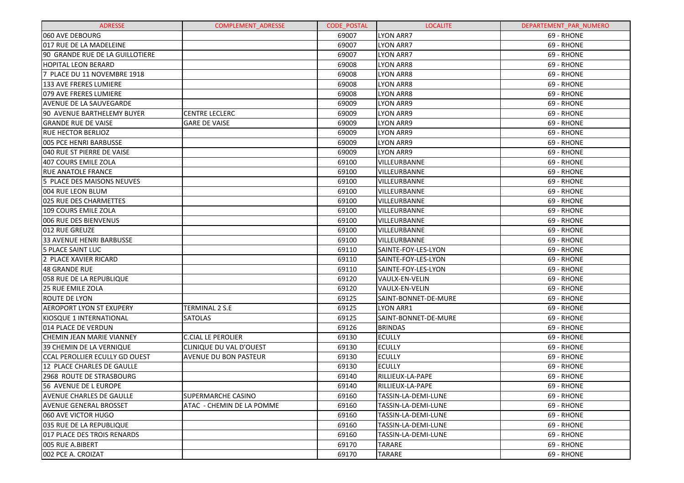| <b>ADRESSE</b>                  | <b>COMPLEMENT ADRESSE</b>    | <b>CODE POSTAL</b> | <b>LOCALITE</b>      | DEPARTEMENT_PAR_NUMERO |
|---------------------------------|------------------------------|--------------------|----------------------|------------------------|
| 060 AVE DEBOURG                 |                              | 69007              | LYON ARR7            | 69 - RHONE             |
| 017 RUE DE LA MADELEINE         |                              | 69007              | LYON ARR7            | 69 - RHONE             |
| 90 GRANDE RUE DE LA GUILLOTIERE |                              | 69007              | <b>LYON ARR7</b>     | 69 - RHONE             |
| <b>HOPITAL LEON BERARD</b>      |                              | 69008              | <b>LYON ARR8</b>     | 69 - RHONE             |
| 7 PLACE DU 11 NOVEMBRE 1918     |                              | 69008              | <b>LYON ARR8</b>     | 69 - RHONE             |
| <b>133 AVE FRERES LUMIERE</b>   |                              | 69008              | <b>LYON ARR8</b>     | 69 - RHONE             |
| 079 AVE FRERES LUMIERE          |                              | 69008              | <b>LYON ARR8</b>     | 69 - RHONE             |
| <b>AVENUE DE LA SAUVEGARDE</b>  |                              | 69009              | <b>LYON ARR9</b>     | 69 - RHONE             |
| 90 AVENUE BARTHELEMY BUYER      | <b>CENTRE LECLERC</b>        | 69009              | <b>LYON ARR9</b>     | 69 - RHONE             |
| <b>GRANDE RUE DE VAISE</b>      | <b>GARE DE VAISE</b>         | 69009              | <b>LYON ARR9</b>     | 69 - RHONE             |
| <b>RUE HECTOR BERLIOZ</b>       |                              | 69009              | <b>LYON ARR9</b>     | 69 - RHONE             |
| 005 PCE HENRI BARBUSSE          |                              | 69009              | <b>LYON ARR9</b>     | 69 - RHONE             |
| 040 RUE ST PIERRE DE VAISE      |                              | 69009              | <b>LYON ARR9</b>     | 69 - RHONE             |
| 407 COURS EMILE ZOLA            |                              | 69100              | VILLEURBANNE         | 69 - RHONE             |
| <b>RUE ANATOLE FRANCE</b>       |                              | 69100              | VILLEURBANNE         | 69 - RHONE             |
| 5 PLACE DES MAISONS NEUVES      |                              | 69100              | VILLEURBANNE         | 69 - RHONE             |
| 004 RUE LEON BLUM               |                              | 69100              | VILLEURBANNE         | 69 - RHONE             |
| 025 RUE DES CHARMETTES          |                              | 69100              | VILLEURBANNE         | 69 - RHONE             |
| 109 COURS EMILE ZOLA            |                              | 69100              | VILLEURBANNE         | 69 - RHONE             |
| 006 RUE DES BIENVENUS           |                              | 69100              | VILLEURBANNE         | 69 - RHONE             |
| 012 RUE GREUZE                  |                              | 69100              | VILLEURBANNE         | 69 - RHONE             |
| 33 AVENUE HENRI BARBUSSE        |                              | 69100              | VILLEURBANNE         | 69 - RHONE             |
| 5 PLACE SAINT LUC               |                              | 69110              | SAINTE-FOY-LES-LYON  | 69 - RHONE             |
| 2 PLACE XAVIER RICARD           |                              | 69110              | SAINTE-FOY-LES-LYON  | 69 - RHONE             |
| 48 GRANDE RUE                   |                              | 69110              | SAINTE-FOY-LES-LYON  | 69 - RHONE             |
| 058 RUE DE LA REPUBLIQUE        |                              | 69120              | VAULX-EN-VELIN       | 69 - RHONE             |
| <b>25 RUE EMILE ZOLA</b>        |                              | 69120              | VAULX-EN-VELIN       | 69 - RHONE             |
| ROUTE DE LYON                   |                              | 69125              | SAINT-BONNET-DE-MURE | 69 - RHONE             |
| <b>AEROPORT LYON ST EXUPERY</b> | <b>TERMINAL 2 S.E</b>        | 69125              | <b>LYON ARR1</b>     | 69 - RHONE             |
| KIOSQUE 1 INTERNATIONAL         | <b>SATOLAS</b>               | 69125              | SAINT-BONNET-DE-MURE | 69 - RHONE             |
| 014 PLACE DE VERDUN             |                              | 69126              | <b>BRINDAS</b>       | 69 - RHONE             |
| CHEMIN JEAN MARIE VIANNEY       | <b>C.CIAL LE PEROLIER</b>    | 69130              | <b>ECULLY</b>        | 69 - RHONE             |
| 39 CHEMIN DE LA VERNIQUE        | CLINIQUE DU VAL D'OUEST      | 69130              | <b>ECULLY</b>        | 69 - RHONE             |
| CCAL PEROLLIER ECULLY GD OUEST  | <b>AVENUE DU BON PASTEUR</b> | 69130              | <b>ECULLY</b>        | 69 - RHONE             |
| 12 PLACE CHARLES DE GAULLE      |                              | 69130              | <b>ECULLY</b>        | 69 - RHONE             |
| 2968 ROUTE DE STRASBOURG        |                              | 69140              | RILLIEUX-LA-PAPE     | 69 - RHONE             |
| 56 AVENUE DE L EUROPE           |                              | 69140              | RILLIEUX-LA-PAPE     | 69 - RHONE             |
| <b>AVENUE CHARLES DE GAULLE</b> | <b>SUPERMARCHE CASINO</b>    | 69160              | TASSIN-LA-DEMI-LUNE  | 69 - RHONE             |
| AVENUE GENERAL BROSSET          | ATAC - CHEMIN DE LA POMME    | 69160              | TASSIN-LA-DEMI-LUNE  | 69 - RHONE             |
| 060 AVE VICTOR HUGO             |                              | 69160              | TASSIN-LA-DEMI-LUNE  | 69 - RHONE             |
| 035 RUE DE LA REPUBLIQUE        |                              | 69160              | TASSIN-LA-DEMI-LUNE  | 69 - RHONE             |
| 017 PLACE DES TROIS RENARDS     |                              | 69160              | TASSIN-LA-DEMI-LUNE  | 69 - RHONE             |
| 005 RUE A.BIBERT                |                              | 69170              | <b>TARARE</b>        | 69 - RHONE             |
| 002 PCE A. CROIZAT              |                              | 69170              | <b>TARARE</b>        | 69 - RHONE             |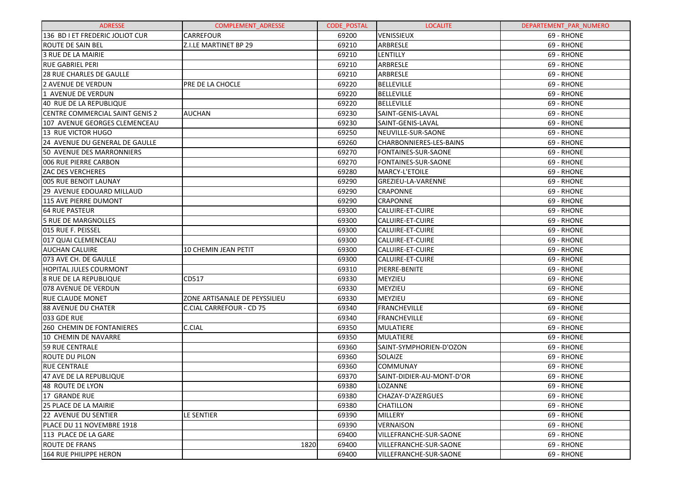| <b>ADRESSE</b>                         | <b>COMPLEMENT ADRESSE</b>     | <b>CODE POSTAL</b> | <b>LOCALITE</b>                | DEPARTEMENT_PAR_NUMERO |
|----------------------------------------|-------------------------------|--------------------|--------------------------------|------------------------|
| 136 BD I ET FREDERIC JOLIOT CUR        | <b>CARREFOUR</b>              | 69200              | <b>VENISSIEUX</b>              | 69 - RHONE             |
| <b>ROUTE DE SAIN BEL</b>               | <b>Z.I.LE MARTINET BP 29</b>  | 69210              | ARBRESLE                       | 69 - RHONE             |
| 3 RUE DE LA MAIRIE                     |                               | 69210              | LENTILLY                       | 69 - RHONE             |
| <b>RUE GABRIEL PERI</b>                |                               | 69210              | ARBRESLE                       | 69 - RHONE             |
| <b>28 RUE CHARLES DE GAULLE</b>        |                               | 69210              | <b>ARBRESLE</b>                | 69 - RHONE             |
| 2 AVENUE DE VERDUN                     | PRE DE LA CHOCLE              | 69220              | <b>BELLEVILLE</b>              | 69 - RHONE             |
| 1 AVENUE DE VERDUN                     |                               | 69220              | <b>BELLEVILLE</b>              | 69 - RHONE             |
| 40 RUE DE LA REPUBLIQUE                |                               | 69220              | <b>BELLEVILLE</b>              | 69 - RHONE             |
| <b>CENTRE COMMERCIAL SAINT GENIS 2</b> | <b>AUCHAN</b>                 | 69230              | SAINT-GENIS-LAVAL              | 69 - RHONE             |
| 107 AVENUE GEORGES CLEMENCEAU          |                               | 69230              | SAINT-GENIS-LAVAL              | 69 - RHONE             |
| 13 RUE VICTOR HUGO                     |                               | 69250              | NEUVILLE-SUR-SAONE             | 69 - RHONE             |
| 24 AVENUE DU GENERAL DE GAULLE         |                               | 69260              | <b>CHARBONNIERES-LES-BAINS</b> | 69 - RHONE             |
| 50 AVENUE DES MARRONNIERS              |                               | 69270              | <b>FONTAINES-SUR-SAONE</b>     | 69 - RHONE             |
| 006 RUE PIERRE CARBON                  |                               | 69270              | FONTAINES-SUR-SAONE            | 69 - RHONE             |
| <b>ZAC DES VERCHERES</b>               |                               | 69280              | <b>MARCY-L'ETOILE</b>          | 69 - RHONE             |
| 005 RUE BENOIT LAUNAY                  |                               | 69290              | GREZIEU-LA-VARENNE             | 69 - RHONE             |
| 29 AVENUE EDOUARD MILLAUD              |                               | 69290              | <b>CRAPONNE</b>                | 69 - RHONE             |
| 115 AVE PIERRE DUMONT                  |                               | 69290              | <b>CRAPONNE</b>                | 69 - RHONE             |
| <b>64 RUE PASTEUR</b>                  |                               | 69300              | <b>CALUIRE-ET-CUIRE</b>        | 69 - RHONE             |
| 5 RUE DE MARGNOLLES                    |                               | 69300              | <b>CALUIRE-ET-CUIRE</b>        | 69 - RHONE             |
| 015 RUE F. PEISSEL                     |                               | 69300              | <b>CALUIRE-ET-CUIRE</b>        | 69 - RHONE             |
| 017 QUAI CLEMENCEAU                    |                               | 69300              | <b>CALUIRE-ET-CUIRE</b>        | 69 - RHONE             |
| <b>AUCHAN CALUIRE</b>                  | <b>10 CHEMIN JEAN PETIT</b>   | 69300              | <b>CALUIRE-ET-CUIRE</b>        | 69 - RHONE             |
| 073 AVE CH. DE GAULLE                  |                               | 69300              | <b>CALUIRE-ET-CUIRE</b>        | 69 - RHONE             |
| HOPITAL JULES COURMONT                 |                               | 69310              | PIERRE-BENITE                  | 69 - RHONE             |
| 8 RUE DE LA REPUBLIQUE                 | CD517                         | 69330              | MEYZIEU                        | 69 - RHONE             |
| 078 AVENUE DE VERDUN                   |                               | 69330              | MEYZIEU                        | 69 - RHONE             |
| <b>RUE CLAUDE MONET</b>                | ZONE ARTISANALE DE PEYSSILIEU | 69330              | MEYZIEU                        | 69 - RHONE             |
| <b>88 AVENUE DU CHATER</b>             | C.CIAL CARREFOUR - CD 75      | 69340              | FRANCHEVILLE                   | 69 - RHONE             |
| 033 GDE RUE                            |                               | 69340              | FRANCHEVILLE                   | 69 - RHONE             |
| <b>260 CHEMIN DE FONTANIERES</b>       | C.CIAL                        | 69350              | MULATIERE                      | 69 - RHONE             |
| 10 CHEMIN DE NAVARRE                   |                               | 69350              | <b>MULATIERE</b>               | 69 - RHONE             |
| <b>59 RUE CENTRALE</b>                 |                               | 69360              | SAINT-SYMPHORIEN-D'OZON        | 69 - RHONE             |
| <b>ROUTE DU PILON</b>                  |                               | 69360              | SOLAIZE                        | 69 - RHONE             |
| <b>RUE CENTRALE</b>                    |                               | 69360              | <b>COMMUNAY</b>                | 69 - RHONE             |
| 47 AVE DE LA REPUBLIQUE                |                               | 69370              | SAINT-DIDIER-AU-MONT-D'OR      | 69 - RHONE             |
| 48 ROUTE DE LYON                       |                               | 69380              | LOZANNE                        | 69 - RHONE             |
| 17 GRANDE RUE                          |                               | 69380              | CHAZAY-D'AZERGUES              | 69 - RHONE             |
| <b>25 PLACE DE LA MAIRIE</b>           |                               | 69380              | <b>CHATILLON</b>               | 69 - RHONE             |
| 22 AVENUE DU SENTIER                   | LE SENTIER                    | 69390              | <b>MILLERY</b>                 | 69 - RHONE             |
| PLACE DU 11 NOVEMBRE 1918              |                               | 69390              | <b>VERNAISON</b>               | 69 - RHONE             |
| 113 PLACE DE LA GARE                   |                               | 69400              | VILLEFRANCHE-SUR-SAONE         | 69 - RHONE             |
| <b>ROUTE DE FRANS</b>                  | 1820                          | 69400              | VILLEFRANCHE-SUR-SAONE         | 69 - RHONE             |
| <b>164 RUE PHILIPPE HERON</b>          |                               | 69400              | VILLEFRANCHE-SUR-SAONE         | 69 - RHONE             |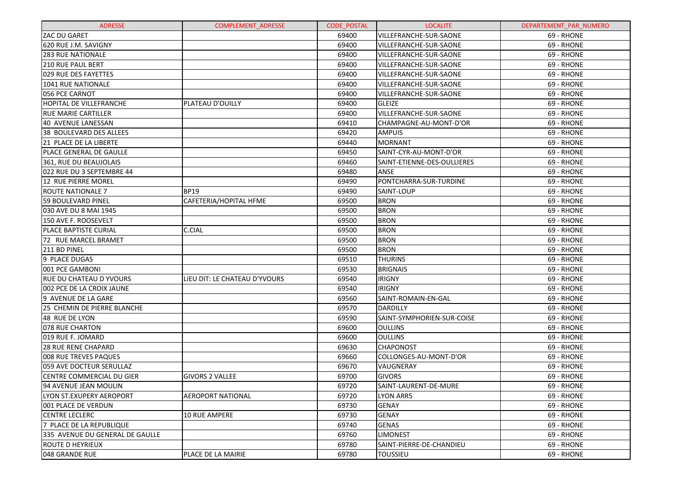| <b>ADRESSE</b>                  | <b>COMPLEMENT ADRESSE</b>     | <b>CODE POSTAL</b> | <b>LOCALITE</b>             | DEPARTEMENT_PAR_NUMERO |
|---------------------------------|-------------------------------|--------------------|-----------------------------|------------------------|
| IZAC DU GARET                   |                               | 69400              | VILLEFRANCHE-SUR-SAONE      | 69 - RHONE             |
| 620 RUE J.M. SAVIGNY            |                               | 69400              | VILLEFRANCHE-SUR-SAONE      | 69 - RHONE             |
| <b>283 RUE NATIONALE</b>        |                               | 69400              | VILLEFRANCHE-SUR-SAONE      | 69 - RHONE             |
| <b>210 RUE PAUL BERT</b>        |                               | 69400              | VILLEFRANCHE-SUR-SAONE      | 69 - RHONE             |
| <b>029 RUE DES FAYETTES</b>     |                               | 69400              | VILLEFRANCHE-SUR-SAONE      | 69 - RHONE             |
| 1041 RUE NATIONALE              |                               | 69400              | VILLEFRANCHE-SUR-SAONE      | 69 - RHONE             |
| 056 PCE CARNOT                  |                               | 69400              | VILLEFRANCHE-SUR-SAONE      | 69 - RHONE             |
| HOPITAL DE VILLEFRANCHE         | PLATEAU D'OUILLY              | 69400              | <b>GLEIZE</b>               | 69 - RHONE             |
| <b>RUE MARIE CARTILLER</b>      |                               | 69400              | VILLEFRANCHE-SUR-SAONE      | 69 - RHONE             |
| 40 AVENUE LANESSAN              |                               | 69410              | CHAMPAGNE-AU-MONT-D'OR      | 69 - RHONE             |
| 38 BOULEVARD DES ALLEES         |                               | 69420              | <b>AMPUIS</b>               | 69 - RHONE             |
| 21 PLACE DE LA LIBERTE          |                               | 69440              | <b>MORNANT</b>              | 69 - RHONE             |
| <b>PLACE GENERAL DE GAULLE</b>  |                               | 69450              | SAINT-CYR-AU-MONT-D'OR      | 69 - RHONE             |
| 361, RUE DU BEAUJOLAIS          |                               | 69460              | SAINT-ETIENNE-DES-OULLIERES | 69 - RHONE             |
| 022 RUE DU 3 SEPTEMBRE 44       |                               | 69480              | ANSE                        | 69 - RHONE             |
| 12 RUE PIERRE MOREL             |                               | 69490              | PONTCHARRA-SUR-TURDINE      | 69 - RHONE             |
| ROUTE NATIONALE 7               | <b>BP19</b>                   | 69490              | SAINT-LOUP                  | 69 - RHONE             |
| 59 BOULEVARD PINEL              | CAFETERIA/HOPITAL HFME        | 69500              | <b>BRON</b>                 | 69 - RHONE             |
| 030 AVE DU 8 MAI 1945           |                               | 69500              | <b>BRON</b>                 | 69 - RHONE             |
| 150 AVE F. ROOSEVELT            |                               | 69500              | <b>BRON</b>                 | 69 - RHONE             |
| <b>PLACE BAPTISTE CURIAL</b>    | C.CIAL                        | 69500              | <b>BRON</b>                 | 69 - RHONE             |
| 72 RUE MARCEL BRAMET            |                               | 69500              | <b>BRON</b>                 | 69 - RHONE             |
| 211 BD PINEL                    |                               | 69500              | <b>BRON</b>                 | 69 - RHONE             |
| 9 PLACE DUGAS                   |                               | 69510              | <b>THURINS</b>              | 69 - RHONE             |
| 001 PCE GAMBONI                 |                               | 69530              | <b>BRIGNAIS</b>             | 69 - RHONE             |
| <b>RUE DU CHATEAU D YVOURS</b>  | LIEU DIT: LE CHATEAU D'YVOURS | 69540              | <b>IRIGNY</b>               | 69 - RHONE             |
| 002 PCE DE LA CROIX JAUNE       |                               | 69540              | <b>IRIGNY</b>               | 69 - RHONE             |
| 9 AVENUE DE LA GARE             |                               | 69560              | SAINT-ROMAIN-EN-GAL         | 69 - RHONE             |
| 25 CHEMIN DE PIERRE BLANCHE     |                               | 69570              | <b>DARDILLY</b>             | 69 - RHONE             |
| 48 RUE DE LYON                  |                               | 69590              | SAINT-SYMPHORIEN-SUR-COISE  | 69 - RHONE             |
| 078 RUE CHARTON                 |                               | 69600              | <b>OULLINS</b>              | 69 - RHONE             |
| 019 RUE F. JOMARD               |                               | 69600              | <b>OULLINS</b>              | 69 - RHONE             |
| 28 RUE RENE CHAPARD             |                               | 69630              | <b>CHAPONOST</b>            | 69 - RHONE             |
| 008 RUE TREVES PAQUES           |                               | 69660              | COLLONGES-AU-MONT-D'OR      | 69 - RHONE             |
| 059 AVE DOCTEUR SERULLAZ        |                               | 69670              | VAUGNERAY                   | 69 - RHONE             |
| CENTRE COMMERCIAL DU GIER       | <b>GIVORS 2 VALLEE</b>        | 69700              | <b>GIVORS</b>               | 69 - RHONE             |
| 94 AVENUE JEAN MOULIN           |                               | 69720              | SAINT-LAURENT-DE-MURE       | 69 - RHONE             |
| LYON ST.EXUPERY AEROPORT        | AEROPORT NATIONAL             | 69720              | <b>LYON ARR5</b>            | 69 - RHONE             |
| 1001 PLACE DE VERDUN            |                               | 69730              | <b>GENAY</b>                | 69 - RHONE             |
| <b>CENTRE LECLERC</b>           | 10 RUE AMPERE                 | 69730              | <b>GENAY</b>                | 69 - RHONE             |
| 7 PLACE DE LA REPUBLIQUE        |                               | 69740              | <b>GENAS</b>                | 69 - RHONE             |
| 335 AVENUE DU GENERAL DE GAULLE |                               | 69760              | <b>LIMONEST</b>             | 69 - RHONE             |
| ROUTE D HEYRIEUX                |                               | 69780              | SAINT-PIERRE-DE-CHANDIEU    | 69 - RHONE             |
| l048 GRANDE RUE                 | PLACE DE LA MAIRIE            | 69780              | <b>TOUSSIEU</b>             | 69 - RHONE             |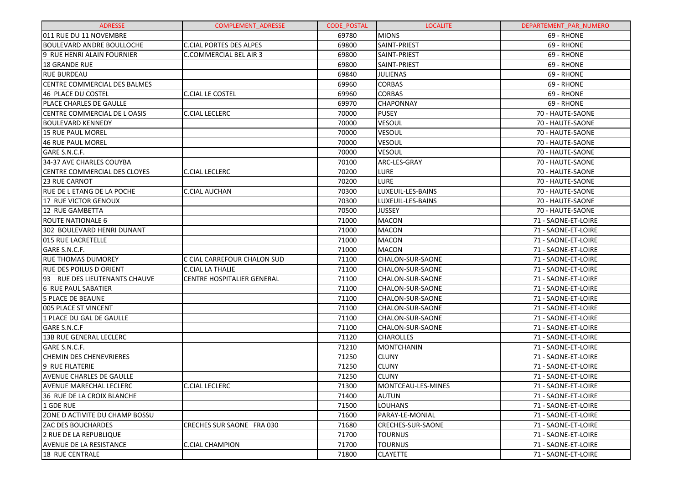| <b>ADRESSE</b>                        | <b>COMPLEMENT ADRESSE</b>         | <b>CODE POSTAL</b> | <b>LOCALITE</b>    | DEPARTEMENT_PAR_NUMERO |
|---------------------------------------|-----------------------------------|--------------------|--------------------|------------------------|
| 011 RUE DU 11 NOVEMBRE                |                                   | 69780              | <b>MIONS</b>       | 69 - RHONE             |
| <b>BOULEVARD ANDRE BOULLOCHE</b>      | <b>C.CIAL PORTES DES ALPES</b>    | 69800              | SAINT-PRIEST       | 69 - RHONE             |
| 9 RUE HENRI ALAIN FOURNIER            | <b>C.COMMERCIAL BEL AIR 3</b>     | 69800              | SAINT-PRIEST       | 69 - RHONE             |
| <b>18 GRANDE RUE</b>                  |                                   | 69800              | SAINT-PRIEST       | 69 - RHONE             |
| <b>RUE BURDEAU</b>                    |                                   | 69840              | <b>JULIENAS</b>    | 69 - RHONE             |
| CENTRE COMMERCIAL DES BALMES          |                                   | 69960              | <b>CORBAS</b>      | 69 - RHONE             |
| 46 PLACE DU COSTEL                    | <b>C.CIAL LE COSTEL</b>           | 69960              | <b>CORBAS</b>      | 69 - RHONE             |
| PLACE CHARLES DE GAULLE               |                                   | 69970              | <b>CHAPONNAY</b>   | 69 - RHONE             |
| CENTRE COMMERCIAL DE L OASIS          | <b>C.CIAL LECLERC</b>             | 70000              | <b>PUSEY</b>       | 70 - HAUTE-SAONE       |
| <b>BOULEVARD KENNEDY</b>              |                                   | 70000              | <b>VESOUL</b>      | 70 - HAUTE-SAONE       |
| 15 RUE PAUL MOREL                     |                                   | 70000              | VESOUL             | 70 - HAUTE-SAONE       |
| <b>46 RUE PAUL MOREL</b>              |                                   | 70000              | VESOUL             | 70 - HAUTE-SAONE       |
| GARE S.N.C.F.                         |                                   | 70000              | <b>VESOUL</b>      | 70 - HAUTE-SAONE       |
| 34-37 AVE CHARLES COUYBA              |                                   | 70100              | ARC-LES-GRAY       | 70 - HAUTE-SAONE       |
| <b>CENTRE COMMERCIAL DES CLOYES</b>   | <b>C.CIAL LECLERC</b>             | 70200              | <b>LURE</b>        | 70 - HAUTE-SAONE       |
| 23 RUE CARNOT                         |                                   | 70200              | <b>LURE</b>        | 70 - HAUTE-SAONE       |
| RUE DE L ETANG DE LA POCHE            | C.CIAL AUCHAN                     | 70300              | LUXEUIL-LES-BAINS  | 70 - HAUTE-SAONE       |
| 17 RUE VICTOR GENOUX                  |                                   | 70300              | LUXEUIL-LES-BAINS  | 70 - HAUTE-SAONE       |
| 12 RUE GAMBETTA                       |                                   | 70500              | <b>JUSSEY</b>      | 70 - HAUTE-SAONE       |
| <b>ROUTE NATIONALE 6</b>              |                                   | 71000              | <b>MACON</b>       | 71 - SAONE-ET-LOIRE    |
| 302 BOULEVARD HENRI DUNANT            |                                   | 71000              | <b>MACON</b>       | 71 - SAONE-ET-LOIRE    |
| 015 RUE LACRETELLE                    |                                   | 71000              | <b>MACON</b>       | 71 - SAONE-ET-LOIRE    |
| GARE S.N.C.F.                         |                                   | 71000              | <b>MACON</b>       | 71 - SAONE-ET-LOIRE    |
| <b>RUE THOMAS DUMOREY</b>             | C CIAL CARREFOUR CHALON SUD       | 71100              | CHALON-SUR-SAONE   | 71 - SAONE-ET-LOIRE    |
| <b>RUE DES POILUS D ORIENT</b>        | <b>C.CIAL LA THALIE</b>           | 71100              | CHALON-SUR-SAONE   | 71 - SAONE-ET-LOIRE    |
| 93 RUE DES LIEUTENANTS CHAUVE         | <b>CENTRE HOSPITALIER GENERAL</b> | 71100              | CHALON-SUR-SAONE   | 71 - SAONE-ET-LOIRE    |
| 6 RUE PAUL SABATIER                   |                                   | 71100              | CHALON-SUR-SAONE   | 71 - SAONE-ET-LOIRE    |
| <b>5 PLACE DE BEAUNE</b>              |                                   | 71100              | CHALON-SUR-SAONE   | 71 - SAONE-ET-LOIRE    |
| 005 PLACE ST VINCENT                  |                                   | 71100              | CHALON-SUR-SAONE   | 71 - SAONE-ET-LOIRE    |
| 1 PLACE DU GAL DE GAULLE              |                                   | 71100              | CHALON-SUR-SAONE   | 71 - SAONE-ET-LOIRE    |
| GARE S.N.C.F                          |                                   | 71100              | CHALON-SUR-SAONE   | 71 - SAONE-ET-LOIRE    |
| <b>13B RUE GENERAL LECLERC</b>        |                                   | 71120              | <b>CHAROLLES</b>   | 71 - SAONE-ET-LOIRE    |
| <b>GARE S.N.C.F.</b>                  |                                   | 71210              | <b>MONTCHANIN</b>  | 71 - SAONE-ET-LOIRE    |
| <b>CHEMIN DES CHENEVRIERES</b>        |                                   | 71250              | <b>CLUNY</b>       | 71 - SAONE-ET-LOIRE    |
| 9 RUE FILATERIE                       |                                   | 71250              | <b>CLUNY</b>       | 71 - SAONE-ET-LOIRE    |
| AVENUE CHARLES DE GAULLE              |                                   | 71250              | <b>CLUNY</b>       | 71 - SAONE-ET-LOIRE    |
| AVENUE MARECHAL LECLERC               | <b>C.CIAL LECLERC</b>             | 71300              | MONTCEAU-LES-MINES | 71 - SAONE-ET-LOIRE    |
| 36 RUE DE LA CROIX BLANCHE            |                                   | 71400              | <b>AUTUN</b>       | 71 - SAONE-ET-LOIRE    |
| 1 GDE RUE                             |                                   | 71500              | <b>LOUHANS</b>     | 71 - SAONE-ET-LOIRE    |
| <b>ZONE D ACTIVITE DU CHAMP BOSSU</b> |                                   | 71600              | PARAY-LE-MONIAL    | 71 - SAONE-ET-LOIRE    |
| <b>ZAC DES BOUCHARDES</b>             | CRECHES SUR SAONE FRA 030         | 71680              | CRECHES-SUR-SAONE  | 71 - SAONE-ET-LOIRE    |
| 2 RUE DE LA REPUBLIQUE                |                                   | 71700              | <b>TOURNUS</b>     | 71 - SAONE-ET-LOIRE    |
| <b>AVENUE DE LA RESISTANCE</b>        | <b>C.CIAL CHAMPION</b>            | 71700              | <b>TOURNUS</b>     | 71 - SAONE-ET-LOIRE    |
| <b>18 RUE CENTRALE</b>                |                                   | 71800              | <b>CLAYETTE</b>    | 71 - SAONE-ET-LOIRE    |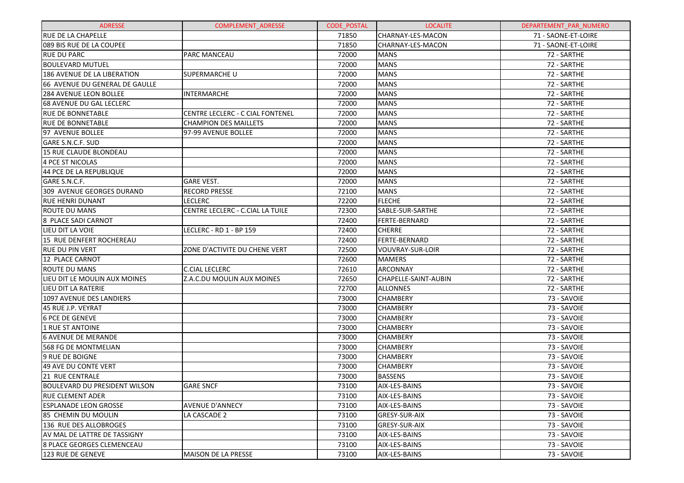| <b>ADRESSE</b>                       | <b>COMPLEMENT ADRESSE</b>        | <b>CODE POSTAL</b> | <b>LOCALITE</b>      | DEPARTEMENT_PAR_NUMERO |
|--------------------------------------|----------------------------------|--------------------|----------------------|------------------------|
| <b>RUE DE LA CHAPELLE</b>            |                                  | 71850              | CHARNAY-LES-MACON    | 71 - SAONE-ET-LOIRE    |
| 089 BIS RUE DE LA COUPEE             |                                  | 71850              | CHARNAY-LES-MACON    | 71 - SAONE-ET-LOIRE    |
| <b>RUE DU PARC</b>                   | <b>PARC MANCEAU</b>              | 72000              | <b>MANS</b>          | 72 - SARTHE            |
| <b>BOULEVARD MUTUEL</b>              |                                  | 72000              | <b>MANS</b>          | 72 - SARTHE            |
| 186 AVENUE DE LA LIBERATION          | <b>SUPERMARCHE U</b>             | 72000              | <b>MANS</b>          | 72 - SARTHE            |
| 66 AVENUE DU GENERAL DE GAULLE       |                                  | 72000              | <b>MANS</b>          | 72 - SARTHE            |
| 284 AVENUE LEON BOLLEE               | <b>INTERMARCHE</b>               | 72000              | <b>MANS</b>          | 72 - SARTHE            |
| 68 AVENUE DU GAL LECLERC             |                                  | 72000              | <b>MANS</b>          | 72 - SARTHE            |
| <b>RUE DE BONNETABLE</b>             | CENTRE LECLERC - C CIAL FONTENEL | 72000              | <b>MANS</b>          | 72 - SARTHE            |
| <b>RUE DE BONNETABLE</b>             | <b>CHAMPION DES MAILLETS</b>     | 72000              | <b>MANS</b>          | 72 - SARTHE            |
| 97 AVENUE BOLLEE                     | 97-99 AVENUE BOLLEE              | 72000              | <b>MANS</b>          | 72 - SARTHE            |
| GARE S.N.C.F. SUD                    |                                  | 72000              | <b>MANS</b>          | 72 - SARTHE            |
| 15 RUE CLAUDE BLONDEAU               |                                  | 72000              | <b>MANS</b>          | 72 - SARTHE            |
| 4 PCE ST NICOLAS                     |                                  | 72000              | <b>MANS</b>          | 72 - SARTHE            |
| 44 PCE DE LA REPUBLIQUE              |                                  | 72000              | <b>MANS</b>          | 72 - SARTHE            |
| GARE S.N.C.F.                        | <b>GARE VEST.</b>                | 72000              | <b>MANS</b>          | 72 - SARTHE            |
| 309 AVENUE GEORGES DURAND            | <b>RECORD PRESSE</b>             | 72100              | <b>MANS</b>          | 72 - SARTHE            |
| <b>RUE HENRI DUNANT</b>              | <b>LECLERC</b>                   | 72200              | <b>FLECHE</b>        | 72 - SARTHE            |
| <b>ROUTE DU MANS</b>                 | CENTRE LECLERC - C.CIAL LA TUILE | 72300              | SABLE-SUR-SARTHE     | 72 - SARTHE            |
| 8 PLACE SADI CARNOT                  |                                  | 72400              | <b>FERTE-BERNARD</b> | 72 - SARTHE            |
| LIEU DIT LA VOIE                     | LECLERC - RD 1 - BP 159          | 72400              | <b>CHERRE</b>        | 72 - SARTHE            |
| 15 RUE DENFERT ROCHEREAU             |                                  | 72400              | FERTE-BERNARD        | 72 - SARTHE            |
| <b>RUE DU PIN VERT</b>               | ZONE D'ACTIVITE DU CHENE VERT    | 72500              | VOUVRAY-SUR-LOIR     | 72 - SARTHE            |
| 12 PLACE CARNOT                      |                                  | 72600              | <b>MAMERS</b>        | 72 - SARTHE            |
| <b>ROUTE DU MANS</b>                 | <b>C.CIAL LECLERC</b>            | 72610              | ARCONNAY             | 72 - SARTHE            |
| LIEU DIT LE MOULIN AUX MOINES        | Z.A.C.DU MOULIN AUX MOINES       | 72650              | CHAPELLE-SAINT-AUBIN | 72 - SARTHE            |
| LIEU DIT LA RATERIE                  |                                  | 72700              | <b>ALLONNES</b>      | 72 - SARTHE            |
| 1097 AVENUE DES LANDIERS             |                                  | 73000              | <b>CHAMBERY</b>      | 73 - SAVOIE            |
| 45 RUE J.P. VEYRAT                   |                                  | 73000              | CHAMBERY             | 73 - SAVOIE            |
| <b>6 PCE DE GENEVE</b>               |                                  | 73000              | <b>CHAMBERY</b>      | 73 - SAVOIE            |
| <b>1 RUE ST ANTOINE</b>              |                                  | 73000              | <b>CHAMBERY</b>      | 73 - SAVOIE            |
| <b>6 AVENUE DE MERANDE</b>           |                                  | 73000              | CHAMBERY             | 73 - SAVOIE            |
| <b>568 FG DE MONTMELIAN</b>          |                                  | 73000              | <b>CHAMBERY</b>      | 73 - SAVOIE            |
| 9 RUE DE BOIGNE                      |                                  | 73000              | <b>CHAMBERY</b>      | 73 - SAVOIE            |
| 49 AVE DU CONTE VERT                 |                                  | 73000              | CHAMBERY             | 73 - SAVOIE            |
| 21 RUE CENTRALE                      |                                  | 73000              | <b>BASSENS</b>       | 73 - SAVOIE            |
| <b>BOULEVARD DU PRESIDENT WILSON</b> | <b>GARE SNCF</b>                 | 73100              | AIX-LES-BAINS        | 73 - SAVOIE            |
| <b>RUE CLEMENT ADER</b>              |                                  | 73100              | AIX-LES-BAINS        | 73 - SAVOIE            |
| <b>ESPLANADE LEON GROSSE</b>         | <b>AVENUE D'ANNECY</b>           | 73100              | AIX-LES-BAINS        | 73 - SAVOIE            |
| 85 CHEMIN DU MOULIN                  | LA CASCADE 2                     | 73100              | GRESY-SUR-AIX        | 73 - SAVOIE            |
| 136 RUE DES ALLOBROGES               |                                  | 73100              | <b>GRESY-SUR-AIX</b> | 73 - SAVOIE            |
| AV MAL DE LATTRE DE TASSIGNY         |                                  | 73100              | AIX-LES-BAINS        | 73 - SAVOIE            |
| <b>8 PLACE GEORGES CLEMENCEAU</b>    |                                  | 73100              | AIX-LES-BAINS        | 73 - SAVOIE            |
| 123 RUE DE GENEVE                    | <b>MAISON DE LA PRESSE</b>       | 73100              | AIX-LES-BAINS        | 73 - SAVOIE            |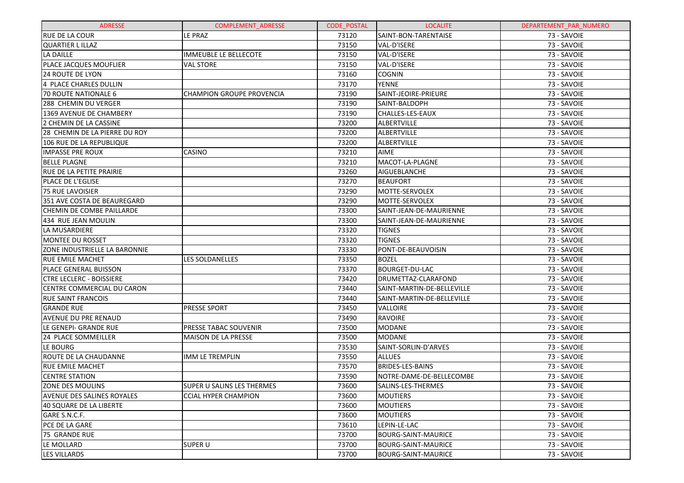| <b>ADRESSE</b>                    | <b>COMPLEMENT ADRESSE</b>        | <b>CODE POSTAL</b> | <b>LOCALITE</b>            | DEPARTEMENT_PAR_NUMERO |
|-----------------------------------|----------------------------------|--------------------|----------------------------|------------------------|
| <b>RUE DE LA COUR</b>             | LE PRAZ                          | 73120              | SAINT-BON-TARENTAISE       | 73 - SAVOIE            |
| <b>QUARTIER LILLAZ</b>            |                                  | 73150              | VAL-D'ISERE                | 73 - SAVOIE            |
| <b>LA DAILLE</b>                  | <b>IMMEUBLE LE BELLECOTE</b>     | 73150              | VAL-D'ISERE                | 73 - SAVOIE            |
| PLACE JACQUES MOUFLIER            | <b>VAL STORE</b>                 | 73150              | VAL-D'ISERE                | 73 - SAVOIE            |
| <b>24 ROUTE DE LYON</b>           |                                  | 73160              | <b>COGNIN</b>              | 73 - SAVOIE            |
| 4 PLACE CHARLES DULLIN            |                                  | 73170              | <b>YENNE</b>               | 73 - SAVOIE            |
| 70 ROUTE NATIONALE 6              | <b>CHAMPION GROUPE PROVENCIA</b> | 73190              | SAINT-JEOIRE-PRIEURE       | 73 - SAVOIE            |
| 288 CHEMIN DU VERGER              |                                  | 73190              | SAINT-BALDOPH              | 73 - SAVOIE            |
| 1369 AVENUE DE CHAMBERY           |                                  | 73190              | CHALLES-LES-EAUX           | 73 - SAVOIE            |
| 2 CHEMIN DE LA CASSINE            |                                  | 73200              | <b>ALBERTVILLE</b>         | 73 - SAVOIE            |
| 28 CHEMIN DE LA PIERRE DU ROY     |                                  | 73200              | <b>ALBERTVILLE</b>         | 73 - SAVOIE            |
| 106 RUE DE LA REPUBLIQUE          |                                  | 73200              | <b>ALBERTVILLE</b>         | 73 - SAVOIE            |
| <b>IMPASSE PRE ROUX</b>           | CASINO                           | 73210              | <b>AIME</b>                | 73 - SAVOIE            |
| <b>BELLE PLAGNE</b>               |                                  | 73210              | MACOT-LA-PLAGNE            | 73 - SAVOIE            |
| <b>RUE DE LA PETITE PRAIRIE</b>   |                                  | 73260              | <b>AIGUEBLANCHE</b>        | 73 - SAVOIE            |
| <b>PLACE DE L'EGLISE</b>          |                                  | 73270              | <b>BEAUFORT</b>            | 73 - SAVOIE            |
| <b>75 RUE LAVOISIER</b>           |                                  | 73290              | MOTTE-SERVOLEX             | 73 - SAVOIE            |
| 351 AVE COSTA DE BEAUREGARD       |                                  | 73290              | MOTTE-SERVOLEX             | 73 - SAVOIE            |
| CHEMIN DE COMBE PAILLARDE         |                                  | 73300              | SAINT-JEAN-DE-MAURIENNE    | 73 - SAVOIE            |
| 434 RUE JEAN MOULIN               |                                  | 73300              | SAINT-JEAN-DE-MAURIENNE    | 73 - SAVOIE            |
| LA MUSARDIERE                     |                                  | 73320              | <b>TIGNES</b>              | 73 - SAVOIE            |
| MONTEE DU ROSSET                  |                                  | 73320              | <b>TIGNES</b>              | 73 - SAVOIE            |
| ZONE INDUSTRIELLE LA BARONNIE     |                                  | 73330              | PONT-DE-BEAUVOISIN         | 73 - SAVOIE            |
| <b>RUE EMILE MACHET</b>           | <b>LES SOLDANELLES</b>           | 73350              | <b>BOZEL</b>               | 73 - SAVOIE            |
| PLACE GENERAL BUISSON             |                                  | 73370              | <b>BOURGET-DU-LAC</b>      | 73 - SAVOIE            |
| <b>CTRE LECLERC - BOISSIERE</b>   |                                  | 73420              | DRUMETTAZ-CLARAFOND        | 73 - SAVOIE            |
| CENTRE COMMERCIAL DU CARON        |                                  | 73440              | SAINT-MARTIN-DE-BELLEVILLE | 73 - SAVOIE            |
| <b>RUE SAINT FRANCOIS</b>         |                                  | 73440              | SAINT-MARTIN-DE-BELLEVILLE | 73 - SAVOIE            |
| <b>GRANDE RUE</b>                 | PRESSE SPORT                     | 73450              | VALLOIRE                   | 73 - SAVOIE            |
| AVENUE DU PRE RENAUD              |                                  | 73490              | <b>RAVOIRE</b>             | 73 - SAVOIE            |
| LE GENEPI- GRANDE RUE             | PRESSE TABAC SOUVENIR            | 73500              | <b>MODANE</b>              | 73 - SAVOIE            |
| 24 PLACE SOMMEILLER               | <b>MAISON DE LA PRESSE</b>       | 73500              | <b>MODANE</b>              | 73 - SAVOIE            |
| LE BOURG                          |                                  | 73530              | SAINT-SORLIN-D'ARVES       | 73 - SAVOIE            |
| ROUTE DE LA CHAUDANNE             | <b>IMM LE TREMPLIN</b>           | 73550              | <b>ALLUES</b>              | 73 - SAVOIE            |
| <b>RUE EMILE MACHET</b>           |                                  | 73570              | <b>BRIDES-LES-BAINS</b>    | 73 - SAVOIE            |
| <b>CENTRE STATION</b>             |                                  | 73590              | NOTRE-DAME-DE-BELLECOMBE   | 73 - SAVOIE            |
| ZONE DES MOULINS                  | SUPER U SALINS LES THERMES       | 73600              | SALINS-LES-THERMES         | 73 - SAVOIE            |
| <b>AVENUE DES SALINES ROYALES</b> | <b>CCIAL HYPER CHAMPION</b>      | 73600              | <b>MOUTIERS</b>            | 73 - SAVOIE            |
| 40 SQUARE DE LA LIBERTE           |                                  | 73600              | <b>MOUTIERS</b>            | 73 - SAVOIE            |
| GARE S.N.C.F.                     |                                  | 73600              | <b>MOUTIERS</b>            | 73 - SAVOIE            |
| PCE DE LA GARE                    |                                  | 73610              | LEPIN-LE-LAC               | 73 - SAVOIE            |
| 75 GRANDE RUE                     |                                  | 73700              | <b>BOURG-SAINT-MAURICE</b> | 73 - SAVOIE            |
| LE MOLLARD                        | <b>SUPER U</b>                   | 73700              | <b>BOURG-SAINT-MAURICE</b> | 73 - SAVOIE            |
| <b>LES VILLARDS</b>               |                                  | 73700              | <b>BOURG-SAINT-MAURICE</b> | 73 - SAVOIE            |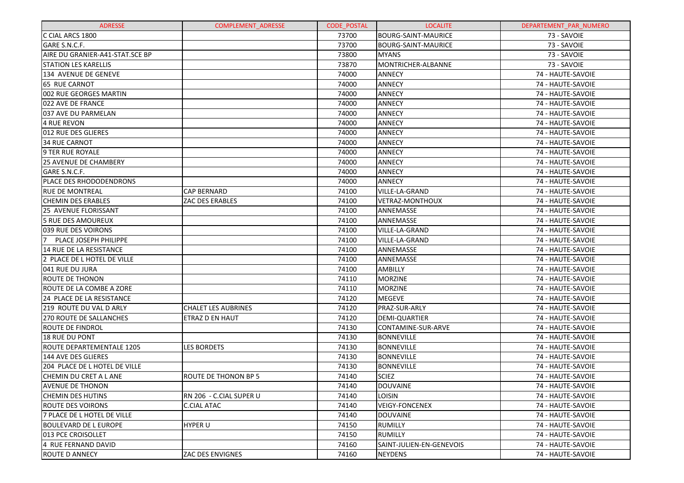| <b>ADRESSE</b>                          | <b>COMPLEMENT ADRESSE</b>  | <b>CODE POSTAL</b> | <b>LOCALITE</b>            | DEPARTEMENT PAR NUMERO |
|-----------------------------------------|----------------------------|--------------------|----------------------------|------------------------|
| C CIAL ARCS 1800                        |                            | 73700              | <b>BOURG-SAINT-MAURICE</b> | 73 - SAVOIE            |
| GARE S.N.C.F.                           |                            | 73700              | <b>BOURG-SAINT-MAURICE</b> | 73 - SAVOIE            |
| AIRE DU GRANIER-A41-STAT.SCE BP         |                            | 73800              | <b>MYANS</b>               | 73 - SAVOIE            |
| <b>STATION LES KARELLIS</b>             |                            | 73870              | MONTRICHER-ALBANNE         | 73 - SAVOIE            |
| 134 AVENUE DE GENEVE                    |                            | 74000              | <b>ANNECY</b>              | 74 - HAUTE-SAVOIE      |
| 65 RUE CARNOT                           |                            | 74000              | <b>ANNECY</b>              | 74 - HAUTE-SAVOIE      |
| 002 RUE GEORGES MARTIN                  |                            | 74000              | <b>ANNECY</b>              | 74 - HAUTE-SAVOIE      |
| 022 AVE DE FRANCE                       |                            | 74000              | <b>ANNECY</b>              | 74 - HAUTE-SAVOIE      |
| 037 AVE DU PARMELAN                     |                            | 74000              | <b>ANNECY</b>              | 74 - HAUTE-SAVOIE      |
| 4 RUE REVON                             |                            | 74000              | <b>ANNECY</b>              | 74 - HAUTE-SAVOIE      |
| 012 RUE DES GLIERES                     |                            | 74000              | <b>ANNECY</b>              | 74 - HAUTE-SAVOIE      |
| <b>34 RUE CARNOT</b>                    |                            | 74000              | <b>ANNECY</b>              | 74 - HAUTE-SAVOIE      |
| <b>9 TER RUE ROYALE</b>                 |                            | 74000              | <b>ANNECY</b>              | 74 - HAUTE-SAVOIE      |
| <b>25 AVENUE DE CHAMBERY</b>            |                            | 74000              | <b>ANNECY</b>              | 74 - HAUTE-SAVOIE      |
| GARE S.N.C.F.                           |                            | 74000              | <b>ANNECY</b>              | 74 - HAUTE-SAVOIE      |
| PLACE DES RHODODENDRONS                 |                            | 74000              | <b>ANNECY</b>              | 74 - HAUTE-SAVOIE      |
| <b>RUE DE MONTREAL</b>                  | <b>CAP BERNARD</b>         | 74100              | VILLE-LA-GRAND             | 74 - HAUTE-SAVOIE      |
| <b>CHEMIN DES ERABLES</b>               | ZAC DES ERABLES            | 74100              | <b>VETRAZ-MONTHOUX</b>     | 74 - HAUTE-SAVOIE      |
| 25 AVENUE FLORISSANT                    |                            | 74100              | ANNEMASSE                  | 74 - HAUTE-SAVOIE      |
| 5 RUE DES AMOUREUX                      |                            | 74100              | ANNEMASSE                  | 74 - HAUTE-SAVOIE      |
| 039 RUE DES VOIRONS                     |                            | 74100              | VILLE-LA-GRAND             | 74 - HAUTE-SAVOIE      |
| $\overline{7}$<br>PLACE JOSEPH PHILIPPE |                            | 74100              | VILLE-LA-GRAND             | 74 - HAUTE-SAVOIE      |
| 14 RUE DE LA RESISTANCE                 |                            | 74100              | ANNEMASSE                  | 74 - HAUTE-SAVOIE      |
| 2 PLACE DE L HOTEL DE VILLE             |                            | 74100              | ANNEMASSE                  | 74 - HAUTE-SAVOIE      |
| 041 RUE DU JURA                         |                            | 74100              | AMBILLY                    | 74 - HAUTE-SAVOIE      |
| <b>ROUTE DE THONON</b>                  |                            | 74110              | <b>MORZINE</b>             | 74 - HAUTE-SAVOIE      |
| ROUTE DE LA COMBE A ZORE                |                            | 74110              | <b>MORZINE</b>             | 74 - HAUTE-SAVOIE      |
| 24 PLACE DE LA RESISTANCE               |                            | 74120              | <b>MEGEVE</b>              | 74 - HAUTE-SAVOIE      |
| 219 ROUTE DU VAL D ARLY                 | <b>CHALET LES AUBRINES</b> | 74120              | PRAZ-SUR-ARLY              | 74 - HAUTE-SAVOIE      |
| <b>270 ROUTE DE SALLANCHES</b>          | <b>ETRAZ D EN HAUT</b>     | 74120              | <b>DEMI-QUARTIER</b>       | 74 - HAUTE-SAVOIE      |
| ROUTE DE FINDROL                        |                            | 74130              | CONTAMINE-SUR-ARVE         | 74 - HAUTE-SAVOIE      |
| 18 RUE DU PONT                          |                            | 74130              | <b>BONNEVILLE</b>          | 74 - HAUTE-SAVOIE      |
| ROUTE DEPARTEMENTALE 1205               | <b>LES BORDETS</b>         | 74130              | <b>BONNEVILLE</b>          | 74 - HAUTE-SAVOIE      |
| 144 AVE DES GLIERES                     |                            | 74130              | <b>BONNEVILLE</b>          | 74 - HAUTE-SAVOIE      |
| 204 PLACE DE L HOTEL DE VILLE           |                            | 74130              | <b>BONNEVILLE</b>          | 74 - HAUTE-SAVOIE      |
| CHEMIN DU CRET A L ANE                  | ROUTE DE THONON BP 5       | 74140              | <b>SCIEZ</b>               | 74 - HAUTE-SAVOIE      |
| <b>AVENUE DE THONON</b>                 |                            | 74140              | <b>DOUVAINE</b>            | 74 - HAUTE-SAVOIE      |
| <b>CHEMIN DES HUTINS</b>                | RN 206 - C.CIAL SUPER U    | 74140              | LOISIN                     | 74 - HAUTE-SAVOIE      |
| <b>ROUTE DES VOIRONS</b>                | <b>C.CIAL ATAC</b>         | 74140              | <b>VEIGY-FONCENEX</b>      | 74 - HAUTE-SAVOIE      |
| 7 PLACE DE L HOTEL DE VILLE             |                            | 74140              | DOUVAINE                   | 74 - HAUTE-SAVOIE      |
| <b>BOULEVARD DE L EUROPE</b>            | <b>HYPER U</b>             | 74150              | RUMILLY                    | 74 - HAUTE-SAVOIE      |
| 013 PCE CROISOLLET                      |                            | 74150              | <b>RUMILLY</b>             | 74 - HAUTE-SAVOIE      |
| 4 RUE FERNAND DAVID                     |                            | 74160              | SAINT-JULIEN-EN-GENEVOIS   | 74 - HAUTE-SAVOIE      |
| <b>ROUTE D ANNECY</b>                   | ZAC DES ENVIGNES           | 74160              | <b>NEYDENS</b>             | 74 - HAUTE-SAVOIE      |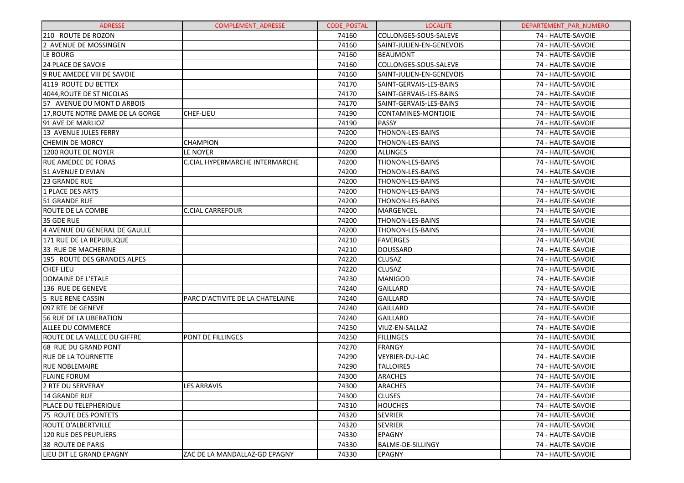| <b>ADRESSE</b>                   | <b>COMPLEMENT ADRESSE</b>             | <b>CODE POSTAL</b> | <b>LOCALITE</b>          | DEPARTEMENT PAR NUMERO |
|----------------------------------|---------------------------------------|--------------------|--------------------------|------------------------|
| 210 ROUTE DE ROZON               |                                       | 74160              | COLLONGES-SOUS-SALEVE    | 74 - HAUTE-SAVOIE      |
| 2 AVENUE DE MOSSINGEN            |                                       | 74160              | SAINT-JULIEN-EN-GENEVOIS | 74 - HAUTE-SAVOIE      |
| LE BOURG                         |                                       | 74160              | BEAUMONT                 | 74 - HAUTE-SAVOIE      |
| 24 PLACE DE SAVOIE               |                                       | 74160              | COLLONGES-SOUS-SALEVE    | 74 - HAUTE-SAVOIE      |
| 9 RUE AMEDEE VIII DE SAVOIE      |                                       | 74160              | SAINT-JULIEN-EN-GENEVOIS | 74 - HAUTE-SAVOIE      |
| 4119 ROUTE DU BETTEX             |                                       | 74170              | SAINT-GERVAIS-LES-BAINS  | 74 - HAUTE-SAVOIE      |
| 4044, ROUTE DE ST NICOLAS        |                                       | 74170              | SAINT-GERVAIS-LES-BAINS  | 74 - HAUTE-SAVOIE      |
| 57 AVENUE DU MONT D ARBOIS       |                                       | 74170              | SAINT-GERVAIS-LES-BAINS  | 74 - HAUTE-SAVOIE      |
| 17, ROUTE NOTRE DAME DE LA GORGE | <b>CHEF-LIEU</b>                      | 74190              | CONTAMINES-MONTJOIE      | 74 - HAUTE-SAVOIE      |
| 91 AVE DE MARLIOZ                |                                       | 74190              | <b>PASSY</b>             | 74 - HAUTE-SAVOIE      |
| 13 AVENUE JULES FERRY            |                                       | 74200              | <b>THONON-LES-BAINS</b>  | 74 - HAUTE-SAVOIE      |
| <b>CHEMIN DE MORCY</b>           | <b>CHAMPION</b>                       | 74200              | <b>THONON-LES-BAINS</b>  | 74 - HAUTE-SAVOIE      |
| 1200 ROUTE DE NOYER              | LE NOYER                              | 74200              | <b>ALLINGES</b>          | 74 - HAUTE-SAVOIE      |
| <b>RUE AMEDEE DE FORAS</b>       | <b>C.CIAL HYPERMARCHE INTERMARCHE</b> | 74200              | <b>THONON-LES-BAINS</b>  | 74 - HAUTE-SAVOIE      |
| 51 AVENUE D'EVIAN                |                                       | 74200              | THONON-LES-BAINS         | 74 - HAUTE-SAVOIE      |
| 23 GRANDE RUE                    |                                       | 74200              | THONON-LES-BAINS         | 74 - HAUTE-SAVOIE      |
| 1 PLACE DES ARTS                 |                                       | 74200              | <b>THONON-LES-BAINS</b>  | 74 - HAUTE-SAVOIE      |
| 51 GRANDE RUE                    |                                       | 74200              | <b>THONON-LES-BAINS</b>  | 74 - HAUTE-SAVOIE      |
| <b>ROUTE DE LA COMBE</b>         | <b>C.CIAL CARREFOUR</b>               | 74200              | MARGENCEL                | 74 - HAUTE-SAVOIE      |
| 35 GDE RUE                       |                                       | 74200              | <b>THONON-LES-BAINS</b>  | 74 - HAUTE-SAVOIE      |
| 4 AVENUE DU GENERAL DE GAULLE    |                                       | 74200              | THONON-LES-BAINS         | 74 - HAUTE-SAVOIE      |
| 171 RUE DE LA REPUBLIQUE         |                                       | 74210              | <b>FAVERGES</b>          | 74 - HAUTE-SAVOIE      |
| 33 RUE DE MACHERINE              |                                       | 74210              | DOUSSARD                 | 74 - HAUTE-SAVOIE      |
| 195 ROUTE DES GRANDES ALPES      |                                       | 74220              | <b>CLUSAZ</b>            | 74 - HAUTE-SAVOIE      |
| <b>CHEF LIEU</b>                 |                                       | 74220              | <b>CLUSAZ</b>            | 74 - HAUTE-SAVOIE      |
| DOMAINE DE L'ETALE               |                                       | 74230              | <b>MANIGOD</b>           | 74 - HAUTE-SAVOIE      |
| 136 RUE DE GENEVE                |                                       | 74240              | GAILLARD                 | 74 - HAUTE-SAVOIE      |
| 5 RUE RENE CASSIN                | PARC D'ACTIVITE DE LA CHATELAINE      | 74240              | GAILLARD                 | 74 - HAUTE-SAVOIE      |
| 097 RTE DE GENEVE                |                                       | 74240              | GAILLARD                 | 74 - HAUTE-SAVOIE      |
| <b>56 RUE DE LA LIBERATION</b>   |                                       | 74240              | GAILLARD                 | 74 - HAUTE-SAVOIE      |
| ALLEE DU COMMERCE                |                                       | 74250              | VIUZ-EN-SALLAZ           | 74 - HAUTE-SAVOIE      |
| ROUTE DE LA VALLEE DU GIFFRE     | PONT DE FILLINGES                     | 74250              | <b>FILLINGES</b>         | 74 - HAUTE-SAVOIE      |
| 68 RUE DU GRAND PONT             |                                       | 74270              | FRANGY                   | 74 - HAUTE-SAVOIE      |
| <b>RUE DE LA TOURNETTE</b>       |                                       | 74290              | VEYRIER-DU-LAC           | 74 - HAUTE-SAVOIE      |
| <b>RUE NOBLEMAIRE</b>            |                                       | 74290              | <b>TALLOIRES</b>         | 74 - HAUTE-SAVOIE      |
| <b>FLAINE FORUM</b>              |                                       | 74300              | <b>ARACHES</b>           | 74 - HAUTE-SAVOIE      |
| 2 RTE DU SERVERAY                | <b>LES ARRAVIS</b>                    | 74300              | <b>ARACHES</b>           | 74 - HAUTE-SAVOIE      |
| 14 GRANDE RUE                    |                                       | 74300              | <b>CLUSES</b>            | 74 - HAUTE-SAVOIE      |
| PLACE DU TELEPHERIQUE            |                                       | 74310              | <b>HOUCHES</b>           | 74 - HAUTE-SAVOIE      |
| 75 ROUTE DES PONTETS             |                                       | 74320              | <b>SEVRIER</b>           | 74 - HAUTE-SAVOIE      |
| <b>ROUTE D'ALBERTVILLE</b>       |                                       | 74320              | <b>SEVRIER</b>           | 74 - HAUTE-SAVOIE      |
| 120 RUE DES PEUPLIERS            |                                       | 74330              | <b>EPAGNY</b>            | 74 - HAUTE-SAVOIE      |
| 38 ROUTE DE PARIS                |                                       | 74330              | <b>BALME-DE-SILLINGY</b> | 74 - HAUTE-SAVOIE      |
| LIEU DIT LE GRAND EPAGNY         | ZAC DE LA MANDALLAZ-GD EPAGNY         | 74330              | <b>EPAGNY</b>            | 74 - HAUTE-SAVOIE      |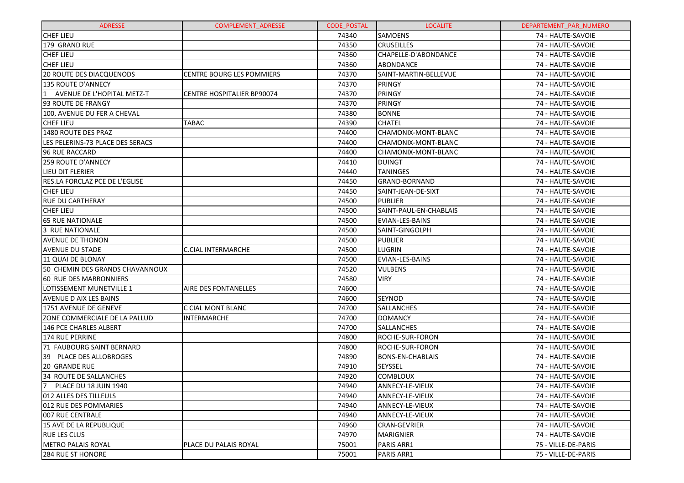| <b>ADRESSE</b>                   | <b>COMPLEMENT ADRESSE</b>         | <b>CODE POSTAL</b> | <b>LOCALITE</b>         | DEPARTEMENT_PAR_NUMERO |
|----------------------------------|-----------------------------------|--------------------|-------------------------|------------------------|
| <b>CHEF LIEU</b>                 |                                   | 74340              | <b>SAMOENS</b>          | 74 - HAUTE-SAVOIE      |
| 179 GRAND RUE                    |                                   | 74350              | <b>CRUSEILLES</b>       | 74 - HAUTE-SAVOIE      |
| <b>CHEF LIEU</b>                 |                                   | 74360              | CHAPELLE-D'ABONDANCE    | 74 - HAUTE-SAVOIE      |
| <b>CHEF LIEU</b>                 |                                   | 74360              | <b>ABONDANCE</b>        | 74 - HAUTE-SAVOIE      |
| <b>20 ROUTE DES DIACQUENODS</b>  | <b>CENTRE BOURG LES POMMIERS</b>  | 74370              | SAINT-MARTIN-BELLEVUE   | 74 - HAUTE-SAVOIE      |
| <b>135 ROUTE D'ANNECY</b>        |                                   | 74370              | PRINGY                  | 74 - HAUTE-SAVOIE      |
| 11<br>AVENUE DE L'HOPITAL METZ-T | <b>CENTRE HOSPITALIER BP90074</b> | 74370              | PRINGY                  | 74 - HAUTE-SAVOIE      |
| 93 ROUTE DE FRANGY               |                                   | 74370              | PRINGY                  | 74 - HAUTE-SAVOIE      |
| 100, AVENUE DU FER A CHEVAL      |                                   | 74380              | <b>BONNE</b>            | 74 - HAUTE-SAVOIE      |
| <b>CHEF LIEU</b>                 | TABAC                             | 74390              | <b>CHATEL</b>           | 74 - HAUTE-SAVOIE      |
| 1480 ROUTE DES PRAZ              |                                   | 74400              | CHAMONIX-MONT-BLANC     | 74 - HAUTE-SAVOIE      |
| LES PELERINS-73 PLACE DES SERACS |                                   | 74400              | CHAMONIX-MONT-BLANC     | 74 - HAUTE-SAVOIE      |
| <b>96 RUE RACCARD</b>            |                                   | 74400              | CHAMONIX-MONT-BLANC     | 74 - HAUTE-SAVOIE      |
| <b>259 ROUTE D'ANNECY</b>        |                                   | 74410              | <b>DUINGT</b>           | 74 - HAUTE-SAVOIE      |
| LIEU DIT FLERIER                 |                                   | 74440              | <b>TANINGES</b>         | 74 - HAUTE-SAVOIE      |
| RES.LA FORCLAZ PCE DE L'EGLISE   |                                   | 74450              | <b>GRAND-BORNAND</b>    | 74 - HAUTE-SAVOIE      |
| <b>CHEF LIEU</b>                 |                                   | 74450              | SAINT-JEAN-DE-SIXT      | 74 - HAUTE-SAVOIE      |
| <b>RUE DU CARTHERAY</b>          |                                   | 74500              | <b>PUBLIER</b>          | 74 - HAUTE-SAVOIE      |
| <b>CHEF LIEU</b>                 |                                   | 74500              | SAINT-PAUL-EN-CHABLAIS  | 74 - HAUTE-SAVOIE      |
| <b>65 RUE NATIONALE</b>          |                                   | 74500              | <b>EVIAN-LES-BAINS</b>  | 74 - HAUTE-SAVOIE      |
| 3 RUE NATIONALE                  |                                   | 74500              | <b>SAINT-GINGOLPH</b>   | 74 - HAUTE-SAVOIE      |
| <b>AVENUE DE THONON</b>          |                                   | 74500              | <b>PUBLIER</b>          | 74 - HAUTE-SAVOIE      |
| <b>AVENUE DU STADE</b>           | <b>C.CIAL INTERMARCHE</b>         | 74500              | <b>LUGRIN</b>           | 74 - HAUTE-SAVOIE      |
| 11 QUAI DE BLONAY                |                                   | 74500              | EVIAN-LES-BAINS         | 74 - HAUTE-SAVOIE      |
| 50 CHEMIN DES GRANDS CHAVANNOUX  |                                   | 74520              | <b>VULBENS</b>          | 74 - HAUTE-SAVOIE      |
| <b>60 RUE DES MARRONNIERS</b>    |                                   | 74580              | <b>VIRY</b>             | 74 - HAUTE-SAVOIE      |
| LOTISSEMENT MUNETVILLE 1         | <b>AIRE DES FONTANELLES</b>       | 74600              |                         | 74 - HAUTE-SAVOIE      |
| <b>AVENUE D AIX LES BAINS</b>    |                                   | 74600              | <b>SEYNOD</b>           | 74 - HAUTE-SAVOIE      |
| 1751 AVENUE DE GENEVE            | C CIAL MONT BLANC                 | 74700              | <b>SALLANCHES</b>       | 74 - HAUTE-SAVOIE      |
| ZONE COMMERCIALE DE LA PALLUD    | <b>INTERMARCHE</b>                | 74700              | <b>DOMANCY</b>          | 74 - HAUTE-SAVOIE      |
| 146 PCE CHARLES ALBERT           |                                   | 74700              | <b>SALLANCHES</b>       | 74 - HAUTE-SAVOIE      |
| <b>174 RUE PERRINE</b>           |                                   | 74800              | <b>ROCHE-SUR-FORON</b>  | 74 - HAUTE-SAVOIE      |
| 71 FAUBOURG SAINT BERNARD        |                                   | 74800              | ROCHE-SUR-FORON         | 74 - HAUTE-SAVOIE      |
| 39 PLACE DES ALLOBROGES          |                                   | 74890              | <b>BONS-EN-CHABLAIS</b> | 74 - HAUTE-SAVOIE      |
| 20 GRANDE RUE                    |                                   | 74910              | SEYSSEL                 | 74 - HAUTE-SAVOIE      |
| 34 ROUTE DE SALLANCHES           |                                   | 74920              | <b>COMBLOUX</b>         | 74 - HAUTE-SAVOIE      |
| 7 PLACE DU 18 JUIN 1940          |                                   | 74940              | ANNECY-LE-VIEUX         | 74 - HAUTE-SAVOIE      |
| 1012 ALLES DES TILLEULS          |                                   | 74940              | ANNECY-LE-VIEUX         | 74 - HAUTE-SAVOIE      |
| 012 RUE DES POMMARIES            |                                   | 74940              | ANNECY-LE-VIEUX         | 74 - HAUTE-SAVOIE      |
| 1007 RUE CENTRALE                |                                   | 74940              | ANNECY-LE-VIEUX         | 74 - HAUTE-SAVOIE      |
| 15 AVE DE LA REPUBLIQUE          |                                   | 74960              | <b>CRAN-GEVRIER</b>     | 74 - HAUTE-SAVOIE      |
| RUE LES CLUS                     |                                   | 74970              | <b>MARIGNIER</b>        | 74 - HAUTE-SAVOIE      |
| <b>METRO PALAIS ROYAL</b>        | PLACE DU PALAIS ROYAL             | 75001              | PARIS ARR1              | 75 - VILLE-DE-PARIS    |
| <b>284 RUE ST HONORE</b>         |                                   | 75001              | PARIS ARR1              | 75 - VILLE-DE-PARIS    |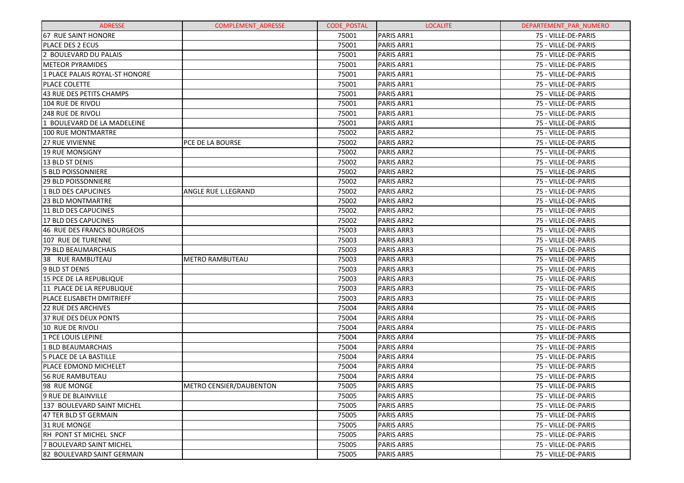| <b>ADRESSE</b>                 | <b>COMPLEMENT ADRESSE</b> | <b>CODE POSTAL</b> | <b>LOCALITE</b>   | DEPARTEMENT PAR NUMERO |
|--------------------------------|---------------------------|--------------------|-------------------|------------------------|
| <b>67 RUE SAINT HONORE</b>     |                           | 75001              | <b>PARIS ARR1</b> | 75 - VILLE-DE-PARIS    |
| IPLACE DES 2 ECUS              |                           | 75001              | PARIS ARR1        | 75 - VILLE-DE-PARIS    |
| 2 BOULEVARD DU PALAIS          |                           | 75001              | <b>PARIS ARR1</b> | 75 - VILLE-DE-PARIS    |
| <b>METEOR PYRAMIDES</b>        |                           | 75001              | <b>PARIS ARR1</b> | 75 - VILLE-DE-PARIS    |
| 1 PLACE PALAIS ROYAL-ST HONORE |                           | 75001              | <b>PARIS ARR1</b> | 75 - VILLE-DE-PARIS    |
| <b>PLACE COLETTE</b>           |                           | 75001              | <b>PARIS ARR1</b> | 75 - VILLE-DE-PARIS    |
| 43 RUE DES PETITS CHAMPS       |                           | 75001              | <b>PARIS ARR1</b> | 75 - VILLE-DE-PARIS    |
| 104 RUE DE RIVOLI              |                           | 75001              | <b>PARIS ARR1</b> | 75 - VILLE-DE-PARIS    |
| <b>248 RUE DE RIVOLI</b>       |                           | 75001              | <b>PARIS ARR1</b> | 75 - VILLE-DE-PARIS    |
| 1 BOULEVARD DE LA MADELEINE    |                           | 75001              | <b>PARIS ARR1</b> | 75 - VILLE-DE-PARIS    |
| 100 RUE MONTMARTRE             |                           | 75002              | <b>PARIS ARR2</b> | 75 - VILLE-DE-PARIS    |
| <b>27 RUE VIVIENNE</b>         | <b>PCE DE LA BOURSE</b>   | 75002              | <b>PARIS ARR2</b> | 75 - VILLE-DE-PARIS    |
| <b>19 RUE MONSIGNY</b>         |                           | 75002              | <b>PARIS ARR2</b> | 75 - VILLE-DE-PARIS    |
| 13 BLD ST DENIS                |                           | 75002              | <b>PARIS ARR2</b> | 75 - VILLE-DE-PARIS    |
| <b>5 BLD POISSONNIERE</b>      |                           | 75002              | <b>PARIS ARR2</b> | 75 - VILLE-DE-PARIS    |
| <b>29 BLD POISSONNIERE</b>     |                           | 75002              | <b>PARIS ARR2</b> | 75 - VILLE-DE-PARIS    |
| 1 BLD DES CAPUCINES            | ANGLE RUE L.LEGRAND       | 75002              | <b>PARIS ARR2</b> | 75 - VILLE-DE-PARIS    |
| 123 BLD MONTMARTRE             |                           | 75002              | <b>PARIS ARR2</b> | 75 - VILLE-DE-PARIS    |
| 11 BLD DES CAPUCINES           |                           | 75002              | <b>PARIS ARR2</b> | 75 - VILLE-DE-PARIS    |
| 17 BLD DES CAPUCINES           |                           | 75002              | <b>PARIS ARR2</b> | 75 - VILLE-DE-PARIS    |
| 46 RUE DES FRANCS BOURGEOIS    |                           | 75003              | <b>PARIS ARR3</b> | 75 - VILLE-DE-PARIS    |
| 107 RUE DE TURENNE             |                           | 75003              | <b>PARIS ARR3</b> | 75 - VILLE-DE-PARIS    |
| 79 BLD BEAUMARCHAIS            |                           | 75003              | <b>PARIS ARR3</b> | 75 - VILLE-DE-PARIS    |
| 38 RUE RAMBUTEAU               | <b>METRO RAMBUTEAU</b>    | 75003              | <b>PARIS ARR3</b> | 75 - VILLE-DE-PARIS    |
| 9 BLD ST DENIS                 |                           | 75003              | <b>PARIS ARR3</b> | 75 - VILLE-DE-PARIS    |
| 15 PCE DE LA REPUBLIQUE        |                           | 75003              | <b>PARIS ARR3</b> | 75 - VILLE-DE-PARIS    |
| l11 PLACE DE LA REPUBLIQUE     |                           | 75003              | <b>PARIS ARR3</b> | 75 - VILLE-DE-PARIS    |
| PLACE ELISABETH DMITRIEFF      |                           | 75003              | <b>PARIS ARR3</b> | 75 - VILLE-DE-PARIS    |
| <b>22 RUE DES ARCHIVES</b>     |                           | 75004              | <b>PARIS ARR4</b> | 75 - VILLE-DE-PARIS    |
| 37 RUE DES DEUX PONTS          |                           | 75004              | <b>PARIS ARR4</b> | 75 - VILLE-DE-PARIS    |
| 10 RUE DE RIVOLI               |                           | 75004              | <b>PARIS ARR4</b> | 75 - VILLE-DE-PARIS    |
| 1 PCE LOUIS LEPINE             |                           | 75004              | <b>PARIS ARR4</b> | 75 - VILLE-DE-PARIS    |
| 1 BLD BEAUMARCHAIS             |                           | 75004              | <b>PARIS ARR4</b> | 75 - VILLE-DE-PARIS    |
| 5 PLACE DE LA BASTILLE         |                           | 75004              | <b>PARIS ARR4</b> | 75 - VILLE-DE-PARIS    |
| IPLACE EDMOND MICHELET         |                           | 75004              | <b>PARIS ARR4</b> | 75 - VILLE-DE-PARIS    |
| 56 RUE RAMBUTEAU               |                           | 75004              | <b>PARIS ARR4</b> | 75 - VILLE-DE-PARIS    |
| 98 RUE MONGE                   | METRO CENSIER/DAUBENTON   | 75005              | PARIS ARR5        | 75 - VILLE-DE-PARIS    |
| 9 RUE DE BLAINVILLE            |                           | 75005              | <b>PARIS ARR5</b> | 75 - VILLE-DE-PARIS    |
| 137 BOULEVARD SAINT MICHEL     |                           | 75005              | <b>PARIS ARR5</b> | 75 - VILLE-DE-PARIS    |
| 47 TER BLD ST GERMAIN          |                           | 75005              | <b>PARIS ARR5</b> | 75 - VILLE-DE-PARIS    |
| 31 RUE MONGE                   |                           | 75005              | <b>PARIS ARR5</b> | 75 - VILLE-DE-PARIS    |
| RH PONT ST MICHEL SNCF         |                           | 75005              | <b>PARIS ARR5</b> | 75 - VILLE-DE-PARIS    |
| 7 BOULEVARD SAINT MICHEL       |                           | 75005              | <b>PARIS ARR5</b> | 75 - VILLE-DE-PARIS    |
| 82 BOULEVARD SAINT GERMAIN     |                           | 75005              | <b>PARIS ARR5</b> | 75 - VILLE-DE-PARIS    |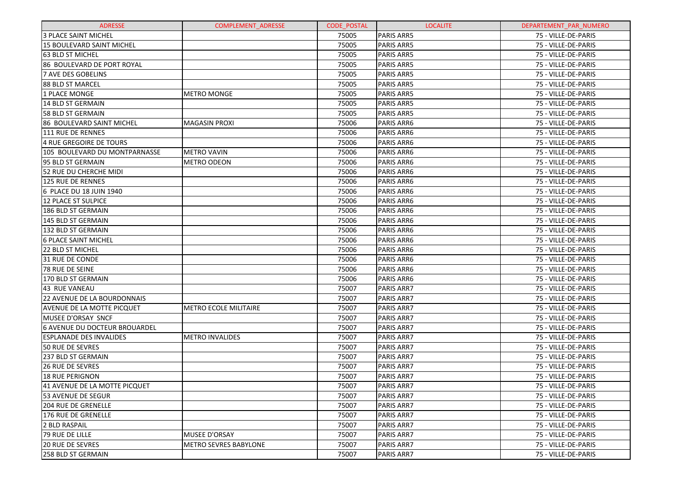| <b>ADRESSE</b>                       | COMPLEMENT_ADRESSE           | <b>CODE POSTAL</b> | <b>LOCALITE</b>   | DEPARTEMENT PAR NUMERO |
|--------------------------------------|------------------------------|--------------------|-------------------|------------------------|
| <b>3 PLACE SAINT MICHEL</b>          |                              | 75005              | <b>PARIS ARR5</b> | 75 - VILLE-DE-PARIS    |
| 15 BOULEVARD SAINT MICHEL            |                              | 75005              | <b>PARIS ARR5</b> | 75 - VILLE-DE-PARIS    |
| 63 BLD ST MICHEL                     |                              | 75005              | <b>PARIS ARR5</b> | 75 - VILLE-DE-PARIS    |
| 86 BOULEVARD DE PORT ROYAL           |                              | 75005              | <b>PARIS ARR5</b> | 75 - VILLE-DE-PARIS    |
| <b>7 AVE DES GOBELINS</b>            |                              | 75005              | <b>PARIS ARR5</b> | 75 - VILLE-DE-PARIS    |
| 88 BLD ST MARCEL                     |                              | 75005              | <b>PARIS ARR5</b> | 75 - VILLE-DE-PARIS    |
| 1 PLACE MONGE                        | <b>METRO MONGE</b>           | 75005              | <b>PARIS ARR5</b> | 75 - VILLE-DE-PARIS    |
| 14 BLD ST GERMAIN                    |                              | 75005              | <b>PARIS ARR5</b> | 75 - VILLE-DE-PARIS    |
| 58 BLD ST GERMAIN                    |                              | 75005              | <b>PARIS ARR5</b> | 75 - VILLE-DE-PARIS    |
| 86 BOULEVARD SAINT MICHEL            | <b>MAGASIN PROXI</b>         | 75006              | PARIS ARR6        | 75 - VILLE-DE-PARIS    |
| <b>111 RUE DE RENNES</b>             |                              | 75006              | PARIS ARR6        | 75 - VILLE-DE-PARIS    |
| <b>4 RUE GREGOIRE DE TOURS</b>       |                              | 75006              | PARIS ARR6        | 75 - VILLE-DE-PARIS    |
| 105 BOULEVARD DU MONTPARNASSE        | <b>METRO VAVIN</b>           | 75006              | PARIS ARR6        | 75 - VILLE-DE-PARIS    |
| 95 BLD ST GERMAIN                    | <b>METRO ODEON</b>           | 75006              | PARIS ARR6        | 75 - VILLE-DE-PARIS    |
| 52 RUE DU CHERCHE MIDI               |                              | 75006              | PARIS ARR6        | 75 - VILLE-DE-PARIS    |
| 125 RUE DE RENNES                    |                              | 75006              | PARIS ARR6        | 75 - VILLE-DE-PARIS    |
| 6 PLACE DU 18 JUIN 1940              |                              | 75006              | PARIS ARR6        | 75 - VILLE-DE-PARIS    |
| <b>12 PLACE ST SULPICE</b>           |                              | 75006              | PARIS ARR6        | 75 - VILLE-DE-PARIS    |
| 186 BLD ST GERMAIN                   |                              | 75006              | PARIS ARR6        | 75 - VILLE-DE-PARIS    |
| 145 BLD ST GERMAIN                   |                              | 75006              | PARIS ARR6        | 75 - VILLE-DE-PARIS    |
| 132 BLD ST GERMAIN                   |                              | 75006              | PARIS ARR6        | 75 - VILLE-DE-PARIS    |
| <b>6 PLACE SAINT MICHEL</b>          |                              | 75006              | PARIS ARR6        | 75 - VILLE-DE-PARIS    |
| 22 BLD ST MICHEL                     |                              | 75006              | PARIS ARR6        | 75 - VILLE-DE-PARIS    |
| 31 RUE DE CONDE                      |                              | 75006              | PARIS ARR6        | 75 - VILLE-DE-PARIS    |
| 78 RUE DE SEINE                      |                              | 75006              | PARIS ARR6        | 75 - VILLE-DE-PARIS    |
| 170 BLD ST GERMAIN                   |                              | 75006              | PARIS ARR6        | 75 - VILLE-DE-PARIS    |
| 43 RUE VANEAU                        |                              | 75007              | <b>PARIS ARR7</b> | 75 - VILLE-DE-PARIS    |
| 22 AVENUE DE LA BOURDONNAIS          |                              | 75007              | <b>PARIS ARR7</b> | 75 - VILLE-DE-PARIS    |
| AVENUE DE LA MOTTE PICQUET           | <b>METRO ECOLE MILITAIRE</b> | 75007              | <b>PARIS ARR7</b> | 75 - VILLE-DE-PARIS    |
| MUSEE D'ORSAY SNCF                   |                              | 75007              | <b>PARIS ARR7</b> | 75 - VILLE-DE-PARIS    |
| <b>6 AVENUE DU DOCTEUR BROUARDEL</b> |                              | 75007              | <b>PARIS ARR7</b> | 75 - VILLE-DE-PARIS    |
| <b>ESPLANADE DES INVALIDES</b>       | <b>METRO INVALIDES</b>       | 75007              | <b>PARIS ARR7</b> | 75 - VILLE-DE-PARIS    |
| <b>50 RUE DE SEVRES</b>              |                              | 75007              | <b>PARIS ARR7</b> | 75 - VILLE-DE-PARIS    |
| 237 BLD ST GERMAIN                   |                              | 75007              | <b>PARIS ARR7</b> | 75 - VILLE-DE-PARIS    |
| 26 RUE DE SEVRES                     |                              | 75007              | <b>PARIS ARR7</b> | 75 - VILLE-DE-PARIS    |
| <b>18 RUE PERIGNON</b>               |                              | 75007              | <b>PARIS ARR7</b> | 75 - VILLE-DE-PARIS    |
| 41 AVENUE DE LA MOTTE PICQUET        |                              | 75007              | PARIS ARR7        | 75 - VILLE-DE-PARIS    |
| 53 AVENUE DE SEGUR                   |                              | 75007              | <b>PARIS ARR7</b> | 75 - VILLE-DE-PARIS    |
| <b>204 RUE DE GRENELLE</b>           |                              | 75007              | <b>PARIS ARR7</b> | 75 - VILLE-DE-PARIS    |
| 176 RUE DE GRENELLE                  |                              | 75007              | <b>PARIS ARR7</b> | 75 - VILLE-DE-PARIS    |
| <b>2 BLD RASPAIL</b>                 |                              | 75007              | <b>PARIS ARR7</b> | 75 - VILLE-DE-PARIS    |
| 79 RUE DE LILLE                      | MUSEE D'ORSAY                | 75007              | <b>PARIS ARR7</b> | 75 - VILLE-DE-PARIS    |
| <b>20 RUE DE SEVRES</b>              | <b>METRO SEVRES BABYLONE</b> | 75007              | <b>PARIS ARR7</b> | 75 - VILLE-DE-PARIS    |
| 258 BLD ST GERMAIN                   |                              | 75007              | PARIS ARR7        | 75 - VILLE-DE-PARIS    |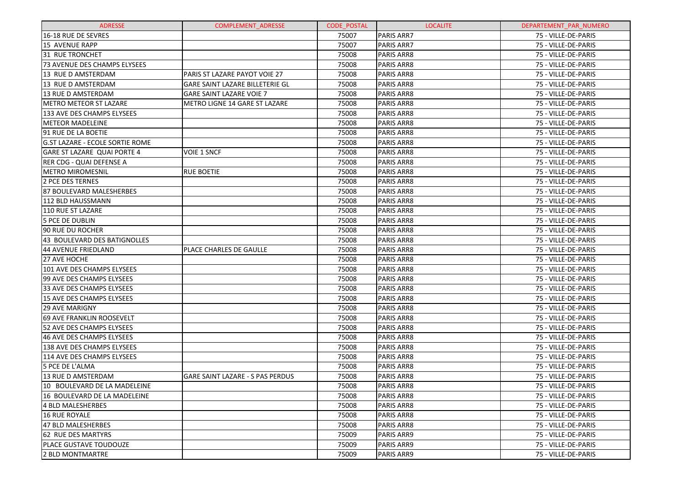| <b>ADRESSE</b>                         | <b>COMPLEMENT ADRESSE</b>               | <b>CODE POSTAL</b> | <b>LOCALITE</b>   | DEPARTEMENT_PAR_NUMERO |
|----------------------------------------|-----------------------------------------|--------------------|-------------------|------------------------|
| 16-18 RUE DE SEVRES                    |                                         | 75007              | <b>PARIS ARR7</b> | 75 - VILLE-DE-PARIS    |
| <b>15 AVENUE RAPP</b>                  |                                         | 75007              | <b>PARIS ARR7</b> | 75 - VILLE-DE-PARIS    |
| 31 RUE TRONCHET                        |                                         | 75008              | PARIS ARR8        | 75 - VILLE-DE-PARIS    |
| 73 AVENUE DES CHAMPS ELYSEES           |                                         | 75008              | PARIS ARR8        | 75 - VILLE-DE-PARIS    |
| 13 RUE D AMSTERDAM                     | PARIS ST LAZARE PAYOT VOIE 27           | 75008              | PARIS ARR8        | 75 - VILLE-DE-PARIS    |
| 13 RUE D AMSTERDAM                     | GARE SAINT LAZARE BILLETERIE GL         | 75008              | PARIS ARR8        | 75 - VILLE-DE-PARIS    |
| 13 RUE D AMSTERDAM                     | GARE SAINT LAZARE VOIE 7                | 75008              | PARIS ARR8        | 75 - VILLE-DE-PARIS    |
| <b>METRO METEOR ST LAZARE</b>          | METRO LIGNE 14 GARE ST LAZARE           | 75008              | PARIS ARR8        | 75 - VILLE-DE-PARIS    |
| 133 AVE DES CHAMPS ELYSEES             |                                         | 75008              | PARIS ARR8        | 75 - VILLE-DE-PARIS    |
| <b>METEOR MADELEINE</b>                |                                         | 75008              | PARIS ARR8        | 75 - VILLE-DE-PARIS    |
| 91 RUE DE LA BOETIE                    |                                         | 75008              | PARIS ARR8        | 75 - VILLE-DE-PARIS    |
| <b>G.ST LAZARE - ECOLE SORTIE ROME</b> |                                         | 75008              | PARIS ARR8        | 75 - VILLE-DE-PARIS    |
| GARE ST LAZARE QUAI PORTE 4            | VOIE 1 SNCF                             | 75008              | PARIS ARR8        | 75 - VILLE-DE-PARIS    |
| RER CDG - QUAI DEFENSE A               |                                         | 75008              | PARIS ARR8        | 75 - VILLE-DE-PARIS    |
| <b>METRO MIROMESNIL</b>                | <b>RUE BOETIE</b>                       | 75008              | PARIS ARR8        | 75 - VILLE-DE-PARIS    |
| 2 PCE DES TERNES                       |                                         | 75008              | PARIS ARR8        | 75 - VILLE-DE-PARIS    |
| 87 BOULEVARD MALESHERBES               |                                         | 75008              | PARIS ARR8        | 75 - VILLE-DE-PARIS    |
| 112 BLD HAUSSMANN                      |                                         | 75008              | PARIS ARR8        | 75 - VILLE-DE-PARIS    |
| 110 RUE ST LAZARE                      |                                         | 75008              | PARIS ARR8        | 75 - VILLE-DE-PARIS    |
| <b>5 PCE DE DUBLIN</b>                 |                                         | 75008              | PARIS ARR8        | 75 - VILLE-DE-PARIS    |
| 90 RUE DU ROCHER                       |                                         | 75008              | PARIS ARR8        | 75 - VILLE-DE-PARIS    |
| 43 BOULEVARD DES BATIGNOLLES           |                                         | 75008              | PARIS ARR8        | 75 - VILLE-DE-PARIS    |
| <b>44 AVENUE FRIEDLAND</b>             | PLACE CHARLES DE GAULLE                 | 75008              | PARIS ARR8        | 75 - VILLE-DE-PARIS    |
| 27 AVE HOCHE                           |                                         | 75008              | PARIS ARR8        | 75 - VILLE-DE-PARIS    |
| 101 AVE DES CHAMPS ELYSEES             |                                         | 75008              | PARIS ARR8        | 75 - VILLE-DE-PARIS    |
| 99 AVE DES CHAMPS ELYSEES              |                                         | 75008              | PARIS ARR8        | 75 - VILLE-DE-PARIS    |
| 33 AVE DES CHAMPS ELYSEES              |                                         | 75008              | PARIS ARR8        | 75 - VILLE-DE-PARIS    |
| 15 AVE DES CHAMPS ELYSEES              |                                         | 75008              | PARIS ARR8        | 75 - VILLE-DE-PARIS    |
| <b>29 AVE MARIGNY</b>                  |                                         | 75008              | PARIS ARR8        | 75 - VILLE-DE-PARIS    |
| 69 AVE FRANKLIN ROOSEVELT              |                                         | 75008              | PARIS ARR8        | 75 - VILLE-DE-PARIS    |
| <b>52 AVE DES CHAMPS ELYSEES</b>       |                                         | 75008              | PARIS ARR8        | 75 - VILLE-DE-PARIS    |
| 46 AVE DES CHAMPS ELYSEES              |                                         | 75008              | <b>PARIS ARR8</b> | 75 - VILLE-DE-PARIS    |
| 138 AVE DES CHAMPS ELYSEES             |                                         | 75008              | PARIS ARR8        | 75 - VILLE-DE-PARIS    |
| 114 AVE DES CHAMPS ELYSEES             |                                         | 75008              | <b>PARIS ARR8</b> | 75 - VILLE-DE-PARIS    |
| 5 PCE DE L'ALMA                        |                                         | 75008              | PARIS ARR8        | 75 - VILLE-DE-PARIS    |
| 13 RUE D AMSTERDAM                     | <b>GARE SAINT LAZARE - S PAS PERDUS</b> | 75008              | <b>PARIS ARR8</b> | 75 - VILLE-DE-PARIS    |
| 10 BOULEVARD DE LA MADELEINE           |                                         | 75008              | PARIS ARR8        | 75 - VILLE-DE-PARIS    |
| 16 BOULEVARD DE LA MADELEINE           |                                         | 75008              | <b>PARIS ARR8</b> | 75 - VILLE-DE-PARIS    |
| 4 BLD MALESHERBES                      |                                         | 75008              | <b>PARIS ARR8</b> | 75 - VILLE-DE-PARIS    |
| <b>16 RUE ROYALE</b>                   |                                         | 75008              | <b>PARIS ARR8</b> | 75 - VILLE-DE-PARIS    |
| 47 BLD MALESHERBES                     |                                         | 75008              | <b>PARIS ARR8</b> | 75 - VILLE-DE-PARIS    |
| 62 RUE DES MARTYRS                     |                                         | 75009              | <b>PARIS ARR9</b> | 75 - VILLE-DE-PARIS    |
| <b>PLACE GUSTAVE TOUDOUZE</b>          |                                         | 75009              | <b>PARIS ARR9</b> | 75 - VILLE-DE-PARIS    |
| 2 BLD MONTMARTRE                       |                                         | 75009              | PARIS ARR9        | 75 - VILLE-DE-PARIS    |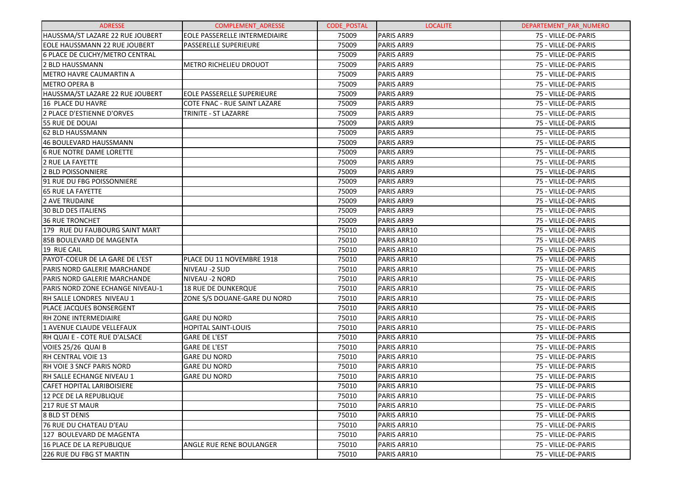| <b>ADRESSE</b>                    | <b>COMPLEMENT ADRESSE</b>         | <b>CODE POSTAL</b> | <b>LOCALITE</b>   | DEPARTEMENT PAR NUMERO |
|-----------------------------------|-----------------------------------|--------------------|-------------------|------------------------|
| HAUSSMA/ST LAZARE 22 RUE JOUBERT  | EOLE PASSERELLE INTERMEDIAIRE     | 75009              | <b>PARIS ARR9</b> | 75 - VILLE-DE-PARIS    |
| EOLE HAUSSMANN 22 RUE JOUBERT     | <b>PASSERELLE SUPERIEURE</b>      | 75009              | <b>PARIS ARR9</b> | 75 - VILLE-DE-PARIS    |
| 6 PLACE DE CLICHY/METRO CENTRAL   |                                   | 75009              | <b>PARIS ARR9</b> | 75 - VILLE-DE-PARIS    |
| 2 BLD HAUSSMANN                   | <b>METRO RICHELIEU DROUOT</b>     | 75009              | <b>PARIS ARR9</b> | 75 - VILLE-DE-PARIS    |
| <b>METRO HAVRE CAUMARTIN A</b>    |                                   | 75009              | <b>PARIS ARR9</b> | 75 - VILLE-DE-PARIS    |
| <b>METRO OPERA B</b>              |                                   | 75009              | <b>PARIS ARR9</b> | 75 - VILLE-DE-PARIS    |
| HAUSSMA/ST LAZARE 22 RUE JOUBERT  | <b>EOLE PASSERELLE SUPERIEURE</b> | 75009              | <b>PARIS ARR9</b> | 75 - VILLE-DE-PARIS    |
| 16 PLACE DU HAVRE                 | COTE FNAC - RUE SAINT LAZARE      | 75009              | <b>PARIS ARR9</b> | 75 - VILLE-DE-PARIS    |
| 2 PLACE D'ESTIENNE D'ORVES        | TRINITE - ST LAZARRE              | 75009              | <b>PARIS ARR9</b> | 75 - VILLE-DE-PARIS    |
| 55 RUE DE DOUAI                   |                                   | 75009              | <b>PARIS ARR9</b> | 75 - VILLE-DE-PARIS    |
| 62 BLD HAUSSMANN                  |                                   | 75009              | <b>PARIS ARR9</b> | 75 - VILLE-DE-PARIS    |
| 46 BOULEVARD HAUSSMANN            |                                   | 75009              | <b>PARIS ARR9</b> | 75 - VILLE-DE-PARIS    |
| <b>6 RUE NOTRE DAME LORETTE</b>   |                                   | 75009              | <b>PARIS ARR9</b> | 75 - VILLE-DE-PARIS    |
| 2 RUE LA FAYETTE                  |                                   | 75009              | <b>PARIS ARR9</b> | 75 - VILLE-DE-PARIS    |
| 2 BLD POISSONNIERE                |                                   | 75009              | <b>PARIS ARR9</b> | 75 - VILLE-DE-PARIS    |
| 91 RUE DU FBG POISSONNIERE        |                                   | 75009              | <b>PARIS ARR9</b> | 75 - VILLE-DE-PARIS    |
| <b>65 RUE LA FAYETTE</b>          |                                   | 75009              | <b>PARIS ARR9</b> | 75 - VILLE-DE-PARIS    |
| 2 AVE TRUDAINE                    |                                   | 75009              | <b>PARIS ARR9</b> | 75 - VILLE-DE-PARIS    |
| <b>30 BLD DES ITALIENS</b>        |                                   | 75009              | <b>PARIS ARR9</b> | 75 - VILLE-DE-PARIS    |
| <b>36 RUE TRONCHET</b>            |                                   | 75009              | <b>PARIS ARR9</b> | 75 - VILLE-DE-PARIS    |
| 179 RUE DU FAUBOURG SAINT MART    |                                   | 75010              | PARIS ARR10       | 75 - VILLE-DE-PARIS    |
| 85B BOULEVARD DE MAGENTA          |                                   | 75010              | PARIS ARR10       | 75 - VILLE-DE-PARIS    |
| 19 RUE CAIL                       |                                   | 75010              | PARIS ARR10       | 75 - VILLE-DE-PARIS    |
| PAYOT-COEUR DE LA GARE DE L'EST   | PLACE DU 11 NOVEMBRE 1918         | 75010              | PARIS ARR10       | 75 - VILLE-DE-PARIS    |
| PARIS NORD GALERIE MARCHANDE      | NIVEAU -2 SUD                     | 75010              | PARIS ARR10       | 75 - VILLE-DE-PARIS    |
| PARIS NORD GALERIE MARCHANDE      | NIVEAU -2 NORD                    | 75010              | PARIS ARR10       | 75 - VILLE-DE-PARIS    |
| PARIS NORD ZONE ECHANGE NIVEAU-1  | <b>18 RUE DE DUNKERQUE</b>        | 75010              | PARIS ARR10       | 75 - VILLE-DE-PARIS    |
| RH SALLE LONDRES NIVEAU 1         | ZONE S/S DOUANE-GARE DU NORD      | 75010              | PARIS ARR10       | 75 - VILLE-DE-PARIS    |
| <b>PLACE JACQUES BONSERGENT</b>   |                                   | 75010              | PARIS ARR10       | 75 - VILLE-DE-PARIS    |
| RH ZONE INTERMEDIAIRE             | <b>GARE DU NORD</b>               | 75010              | PARIS ARR10       | 75 - VILLE-DE-PARIS    |
| <b>1 AVENUE CLAUDE VELLEFAUX</b>  | <b>HOPITAL SAINT-LOUIS</b>        | 75010              | PARIS ARR10       | 75 - VILLE-DE-PARIS    |
| RH QUAI E - COTE RUE D'ALSACE     | <b>GARE DE L'EST</b>              | 75010              | PARIS ARR10       | 75 - VILLE-DE-PARIS    |
| VOIES 25/26 QUAI B                | <b>GARE DE L'EST</b>              | 75010              | PARIS ARR10       | 75 - VILLE-DE-PARIS    |
| RH CENTRAL VOIE 13                | <b>GARE DU NORD</b>               | 75010              | PARIS ARR10       | 75 - VILLE-DE-PARIS    |
| RH VOIE 3 SNCF PARIS NORD         | <b>GARE DU NORD</b>               | 75010              | PARIS ARR10       | 75 - VILLE-DE-PARIS    |
| RH SALLE ECHANGE NIVEAU 1         | <b>GARE DU NORD</b>               | 75010              | PARIS ARR10       | 75 - VILLE-DE-PARIS    |
| <b>CAFET HOPITAL LARIBOISIERE</b> |                                   | 75010              | PARIS ARR10       | 75 - VILLE-DE-PARIS    |
| 12 PCE DE LA REPUBLIQUE           |                                   | 75010              | PARIS ARR10       | 75 - VILLE-DE-PARIS    |
| 217 RUE ST MAUR                   |                                   | 75010              | PARIS ARR10       | 75 - VILLE-DE-PARIS    |
| 8 BLD ST DENIS                    |                                   | 75010              | PARIS ARR10       | 75 - VILLE-DE-PARIS    |
| 76 RUE DU CHATEAU D'EAU           |                                   | 75010              | PARIS ARR10       | 75 - VILLE-DE-PARIS    |
| 127 BOULEVARD DE MAGENTA          |                                   | 75010              | PARIS ARR10       | 75 - VILLE-DE-PARIS    |
| 16 PLACE DE LA REPUBLIQUE         | ANGLE RUE RENE BOULANGER          | 75010              | PARIS ARR10       | 75 - VILLE-DE-PARIS    |
| 226 RUE DU FBG ST MARTIN          |                                   | 75010              | PARIS ARR10       | 75 - VILLE-DE-PARIS    |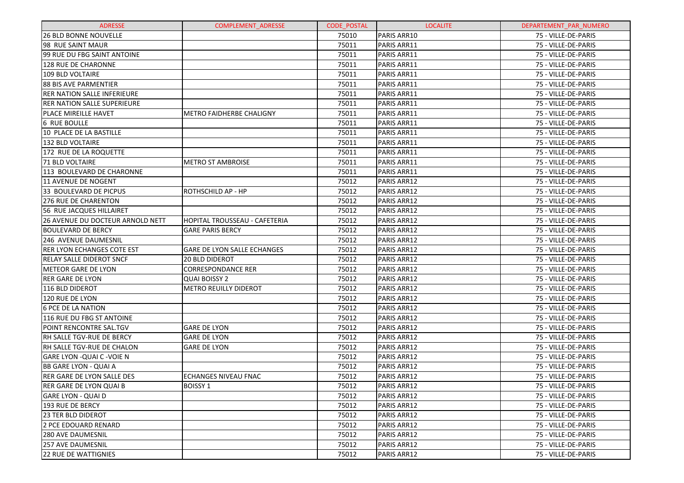| <b>ADRESSE</b>                     | <b>COMPLEMENT ADRESSE</b>          | <b>CODE POSTAL</b> | <b>LOCALITE</b> | DEPARTEMENT PAR NUMERO |
|------------------------------------|------------------------------------|--------------------|-----------------|------------------------|
| <b>26 BLD BONNE NOUVELLE</b>       |                                    | 75010              | PARIS ARR10     | 75 - VILLE-DE-PARIS    |
| 98 RUE SAINT MAUR                  |                                    | 75011              | PARIS ARR11     | 75 - VILLE-DE-PARIS    |
| 99 RUE DU FBG SAINT ANTOINE        |                                    | 75011              | PARIS ARR11     | 75 - VILLE-DE-PARIS    |
| <b>128 RUE DE CHARONNE</b>         |                                    | 75011              | PARIS ARR11     | 75 - VILLE-DE-PARIS    |
| 109 BLD VOLTAIRE                   |                                    | 75011              | PARIS ARR11     | 75 - VILLE-DE-PARIS    |
| <b>88 BIS AVE PARMENTIER</b>       |                                    | 75011              | PARIS ARR11     | 75 - VILLE-DE-PARIS    |
| <b>RER NATION SALLE INFERIEURE</b> |                                    | 75011              | PARIS ARR11     | 75 - VILLE-DE-PARIS    |
| <b>RER NATION SALLE SUPERIEURE</b> |                                    | 75011              | PARIS ARR11     | 75 - VILLE-DE-PARIS    |
| PLACE MIREILLE HAVET               | <b>METRO FAIDHERBE CHALIGNY</b>    | 75011              | PARIS ARR11     | 75 - VILLE-DE-PARIS    |
| <b>6 RUE BOULLE</b>                |                                    | 75011              | PARIS ARR11     | 75 - VILLE-DE-PARIS    |
| 10 PLACE DE LA BASTILLE            |                                    | 75011              | PARIS ARR11     | 75 - VILLE-DE-PARIS    |
| 132 BLD VOLTAIRE                   |                                    | 75011              | PARIS ARR11     | 75 - VILLE-DE-PARIS    |
| 172 RUE DE LA ROQUETTE             |                                    | 75011              | PARIS ARR11     | 75 - VILLE-DE-PARIS    |
| <b>71 BLD VOLTAIRE</b>             | <b>METRO ST AMBROISE</b>           | 75011              | PARIS ARR11     | 75 - VILLE-DE-PARIS    |
| 113 BOULEVARD DE CHARONNE          |                                    | 75011              | PARIS ARR11     | 75 - VILLE-DE-PARIS    |
| 11 AVENUE DE NOGENT                |                                    | 75012              | PARIS ARR12     | 75 - VILLE-DE-PARIS    |
| 33 BOULEVARD DE PICPUS             | ROTHSCHILD AP - HP                 | 75012              | PARIS ARR12     | 75 - VILLE-DE-PARIS    |
| 276 RUE DE CHARENTON               |                                    | 75012              | PARIS ARR12     | 75 - VILLE-DE-PARIS    |
| 56 RUE JACQUES HILLAIRET           |                                    | 75012              | PARIS ARR12     | 75 - VILLE-DE-PARIS    |
| 26 AVENUE DU DOCTEUR ARNOLD NETT   | HOPITAL TROUSSEAU - CAFETERIA      | 75012              | PARIS ARR12     | 75 - VILLE-DE-PARIS    |
| <b>BOULEVARD DE BERCY</b>          | <b>GARE PARIS BERCY</b>            | 75012              | PARIS ARR12     | 75 - VILLE-DE-PARIS    |
| 246 AVENUE DAUMESNIL               |                                    | 75012              | PARIS ARR12     | 75 - VILLE-DE-PARIS    |
| <b>RER LYON ECHANGES COTE EST</b>  | <b>GARE DE LYON SALLE ECHANGES</b> | 75012              | PARIS ARR12     | 75 - VILLE-DE-PARIS    |
| <b>RELAY SALLE DIDEROT SNCF</b>    | <b>20 BLD DIDEROT</b>              | 75012              | PARIS ARR12     | 75 - VILLE-DE-PARIS    |
| <b>METEOR GARE DE LYON</b>         | <b>CORRESPONDANCE RER</b>          | 75012              | PARIS ARR12     | 75 - VILLE-DE-PARIS    |
| <b>RER GARE DE LYON</b>            | <b>QUAI BOISSY 2</b>               | 75012              | PARIS ARR12     | 75 - VILLE-DE-PARIS    |
| 116 BLD DIDEROT                    | <b>METRO REUILLY DIDEROT</b>       | 75012              | PARIS ARR12     | 75 - VILLE-DE-PARIS    |
| 120 RUE DE LYON                    |                                    | 75012              | PARIS ARR12     | 75 - VILLE-DE-PARIS    |
| <b>6 PCE DE LA NATION</b>          |                                    | 75012              | PARIS ARR12     | 75 - VILLE-DE-PARIS    |
| 116 RUE DU FBG ST ANTOINE          |                                    | 75012              | PARIS ARR12     | 75 - VILLE-DE-PARIS    |
| POINT RENCONTRE SAL.TGV            | <b>GARE DE LYON</b>                | 75012              | PARIS ARR12     | 75 - VILLE-DE-PARIS    |
| RH SALLE TGV-RUE DE BERCY          | <b>GARE DE LYON</b>                | 75012              | PARIS ARR12     | 75 - VILLE-DE-PARIS    |
| RH SALLE TGV-RUE DE CHALON         | <b>GARE DE LYON</b>                | 75012              | PARIS ARR12     | 75 - VILLE-DE-PARIS    |
| GARE LYON -QUAI C -VOIE N          |                                    | 75012              | PARIS ARR12     | 75 - VILLE-DE-PARIS    |
| BB GARE LYON - QUAI A              |                                    | 75012              | PARIS ARR12     | 75 - VILLE-DE-PARIS    |
| <b>RER GARE DE LYON SALLE DES</b>  | <b>ECHANGES NIVEAU FNAC</b>        | 75012              | PARIS ARR12     | 75 - VILLE-DE-PARIS    |
| <b>RER GARE DE LYON QUAI B</b>     | <b>BOISSY 1</b>                    | 75012              | PARIS ARR12     | 75 - VILLE-DE-PARIS    |
| GARE LYON - QUAI D                 |                                    | 75012              | PARIS ARR12     | 75 - VILLE-DE-PARIS    |
| 193 RUE DE BERCY                   |                                    | 75012              | PARIS ARR12     | 75 - VILLE-DE-PARIS    |
| <b>23 TER BLD DIDEROT</b>          |                                    | 75012              | PARIS ARR12     | 75 - VILLE-DE-PARIS    |
| 2 PCE EDOUARD RENARD               |                                    | 75012              | PARIS ARR12     | 75 - VILLE-DE-PARIS    |
| <b>280 AVE DAUMESNIL</b>           |                                    | 75012              | PARIS ARR12     | 75 - VILLE-DE-PARIS    |
| <b>257 AVE DAUMESNIL</b>           |                                    | 75012              | PARIS ARR12     | 75 - VILLE-DE-PARIS    |
| <b>22 RUE DE WATTIGNIES</b>        |                                    | 75012              | PARIS ARR12     | 75 - VILLE-DE-PARIS    |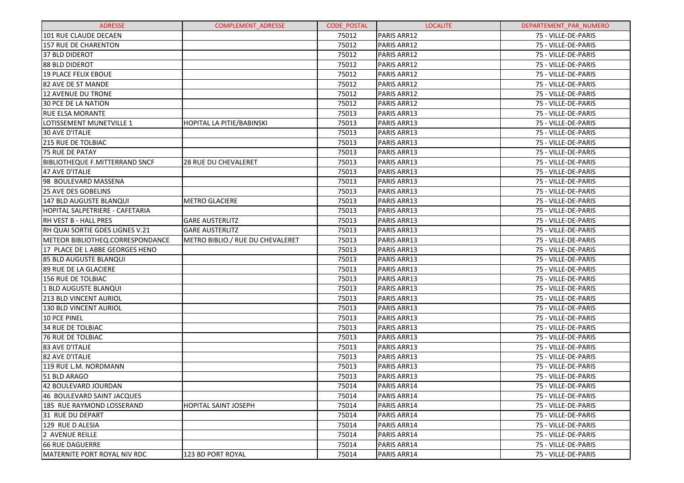| <b>ADRESSE</b>                        | COMPLEMENT_ADRESSE               | <b>CODE POSTAL</b> | <b>LOCALITE</b> | DEPARTEMENT PAR NUMERO |
|---------------------------------------|----------------------------------|--------------------|-----------------|------------------------|
| 101 RUE CLAUDE DECAEN                 |                                  | 75012              | PARIS ARR12     | 75 - VILLE-DE-PARIS    |
| <b>157 RUE DE CHARENTON</b>           |                                  | 75012              | PARIS ARR12     | 75 - VILLE-DE-PARIS    |
| <b>37 BLD DIDEROT</b>                 |                                  | 75012              | PARIS ARR12     | 75 - VILLE-DE-PARIS    |
| 88 BLD DIDEROT                        |                                  | 75012              | PARIS ARR12     | 75 - VILLE-DE-PARIS    |
| <b>19 PLACE FELIX EBOUE</b>           |                                  | 75012              | PARIS ARR12     | 75 - VILLE-DE-PARIS    |
| 82 AVE DE ST MANDE                    |                                  | 75012              | PARIS ARR12     | 75 - VILLE-DE-PARIS    |
| <b>12 AVENUE DU TRONE</b>             |                                  | 75012              | PARIS ARR12     | 75 - VILLE-DE-PARIS    |
| <b>30 PCE DE LA NATION</b>            |                                  | 75012              | PARIS ARR12     | 75 - VILLE-DE-PARIS    |
| <b>RUE ELSA MORANTE</b>               |                                  | 75013              | PARIS ARR13     | 75 - VILLE-DE-PARIS    |
| LOTISSEMENT MUNETVILLE 1              | HOPITAL LA PITIE/BABINSKI        | 75013              | PARIS ARR13     | 75 - VILLE-DE-PARIS    |
| <b>30 AVE D'ITALIE</b>                |                                  | 75013              | PARIS ARR13     | 75 - VILLE-DE-PARIS    |
| <b>215 RUE DE TOLBIAC</b>             |                                  | 75013              | PARIS ARR13     | 75 - VILLE-DE-PARIS    |
| 75 RUE DE PATAY                       |                                  | 75013              | PARIS ARR13     | 75 - VILLE-DE-PARIS    |
| <b>BIBLIOTHEQUE F.MITTERRAND SNCF</b> | 28 RUE DU CHEVALERET             | 75013              | PARIS ARR13     | 75 - VILLE-DE-PARIS    |
| 47 AVE D'ITALIE                       |                                  | 75013              | PARIS ARR13     | 75 - VILLE-DE-PARIS    |
| 98 BOULEVARD MASSENA                  |                                  | 75013              | PARIS ARR13     | 75 - VILLE-DE-PARIS    |
| <b>25 AVE DES GOBELINS</b>            |                                  | 75013              | PARIS ARR13     | 75 - VILLE-DE-PARIS    |
| <b>147 BLD AUGUSTE BLANQUI</b>        | <b>METRO GLACIERE</b>            | 75013              | PARIS ARR13     | 75 - VILLE-DE-PARIS    |
| HOPITAL SALPETRIERE - CAFETARIA       |                                  | 75013              | PARIS ARR13     | 75 - VILLE-DE-PARIS    |
| RH VEST B - HALL PRES                 | <b>GARE AUSTERLITZ</b>           | 75013              | PARIS ARR13     | 75 - VILLE-DE-PARIS    |
| RH QUAI SORTIE GDES LIGNES V.21       | <b>GARE AUSTERLITZ</b>           | 75013              | PARIS ARR13     | 75 - VILLE-DE-PARIS    |
| METEOR BIBLIOTHEQ.CORRESPONDANCE      | METRO BIBLIO./ RUE DU CHEVALERET | 75013              | PARIS ARR13     | 75 - VILLE-DE-PARIS    |
| 17 PLACE DE L ABBE GEORGES HENO       |                                  | 75013              | PARIS ARR13     | 75 - VILLE-DE-PARIS    |
| 85 BLD AUGUSTE BLANQUI                |                                  | 75013              | PARIS ARR13     | 75 - VILLE-DE-PARIS    |
| 89 RUE DE LA GLACIERE                 |                                  | 75013              | PARIS ARR13     | 75 - VILLE-DE-PARIS    |
| <b>156 RUE DE TOLBIAC</b>             |                                  | 75013              | PARIS ARR13     | 75 - VILLE-DE-PARIS    |
| 1 BLD AUGUSTE BLANQUI                 |                                  | 75013              | PARIS ARR13     | 75 - VILLE-DE-PARIS    |
| <b>213 BLD VINCENT AURIOL</b>         |                                  | 75013              | PARIS ARR13     | 75 - VILLE-DE-PARIS    |
| 130 BLD VINCENT AURIOL                |                                  | 75013              | PARIS ARR13     | 75 - VILLE-DE-PARIS    |
| 10 PCE PINEL                          |                                  | 75013              | PARIS ARR13     | 75 - VILLE-DE-PARIS    |
| <b>34 RUE DE TOLBIAC</b>              |                                  | 75013              | PARIS ARR13     | 75 - VILLE-DE-PARIS    |
| <b>76 RUE DE TOLBIAC</b>              |                                  | 75013              | PARIS ARR13     | 75 - VILLE-DE-PARIS    |
| 83 AVE D'ITALIE                       |                                  | 75013              | PARIS ARR13     | 75 - VILLE-DE-PARIS    |
| 82 AVE D'ITALIE                       |                                  | 75013              | PARIS ARR13     | 75 - VILLE-DE-PARIS    |
| 119 RUE L.M. NORDMANN                 |                                  | 75013              | PARIS ARR13     | 75 - VILLE-DE-PARIS    |
| 51 BLD ARAGO                          |                                  | 75013              | PARIS ARR13     | 75 - VILLE-DE-PARIS    |
| 42 BOULEVARD JOURDAN                  |                                  | 75014              | PARIS ARR14     | 75 - VILLE-DE-PARIS    |
| 46 BOULEVARD SAINT JACQUES            |                                  | 75014              | PARIS ARR14     | 75 - VILLE-DE-PARIS    |
| 185 RUE RAYMOND LOSSERAND             | <b>HOPITAL SAINT JOSEPH</b>      | 75014              | PARIS ARR14     | 75 - VILLE-DE-PARIS    |
| 31 RUE DU DEPART                      |                                  | 75014              | PARIS ARR14     | 75 - VILLE-DE-PARIS    |
| 129 RUE D ALESIA                      |                                  | 75014              | PARIS ARR14     | 75 - VILLE-DE-PARIS    |
| 2 AVENUE REILLE                       |                                  | 75014              | PARIS ARR14     | 75 - VILLE-DE-PARIS    |
| <b>66 RUE DAGUERRE</b>                |                                  | 75014              | PARIS ARR14     | 75 - VILLE-DE-PARIS    |
| MATERNITE PORT ROYAL NIV RDC          | 123 BD PORT ROYAL                | 75014              | PARIS ARR14     | 75 - VILLE-DE-PARIS    |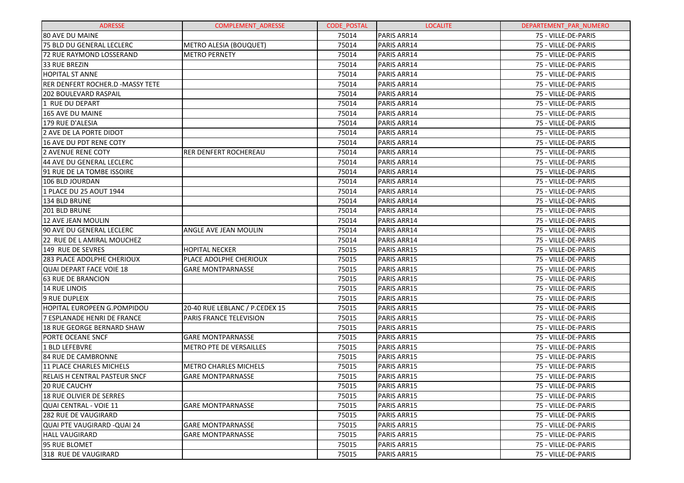| <b>ADRESSE</b>                       | <b>COMPLEMENT ADRESSE</b>      | <b>CODE POSTAL</b> | <b>LOCALITE</b>    | DEPARTEMENT PAR NUMERO |
|--------------------------------------|--------------------------------|--------------------|--------------------|------------------------|
| <b>80 AVE DU MAINE</b>               |                                | 75014              | PARIS ARR14        | 75 - VILLE-DE-PARIS    |
| 75 BLD DU GENERAL LECLERC            | METRO ALESIA (BOUQUET)         | 75014              | PARIS ARR14        | 75 - VILLE-DE-PARIS    |
| 72 RUE RAYMOND LOSSERAND             | <b>METRO PERNETY</b>           | 75014              | PARIS ARR14        | 75 - VILLE-DE-PARIS    |
| 33 RUE BREZIN                        |                                | 75014              | PARIS ARR14        | 75 - VILLE-DE-PARIS    |
| <b>HOPITAL ST ANNE</b>               |                                | 75014              | PARIS ARR14        | 75 - VILLE-DE-PARIS    |
| RER DENFERT ROCHER.D -MASSY TETE     |                                | 75014              | PARIS ARR14        | 75 - VILLE-DE-PARIS    |
| <b>202 BOULEVARD RASPAIL</b>         |                                | 75014              | PARIS ARR14        | 75 - VILLE-DE-PARIS    |
| 1 RUE DU DEPART                      |                                | 75014              | PARIS ARR14        | 75 - VILLE-DE-PARIS    |
| 165 AVE DU MAINE                     |                                | 75014              | PARIS ARR14        | 75 - VILLE-DE-PARIS    |
| 179 RUE D'ALESIA                     |                                | 75014              | PARIS ARR14        | 75 - VILLE-DE-PARIS    |
| 2 AVE DE LA PORTE DIDOT              |                                | 75014              | PARIS ARR14        | 75 - VILLE-DE-PARIS    |
| 16 AVE DU PDT RENE COTY              |                                | 75014              | PARIS ARR14        | 75 - VILLE-DE-PARIS    |
| 2 AVENUE RENE COTY                   | <b>RER DENFERT ROCHEREAU</b>   | 75014              | PARIS ARR14        | 75 - VILLE-DE-PARIS    |
| 44 AVE DU GENERAL LECLERC            |                                | 75014              | PARIS ARR14        | 75 - VILLE-DE-PARIS    |
| 91 RUE DE LA TOMBE ISSOIRE           |                                | 75014              | PARIS ARR14        | 75 - VILLE-DE-PARIS    |
| 106 BLD JOURDAN                      |                                | 75014              | PARIS ARR14        | 75 - VILLE-DE-PARIS    |
| 1 PLACE DU 25 AOUT 1944              |                                | 75014              | PARIS ARR14        | 75 - VILLE-DE-PARIS    |
| 134 BLD BRUNE                        |                                | 75014              | PARIS ARR14        | 75 - VILLE-DE-PARIS    |
| 201 BLD BRUNE                        |                                | 75014              | PARIS ARR14        | 75 - VILLE-DE-PARIS    |
| 12 AVE JEAN MOULIN                   |                                | 75014              | PARIS ARR14        | 75 - VILLE-DE-PARIS    |
| 90 AVE DU GENERAL LECLERC            | ANGLE AVE JEAN MOULIN          | 75014              | PARIS ARR14        | 75 - VILLE-DE-PARIS    |
| 22 RUE DE L AMIRAL MOUCHEZ           |                                | 75014              | PARIS ARR14        | 75 - VILLE-DE-PARIS    |
| 149 RUE DE SEVRES                    | <b>HOPITAL NECKER</b>          | 75015              | PARIS ARR15        | 75 - VILLE-DE-PARIS    |
| 283 PLACE ADOLPHE CHERIOUX           | PLACE ADOLPHE CHERIOUX         | 75015              | PARIS ARR15        | 75 - VILLE-DE-PARIS    |
| QUAI DEPART FACE VOIE 18             | <b>GARE MONTPARNASSE</b>       | 75015              | <b>PARIS ARR15</b> | 75 - VILLE-DE-PARIS    |
| <b>63 RUE DE BRANCION</b>            |                                | 75015              | PARIS ARR15        | 75 - VILLE-DE-PARIS    |
| 14 RUE LINOIS                        |                                | 75015              | <b>PARIS ARR15</b> | 75 - VILLE-DE-PARIS    |
| 9 RUE DUPLEIX                        |                                | 75015              | <b>PARIS ARR15</b> | 75 - VILLE-DE-PARIS    |
| HOPITAL EUROPEEN G.POMPIDOU          | 20-40 RUE LEBLANC / P.CEDEX 15 | 75015              | PARIS ARR15        | 75 - VILLE-DE-PARIS    |
| 7 ESPLANADE HENRI DE FRANCE          | PARIS FRANCE TELEVISION        | 75015              | <b>PARIS ARR15</b> | 75 - VILLE-DE-PARIS    |
| 18 RUE GEORGE BERNARD SHAW           |                                | 75015              | PARIS ARR15        | 75 - VILLE-DE-PARIS    |
| <b>PORTE OCEANE SNCF</b>             | <b>GARE MONTPARNASSE</b>       | 75015              | PARIS ARR15        | 75 - VILLE-DE-PARIS    |
| 1 BLD LEFEBVRE                       | METRO PTE DE VERSAILLES        | 75015              | PARIS ARR15        | 75 - VILLE-DE-PARIS    |
| 84 RUE DE CAMBRONNE                  |                                | 75015              | PARIS ARR15        | 75 - VILLE-DE-PARIS    |
| 11 PLACE CHARLES MICHELS             | <b>METRO CHARLES MICHELS</b>   | 75015              | PARIS ARR15        | 75 - VILLE-DE-PARIS    |
| <b>RELAIS H CENTRAL PASTEUR SNCF</b> | <b>GARE MONTPARNASSE</b>       | 75015              | <b>PARIS ARR15</b> | 75 - VILLE-DE-PARIS    |
| 20 RUE CAUCHY                        |                                | 75015              | PARIS ARR15        | 75 - VILLE-DE-PARIS    |
| <b>18 RUE OLIVIER DE SERRES</b>      |                                | 75015              | PARIS ARR15        | 75 - VILLE-DE-PARIS    |
| QUAI CENTRAL - VOIE 11               | <b>GARE MONTPARNASSE</b>       | 75015              | PARIS ARR15        | 75 - VILLE-DE-PARIS    |
| <b>282 RUE DE VAUGIRARD</b>          |                                | 75015              | <b>PARIS ARR15</b> | 75 - VILLE-DE-PARIS    |
| lQUAI PTE VAUGIRARD -QUAI 24         | <b>GARE MONTPARNASSE</b>       | 75015              | <b>PARIS ARR15</b> | 75 - VILLE-DE-PARIS    |
| HALL VAUGIRARD                       | <b>GARE MONTPARNASSE</b>       | 75015              | PARIS ARR15        | 75 - VILLE-DE-PARIS    |
| 95 RUE BLOMET                        |                                | 75015              | <b>PARIS ARR15</b> | 75 - VILLE-DE-PARIS    |
| 318 RUE DE VAUGIRARD                 |                                | 75015              | PARIS ARR15        | 75 - VILLE-DE-PARIS    |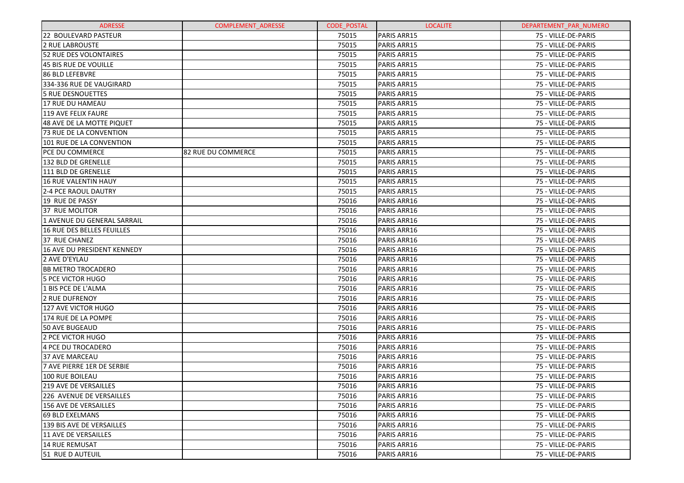| <b>ADRESSE</b>                 | <b>COMPLEMENT ADRESSE</b> | <b>CODE POSTAL</b> | <b>LOCALITE</b>    | DEPARTEMENT PAR NUMERO |
|--------------------------------|---------------------------|--------------------|--------------------|------------------------|
| 22 BOULEVARD PASTEUR           |                           | 75015              | <b>PARIS ARR15</b> | 75 - VILLE-DE-PARIS    |
| <b>2 RUE LABROUSTE</b>         |                           | 75015              | PARIS ARR15        | 75 - VILLE-DE-PARIS    |
| 52 RUE DES VOLONTAIRES         |                           | 75015              | PARIS ARR15        | 75 - VILLE-DE-PARIS    |
| 45 BIS RUE DE VOUILLE          |                           | 75015              | PARIS ARR15        | 75 - VILLE-DE-PARIS    |
| <b>86 BLD LEFEBVRE</b>         |                           | 75015              | PARIS ARR15        | 75 - VILLE-DE-PARIS    |
| 334-336 RUE DE VAUGIRARD       |                           | 75015              | PARIS ARR15        | 75 - VILLE-DE-PARIS    |
| <b>5 RUE DESNOUETTES</b>       |                           | 75015              | PARIS ARR15        | 75 - VILLE-DE-PARIS    |
| 17 RUE DU HAMEAU               |                           | 75015              | PARIS ARR15        | 75 - VILLE-DE-PARIS    |
| 119 AVE FELIX FAURE            |                           | 75015              | PARIS ARR15        | 75 - VILLE-DE-PARIS    |
| 48 AVE DE LA MOTTE PIQUET      |                           | 75015              | PARIS ARR15        | 75 - VILLE-DE-PARIS    |
| <b>73 RUE DE LA CONVENTION</b> |                           | 75015              | PARIS ARR15        | 75 - VILLE-DE-PARIS    |
| 101 RUE DE LA CONVENTION       |                           | 75015              | PARIS ARR15        | 75 - VILLE-DE-PARIS    |
| <b>PCE DU COMMERCE</b>         | 82 RUE DU COMMERCE        | 75015              | PARIS ARR15        | 75 - VILLE-DE-PARIS    |
| 132 BLD DE GRENELLE            |                           | 75015              | PARIS ARR15        | 75 - VILLE-DE-PARIS    |
| 111 BLD DE GRENELLE            |                           | 75015              | PARIS ARR15        | 75 - VILLE-DE-PARIS    |
| <b>16 RUE VALENTIN HAUY</b>    |                           | 75015              | PARIS ARR15        | 75 - VILLE-DE-PARIS    |
| 2-4 PCE RAOUL DAUTRY           |                           | 75015              | PARIS ARR15        | 75 - VILLE-DE-PARIS    |
| 19 RUE DE PASSY                |                           | 75016              | PARIS ARR16        | 75 - VILLE-DE-PARIS    |
| <b>37 RUE MOLITOR</b>          |                           | 75016              | PARIS ARR16        | 75 - VILLE-DE-PARIS    |
| 1 AVENUE DU GENERAL SARRAIL    |                           | 75016              | PARIS ARR16        | 75 - VILLE-DE-PARIS    |
| 16 RUE DES BELLES FEUILLES     |                           | 75016              | PARIS ARR16        | 75 - VILLE-DE-PARIS    |
| 37 RUE CHANEZ                  |                           | 75016              | PARIS ARR16        | 75 - VILLE-DE-PARIS    |
| 16 AVE DU PRESIDENT KENNEDY    |                           | 75016              | PARIS ARR16        | 75 - VILLE-DE-PARIS    |
| 2 AVE D'EYLAU                  |                           | 75016              | PARIS ARR16        | 75 - VILLE-DE-PARIS    |
| <b>BB METRO TROCADERO</b>      |                           | 75016              | PARIS ARR16        | 75 - VILLE-DE-PARIS    |
| <b>5 PCE VICTOR HUGO</b>       |                           | 75016              | PARIS ARR16        | 75 - VILLE-DE-PARIS    |
| 1 BIS PCE DE L'ALMA            |                           | 75016              | PARIS ARR16        | 75 - VILLE-DE-PARIS    |
| 2 RUE DUFRENOY                 |                           | 75016              | PARIS ARR16        | 75 - VILLE-DE-PARIS    |
| 127 AVE VICTOR HUGO            |                           | 75016              | PARIS ARR16        | 75 - VILLE-DE-PARIS    |
| 174 RUE DE LA POMPE            |                           | 75016              | PARIS ARR16        | 75 - VILLE-DE-PARIS    |
| 50 AVE BUGEAUD                 |                           | 75016              | PARIS ARR16        | 75 - VILLE-DE-PARIS    |
| 2 PCE VICTOR HUGO              |                           | 75016              | PARIS ARR16        | 75 - VILLE-DE-PARIS    |
| 4 PCE DU TROCADERO             |                           | 75016              | PARIS ARR16        | 75 - VILLE-DE-PARIS    |
| 37 AVE MARCEAU                 |                           | 75016              | PARIS ARR16        | 75 - VILLE-DE-PARIS    |
| 7 AVE PIERRE 1ER DE SERBIE     |                           | 75016              | PARIS ARR16        | 75 - VILLE-DE-PARIS    |
| 100 RUE BOILEAU                |                           | 75016              | PARIS ARR16        | 75 - VILLE-DE-PARIS    |
| 219 AVE DE VERSAILLES          |                           | 75016              | PARIS ARR16        | 75 - VILLE-DE-PARIS    |
| 226 AVENUE DE VERSAILLES       |                           | 75016              | PARIS ARR16        | 75 - VILLE-DE-PARIS    |
| <b>156 AVE DE VERSAILLES</b>   |                           | 75016              | PARIS ARR16        | 75 - VILLE-DE-PARIS    |
| 69 BLD EXELMANS                |                           | 75016              | PARIS ARR16        | 75 - VILLE-DE-PARIS    |
| 139 BIS AVE DE VERSAILLES      |                           | 75016              | PARIS ARR16        | 75 - VILLE-DE-PARIS    |
| 11 AVE DE VERSAILLES           |                           | 75016              | PARIS ARR16        | 75 - VILLE-DE-PARIS    |
| <b>14 RUE REMUSAT</b>          |                           | 75016              | PARIS ARR16        | 75 - VILLE-DE-PARIS    |
| 51 RUE D AUTEUIL               |                           | 75016              | PARIS ARR16        | 75 - VILLE-DE-PARIS    |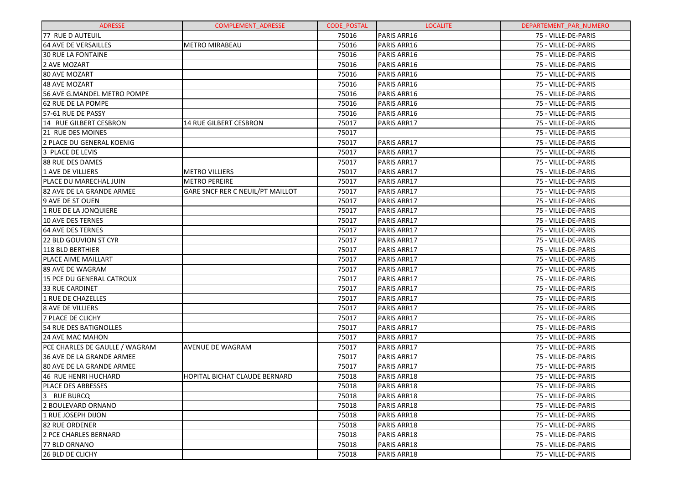| <b>ADRESSE</b>                 | <b>COMPLEMENT ADRESSE</b>            | <b>CODE POSTAL</b> | <b>LOCALITE</b>    | DEPARTEMENT PAR NUMERO |
|--------------------------------|--------------------------------------|--------------------|--------------------|------------------------|
| 77 RUE D AUTEUIL               |                                      | 75016              | PARIS ARR16        | 75 - VILLE-DE-PARIS    |
| 64 AVE DE VERSAILLES           | <b>METRO MIRABEAU</b>                | 75016              | PARIS ARR16        | 75 - VILLE-DE-PARIS    |
| 30 RUE LA FONTAINE             |                                      | 75016              | PARIS ARR16        | 75 - VILLE-DE-PARIS    |
| 2 AVE MOZART                   |                                      | 75016              | PARIS ARR16        | 75 - VILLE-DE-PARIS    |
| 80 AVE MOZART                  |                                      | 75016              | PARIS ARR16        | 75 - VILLE-DE-PARIS    |
| 48 AVE MOZART                  |                                      | 75016              | PARIS ARR16        | 75 - VILLE-DE-PARIS    |
| 56 AVE G.MANDEL METRO POMPE    |                                      | 75016              | PARIS ARR16        | 75 - VILLE-DE-PARIS    |
| 62 RUE DE LA POMPE             |                                      | 75016              | PARIS ARR16        | 75 - VILLE-DE-PARIS    |
| 57-61 RUE DE PASSY             |                                      | 75016              | PARIS ARR16        | 75 - VILLE-DE-PARIS    |
| 14 RUE GILBERT CESBRON         | 14 RUE GILBERT CESBRON               | 75017              | PARIS ARR17        | 75 - VILLE-DE-PARIS    |
| <b>21 RUE DES MOINES</b>       |                                      | 75017              |                    | 75 - VILLE-DE-PARIS    |
| 2 PLACE DU GENERAL KOENIG      |                                      | 75017              | <b>PARIS ARR17</b> | 75 - VILLE-DE-PARIS    |
| 3 PLACE DE LEVIS               |                                      | 75017              | PARIS ARR17        | 75 - VILLE-DE-PARIS    |
| 88 RUE DES DAMES               |                                      | 75017              | PARIS ARR17        | 75 - VILLE-DE-PARIS    |
| 1 AVE DE VILLIERS              | <b>METRO VILLIERS</b>                | 75017              | PARIS ARR17        | 75 - VILLE-DE-PARIS    |
| PLACE DU MARECHAL JUIN         | <b>METRO PEREIRE</b>                 | 75017              | PARIS ARR17        | 75 - VILLE-DE-PARIS    |
| 82 AVE DE LA GRANDE ARMEE      | GARE SNCF RER C NEUIL/PT MAILLOT     | 75017              | PARIS ARR17        | 75 - VILLE-DE-PARIS    |
| 9 AVE DE ST OUEN               |                                      | 75017              | PARIS ARR17        | 75 - VILLE-DE-PARIS    |
| 1 RUE DE LA JONQUIERE          |                                      | 75017              | PARIS ARR17        | 75 - VILLE-DE-PARIS    |
| 10 AVE DES TERNES              |                                      | 75017              | PARIS ARR17        | 75 - VILLE-DE-PARIS    |
| <b>64 AVE DES TERNES</b>       |                                      | 75017              | PARIS ARR17        | 75 - VILLE-DE-PARIS    |
| 22 BLD GOUVION ST CYR          |                                      | 75017              | <b>PARIS ARR17</b> | 75 - VILLE-DE-PARIS    |
| 118 BLD BERTHIER               |                                      | 75017              | PARIS ARR17        | 75 - VILLE-DE-PARIS    |
| <b>PLACE AIME MAILLART</b>     |                                      | 75017              | PARIS ARR17        | 75 - VILLE-DE-PARIS    |
| 89 AVE DE WAGRAM               |                                      | 75017              | <b>PARIS ARR17</b> | 75 - VILLE-DE-PARIS    |
| 15 PCE DU GENERAL CATROUX      |                                      | 75017              | PARIS ARR17        | 75 - VILLE-DE-PARIS    |
| <b>33 RUE CARDINET</b>         |                                      | 75017              | PARIS ARR17        | 75 - VILLE-DE-PARIS    |
| 1 RUE DE CHAZELLES             |                                      | 75017              | <b>PARIS ARR17</b> | 75 - VILLE-DE-PARIS    |
| <b>8 AVE DE VILLIERS</b>       |                                      | 75017              | PARIS ARR17        | 75 - VILLE-DE-PARIS    |
| <b>7 PLACE DE CLICHY</b>       |                                      | 75017              | PARIS ARR17        | 75 - VILLE-DE-PARIS    |
| <b>54 RUE DES BATIGNOLLES</b>  |                                      | 75017              | PARIS ARR17        | 75 - VILLE-DE-PARIS    |
| 24 AVE MAC MAHON               |                                      | 75017              | PARIS ARR17        | 75 - VILLE-DE-PARIS    |
| PCE CHARLES DE GAULLE / WAGRAM | <b>AVENUE DE WAGRAM</b>              | 75017              | PARIS ARR17        | 75 - VILLE-DE-PARIS    |
| 36 AVE DE LA GRANDE ARMEE      |                                      | 75017              | PARIS ARR17        | 75 - VILLE-DE-PARIS    |
| 80 AVE DE LA GRANDE ARMEE      |                                      | 75017              | PARIS ARR17        | 75 - VILLE-DE-PARIS    |
| 46 RUE HENRI HUCHARD           | <b>HOPITAL BICHAT CLAUDE BERNARD</b> | 75018              | PARIS ARR18        | 75 - VILLE-DE-PARIS    |
| PLACE DES ABBESSES             |                                      | 75018              | PARIS ARR18        | 75 - VILLE-DE-PARIS    |
| 13 RUE BURCQ                   |                                      | 75018              | PARIS ARR18        | 75 - VILLE-DE-PARIS    |
| 2 BOULEVARD ORNANO             |                                      | 75018              | PARIS ARR18        | 75 - VILLE-DE-PARIS    |
| 1 RUE JOSEPH DIJON             |                                      | 75018              | PARIS ARR18        | 75 - VILLE-DE-PARIS    |
| 182 RUE ORDENER                |                                      | 75018              | PARIS ARR18        | 75 - VILLE-DE-PARIS    |
| 2 PCE CHARLES BERNARD          |                                      | 75018              | PARIS ARR18        | 75 - VILLE-DE-PARIS    |
| <b>77 BLD ORNANO</b>           |                                      | 75018              | PARIS ARR18        | 75 - VILLE-DE-PARIS    |
| <b>26 BLD DE CLICHY</b>        |                                      | 75018              | PARIS ARR18        | 75 - VILLE-DE-PARIS    |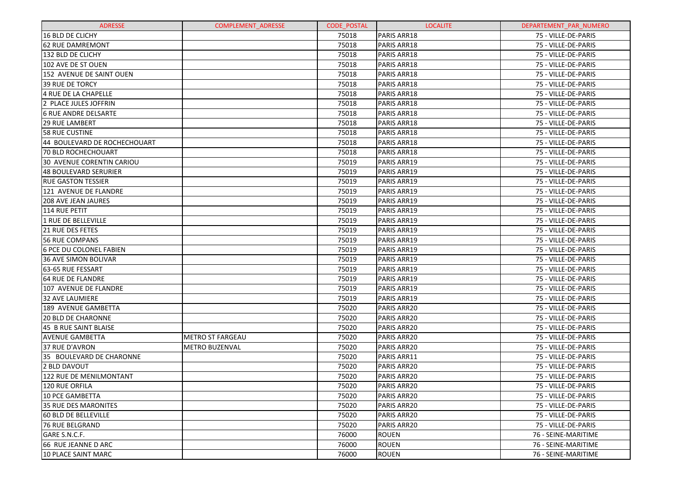| <b>ADRESSE</b>               | <b>COMPLEMENT ADRESSE</b> | <b>CODE POSTAL</b> | <b>LOCALITE</b>    | DEPARTEMENT PAR NUMERO |
|------------------------------|---------------------------|--------------------|--------------------|------------------------|
| 16 BLD DE CLICHY             |                           | 75018              | PARIS ARR18        | 75 - VILLE-DE-PARIS    |
| <b>62 RUE DAMREMONT</b>      |                           | 75018              | PARIS ARR18        | 75 - VILLE-DE-PARIS    |
| 132 BLD DE CLICHY            |                           | 75018              | PARIS ARR18        | 75 - VILLE-DE-PARIS    |
| 102 AVE DE ST OUEN           |                           | 75018              | PARIS ARR18        | 75 - VILLE-DE-PARIS    |
| 152 AVENUE DE SAINT OUEN     |                           | 75018              | PARIS ARR18        | 75 - VILLE-DE-PARIS    |
| <b>39 RUE DE TORCY</b>       |                           | 75018              | PARIS ARR18        | 75 - VILLE-DE-PARIS    |
| 4 RUE DE LA CHAPELLE         |                           | 75018              | PARIS ARR18        | 75 - VILLE-DE-PARIS    |
| 2 PLACE JULES JOFFRIN        |                           | 75018              | PARIS ARR18        | 75 - VILLE-DE-PARIS    |
| 16 RUE ANDRE DELSARTE        |                           | 75018              | PARIS ARR18        | 75 - VILLE-DE-PARIS    |
| 129 RUE LAMBERT              |                           | 75018              | PARIS ARR18        | 75 - VILLE-DE-PARIS    |
| <b>58 RUE CUSTINE</b>        |                           | 75018              | PARIS ARR18        | 75 - VILLE-DE-PARIS    |
| 44 BOULEVARD DE ROCHECHOUART |                           | 75018              | PARIS ARR18        | 75 - VILLE-DE-PARIS    |
| 70 BLD ROCHECHOUART          |                           | 75018              | PARIS ARR18        | 75 - VILLE-DE-PARIS    |
| 30 AVENUE CORENTIN CARIOU    |                           | 75019              | PARIS ARR19        | 75 - VILLE-DE-PARIS    |
| <b>48 BOULEVARD SERURIER</b> |                           | 75019              | PARIS ARR19        | 75 - VILLE-DE-PARIS    |
| <b>RUE GASTON TESSIER</b>    |                           | 75019              | <b>PARIS ARR19</b> | 75 - VILLE-DE-PARIS    |
| 121 AVENUE DE FLANDRE        |                           | 75019              | PARIS ARR19        | 75 - VILLE-DE-PARIS    |
| <b>208 AVE JEAN JAURES</b>   |                           | 75019              | PARIS ARR19        | 75 - VILLE-DE-PARIS    |
| 114 RUE PETIT                |                           | 75019              | <b>PARIS ARR19</b> | 75 - VILLE-DE-PARIS    |
| 1 RUE DE BELLEVILLE          |                           | 75019              | PARIS ARR19        | 75 - VILLE-DE-PARIS    |
| <b>21 RUE DES FETES</b>      |                           | 75019              | <b>PARIS ARR19</b> | 75 - VILLE-DE-PARIS    |
| <b>56 RUE COMPANS</b>        |                           | 75019              | PARIS ARR19        | 75 - VILLE-DE-PARIS    |
| 6 PCE DU COLONEL FABIEN      |                           | 75019              | PARIS ARR19        | 75 - VILLE-DE-PARIS    |
| <b>36 AVE SIMON BOLIVAR</b>  |                           | 75019              | <b>PARIS ARR19</b> | 75 - VILLE-DE-PARIS    |
| 63-65 RUE FESSART            |                           | 75019              | PARIS ARR19        | 75 - VILLE-DE-PARIS    |
| <b>64 RUE DE FLANDRE</b>     |                           | 75019              | PARIS ARR19        | 75 - VILLE-DE-PARIS    |
| 107 AVENUE DE FLANDRE        |                           | 75019              | <b>PARIS ARR19</b> | 75 - VILLE-DE-PARIS    |
| <b>32 AVE LAUMIERE</b>       |                           | 75019              | PARIS ARR19        | 75 - VILLE-DE-PARIS    |
| 189 AVENUE GAMBETTA          |                           | 75020              | PARIS ARR20        | 75 - VILLE-DE-PARIS    |
| <b>20 BLD DE CHARONNE</b>    |                           | 75020              | PARIS ARR20        | 75 - VILLE-DE-PARIS    |
| 45 B RUE SAINT BLAISE        |                           | 75020              | PARIS ARR20        | 75 - VILLE-DE-PARIS    |
| <b>AVENUE GAMBETTA</b>       | <b>METRO ST FARGEAU</b>   | 75020              | PARIS ARR20        | 75 - VILLE-DE-PARIS    |
| 37 RUE D'AVRON               | <b>METRO BUZENVAL</b>     | 75020              | PARIS ARR20        | 75 - VILLE-DE-PARIS    |
| 35 BOULEVARD DE CHARONNE     |                           | 75020              | PARIS ARR11        | 75 - VILLE-DE-PARIS    |
| 2 BLD DAVOUT                 |                           | 75020              | PARIS ARR20        | 75 - VILLE-DE-PARIS    |
| 122 RUE DE MENILMONTANT      |                           | 75020              | PARIS ARR20        | 75 - VILLE-DE-PARIS    |
| 120 RUE ORFILA               |                           | 75020              | PARIS ARR20        | 75 - VILLE-DE-PARIS    |
| 10 PCE GAMBETTA              |                           | 75020              | <b>PARIS ARR20</b> | 75 - VILLE-DE-PARIS    |
| <b>35 RUE DES MARONITES</b>  |                           | 75020              | PARIS ARR20        | 75 - VILLE-DE-PARIS    |
| <b>60 BLD DE BELLEVILLE</b>  |                           | 75020              | PARIS ARR20        | 75 - VILLE-DE-PARIS    |
| 76 RUE BELGRAND              |                           | 75020              | PARIS ARR20        | 75 - VILLE-DE-PARIS    |
| GARE S.N.C.F.                |                           | 76000              | <b>ROUEN</b>       | 76 - SEINE-MARITIME    |
| 66 RUE JEANNE D ARC          |                           | 76000              | <b>ROUEN</b>       | 76 - SEINE-MARITIME    |
| 10 PLACE SAINT MARC          |                           | 76000              | <b>ROUEN</b>       | 76 - SEINE-MARITIME    |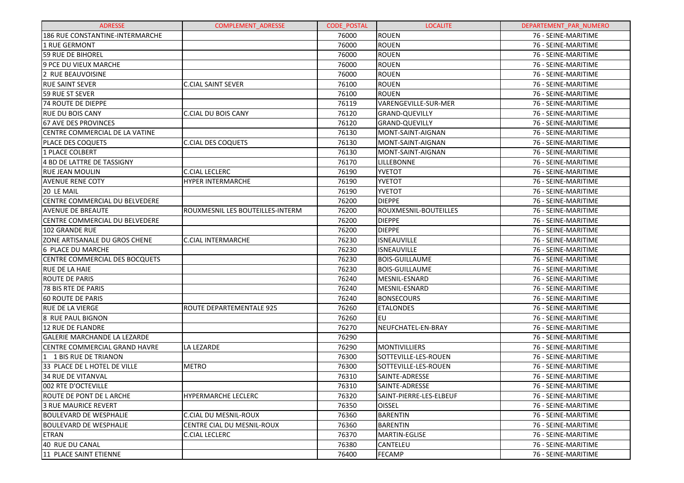| <b>ADRESSE</b>                        | <b>COMPLEMENT ADRESSE</b>        | <b>CODE POSTAL</b> | <b>LOCALITE</b>         | DEPARTEMENT PAR NUMERO |
|---------------------------------------|----------------------------------|--------------------|-------------------------|------------------------|
| 186 RUE CONSTANTINE-INTERMARCHE       |                                  | 76000              | <b>ROUEN</b>            | 76 - SEINE-MARITIME    |
| 1 RUE GERMONT                         |                                  | 76000              | <b>ROUEN</b>            | 76 - SEINE-MARITIME    |
| <b>59 RUE DE BIHOREL</b>              |                                  | 76000              | <b>ROUEN</b>            | 76 - SEINE-MARITIME    |
| 9 PCE DU VIEUX MARCHE                 |                                  | 76000              | <b>ROUEN</b>            | 76 - SEINE-MARITIME    |
| 2 RUE BEAUVOISINE                     |                                  | 76000              | <b>ROUEN</b>            | 76 - SEINE-MARITIME    |
| <b>RUE SAINT SEVER</b>                | <b>C.CIAL SAINT SEVER</b>        | 76100              | <b>ROUEN</b>            | 76 - SEINE-MARITIME    |
| 59 RUE ST SEVER                       |                                  | 76100              | <b>ROUEN</b>            | 76 - SEINE-MARITIME    |
| <b>74 ROUTE DE DIEPPE</b>             |                                  | 76119              | VARENGEVILLE-SUR-MER    | 76 - SEINE-MARITIME    |
| <b>RUE DU BOIS CANY</b>               | <b>C.CIAL DU BOIS CANY</b>       | 76120              | <b>GRAND-QUEVILLY</b>   | 76 - SEINE-MARITIME    |
| <b>67 AVE DES PROVINCES</b>           |                                  | 76120              | <b>GRAND-QUEVILLY</b>   | 76 - SEINE-MARITIME    |
| CENTRE COMMERCIAL DE LA VATINE        |                                  | 76130              | MONT-SAINT-AIGNAN       | 76 - SEINE-MARITIME    |
| <b>PLACE DES COQUETS</b>              | <b>C.CIAL DES COQUETS</b>        | 76130              | MONT-SAINT-AIGNAN       | 76 - SEINE-MARITIME    |
| 1 PLACE COLBERT                       |                                  | 76130              | MONT-SAINT-AIGNAN       | 76 - SEINE-MARITIME    |
| 4 BD DE LATTRE DE TASSIGNY            |                                  | 76170              | LILLEBONNE              | 76 - SEINE-MARITIME    |
| <b>RUE JEAN MOULIN</b>                | <b>C.CIAL LECLERC</b>            | 76190              | <b>YVETOT</b>           | 76 - SEINE-MARITIME    |
| <b>AVENUE RENE COTY</b>               | <b>HYPER INTERMARCHE</b>         | 76190              | <b>YVETOT</b>           | 76 - SEINE-MARITIME    |
| 20 LE MAIL                            |                                  | 76190              | <b>YVETOT</b>           | 76 - SEINE-MARITIME    |
| CENTRE COMMERCIAL DU BELVEDERE        |                                  | 76200              | <b>DIEPPE</b>           | 76 - SEINE-MARITIME    |
| <b>AVENUE DE BREAUTE</b>              | ROUXMESNIL LES BOUTEILLES-INTERM | 76200              | ROUXMESNIL-BOUTEILLES   | 76 - SEINE-MARITIME    |
| CENTRE COMMERCIAL DU BELVEDERE        |                                  | 76200              | <b>DIEPPE</b>           | 76 - SEINE-MARITIME    |
| 102 GRANDE RUE                        |                                  | 76200              | <b>DIEPPE</b>           | 76 - SEINE-MARITIME    |
| <b>ZONE ARTISANALE DU GROS CHENE</b>  | <b>C.CIAL INTERMARCHE</b>        | 76230              | ISNEAUVILLE             | 76 - SEINE-MARITIME    |
| 6 PLACE DU MARCHE                     |                                  | 76230              | <b>ISNEAUVILLE</b>      | 76 - SEINE-MARITIME    |
| <b>CENTRE COMMERCIAL DES BOCQUETS</b> |                                  | 76230              | <b>BOIS-GUILLAUME</b>   | 76 - SEINE-MARITIME    |
| <b>RUE DE LA HAIE</b>                 |                                  | 76230              | <b>BOIS-GUILLAUME</b>   | 76 - SEINE-MARITIME    |
| <b>ROUTE DE PARIS</b>                 |                                  | 76240              | MESNIL-ESNARD           | 76 - SEINE-MARITIME    |
| 78 BIS RTE DE PARIS                   |                                  | 76240              | MESNIL-ESNARD           | 76 - SEINE-MARITIME    |
| <b>60 ROUTE DE PARIS</b>              |                                  | 76240              | <b>BONSECOURS</b>       | 76 - SEINE-MARITIME    |
| <b>RUE DE LA VIERGE</b>               | ROUTE DEPARTEMENTALE 925         | 76260              | <b>ETALONDES</b>        | 76 - SEINE-MARITIME    |
| 8 RUE PAUL BIGNON                     |                                  | 76260              | EU                      | 76 - SEINE-MARITIME    |
| <b>12 RUE DE FLANDRE</b>              |                                  | 76270              | NEUFCHATEL-EN-BRAY      | 76 - SEINE-MARITIME    |
| <b>GALERIE MARCHANDE LA LEZARDE</b>   |                                  | 76290              |                         | 76 - SEINE-MARITIME    |
| <b>CENTRE COMMERCIAL GRAND HAVRE</b>  | <b>LA LEZARDE</b>                | 76290              | <b>MONTIVILLIERS</b>    | 76 - SEINE-MARITIME    |
| 1 1 BIS RUE DE TRIANON                |                                  | 76300              | SOTTEVILLE-LES-ROUEN    | 76 - SEINE-MARITIME    |
| 33 PLACE DE L HOTEL DE VILLE          | <b>METRO</b>                     | 76300              | SOTTEVILLE-LES-ROUEN    | 76 - SEINE-MARITIME    |
| 34 RUE DE VITANVAL                    |                                  | 76310              | SAINTE-ADRESSE          | 76 - SEINE-MARITIME    |
| 002 RTE D'OCTEVILLE                   |                                  | 76310              | SAINTE-ADRESSE          | 76 - SEINE-MARITIME    |
| ROUTE DE PONT DE LARCHE               | <b>HYPERMARCHE LECLERC</b>       | 76320              | SAINT-PIERRE-LES-ELBEUF | 76 - SEINE-MARITIME    |
| 3 RUE MAURICE REVERT                  |                                  | 76350              | <b>OISSEL</b>           | 76 - SEINE-MARITIME    |
| <b>BOULEVARD DE WESPHALIE</b>         | <b>C.CIAL DU MESNIL-ROUX</b>     | 76360              | <b>BARENTIN</b>         | 76 - SEINE-MARITIME    |
| <b>BOULEVARD DE WESPHALIE</b>         | CENTRE CIAL DU MESNIL-ROUX       | 76360              | <b>BARENTIN</b>         | 76 - SEINE-MARITIME    |
| <b>ETRAN</b>                          | <b>C.CIAL LECLERC</b>            | 76370              | <b>MARTIN-EGLISE</b>    | 76 - SEINE-MARITIME    |
| 40 RUE DU CANAL                       |                                  | 76380              | CANTELEU                | 76 - SEINE-MARITIME    |
| 11 PLACE SAINT ETIENNE                |                                  | 76400              | <b>FECAMP</b>           | 76 - SEINE-MARITIME    |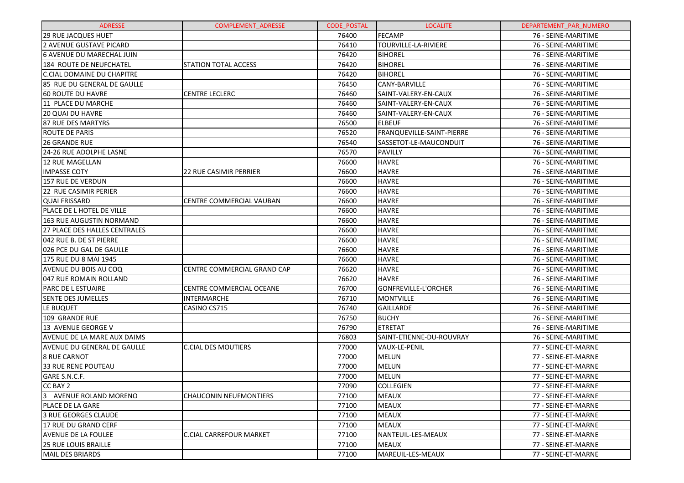| <b>ADRESSE</b>                    | <b>COMPLEMENT ADRESSE</b>       | <b>CODE POSTAL</b> | <b>LOCALITE</b>             | DEPARTEMENT_PAR_NUMERO |
|-----------------------------------|---------------------------------|--------------------|-----------------------------|------------------------|
| 29 RUE JACQUES HUET               |                                 | 76400              | <b>FECAMP</b>               | 76 - SEINE-MARITIME    |
| <b>2 AVENUE GUSTAVE PICARD</b>    |                                 | 76410              | TOURVILLE-LA-RIVIERE        | 76 - SEINE-MARITIME    |
| 6 AVENUE DU MARECHAL JUIN         |                                 | 76420              | <b>BIHOREL</b>              | 76 - SEINE-MARITIME    |
| 184 ROUTE DE NEUFCHATEL           | <b>STATION TOTAL ACCESS</b>     | 76420              | <b>BIHOREL</b>              | 76 - SEINE-MARITIME    |
| <b>C.CIAL DOMAINE DU CHAPITRE</b> |                                 | 76420              | <b>BIHOREL</b>              | 76 - SEINE-MARITIME    |
| 85 RUE DU GENERAL DE GAULLE       |                                 | 76450              | CANY-BARVILLE               | 76 - SEINE-MARITIME    |
| 60 ROUTE DU HAVRE                 | <b>CENTRE LECLERC</b>           | 76460              | SAINT-VALERY-EN-CAUX        | 76 - SEINE-MARITIME    |
| 11 PLACE DU MARCHE                |                                 | 76460              | SAINT-VALERY-EN-CAUX        | 76 - SEINE-MARITIME    |
| <b>20 QUAI DU HAVRE</b>           |                                 | 76460              | SAINT-VALERY-EN-CAUX        | 76 - SEINE-MARITIME    |
| 87 RUE DES MARTYRS                |                                 | 76500              | <b>ELBEUF</b>               | 76 - SEINE-MARITIME    |
| <b>ROUTE DE PARIS</b>             |                                 | 76520              | FRANQUEVILLE-SAINT-PIERRE   | 76 - SEINE-MARITIME    |
| 26 GRANDE RUE                     |                                 | 76540              | SASSETOT-LE-MAUCONDUIT      | 76 - SEINE-MARITIME    |
| 24-26 RUE ADOLPHE LASNE           |                                 | 76570              | PAVILLY                     | 76 - SEINE-MARITIME    |
| 12 RUE MAGELLAN                   |                                 | 76600              | <b>HAVRE</b>                | 76 - SEINE-MARITIME    |
| <b>IMPASSE COTY</b>               | <b>22 RUE CASIMIR PERRIER</b>   | 76600              | <b>HAVRE</b>                | 76 - SEINE-MARITIME    |
| 157 RUE DE VERDUN                 |                                 | 76600              | <b>HAVRE</b>                | 76 - SEINE-MARITIME    |
| 22 RUE CASIMIR PERIER             |                                 | 76600              | <b>HAVRE</b>                | 76 - SEINE-MARITIME    |
| <b>QUAI FRISSARD</b>              | <b>CENTRE COMMERCIAL VAUBAN</b> | 76600              | <b>HAVRE</b>                | 76 - SEINE-MARITIME    |
| PLACE DE L HOTEL DE VILLE         |                                 | 76600              | <b>HAVRE</b>                | 76 - SEINE-MARITIME    |
| 163 RUE AUGUSTIN NORMAND          |                                 | 76600              | <b>HAVRE</b>                | 76 - SEINE-MARITIME    |
| 27 PLACE DES HALLES CENTRALES     |                                 | 76600              | <b>HAVRE</b>                | 76 - SEINE-MARITIME    |
| 042 RUE B. DE ST PIERRE           |                                 | 76600              | <b>HAVRE</b>                | 76 - SEINE-MARITIME    |
| 026 PCE DU GAL DE GAULLE          |                                 | 76600              | <b>HAVRE</b>                | 76 - SEINE-MARITIME    |
| 175 RUE DU 8 MAI 1945             |                                 | 76600              | <b>HAVRE</b>                | 76 - SEINE-MARITIME    |
| AVENUE DU BOIS AU COQ             | CENTRE COMMERCIAL GRAND CAP     | 76620              | <b>HAVRE</b>                | 76 - SEINE-MARITIME    |
| 047 RUE ROMAIN ROLLAND            |                                 | 76620              | <b>HAVRE</b>                | 76 - SEINE-MARITIME    |
| PARC DE L ESTUAIRE                | CENTRE COMMERCIAL OCEANE        | 76700              | <b>GONFREVILLE-L'ORCHER</b> | 76 - SEINE-MARITIME    |
| <b>SENTE DES JUMELLES</b>         | <b>INTERMARCHE</b>              | 76710              | <b>MONTVILLE</b>            | 76 - SEINE-MARITIME    |
| LE BUQUET                         | CASINO CS715                    | 76740              | GAILLARDE                   | 76 - SEINE-MARITIME    |
| 109 GRANDE RUE                    |                                 | 76750              | <b>BUCHY</b>                | 76 - SEINE-MARITIME    |
| 13 AVENUE GEORGE V                |                                 | 76790              | <b>ETRETAT</b>              | 76 - SEINE-MARITIME    |
| AVENUE DE LA MARE AUX DAIMS       |                                 | 76803              | SAINT-ETIENNE-DU-ROUVRAY    | 76 - SEINE-MARITIME    |
| AVENUE DU GENERAL DE GAULLE       | <b>C.CIAL DES MOUTIERS</b>      | 77000              | VAUX-LE-PENIL               | 77 - SEINE-ET-MARNE    |
| <b>8 RUE CARNOT</b>               |                                 | 77000              | <b>MELUN</b>                | 77 - SEINE-ET-MARNE    |
| 33 RUE RENE POUTEAU               |                                 | 77000              | <b>MELUN</b>                | 77 - SEINE-ET-MARNE    |
| GARE S.N.C.F.                     |                                 | 77000              | <b>MELUN</b>                | 77 - SEINE-ET-MARNE    |
| CC BAY 2                          |                                 | 77090              | <b>COLLEGIEN</b>            | 77 - SEINE-ET-MARNE    |
| 3 AVENUE ROLAND MORENO            | <b>CHAUCONIN NEUFMONTIERS</b>   | 77100              | <b>MEAUX</b>                | 77 - SEINE-ET-MARNE    |
| PLACE DE LA GARE                  |                                 | 77100              | <b>MEAUX</b>                | 77 - SEINE-ET-MARNE    |
| 3 RUE GEORGES CLAUDE              |                                 | 77100              | <b>MEAUX</b>                | 77 - SEINE-ET-MARNE    |
| 17 RUE DU GRAND CERF              |                                 | 77100              | <b>MEAUX</b>                | 77 - SEINE-ET-MARNE    |
| <b>AVENUE DE LA FOULEE</b>        | C.CIAL CARREFOUR MARKET         | 77100              | NANTEUIL-LES-MEAUX          | 77 - SEINE-ET-MARNE    |
| <b>25 RUE LOUIS BRAILLE</b>       |                                 | 77100              | <b>MEAUX</b>                | 77 - SEINE-ET-MARNE    |
| MAIL DES BRIARDS                  |                                 | 77100              | MAREUIL-LES-MEAUX           | 77 - SEINE-ET-MARNE    |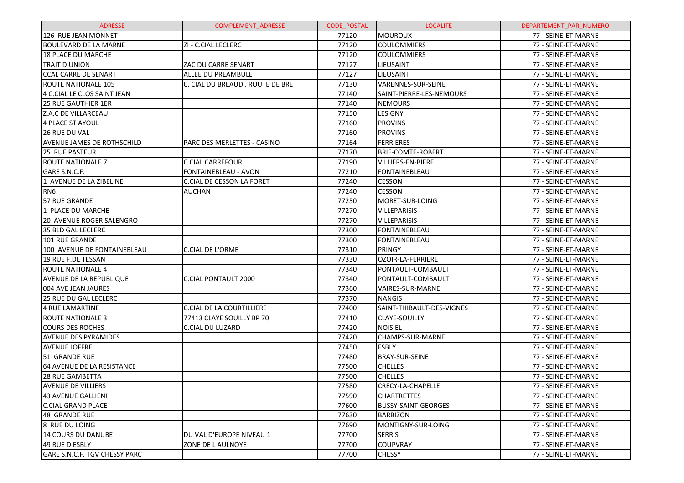| <b>ADRESSE</b>                    | <b>COMPLEMENT ADRESSE</b>       | <b>CODE POSTAL</b> | <b>LOCALITE</b>            | DEPARTEMENT PAR NUMERO |
|-----------------------------------|---------------------------------|--------------------|----------------------------|------------------------|
| 126 RUE JEAN MONNET               |                                 | 77120              | MOUROUX                    | 77 - SEINE-ET-MARNE    |
| <b>BOULEVARD DE LA MARNE</b>      | ZI - C.CIAL LECLERC             | 77120              | <b>COULOMMIERS</b>         | 77 - SEINE-ET-MARNE    |
| 18 PLACE DU MARCHE                |                                 | 77120              | <b>COULOMMIERS</b>         | 77 - SEINE-ET-MARNE    |
| <b>TRAIT D UNION</b>              | ZAC DU CARRE SENART             | 77127              | LIEUSAINT                  | 77 - SEINE-ET-MARNE    |
| <b>CCAL CARRE DE SENART</b>       | ALLEE DU PREAMBULE              | 77127              | LIEUSAINT                  | 77 - SEINE-ET-MARNE    |
| ROUTE NATIONALE 105               | C. CIAL DU BREAUD, ROUTE DE BRE | 77130              | VARENNES-SUR-SEINE         | 77 - SEINE-ET-MARNE    |
| 4 C.CIAL LE CLOS SAINT JEAN       |                                 | 77140              | SAINT-PIERRE-LES-NEMOURS   | 77 - SEINE-ET-MARNE    |
| <b>25 RUE GAUTHIER 1ER</b>        |                                 | 77140              | <b>NEMOURS</b>             | 77 - SEINE-ET-MARNE    |
| Z.A.C DE VILLARCEAU               |                                 | 77150              | LESIGNY                    | 77 - SEINE-ET-MARNE    |
| 4 PLACE ST AYOUL                  |                                 | 77160              | <b>PROVINS</b>             | 77 - SEINE-ET-MARNE    |
| <b>26 RUE DU VAL</b>              |                                 | 77160              | <b>PROVINS</b>             | 77 - SEINE-ET-MARNE    |
| <b>AVENUE JAMES DE ROTHSCHILD</b> | PARC DES MERLETTES - CASINO     | 77164              | <b>FERRIERES</b>           | 77 - SEINE-ET-MARNE    |
| <b>25 RUE PASTEUR</b>             |                                 | 77170              | <b>BRIE-COMTE-ROBERT</b>   | 77 - SEINE-ET-MARNE    |
| <b>ROUTE NATIONALE 7</b>          | <b>C.CIAL CARREFOUR</b>         | 77190              | VILLIERS-EN-BIERE          | 77 - SEINE-ET-MARNE    |
| GARE S.N.C.F.                     | FONTAINEBLEAU - AVON            | 77210              | <b>FONTAINEBLEAU</b>       | 77 - SEINE-ET-MARNE    |
| 1 AVENUE DE LA ZIBELINE           | C.CIAL DE CESSON LA FORET       | 77240              | <b>CESSON</b>              | 77 - SEINE-ET-MARNE    |
| RN <sub>6</sub>                   | AUCHAN                          | 77240              | <b>CESSON</b>              | 77 - SEINE-ET-MARNE    |
| 57 RUE GRANDE                     |                                 | 77250              | MORET-SUR-LOING            | 77 - SEINE-ET-MARNE    |
| 1 PLACE DU MARCHE                 |                                 | 77270              | <b>VILLEPARISIS</b>        | 77 - SEINE-ET-MARNE    |
| <b>20 AVENUE ROGER SALENGRO</b>   |                                 | 77270              | <b>VILLEPARISIS</b>        | 77 - SEINE-ET-MARNE    |
| 35 BLD GAL LECLERC                |                                 | 77300              | <b>FONTAINEBLEAU</b>       | 77 - SEINE-ET-MARNE    |
| <b>101 RUE GRANDE</b>             |                                 | 77300              | <b>FONTAINEBLEAU</b>       | 77 - SEINE-ET-MARNE    |
| 100 AVENUE DE FONTAINEBLEAU       | <b>C.CIAL DE L'ORME</b>         | 77310              | <b>PRINGY</b>              | 77 - SEINE-ET-MARNE    |
| 19 RUE F.DE TESSAN                |                                 | 77330              | OZOIR-LA-FERRIERE          | 77 - SEINE-ET-MARNE    |
| <b>ROUTE NATIONALE 4</b>          |                                 | 77340              | PONTAULT-COMBAULT          | 77 - SEINE-ET-MARNE    |
| <b>AVENUE DE LA REPUBLIQUE</b>    | <b>C.CIAL PONTAULT 2000</b>     | 77340              | PONTAULT-COMBAULT          | 77 - SEINE-ET-MARNE    |
| 004 AVE JEAN JAURES               |                                 | 77360              | VAIRES-SUR-MARNE           | 77 - SEINE-ET-MARNE    |
| <b>25 RUE DU GAL LECLERC</b>      |                                 | 77370              | <b>NANGIS</b>              | 77 - SEINE-ET-MARNE    |
| 4 RUE LAMARTINE                   | C.CIAL DE LA COURTILLIERE       | 77400              | SAINT-THIBAULT-DES-VIGNES  | 77 - SEINE-ET-MARNE    |
| <b>ROUTE NATIONALE 3</b>          | 77413 CLAYE SOUILLY BP 70       | 77410              | <b>CLAYE-SOUILLY</b>       | 77 - SEINE-ET-MARNE    |
| <b>COURS DES ROCHES</b>           | C.CIAL DU LUZARD                | 77420              | <b>NOISIEL</b>             | 77 - SEINE-ET-MARNE    |
| <b>AVENUE DES PYRAMIDES</b>       |                                 | 77420              | CHAMPS-SUR-MARNE           | 77 - SEINE-ET-MARNE    |
| <b>AVENUE JOFFRE</b>              |                                 | 77450              | <b>ESBLY</b>               | 77 - SEINE-ET-MARNE    |
| 51 GRANDE RUE                     |                                 | 77480              | <b>BRAY-SUR-SEINE</b>      | 77 - SEINE-ET-MARNE    |
| 64 AVENUE DE LA RESISTANCE        |                                 | 77500              | <b>CHELLES</b>             | 77 - SEINE-ET-MARNE    |
| <b>28 RUE GAMBETTA</b>            |                                 | 77500              | <b>CHELLES</b>             | 77 - SEINE-ET-MARNE    |
| <b>AVENUE DE VILLIERS</b>         |                                 | 77580              | CRECY-LA-CHAPELLE          | 77 - SEINE-ET-MARNE    |
| 43 AVENUE GALLIENI                |                                 | 77590              | <b>CHARTRETTES</b>         | 77 - SEINE-ET-MARNE    |
| <b>C.CIAL GRAND PLACE</b>         |                                 | 77600              | <b>BUSSY-SAINT-GEORGES</b> | 77 - SEINE-ET-MARNE    |
| 48 GRANDE RUE                     |                                 | 77630              | <b>BARBIZON</b>            | 77 - SEINE-ET-MARNE    |
| 8 RUE DU LOING                    |                                 | 77690              | MONTIGNY-SUR-LOING         | 77 - SEINE-ET-MARNE    |
| 14 COURS DU DANUBE                | DU VAL D'EUROPE NIVEAU 1        | 77700              | <b>SERRIS</b>              | 77 - SEINE-ET-MARNE    |
| 49 RUE D ESBLY                    | ZONE DE L AULNOYE               | 77700              | <b>COUPVRAY</b>            | 77 - SEINE-ET-MARNE    |
| GARE S.N.C.F. TGV CHESSY PARC     |                                 | 77700              | <b>CHESSY</b>              | 77 - SEINE-ET-MARNE    |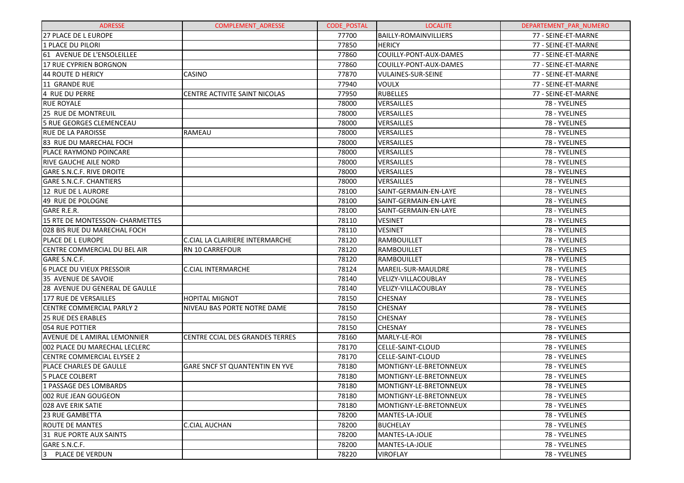| <b>ADRESSE</b>                    | <b>COMPLEMENT ADRESSE</b>       | <b>CODE POSTAL</b> | <b>LOCALITE</b>              | DEPARTEMENT PAR NUMERO |
|-----------------------------------|---------------------------------|--------------------|------------------------------|------------------------|
| <b>27 PLACE DE L EUROPE</b>       |                                 | 77700              | <b>BAILLY-ROMAINVILLIERS</b> | 77 - SEINE-ET-MARNE    |
| 1 PLACE DU PILORI                 |                                 | 77850              | <b>HERICY</b>                | 77 - SEINE-ET-MARNE    |
| 61 AVENUE DE L'ENSOLEILLEE        |                                 | 77860              | COUILLY-PONT-AUX-DAMES       | 77 - SEINE-ET-MARNE    |
| 17 RUE CYPRIEN BORGNON            |                                 | 77860              | COUILLY-PONT-AUX-DAMES       | 77 - SEINE-ET-MARNE    |
| 44 ROUTE D HERICY                 | <b>CASINO</b>                   | 77870              | VULAINES-SUR-SEINE           | 77 - SEINE-ET-MARNE    |
| 11 GRANDE RUE                     |                                 | 77940              | <b>VOULX</b>                 | 77 - SEINE-ET-MARNE    |
| 4 RUE DU PERRE                    | CENTRE ACTIVITE SAINT NICOLAS   | 77950              | <b>RUBELLES</b>              | 77 - SEINE-ET-MARNE    |
| <b>RUE ROYALE</b>                 |                                 | 78000              | VERSAILLES                   | 78 - YVELINES          |
| <b>25 RUE DE MONTREUIL</b>        |                                 | 78000              | VERSAILLES                   | 78 - YVELINES          |
| 5 RUE GEORGES CLEMENCEAU          |                                 | 78000              | VERSAILLES                   | 78 - YVELINES          |
| <b>IRUE DE LA PAROISSE</b>        | <b>RAMEAU</b>                   | 78000              | VERSAILLES                   | 78 - YVELINES          |
| 83 RUE DU MARECHAL FOCH           |                                 | 78000              | VERSAILLES                   | 78 - YVELINES          |
| <b>PLACE RAYMOND POINCARE</b>     |                                 | 78000              | VERSAILLES                   | 78 - YVELINES          |
| IRIVE GAUCHE AILE NORD            |                                 | 78000              | VERSAILLES                   | 78 - YVELINES          |
| <b>GARE S.N.C.F. RIVE DROITE</b>  |                                 | 78000              | VERSAILLES                   | 78 - YVELINES          |
| <b>GARE S.N.C.F. CHANTIERS</b>    |                                 | 78000              | VERSAILLES                   | 78 - YVELINES          |
| 12 RUE DE L AURORE                |                                 | 78100              | SAINT-GERMAIN-EN-LAYE        | 78 - YVELINES          |
| 49 RUE DE POLOGNE                 |                                 | 78100              | SAINT-GERMAIN-EN-LAYE        | 78 - YVELINES          |
| <b>GARE R.E.R.</b>                |                                 | 78100              | SAINT-GERMAIN-EN-LAYE        | 78 - YVELINES          |
| 15 RTE DE MONTESSON- CHARMETTES   |                                 | 78110              | <b>VESINET</b>               | 78 - YVELINES          |
| 028 BIS RUE DU MARECHAL FOCH      |                                 | 78110              | <b>VESINET</b>               | 78 - YVELINES          |
| IPLACE DE L EUROPE                | C.CIAL LA CLAIRIERE INTERMARCHE | 78120              | RAMBOUILLET                  | 78 - YVELINES          |
| CENTRE COMMERCIAL DU BEL AIR      | <b>RN 10 CARREFOUR</b>          | 78120              | RAMBOUILLET                  | 78 - YVELINES          |
| GARE S.N.C.F.                     |                                 | 78120              | RAMBOUILLET                  | 78 - YVELINES          |
| 6 PLACE DU VIEUX PRESSOIR         | <b>C.CIAL INTERMARCHE</b>       | 78124              | MAREIL-SUR-MAULDRE           | 78 - YVELINES          |
| 35 AVENUE DE SAVOIE               |                                 | 78140              | VELIZY-VILLACOUBLAY          | 78 - YVELINES          |
| 28 AVENUE DU GENERAL DE GAULLE    |                                 | 78140              | <b>VELIZY-VILLACOUBLAY</b>   | 78 - YVELINES          |
| 177 RUE DE VERSAILLES             | <b>HOPITAL MIGNOT</b>           | 78150              | <b>CHESNAY</b>               | 78 - YVELINES          |
| <b>CENTRE COMMERCIAL PARLY 2</b>  | NIVEAU BAS PORTE NOTRE DAME     | 78150              | <b>CHESNAY</b>               | 78 - YVELINES          |
| <b>25 RUE DES ERABLES</b>         |                                 | 78150              | <b>CHESNAY</b>               | 78 - YVELINES          |
| 1054 RUE POTTIER                  |                                 | 78150              | <b>CHESNAY</b>               | 78 - YVELINES          |
| AVENUE DE L AMIRAL LEMONNIER      | CENTRE CCIAL DES GRANDES TERRES | 78160              | MARLY-LE-ROI                 | 78 - YVELINES          |
| 002 PLACE DU MARECHAL LECLERC     |                                 | 78170              | CELLE-SAINT-CLOUD            | 78 - YVELINES          |
| <b>CENTRE COMMERCIAL ELYSEE 2</b> |                                 | 78170              | CELLE-SAINT-CLOUD            | 78 - YVELINES          |
| PLACE CHARLES DE GAULLE           | GARE SNCF ST QUANTENTIN EN YVE  | 78180              | MONTIGNY-LE-BRETONNEUX       | 78 - YVELINES          |
| <b>5 PLACE COLBERT</b>            |                                 | 78180              | MONTIGNY-LE-BRETONNEUX       | 78 - YVELINES          |
| 1 PASSAGE DES LOMBARDS            |                                 | 78180              | MONTIGNY-LE-BRETONNEUX       | 78 - YVELINES          |
| 1002 RUE JEAN GOUGEON             |                                 | 78180              | MONTIGNY-LE-BRETONNEUX       | 78 - YVELINES          |
| 1028 AVE ERIK SATIE               |                                 | 78180              | MONTIGNY-LE-BRETONNEUX       | 78 - YVELINES          |
| <b>23 RUE GAMBETTA</b>            |                                 | 78200              | MANTES-LA-JOLIE              | 78 - YVELINES          |
| ROUTE DE MANTES                   | C.CIAL AUCHAN                   | 78200              | <b>BUCHELAY</b>              | 78 - YVELINES          |
| 131 RUE PORTE AUX SAINTS          |                                 | 78200              | MANTES-LA-JOLIE              | 78 - YVELINES          |
| GARE S.N.C.F.                     |                                 | 78200              | MANTES-LA-JOLIE              | 78 - YVELINES          |
| 3 PLACE DE VERDUN                 |                                 | 78220              | <b>VIROFLAY</b>              | 78 - YVELINES          |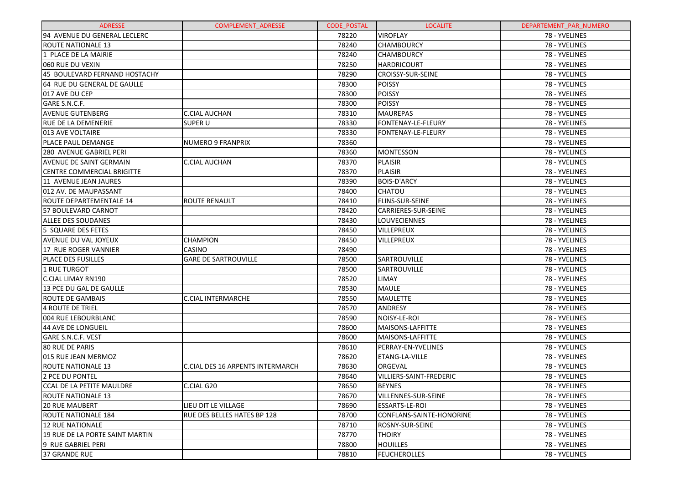| <b>ADRESSE</b>                    | <b>COMPLEMENT ADRESSE</b>        | <b>CODE POSTAL</b> | <b>LOCALITE</b>                | DEPARTEMENT_PAR_NUMERO |
|-----------------------------------|----------------------------------|--------------------|--------------------------------|------------------------|
| 94 AVENUE DU GENERAL LECLERC      |                                  | 78220              | <b>VIROFLAY</b>                | 78 - YVELINES          |
| <b>ROUTE NATIONALE 13</b>         |                                  | 78240              | <b>CHAMBOURCY</b>              | 78 - YVELINES          |
| 1 PLACE DE LA MAIRIE              |                                  | 78240              | <b>CHAMBOURCY</b>              | 78 - YVELINES          |
| 060 RUE DU VEXIN                  |                                  | 78250              | <b>HARDRICOURT</b>             | 78 - YVELINES          |
| 45 BOULEVARD FERNAND HOSTACHY     |                                  | 78290              | <b>CROISSY-SUR-SEINE</b>       | 78 - YVELINES          |
| 64 RUE DU GENERAL DE GAULLE       |                                  | 78300              | <b>POISSY</b>                  | 78 - YVELINES          |
| 017 AVE DU CEP                    |                                  | 78300              | <b>POISSY</b>                  | 78 - YVELINES          |
| GARE S.N.C.F.                     |                                  | 78300              | <b>POISSY</b>                  | 78 - YVELINES          |
| <b>AVENUE GUTENBERG</b>           | <b>C.CIAL AUCHAN</b>             | 78310              | <b>MAUREPAS</b>                | 78 - YVELINES          |
| RUE DE LA DEMENERIE               | <b>SUPER U</b>                   | 78330              | FONTENAY-LE-FLEURY             | 78 - YVELINES          |
| 013 AVE VOLTAIRE                  |                                  | 78330              | FONTENAY-LE-FLEURY             | 78 - YVELINES          |
| PLACE PAUL DEMANGE                | <b>NUMERO 9 FRANPRIX</b>         | 78360              |                                | 78 - YVELINES          |
| 280 AVENUE GABRIEL PERI           |                                  | 78360              | <b>MONTESSON</b>               | 78 - YVELINES          |
| AVENUE DE SAINT GERMAIN           | <b>C.CIAL AUCHAN</b>             | 78370              | <b>PLAISIR</b>                 | 78 - YVELINES          |
| <b>CENTRE COMMERCIAL BRIGITTE</b> |                                  | 78370              | <b>PLAISIR</b>                 | 78 - YVELINES          |
| 11 AVENUE JEAN JAURES             |                                  | 78390              | <b>BOIS-D'ARCY</b>             | 78 - YVELINES          |
| 012 AV. DE MAUPASSANT             |                                  | 78400              | <b>CHATOU</b>                  | 78 - YVELINES          |
| <b>ROUTE DEPARTEMENTALE 14</b>    | <b>ROUTE RENAULT</b>             | 78410              | FLINS-SUR-SEINE                | 78 - YVELINES          |
| 57 BOULEVARD CARNOT               |                                  | 78420              | <b>CARRIERES-SUR-SEINE</b>     | 78 - YVELINES          |
| <b>ALLEE DES SOUDANES</b>         |                                  | 78430              | LOUVECIENNES                   | 78 - YVELINES          |
| 5 SQUARE DES FETES                |                                  | 78450              | VILLEPREUX                     | 78 - YVELINES          |
| AVENUE DU VAL JOYEUX              | <b>CHAMPION</b>                  | 78450              | VILLEPREUX                     | 78 - YVELINES          |
| <b>17 RUE ROGER VANNIER</b>       | CASINO                           | 78490              |                                | 78 - YVELINES          |
| PLACE DES FUSILLES                | <b>GARE DE SARTROUVILLE</b>      | 78500              | SARTROUVILLE                   | 78 - YVELINES          |
| 1 RUE TURGOT                      |                                  | 78500              | SARTROUVILLE                   | 78 - YVELINES          |
| <b>C.CIAL LIMAY RN190</b>         |                                  | 78520              | LIMAY                          | 78 - YVELINES          |
| 13 PCE DU GAL DE GAULLE           |                                  | 78530              | <b>MAULE</b>                   | 78 - YVELINES          |
| <b>ROUTE DE GAMBAIS</b>           | <b>C.CIAL INTERMARCHE</b>        | 78550              | <b>MAULETTE</b>                | 78 - YVELINES          |
| <b>4 ROUTE DE TRIEL</b>           |                                  | 78570              | <b>ANDRESY</b>                 | 78 - YVELINES          |
| 004 RUE LEBOURBLANC               |                                  | 78590              | NOISY-LE-ROI                   | 78 - YVELINES          |
| 44 AVE DE LONGUEIL                |                                  | 78600              | <b>MAISONS-LAFFITTE</b>        | 78 - YVELINES          |
| GARE S.N.C.F. VEST                |                                  | 78600              | <b>MAISONS-LAFFITTE</b>        | 78 - YVELINES          |
| <b>80 RUE DE PARIS</b>            |                                  | 78610              | PERRAY-EN-YVELINES             | 78 - YVELINES          |
| 015 RUE JEAN MERMOZ               |                                  | 78620              | ETANG-LA-VILLE                 | 78 - YVELINES          |
| <b>ROUTE NATIONALE 13</b>         | C.CIAL DES 16 ARPENTS INTERMARCH | 78630              | ORGEVAL                        | 78 - YVELINES          |
| 2 PCE DU PONTEL                   |                                  | 78640              | <b>VILLIERS-SAINT-FREDERIC</b> | 78 - YVELINES          |
| CCAL DE LA PETITE MAULDRE         | C.CIAL G20                       | 78650              | <b>BEYNES</b>                  | 78 - YVELINES          |
| <b>ROUTE NATIONALE 13</b>         |                                  | 78670              | VILLENNES-SUR-SEINE            | 78 - YVELINES          |
| <b>20 RUE MAUBERT</b>             | LIEU DIT LE VILLAGE              | 78690              | <b>ESSARTS-LE-ROI</b>          | 78 - YVELINES          |
| ROUTE NATIONALE 184               | RUE DES BELLES HATES BP 128      | 78700              | CONFLANS-SAINTE-HONORINE       | 78 - YVELINES          |
| <b>12 RUE NATIONALE</b>           |                                  | 78710              | ROSNY-SUR-SEINE                | 78 - YVELINES          |
| 19 RUE DE LA PORTE SAINT MARTIN   |                                  | 78770              | <b>THOIRY</b>                  | 78 - YVELINES          |
| 9 RUE GABRIEL PERI                |                                  | 78800              | <b>HOUILLES</b>                | 78 - YVELINES          |
| 37 GRANDE RUE                     |                                  | 78810              | <b>FEUCHEROLLES</b>            | 78 - YVELINES          |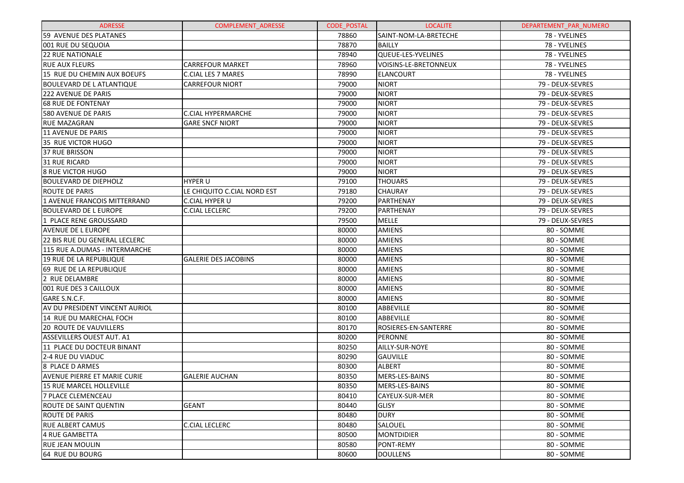| <b>ADRESSE</b>                      | <b>COMPLEMENT ADRESSE</b>   | <b>CODE POSTAL</b> | <b>LOCALITE</b>       | DEPARTEMENT_PAR_NUMERO |
|-------------------------------------|-----------------------------|--------------------|-----------------------|------------------------|
| 59 AVENUE DES PLATANES              |                             | 78860              | SAINT-NOM-LA-BRETECHE | 78 - YVELINES          |
| 001 RUE DU SEQUOIA                  |                             | 78870              | <b>BAILLY</b>         | 78 - YVELINES          |
| 22 RUE NATIONALE                    |                             | 78940              | QUEUE-LES-YVELINES    | 78 - YVELINES          |
| <b>RUE AUX FLEURS</b>               | <b>CARREFOUR MARKET</b>     | 78960              | VOISINS-LE-BRETONNEUX | 78 - YVELINES          |
| 15 RUE DU CHEMIN AUX BOEUFS         | C.CIAL LES 7 MARES          | 78990              | <b>ELANCOURT</b>      | 78 - YVELINES          |
| <b>BOULEVARD DE L ATLANTIQUE</b>    | <b>CARREFOUR NIORT</b>      | 79000              | <b>NIORT</b>          | 79 - DEUX-SEVRES       |
| <b>222 AVENUE DE PARIS</b>          |                             | 79000              | <b>NIORT</b>          | 79 - DEUX-SEVRES       |
| <b>68 RUE DE FONTENAY</b>           |                             | 79000              | <b>NIORT</b>          | 79 - DEUX-SEVRES       |
| 580 AVENUE DE PARIS                 | C.CIAL HYPERMARCHE          | 79000              | <b>NIORT</b>          | 79 - DEUX-SEVRES       |
| <b>RUE MAZAGRAN</b>                 | <b>GARE SNCF NIORT</b>      | 79000              | <b>NIORT</b>          | 79 - DEUX-SEVRES       |
| 11 AVENUE DE PARIS                  |                             | 79000              | <b>NIORT</b>          | 79 - DEUX-SEVRES       |
| 35 RUE VICTOR HUGO                  |                             | 79000              | <b>NIORT</b>          | 79 - DEUX-SEVRES       |
| 37 RUE BRISSON                      |                             | 79000              | <b>NIORT</b>          | 79 - DEUX-SEVRES       |
| 31 RUE RICARD                       |                             | 79000              | <b>NIORT</b>          | 79 - DEUX-SEVRES       |
| 8 RUE VICTOR HUGO                   |                             | 79000              | <b>NIORT</b>          | 79 - DEUX-SEVRES       |
| <b>BOULEVARD DE DIEPHOLZ</b>        | <b>HYPER U</b>              | 79100              | <b>THOUARS</b>        | 79 - DEUX-SEVRES       |
| <b>ROUTE DE PARIS</b>               | LE CHIQUITO C.CIAL NORD EST | 79180              | <b>CHAURAY</b>        | 79 - DEUX-SEVRES       |
| 1 AVENUE FRANCOIS MITTERRAND        | C.CIAL HYPER U              | 79200              | <b>PARTHENAY</b>      | 79 - DEUX-SEVRES       |
| <b>BOULEVARD DE L EUROPE</b>        | <b>C.CIAL LECLERC</b>       | 79200              | PARTHENAY             | 79 - DEUX-SEVRES       |
| 1 PLACE RENE GROUSSARD              |                             | 79500              | MELLE                 | 79 - DEUX-SEVRES       |
| AVENUE DE L EUROPE                  |                             | 80000              | <b>AMIENS</b>         | 80 - SOMME             |
| 22 BIS RUE DU GENERAL LECLERC       |                             | 80000              | <b>AMIENS</b>         | 80 - SOMME             |
| 115 RUE A.DUMAS - INTERMARCHE       |                             | 80000              | <b>AMIENS</b>         | 80 - SOMME             |
| <b>19 RUE DE LA REPUBLIQUE</b>      | <b>GALERIE DES JACOBINS</b> | 80000              | <b>AMIENS</b>         | 80 - SOMME             |
| 69 RUE DE LA REPUBLIQUE             |                             | 80000              | <b>AMIENS</b>         | 80 - SOMME             |
| 2 RUE DELAMBRE                      |                             | 80000              | <b>AMIENS</b>         | 80 - SOMME             |
| 001 RUE DES 3 CAILLOUX              |                             | 80000              | <b>AMIENS</b>         | 80 - SOMME             |
| GARE S.N.C.F.                       |                             | 80000              | <b>AMIENS</b>         | 80 - SOMME             |
| AV DU PRESIDENT VINCENT AURIOL      |                             | 80100              | ABBEVILLE             | 80 - SOMME             |
| 14 RUE DU MARECHAL FOCH             |                             | 80100              | ABBEVILLE             | 80 - SOMME             |
| <b>20 ROUTE DE VAUVILLERS</b>       |                             | 80170              | ROSIERES-EN-SANTERRE  | 80 - SOMME             |
| ASSEVILLERS OUEST AUT. A1           |                             | 80200              | <b>PERONNE</b>        | 80 - SOMME             |
| 11 PLACE DU DOCTEUR BINANT          |                             | 80250              | AILLY-SUR-NOYE        | 80 - SOMME             |
| 2-4 RUE DU VIADUC                   |                             | 80290              | <b>GAUVILLE</b>       | 80 - SOMME             |
| 8 PLACE D ARMES                     |                             | 80300              | <b>ALBERT</b>         | 80 - SOMME             |
| <b>AVENUE PIERRE ET MARIE CURIE</b> | <b>GALERIE AUCHAN</b>       | 80350              | MERS-LES-BAINS        | 80 - SOMME             |
| 15 RUE MARCEL HOLLEVILLE            |                             | 80350              | MERS-LES-BAINS        | 80 - SOMME             |
| 7 PLACE CLEMENCEAU                  |                             | 80410              | CAYEUX-SUR-MER        | 80 - SOMME             |
| ROUTE DE SAINT QUENTIN              | <b>GEANT</b>                | 80440              | <b>GLISY</b>          | 80 - SOMME             |
| <b>ROUTE DE PARIS</b>               |                             | 80480              | <b>DURY</b>           | 80 - SOMME             |
| <b>RUE ALBERT CAMUS</b>             | C.CIAL LECLERC              | 80480              | SALOUEL               | 80 - SOMME             |
| 4 RUE GAMBETTA                      |                             | 80500              | <b>MONTDIDIER</b>     | 80 - SOMME             |
| RUE JEAN MOULIN                     |                             | 80580              | PONT-REMY             | 80 - SOMME             |
| 64 RUE DU BOURG                     |                             | 80600              | <b>DOULLENS</b>       | 80 - SOMME             |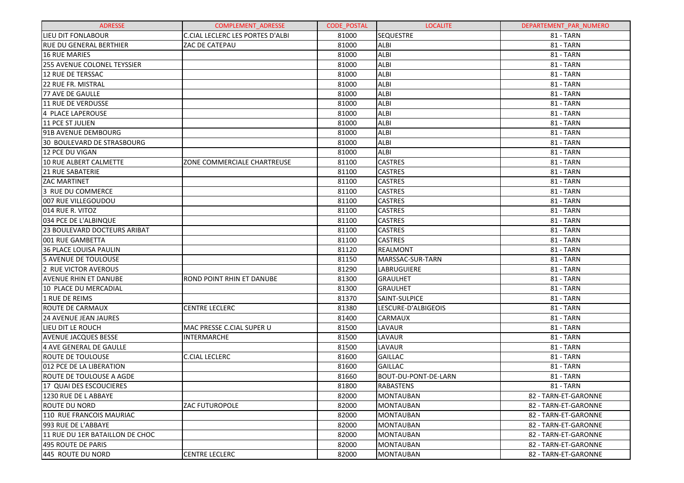| <b>ADRESSE</b>                      | <b>COMPLEMENT ADRESSE</b>        | <b>CODE POSTAL</b> | <b>LOCALITE</b>      | DEPARTEMENT PAR NUMERO |
|-------------------------------------|----------------------------------|--------------------|----------------------|------------------------|
| LIEU DIT FONLABOUR                  | C.CIAL LECLERC LES PORTES D'ALBI | 81000              | <b>SEQUESTRE</b>     | <b>81 - TARN</b>       |
| <b>RUE DU GENERAL BERTHIER</b>      | ZAC DE CATEPAU                   | 81000              | <b>ALBI</b>          | <b>81 - TARN</b>       |
| 16 RUE MARIES                       |                                  | 81000              | <b>ALBI</b>          | <b>81 - TARN</b>       |
| <b>255 AVENUE COLONEL TEYSSIER</b>  |                                  | 81000              | <b>ALBI</b>          | <b>81 - TARN</b>       |
| <b>12 RUE DE TERSSAC</b>            |                                  | 81000              | <b>ALBI</b>          | 81 - TARN              |
| 22 RUE FR. MISTRAL                  |                                  | 81000              | <b>ALBI</b>          | <b>81 - TARN</b>       |
| 77 AVE DE GAULLE                    |                                  | 81000              | <b>ALBI</b>          | <b>81 - TARN</b>       |
| 11 RUE DE VERDUSSE                  |                                  | 81000              | <b>ALBI</b>          | 81 - TARN              |
| 4 PLACE LAPEROUSE                   |                                  | 81000              | <b>ALBI</b>          | <b>81 - TARN</b>       |
| 11 PCE ST JULIEN                    |                                  | 81000              | <b>ALBI</b>          | <b>81 - TARN</b>       |
| 191B AVENUE DEMBOURG                |                                  | 81000              | <b>ALBI</b>          | 81 - TARN              |
| 30 BOULEVARD DE STRASBOURG          |                                  | 81000              | <b>ALBI</b>          | <b>81 - TARN</b>       |
| l12 PCE DU VIGAN                    |                                  | 81000              | <b>ALBI</b>          | <b>81 - TARN</b>       |
| 10 RUE ALBERT CALMETTE              | ZONE COMMERCIALE CHARTREUSE      | 81100              | <b>CASTRES</b>       | 81 - TARN              |
| <b>21 RUE SABATERIE</b>             |                                  | 81100              | <b>CASTRES</b>       | <b>81 - TARN</b>       |
| <b>ZAC MARTINET</b>                 |                                  | 81100              | <b>CASTRES</b>       | <b>81 - TARN</b>       |
| 3 RUE DU COMMERCE                   |                                  | 81100              | <b>CASTRES</b>       | 81 - TARN              |
| 007 RUE VILLEGOUDOU                 |                                  | 81100              | <b>CASTRES</b>       | <b>81 - TARN</b>       |
| 014 RUE R. VITOZ                    |                                  | 81100              | <b>CASTRES</b>       | <b>81 - TARN</b>       |
| 034 PCE DE L'ALBINQUE               |                                  | 81100              | <b>CASTRES</b>       | 81 - TARN              |
| <b>23 BOULEVARD DOCTEURS ARIBAT</b> |                                  | 81100              | <b>CASTRES</b>       | <b>81 - TARN</b>       |
| 001 RUE GAMBETTA                    |                                  | 81100              | <b>CASTRES</b>       | 81 - TARN              |
| 36 PLACE LOUISA PAULIN              |                                  | 81120              | <b>REALMONT</b>      | 81 - TARN              |
| 5 AVENUE DE TOULOUSE                |                                  | 81150              | MARSSAC-SUR-TARN     | <b>81 - TARN</b>       |
| 2 RUE VICTOR AVEROUS                |                                  | 81290              | LABRUGUIERE          | 81 - TARN              |
| <b>AVENUE RHIN ET DANUBE</b>        | ROND POINT RHIN ET DANUBE        | 81300              | <b>GRAULHET</b>      | 81 - TARN              |
| 10 PLACE DU MERCADIAL               |                                  | 81300              | <b>GRAULHET</b>      | <b>81 - TARN</b>       |
| 1 RUE DE REIMS                      |                                  | 81370              | SAINT-SULPICE        | 81 - TARN              |
| <b>ROUTE DE CARMAUX</b>             | <b>CENTRE LECLERC</b>            | 81380              | LESCURE-D'ALBIGEOIS  | <b>81 - TARN</b>       |
| <b>24 AVENUE JEAN JAURES</b>        |                                  | 81400              | <b>CARMAUX</b>       | <b>81 - TARN</b>       |
| LIEU DIT LE ROUCH                   | MAC PRESSE C.CIAL SUPER U        | 81500              | LAVAUR               | 81 - TARN              |
| <b>AVENUE JACQUES BESSE</b>         | <b>INTERMARCHE</b>               | 81500              | LAVAUR               | <b>81 - TARN</b>       |
| 4 AVE GENERAL DE GAULLE             |                                  | 81500              | LAVAUR               | <b>81 - TARN</b>       |
| <b>ROUTE DE TOULOUSE</b>            | <b>C.CIAL LECLERC</b>            | 81600              | <b>GAILLAC</b>       | 81 - TARN              |
| 012 PCE DE LA LIBERATION            |                                  | 81600              | <b>GAILLAC</b>       | <b>81 - TARN</b>       |
| <b>ROUTE DE TOULOUSE A AGDE</b>     |                                  | 81660              | BOUT-DU-PONT-DE-LARN | <b>81 - TARN</b>       |
| 17 QUAI DES ESCOUCIERES             |                                  | 81800              | <b>RABASTENS</b>     | 81 - TARN              |
| 1230 RUE DE LABBAYE                 |                                  | 82000              | <b>MONTAUBAN</b>     | 82 - TARN-ET-GARONNE   |
| <b>ROUTE DU NORD</b>                | <b>ZAC FUTUROPOLE</b>            | 82000              | <b>MONTAUBAN</b>     | 82 - TARN-ET-GARONNE   |
| 110 RUE FRANCOIS MAURIAC            |                                  | 82000              | <b>MONTAUBAN</b>     | 82 - TARN-ET-GARONNE   |
| 1993 RUE DE L'ABBAYE                |                                  | 82000              | <b>MONTAUBAN</b>     | 82 - TARN-ET-GARONNE   |
| 11 RUE DU 1ER BATAILLON DE CHOC     |                                  | 82000              | <b>MONTAUBAN</b>     | 82 - TARN-ET-GARONNE   |
| 495 ROUTE DE PARIS                  |                                  | 82000              | <b>MONTAUBAN</b>     | 82 - TARN-ET-GARONNE   |
| 445 ROUTE DU NORD                   | <b>CENTRE LECLERC</b>            | 82000              | <b>MONTAUBAN</b>     | 82 - TARN-ET-GARONNE   |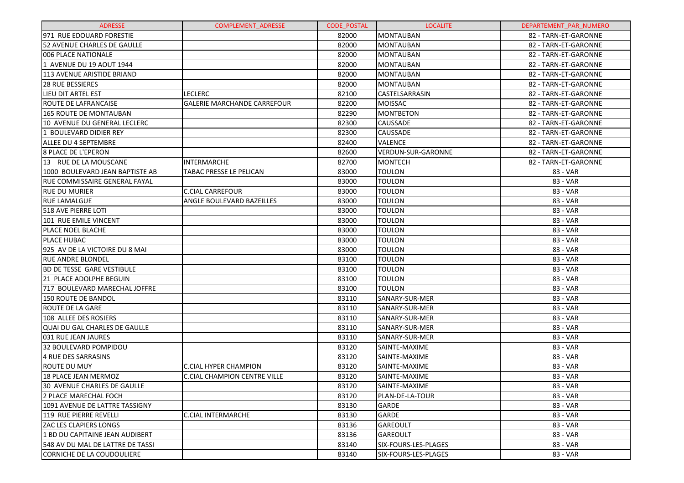| <b>ADRESSE</b>                     | <b>COMPLEMENT ADRESSE</b>           | <b>CODE POSTAL</b> | <b>LOCALITE</b>           | DEPARTEMENT PAR NUMERO |
|------------------------------------|-------------------------------------|--------------------|---------------------------|------------------------|
| 971 RUE EDOUARD FORESTIE           |                                     | 82000              | MONTAUBAN                 | 82 - TARN-ET-GARONNE   |
| <b>52 AVENUE CHARLES DE GAULLE</b> |                                     | 82000              | <b>MONTAUBAN</b>          | 82 - TARN-ET-GARONNE   |
| 006 PLACE NATIONALE                |                                     | 82000              | <b>MONTAUBAN</b>          | 82 - TARN-ET-GARONNE   |
| 1 AVENUE DU 19 AOUT 1944           |                                     | 82000              | MONTAUBAN                 | 82 - TARN-ET-GARONNE   |
| 113 AVENUE ARISTIDE BRIAND         |                                     | 82000              | MONTAUBAN                 | 82 - TARN-ET-GARONNE   |
| <b>28 RUE BESSIERES</b>            |                                     | 82000              | MONTAUBAN                 | 82 - TARN-ET-GARONNE   |
| LIEU DIT ARTEL EST                 | LECLERC                             | 82100              | CASTELSARRASIN            | 82 - TARN-ET-GARONNE   |
| ROUTE DE LAFRANCAISE               | <b>GALERIE MARCHANDE CARREFOUR</b>  | 82200              | <b>MOISSAC</b>            | 82 - TARN-ET-GARONNE   |
| <b>165 ROUTE DE MONTAUBAN</b>      |                                     | 82290              | <b>MONTBETON</b>          | 82 - TARN-ET-GARONNE   |
| 10 AVENUE DU GENERAL LECLERC       |                                     | 82300              | <b>CAUSSADE</b>           | 82 - TARN-ET-GARONNE   |
| 1 BOULEVARD DIDIER REY             |                                     | 82300              | <b>CAUSSADE</b>           | 82 - TARN-ET-GARONNE   |
| <b>ALLEE DU 4 SEPTEMBRE</b>        |                                     | 82400              | <b>VALENCE</b>            | 82 - TARN-ET-GARONNE   |
| <b>8 PLACE DE L'EPERON</b>         |                                     | 82600              | <b>VERDUN-SUR-GARONNE</b> | 82 - TARN-ET-GARONNE   |
| 13 RUE DE LA MOUSCANE              | <b>INTERMARCHE</b>                  | 82700              | <b>MONTECH</b>            | 82 - TARN-ET-GARONNE   |
| 1000 BOULEVARD JEAN BAPTISTE AB    | TABAC PRESSE LE PELICAN             | 83000              | <b>TOULON</b>             | 83 - VAR               |
| RUE COMMISSAIRE GENERAL FAYAL      |                                     | 83000              | <b>TOULON</b>             | 83 - VAR               |
| <b>RUE DU MURIER</b>               | C.CIAL CARREFOUR                    | 83000              | <b>TOULON</b>             | 83 - VAR               |
| <b>RUE LAMALGUE</b>                | ANGLE BOULEVARD BAZEILLES           | 83000              | <b>TOULON</b>             | 83 - VAR               |
| 518 AVE PIERRE LOTI                |                                     | 83000              | <b>TOULON</b>             | 83 - VAR               |
| 101 RUE EMILE VINCENT              |                                     | 83000              | <b>TOULON</b>             | 83 - VAR               |
| PLACE NOEL BLACHE                  |                                     | 83000              | <b>TOULON</b>             | 83 - VAR               |
| PLACE HUBAC                        |                                     | 83000              | <b>TOULON</b>             | 83 - VAR               |
| 925 AV DE LA VICTOIRE DU 8 MAI     |                                     | 83000              | <b>TOULON</b>             | 83 - VAR               |
| <b>RUE ANDRE BLONDEL</b>           |                                     | 83100              | <b>TOULON</b>             | 83 - VAR               |
| <b>BD DE TESSE GARE VESTIBULE</b>  |                                     | 83100              | <b>TOULON</b>             | 83 - VAR               |
| 21 PLACE ADOLPHE BEGUIN            |                                     | 83100              | <b>TOULON</b>             | 83 - VAR               |
| 717 BOULEVARD MARECHAL JOFFRE      |                                     | 83100              | <b>TOULON</b>             | 83 - VAR               |
| <b>150 ROUTE DE BANDOL</b>         |                                     | 83110              | SANARY-SUR-MER            | 83 - VAR               |
| <b>ROUTE DE LA GARE</b>            |                                     | 83110              | SANARY-SUR-MER            | 83 - VAR               |
| 108 ALLEE DES ROSIERS              |                                     | 83110              | SANARY-SUR-MER            | 83 - VAR               |
| QUAI DU GAL CHARLES DE GAULLE      |                                     | 83110              | SANARY-SUR-MER            | 83 - VAR               |
| 031 RUE JEAN JAURES                |                                     | 83110              | SANARY-SUR-MER            | 83 - VAR               |
| 32 BOULEVARD POMPIDOU              |                                     | 83120              | SAINTE-MAXIME             | 83 - VAR               |
| 4 RUE DES SARRASINS                |                                     | 83120              | SAINTE-MAXIME             | 83 - VAR               |
| <b>ROUTE DU MUY</b>                | <b>C.CIAL HYPER CHAMPION</b>        | 83120              | SAINTE-MAXIME             | 83 - VAR               |
| <b>18 PLACE JEAN MERMOZ</b>        | <b>C.CIAL CHAMPION CENTRE VILLE</b> | 83120              | SAINTE-MAXIME             | 83 - VAR               |
| 30 AVENUE CHARLES DE GAULLE        |                                     | 83120              | SAINTE-MAXIME             | 83 - VAR               |
| 2 PLACE MARECHAL FOCH              |                                     | 83120              | PLAN-DE-LA-TOUR           | 83 - VAR               |
| 1091 AVENUE DE LATTRE TASSIGNY     |                                     | 83130              | <b>GARDE</b>              | 83 - VAR               |
| 119 RUE PIERRE REVELLI             | <b>C.CIAL INTERMARCHE</b>           | 83130              | <b>GARDE</b>              | 83 - VAR               |
| <b>ZAC LES CLAPIERS LONGS</b>      |                                     | 83136              | <b>GAREOULT</b>           | 83 - VAR               |
| 1 BD DU CAPITAINE JEAN AUDIBERT    |                                     | 83136              | <b>GAREOULT</b>           | 83 - VAR               |
| 548 AV DU MAL DE LATTRE DE TASSI   |                                     | 83140              | SIX-FOURS-LES-PLAGES      | 83 - VAR               |
| CORNICHE DE LA COUDOULIERE         |                                     | 83140              | SIX-FOURS-LES-PLAGES      | 83 - VAR               |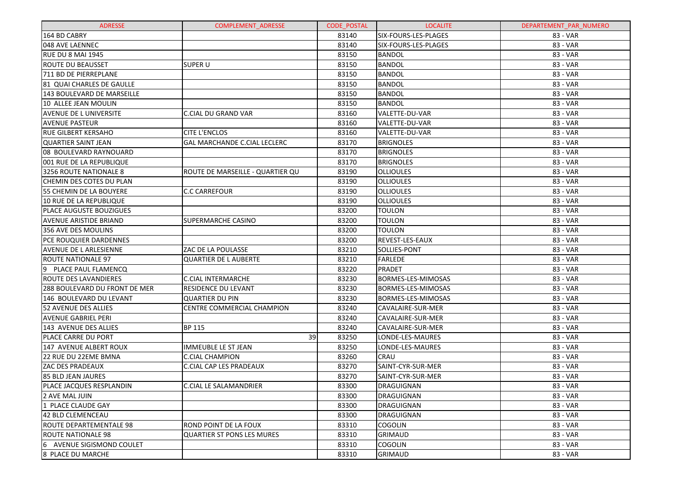| <b>ADRESSE</b>                 | <b>COMPLEMENT ADRESSE</b>           | <b>CODE POSTAL</b> | <b>LOCALITE</b>           | DEPARTEMENT_PAR_NUMERO |
|--------------------------------|-------------------------------------|--------------------|---------------------------|------------------------|
| 164 BD CABRY                   |                                     | 83140              | SIX-FOURS-LES-PLAGES      | 83 - VAR               |
| 048 AVE LAENNEC                |                                     | 83140              | SIX-FOURS-LES-PLAGES      | 83 - VAR               |
| RUE DU 8 MAI 1945              |                                     | 83150              | <b>BANDOL</b>             | 83 - VAR               |
| <b>ROUTE DU BEAUSSET</b>       | <b>SUPER U</b>                      | 83150              | <b>BANDOL</b>             | 83 - VAR               |
| 711 BD DE PIERREPLANE          |                                     | 83150              | <b>BANDOL</b>             | 83 - VAR               |
| 81 QUAI CHARLES DE GAULLE      |                                     | 83150              | <b>BANDOL</b>             | 83 - VAR               |
| 143 BOULEVARD DE MARSEILLE     |                                     | 83150              | <b>BANDOL</b>             | 83 - VAR               |
| 10 ALLEE JEAN MOULIN           |                                     | 83150              | <b>BANDOL</b>             | 83 - VAR               |
| <b>AVENUE DE L UNIVERSITE</b>  | <b>C.CIAL DU GRAND VAR</b>          | 83160              | VALETTE-DU-VAR            | 83 - VAR               |
| <b>AVENUE PASTEUR</b>          |                                     | 83160              | VALETTE-DU-VAR            | 83 - VAR               |
| <b>RUE GILBERT KERSAHO</b>     | CITE L'ENCLOS                       | 83160              | VALETTE-DU-VAR            | 83 - VAR               |
| <b>QUARTIER SAINT JEAN</b>     | <b>GAL MARCHANDE C.CIAL LECLERC</b> | 83170              | <b>BRIGNOLES</b>          | 83 - VAR               |
| 08 BOULEVARD RAYNOUARD         |                                     | 83170              | <b>BRIGNOLES</b>          | 83 - VAR               |
| 1001 RUE DE LA REPUBLIQUE      |                                     | 83170              | <b>BRIGNOLES</b>          | 83 - VAR               |
| 3256 ROUTE NATIONALE 8         | ROUTE DE MARSEILLE - QUARTIER QU    | 83190              | <b>OLLIOULES</b>          | 83 - VAR               |
| CHEMIN DES COTES DU PLAN       |                                     | 83190              | <b>OLLIOULES</b>          | 83 - VAR               |
| 55 CHEMIN DE LA BOUYERE        | <b>C.C CARREFOUR</b>                | 83190              | <b>OLLIOULES</b>          | 83 - VAR               |
| 10 RUE DE LA REPUBLIQUE        |                                     | 83190              | <b>OLLIOULES</b>          | 83 - VAR               |
| <b>PLACE AUGUSTE BOUZIGUES</b> |                                     | 83200              | TOULON                    | 83 - VAR               |
| AVENUE ARISTIDE BRIAND         | SUPERMARCHE CASINO                  | 83200              | TOULON                    | 83 - VAR               |
| 356 AVE DES MOULINS            |                                     | 83200              | <b>TOULON</b>             | 83 - VAR               |
| PCE ROUQUIER DARDENNES         |                                     | 83200              | REVEST-LES-EAUX           | 83 - VAR               |
| <b>AVENUE DE L ARLESIENNE</b>  | ZAC DE LA POULASSE                  | 83210              | SOLLIES-PONT              | 83 - VAR               |
| ROUTE NATIONALE 97             | <b>QUARTIER DE L AUBERTE</b>        | 83210              | <b>FARLEDE</b>            | 83 - VAR               |
| 19<br>PLACE PAUL FLAMENCQ      |                                     | 83220              | PRADET                    | 83 - VAR               |
| IROUTE DES LAVANDIERES         | <b>C.CIAL INTERMARCHE</b>           | 83230              | BORMES-LES-MIMOSAS        | 83 - VAR               |
| 288 BOULEVARD DU FRONT DE MER  | RESIDENCE DU LEVANT                 | 83230              | <b>BORMES-LES-MIMOSAS</b> | 83 - VAR               |
| 146 BOULEVARD DU LEVANT        | QUARTIER DU PIN                     | 83230              | BORMES-LES-MIMOSAS        | 83 - VAR               |
| 52 AVENUE DES ALLIES           | CENTRE COMMERCIAL CHAMPION          | 83240              | CAVALAIRE-SUR-MER         | 83 - VAR               |
| <b>AVENUE GABRIEL PERI</b>     |                                     | 83240              | CAVALAIRE-SUR-MER         | 83 - VAR               |
| 143 AVENUE DES ALLIES          | <b>BP 115</b>                       | 83240              | CAVALAIRE-SUR-MER         | 83 - VAR               |
| PLACE CARRE DU PORT            | 39                                  | 83250              | LONDE-LES-MAURES          | 83 - VAR               |
| 147 AVENUE ALBERT ROUX         | <b>IMMEUBLE LE ST JEAN</b>          | 83250              | LONDE-LES-MAURES          | 83 - VAR               |
| 22 RUE DU 22EME BMNA           | <b>C.CIAL CHAMPION</b>              | 83260              | CRAU                      | 83 - VAR               |
| <b>ZAC DES PRADEAUX</b>        | C.CIAL CAP LES PRADEAUX             | 83270              | SAINT-CYR-SUR-MER         | 83 - VAR               |
| 85 BLD JEAN JAURES             |                                     | 83270              | SAINT-CYR-SUR-MER         | 83 - VAR               |
| PLACE JACQUES RESPLANDIN       | <b>C.CIAL LE SALAMANDRIER</b>       | 83300              | <b>DRAGUIGNAN</b>         | 83 - VAR               |
| 2 AVE MAL JUIN                 |                                     | 83300              | DRAGUIGNAN                | 83 - VAR               |
| 1 PLACE CLAUDE GAY             |                                     | 83300              | DRAGUIGNAN                | 83 - VAR               |
| 42 BLD CLEMENCEAU              |                                     | 83300              | DRAGUIGNAN                | 83 - VAR               |
| ROUTE DEPARTEMENTALE 98        | ROND POINT DE LA FOUX               | 83310              | <b>COGOLIN</b>            | 83 - VAR               |
| ROUTE NATIONALE 98             | <b>QUARTIER ST PONS LES MURES</b>   | 83310              | <b>GRIMAUD</b>            | 83 - VAR               |
| AVENUE SIGISMOND COULET<br>16  |                                     | 83310              | <b>COGOLIN</b>            | 83 - VAR               |
| 8 PLACE DU MARCHE              |                                     | 83310              | <b>GRIMAUD</b>            | 83 - VAR               |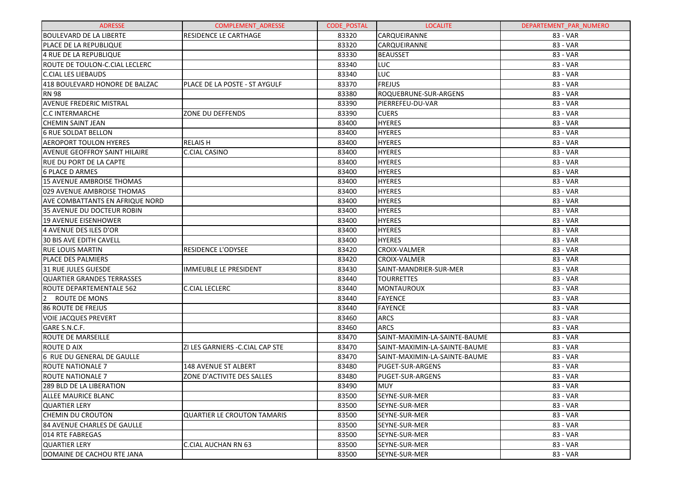| <b>ADRESSE</b>                         | <b>COMPLEMENT ADRESSE</b>          | <b>CODE POSTAL</b> | <b>LOCALITE</b>               | DEPARTEMENT PAR NUMERO |
|----------------------------------------|------------------------------------|--------------------|-------------------------------|------------------------|
| BOULEVARD DE LA LIBERTE                | <b>RESIDENCE LE CARTHAGE</b>       | 83320              | CARQUEIRANNE                  | 83 - VAR               |
| PLACE DE LA REPUBLIQUE                 |                                    | 83320              | <b>CARQUEIRANNE</b>           | 83 - VAR               |
| 4 RUE DE LA REPUBLIQUE                 |                                    | 83330              | <b>BEAUSSET</b>               | 83 - VAR               |
| ROUTE DE TOULON-C.CIAL LECLERC         |                                    | 83340              | <b>LUC</b>                    | 83 - VAR               |
| <b>C.CIAL LES LIEBAUDS</b>             |                                    | 83340              | LUC                           | 83 - VAR               |
| 418 BOULEVARD HONORE DE BALZAC         | PLACE DE LA POSTE - ST AYGULF      | 83370              | <b>FREJUS</b>                 | 83 - VAR               |
| <b>RN 98</b>                           |                                    | 83380              | ROQUEBRUNE-SUR-ARGENS         | 83 - VAR               |
| <b>AVENUE FREDERIC MISTRAL</b>         |                                    | 83390              | PIERREFEU-DU-VAR              | 83 - VAR               |
| <b>C.C INTERMARCHE</b>                 | ZONE DU DEFFENDS                   | 83390              | <b>CUERS</b>                  | 83 - VAR               |
| <b>CHEMIN SAINT JEAN</b>               |                                    | 83400              | <b>HYERES</b>                 | 83 - VAR               |
| <b>6 RUE SOLDAT BELLON</b>             |                                    | 83400              | <b>HYERES</b>                 | 83 - VAR               |
| <b>AEROPORT TOULON HYERES</b>          | <b>RELAISH</b>                     | 83400              | <b>HYERES</b>                 | 83 - VAR               |
| <b>AVENUE GEOFFROY SAINT HILAIRE</b>   | C.CIAL CASINO                      | 83400              | <b>HYERES</b>                 | 83 - VAR               |
| <b>RUE DU PORT DE LA CAPTE</b>         |                                    | 83400              | <b>HYERES</b>                 | 83 - VAR               |
| <b>6 PLACE D ARMES</b>                 |                                    | 83400              | <b>HYERES</b>                 | 83 - VAR               |
| 15 AVENUE AMBROISE THOMAS              |                                    | 83400              | <b>HYERES</b>                 | 83 - VAR               |
| 029 AVENUE AMBROISE THOMAS             |                                    | 83400              | <b>HYERES</b>                 | 83 - VAR               |
| <b>AVE COMBATTANTS EN AFRIQUE NORD</b> |                                    | 83400              | <b>HYERES</b>                 | 83 - VAR               |
| 35 AVENUE DU DOCTEUR ROBIN             |                                    | 83400              | <b>HYERES</b>                 | 83 - VAR               |
| <b>19 AVENUE EISENHOWER</b>            |                                    | 83400              | <b>HYERES</b>                 | 83 - VAR               |
| 4 AVENUE DES ILES D'OR                 |                                    | 83400              | <b>HYERES</b>                 | 83 - VAR               |
| <b>30 BIS AVE EDITH CAVELL</b>         |                                    | 83400              | <b>HYERES</b>                 | 83 - VAR               |
| <b>RUE LOUIS MARTIN</b>                | <b>RESIDENCE L'ODYSEE</b>          | 83420              | <b>CROIX-VALMER</b>           | 83 - VAR               |
| PLACE DES PALMIERS                     |                                    | 83420              | <b>CROIX-VALMER</b>           | 83 - VAR               |
| 31 RUE JULES GUESDE                    | <b>IMMEUBLE LE PRESIDENT</b>       | 83430              | SAINT-MANDRIER-SUR-MER        | 83 - VAR               |
| <b>QUARTIER GRANDES TERRASSES</b>      |                                    | 83440              | <b>TOURRETTES</b>             | 83 - VAR               |
| ROUTE DEPARTEMENTALE 562               | <b>C.CIAL LECLERC</b>              | 83440              | MONTAUROUX                    | 83 - VAR               |
| $2^{\circ}$<br>ROUTE DE MONS           |                                    | 83440              | <b>FAYENCE</b>                | 83 - VAR               |
| <b>86 ROUTE DE FREJUS</b>              |                                    | 83440              | <b>FAYENCE</b>                | 83 - VAR               |
| <b>VOIE JACQUES PREVERT</b>            |                                    | 83460              | <b>ARCS</b>                   | 83 - VAR               |
| GARE S.N.C.F.                          |                                    | 83460              | <b>ARCS</b>                   | 83 - VAR               |
| <b>ROUTE DE MARSEILLE</b>              |                                    | 83470              | SAINT-MAXIMIN-LA-SAINTE-BAUME | 83 - VAR               |
| ROUTE D AIX                            | ZI LES GARNIERS - C.CIAL CAP STE   | 83470              | SAINT-MAXIMIN-LA-SAINTE-BAUME | 83 - VAR               |
| 6 RUE DU GENERAL DE GAULLE             |                                    | 83470              | SAINT-MAXIMIN-LA-SAINTE-BAUME | 83 - VAR               |
| <b>ROUTE NATIONALE 7</b>               | 148 AVENUE ST ALBERT               | 83480              | PUGET-SUR-ARGENS              | 83 - VAR               |
| <b>ROUTE NATIONALE 7</b>               | ZONE D'ACTIVITE DES SALLES         | 83480              | PUGET-SUR-ARGENS              | 83 - VAR               |
| 289 BLD DE LA LIBERATION               |                                    | 83490              | <b>MUY</b>                    | 83 - VAR               |
| ALLEE MAURICE BLANC                    |                                    | 83500              | SEYNE-SUR-MER                 | 83 - VAR               |
| <b>QUARTIER LERY</b>                   |                                    | 83500              | SEYNE-SUR-MER                 | 83 - VAR               |
| <b>CHEMIN DU CROUTON</b>               | <b>QUARTIER LE CROUTON TAMARIS</b> | 83500              | SEYNE-SUR-MER                 | 83 - VAR               |
| 84 AVENUE CHARLES DE GAULLE            |                                    | 83500              | SEYNE-SUR-MER                 | 83 - VAR               |
| 014 RTE FABREGAS                       |                                    | 83500              | SEYNE-SUR-MER                 | 83 - VAR               |
| <b>QUARTIER LERY</b>                   | C.CIAL AUCHAN RN 63                | 83500              | SEYNE-SUR-MER                 | 83 - VAR               |
| DOMAINE DE CACHOU RTE JANA             |                                    | 83500              | SEYNE-SUR-MER                 | 83 - VAR               |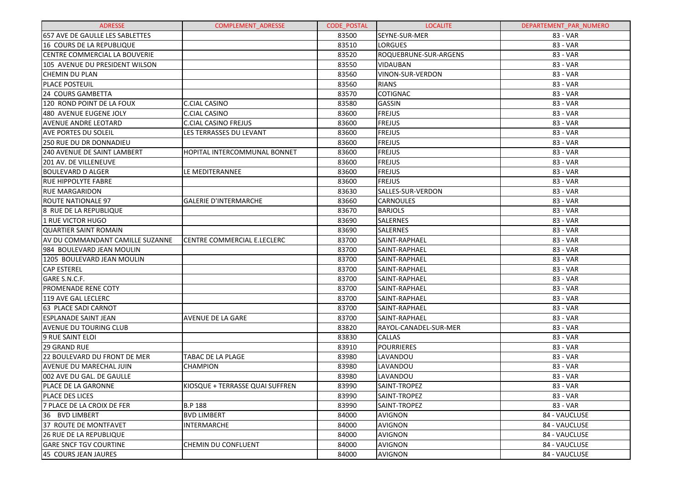| <b>ADRESSE</b>                   | <b>COMPLEMENT ADRESSE</b>       | <b>CODE POSTAL</b> | <b>LOCALITE</b>       | DEPARTEMENT PAR NUMERO |
|----------------------------------|---------------------------------|--------------------|-----------------------|------------------------|
| 657 AVE DE GAULLE LES SABLETTES  |                                 | 83500              | SEYNE-SUR-MER         | 83 - VAR               |
| 16 COURS DE LA REPUBLIQUE        |                                 | 83510              | <b>LORGUES</b>        | 83 - VAR               |
| CENTRE COMMERCIAL LA BOUVERIE    |                                 | 83520              | ROQUEBRUNE-SUR-ARGENS | 83 - VAR               |
| 105 AVENUE DU PRESIDENT WILSON   |                                 | 83550              | <b>VIDAUBAN</b>       | 83 - VAR               |
| CHEMIN DU PLAN                   |                                 | 83560              | VINON-SUR-VERDON      | 83 - VAR               |
| <b>PLACE POSTEUIL</b>            |                                 | 83560              | <b>RIANS</b>          | 83 - VAR               |
| 24 COURS GAMBETTA                |                                 | 83570              | COTIGNAC              | 83 - VAR               |
| 120 ROND POINT DE LA FOUX        | C.CIAL CASINO                   | 83580              | <b>GASSIN</b>         | 83 - VAR               |
| 480 AVENUE EUGENE JOLY           | C.CIAL CASINO                   | 83600              | <b>FREJUS</b>         | 83 - VAR               |
| AVENUE ANDRE LEOTARD             | <b>C.CIAL CASINO FREJUS</b>     | 83600              | <b>FREJUS</b>         | 83 - VAR               |
| <b>AVE PORTES DU SOLEIL</b>      | LES TERRASSES DU LEVANT         | 83600              | <b>FREJUS</b>         | 83 - VAR               |
| 250 RUE DU DR DONNADIEU          |                                 | 83600              | <b>FREJUS</b>         | 83 - VAR               |
| 240 AVENUE DE SAINT LAMBERT      | HOPITAL INTERCOMMUNAL BONNET    | 83600              | <b>FREJUS</b>         | 83 - VAR               |
| 201 AV. DE VILLENEUVE            |                                 | 83600              | <b>FREJUS</b>         | 83 - VAR               |
| <b>BOULEVARD D ALGER</b>         | LE MEDITERANNEE                 | 83600              | <b>FREJUS</b>         | 83 - VAR               |
| <b>RUE HIPPOLYTE FABRE</b>       |                                 | 83600              | <b>FREJUS</b>         | 83 - VAR               |
| <b>RUE MARGARIDON</b>            |                                 | 83630              | SALLES-SUR-VERDON     | 83 - VAR               |
| <b>ROUTE NATIONALE 97</b>        | <b>GALERIE D'INTERMARCHE</b>    | 83660              | <b>CARNOULES</b>      | 83 - VAR               |
| 8 RUE DE LA REPUBLIQUE           |                                 | 83670              | <b>BARJOLS</b>        | 83 - VAR               |
| <b>1 RUE VICTOR HUGO</b>         |                                 | 83690              | <b>SALERNES</b>       | 83 - VAR               |
| <b>QUARTIER SAINT ROMAIN</b>     |                                 | 83690              | <b>SALERNES</b>       | 83 - VAR               |
| AV DU COMMANDANT CAMILLE SUZANNE | CENTRE COMMERCIAL E.LECLERC     | 83700              | SAINT-RAPHAEL         | 83 - VAR               |
| 984 BOULEVARD JEAN MOULIN        |                                 | 83700              | SAINT-RAPHAEL         | 83 - VAR               |
| 1205 BOULEVARD JEAN MOULIN       |                                 | 83700              | SAINT-RAPHAEL         | 83 - VAR               |
| <b>CAP ESTEREL</b>               |                                 | 83700              | SAINT-RAPHAEL         | 83 - VAR               |
| GARE S.N.C.F.                    |                                 | 83700              | SAINT-RAPHAEL         | 83 - VAR               |
| <b>PROMENADE RENE COTY</b>       |                                 | 83700              | SAINT-RAPHAEL         | 83 - VAR               |
| 119 AVE GAL LECLERC              |                                 | 83700              | SAINT-RAPHAEL         | 83 - VAR               |
| 63 PLACE SADI CARNOT             |                                 | 83700              | SAINT-RAPHAEL         | 83 - VAR               |
| <b>ESPLANADE SAINT JEAN</b>      | AVENUE DE LA GARE               | 83700              | SAINT-RAPHAEL         | 83 - VAR               |
| AVENUE DU TOURING CLUB           |                                 | 83820              | RAYOL-CANADEL-SUR-MER | 83 - VAR               |
| 9 RUE SAINT ELOI                 |                                 | 83830              | <b>CALLAS</b>         | 83 - VAR               |
| <b>29 GRAND RUE</b>              |                                 | 83910              | <b>POURRIERES</b>     | 83 - VAR               |
| 22 BOULEVARD DU FRONT DE MER     | <b>TABAC DE LA PLAGE</b>        | 83980              | LAVANDOU              | 83 - VAR               |
| AVENUE DU MARECHAL JUIN          | <b>CHAMPION</b>                 | 83980              | LAVANDOU              | 83 - VAR               |
| 002 AVE DU GAL. DE GAULLE        |                                 | 83980              | LAVANDOU              | 83 - VAR               |
| PLACE DE LA GARONNE              | KIOSQUE + TERRASSE QUAI SUFFREN | 83990              | SAINT-TROPEZ          | 83 - VAR               |
| <b>PLACE DES LICES</b>           |                                 | 83990              | SAINT-TROPEZ          | 83 - VAR               |
| 7 PLACE DE LA CROIX DE FER       | <b>B.P 188</b>                  | 83990              | SAINT-TROPEZ          | 83 - VAR               |
| 36 BVD LIMBERT                   | <b>BVD LIMBERT</b>              | 84000              | <b>AVIGNON</b>        | 84 - VAUCLUSE          |
| 37 ROUTE DE MONTFAVET            | <b>INTERMARCHE</b>              | 84000              | <b>AVIGNON</b>        | 84 - VAUCLUSE          |
| 26 RUE DE LA REPUBLIQUE          |                                 | 84000              | <b>AVIGNON</b>        | 84 - VAUCLUSE          |
| <b>GARE SNCF TGV COURTINE</b>    | CHEMIN DU CONFLUENT             | 84000              | <b>AVIGNON</b>        | 84 - VAUCLUSE          |
| 45 COURS JEAN JAURES             |                                 | 84000              | <b>AVIGNON</b>        | 84 - VAUCLUSE          |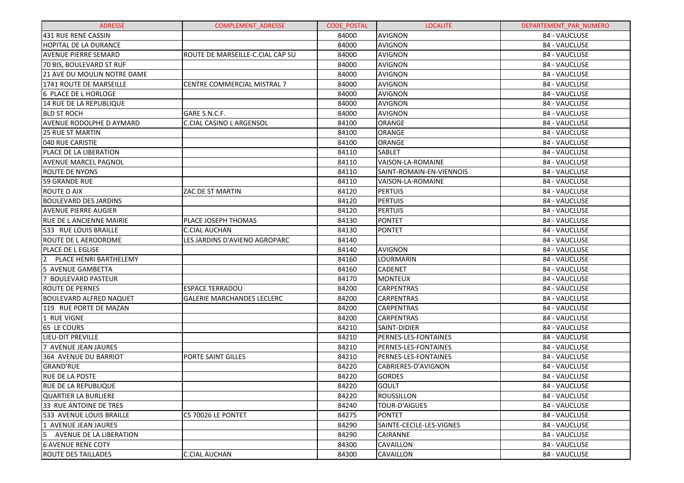| <b>ADRESSE</b>                 | <b>COMPLEMENT ADRESSE</b>         | <b>CODE POSTAL</b> | <b>LOCALITE</b>          | DEPARTEMENT_PAR_NUMERO |
|--------------------------------|-----------------------------------|--------------------|--------------------------|------------------------|
| 431 RUE RENE CASSIN            |                                   | 84000              | <b>AVIGNON</b>           | 84 - VAUCLUSE          |
| HOPITAL DE LA DURANCE          |                                   | 84000              | <b>AVIGNON</b>           | 84 - VAUCLUSE          |
| AVENUE PIERRE SEMARD           | ROUTE DE MARSEILLE-C.CIAL CAP SU  | 84000              | <b>AVIGNON</b>           | 84 - VAUCLUSE          |
| 70 BIS, BOULEVARD ST RUF       |                                   | 84000              | <b>AVIGNON</b>           | 84 - VAUCLUSE          |
| 21 AVE DU MOULIN NOTRE DAME    |                                   | 84000              | AVIGNON                  | 84 - VAUCLUSE          |
| 1741 ROUTE DE MARSEILLE        | CENTRE COMMERCIAL MISTRAL 7       | 84000              | <b>AVIGNON</b>           | 84 - VAUCLUSE          |
| 6 PLACE DE L HORLOGE           |                                   | 84000              | AVIGNON                  | 84 - VAUCLUSE          |
| 14 RUE DE LA REPUBLIQUE        |                                   | 84000              | <b>AVIGNON</b>           | 84 - VAUCLUSE          |
| <b>BLD ST ROCH</b>             | GARE S.N.C.F.                     | 84000              | <b>AVIGNON</b>           | 84 - VAUCLUSE          |
| AVENUE RODOLPHE D AYMARD       | C.CIAL CASINO L ARGENSOL          | 84100              | <b>ORANGE</b>            | 84 - VAUCLUSE          |
| <b>25 RUE ST MARTIN</b>        |                                   | 84100              | <b>ORANGE</b>            | 84 - VAUCLUSE          |
| 040 RUE CARISTIE               |                                   | 84100              | <b>ORANGE</b>            | 84 - VAUCLUSE          |
| PLACE DE LA LIBERATION         |                                   | 84110              | <b>SABLET</b>            | 84 - VAUCLUSE          |
| AVENUE MARCEL PAGNOL           |                                   | 84110              | VAISON-LA-ROMAINE        | 84 - VAUCLUSE          |
| ROUTE DE NYONS                 |                                   | 84110              | SAINT-ROMAIN-EN-VIENNOIS | 84 - VAUCLUSE          |
| 59 GRANDE RUE                  |                                   | 84110              | VAISON-LA-ROMAINE        | 84 - VAUCLUSE          |
| ROUTE D AIX                    | ZAC DE ST MARTIN                  | 84120              | <b>PERTUIS</b>           | 84 - VAUCLUSE          |
| <b>BOULEVARD DES JARDINS</b>   |                                   | 84120              | <b>PERTUIS</b>           | 84 - VAUCLUSE          |
| <b>AVENUE PIERRE AUGIER</b>    |                                   | 84120              | <b>PERTUIS</b>           | 84 - VAUCLUSE          |
| RUE DE L ANCIENNE MAIRIE       | PLACE JOSEPH THOMAS               | 84130              | <b>PONTET</b>            | 84 - VAUCLUSE          |
| 533 RUE LOUIS BRAILLE          | C.CIAL AUCHAN                     | 84130              | <b>PONTET</b>            | 84 - VAUCLUSE          |
| ROUTE DE L AERODROME           | LES JARDINS D'AVIENO AGROPARC     | 84140              |                          | 84 - VAUCLUSE          |
| PLACE DE L EGLISE              |                                   | 84140              | <b>AVIGNON</b>           | 84 - VAUCLUSE          |
| PLACE HENRI BARTHELEMY<br>2    |                                   | 84160              | LOURMARIN                | 84 - VAUCLUSE          |
| 5 AVENUE GAMBETTA              |                                   | 84160              | <b>CADENET</b>           | 84 - VAUCLUSE          |
| 7 BOULEVARD PASTEUR            |                                   | 84170              | <b>MONTEUX</b>           | 84 - VAUCLUSE          |
| ROUTE DE PERNES                | <b>ESPACE TERRADOU</b>            | 84200              | <b>CARPENTRAS</b>        | 84 - VAUCLUSE          |
| <b>BOULEVARD ALFRED NAQUET</b> | <b>GALERIE MARCHANDES LECLERC</b> | 84200              | CARPENTRAS               | 84 - VAUCLUSE          |
| 119   RUE PORTE DE MAZAN       |                                   | 84200              | CARPENTRAS               | 84 - VAUCLUSE          |
| 1 RUE VIGNE                    |                                   | 84200              | <b>CARPENTRAS</b>        | 84 - VAUCLUSE          |
| 65 LE COURS                    |                                   | 84210              | SAINT-DIDIER             | 84 - VAUCLUSE          |
| <b>LIEU-DIT PREVILLE</b>       |                                   | 84210              | PERNES-LES-FONTAINES     | 84 - VAUCLUSE          |
| 7 AVENUE JEAN JAURES           |                                   | 84210              | PERNES-LES-FONTAINES     | 84 - VAUCLUSE          |
| 364 AVENUE DU BARRIOT          | PORTE SAINT GILLES                | 84210              | PERNES-LES-FONTAINES     | 84 - VAUCLUSE          |
| <b>GRAND'RUE</b>               |                                   | 84220              | CABRIERES-D'AVIGNON      | 84 - VAUCLUSE          |
| <b>RUE DE LA POSTE</b>         |                                   | 84220              | <b>GORDES</b>            | 84 - VAUCLUSE          |
| <b>RUE DE LA REPUBLIQUE</b>    |                                   | 84220              | GOULT                    | 84 - VAUCLUSE          |
| <b>QUARTIER LA BURLIERE</b>    |                                   | 84220              | ROUSSILLON               | 84 - VAUCLUSE          |
| 33 RUE ANTOINE DE TRES         |                                   | 84240              | <b>TOUR-D'AIGUES</b>     | 84 - VAUCLUSE          |
| 533 AVENUE LOUIS BRAILLE       | CS 70026 LE PONTET                | 84275              | <b>PONTET</b>            | 84 - VAUCLUSE          |
| 1 AVENUE JEAN JAURES           |                                   | 84290              | SAINTE-CECILE-LES-VIGNES | 84 - VAUCLUSE          |
| 5<br>AVENUE DE LA LIBERATION   |                                   | 84290              | CAIRANNE                 | 84 - VAUCLUSE          |
| <b>6 AVENUE RENE COTY</b>      |                                   | 84300              | CAVAILLON                | 84 - VAUCLUSE          |
| <b>ROUTE DES TAILLADES</b>     | <b>C.CIAL AUCHAN</b>              | 84300              | CAVAILLON                | 84 - VAUCLUSE          |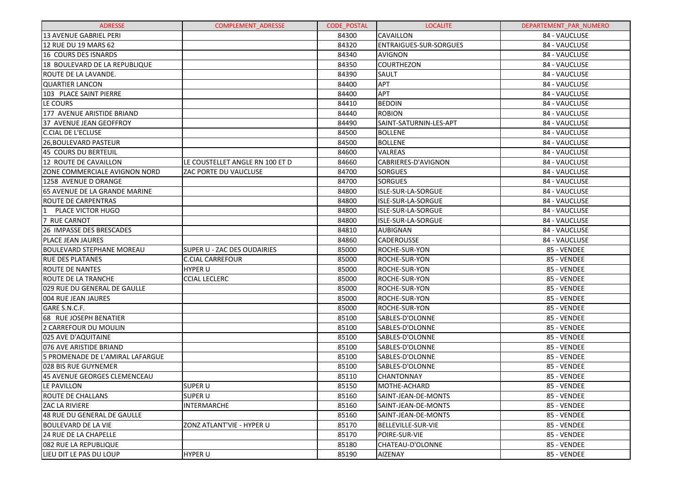| <b>ADRESSE</b>                       | <b>COMPLEMENT ADRESSE</b>       | <b>CODE POSTAL</b> | <b>LOCALITE</b>               | DEPARTEMENT PAR NUMERO |
|--------------------------------------|---------------------------------|--------------------|-------------------------------|------------------------|
| 13 AVENUE GABRIEL PERI               |                                 | 84300              | <b>CAVAILLON</b>              | 84 - VAUCLUSE          |
| 12 RUE DU 19 MARS 62                 |                                 | 84320              | <b>ENTRAIGUES-SUR-SORGUES</b> | 84 - VAUCLUSE          |
| 16 COURS DES ISNARDS                 |                                 | 84340              | AVIGNON                       | 84 - VAUCLUSE          |
| 18 BOULEVARD DE LA REPUBLIQUE        |                                 | 84350              | <b>COURTHEZON</b>             | 84 - VAUCLUSE          |
| ROUTE DE LA LAVANDE.                 |                                 | 84390              | SAULT                         | 84 - VAUCLUSE          |
| <b>QUARTIER LANCON</b>               |                                 | 84400              | APT                           | 84 - VAUCLUSE          |
| 103 PLACE SAINT PIERRE               |                                 | 84400              | <b>APT</b>                    | 84 - VAUCLUSE          |
| LE COURS                             |                                 | 84410              | <b>BEDOIN</b>                 | 84 - VAUCLUSE          |
| 177 AVENUE ARISTIDE BRIAND           |                                 | 84440              | <b>ROBION</b>                 | 84 - VAUCLUSE          |
| 37 AVENUE JEAN GEOFFROY              |                                 | 84490              | SAINT-SATURNIN-LES-APT        | 84 - VAUCLUSE          |
| <b>C.CIAL DE L'ECLUSE</b>            |                                 | 84500              | <b>BOLLENE</b>                | 84 - VAUCLUSE          |
| 26, BOULEVARD PASTEUR                |                                 | 84500              | <b>BOLLENE</b>                | 84 - VAUCLUSE          |
| 45 COURS DU BERTEUIL                 |                                 | 84600              | <b>VALREAS</b>                | 84 - VAUCLUSE          |
| 12 ROUTE DE CAVAILLON                | LE COUSTELLET ANGLE RN 100 ET D | 84660              | CABRIERES-D'AVIGNON           | 84 - VAUCLUSE          |
| ZONE COMMERCIALE AVIGNON NORD        | <b>ZAC PORTE DU VAUCLUSE</b>    | 84700              | <b>SORGUES</b>                | 84 - VAUCLUSE          |
| 1258 AVENUE D ORANGE                 |                                 | 84700              | <b>SORGUES</b>                | 84 - VAUCLUSE          |
| <b>65 AVENUE DE LA GRANDE MARINE</b> |                                 | 84800              | ISLE-SUR-LA-SORGUE            | 84 - VAUCLUSE          |
| <b>ROUTE DE CARPENTRAS</b>           |                                 | 84800              | ISLE-SUR-LA-SORGUE            | 84 - VAUCLUSE          |
| $\mathbf{1}$<br>PLACE VICTOR HUGO    |                                 | 84800              | ISLE-SUR-LA-SORGUE            | 84 - VAUCLUSE          |
| 7 RUE CARNOT                         |                                 | 84800              | ISLE-SUR-LA-SORGUE            | 84 - VAUCLUSE          |
| 26 IMPASSE DES BRESCADES             |                                 | 84810              | AUBIGNAN                      | 84 - VAUCLUSE          |
| <b>PLACE JEAN JAURES</b>             |                                 | 84860              | <b>CADEROUSSE</b>             | 84 - VAUCLUSE          |
| <b>BOULEVARD STEPHANE MOREAU</b>     | SUPER U - ZAC DES OUDAIRIES     | 85000              | <b>ROCHE-SUR-YON</b>          | 85 - VENDEE            |
| <b>RUE DES PLATANES</b>              | <b>C.CIAL CARREFOUR</b>         | 85000              | <b>ROCHE-SUR-YON</b>          | 85 - VENDEE            |
| <b>ROUTE DE NANTES</b>               | <b>HYPER U</b>                  | 85000              | <b>ROCHE-SUR-YON</b>          | 85 - VENDEE            |
| <b>ROUTE DE LA TRANCHE</b>           | <b>CCIAL LECLERC</b>            | 85000              | <b>ROCHE-SUR-YON</b>          | 85 - VENDEE            |
| 029 RUE DU GENERAL DE GAULLE         |                                 | 85000              | <b>ROCHE-SUR-YON</b>          | 85 - VENDEE            |
| 004 RUE JEAN JAURES                  |                                 | 85000              | <b>ROCHE-SUR-YON</b>          | 85 - VENDEE            |
| GARE S.N.C.F.                        |                                 | 85000              | <b>ROCHE-SUR-YON</b>          | 85 - VENDEE            |
| 68 RUE JOSEPH BENATIER               |                                 | 85100              | SABLES-D'OLONNE               | 85 - VENDEE            |
| 2 CARREFOUR DU MOULIN                |                                 | 85100              | SABLES-D'OLONNE               | 85 - VENDEE            |
| 025 AVE D'AQUITAINE                  |                                 | 85100              | SABLES-D'OLONNE               | 85 - VENDEE            |
| 076 AVE ARISTIDE BRIAND              |                                 | 85100              | SABLES-D'OLONNE               | 85 - VENDEE            |
| 5 PROMENADE DE L'AMIRAL LAFARGUE     |                                 | 85100              | SABLES-D'OLONNE               | 85 - VENDEE            |
| 028 BIS RUE GUYNEMER                 |                                 | 85100              | SABLES-D'OLONNE               | 85 - VENDEE            |
| 45 AVENUE GEORGES CLEMENCEAU         |                                 | 85110              | <b>CHANTONNAY</b>             | 85 - VENDEE            |
| LE PAVILLON                          | SUPER U                         | 85150              | MOTHE-ACHARD                  | 85 - VENDEE            |
| <b>ROUTE DE CHALLANS</b>             | <b>SUPER U</b>                  | 85160              | SAINT-JEAN-DE-MONTS           | 85 - VENDEE            |
| <b>ZAC LA RIVIERE</b>                | <b>INTERMARCHE</b>              | 85160              | SAINT-JEAN-DE-MONTS           | 85 - VENDEE            |
| 48 RUE DU GENERAL DE GAULLE          |                                 | 85160              | SAINT-JEAN-DE-MONTS           | 85 - VENDEE            |
| <b>BOULEVARD DE LA VIE</b>           | ZONZ ATLANT'VIE - HYPER U       | 85170              | BELLEVILLE-SUR-VIE            | 85 - VENDEE            |
| 24 RUE DE LA CHAPELLE                |                                 | 85170              | <b>POIRE-SUR-VIE</b>          | 85 - VENDEE            |
| 082 RUE LA REPUBLIQUE                |                                 | 85180              | CHATEAU-D'OLONNE              | 85 - VENDEE            |
| LIEU DIT LE PAS DU LOUP              | <b>HYPER U</b>                  | 85190              | <b>AIZENAY</b>                | 85 - VENDEE            |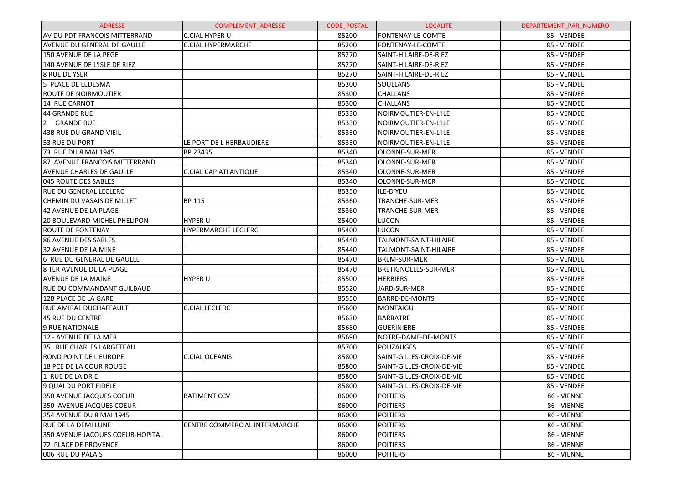| <b>ADRESSE</b>                   | COMPLEMENT_ADRESSE                   | <b>CODE POSTAL</b> | <b>LOCALITE</b>             | DEPARTEMENT_PAR_NUMERO |
|----------------------------------|--------------------------------------|--------------------|-----------------------------|------------------------|
| AV DU PDT FRANCOIS MITTERRAND    | <b>C.CIAL HYPER U</b>                | 85200              | FONTENAY-LE-COMTE           | 85 - VENDEE            |
| AVENUE DU GENERAL DE GAULLE      | C.CIAL HYPERMARCHE                   | 85200              | FONTENAY-LE-COMTE           | 85 - VENDEE            |
| 150 AVENUE DE LA PEGE            |                                      | 85270              | SAINT-HILAIRE-DE-RIEZ       | 85 - VENDEE            |
| 140 AVENUE DE L'ISLE DE RIEZ     |                                      | 85270              | SAINT-HILAIRE-DE-RIEZ       | 85 - VENDEE            |
| <b>8 RUE DE YSER</b>             |                                      | 85270              | SAINT-HILAIRE-DE-RIEZ       | 85 - VENDEE            |
| 5 PLACE DE LEDESMA               |                                      | 85300              | <b>SOULLANS</b>             | 85 - VENDEE            |
| ROUTE DE NOIRMOUTIER             |                                      | 85300              | <b>CHALLANS</b>             | 85 - VENDEE            |
| 14 RUE CARNOT                    |                                      | 85300              | <b>CHALLANS</b>             | 85 - VENDEE            |
| <b>44 GRANDE RUE</b>             |                                      | 85330              | NOIRMOUTIER-EN-L'ILE        | 85 - VENDEE            |
| 2 GRANDE RUE                     |                                      | 85330              | NOIRMOUTIER-EN-L'ILE        | 85 - VENDEE            |
| <b>43B RUE DU GRAND VIEIL</b>    |                                      | 85330              | NOIRMOUTIER-EN-L'ILE        | 85 - VENDEE            |
| 53 RUE DU PORT                   | LE PORT DE L HERBAUDIERE             | 85330              | NOIRMOUTIER-EN-L'ILE        | 85 - VENDEE            |
| 73 RUE DU 8 MAI 1945             | BP 23435                             | 85340              | OLONNE-SUR-MER              | 85 - VENDEE            |
| 87 AVENUE FRANCOIS MITTERRAND    |                                      | 85340              | OLONNE-SUR-MER              | 85 - VENDEE            |
| <b>AVENUE CHARLES DE GAULLE</b>  | C.CIAL CAP ATLANTIQUE                | 85340              | OLONNE-SUR-MER              | 85 - VENDEE            |
| 045 ROUTE DES SABLES             |                                      | 85340              | <b>OLONNE-SUR-MER</b>       | 85 - VENDEE            |
| RUE DU GENERAL LECLERC           |                                      | 85350              | ILE-D'YEU                   | 85 - VENDEE            |
| CHEMIN DU VASAIS DE MILLET       | <b>BP 115</b>                        | 85360              | <b>TRANCHE-SUR-MER</b>      | 85 - VENDEE            |
| <b>42 AVENUE DE LA PLAGE</b>     |                                      | 85360              | TRANCHE-SUR-MER             | 85 - VENDEE            |
| 20 BOULEVARD MICHEL PHELIPON     | <b>HYPER U</b>                       | 85400              | LUCON                       | 85 - VENDEE            |
| <b>ROUTE DE FONTENAY</b>         | <b>HYPERMARCHE LECLERC</b>           | 85400              | <b>LUCON</b>                | 85 - VENDEE            |
| 86 AVENUE DES SABLES             |                                      | 85440              | TALMONT-SAINT-HILAIRE       | 85 - VENDEE            |
| <b>32 AVENUE DE LA MINE</b>      |                                      | 85440              | TALMONT-SAINT-HILAIRE       | 85 - VENDEE            |
| 6 RUE DU GENERAL DE GAULLE       |                                      | 85470              | <b>BREM-SUR-MER</b>         | 85 - VENDEE            |
| 8 TER AVENUE DE LA PLAGE         |                                      | 85470              | <b>BRETIGNOLLES-SUR-MER</b> | 85 - VENDEE            |
| <b>AVENUE DE LA MAINE</b>        | <b>HYPER U</b>                       | 85500              | <b>HERBIERS</b>             | 85 - VENDEE            |
| RUE DU COMMANDANT GUILBAUD       |                                      | 85520              | JARD-SUR-MER                | 85 - VENDEE            |
| 12B PLACE DE LA GARE             |                                      | 85550              | <b>BARRE-DE-MONTS</b>       | 85 - VENDEE            |
| RUE AMIRAL DUCHAFFAULT           | <b>C.CIAL LECLERC</b>                | 85600              | <b>MONTAIGU</b>             | 85 - VENDEE            |
| <b>45 RUE DU CENTRE</b>          |                                      | 85630              | <b>BARBATRE</b>             | 85 - VENDEE            |
| 9 RUE NATIONALE                  |                                      | 85680              | <b>GUERINIERE</b>           | 85 - VENDEE            |
| 12 - AVENUE DE LA MER            |                                      | 85690              | NOTRE-DAME-DE-MONTS         | 85 - VENDEE            |
| 35 RUE CHARLES LARGETEAU         |                                      | 85700              | <b>POUZAUGES</b>            | 85 - VENDEE            |
| ROND POINT DE L'EUROPE           | <b>C.CIAL OCEANIS</b>                | 85800              | SAINT-GILLES-CROIX-DE-VIE   | 85 - VENDEE            |
| 18 PCE DE LA COUR ROUGE          |                                      | 85800              | SAINT-GILLES-CROIX-DE-VIE   | 85 - VENDEE            |
| 1 RUE DE LA DRIE                 |                                      | 85800              | SAINT-GILLES-CROIX-DE-VIE   | 85 - VENDEE            |
| 9 QUAI DU PORT FIDELE            |                                      | 85800              | SAINT-GILLES-CROIX-DE-VIE   | 85 - VENDEE            |
| 350 AVENUE JACQUES COEUR         | <b>BATIMENT CCV</b>                  | 86000              | <b>POITIERS</b>             | 86 - VIENNE            |
| 350 AVENUE JACQUES COEUR         |                                      | 86000              | <b>POITIERS</b>             | 86 - VIENNE            |
| 254 AVENUE DU 8 MAI 1945         |                                      | 86000              | <b>POITIERS</b>             | 86 - VIENNE            |
| RUE DE LA DEMI LUNE              | <b>CENTRE COMMERCIAL INTERMARCHE</b> | 86000              | <b>POITIERS</b>             | 86 - VIENNE            |
| 350 AVENUE JACQUES COEUR-HOPITAL |                                      | 86000              | <b>POITIERS</b>             | 86 - VIENNE            |
| 72 PLACE DE PROVENCE             |                                      | 86000              | <b>POITIERS</b>             | 86 - VIENNE            |
| 006 RUE DU PALAIS                |                                      | 86000              | <b>POITIERS</b>             | 86 - VIENNE            |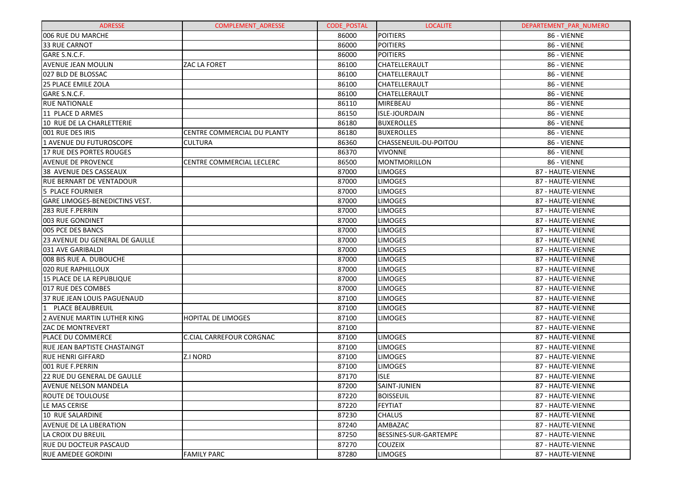| <b>ADRESSE</b>                        | <b>COMPLEMENT ADRESSE</b>        | <b>CODE POSTAL</b> | <b>LOCALITE</b>       | DEPARTEMENT_PAR_NUMERO |
|---------------------------------------|----------------------------------|--------------------|-----------------------|------------------------|
| 006 RUE DU MARCHE                     |                                  | 86000              | <b>POITIERS</b>       | 86 - VIENNE            |
| 33 RUE CARNOT                         |                                  | 86000              | <b>POITIERS</b>       | 86 - VIENNE            |
| GARE S.N.C.F.                         |                                  | 86000              | <b>POITIERS</b>       | 86 - VIENNE            |
| <b>AVENUE JEAN MOULIN</b>             | ZAC LA FORET                     | 86100              | CHATELLERAULT         | 86 - VIENNE            |
| 027 BLD DE BLOSSAC                    |                                  | 86100              | CHATELLERAULT         | 86 - VIENNE            |
| l25 PLACE EMILE ZOLA                  |                                  | 86100              | CHATELLERAULT         | 86 - VIENNE            |
| GARE S.N.C.F.                         |                                  | 86100              | CHATELLERAULT         | 86 - VIENNE            |
| <b>RUE NATIONALE</b>                  |                                  | 86110              | <b>MIREBEAU</b>       | 86 - VIENNE            |
| 11 PLACE D ARMES                      |                                  | 86150              | <b>ISLE-JOURDAIN</b>  | 86 - VIENNE            |
| 10 RUE DE LA CHARLETTERIE             |                                  | 86180              | <b>BUXEROLLES</b>     | 86 - VIENNE            |
| 1001 RUE DES IRIS                     | CENTRE COMMERCIAL DU PLANTY      | 86180              | <b>BUXEROLLES</b>     | 86 - VIENNE            |
| 1 AVENUE DU FUTUROSCOPE               | <b>CULTURA</b>                   | 86360              | CHASSENEUIL-DU-POITOU | 86 - VIENNE            |
| 17 RUE DES PORTES ROUGES              |                                  | 86370              | <b>VIVONNE</b>        | 86 - VIENNE            |
| <b>AVENUE DE PROVENCE</b>             | <b>CENTRE COMMERCIAL LECLERC</b> | 86500              | <b>MONTMORILLON</b>   | 86 - VIENNE            |
| 38 AVENUE DES CASSEAUX                |                                  | 87000              | <b>LIMOGES</b>        | 87 - HAUTE-VIENNE      |
| <b>RUE BERNART DE VENTADOUR</b>       |                                  | 87000              | <b>LIMOGES</b>        | 87 - HAUTE-VIENNE      |
| <b>5 PLACE FOURNIER</b>               |                                  | 87000              | <b>LIMOGES</b>        | 87 - HAUTE-VIENNE      |
| GARE LIMOGES-BENEDICTINS VEST.        |                                  | 87000              | <b>LIMOGES</b>        | 87 - HAUTE-VIENNE      |
| <b>283 RUE F.PERRIN</b>               |                                  | 87000              | <b>LIMOGES</b>        | 87 - HAUTE-VIENNE      |
| 003 RUE GONDINET                      |                                  | 87000              | <b>LIMOGES</b>        | 87 - HAUTE-VIENNE      |
| 005 PCE DES BANCS                     |                                  | 87000              | <b>LIMOGES</b>        | 87 - HAUTE-VIENNE      |
| <b>23 AVENUE DU GENERAL DE GAULLE</b> |                                  | 87000              | <b>LIMOGES</b>        | 87 - HAUTE-VIENNE      |
| 031 AVE GARIBALDI                     |                                  | 87000              | <b>LIMOGES</b>        | 87 - HAUTE-VIENNE      |
| 008 BIS RUE A. DUBOUCHE               |                                  | 87000              | <b>LIMOGES</b>        | 87 - HAUTE-VIENNE      |
| 020 RUE RAPHILLOUX                    |                                  | 87000              | <b>LIMOGES</b>        | 87 - HAUTE-VIENNE      |
| 15 PLACE DE LA REPUBLIQUE             |                                  | 87000              | <b>LIMOGES</b>        | 87 - HAUTE-VIENNE      |
| 017 RUE DES COMBES                    |                                  | 87000              | LIMOGES               | 87 - HAUTE-VIENNE      |
| 37 RUE JEAN LOUIS PAGUENAUD           |                                  | 87100              | <b>LIMOGES</b>        | 87 - HAUTE-VIENNE      |
| 1<br>PLACE BEAUBREUIL                 |                                  | 87100              | <b>LIMOGES</b>        | 87 - HAUTE-VIENNE      |
| 2 AVENUE MARTIN LUTHER KING           | <b>HOPITAL DE LIMOGES</b>        | 87100              | LIMOGES               | 87 - HAUTE-VIENNE      |
| <b>ZAC DE MONTREVERT</b>              |                                  | 87100              |                       | 87 - HAUTE-VIENNE      |
| PLACE DU COMMERCE                     | <b>C.CIAL CARREFOUR CORGNAC</b>  | 87100              | <b>LIMOGES</b>        | 87 - HAUTE-VIENNE      |
| <b>RUE JEAN BAPTISTE CHASTAINGT</b>   |                                  | 87100              | <b>LIMOGES</b>        | 87 - HAUTE-VIENNE      |
| <b>RUE HENRI GIFFARD</b>              | Z.I NORD                         | 87100              | <b>LIMOGES</b>        | 87 - HAUTE-VIENNE      |
| 001 RUE F.PERRIN                      |                                  | 87100              | <b>LIMOGES</b>        | 87 - HAUTE-VIENNE      |
| 22 RUE DU GENERAL DE GAULLE           |                                  | 87170              | <b>ISLE</b>           | 87 - HAUTE-VIENNE      |
| <b>AVENUE NELSON MANDELA</b>          |                                  | 87200              | SAINT-JUNIEN          | 87 - HAUTE-VIENNE      |
| ROUTE DE TOULOUSE                     |                                  | 87220              | <b>BOISSEUIL</b>      | 87 - HAUTE-VIENNE      |
| LE MAS CERISE                         |                                  | 87220              | <b>FEYTIAT</b>        | 87 - HAUTE-VIENNE      |
| 10 RUE SALARDINE                      |                                  | 87230              | <b>CHALUS</b>         | 87 - HAUTE-VIENNE      |
| AVENUE DE LA LIBERATION               |                                  | 87240              | AMBAZAC               | 87 - HAUTE-VIENNE      |
| LA CROIX DU BREUIL                    |                                  | 87250              | BESSINES-SUR-GARTEMPE | 87 - HAUTE-VIENNE      |
| <b>RUE DU DOCTEUR PASCAUD</b>         |                                  | 87270              | <b>COUZEIX</b>        | 87 - HAUTE-VIENNE      |
| IRUE AMEDEE GORDINI                   | <b>FAMILY PARC</b>               | 87280              | <b>LIMOGES</b>        | 87 - HAUTE-VIENNE      |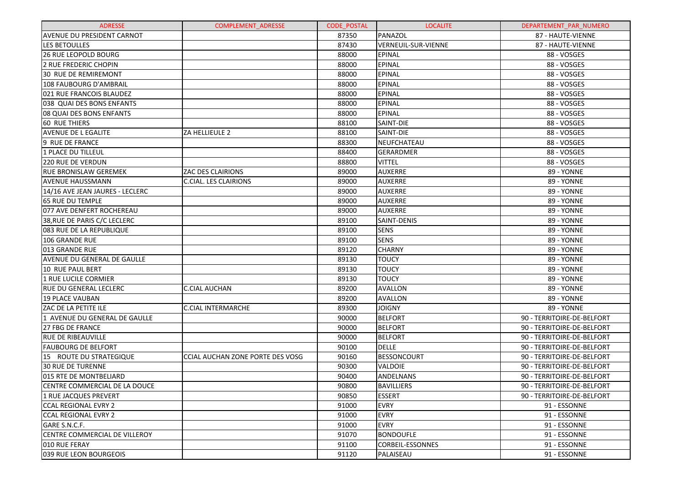| <b>ADRESSE</b>                    | <b>COMPLEMENT ADRESSE</b>        | <b>CODE POSTAL</b> | <b>LOCALITE</b>         | DEPARTEMENT PAR NUMERO     |
|-----------------------------------|----------------------------------|--------------------|-------------------------|----------------------------|
| <b>AVENUE DU PRESIDENT CARNOT</b> |                                  | 87350              | PANAZOL                 | 87 - HAUTE-VIENNE          |
| LES BETOULLES                     |                                  | 87430              | VERNEUIL-SUR-VIENNE     | 87 - HAUTE-VIENNE          |
| <b>26 RUE LEOPOLD BOURG</b>       |                                  | 88000              | <b>EPINAL</b>           | 88 - VOSGES                |
| 2 RUE FREDERIC CHOPIN             |                                  | 88000              | <b>EPINAL</b>           | 88 - VOSGES                |
| 30 RUE DE REMIREMONT              |                                  | 88000              | <b>EPINAL</b>           | 88 - VOSGES                |
| 108 FAUBOURG D'AMBRAIL            |                                  | 88000              | <b>EPINAL</b>           | 88 - VOSGES                |
| 021 RUE FRANCOIS BLAUDEZ          |                                  | 88000              | <b>EPINAL</b>           | 88 - VOSGES                |
| 038 QUAI DES BONS ENFANTS         |                                  | 88000              | <b>EPINAL</b>           | 88 - VOSGES                |
| 08 QUAI DES BONS ENFANTS          |                                  | 88000              | <b>EPINAL</b>           | 88 - VOSGES                |
| <b>60 RUE THIERS</b>              |                                  | 88100              | SAINT-DIE               | 88 - VOSGES                |
| <b>AVENUE DE L EGALITE</b>        | ZA HELLIEULE 2                   | 88100              | SAINT-DIE               | 88 - VOSGES                |
| 9 RUE DE FRANCE                   |                                  | 88300              | NEUFCHATEAU             | 88 - VOSGES                |
| 1 PLACE DU TILLEUL                |                                  | 88400              | GERARDMER               | 88 - VOSGES                |
| 220 RUE DE VERDUN                 |                                  | 88800              | <b>VITTEL</b>           | 88 - VOSGES                |
| <b>RUE BRONISLAW GEREMEK</b>      | <b>ZAC DES CLAIRIONS</b>         | 89000              | <b>AUXERRE</b>          | 89 - YONNE                 |
| <b>AVENUE HAUSSMANN</b>           | <b>C.CIAL. LES CLAIRIONS</b>     | 89000              | <b>AUXERRE</b>          | 89 - YONNE                 |
| 14/16 AVE JEAN JAURES - LECLERC   |                                  | 89000              | <b>AUXERRE</b>          | 89 - YONNE                 |
| 65 RUE DU TEMPLE                  |                                  | 89000              | <b>AUXERRE</b>          | 89 - YONNE                 |
| 077 AVE DENFERT ROCHEREAU         |                                  | 89000              | <b>AUXERRE</b>          | 89 - YONNE                 |
| 38, RUE DE PARIS C/C LECLERC      |                                  | 89100              | SAINT-DENIS             | 89 - YONNE                 |
| 083 RUE DE LA REPUBLIQUE          |                                  | 89100              | <b>SENS</b>             | 89 - YONNE                 |
| 106 GRANDE RUE                    |                                  | 89100              | <b>SENS</b>             | 89 - YONNE                 |
| 013 GRANDE RUE                    |                                  | 89120              | <b>CHARNY</b>           | 89 - YONNE                 |
| AVENUE DU GENERAL DE GAULLE       |                                  | 89130              | <b>TOUCY</b>            | 89 - YONNE                 |
| 10 RUE PAUL BERT                  |                                  | 89130              | <b>TOUCY</b>            | 89 - YONNE                 |
| 1 RUE LUCILE CORMIER              |                                  | 89130              | <b>TOUCY</b>            | 89 - YONNE                 |
| <b>RUE DU GENERAL LECLERC</b>     | <b>C.CIAL AUCHAN</b>             | 89200              | <b>AVALLON</b>          | 89 - YONNE                 |
| 19 PLACE VAUBAN                   |                                  | 89200              | <b>AVALLON</b>          | 89 - YONNE                 |
| ZAC DE LA PETITE ILE              | <b>C.CIAL INTERMARCHE</b>        | 89300              | <b>JOIGNY</b>           | 89 - YONNE                 |
| 1 AVENUE DU GENERAL DE GAULLE     |                                  | 90000              | <b>BELFORT</b>          | 90 - TERRITOIRE-DE-BELFORT |
| 27 FBG DE FRANCE                  |                                  | 90000              | <b>BELFORT</b>          | 90 - TERRITOIRE-DE-BELFORT |
| <b>RUE DE RIBEAUVILLE</b>         |                                  | 90000              | <b>BELFORT</b>          | 90 - TERRITOIRE-DE-BELFORT |
| <b>FAUBOURG DE BELFORT</b>        |                                  | 90100              | <b>DELLE</b>            | 90 - TERRITOIRE-DE-BELFORT |
| 15 ROUTE DU STRATEGIQUE           | CCIAL AUCHAN ZONE PORTE DES VOSG | 90160              | <b>BESSONCOURT</b>      | 90 - TERRITOIRE-DE-BELFORT |
| 30 RUE DE TURENNE                 |                                  | 90300              | VALDOIE                 | 90 - TERRITOIRE-DE-BELFORT |
| 015 RTE DE MONTBELIARD            |                                  | 90400              | ANDELNANS               | 90 - TERRITOIRE-DE-BELFORT |
| CENTRE COMMERCIAL DE LA DOUCE     |                                  | 90800              | <b>BAVILLIERS</b>       | 90 - TERRITOIRE-DE-BELFORT |
| 1 RUE JACQUES PREVERT             |                                  | 90850              | <b>ESSERT</b>           | 90 - TERRITOIRE-DE-BELFORT |
| <b>CCAL REGIONAL EVRY 2</b>       |                                  | 91000              | <b>EVRY</b>             | 91 - ESSONNE               |
| <b>CCAL REGIONAL EVRY 2</b>       |                                  | 91000              | <b>EVRY</b>             | 91 - ESSONNE               |
| GARE S.N.C.F.                     |                                  | 91000              | <b>EVRY</b>             | 91 - ESSONNE               |
| CENTRE COMMERCIAL DE VILLEROY     |                                  | 91070              | <b>BONDOUFLE</b>        | 91 - ESSONNE               |
| 010 RUE FERAY                     |                                  | 91100              | <b>CORBEIL-ESSONNES</b> | 91 - ESSONNE               |
| 039 RUE LEON BOURGEOIS            |                                  | 91120              | PALAISEAU               | 91 - ESSONNE               |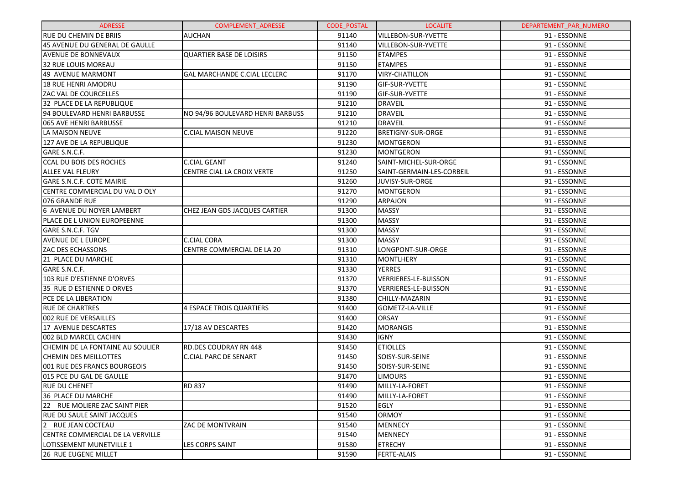| <b>ADRESSE</b>                    | <b>COMPLEMENT ADRESSE</b>           | <b>CODE POSTAL</b> | <b>LOCALITE</b>           | DEPARTEMENT_PAR_NUMERO |
|-----------------------------------|-------------------------------------|--------------------|---------------------------|------------------------|
| <b>RUE DU CHEMIN DE BRIIS</b>     | <b>AUCHAN</b>                       | 91140              | VILLEBON-SUR-YVETTE       | 91 - ESSONNE           |
| 45 AVENUE DU GENERAL DE GAULLE    |                                     | 91140              | VILLEBON-SUR-YVETTE       | 91 - ESSONNE           |
| <b>AVENUE DE BONNEVAUX</b>        | <b>QUARTIER BASE DE LOISIRS</b>     | 91150              | <b>ETAMPES</b>            | 91 - ESSONNE           |
| 32 RUE LOUIS MOREAU               |                                     | 91150              | <b>ETAMPES</b>            | 91 - ESSONNE           |
| 49 AVENUE MARMONT                 | <b>GAL MARCHANDE C.CIAL LECLERC</b> | 91170              | <b>VIRY-CHATILLON</b>     | 91 - ESSONNE           |
| <b>18 RUE HENRI AMODRU</b>        |                                     | 91190              | GIF-SUR-YVETTE            | 91 - ESSONNE           |
| ZAC VAL DE COURCELLES             |                                     | 91190              | GIF-SUR-YVETTE            | 91 - ESSONNE           |
| 32 PLACE DE LA REPUBLIQUE         |                                     | 91210              | <b>DRAVEIL</b>            | 91 - ESSONNE           |
| 94 BOULEVARD HENRI BARBUSSE       | NO 94/96 BOULEVARD HENRI BARBUSS    | 91210              | <b>DRAVEIL</b>            | 91 - ESSONNE           |
| 065 AVE HENRI BARBUSSE            |                                     | 91210              | <b>DRAVEIL</b>            | 91 - ESSONNE           |
| LA MAISON NEUVE                   | <b>C.CIAL MAISON NEUVE</b>          | 91220              | BRETIGNY-SUR-ORGE         | 91 - ESSONNE           |
| 127 AVE DE LA REPUBLIQUE          |                                     | 91230              | MONTGERON                 | 91 - ESSONNE           |
| GARE S.N.C.F.                     |                                     | 91230              | MONTGERON                 | 91 - ESSONNE           |
| CCAL DU BOIS DES ROCHES           | <b>C.CIAL GEANT</b>                 | 91240              | SAINT-MICHEL-SUR-ORGE     | 91 - ESSONNE           |
| <b>ALLEE VAL FLEURY</b>           | CENTRE CIAL LA CROIX VERTE          | 91250              | SAINT-GERMAIN-LES-CORBEIL | 91 - ESSONNE           |
| GARE S.N.C.F. COTE MAIRIE         |                                     | 91260              | JUVISY-SUR-ORGE           | 91 - ESSONNE           |
| CENTRE COMMERCIAL DU VAL D OLY    |                                     | 91270              | MONTGERON                 | 91 - ESSONNE           |
| 076 GRANDE RUE                    |                                     | 91290              | <b>ARPAJON</b>            | 91 - ESSONNE           |
| 6 AVENUE DU NOYER LAMBERT         | CHEZ JEAN GDS JACQUES CARTIER       | 91300              | <b>MASSY</b>              | 91 - ESSONNE           |
| PLACE DE L UNION EUROPEENNE       |                                     | 91300              | <b>MASSY</b>              | 91 - ESSONNE           |
| GARE S.N.C.F. TGV                 |                                     | 91300              | MASSY                     | 91 - ESSONNE           |
| <b>AVENUE DE L EUROPE</b>         | C.CIAL CORA                         | 91300              | <b>MASSY</b>              | 91 - ESSONNE           |
| ZAC DES ECHASSONS                 | CENTRE COMMERCIAL DE LA 20          | 91310              | LONGPONT-SUR-ORGE         | 91 - ESSONNE           |
| 21 PLACE DU MARCHE                |                                     | 91310              | <b>MONTLHERY</b>          | 91 - ESSONNE           |
| GARE S.N.C.F.                     |                                     | 91330              | <b>YERRES</b>             | 91 - ESSONNE           |
| 103 RUE D'ESTIENNE D'ORVES        |                                     | 91370              | VERRIERES-LE-BUISSON      | 91 - ESSONNE           |
| 35 RUE D ESTIENNE D ORVES         |                                     | 91370              | VERRIERES-LE-BUISSON      | 91 - ESSONNE           |
| PCE DE LA LIBERATION              |                                     | 91380              | CHILLY-MAZARIN            | 91 - ESSONNE           |
| <b>RUE DE CHARTRES</b>            | 4 ESPACE TROIS QUARTIERS            | 91400              | GOMETZ-LA-VILLE           | 91 - ESSONNE           |
| 002 RUE DE VERSAILLES             |                                     | 91400              | <b>ORSAY</b>              | 91 - ESSONNE           |
| 17 AVENUE DESCARTES               | 17/18 AV DESCARTES                  | 91420              | <b>MORANGIS</b>           | 91 - ESSONNE           |
| 002 BLD MARCEL CACHIN             |                                     | 91430              | <b>IGNY</b>               | 91 - ESSONNE           |
| CHEMIN DE LA FONTAINE AU SOULIER  | RD.DES COUDRAY RN 448               | 91450              | <b>ETIOLLES</b>           | 91 - ESSONNE           |
| <b>CHEMIN DES MEILLOTTES</b>      | <b>C.CIAL PARC DE SENART</b>        | 91450              | SOISY-SUR-SEINE           | 91 - ESSONNE           |
| 001 RUE DES FRANCS BOURGEOIS      |                                     | 91450              | SOISY-SUR-SEINE           | 91 - ESSONNE           |
| 015 PCE DU GAL DE GAULLE          |                                     | 91470              | <b>LIMOURS</b>            | 91 - ESSONNE           |
| <b>RUE DU CHENET</b>              | <b>RD 837</b>                       | 91490              | MILLY-LA-FORET            | 91 - ESSONNE           |
| 36 PLACE DU MARCHE                |                                     | 91490              | MILLY-LA-FORET            | 91 - ESSONNE           |
| 22 RUE MOLIERE ZAC SAINT PIER     |                                     | 91520              | EGLY                      | 91 - ESSONNE           |
| <b>RUE DU SAULE SAINT JACQUES</b> |                                     | 91540              | <b>ORMOY</b>              | 91 - ESSONNE           |
| 2 RUE JEAN COCTEAU                | <b>ZAC DE MONTVRAIN</b>             | 91540              | <b>MENNECY</b>            | 91 - ESSONNE           |
| CENTRE COMMERCIAL DE LA VERVILLE  |                                     | 91540              | <b>MENNECY</b>            | 91 - ESSONNE           |
| LOTISSEMENT MUNETVILLE 1          | <b>LES CORPS SAINT</b>              | 91580              | <b>ETRECHY</b>            | 91 - ESSONNE           |
| 26 RUE EUGENE MILLET              |                                     | 91590              | <b>FERTE-ALAIS</b>        | 91 - ESSONNE           |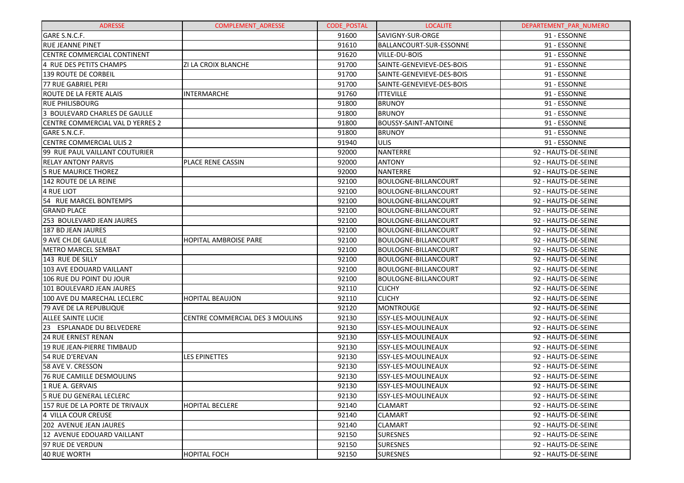| <b>ADRESSE</b>                   | <b>COMPLEMENT ADRESSE</b>       | <b>CODE POSTAL</b> | <b>LOCALITE</b>             | DEPARTEMENT PAR NUMERO |
|----------------------------------|---------------------------------|--------------------|-----------------------------|------------------------|
| GARE S.N.C.F.                    |                                 | 91600              | SAVIGNY-SUR-ORGE            | 91 - ESSONNE           |
| <b>RUE JEANNE PINET</b>          |                                 | 91610              | BALLANCOURT-SUR-ESSONNE     | 91 - ESSONNE           |
| CENTRE COMMERCIAL CONTINENT      |                                 | 91620              | VILLE-DU-BOIS               | 91 - ESSONNE           |
| 4 RUE DES PETITS CHAMPS          | ZI LA CROIX BLANCHE             | 91700              | SAINTE-GENEVIEVE-DES-BOIS   | 91 - ESSONNE           |
| <b>139 ROUTE DE CORBEIL</b>      |                                 | 91700              | SAINTE-GENEVIEVE-DES-BOIS   | 91 - ESSONNE           |
| <b>77 RUE GABRIEL PERI</b>       |                                 | 91700              | SAINTE-GENEVIEVE-DES-BOIS   | 91 - ESSONNE           |
| ROUTE DE LA FERTE ALAIS          | <b>INTERMARCHE</b>              | 91760              | <b>ITTEVILLE</b>            | 91 - ESSONNE           |
| <b>RUE PHILISBOURG</b>           |                                 | 91800              | <b>BRUNOY</b>               | 91 - ESSONNE           |
| 3 BOULEVARD CHARLES DE GAULLE    |                                 | 91800              | <b>BRUNOY</b>               | 91 - ESSONNE           |
| CENTRE COMMERCIAL VAL D YERRES 2 |                                 | 91800              | <b>BOUSSY-SAINT-ANTOINE</b> | 91 - ESSONNE           |
| GARE S.N.C.F.                    |                                 | 91800              | <b>BRUNOY</b>               | 91 - ESSONNE           |
| <b>CENTRE COMMERCIAL ULIS 2</b>  |                                 | 91940              | <b>ULIS</b>                 | 91 - ESSONNE           |
| 99 RUE PAUL VAILLANT COUTURIER   |                                 | 92000              | <b>NANTERRE</b>             | 92 - HAUTS-DE-SEINE    |
| <b>RELAY ANTONY PARVIS</b>       | PLACE RENE CASSIN               | 92000              | <b>ANTONY</b>               | 92 - HAUTS-DE-SEINE    |
| <b>5 RUE MAURICE THOREZ</b>      |                                 | 92000              | <b>NANTERRE</b>             | 92 - HAUTS-DE-SEINE    |
| 142 ROUTE DE LA REINE            |                                 | 92100              | BOULOGNE-BILLANCOURT        | 92 - HAUTS-DE-SEINE    |
| 4 RUE LIOT                       |                                 | 92100              | BOULOGNE-BILLANCOURT        | 92 - HAUTS-DE-SEINE    |
| 54 RUE MARCEL BONTEMPS           |                                 | 92100              | <b>BOULOGNE-BILLANCOURT</b> | 92 - HAUTS-DE-SEINE    |
| <b>GRAND PLACE</b>               |                                 | 92100              | <b>BOULOGNE-BILLANCOURT</b> | 92 - HAUTS-DE-SEINE    |
| 253 BOULEVARD JEAN JAURES        |                                 | 92100              | <b>BOULOGNE-BILLANCOURT</b> | 92 - HAUTS-DE-SEINE    |
| <b>187 BD JEAN JAURES</b>        |                                 | 92100              | <b>BOULOGNE-BILLANCOURT</b> | 92 - HAUTS-DE-SEINE    |
| 9 AVE CH.DE GAULLE               | HOPITAL AMBROISE PARE           | 92100              | <b>BOULOGNE-BILLANCOURT</b> | 92 - HAUTS-DE-SEINE    |
| <b>METRO MARCEL SEMBAT</b>       |                                 | 92100              | <b>BOULOGNE-BILLANCOURT</b> | 92 - HAUTS-DE-SEINE    |
| 143 RUE DE SILLY                 |                                 | 92100              | <b>BOULOGNE-BILLANCOURT</b> | 92 - HAUTS-DE-SEINE    |
| 103 AVE EDOUARD VAILLANT         |                                 | 92100              | <b>BOULOGNE-BILLANCOURT</b> | 92 - HAUTS-DE-SEINE    |
| 106 RUE DU POINT DU JOUR         |                                 | 92100              | <b>BOULOGNE-BILLANCOURT</b> | 92 - HAUTS-DE-SEINE    |
| 101 BOULEVARD JEAN JAURES        |                                 | 92110              | <b>CLICHY</b>               | 92 - HAUTS-DE-SEINE    |
| 100 AVE DU MARECHAL LECLERC      | <b>HOPITAL BEAUJON</b>          | 92110              | <b>CLICHY</b>               | 92 - HAUTS-DE-SEINE    |
| 79 AVE DE LA REPUBLIQUE          |                                 | 92120              | <b>MONTROUGE</b>            | 92 - HAUTS-DE-SEINE    |
| <b>ALLEE SAINTE LUCIE</b>        | CENTRE COMMERCIAL DES 3 MOULINS | 92130              | ISSY-LES-MOULINEAUX         | 92 - HAUTS-DE-SEINE    |
| 23 ESPLANADE DU BELVEDERE        |                                 | 92130              | ISSY-LES-MOULINEAUX         | 92 - HAUTS-DE-SEINE    |
| <b>24 RUE ERNEST RENAN</b>       |                                 | 92130              | ISSY-LES-MOULINEAUX         | 92 - HAUTS-DE-SEINE    |
| 19 RUE JEAN-PIERRE TIMBAUD       |                                 | 92130              | ISSY-LES-MOULINEAUX         | 92 - HAUTS-DE-SEINE    |
| 54 RUE D'EREVAN                  | <b>LES EPINETTES</b>            | 92130              | ISSY-LES-MOULINEAUX         | 92 - HAUTS-DE-SEINE    |
| 58 AVE V. CRESSON                |                                 | 92130              | ISSY-LES-MOULINEAUX         | 92 - HAUTS-DE-SEINE    |
| 76 RUE CAMILLE DESMOULINS        |                                 | 92130              | ISSY-LES-MOULINEAUX         | 92 - HAUTS-DE-SEINE    |
| 1 RUE A. GERVAIS                 |                                 | 92130              | ISSY-LES-MOULINEAUX         | 92 - HAUTS-DE-SEINE    |
| 5 RUE DU GENERAL LECLERC         |                                 | 92130              | ISSY-LES-MOULINEAUX         | 92 - HAUTS-DE-SEINE    |
| 157 RUE DE LA PORTE DE TRIVAUX   | <b>HOPITAL BECLERE</b>          | 92140              | <b>CLAMART</b>              | 92 - HAUTS-DE-SEINE    |
| 4 VILLA COUR CREUSE              |                                 | 92140              | <b>CLAMART</b>              | 92 - HAUTS-DE-SEINE    |
| 202 AVENUE JEAN JAURES           |                                 | 92140              | <b>CLAMART</b>              | 92 - HAUTS-DE-SEINE    |
| 12 AVENUE EDOUARD VAILLANT       |                                 | 92150              | <b>SURESNES</b>             | 92 - HAUTS-DE-SEINE    |
| 97 RUE DE VERDUN                 |                                 | 92150              | <b>SURESNES</b>             | 92 - HAUTS-DE-SEINE    |
| <b>40 RUE WORTH</b>              | <b>HOPITAL FOCH</b>             | 92150              | <b>SURESNES</b>             | 92 - HAUTS-DE-SEINE    |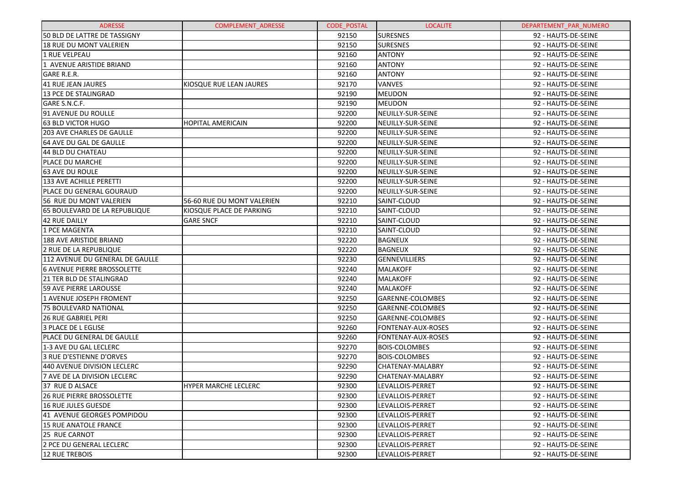| <b>ADRESSE</b>                       | <b>COMPLEMENT ADRESSE</b>  | <b>CODE POSTAL</b> | <b>LOCALITE</b>           | DEPARTEMENT PAR NUMERO |
|--------------------------------------|----------------------------|--------------------|---------------------------|------------------------|
| 50 BLD DE LATTRE DE TASSIGNY         |                            | 92150              | <b>SURESNES</b>           | 92 - HAUTS-DE-SEINE    |
| <b>18 RUE DU MONT VALERIEN</b>       |                            | 92150              | <b>SURESNES</b>           | 92 - HAUTS-DE-SEINE    |
| 1 RUE VELPEAU                        |                            | 92160              | <b>ANTONY</b>             | 92 - HAUTS-DE-SEINE    |
| 1 AVENUE ARISTIDE BRIAND             |                            | 92160              | <b>ANTONY</b>             | 92 - HAUTS-DE-SEINE    |
| <b>GARE R.E.R.</b>                   |                            | 92160              | <b>ANTONY</b>             | 92 - HAUTS-DE-SEINE    |
| 41 RUE JEAN JAURES                   | KIOSQUE RUE LEAN JAURES    | 92170              | <b>VANVES</b>             | 92 - HAUTS-DE-SEINE    |
| 13 PCE DE STALINGRAD                 |                            | 92190              | <b>MEUDON</b>             | 92 - HAUTS-DE-SEINE    |
| GARE S.N.C.F.                        |                            | 92190              | <b>MEUDON</b>             | 92 - HAUTS-DE-SEINE    |
| 91 AVENUE DU ROULLE                  |                            | 92200              | NEUILLY-SUR-SEINE         | 92 - HAUTS-DE-SEINE    |
| 63 BLD VICTOR HUGO                   | <b>HOPITAL AMERICAIN</b>   | 92200              | NEUILLY-SUR-SEINE         | 92 - HAUTS-DE-SEINE    |
| <b>203 AVE CHARLES DE GAULLE</b>     |                            | 92200              | NEUILLY-SUR-SEINE         | 92 - HAUTS-DE-SEINE    |
| 64 AVE DU GAL DE GAULLE              |                            | 92200              | NEUILLY-SUR-SEINE         | 92 - HAUTS-DE-SEINE    |
| 44 BLD DU CHATEAU                    |                            | 92200              | NEUILLY-SUR-SEINE         | 92 - HAUTS-DE-SEINE    |
| PLACE DU MARCHE                      |                            | 92200              | NEUILLY-SUR-SEINE         | 92 - HAUTS-DE-SEINE    |
| <b>63 AVE DU ROULE</b>               |                            | 92200              | NEUILLY-SUR-SEINE         | 92 - HAUTS-DE-SEINE    |
| 133 AVE ACHILLE PERETTI              |                            | 92200              | NEUILLY-SUR-SEINE         | 92 - HAUTS-DE-SEINE    |
| PLACE DU GENERAL GOURAUD             |                            | 92200              | NEUILLY-SUR-SEINE         | 92 - HAUTS-DE-SEINE    |
| 56 RUE DU MONT VALERIEN              | 56-60 RUE DU MONT VALERIEN | 92210              | SAINT-CLOUD               | 92 - HAUTS-DE-SEINE    |
| <b>65 BOULEVARD DE LA REPUBLIQUE</b> | KIOSQUE PLACE DE PARKING   | 92210              | SAINT-CLOUD               | 92 - HAUTS-DE-SEINE    |
| 42 RUE DAILLY                        | <b>GARE SNCF</b>           | 92210              | SAINT-CLOUD               | 92 - HAUTS-DE-SEINE    |
| 1 PCE MAGENTA                        |                            | 92210              | SAINT-CLOUD               | 92 - HAUTS-DE-SEINE    |
| <b>188 AVE ARISTIDE BRIAND</b>       |                            | 92220              | <b>BAGNEUX</b>            | 92 - HAUTS-DE-SEINE    |
| 2 RUE DE LA REPUBLIQUE               |                            | 92220              | <b>BAGNEUX</b>            | 92 - HAUTS-DE-SEINE    |
| 112 AVENUE DU GENERAL DE GAULLE      |                            | 92230              | GENNEVILLIERS             | 92 - HAUTS-DE-SEINE    |
| <b>6 AVENUE PIERRE BROSSOLETTE</b>   |                            | 92240              | <b>MALAKOFF</b>           | 92 - HAUTS-DE-SEINE    |
| <b>21 TER BLD DE STALINGRAD</b>      |                            | 92240              | <b>MALAKOFF</b>           | 92 - HAUTS-DE-SEINE    |
| <b>59 AVE PIERRE LAROUSSE</b>        |                            | 92240              | <b>MALAKOFF</b>           | 92 - HAUTS-DE-SEINE    |
| 1 AVENUE JOSEPH FROMENT              |                            | 92250              | GARENNE-COLOMBES          | 92 - HAUTS-DE-SEINE    |
| <b>75 BOULEVARD NATIONAL</b>         |                            | 92250              | GARENNE-COLOMBES          | 92 - HAUTS-DE-SEINE    |
| <b>26 RUE GABRIEL PERI</b>           |                            | 92250              | GARENNE-COLOMBES          | 92 - HAUTS-DE-SEINE    |
| 3 PLACE DE L EGLISE                  |                            | 92260              | <b>FONTENAY-AUX-ROSES</b> | 92 - HAUTS-DE-SEINE    |
| PLACE DU GENERAL DE GAULLE           |                            | 92260              | <b>FONTENAY-AUX-ROSES</b> | 92 - HAUTS-DE-SEINE    |
| 1-3 AVE DU GAL LECLERC               |                            | 92270              | <b>BOIS-COLOMBES</b>      | 92 - HAUTS-DE-SEINE    |
| 3 RUE D'ESTIENNE D'ORVES             |                            | 92270              | <b>BOIS-COLOMBES</b>      | 92 - HAUTS-DE-SEINE    |
| 440 AVENUE DIVISION LECLERC          |                            | 92290              | CHATENAY-MALABRY          | 92 - HAUTS-DE-SEINE    |
| 7 AVE DE LA DIVISION LECLERC         |                            | 92290              | CHATENAY-MALABRY          | 92 - HAUTS-DE-SEINE    |
| 37 RUE D ALSACE                      | HYPER MARCHE LECLERC       | 92300              | LEVALLOIS-PERRET          | 92 - HAUTS-DE-SEINE    |
| 26 RUE PIERRE BROSSOLETTE            |                            | 92300              | LEVALLOIS-PERRET          | 92 - HAUTS-DE-SEINE    |
| 16 RUE JULES GUESDE                  |                            | 92300              | LEVALLOIS-PERRET          | 92 - HAUTS-DE-SEINE    |
| 41 AVENUE GEORGES POMPIDOU           |                            | 92300              | LEVALLOIS-PERRET          | 92 - HAUTS-DE-SEINE    |
| <b>15 RUE ANATOLE FRANCE</b>         |                            | 92300              | LEVALLOIS-PERRET          | 92 - HAUTS-DE-SEINE    |
| 25 RUE CARNOT                        |                            | 92300              | LEVALLOIS-PERRET          | 92 - HAUTS-DE-SEINE    |
| 2 PCE DU GENERAL LECLERC             |                            | 92300              | LEVALLOIS-PERRET          | 92 - HAUTS-DE-SEINE    |
| 12 RUE TREBOIS                       |                            | 92300              | LEVALLOIS-PERRET          | 92 - HAUTS-DE-SEINE    |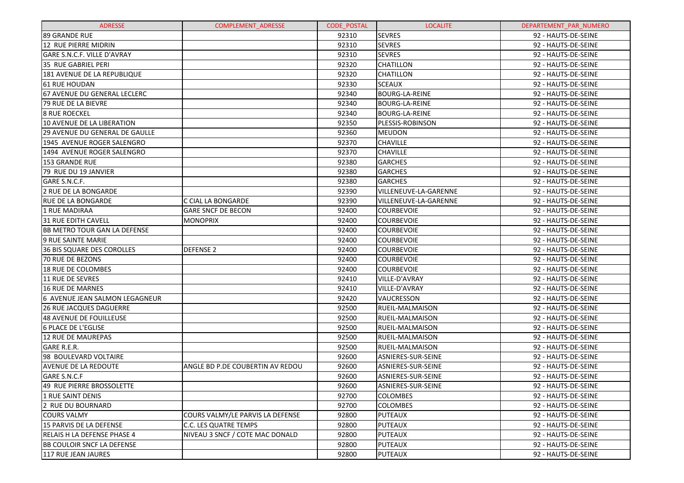| <b>ADRESSE</b>                      | <b>COMPLEMENT ADRESSE</b>        | <b>CODE POSTAL</b> | <b>LOCALITE</b>           | DEPARTEMENT PAR NUMERO |
|-------------------------------------|----------------------------------|--------------------|---------------------------|------------------------|
| 89 GRANDE RUE                       |                                  | 92310              | <b>SEVRES</b>             | 92 - HAUTS-DE-SEINE    |
| 12 RUE PIERRE MIDRIN                |                                  | 92310              | <b>SEVRES</b>             | 92 - HAUTS-DE-SEINE    |
| GARE S.N.C.F. VILLE D'AVRAY         |                                  | 92310              | <b>SEVRES</b>             | 92 - HAUTS-DE-SEINE    |
| 35 RUE GABRIEL PERI                 |                                  | 92320              | <b>CHATILLON</b>          | 92 - HAUTS-DE-SEINE    |
| 181 AVENUE DE LA REPUBLIQUE         |                                  | 92320              | <b>CHATILLON</b>          | 92 - HAUTS-DE-SEINE    |
| 61 RUE HOUDAN                       |                                  | 92330              | <b>SCEAUX</b>             | 92 - HAUTS-DE-SEINE    |
| 67 AVENUE DU GENERAL LECLERC        |                                  | 92340              | <b>BOURG-LA-REINE</b>     | 92 - HAUTS-DE-SEINE    |
| 79 RUE DE LA BIEVRE                 |                                  | 92340              | <b>BOURG-LA-REINE</b>     | 92 - HAUTS-DE-SEINE    |
| <b>8 RUE ROECKEL</b>                |                                  | 92340              | <b>BOURG-LA-REINE</b>     | 92 - HAUTS-DE-SEINE    |
| 10 AVENUE DE LA LIBERATION          |                                  | 92350              | PLESSIS-ROBINSON          | 92 - HAUTS-DE-SEINE    |
| 29 AVENUE DU GENERAL DE GAULLE      |                                  | 92360              | <b>MEUDON</b>             | 92 - HAUTS-DE-SEINE    |
| 1945 AVENUE ROGER SALENGRO          |                                  | 92370              | <b>CHAVILLE</b>           | 92 - HAUTS-DE-SEINE    |
| 1494 AVENUE ROGER SALENGRO          |                                  | 92370              | <b>CHAVILLE</b>           | 92 - HAUTS-DE-SEINE    |
| <b>153 GRANDE RUE</b>               |                                  | 92380              | <b>GARCHES</b>            | 92 - HAUTS-DE-SEINE    |
| 79 RUE DU 19 JANVIER                |                                  | 92380              | <b>GARCHES</b>            | 92 - HAUTS-DE-SEINE    |
| GARE S.N.C.F.                       |                                  | 92380              | <b>GARCHES</b>            | 92 - HAUTS-DE-SEINE    |
| 2 RUE DE LA BONGARDE                |                                  | 92390              | VILLENEUVE-LA-GARENNE     | 92 - HAUTS-DE-SEINE    |
| <b>RUE DE LA BONGARDE</b>           | C CIAL LA BONGARDE               | 92390              | VILLENEUVE-LA-GARENNE     | 92 - HAUTS-DE-SEINE    |
| 1 RUE MADIRAA                       | <b>GARE SNCF DE BECON</b>        | 92400              | <b>COURBEVOIE</b>         | 92 - HAUTS-DE-SEINE    |
| <b>31 RUE EDITH CAVELL</b>          | <b>MONOPRIX</b>                  | 92400              | <b>COURBEVOIE</b>         | 92 - HAUTS-DE-SEINE    |
| <b>BB METRO TOUR GAN LA DEFENSE</b> |                                  | 92400              | <b>COURBEVOIE</b>         | 92 - HAUTS-DE-SEINE    |
| 9 RUE SAINTE MARIE                  |                                  | 92400              | <b>COURBEVOIE</b>         | 92 - HAUTS-DE-SEINE    |
| <b>36 BIS SQUARE DES COROLLES</b>   | <b>DEFENSE 2</b>                 | 92400              | <b>COURBEVOIE</b>         | 92 - HAUTS-DE-SEINE    |
| 70 RUE DE BEZONS                    |                                  | 92400              | <b>COURBEVOIE</b>         | 92 - HAUTS-DE-SEINE    |
| 18 RUE DE COLOMBES                  |                                  | 92400              | <b>COURBEVOIE</b>         | 92 - HAUTS-DE-SEINE    |
| 11 RUE DE SEVRES                    |                                  | 92410              | VILLE-D'AVRAY             | 92 - HAUTS-DE-SEINE    |
| <b>16 RUE DE MARNES</b>             |                                  | 92410              | VILLE-D'AVRAY             | 92 - HAUTS-DE-SEINE    |
| 6 AVENUE JEAN SALMON LEGAGNEUR      |                                  | 92420              | VAUCRESSON                | 92 - HAUTS-DE-SEINE    |
| <b>26 RUE JACQUES DAGUERRE</b>      |                                  | 92500              | <b>RUEIL-MALMAISON</b>    | 92 - HAUTS-DE-SEINE    |
| <b>48 AVENUE DE FOUILLEUSE</b>      |                                  | 92500              | <b>RUEIL-MALMAISON</b>    | 92 - HAUTS-DE-SEINE    |
| <b>6 PLACE DE L'EGLISE</b>          |                                  | 92500              | <b>RUEIL-MALMAISON</b>    | 92 - HAUTS-DE-SEINE    |
| <b>12 RUE DE MAUREPAS</b>           |                                  | 92500              | <b>RUEIL-MALMAISON</b>    | 92 - HAUTS-DE-SEINE    |
| GARE R.E.R.                         |                                  | 92500              | <b>RUEIL-MALMAISON</b>    | 92 - HAUTS-DE-SEINE    |
| 98 BOULEVARD VOLTAIRE               |                                  | 92600              | <b>ASNIERES-SUR-SEINE</b> | 92 - HAUTS-DE-SEINE    |
| AVENUE DE LA REDOUTE                | ANGLE BD P.DE COUBERTIN AV REDOU | 92600              | ASNIERES-SUR-SEINE        | 92 - HAUTS-DE-SEINE    |
| GARE S.N.C.F                        |                                  | 92600              | ASNIERES-SUR-SEINE        | 92 - HAUTS-DE-SEINE    |
| 49 RUE PIERRE BROSSOLETTE           |                                  | 92600              | ASNIERES-SUR-SEINE        | 92 - HAUTS-DE-SEINE    |
| 1 RUE SAINT DENIS                   |                                  | 92700              | <b>COLOMBES</b>           | 92 - HAUTS-DE-SEINE    |
| 2 RUE DU BOURNARD                   |                                  | 92700              | <b>COLOMBES</b>           | 92 - HAUTS-DE-SEINE    |
| <b>COURS VALMY</b>                  | COURS VALMY/LE PARVIS LA DEFENSE | 92800              | PUTEAUX                   | 92 - HAUTS-DE-SEINE    |
| 15 PARVIS DE LA DEFENSE             | C.C. LES QUATRE TEMPS            | 92800              | <b>PUTEAUX</b>            | 92 - HAUTS-DE-SEINE    |
| RELAIS H LA DEFENSE PHASE 4         | NIVEAU 3 SNCF / COTE MAC DONALD  | 92800              | PUTEAUX                   | 92 - HAUTS-DE-SEINE    |
| <b>BB COULOIR SNCF LA DEFENSE</b>   |                                  | 92800              | <b>PUTEAUX</b>            | 92 - HAUTS-DE-SEINE    |
| 117 RUE JEAN JAURES                 |                                  | 92800              | <b>PUTEAUX</b>            | 92 - HAUTS-DE-SEINE    |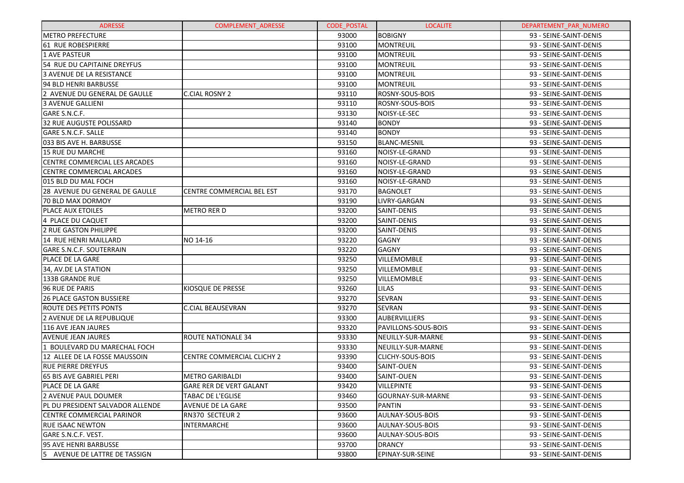| <b>ADRESSE</b>                          | <b>COMPLEMENT ADRESSE</b>         | <b>CODE POSTAL</b> | <b>LOCALITE</b>            | DEPARTEMENT PAR NUMERO |
|-----------------------------------------|-----------------------------------|--------------------|----------------------------|------------------------|
| <b>METRO PREFECTURE</b>                 |                                   | 93000              | <b>BOBIGNY</b>             | 93 - SEINE-SAINT-DENIS |
| 161 RUE ROBESPIERRE                     |                                   | 93100              | <b>MONTREUIL</b>           | 93 - SEINE-SAINT-DENIS |
| l1 AVE PASTEUR                          |                                   | 93100              | <b>MONTREUIL</b>           | 93 - SEINE-SAINT-DENIS |
| 54 RUE DU CAPITAINE DREYFUS             |                                   | 93100              | <b>MONTREUIL</b>           | 93 - SEINE-SAINT-DENIS |
| l3 AVENUE DE LA RESISTANCE              |                                   | 93100              | <b>MONTREUIL</b>           | 93 - SEINE-SAINT-DENIS |
| 94 BLD HENRI BARBUSSE                   |                                   | 93100              | <b>MONTREUIL</b>           | 93 - SEINE-SAINT-DENIS |
| 2 AVENUE DU GENERAL DE GAULLE           | <b>C.CIAL ROSNY 2</b>             | 93110              | <b>ROSNY-SOUS-BOIS</b>     | 93 - SEINE-SAINT-DENIS |
| 3 AVENUE GALLIENI                       |                                   | 93110              | ROSNY-SOUS-BOIS            | 93 - SEINE-SAINT-DENIS |
| GARE S.N.C.F.                           |                                   | 93130              | NOISY-LE-SEC               | 93 - SEINE-SAINT-DENIS |
| 32 RUE AUGUSTE POLISSARD                |                                   | 93140              | <b>BONDY</b>               | 93 - SEINE-SAINT-DENIS |
| <b>GARE S.N.C.F. SALLE</b>              |                                   | 93140              | <b>BONDY</b>               | 93 - SEINE-SAINT-DENIS |
| 033 BIS AVE H. BARBUSSE                 |                                   | 93150              | <b>BLANC-MESNIL</b>        | 93 - SEINE-SAINT-DENIS |
| 15 RUE DU MARCHE                        |                                   | 93160              | NOISY-LE-GRAND             | 93 - SEINE-SAINT-DENIS |
| CENTRE COMMERCIAL LES ARCADES           |                                   | 93160              | NOISY-LE-GRAND             | 93 - SEINE-SAINT-DENIS |
| <b>CENTRE COMMERCIAL ARCADES</b>        |                                   | 93160              | NOISY-LE-GRAND             | 93 - SEINE-SAINT-DENIS |
| 015 BLD DU MAL FOCH                     |                                   | 93160              | NOISY-LE-GRAND             | 93 - SEINE-SAINT-DENIS |
| 28 AVENUE DU GENERAL DE GAULLE          | <b>CENTRE COMMERCIAL BEL EST</b>  | 93170              | <b>BAGNOLET</b>            | 93 - SEINE-SAINT-DENIS |
| 70 BLD MAX DORMOY                       |                                   | 93190              | LIVRY-GARGAN               | 93 - SEINE-SAINT-DENIS |
| <b>PLACE AUX ETOILES</b>                | <b>METRO RER D</b>                | 93200              | SAINT-DENIS                | 93 - SEINE-SAINT-DENIS |
| 4 PLACE DU CAQUET                       |                                   | 93200              | SAINT-DENIS                | 93 - SEINE-SAINT-DENIS |
| <b>2 RUE GASTON PHILIPPE</b>            |                                   | 93200              | SAINT-DENIS                | 93 - SEINE-SAINT-DENIS |
| 14 RUE HENRI MAILLARD                   | NO 14-16                          | 93220              | <b>GAGNY</b>               | 93 - SEINE-SAINT-DENIS |
| <b>GARE S.N.C.F. SOUTERRAIN</b>         |                                   | 93220              | <b>GAGNY</b>               | 93 - SEINE-SAINT-DENIS |
| PLACE DE LA GARE                        |                                   | 93250              | <b>VILLEMOMBLE</b>         | 93 - SEINE-SAINT-DENIS |
| 34, AV.DE LA STATION                    |                                   | 93250              | <b>VILLEMOMBLE</b>         | 93 - SEINE-SAINT-DENIS |
| 133B GRANDE RUE                         |                                   | 93250              | <b>VILLEMOMBLE</b>         | 93 - SEINE-SAINT-DENIS |
| 96 RUE DE PARIS                         | KIOSQUE DE PRESSE                 | 93260              | <b>LILAS</b>               | 93 - SEINE-SAINT-DENIS |
| <b>26 PLACE GASTON BUSSIERE</b>         |                                   | 93270              | <b>SEVRAN</b>              | 93 - SEINE-SAINT-DENIS |
| <b>ROUTE DES PETITS PONTS</b>           | <b>C.CIAL BEAUSEVRAN</b>          | 93270              | <b>SEVRAN</b>              | 93 - SEINE-SAINT-DENIS |
| 2 AVENUE DE LA REPUBLIQUE               |                                   | 93300              | <b>AUBERVILLIERS</b>       | 93 - SEINE-SAINT-DENIS |
| 116 AVE JEAN JAURES                     |                                   | 93320              | <b>PAVILLONS-SOUS-BOIS</b> | 93 - SEINE-SAINT-DENIS |
| AVENUE JEAN JAURES                      | <b>ROUTE NATIONALE 34</b>         | 93330              | NEUILLY-SUR-MARNE          | 93 - SEINE-SAINT-DENIS |
| 1 BOULEVARD DU MARECHAL FOCH            |                                   | 93330              | NEUILLY-SUR-MARNE          | 93 - SEINE-SAINT-DENIS |
| 12 ALLEE DE LA FOSSE MAUSSOIN           | <b>CENTRE COMMERCIAL CLICHY 2</b> | 93390              | <b>CLICHY-SOUS-BOIS</b>    | 93 - SEINE-SAINT-DENIS |
| <b>RUE PIERRE DREYFUS</b>               |                                   | 93400              | SAINT-OUEN                 | 93 - SEINE-SAINT-DENIS |
| 65 BIS AVE GABRIEL PERI                 | <b>METRO GARIBALDI</b>            | 93400              | <b>SAINT-OUEN</b>          | 93 - SEINE-SAINT-DENIS |
| PLACE DE LA GARE                        | <b>GARE RER DE VERT GALANT</b>    | 93420              | <b>VILLEPINTE</b>          | 93 - SEINE-SAINT-DENIS |
| 2 AVENUE PAUL DOUMER                    | TABAC DE L'EGLISE                 | 93460              | GOURNAY-SUR-MARNE          | 93 - SEINE-SAINT-DENIS |
| <b>PL DU PRESIDENT SALVADOR ALLENDE</b> | AVENUE DE LA GARE                 | 93500              | PANTIN                     | 93 - SEINE-SAINT-DENIS |
| ICENTRE COMMERCIAL PARINOR              | RN370 SECTEUR 2                   | 93600              | AULNAY-SOUS-BOIS           | 93 - SEINE-SAINT-DENIS |
| RUE ISAAC NEWTON                        | <b>INTERMARCHE</b>                | 93600              | AULNAY-SOUS-BOIS           | 93 - SEINE-SAINT-DENIS |
| lGARE S.N.C.F. VEST.                    |                                   | 93600              | AULNAY-SOUS-BOIS           | 93 - SEINE-SAINT-DENIS |
| 195 AVE HENRI BARBUSSE                  |                                   | 93700              | <b>DRANCY</b>              | 93 - SEINE-SAINT-DENIS |
| AVENUE DE LATTRE DE TASSIGN<br>15       |                                   | 93800              | EPINAY-SUR-SEINE           | 93 - SEINE-SAINT-DENIS |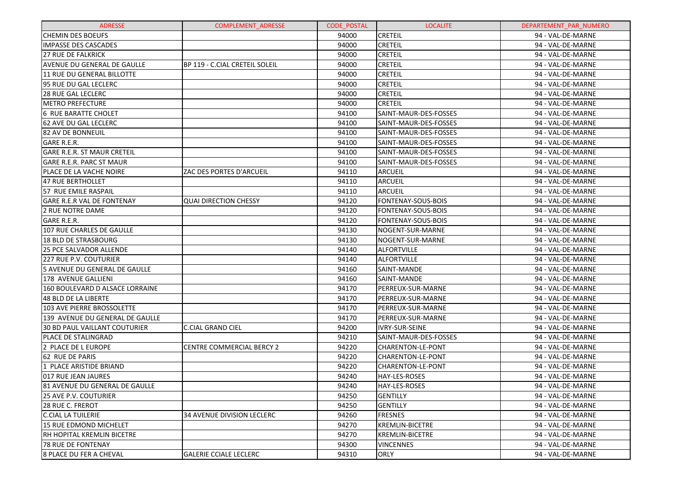| <b>ADRESSE</b>                       | <b>COMPLEMENT ADRESSE</b>         | <b>CODE POSTAL</b> | <b>LOCALITE</b>          | DEPARTEMENT PAR NUMERO |
|--------------------------------------|-----------------------------------|--------------------|--------------------------|------------------------|
| <b>CHEMIN DES BOEUFS</b>             |                                   | 94000              | <b>CRETEIL</b>           | 94 - VAL-DE-MARNE      |
| <b>IMPASSE DES CASCADES</b>          |                                   | 94000              | <b>CRETEIL</b>           | 94 - VAL-DE-MARNE      |
| <b>27 RUE DE FALKRICK</b>            |                                   | 94000              | <b>CRETEIL</b>           | 94 - VAL-DE-MARNE      |
| <b>AVENUE DU GENERAL DE GAULLE</b>   | BP 119 - C.CIAL CRETEIL SOLEIL    | 94000              | <b>CRETEIL</b>           | 94 - VAL-DE-MARNE      |
| 11 RUE DU GENERAL BILLOTTE           |                                   | 94000              | <b>CRETEIL</b>           | 94 - VAL-DE-MARNE      |
| l95 RUE DU GAL LECLERC               |                                   | 94000              | <b>CRETEIL</b>           | 94 - VAL-DE-MARNE      |
| <b>28 RUE GAL LECLERC</b>            |                                   | 94000              | <b>CRETEIL</b>           | 94 - VAL-DE-MARNE      |
| IMETRO PREFECTURE                    |                                   | 94000              | <b>CRETEIL</b>           | 94 - VAL-DE-MARNE      |
| <b>6 RUE BARATTE CHOLET</b>          |                                   | 94100              | SAINT-MAUR-DES-FOSSES    | 94 - VAL-DE-MARNE      |
| 62 AVE DU GAL LECLERC                |                                   | 94100              | SAINT-MAUR-DES-FOSSES    | 94 - VAL-DE-MARNE      |
| 182 AV DE BONNEUIL                   |                                   | 94100              | SAINT-MAUR-DES-FOSSES    | 94 - VAL-DE-MARNE      |
| <b>GARE R.E.R.</b>                   |                                   | 94100              | SAINT-MAUR-DES-FOSSES    | 94 - VAL-DE-MARNE      |
| <b>GARE R.E.R. ST MAUR CRETEIL</b>   |                                   | 94100              | SAINT-MAUR-DES-FOSSES    | 94 - VAL-DE-MARNE      |
| <b>GARE R.E.R. PARC ST MAUR</b>      |                                   | 94100              | SAINT-MAUR-DES-FOSSES    | 94 - VAL-DE-MARNE      |
| PLACE DE LA VACHE NOIRE              | ZAC DES PORTES D'ARCUEIL          | 94110              | <b>ARCUEIL</b>           | 94 - VAL-DE-MARNE      |
| <b>47 RUE BERTHOLLET</b>             |                                   | 94110              | <b>ARCUEIL</b>           | 94 - VAL-DE-MARNE      |
| 57 RUE EMILE RASPAIL                 |                                   | 94110              | <b>ARCUEIL</b>           | 94 - VAL-DE-MARNE      |
| GARE R.E.R VAL DE FONTENAY           | <b>QUAI DIRECTION CHESSY</b>      | 94120              | FONTENAY-SOUS-BOIS       | 94 - VAL-DE-MARNE      |
| 2 RUE NOTRE DAME                     |                                   | 94120              | FONTENAY-SOUS-BOIS       | 94 - VAL-DE-MARNE      |
| <b>GARE R.E.R.</b>                   |                                   | 94120              | FONTENAY-SOUS-BOIS       | 94 - VAL-DE-MARNE      |
| 107 RUE CHARLES DE GAULLE            |                                   | 94130              | NOGENT-SUR-MARNE         | 94 - VAL-DE-MARNE      |
| <b>18 BLD DE STRASBOURG</b>          |                                   | 94130              | NOGENT-SUR-MARNE         | 94 - VAL-DE-MARNE      |
| <b>25 PCE SALVADOR ALLENDE</b>       |                                   | 94140              | <b>ALFORTVILLE</b>       | 94 - VAL-DE-MARNE      |
| 227 RUE P.V. COUTURIER               |                                   | 94140              | <b>ALFORTVILLE</b>       | 94 - VAL-DE-MARNE      |
| 5 AVENUE DU GENERAL DE GAULLE        |                                   | 94160              | SAINT-MANDE              | 94 - VAL-DE-MARNE      |
| 178 AVENUE GALLIENI                  |                                   | 94160              | SAINT-MANDE              | 94 - VAL-DE-MARNE      |
| 160 BOULEVARD D ALSACE LORRAINE      |                                   | 94170              | PERREUX-SUR-MARNE        | 94 - VAL-DE-MARNE      |
| 48 BLD DE LA LIBERTE                 |                                   | 94170              | PERREUX-SUR-MARNE        | 94 - VAL-DE-MARNE      |
| 103 AVE PIERRE BROSSOLETTE           |                                   | 94170              | PERREUX-SUR-MARNE        | 94 - VAL-DE-MARNE      |
| 139 AVENUE DU GENERAL DE GAULLE      |                                   | 94170              | PERREUX-SUR-MARNE        | 94 - VAL-DE-MARNE      |
| <b>30 BD PAUL VAILLANT COUTURIER</b> | <b>C.CIAL GRAND CIEL</b>          | 94200              | <b>IVRY-SUR-SEINE</b>    | 94 - VAL-DE-MARNE      |
| IPLACE DE STALINGRAD                 |                                   | 94210              | SAINT-MAUR-DES-FOSSES    | 94 - VAL-DE-MARNE      |
| 2 PLACE DE L EUROPE                  | <b>CENTRE COMMERCIAL BERCY 2</b>  | 94220              | <b>CHARENTON-LE-PONT</b> | 94 - VAL-DE-MARNE      |
| 62 RUE DE PARIS                      |                                   | 94220              | CHARENTON-LE-PONT        | 94 - VAL-DE-MARNE      |
| l1 PLACE ARISTIDE BRIAND             |                                   | 94220              | <b>CHARENTON-LE-PONT</b> | 94 - VAL-DE-MARNE      |
| 017 RUE JEAN JAURES                  |                                   | 94240              | HAY-LES-ROSES            | 94 - VAL-DE-MARNE      |
| 81 AVENUE DU GENERAL DE GAULLE       |                                   | 94240              | HAY-LES-ROSES            | 94 - VAL-DE-MARNE      |
| 25 AVE P.V. COUTURIER                |                                   | 94250              | <b>GENTILLY</b>          | 94 - VAL-DE-MARNE      |
| 128 RUE C. FREROT                    |                                   | 94250              | <b>GENTILLY</b>          | 94 - VAL-DE-MARNE      |
| C.CIAL LA TUILERIE                   | <b>34 AVENUE DIVISION LECLERC</b> | 94260              | <b>FRESNES</b>           | 94 - VAL-DE-MARNE      |
| 15 RUE EDMOND MICHELET               |                                   | 94270              | <b>KREMLIN-BICETRE</b>   | 94 - VAL-DE-MARNE      |
| IRH HOPITAL KREMLIN BICETRE          |                                   | 94270              | <b>KREMLIN-BICETRE</b>   | 94 - VAL-DE-MARNE      |
| <b>178 RUE DE FONTENAY</b>           |                                   | 94300              | <b>VINCENNES</b>         | 94 - VAL-DE-MARNE      |
| 8 PLACE DU FER A CHEVAL              | <b>GALERIE CCIALE LECLERC</b>     | 94310              | <b>ORLY</b>              | 94 - VAL-DE-MARNE      |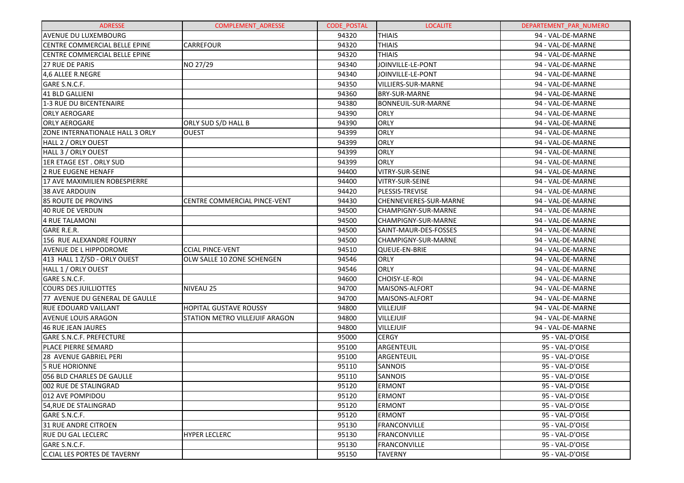| <b>ADRESSE</b>                      | <b>COMPLEMENT ADRESSE</b>      | <b>CODE POSTAL</b> | <b>LOCALITE</b>           | DEPARTEMENT PAR NUMERO |
|-------------------------------------|--------------------------------|--------------------|---------------------------|------------------------|
| AVENUE DU LUXEMBOURG                |                                | 94320              | <b>THIAIS</b>             | 94 - VAL-DE-MARNE      |
| CENTRE COMMERCIAL BELLE EPINE       | <b>CARREFOUR</b>               | 94320              | <b>THIAIS</b>             | 94 - VAL-DE-MARNE      |
| CENTRE COMMERCIAL BELLE EPINE       |                                | 94320              | <b>THIAIS</b>             | 94 - VAL-DE-MARNE      |
| 27 RUE DE PARIS                     | NO 27/29                       | 94340              | JOINVILLE-LE-PONT         | 94 - VAL-DE-MARNE      |
| 4,6 ALLEE R.NEGRE                   |                                | 94340              | JOINVILLE-LE-PONT         | 94 - VAL-DE-MARNE      |
| GARE S.N.C.F.                       |                                | 94350              | VILLIERS-SUR-MARNE        | 94 - VAL-DE-MARNE      |
| 41 BLD GALLIENI                     |                                | 94360              | <b>BRY-SUR-MARNE</b>      | 94 - VAL-DE-MARNE      |
| 1-3 RUE DU BICENTENAIRE             |                                | 94380              | <b>BONNEUIL-SUR-MARNE</b> | 94 - VAL-DE-MARNE      |
| <b>ORLY AEROGARE</b>                |                                | 94390              | ORLY                      | 94 - VAL-DE-MARNE      |
| <b>ORLY AEROGARE</b>                | ORLY SUD S/D HALL B            | 94390              | ORLY                      | 94 - VAL-DE-MARNE      |
| ZONE INTERNATIONALE HALL 3 ORLY     | OUEST                          | 94399              | ORLY                      | 94 - VAL-DE-MARNE      |
| HALL 2 / ORLY OUEST                 |                                | 94399              | ORLY                      | 94 - VAL-DE-MARNE      |
| HALL 3 / ORLY OUEST                 |                                | 94399              | ORLY                      | 94 - VAL-DE-MARNE      |
| 1ER ETAGE EST. ORLY SUD             |                                | 94399              | ORLY                      | 94 - VAL-DE-MARNE      |
| <b>2 RUE EUGENE HENAFF</b>          |                                | 94400              | VITRY-SUR-SEINE           | 94 - VAL-DE-MARNE      |
| 17 AVE MAXIMILIEN ROBESPIERRE       |                                | 94400              | VITRY-SUR-SEINE           | 94 - VAL-DE-MARNE      |
| 38 AVE ARDOUIN                      |                                | 94420              | PLESSIS-TREVISE           | 94 - VAL-DE-MARNE      |
| <b>85 ROUTE DE PROVINS</b>          | CENTRE COMMERCIAL PINCE-VENT   | 94430              | CHENNEVIERES-SUR-MARNE    | 94 - VAL-DE-MARNE      |
| <b>40 RUE DE VERDUN</b>             |                                | 94500              | CHAMPIGNY-SUR-MARNE       | 94 - VAL-DE-MARNE      |
| <b>4 RUE TALAMONI</b>               |                                | 94500              | CHAMPIGNY-SUR-MARNE       | 94 - VAL-DE-MARNE      |
| GARE R.E.R.                         |                                | 94500              | SAINT-MAUR-DES-FOSSES     | 94 - VAL-DE-MARNE      |
| 156 RUE ALEXANDRE FOURNY            |                                | 94500              | CHAMPIGNY-SUR-MARNE       | 94 - VAL-DE-MARNE      |
| AVENUE DE L HIPPODROME              | <b>CCIAL PINCE-VENT</b>        | 94510              | QUEUE-EN-BRIE             | 94 - VAL-DE-MARNE      |
| 413 HALL 1 Z/SD - ORLY OUEST        | OLW SALLE 10 ZONE SCHENGEN     | 94546              | ORLY                      | 94 - VAL-DE-MARNE      |
| HALL 1 / ORLY OUEST                 |                                | 94546              | <b>ORLY</b>               | 94 - VAL-DE-MARNE      |
| GARE S.N.C.F.                       |                                | 94600              | CHOISY-LE-ROI             | 94 - VAL-DE-MARNE      |
| <b>COURS DES JUILLIOTTES</b>        | <b>NIVEAU 25</b>               | 94700              | MAISONS-ALFORT            | 94 - VAL-DE-MARNE      |
| 77 AVENUE DU GENERAL DE GAULLE      |                                | 94700              | MAISONS-ALFORT            | 94 - VAL-DE-MARNE      |
| <b>RUE EDOUARD VAILLANT</b>         | <b>HOPITAL GUSTAVE ROUSSY</b>  | 94800              | <b>VILLEJUIF</b>          | 94 - VAL-DE-MARNE      |
| AVENUE LOUIS ARAGON                 | STATION METRO VILLEJUIF ARAGON | 94800              | <b>VILLEJUIF</b>          | 94 - VAL-DE-MARNE      |
| <b>46 RUE JEAN JAURES</b>           |                                | 94800              | <b>VILLEJUIF</b>          | 94 - VAL-DE-MARNE      |
| <b>GARE S.N.C.F. PREFECTURE</b>     |                                | 95000              | <b>CERGY</b>              | 95 - VAL-D'OISE        |
| PLACE PIERRE SEMARD                 |                                | 95100              | ARGENTEUIL                | 95 - VAL-D'OISE        |
| 28 AVENUE GABRIEL PERI              |                                | 95100              | ARGENTEUIL                | 95 - VAL-D'OISE        |
| <b>5 RUE HORIONNE</b>               |                                | 95110              | <b>SANNOIS</b>            | 95 - VAL-D'OISE        |
| 056 BLD CHARLES DE GAULLE           |                                | 95110              | <b>SANNOIS</b>            | 95 - VAL-D'OISE        |
| 002 RUE DE STALINGRAD               |                                | 95120              | <b>ERMONT</b>             | 95 - VAL-D'OISE        |
| 012 AVE POMPIDOU                    |                                | 95120              | <b>ERMONT</b>             | 95 - VAL-D'OISE        |
| 54,RUE DE STALINGRAD                |                                | 95120              | <b>ERMONT</b>             | 95 - VAL-D'OISE        |
| GARE S.N.C.F.                       |                                | 95120              | <b>ERMONT</b>             | 95 - VAL-D'OISE        |
| 31 RUE ANDRE CITROEN                |                                | 95130              | <b>FRANCONVILLE</b>       | 95 - VAL-D'OISE        |
| <b>RUE DU GAL LECLERC</b>           | <b>HYPER LECLERC</b>           | 95130              | <b>FRANCONVILLE</b>       | 95 - VAL-D'OISE        |
| GARE S.N.C.F.                       |                                | 95130              | <b>FRANCONVILLE</b>       | 95 - VAL-D'OISE        |
| <b>C.CIAL LES PORTES DE TAVERNY</b> |                                | 95150              | <b>TAVERNY</b>            | 95 - VAL-D'OISE        |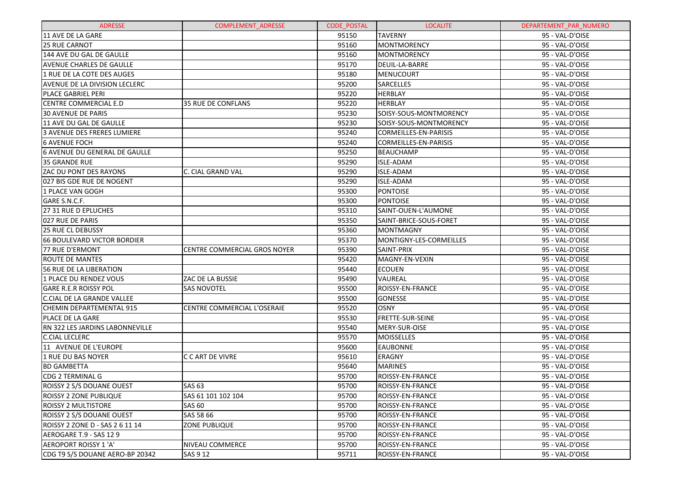| <b>ADRESSE</b>                     | <b>COMPLEMENT ADRESSE</b>          | <b>CODE POSTAL</b> | <b>LOCALITE</b>              | DEPARTEMENT PAR NUMERO |
|------------------------------------|------------------------------------|--------------------|------------------------------|------------------------|
| 11 AVE DE LA GARE                  |                                    | 95150              | <b>TAVERNY</b>               | 95 - VAL-D'OISE        |
| 125 RUE CARNOT                     |                                    | 95160              | <b>MONTMORENCY</b>           | 95 - VAL-D'OISE        |
| 144 AVE DU GAL DE GAULLE           |                                    | 95160              | <b>MONTMORENCY</b>           | 95 - VAL-D'OISE        |
| <b>AVENUE CHARLES DE GAULLE</b>    |                                    | 95170              | DEUIL-LA-BARRE               | 95 - VAL-D'OISE        |
| 1 RUE DE LA COTE DES AUGES         |                                    | 95180              | <b>MENUCOURT</b>             | 95 - VAL-D'OISE        |
| AVENUE DE LA DIVISION LECLERC      |                                    | 95200              | <b>SARCELLES</b>             | 95 - VAL-D'OISE        |
| IPLACE GABRIEL PERI                |                                    | 95220              | <b>HERBLAY</b>               | 95 - VAL-D'OISE        |
| <b>CENTRE COMMERCIAL E.D</b>       | <b>35 RUE DE CONFLANS</b>          | 95220              | <b>HERBLAY</b>               | 95 - VAL-D'OISE        |
| <b>30 AVENUE DE PARIS</b>          |                                    | 95230              | SOISY-SOUS-MONTMORENCY       | 95 - VAL-D'OISE        |
| 11 AVE DU GAL DE GAULLE            |                                    | 95230              | SOISY-SOUS-MONTMORENCY       | 95 - VAL-D'OISE        |
| 3 AVENUE DES FRERES LUMIERE        |                                    | 95240              | <b>CORMEILLES-EN-PARISIS</b> | 95 - VAL-D'OISE        |
| l6 AVENUE FOCH                     |                                    | 95240              | <b>CORMEILLES-EN-PARISIS</b> | 95 - VAL-D'OISE        |
| 6 AVENUE DU GENERAL DE GAULLE      |                                    | 95250              | <b>BEAUCHAMP</b>             | 95 - VAL-D'OISE        |
| <b>35 GRANDE RUE</b>               |                                    | 95290              | <b>ISLE-ADAM</b>             | 95 - VAL-D'OISE        |
| <b>ZAC DU PONT DES RAYONS</b>      | C. CIAL GRAND VAL                  | 95290              | <b>ISLE-ADAM</b>             | 95 - VAL-D'OISE        |
| 027 BIS GDE RUE DE NOGENT          |                                    | 95290              | <b>ISLE-ADAM</b>             | 95 - VAL-D'OISE        |
| 1 PLACE VAN GOGH                   |                                    | 95300              | <b>PONTOISE</b>              | 95 - VAL-D'OISE        |
| <b>GARE S.N.C.F.</b>               |                                    | 95300              | <b>PONTOISE</b>              | 95 - VAL-D'OISE        |
| 27 31 RUE D EPLUCHES               |                                    | 95310              | SAINT-OUEN-L'AUMONE          | 95 - VAL-D'OISE        |
| 027 RUE DE PARIS                   |                                    | 95350              | SAINT-BRICE-SOUS-FORET       | 95 - VAL-D'OISE        |
| l25 RUE CL DEBUSSY                 |                                    | 95360              | <b>MONTMAGNY</b>             | 95 - VAL-D'OISE        |
| <b>66 BOULEVARD VICTOR BORDIER</b> |                                    | 95370              | MONTIGNY-LES-CORMEILLES      | 95 - VAL-D'OISE        |
| 177 RUE D'ERMONT                   | CENTRE COMMERCIAL GROS NOYER       | 95390              | SAINT-PRIX                   | 95 - VAL-D'OISE        |
| <b>ROUTE DE MANTES</b>             |                                    | 95420              | MAGNY-EN-VEXIN               | 95 - VAL-D'OISE        |
| <b>56 RUE DE LA LIBERATION</b>     |                                    | 95440              | <b>ECOUEN</b>                | 95 - VAL-D'OISE        |
| 1 PLACE DU RENDEZ VOUS             | ZAC DE LA BUSSIE                   | 95490              | <b>VAUREAL</b>               | 95 - VAL-D'OISE        |
| <b>GARE R.E.R ROISSY POL</b>       | <b>SAS NOVOTEL</b>                 | 95500              | <b>ROISSY-EN-FRANCE</b>      | 95 - VAL-D'OISE        |
| C.CIAL DE LA GRANDE VALLEE         |                                    | 95500              | <b>GONESSE</b>               | 95 - VAL-D'OISE        |
| <b>CHEMIN DEPARTEMENTAL 915</b>    | <b>CENTRE COMMERCIAL L'OSERAIE</b> | 95520              | <b>OSNY</b>                  | 95 - VAL-D'OISE        |
| lPLACE DE LA GARE                  |                                    | 95530              | <b>FRETTE-SUR-SEINE</b>      | 95 - VAL-D'OISE        |
| RN 322 LES JARDINS LABONNEVILLE    |                                    | 95540              | MERY-SUR-OISE                | 95 - VAL-D'OISE        |
| <b>C.CIAL LECLERC</b>              |                                    | 95570              | <b>MOISSELLES</b>            | 95 - VAL-D'OISE        |
| 11 AVENUE DE L'EUROPE              |                                    | 95600              | <b>EAUBONNE</b>              | 95 - VAL-D'OISE        |
| 1 RUE DU BAS NOYER                 | C C ART DE VIVRE                   | 95610              | <b>ERAGNY</b>                | 95 - VAL-D'OISE        |
| <b>BD GAMBETTA</b>                 |                                    | 95640              | <b>MARINES</b>               | 95 - VAL-D'OISE        |
| CDG 2 TERMINAL G                   |                                    | 95700              | <b>ROISSY-EN-FRANCE</b>      | 95 - VAL-D'OISE        |
| ROISSY 2 S/S DOUANE OUEST          | <b>SAS 63</b>                      | 95700              | ROISSY-EN-FRANCE             | 95 - VAL-D'OISE        |
| ROISSY 2 ZONE PUBLIQUE             | SAS 61 101 102 104                 | 95700              | <b>ROISSY-EN-FRANCE</b>      | 95 - VAL-D'OISE        |
| <b>ROISSY 2 MULTISTORE</b>         | <b>SAS 60</b>                      | 95700              | <b>ROISSY-EN-FRANCE</b>      | 95 - VAL-D'OISE        |
| <b>ROISSY 2 S/S DOUANE OUEST</b>   | SAS 58 66                          | 95700              | <b>ROISSY-EN-FRANCE</b>      | 95 - VAL-D'OISE        |
| ROISSY 2 ZONE D - SAS 2 6 11 14    | <b>ZONE PUBLIQUE</b>               | 95700              | <b>ROISSY-EN-FRANCE</b>      | 95 - VAL-D'OISE        |
| AEROGARE T.9 - SAS 12 9            |                                    | 95700              | <b>ROISSY-EN-FRANCE</b>      | 95 - VAL-D'OISE        |
| AEROPORT ROISSY 1 'A'              | <b>NIVEAU COMMERCE</b>             | 95700              | <b>ROISSY-EN-FRANCE</b>      | 95 - VAL-D'OISE        |
| CDG T9 S/S DOUANE AERO-BP 20342    | SAS 9 12                           | 95711              | <b>ROISSY-EN-FRANCE</b>      | 95 - VAL-D'OISE        |